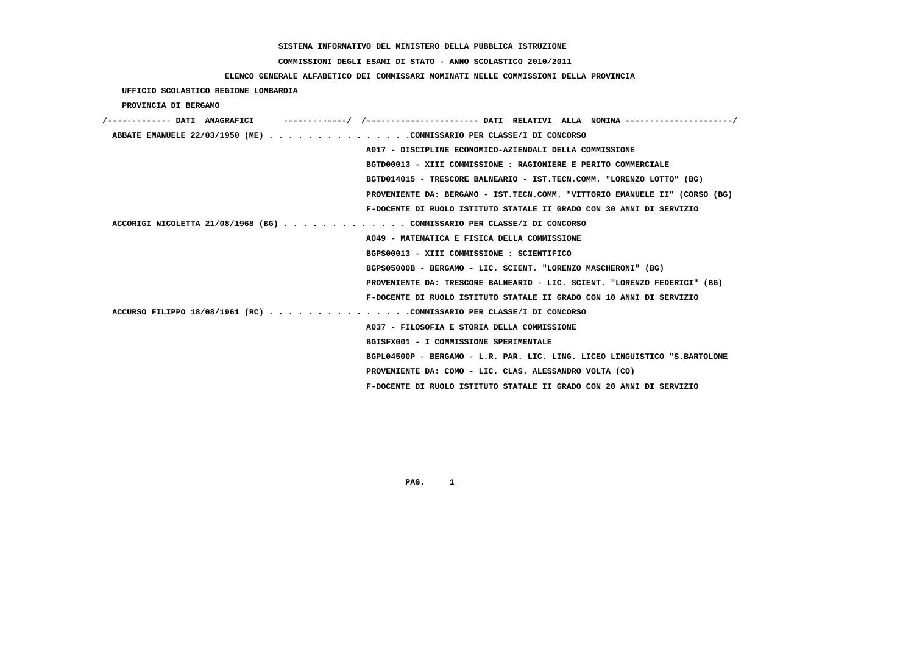### **COMMISSIONI DEGLI ESAMI DI STATO - ANNO SCOLASTICO 2010/2011**

# **ELENCO GENERALE ALFABETICO DEI COMMISSARI NOMINATI NELLE COMMISSIONI DELLA PROVINCIA**

 **UFFICIO SCOLASTICO REGIONE LOMBARDIA**

#### **PROVINCIA DI BERGAMO**

| ------------- DATI ANAGRAFICT                                           | /---------------------- DATI RELATIVI ALLA NOMINA---------------------/     |
|-------------------------------------------------------------------------|-----------------------------------------------------------------------------|
| ABBATE EMANUELE 22/03/1950 (ME) COMMISSARIO PER CLASSE/I DI CONCORSO    |                                                                             |
|                                                                         | A017 - DISCIPLINE ECONOMICO-AZIENDALI DELLA COMMISSIONE                     |
|                                                                         | BGTD00013 - XIII COMMISSIONE : RAGIONIERE E PERITO COMMERCIALE              |
|                                                                         | BGTD014015 - TRESCORE BALNEARIO - IST.TECN.COMM. "LORENZO LOTTO" (BG)       |
|                                                                         | PROVENIENTE DA: BERGAMO - IST.TECN.COMM. "VITTORIO EMANUELE II" (CORSO (BG) |
|                                                                         | F-DOCENTE DI RUOLO ISTITUTO STATALE II GRADO CON 30 ANNI DI SERVIZIO        |
| ACCORIGI NICOLETTA 21/08/1968 (BG) COMMISSARIO PER CLASSE/I DI CONCORSO |                                                                             |
|                                                                         | A049 - MATEMATICA E FISICA DELLA COMMISSIONE                                |
|                                                                         | BGPS00013 - XIII COMMISSIONE : SCIENTIFICO                                  |
|                                                                         | BGPS05000B - BERGAMO - LIC. SCIENT. "LORENZO MASCHERONI" (BG)               |
|                                                                         | PROVENIENTE DA: TRESCORE BALNEARIO - LIC. SCIENT. "LORENZO FEDERICI" (BG)   |
|                                                                         | F-DOCENTE DI RUOLO ISTITUTO STATALE II GRADO CON 10 ANNI DI SERVIZIO        |
| ACCURSO FILIPPO 18/08/1961 (RC) COMMISSARIO PER CLASSE/I DI CONCORSO    |                                                                             |
|                                                                         | A037 - FILOSOFIA E STORIA DELLA COMMISSIONE                                 |
|                                                                         | BGISFX001 - I COMMISSIONE SPERIMENTALE                                      |
|                                                                         | BGPL04500P - BERGAMO - L.R. PAR. LIC. LING. LICEO LINGUISTICO "S.BARTOLOME  |
|                                                                         | PROVENIENTE DA: COMO - LIC. CLAS. ALESSANDRO VOLTA (CO)                     |
|                                                                         | F-DOCENTE DI RUOLO ISTITUTO STATALE II GRADO CON 20 ANNI DI SERVIZIO        |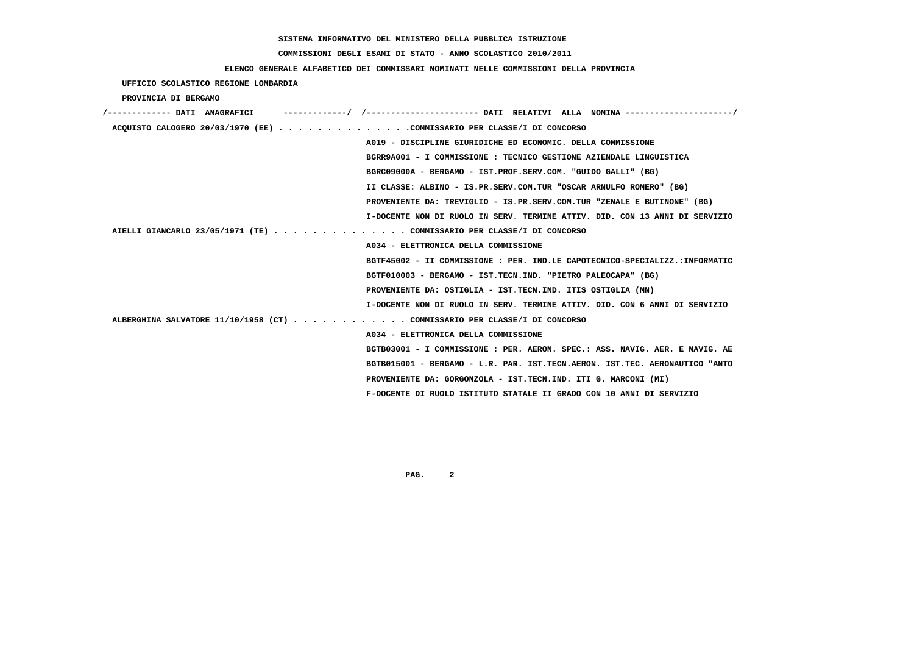#### **COMMISSIONI DEGLI ESAMI DI STATO - ANNO SCOLASTICO 2010/2011**

#### **ELENCO GENERALE ALFABETICO DEI COMMISSARI NOMINATI NELLE COMMISSIONI DELLA PROVINCIA**

 **UFFICIO SCOLASTICO REGIONE LOMBARDIA PROVINCIA DI BERGAMO /------------- DATI ANAGRAFICI -------------/ /----------------------- DATI RELATIVI ALLA NOMINA ----------------------/ ACQUISTO CALOGERO 20/03/1970 (EE) . . . . . . . . . . . . . .COMMISSARIO PER CLASSE/I DI CONCORSO A019 - DISCIPLINE GIURIDICHE ED ECONOMIC. DELLA COMMISSIONE BGRR9A001 - I COMMISSIONE : TECNICO GESTIONE AZIENDALE LINGUISTICA BGRC09000A - BERGAMO - IST.PROF.SERV.COM. "GUIDO GALLI" (BG) II CLASSE: ALBINO - IS.PR.SERV.COM.TUR "OSCAR ARNULFO ROMERO" (BG) PROVENIENTE DA: TREVIGLIO - IS.PR.SERV.COM.TUR "ZENALE E BUTINONE" (BG) I-DOCENTE NON DI RUOLO IN SERV. TERMINE ATTIV. DID. CON 13 ANNI DI SERVIZIO AIELLI GIANCARLO 23/05/1971 (TE) . . . . . . . . . . . . . . COMMISSARIO PER CLASSE/I DI CONCORSO A034 - ELETTRONICA DELLA COMMISSIONE BGTF45002 - II COMMISSIONE : PER. IND.LE CAPOTECNICO-SPECIALIZZ.:INFORMATIC BGTF010003 - BERGAMO - IST.TECN.IND. "PIETRO PALEOCAPA" (BG) PROVENIENTE DA: OSTIGLIA - IST.TECN.IND. ITIS OSTIGLIA (MN) I-DOCENTE NON DI RUOLO IN SERV. TERMINE ATTIV. DID. CON 6 ANNI DI SERVIZIO ALBERGHINA SALVATORE 11/10/1958 (CT) . . . . . . . . . . . . COMMISSARIO PER CLASSE/I DI CONCORSO A034 - ELETTRONICA DELLA COMMISSIONE BGTB03001 - I COMMISSIONE : PER. AERON. SPEC.: ASS. NAVIG. AER. E NAVIG. AE BGTB015001 - BERGAMO - L.R. PAR. IST.TECN.AERON. IST.TEC. AERONAUTICO "ANTO PROVENIENTE DA: GORGONZOLA - IST.TECN.IND. ITI G. MARCONI (MI) F-DOCENTE DI RUOLO ISTITUTO STATALE II GRADO CON 10 ANNI DI SERVIZIO**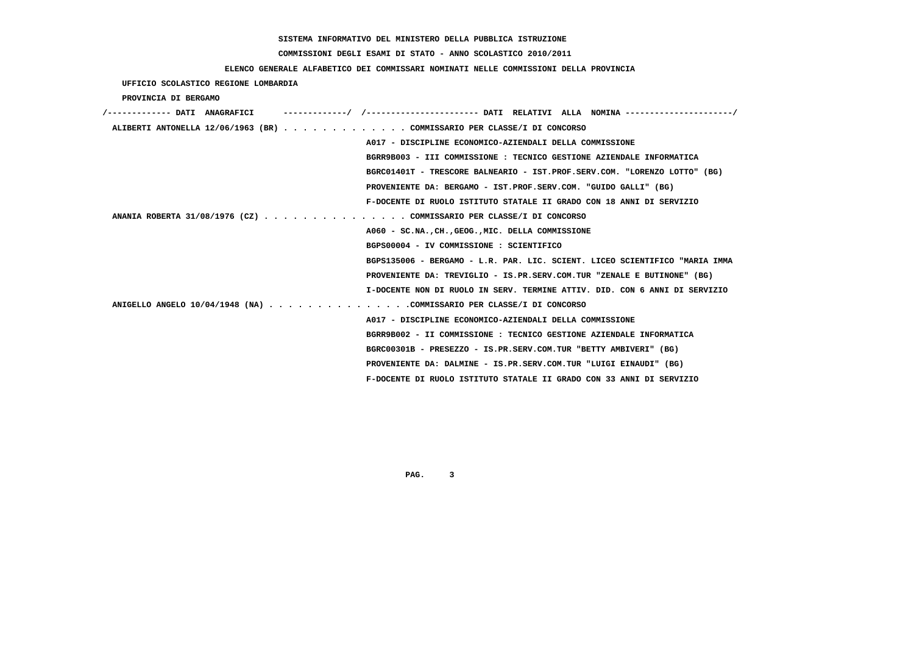# **COMMISSIONI DEGLI ESAMI DI STATO - ANNO SCOLASTICO 2010/2011**

## **ELENCO GENERALE ALFABETICO DEI COMMISSARI NOMINATI NELLE COMMISSIONI DELLA PROVINCIA**

 **UFFICIO SCOLASTICO REGIONE LOMBARDIA**

 **PROVINCIA DI BERGAMO**

| /------------- DATI ANAGRAFICI |                                                                             |
|--------------------------------|-----------------------------------------------------------------------------|
|                                | ALIBERTI ANTONELLA 12/06/1963 (BR) COMMISSARIO PER CLASSE/I DI CONCORSO     |
|                                | A017 - DISCIPLINE ECONOMICO-AZIENDALI DELLA COMMISSIONE                     |
|                                | BGRR9B003 - III COMMISSIONE : TECNICO GESTIONE AZIENDALE INFORMATICA        |
|                                | BGRC01401T - TRESCORE BALNEARIO - IST.PROF.SERV.COM. "LORENZO LOTTO" (BG)   |
|                                | PROVENIENTE DA: BERGAMO - IST.PROF.SERV.COM. "GUIDO GALLI" (BG)             |
|                                | F-DOCENTE DI RUOLO ISTITUTO STATALE II GRADO CON 18 ANNI DI SERVIZIO        |
|                                | ANANIA ROBERTA 31/08/1976 (CZ) COMMISSARIO PER CLASSE/I DI CONCORSO         |
|                                | A060 - SC.NA., CH., GEOG., MIC. DELLA COMMISSIONE                           |
|                                | BGPS00004 - IV COMMISSIONE : SCIENTIFICO                                    |
|                                | BGPS135006 - BERGAMO - L.R. PAR. LIC. SCIENT. LICEO SCIENTIFICO "MARIA IMMA |
|                                | PROVENIENTE DA: TREVIGLIO - IS.PR.SERV.COM.TUR "ZENALE E BUTINONE" (BG)     |
|                                | I-DOCENTE NON DI RUOLO IN SERV. TERMINE ATTIV. DID. CON 6 ANNI DI SERVIZIO  |
|                                | ANIGELLO ANGELO $10/04/1948$ (NA) COMMISSARIO PER CLASSE/I DI CONCORSO      |
|                                | A017 - DISCIPLINE ECONOMICO-AZIENDALI DELLA COMMISSIONE                     |
|                                | BGRR9B002 - II COMMISSIONE : TECNICO GESTIONE AZIENDALE INFORMATICA         |
|                                | BGRC00301B - PRESEZZO - IS.PR.SERV.COM.TUR "BETTY AMBIVERI" (BG)            |
|                                | PROVENIENTE DA: DALMINE - IS.PR.SERV.COM.TUR "LUIGI EINAUDI" (BG)           |
|                                | F-DOCENTE DI RUOLO ISTITUTO STATALE II GRADO CON 33 ANNI DI SERVIZIO        |
|                                |                                                                             |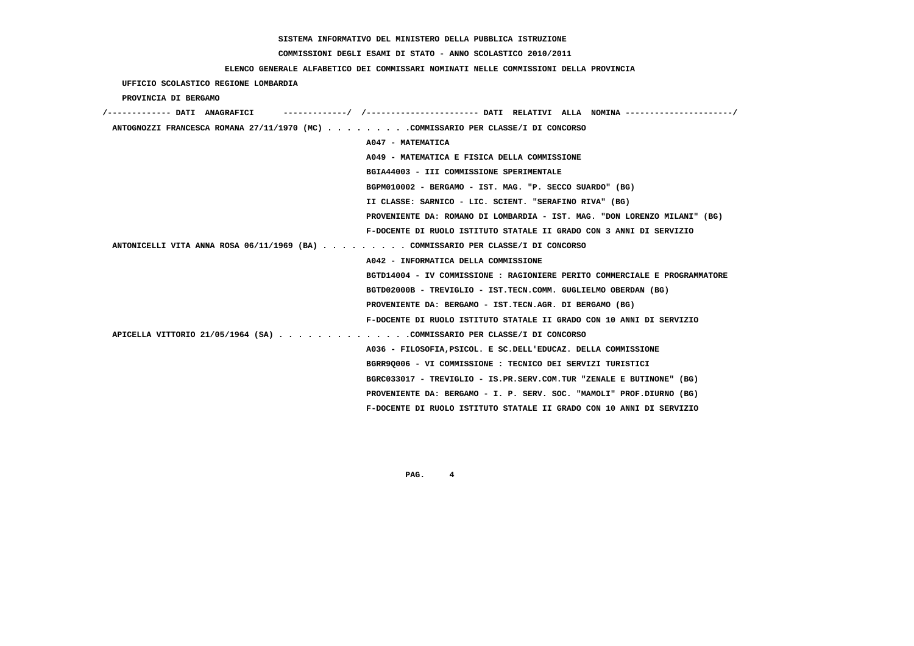# **COMMISSIONI DEGLI ESAMI DI STATO - ANNO SCOLASTICO 2010/2011**

### **ELENCO GENERALE ALFABETICO DEI COMMISSARI NOMINATI NELLE COMMISSIONI DELLA PROVINCIA**

## **UFFICIO SCOLASTICO REGIONE LOMBARDIA**

### **PROVINCIA DI BERGAMO**

| ----------/ /--------------------- DATI RELATIVI ALLA NOMINA--------------------/<br>/------------- DATI ANAGRAFICI |
|---------------------------------------------------------------------------------------------------------------------|
| ANTOGNOZZI FRANCESCA ROMANA 27/11/1970 (MC) COMMISSARIO PER CLASSE/I DI CONCORSO                                    |
| A047 - MATEMATICA                                                                                                   |
| A049 - MATEMATICA E FISICA DELLA COMMISSIONE                                                                        |
| BGIA44003 - III COMMISSIONE SPERIMENTALE                                                                            |
| BGPM010002 - BERGAMO - IST. MAG. "P. SECCO SUARDO" (BG)                                                             |
| II CLASSE: SARNICO - LIC. SCIENT. "SERAFINO RIVA" (BG)                                                              |
| PROVENIENTE DA: ROMANO DI LOMBARDIA - IST. MAG. "DON LORENZO MILANI" (BG)                                           |
| F-DOCENTE DI RUOLO ISTITUTO STATALE II GRADO CON 3 ANNI DI SERVIZIO                                                 |
| ANTONICELLI VITA ANNA ROSA 06/11/1969 (BA) COMMISSARIO PER CLASSE/I DI CONCORSO                                     |
| A042 - INFORMATICA DELLA COMMISSIONE                                                                                |
| BGTD14004 - IV COMMISSIONE : RAGIONIERE PERITO COMMERCIALE E PROGRAMMATORE                                          |
| BGTD02000B - TREVIGLIO - IST.TECN.COMM. GUGLIELMO OBERDAN (BG)                                                      |
| PROVENIENTE DA: BERGAMO - IST.TECN.AGR. DI BERGAMO (BG)                                                             |
| F-DOCENTE DI RUOLO ISTITUTO STATALE II GRADO CON 10 ANNI DI SERVIZIO                                                |
| APICELLA VITTORIO 21/05/1964 (SA) COMMISSARIO PER CLASSE/I DI CONCORSO                                              |
| A036 - FILOSOFIA, PSICOL. E SC. DELL'EDUCAZ. DELLA COMMISSIONE                                                      |
| BGRR90006 - VI COMMISSIONE : TECNICO DEI SERVIZI TURISTICI                                                          |
| BGRC033017 - TREVIGLIO - IS.PR.SERV.COM.TUR "ZENALE E BUTINONE" (BG)                                                |
| PROVENIENTE DA: BERGAMO - I. P. SERV. SOC. "MAMOLI" PROF.DIURNO (BG)                                                |
| F-DOCENTE DI RUOLO ISTITUTO STATALE II GRADO CON 10 ANNI DI SERVIZIO                                                |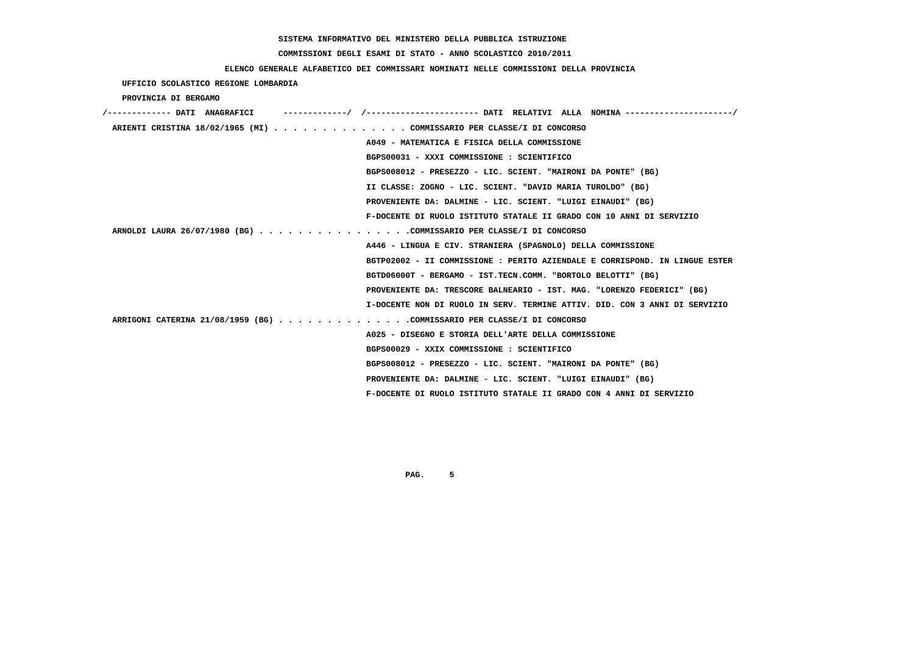# **COMMISSIONI DEGLI ESAMI DI STATO - ANNO SCOLASTICO 2010/2011**

### **ELENCO GENERALE ALFABETICO DEI COMMISSARI NOMINATI NELLE COMMISSIONI DELLA PROVINCIA**

| UFFICIO SCOLASTICO REGIONE LOMBARDIA                                   |                                                                                       |
|------------------------------------------------------------------------|---------------------------------------------------------------------------------------|
| PROVINCIA DI BERGAMO                                                   |                                                                                       |
| /------------- DATI ANAGRAFICI                                         | ------------/ /--------------------- DATI RELATIVI ALLA NOMINA ---------------------/ |
| ARIENTI CRISTINA 18/02/1965 (MI) COMMISSARIO PER CLASSE/I DI CONCORSO  |                                                                                       |
|                                                                        | A049 - MATEMATICA E FISICA DELLA COMMISSIONE                                          |
|                                                                        | BGPS00031 - XXXI COMMISSIONE : SCIENTIFICO                                            |
|                                                                        | BGPS008012 - PRESEZZO - LIC. SCIENT. "MAIRONI DA PONTE" (BG)                          |
|                                                                        | II CLASSE: ZOGNO - LIC. SCIENT. "DAVID MARIA TUROLDO" (BG)                            |
|                                                                        | PROVENIENTE DA: DALMINE - LIC. SCIENT. "LUIGI EINAUDI" (BG)                           |
|                                                                        | F-DOCENTE DI RUOLO ISTITUTO STATALE II GRADO CON 10 ANNI DI SERVIZIO                  |
| ARNOLDI LAURA 26/07/1980 (BG) COMMISSARIO PER CLASSE/I DI CONCORSO     |                                                                                       |
|                                                                        | A446 - LINGUA E CIV. STRANIERA (SPAGNOLO) DELLA COMMISSIONE                           |
|                                                                        | BGTP02002 - II COMMISSIONE : PERITO AZIENDALE E CORRISPOND. IN LINGUE ESTER           |
|                                                                        | BGTD06000T - BERGAMO - IST.TECN.COMM. "BORTOLO BELOTTI" (BG)                          |
|                                                                        | PROVENIENTE DA: TRESCORE BALNEARIO - IST. MAG. "LORENZO FEDERICI" (BG)                |
|                                                                        | I-DOCENTE NON DI RUOLO IN SERV. TERMINE ATTIV. DID. CON 3 ANNI DI SERVIZIO            |
| ARRIGONI CATERINA 21/08/1959 (BG) COMMISSARIO PER CLASSE/I DI CONCORSO |                                                                                       |
|                                                                        | A025 - DISEGNO E STORIA DELL'ARTE DELLA COMMISSIONE                                   |
|                                                                        | BGPS00029 - XXIX COMMISSIONE : SCIENTIFICO                                            |
|                                                                        | BGPS008012 - PRESEZZO - LIC. SCIENT. "MAIRONI DA PONTE" (BG)                          |
|                                                                        | PROVENIENTE DA: DALMINE - LIC. SCIENT. "LUIGI EINAUDI" (BG)                           |
|                                                                        | F-DOCENTE DI RUOLO ISTITUTO STATALE II GRADO CON 4 ANNI DI SERVIZIO                   |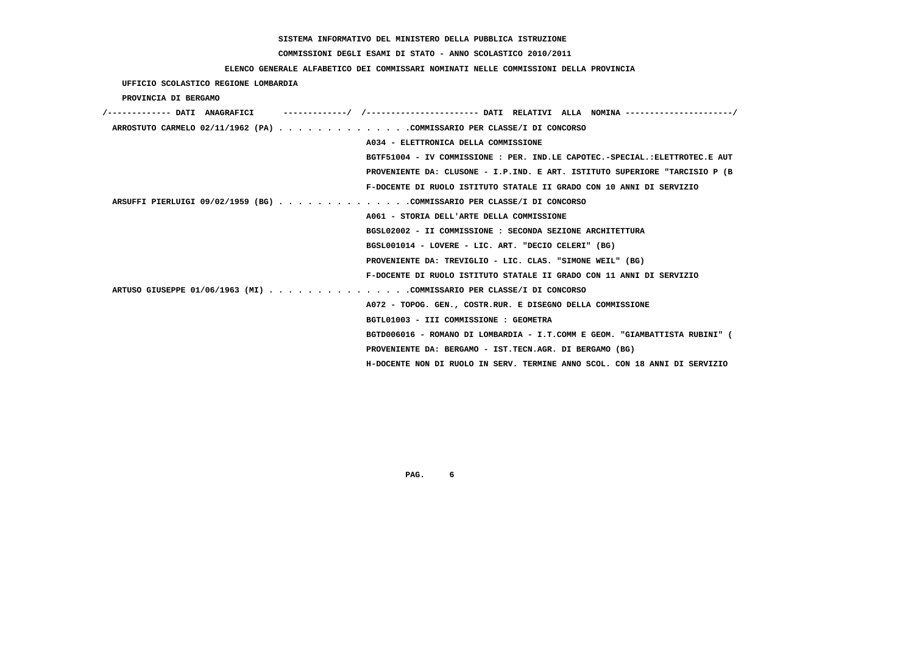# **COMMISSIONI DEGLI ESAMI DI STATO - ANNO SCOLASTICO 2010/2011**

## **ELENCO GENERALE ALFABETICO DEI COMMISSARI NOMINATI NELLE COMMISSIONI DELLA PROVINCIA**

 **UFFICIO SCOLASTICO REGIONE LOMBARDIA**

 **PROVINCIA DI BERGAMO**

| /------------- DATI ANAGRAFICI                                         | ----------/ /---------------------- DATI RELATIVI ALLA NOMINA--------------------/ |
|------------------------------------------------------------------------|------------------------------------------------------------------------------------|
| ARROSTUTO CARMELO 02/11/1962 (PA) COMMISSARIO PER CLASSE/I DI CONCORSO |                                                                                    |
|                                                                        | A034 - ELETTRONICA DELLA COMMISSIONE                                               |
|                                                                        | BGTF51004 - IV COMMISSIONE : PER. IND.LE CAPOTEC.-SPECIAL.:ELETTROTEC.E AUT        |
|                                                                        | PROVENIENTE DA: CLUSONE - I.P.IND. E ART. ISTITUTO SUPERIORE "TARCISIO P (B        |
|                                                                        | F-DOCENTE DI RUOLO ISTITUTO STATALE II GRADO CON 10 ANNI DI SERVIZIO               |
| ARSUFFI PIERLUIGI 09/02/1959 (BG) COMMISSARIO PER CLASSE/I DI CONCORSO |                                                                                    |
|                                                                        | A061 - STORIA DELL'ARTE DELLA COMMISSIONE                                          |
|                                                                        | BGSL02002 - II COMMISSIONE : SECONDA SEZIONE ARCHITETTURA                          |
|                                                                        | BGSL001014 - LOVERE - LIC. ART. "DECIO CELERI" (BG)                                |
|                                                                        | PROVENIENTE DA: TREVIGLIO - LIC. CLAS. "SIMONE WEIL" (BG)                          |
|                                                                        | F-DOCENTE DI RUOLO ISTITUTO STATALE II GRADO CON 11 ANNI DI SERVIZIO               |
| ARTUSO GIUSEPPE 01/06/1963 (MI) COMMISSARIO PER CLASSE/I DI CONCORSO   |                                                                                    |
|                                                                        | A072 - TOPOG. GEN., COSTR.RUR. E DISEGNO DELLA COMMISSIONE                         |
|                                                                        | BGTL01003 - III COMMISSIONE : GEOMETRA                                             |
|                                                                        | BGTD006016 - ROMANO DI LOMBARDIA - I.T.COMM E GEOM. "GIAMBATTISTA RUBINI" (        |
|                                                                        | PROVENIENTE DA: BERGAMO - IST.TECN.AGR. DI BERGAMO (BG)                            |
|                                                                        | H-DOCENTE NON DI RUOLO IN SERV. TERMINE ANNO SCOL. CON 18 ANNI DI SERVIZIO         |
|                                                                        |                                                                                    |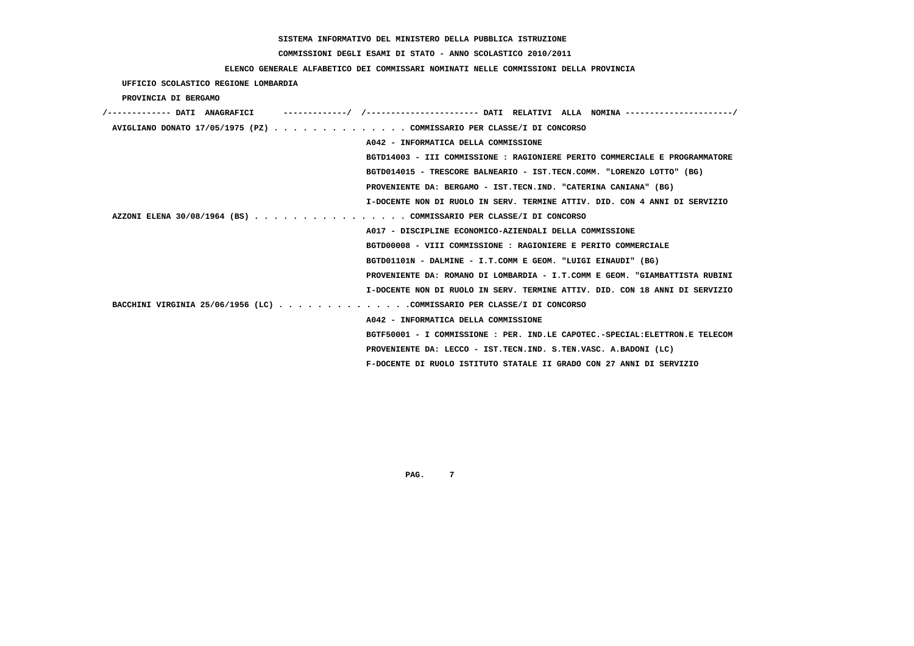# **COMMISSIONI DEGLI ESAMI DI STATO - ANNO SCOLASTICO 2010/2011**

# **ELENCO GENERALE ALFABETICO DEI COMMISSARI NOMINATI NELLE COMMISSIONI DELLA PROVINCIA**

 **UFFICIO SCOLASTICO REGIONE LOMBARDIA**

 **PROVINCIA DI BERGAMO**

| AVIGLIANO DONATO 17/05/1975 (PZ) COMMISSARIO PER CLASSE/I DI CONCORSO  |                                                                             |
|------------------------------------------------------------------------|-----------------------------------------------------------------------------|
|                                                                        | A042 - INFORMATICA DELLA COMMISSIONE                                        |
|                                                                        | BGTD14003 - III COMMISSIONE : RAGIONIERE PERITO COMMERCIALE E PROGRAMMATORE |
|                                                                        | BGTD014015 - TRESCORE BALNEARIO - IST.TECN.COMM. "LORENZO LOTTO" (BG)       |
|                                                                        | PROVENIENTE DA: BERGAMO - IST.TECN.IND. "CATERINA CANIANA" (BG)             |
|                                                                        | I-DOCENTE NON DI RUOLO IN SERV. TERMINE ATTIV. DID. CON 4 ANNI DI SERVIZIO  |
| AZZONI ELENA 30/08/1964 (BS) COMMISSARIO PER CLASSE/I DI CONCORSO      |                                                                             |
|                                                                        | A017 - DISCIPLINE ECONOMICO-AZIENDALI DELLA COMMISSIONE                     |
|                                                                        | BGTD00008 - VIII COMMISSIONE : RAGIONIERE E PERITO COMMERCIALE              |
|                                                                        | BGTD01101N - DALMINE - I.T.COMM E GEOM. "LUIGI EINAUDI" (BG)                |
|                                                                        | PROVENIENTE DA: ROMANO DI LOMBARDIA - I.T.COMM E GEOM. "GIAMBATTISTA RUBINI |
|                                                                        | I-DOCENTE NON DI RUOLO IN SERV. TERMINE ATTIV. DID. CON 18 ANNI DI SERVIZIO |
| BACCHINI VIRGINIA 25/06/1956 (LC) COMMISSARIO PER CLASSE/I DI CONCORSO |                                                                             |
|                                                                        | A042 - INFORMATICA DELLA COMMISSIONE                                        |
|                                                                        | BGTF50001 - I COMMISSIONE : PER. IND.LE CAPOTEC.-SPECIAL:ELETTRON.E TELECOM |
|                                                                        | PROVENIENTE DA: LECCO - IST.TECN.IND. S.TEN.VASC. A.BADONI (LC)             |
|                                                                        | F-DOCENTE DI RUOLO ISTITUTO STATALE II GRADO CON 27 ANNI DI SERVIZIO        |
|                                                                        |                                                                             |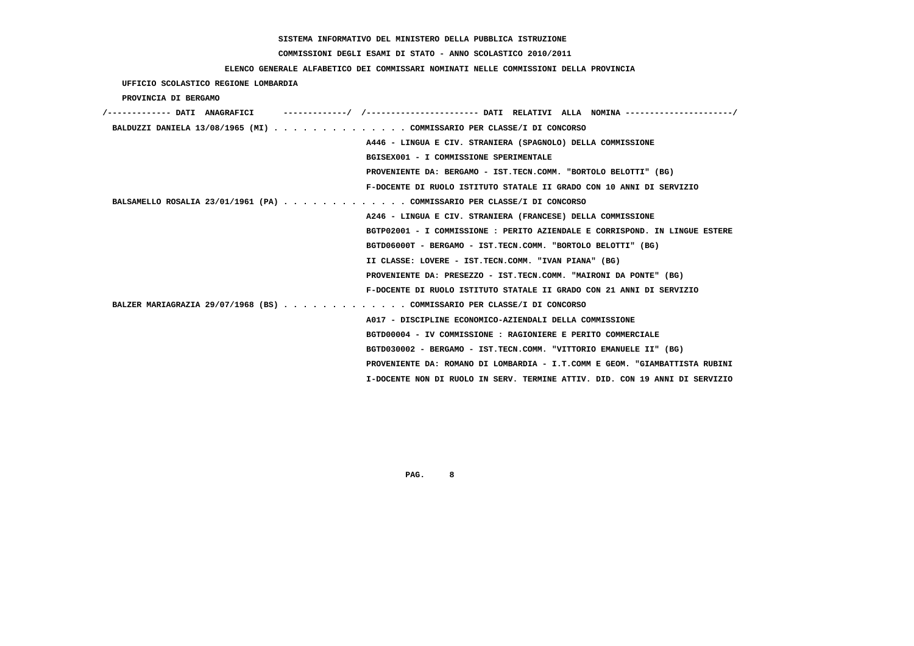# **COMMISSIONI DEGLI ESAMI DI STATO - ANNO SCOLASTICO 2010/2011**

## **ELENCO GENERALE ALFABETICO DEI COMMISSARI NOMINATI NELLE COMMISSIONI DELLA PROVINCIA**

 **UFFICIO SCOLASTICO REGIONE LOMBARDIA**

 **PROVINCIA DI BERGAMO**

| /------------- DATI ANAGRAFICI                                          | ----------/ /--------------------- DATI RELATIVI ALLA NOMINA--------------------/ |
|-------------------------------------------------------------------------|-----------------------------------------------------------------------------------|
| BALDUZZI DANIELA 13/08/1965 (MI) COMMISSARIO PER CLASSE/I DI CONCORSO   |                                                                                   |
|                                                                         | A446 - LINGUA E CIV. STRANIERA (SPAGNOLO) DELLA COMMISSIONE                       |
|                                                                         | BGISEX001 - I COMMISSIONE SPERIMENTALE                                            |
|                                                                         | PROVENIENTE DA: BERGAMO - IST.TECN.COMM. "BORTOLO BELOTTI" (BG)                   |
|                                                                         | F-DOCENTE DI RUOLO ISTITUTO STATALE II GRADO CON 10 ANNI DI SERVIZIO              |
| BALSAMELLO ROSALIA 23/01/1961 (PA) COMMISSARIO PER CLASSE/I DI CONCORSO |                                                                                   |
|                                                                         | A246 - LINGUA E CIV. STRANIERA (FRANCESE) DELLA COMMISSIONE                       |
|                                                                         | BGTP02001 - I COMMISSIONE : PERITO AZIENDALE E CORRISPOND. IN LINGUE ESTERE       |
|                                                                         | BGTD06000T - BERGAMO - IST.TECN.COMM. "BORTOLO BELOTTI" (BG)                      |
|                                                                         | II CLASSE: LOVERE - IST.TECN.COMM. "IVAN PIANA" (BG)                              |
|                                                                         | PROVENIENTE DA: PRESEZZO - IST.TECN.COMM. "MAIRONI DA PONTE" (BG)                 |
|                                                                         | F-DOCENTE DI RUOLO ISTITUTO STATALE II GRADO CON 21 ANNI DI SERVIZIO              |
| BALZER MARIAGRAZIA 29/07/1968 (BS) COMMISSARIO PER CLASSE/I DI CONCORSO |                                                                                   |
|                                                                         | A017 - DISCIPLINE ECONOMICO-AZIENDALI DELLA COMMISSIONE                           |
|                                                                         | BGTD00004 - IV COMMISSIONE : RAGIONIERE E PERITO COMMERCIALE                      |
|                                                                         | BGTD030002 - BERGAMO - IST.TECN.COMM. "VITTORIO EMANUELE II" (BG)                 |
|                                                                         | PROVENIENTE DA: ROMANO DI LOMBARDIA - I.T.COMM E GEOM. "GIAMBATTISTA RUBINI       |
|                                                                         | I-DOCENTE NON DI RUOLO IN SERV. TERMINE ATTIV. DID. CON 19 ANNI DI SERVIZIO       |
|                                                                         |                                                                                   |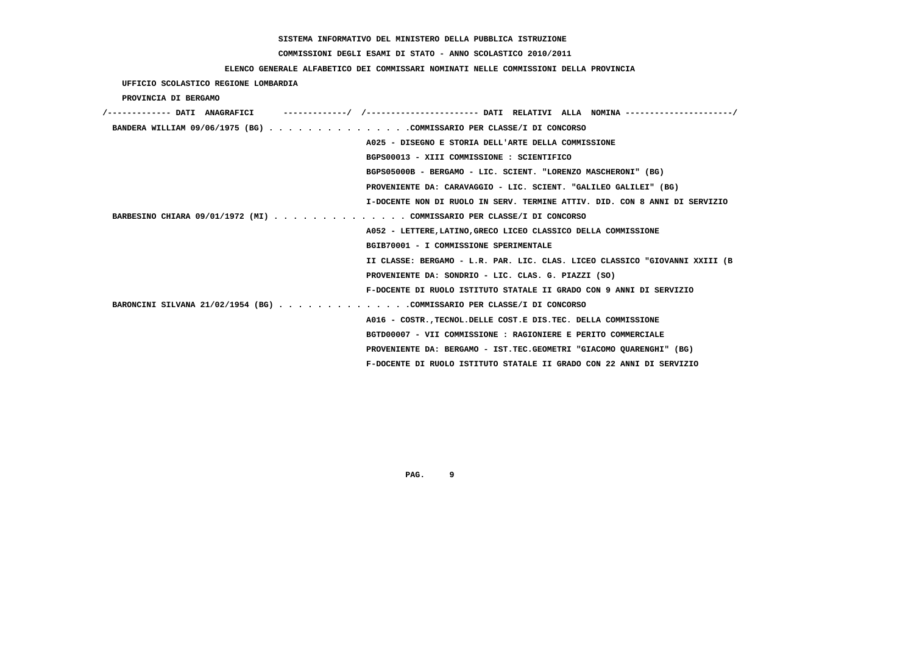# **COMMISSIONI DEGLI ESAMI DI STATO - ANNO SCOLASTICO 2010/2011**

# **ELENCO GENERALE ALFABETICO DEI COMMISSARI NOMINATI NELLE COMMISSIONI DELLA PROVINCIA**

 **UFFICIO SCOLASTICO REGIONE LOMBARDIA**

 **PROVINCIA DI BERGAMO**

| BANDERA WILLIAM 09/06/1975 (BG) COMMISSARIO PER CLASSE/I DI CONCORSO        |
|-----------------------------------------------------------------------------|
| A025 - DISEGNO E STORIA DELL'ARTE DELLA COMMISSIONE                         |
| BGPS00013 - XIII COMMISSIONE : SCIENTIFICO                                  |
| BGPS05000B - BERGAMO - LIC. SCIENT. "LORENZO MASCHERONI" (BG)               |
| PROVENIENTE DA: CARAVAGGIO - LIC. SCIENT. "GALILEO GALILEI" (BG)            |
| I-DOCENTE NON DI RUOLO IN SERV. TERMINE ATTIV. DID. CON 8 ANNI DI SERVIZIO  |
| BARBESINO CHIARA 09/01/1972 (MI) COMMISSARIO PER CLASSE/I DI CONCORSO       |
| A052 - LETTERE, LATINO, GRECO LICEO CLASSICO DELLA COMMISSIONE              |
| BGIB70001 - I COMMISSIONE SPERIMENTALE                                      |
| II CLASSE: BERGAMO - L.R. PAR. LIC. CLAS. LICEO CLASSICO "GIOVANNI XXIII (B |
| PROVENIENTE DA: SONDRIO - LIC. CLAS. G. PIAZZI (SO)                         |
| F-DOCENTE DI RUOLO ISTITUTO STATALE II GRADO CON 9 ANNI DI SERVIZIO         |
| BARONCINI SILVANA 21/02/1954 (BG) COMMISSARIO PER CLASSE/I DI CONCORSO      |
| A016 - COSTR., TECNOL. DELLE COST. E DIS. TEC. DELLA COMMISSIONE            |
| BGTD00007 - VII COMMISSIONE : RAGIONIERE E PERITO COMMERCIALE               |
| PROVENIENTE DA: BERGAMO - IST.TEC.GEOMETRI "GIACOMO OUARENGHI" (BG)         |
| F-DOCENTE DI RUOLO ISTITUTO STATALE II GRADO CON 22 ANNI DI SERVIZIO        |
|                                                                             |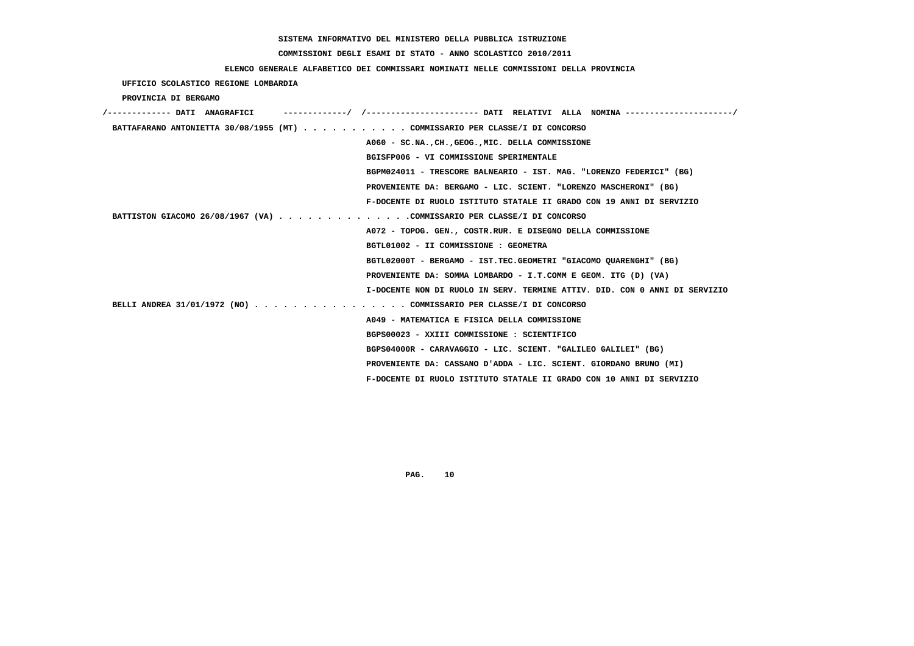# **COMMISSIONI DEGLI ESAMI DI STATO - ANNO SCOLASTICO 2010/2011**

## **ELENCO GENERALE ALFABETICO DEI COMMISSARI NOMINATI NELLE COMMISSIONI DELLA PROVINCIA**

 **UFFICIO SCOLASTICO REGIONE LOMBARDIA**

 **PROVINCIA DI BERGAMO**

| /------------- DATI ANAGRAFICI                                              |                                                                            |
|-----------------------------------------------------------------------------|----------------------------------------------------------------------------|
| BATTAFARANO ANTONIETTA 30/08/1955 (MT) COMMISSARIO PER CLASSE/I DI CONCORSO |                                                                            |
|                                                                             | A060 - SC.NA., CH., GEOG., MIC. DELLA COMMISSIONE                          |
|                                                                             | BGISFP006 - VI COMMISSIONE SPERIMENTALE                                    |
|                                                                             | BGPM024011 - TRESCORE BALNEARIO - IST. MAG. "LORENZO FEDERICI" (BG)        |
|                                                                             | PROVENIENTE DA: BERGAMO - LIC. SCIENT. "LORENZO MASCHERONI" (BG)           |
|                                                                             | F-DOCENTE DI RUOLO ISTITUTO STATALE II GRADO CON 19 ANNI DI SERVIZIO       |
| BATTISTON GIACOMO 26/08/1967 (VA) COMMISSARIO PER CLASSE/I DI CONCORSO      |                                                                            |
|                                                                             | A072 - TOPOG. GEN., COSTR.RUR. E DISEGNO DELLA COMMISSIONE                 |
|                                                                             | BGTL01002 - II COMMISSIONE : GEOMETRA                                      |
|                                                                             | BGTL02000T - BERGAMO - IST.TEC.GEOMETRI "GIACOMO QUARENGHI" (BG)           |
|                                                                             | PROVENIENTE DA: SOMMA LOMBARDO - I.T.COMM E GEOM. ITG (D) (VA)             |
|                                                                             | I-DOCENTE NON DI RUOLO IN SERV. TERMINE ATTIV. DID. CON 0 ANNI DI SERVIZIO |
| BELLI ANDREA 31/01/1972 (NO) COMMISSARIO PER CLASSE/I DI CONCORSO           |                                                                            |
|                                                                             | A049 - MATEMATICA E FISICA DELLA COMMISSIONE                               |
|                                                                             | BGPS00023 - XXIII COMMISSIONE : SCIENTIFICO                                |
|                                                                             | BGPS04000R - CARAVAGGIO - LIC. SCIENT. "GALILEO GALILEI" (BG)              |
|                                                                             | PROVENIENTE DA: CASSANO D'ADDA - LIC. SCIENT. GIORDANO BRUNO (MI)          |
|                                                                             | F-DOCENTE DI RUOLO ISTITUTO STATALE II GRADO CON 10 ANNI DI SERVIZIO       |
|                                                                             |                                                                            |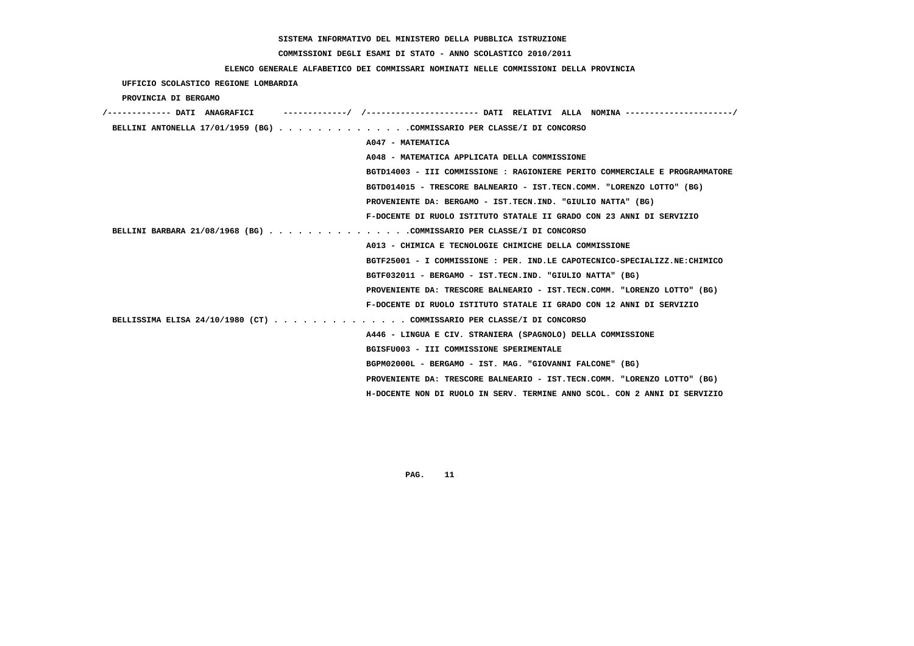#### **COMMISSIONI DEGLI ESAMI DI STATO - ANNO SCOLASTICO 2010/2011**

#### **ELENCO GENERALE ALFABETICO DEI COMMISSARI NOMINATI NELLE COMMISSIONI DELLA PROVINCIA**

 **UFFICIO SCOLASTICO REGIONE LOMBARDIA PROVINCIA DI BERGAMO /------------- DATI ANAGRAFICI -------------/ /----------------------- DATI RELATIVI ALLA NOMINA ----------------------/ BELLINI ANTONELLA 17/01/1959 (BG) . . . . . . . . . . . . . .COMMISSARIO PER CLASSE/I DI CONCORSO A047 - MATEMATICA A048 - MATEMATICA APPLICATA DELLA COMMISSIONE BGTD14003 - III COMMISSIONE : RAGIONIERE PERITO COMMERCIALE E PROGRAMMATORE BGTD014015 - TRESCORE BALNEARIO - IST.TECN.COMM. "LORENZO LOTTO" (BG) PROVENIENTE DA: BERGAMO - IST.TECN.IND. "GIULIO NATTA" (BG) F-DOCENTE DI RUOLO ISTITUTO STATALE II GRADO CON 23 ANNI DI SERVIZIO BELLINI BARBARA 21/08/1968 (BG) . . . . . . . . . . . . . . .COMMISSARIO PER CLASSE/I DI CONCORSO A013 - CHIMICA E TECNOLOGIE CHIMICHE DELLA COMMISSIONE BGTF25001 - I COMMISSIONE : PER. IND.LE CAPOTECNICO-SPECIALIZZ.NE:CHIMICO BGTF032011 - BERGAMO - IST.TECN.IND. "GIULIO NATTA" (BG) PROVENIENTE DA: TRESCORE BALNEARIO - IST.TECN.COMM. "LORENZO LOTTO" (BG) F-DOCENTE DI RUOLO ISTITUTO STATALE II GRADO CON 12 ANNI DI SERVIZIO BELLISSIMA ELISA 24/10/1980 (CT) . . . . . . . . . . . . . . COMMISSARIO PER CLASSE/I DI CONCORSO A446 - LINGUA E CIV. STRANIERA (SPAGNOLO) DELLA COMMISSIONE BGISFU003 - III COMMISSIONE SPERIMENTALE BGPM02000L - BERGAMO - IST. MAG. "GIOVANNI FALCONE" (BG) PROVENIENTE DA: TRESCORE BALNEARIO - IST.TECN.COMM. "LORENZO LOTTO" (BG) H-DOCENTE NON DI RUOLO IN SERV. TERMINE ANNO SCOL. CON 2 ANNI DI SERVIZIO**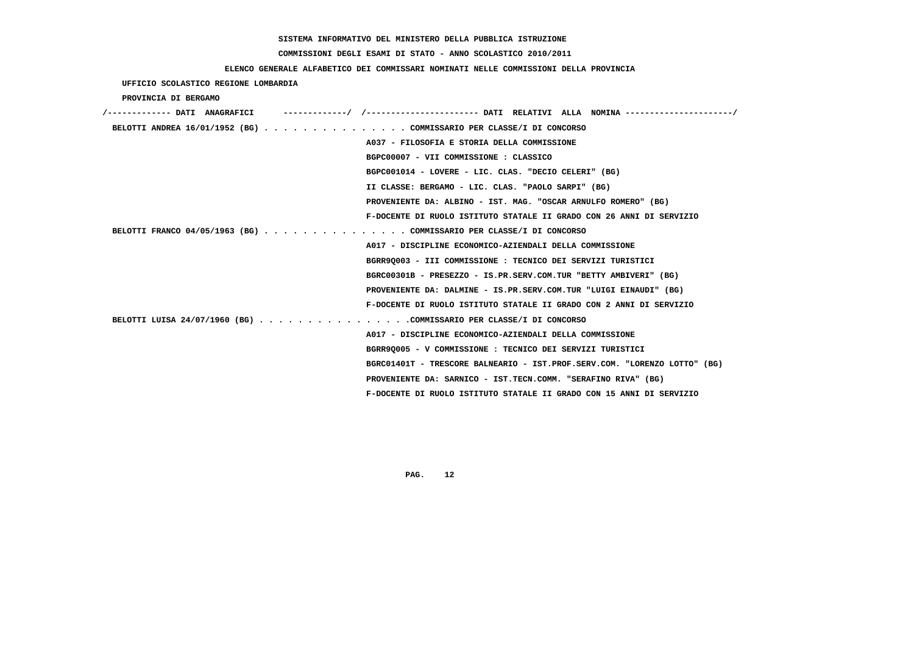# **COMMISSIONI DEGLI ESAMI DI STATO - ANNO SCOLASTICO 2010/2011**

## **ELENCO GENERALE ALFABETICO DEI COMMISSARI NOMINATI NELLE COMMISSIONI DELLA PROVINCIA**

## **UFFICIO SCOLASTICO REGIONE LOMBARDIA**

### **PROVINCIA DI BERGAMO**

| /------------- DATI ANAGRAFICI | -----------/ /--------------------- DATI RELATIVI ALLA NOMINA--------------------/ |
|--------------------------------|------------------------------------------------------------------------------------|
|                                | BELOTTI ANDREA 16/01/1952 (BG) COMMISSARIO PER CLASSE/I DI CONCORSO                |
|                                | A037 - FILOSOFIA E STORIA DELLA COMMISSIONE                                        |
|                                | BGPC00007 - VII COMMISSIONE : CLASSICO                                             |
|                                | BGPC001014 - LOVERE - LIC. CLAS. "DECIO CELERI" (BG)                               |
|                                | II CLASSE: BERGAMO - LIC. CLAS. "PAOLO SARPI" (BG)                                 |
|                                | PROVENIENTE DA: ALBINO - IST. MAG. "OSCAR ARNULFO ROMERO" (BG)                     |
|                                | F-DOCENTE DI RUOLO ISTITUTO STATALE II GRADO CON 26 ANNI DI SERVIZIO               |
|                                | BELOTTI FRANCO 04/05/1963 (BG) COMMISSARIO PER CLASSE/I DI CONCORSO                |
|                                | A017 - DISCIPLINE ECONOMICO-AZIENDALI DELLA COMMISSIONE                            |
|                                | BGRR9Q003 - III COMMISSIONE : TECNICO DEI SERVIZI TURISTICI                        |
|                                | BGRC00301B - PRESEZZO - IS.PR.SERV.COM.TUR "BETTY AMBIVERI" (BG)                   |
|                                | PROVENIENTE DA: DALMINE - IS.PR.SERV.COM.TUR "LUIGI EINAUDI" (BG)                  |
|                                | F-DOCENTE DI RUOLO ISTITUTO STATALE II GRADO CON 2 ANNI DI SERVIZIO                |
|                                | BELOTTI LUISA 24/07/1960 (BG) COMMISSARIO PER CLASSE/I DI CONCORSO                 |
|                                | A017 - DISCIPLINE ECONOMICO-AZIENDALI DELLA COMMISSIONE                            |
|                                | BGRR9Q005 - V COMMISSIONE : TECNICO DEI SERVIZI TURISTICI                          |
|                                | BGRC01401T - TRESCORE BALNEARIO - IST.PROF.SERV.COM. "LORENZO LOTTO" (BG)          |
|                                | PROVENIENTE DA: SARNICO - IST.TECN.COMM. "SERAFINO RIVA" (BG)                      |
|                                | F-DOCENTE DI RUOLO ISTITUTO STATALE II GRADO CON 15 ANNI DI SERVIZIO               |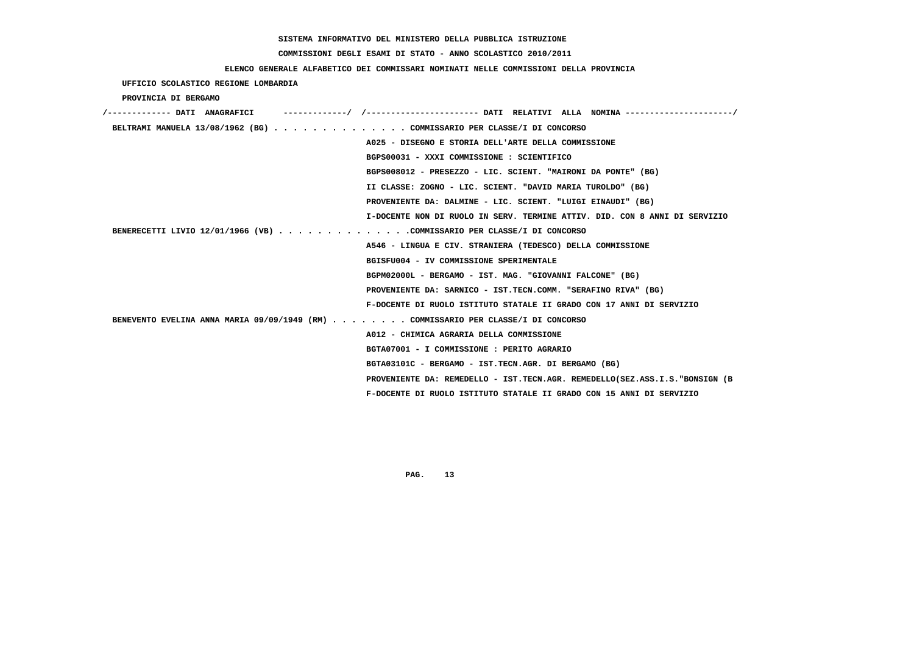# **COMMISSIONI DEGLI ESAMI DI STATO - ANNO SCOLASTICO 2010/2011**

| ELENCO GENERALE ALFABETICO DEI COMMISSARI NOMINATI NELLE COMMISSIONI DELLA PROVINCIA |
|--------------------------------------------------------------------------------------|
| UFFICIO SCOLASTICO REGIONE LOMBARDIA                                                 |
| PROVINCIA DI BERGAMO                                                                 |
|                                                                                      |
| BELTRAMI MANUELA 13/08/1962 (BG) COMMISSARIO PER CLASSE/I DI CONCORSO                |
| A025 - DISEGNO E STORIA DELL'ARTE DELLA COMMISSIONE                                  |
| BGPS00031 - XXXI COMMISSIONE : SCIENTIFICO                                           |
| BGPS008012 - PRESEZZO - LIC. SCIENT. "MAIRONI DA PONTE" (BG)                         |
| II CLASSE: ZOGNO - LIC. SCIENT. "DAVID MARIA TUROLDO" (BG)                           |
| PROVENIENTE DA: DALMINE - LIC. SCIENT. "LUIGI EINAUDI" (BG)                          |
| I-DOCENTE NON DI RUOLO IN SERV. TERMINE ATTIV. DID. CON 8 ANNI DI SERVIZIO           |
| BENERECETTI LIVIO 12/01/1966 (VB) COMMISSARIO PER CLASSE/I DI CONCORSO               |
| A546 - LINGUA E CIV. STRANIERA (TEDESCO) DELLA COMMISSIONE                           |
| BGISFU004 - IV COMMISSIONE SPERIMENTALE                                              |
| BGPM02000L - BERGAMO - IST. MAG. "GIOVANNI FALCONE" (BG)                             |
| PROVENIENTE DA: SARNICO - IST.TECN.COMM. "SERAFINO RIVA" (BG)                        |
| F-DOCENTE DI RUOLO ISTITUTO STATALE II GRADO CON 17 ANNI DI SERVIZIO                 |
| BENEVENTO EVELINA ANNA MARIA 09/09/1949 (RM) COMMISSARIO PER CLASSE/I DI CONCORSO    |
| A012 - CHIMICA AGRARIA DELLA COMMISSIONE                                             |
| BGTA07001 - I COMMISSIONE : PERITO AGRARIO                                           |
| BGTA03101C - BERGAMO - IST.TECN.AGR. DI BERGAMO (BG)                                 |
| PROVENIENTE DA: REMEDELLO - IST.TECN.AGR. REMEDELLO(SEZ.ASS.I.S."BONSIGN (B          |
| F-DOCENTE DI RUOLO ISTITUTO STATALE II GRADO CON 15 ANNI DI SERVIZIO                 |
|                                                                                      |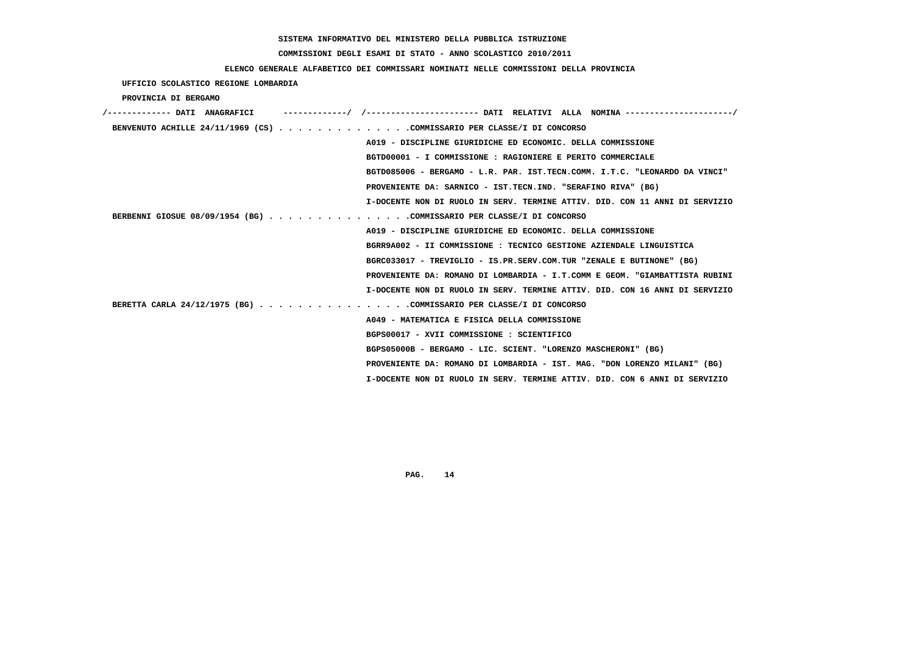# **COMMISSIONI DEGLI ESAMI DI STATO - ANNO SCOLASTICO 2010/2011**

### **ELENCO GENERALE ALFABETICO DEI COMMISSARI NOMINATI NELLE COMMISSIONI DELLA PROVINCIA**

 **UFFICIO SCOLASTICO REGIONE LOMBARDIA**

 **PROVINCIA DI BERGAMO**

| /------------- DATI ANAGRAFICI                                         |                                                                             |
|------------------------------------------------------------------------|-----------------------------------------------------------------------------|
| BENVENUTO ACHILLE 24/11/1969 (CS) COMMISSARIO PER CLASSE/I DI CONCORSO |                                                                             |
|                                                                        | A019 - DISCIPLINE GIURIDICHE ED ECONOMIC. DELLA COMMISSIONE                 |
|                                                                        | BGTD00001 - I COMMISSIONE : RAGIONIERE E PERITO COMMERCIALE                 |
|                                                                        | BGTD085006 - BERGAMO - L.R. PAR. IST.TECN.COMM. I.T.C. "LEONARDO DA VINCI"  |
|                                                                        | PROVENIENTE DA: SARNICO - IST.TECN.IND. "SERAFINO RIVA" (BG)                |
|                                                                        | I-DOCENTE NON DI RUOLO IN SERV. TERMINE ATTIV. DID. CON 11 ANNI DI SERVIZIO |
| BERBENNI GIOSUE 08/09/1954 (BG) COMMISSARIO PER CLASSE/I DI CONCORSO   |                                                                             |
|                                                                        | A019 - DISCIPLINE GIURIDICHE ED ECONOMIC. DELLA COMMISSIONE                 |
|                                                                        | BGRR9A002 - II COMMISSIONE : TECNICO GESTIONE AZIENDALE LINGUISTICA         |
|                                                                        | BGRC033017 - TREVIGLIO - IS.PR.SERV.COM.TUR "ZENALE E BUTINONE" (BG)        |
|                                                                        | PROVENIENTE DA: ROMANO DI LOMBARDIA - I.T.COMM E GEOM. "GIAMBATTISTA RUBINI |
|                                                                        | I-DOCENTE NON DI RUOLO IN SERV. TERMINE ATTIV. DID. CON 16 ANNI DI SERVIZIO |
| BERETTA CARLA 24/12/1975 (BG) COMMISSARIO PER CLASSE/I DI CONCORSO     |                                                                             |
|                                                                        | A049 - MATEMATICA E FISICA DELLA COMMISSIONE                                |
|                                                                        | BGPS00017 - XVII COMMISSIONE : SCIENTIFICO                                  |
|                                                                        | BGPS05000B - BERGAMO - LIC. SCIENT. "LORENZO MASCHERONI" (BG)               |
|                                                                        | PROVENIENTE DA: ROMANO DI LOMBARDIA - IST. MAG. "DON LORENZO MILANI" (BG)   |
|                                                                        | I-DOCENTE NON DI RUOLO IN SERV. TERMINE ATTIV. DID. CON 6 ANNI DI SERVIZIO  |
|                                                                        |                                                                             |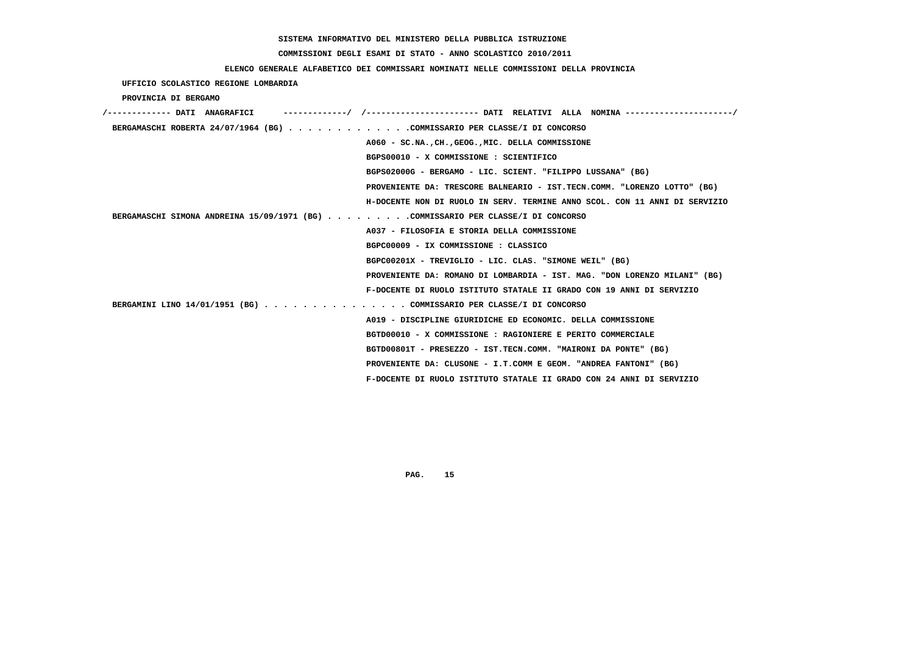# **COMMISSIONI DEGLI ESAMI DI STATO - ANNO SCOLASTICO 2010/2011**

## **ELENCO GENERALE ALFABETICO DEI COMMISSARI NOMINATI NELLE COMMISSIONI DELLA PROVINCIA**

 **UFFICIO SCOLASTICO REGIONE LOMBARDIA**

 **PROVINCIA DI BERGAMO**

| /------------- DATI ANAGRAFICI                                                   |
|----------------------------------------------------------------------------------|
| BERGAMASCHI ROBERTA 24/07/1964 (BG) COMMISSARIO PER CLASSE/I DI CONCORSO         |
| A060 - SC.NA., CH., GEOG., MIC. DELLA COMMISSIONE                                |
| BGPS00010 - X COMMISSIONE : SCIENTIFICO                                          |
| BGPS02000G - BERGAMO - LIC. SCIENT. "FILIPPO LUSSANA" (BG)                       |
| PROVENIENTE DA: TRESCORE BALNEARIO - IST.TECN.COMM. "LORENZO LOTTO" (BG)         |
| H-DOCENTE NON DI RUOLO IN SERV. TERMINE ANNO SCOL. CON 11 ANNI DI SERVIZIO       |
| BERGAMASCHI SIMONA ANDREINA 15/09/1971 (BG) COMMISSARIO PER CLASSE/I DI CONCORSO |
| A037 - FILOSOFIA E STORIA DELLA COMMISSIONE                                      |
| BGPC00009 - IX COMMISSIONE : CLASSICO                                            |
| BGPC00201X - TREVIGLIO - LIC. CLAS. "SIMONE WEIL" (BG)                           |
| PROVENIENTE DA: ROMANO DI LOMBARDIA - IST. MAG. "DON LORENZO MILANI" (BG)        |
| F-DOCENTE DI RUOLO ISTITUTO STATALE II GRADO CON 19 ANNI DI SERVIZIO             |
| BERGAMINI LINO 14/01/1951 (BG) COMMISSARIO PER CLASSE/I DI CONCORSO              |
| A019 - DISCIPLINE GIURIDICHE ED ECONOMIC. DELLA COMMISSIONE                      |
| BGTD00010 - X COMMISSIONE : RAGIONIERE E PERITO COMMERCIALE                      |
| BGTD00801T - PRESEZZO - IST.TECN.COMM. "MAIRONI DA PONTE" (BG)                   |
| PROVENIENTE DA: CLUSONE - I.T.COMM E GEOM. "ANDREA FANTONI" (BG)                 |
| F-DOCENTE DI RUOLO ISTITUTO STATALE II GRADO CON 24 ANNI DI SERVIZIO             |
|                                                                                  |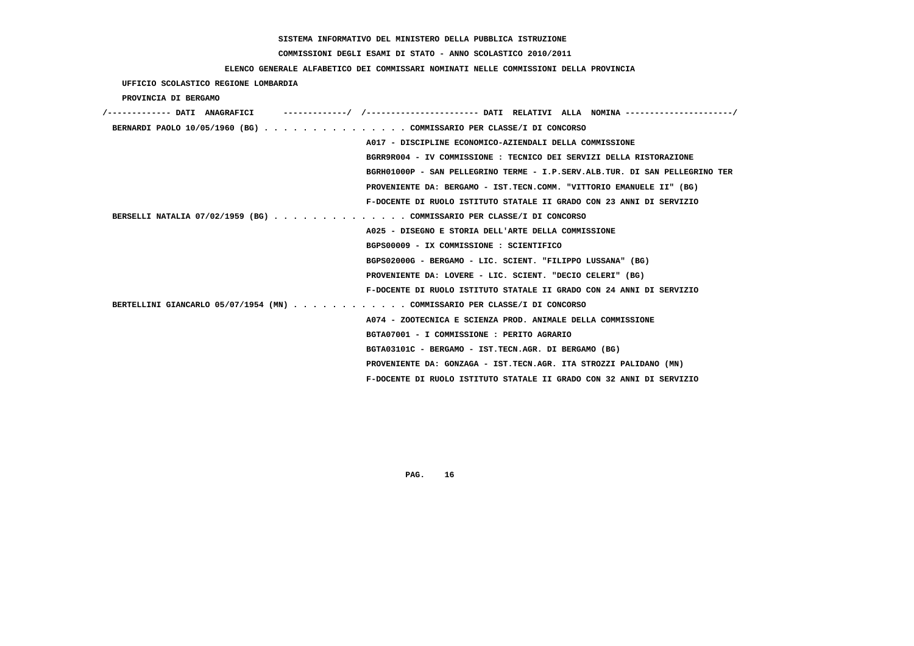# **COMMISSIONI DEGLI ESAMI DI STATO - ANNO SCOLASTICO 2010/2011**

## **ELENCO GENERALE ALFABETICO DEI COMMISSARI NOMINATI NELLE COMMISSIONI DELLA PROVINCIA**

 **UFFICIO SCOLASTICO REGIONE LOMBARDIA**

 **PROVINCIA DI BERGAMO**

| /------------- DATI ANAGRAFICI |                                                                             |
|--------------------------------|-----------------------------------------------------------------------------|
|                                | BERNARDI PAOLO 10/05/1960 (BG) COMMISSARIO PER CLASSE/I DI CONCORSO         |
|                                | A017 - DISCIPLINE ECONOMICO-AZIENDALI DELLA COMMISSIONE                     |
|                                | BGRR9R004 - IV COMMISSIONE : TECNICO DEI SERVIZI DELLA RISTORAZIONE         |
|                                | BGRH01000P - SAN PELLEGRINO TERME - I.P.SERV.ALB.TUR. DI SAN PELLEGRINO TER |
|                                | PROVENIENTE DA: BERGAMO - IST.TECN.COMM. "VITTORIO EMANUELE II" (BG)        |
|                                | F-DOCENTE DI RUOLO ISTITUTO STATALE II GRADO CON 23 ANNI DI SERVIZIO        |
|                                | BERSELLI NATALIA 07/02/1959 (BG) COMMISSARIO PER CLASSE/I DI CONCORSO       |
|                                | A025 - DISEGNO E STORIA DELL'ARTE DELLA COMMISSIONE                         |
|                                | BGPS00009 - IX COMMISSIONE : SCIENTIFICO                                    |
|                                | BGPS02000G - BERGAMO - LIC. SCIENT. "FILIPPO LUSSANA" (BG)                  |
|                                | PROVENIENTE DA: LOVERE - LIC. SCIENT. "DECIO CELERI" (BG)                   |
|                                | F-DOCENTE DI RUOLO ISTITUTO STATALE II GRADO CON 24 ANNI DI SERVIZIO        |
|                                | BERTELLINI GIANCARLO 05/07/1954 (MN) COMMISSARIO PER CLASSE/I DI CONCORSO   |
|                                | A074 - ZOOTECNICA E SCIENZA PROD. ANIMALE DELLA COMMISSIONE                 |
|                                | BGTA07001 - I COMMISSIONE : PERITO AGRARIO                                  |
|                                | BGTA03101C - BERGAMO - IST.TECN.AGR. DI BERGAMO (BG)                        |
|                                | PROVENIENTE DA: GONZAGA - IST.TECN.AGR. ITA STROZZI PALIDANO (MN)           |
|                                | F-DOCENTE DI RUOLO ISTITUTO STATALE II GRADO CON 32 ANNI DI SERVIZIO        |
|                                |                                                                             |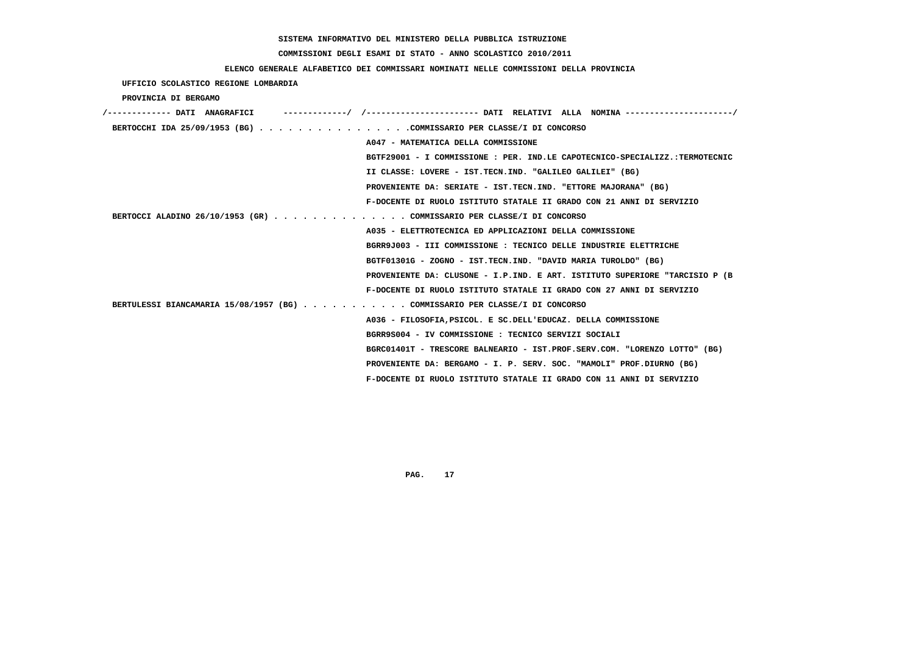# **COMMISSIONI DEGLI ESAMI DI STATO - ANNO SCOLASTICO 2010/2011**

## **ELENCO GENERALE ALFABETICO DEI COMMISSARI NOMINATI NELLE COMMISSIONI DELLA PROVINCIA**

 **UFFICIO SCOLASTICO REGIONE LOMBARDIA**

 **PROVINCIA DI BERGAMO**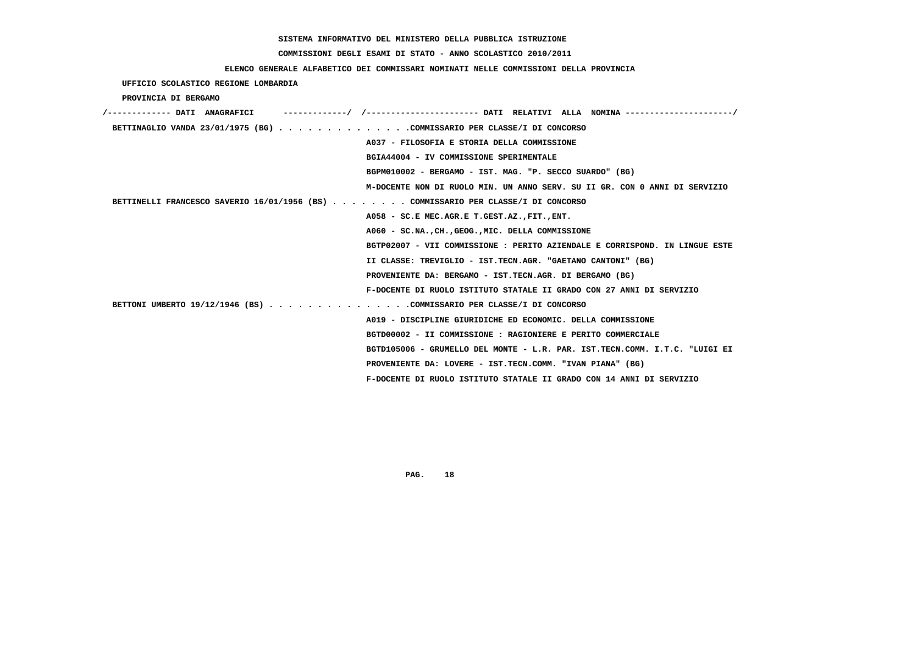# **COMMISSIONI DEGLI ESAMI DI STATO - ANNO SCOLASTICO 2010/2011**

## **ELENCO GENERALE ALFABETICO DEI COMMISSARI NOMINATI NELLE COMMISSIONI DELLA PROVINCIA**

 **UFFICIO SCOLASTICO REGIONE LOMBARDIA**

 **PROVINCIA DI BERGAMO**

| /------------- DATI ANAGRAFICI                                                    |                                                                             |
|-----------------------------------------------------------------------------------|-----------------------------------------------------------------------------|
| BETTINAGLIO VANDA 23/01/1975 (BG) COMMISSARIO PER CLASSE/I DI CONCORSO            |                                                                             |
|                                                                                   | A037 - FILOSOFIA E STORIA DELLA COMMISSIONE                                 |
|                                                                                   | BGIA44004 - IV COMMISSIONE SPERIMENTALE                                     |
|                                                                                   | BGPM010002 - BERGAMO - IST. MAG. "P. SECCO SUARDO" (BG)                     |
|                                                                                   | M-DOCENTE NON DI RUOLO MIN. UN ANNO SERV. SU II GR. CON 0 ANNI DI SERVIZIO  |
| BETTINELLI FRANCESCO SAVERIO 16/01/1956 (BS) COMMISSARIO PER CLASSE/I DI CONCORSO |                                                                             |
|                                                                                   | A058 - SC.E MEC.AGR.E T.GEST.AZ., FIT., ENT.                                |
|                                                                                   | A060 - SC.NA., CH., GEOG., MIC. DELLA COMMISSIONE                           |
|                                                                                   | BGTP02007 - VII COMMISSIONE : PERITO AZIENDALE E CORRISPOND. IN LINGUE ESTE |
|                                                                                   | II CLASSE: TREVIGLIO - IST.TECN.AGR. "GAETANO CANTONI" (BG)                 |
|                                                                                   | PROVENIENTE DA: BERGAMO - IST.TECN.AGR. DI BERGAMO (BG)                     |
|                                                                                   | F-DOCENTE DI RUOLO ISTITUTO STATALE II GRADO CON 27 ANNI DI SERVIZIO        |
| BETTONI UMBERTO 19/12/1946 (BS) COMMISSARIO PER CLASSE/I DI CONCORSO              |                                                                             |
|                                                                                   | A019 - DISCIPLINE GIURIDICHE ED ECONOMIC. DELLA COMMISSIONE                 |
|                                                                                   | BGTD00002 - II COMMISSIONE : RAGIONIERE E PERITO COMMERCIALE                |
|                                                                                   | BGTD105006 - GRUMELLO DEL MONTE - L.R. PAR. IST.TECN.COMM. I.T.C. "LUIGI EI |
|                                                                                   | PROVENIENTE DA: LOVERE - IST.TECN.COMM. "IVAN PIANA" (BG)                   |
|                                                                                   | F-DOCENTE DI RUOLO ISTITUTO STATALE II GRADO CON 14 ANNI DI SERVIZIO        |
|                                                                                   |                                                                             |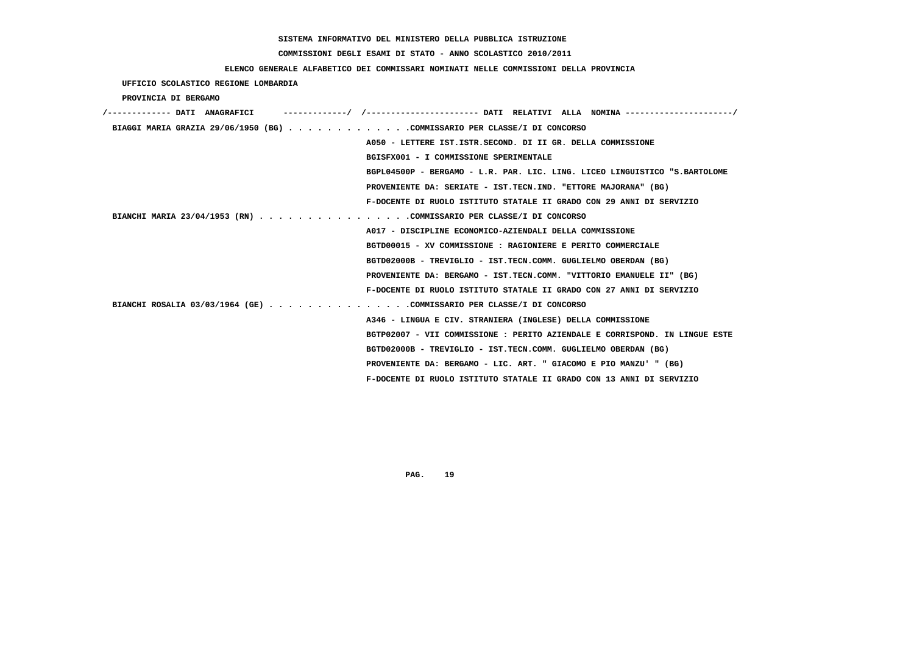# **COMMISSIONI DEGLI ESAMI DI STATO - ANNO SCOLASTICO 2010/2011**

# **ELENCO GENERALE ALFABETICO DEI COMMISSARI NOMINATI NELLE COMMISSIONI DELLA PROVINCIA**

 **UFFICIO SCOLASTICO REGIONE LOMBARDIA**

 **PROVINCIA DI BERGAMO**

| -----------/ /--------------------- DATI RELATIVI ALLA NOMINA--------------------/<br>/------------- DATI ANAGRAFICI |
|----------------------------------------------------------------------------------------------------------------------|
| BIAGGI MARIA GRAZIA 29/06/1950 (BG) COMMISSARIO PER CLASSE/I DI CONCORSO                                             |
| A050 - LETTERE IST. ISTR. SECOND. DI II GR. DELLA COMMISSIONE                                                        |
| BGISFX001 - I COMMISSIONE SPERIMENTALE                                                                               |
| BGPL04500P - BERGAMO - L.R. PAR. LIC. LING. LICEO LINGUISTICO "S.BARTOLOME                                           |
| PROVENIENTE DA: SERIATE - IST.TECN.IND. "ETTORE MAJORANA" (BG)                                                       |
| F-DOCENTE DI RUOLO ISTITUTO STATALE II GRADO CON 29 ANNI DI SERVIZIO                                                 |
| BIANCHI MARIA 23/04/1953 (RN) COMMISSARIO PER CLASSE/I DI CONCORSO                                                   |
| A017 - DISCIPLINE ECONOMICO-AZIENDALI DELLA COMMISSIONE                                                              |
| BGTD00015 - XV COMMISSIONE : RAGIONIERE E PERITO COMMERCIALE                                                         |
| BGTD02000B - TREVIGLIO - IST.TECN.COMM. GUGLIELMO OBERDAN (BG)                                                       |
| PROVENIENTE DA: BERGAMO - IST.TECN.COMM. "VITTORIO EMANUELE II" (BG)                                                 |
| F-DOCENTE DI RUOLO ISTITUTO STATALE II GRADO CON 27 ANNI DI SERVIZIO                                                 |
| BIANCHI ROSALIA 03/03/1964 (GE) COMMISSARIO PER CLASSE/I DI CONCORSO                                                 |
| A346 - LINGUA E CIV. STRANIERA (INGLESE) DELLA COMMISSIONE                                                           |
| BGTP02007 - VII COMMISSIONE : PERITO AZIENDALE E CORRISPOND. IN LINGUE ESTE                                          |
| BGTD02000B - TREVIGLIO - IST.TECN.COMM. GUGLIELMO OBERDAN (BG)                                                       |
| PROVENIENTE DA: BERGAMO - LIC. ART. " GIACOMO E PIO MANZU' " (BG)                                                    |
| F-DOCENTE DI RUOLO ISTITUTO STATALE II GRADO CON 13 ANNI DI SERVIZIO                                                 |
|                                                                                                                      |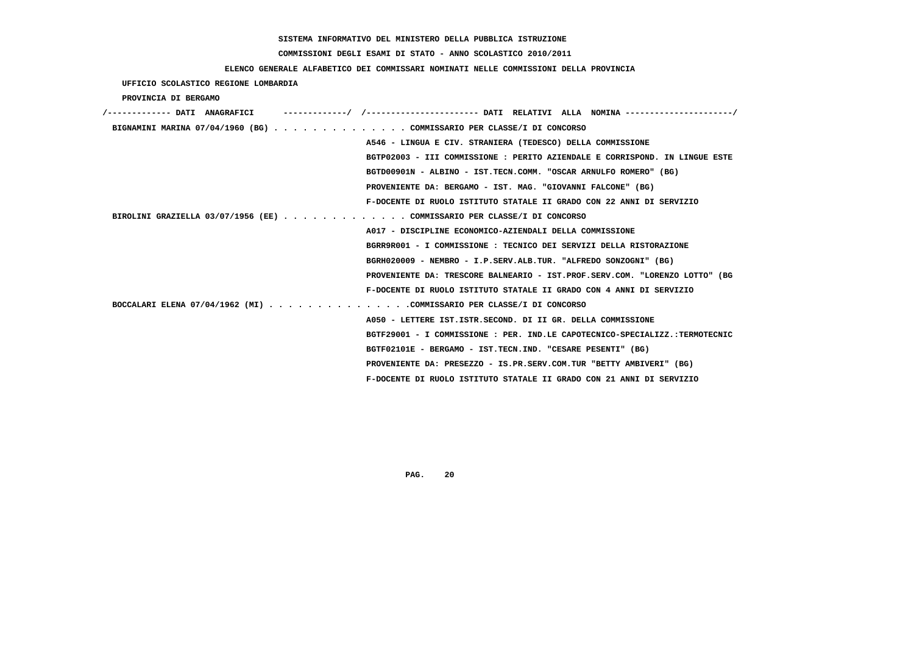# **COMMISSIONI DEGLI ESAMI DI STATO - ANNO SCOLASTICO 2010/2011**

## **ELENCO GENERALE ALFABETICO DEI COMMISSARI NOMINATI NELLE COMMISSIONI DELLA PROVINCIA**

 **UFFICIO SCOLASTICO REGIONE LOMBARDIA**

 **PROVINCIA DI BERGAMO**

| /------------- DATI ANAGRAFICI                                           |                                                                             |
|--------------------------------------------------------------------------|-----------------------------------------------------------------------------|
|                                                                          | BIGNAMINI MARINA 07/04/1960 (BG) COMMISSARIO PER CLASSE/I DI CONCORSO       |
|                                                                          | A546 - LINGUA E CIV. STRANIERA (TEDESCO) DELLA COMMISSIONE                  |
|                                                                          | BGTP02003 - III COMMISSIONE : PERITO AZIENDALE E CORRISPOND. IN LINGUE ESTE |
|                                                                          | BGTD00901N - ALBINO - IST.TECN.COMM. "OSCAR ARNULFO ROMERO" (BG)            |
|                                                                          | PROVENIENTE DA: BERGAMO - IST. MAG. "GIOVANNI FALCONE" (BG)                 |
|                                                                          | F-DOCENTE DI RUOLO ISTITUTO STATALE II GRADO CON 22 ANNI DI SERVIZIO        |
| BIROLINI GRAZIELLA 03/07/1956 (EE) $\cdot \cdot \cdot \cdot \cdot \cdot$ | . COMMISSARIO PER CLASSE/I DI CONCORSO                                      |
|                                                                          | A017 - DISCIPLINE ECONOMICO-AZIENDALI DELLA COMMISSIONE                     |
|                                                                          | BGRR9R001 - I COMMISSIONE: TECNICO DEI SERVIZI DELLA RISTORAZIONE           |
|                                                                          | BGRH020009 - NEMBRO - I.P.SERV.ALB.TUR. "ALFREDO SONZOGNI" (BG)             |
|                                                                          | PROVENIENTE DA: TRESCORE BALNEARIO - IST.PROF.SERV.COM. "LORENZO LOTTO" (BG |
|                                                                          | F-DOCENTE DI RUOLO ISTITUTO STATALE II GRADO CON 4 ANNI DI SERVIZIO         |
|                                                                          | BOCCALARI ELENA 07/04/1962 (MI) COMMISSARIO PER CLASSE/I DI CONCORSO        |
|                                                                          | A050 - LETTERE IST. ISTR. SECOND. DI II GR. DELLA COMMISSIONE               |
|                                                                          | BGTF29001 - I COMMISSIONE : PER. IND.LE CAPOTECNICO-SPECIALIZZ.:TERMOTECNIC |
|                                                                          | BGTF02101E - BERGAMO - IST.TECN.IND. "CESARE PESENTI" (BG)                  |
|                                                                          | PROVENIENTE DA: PRESEZZO - IS.PR.SERV.COM.TUR "BETTY AMBIVERI" (BG)         |
|                                                                          | F-DOCENTE DI RUOLO ISTITUTO STATALE II GRADO CON 21 ANNI DI SERVIZIO        |
|                                                                          |                                                                             |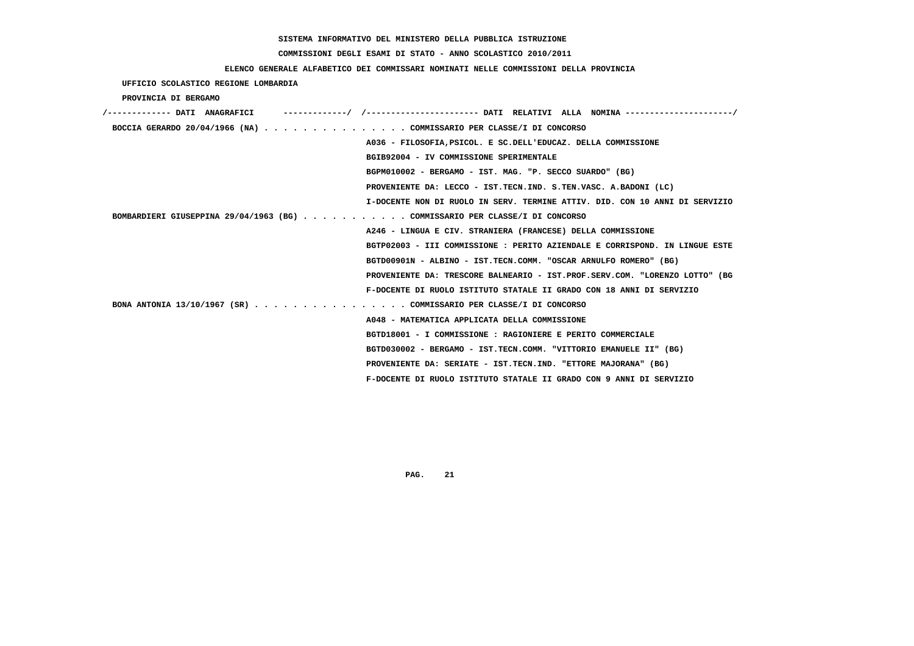# **COMMISSIONI DEGLI ESAMI DI STATO - ANNO SCOLASTICO 2010/2011**

### **ELENCO GENERALE ALFABETICO DEI COMMISSARI NOMINATI NELLE COMMISSIONI DELLA PROVINCIA**

 **UFFICIO SCOLASTICO REGIONE LOMBARDIA**

 **PROVINCIA DI BERGAMO**

| /------------- DATI ANAGRAFICI |                                                                             |
|--------------------------------|-----------------------------------------------------------------------------|
|                                | BOCCIA GERARDO 20/04/1966 (NA) COMMISSARIO PER CLASSE/I DI CONCORSO         |
|                                | A036 - FILOSOFIA, PSICOL. E SC. DELL'EDUCAZ. DELLA COMMISSIONE              |
|                                | BGIB92004 - IV COMMISSIONE SPERIMENTALE                                     |
|                                | BGPM010002 - BERGAMO - IST. MAG. "P. SECCO SUARDO" (BG)                     |
|                                | PROVENIENTE DA: LECCO - IST.TECN.IND. S.TEN.VASC. A.BADONI (LC)             |
|                                | I-DOCENTE NON DI RUOLO IN SERV. TERMINE ATTIV. DID. CON 10 ANNI DI SERVIZIO |
|                                | BOMBARDIERI GIUSEPPINA 29/04/1963 (BG) COMMISSARIO PER CLASSE/I DI CONCORSO |
|                                | A246 - LINGUA E CIV. STRANIERA (FRANCESE) DELLA COMMISSIONE                 |
|                                | BGTP02003 - III COMMISSIONE : PERITO AZIENDALE E CORRISPOND. IN LINGUE ESTE |
|                                | BGTD00901N - ALBINO - IST.TECN.COMM. "OSCAR ARNULFO ROMERO" (BG)            |
|                                | PROVENIENTE DA: TRESCORE BALNEARIO - IST.PROF.SERV.COM. "LORENZO LOTTO" (BG |
|                                | F-DOCENTE DI RUOLO ISTITUTO STATALE II GRADO CON 18 ANNI DI SERVIZIO        |
|                                | BONA ANTONIA 13/10/1967 (SR) COMMISSARIO PER CLASSE/I DI CONCORSO           |
|                                | A048 - MATEMATICA APPLICATA DELLA COMMISSIONE                               |
|                                | BGTD18001 - I COMMISSIONE: RAGIONIERE E PERITO COMMERCIALE                  |
|                                | BGTD030002 - BERGAMO - IST.TECN.COMM. "VITTORIO EMANUELE II" (BG)           |
|                                | PROVENIENTE DA: SERIATE - IST.TECN.IND. "ETTORE MAJORANA" (BG)              |
|                                | F-DOCENTE DI RUOLO ISTITUTO STATALE II GRADO CON 9 ANNI DI SERVIZIO         |
|                                |                                                                             |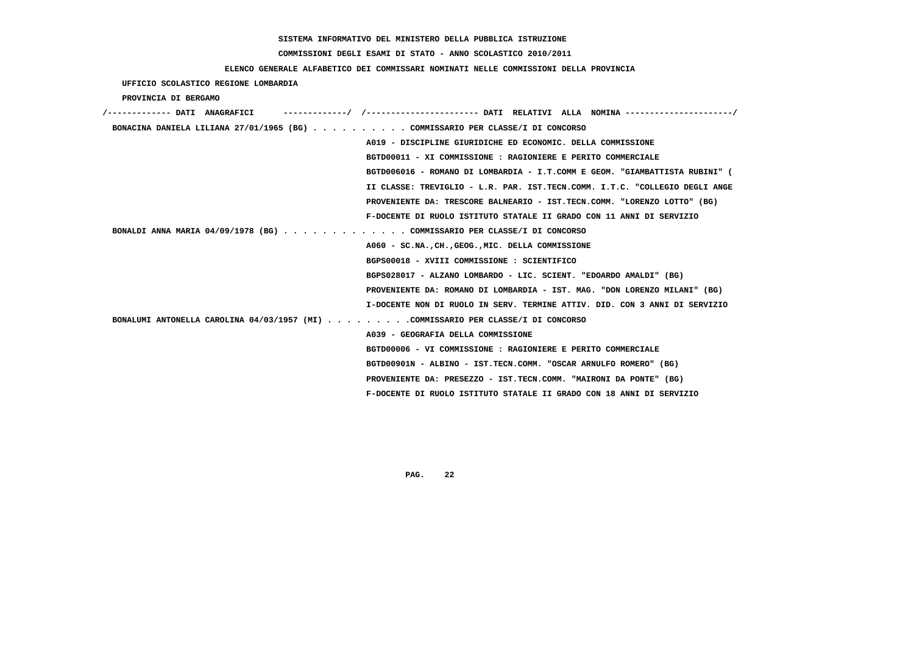# **COMMISSIONI DEGLI ESAMI DI STATO - ANNO SCOLASTICO 2010/2011**

### **ELENCO GENERALE ALFABETICO DEI COMMISSARI NOMINATI NELLE COMMISSIONI DELLA PROVINCIA**

 **UFFICIO SCOLASTICO REGIONE LOMBARDIA**

 **PROVINCIA DI BERGAMO**

| /------------- DATI ANAGRAFICI | -----------/ /---------------------- DATI RELATIVI ALLA NOMINA --------------------/ |
|--------------------------------|--------------------------------------------------------------------------------------|
|                                | BONACINA DANIELA LILIANA 27/01/1965 (BG) COMMISSARIO PER CLASSE/I DI CONCORSO        |
|                                | A019 - DISCIPLINE GIURIDICHE ED ECONOMIC. DELLA COMMISSIONE                          |
|                                | BGTD00011 - XI COMMISSIONE : RAGIONIERE E PERITO COMMERCIALE                         |
|                                | BGTD006016 - ROMANO DI LOMBARDIA - I.T.COMM E GEOM. "GIAMBATTISTA RUBINI" (          |
|                                | II CLASSE: TREVIGLIO - L.R. PAR. IST.TECN.COMM. I.T.C. "COLLEGIO DEGLI ANGE          |
|                                | PROVENIENTE DA: TRESCORE BALNEARIO - IST.TECN.COMM. "LORENZO LOTTO" (BG)             |
|                                | F-DOCENTE DI RUOLO ISTITUTO STATALE II GRADO CON 11 ANNI DI SERVIZIO                 |
|                                | BONALDI ANNA MARIA 04/09/1978 (BG) COMMISSARIO PER CLASSE/I DI CONCORSO              |
|                                | A060 - SC.NA., CH., GEOG., MIC. DELLA COMMISSIONE                                    |
|                                | BGPS00018 - XVIII COMMISSIONE : SCIENTIFICO                                          |
|                                | BGPS028017 - ALZANO LOMBARDO - LIC. SCIENT. "EDOARDO AMALDI" (BG)                    |
|                                | PROVENIENTE DA: ROMANO DI LOMBARDIA - IST. MAG. "DON LORENZO MILANI" (BG)            |
|                                | I-DOCENTE NON DI RUOLO IN SERV. TERMINE ATTIV. DID. CON 3 ANNI DI SERVIZIO           |
|                                | BONALUMI ANTONELLA CAROLINA 04/03/1957 (MI) COMMISSARIO PER CLASSE/I DI CONCORSO     |
|                                | A039 - GEOGRAFIA DELLA COMMISSIONE                                                   |
|                                | BGTD00006 - VI COMMISSIONE : RAGIONIERE E PERITO COMMERCIALE                         |
|                                | BGTD00901N - ALBINO - IST.TECN.COMM. "OSCAR ARNULFO ROMERO" (BG)                     |
|                                | PROVENIENTE DA: PRESEZZO - IST.TECN.COMM. "MAIRONI DA PONTE" (BG)                    |
|                                | F-DOCENTE DI RUOLO ISTITUTO STATALE II GRADO CON 18 ANNI DI SERVIZIO                 |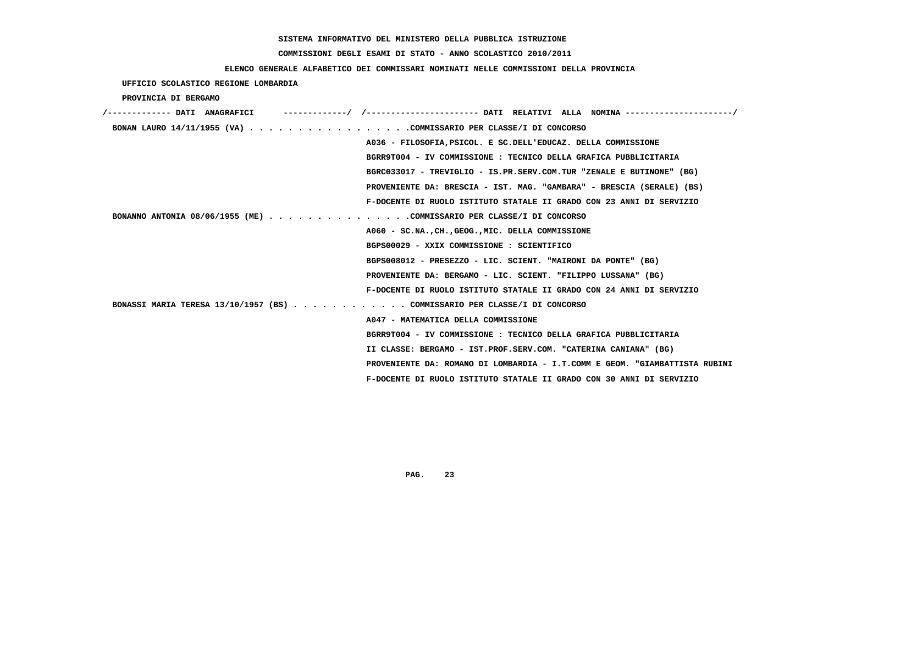# **COMMISSIONI DEGLI ESAMI DI STATO - ANNO SCOLASTICO 2010/2011**

### **ELENCO GENERALE ALFABETICO DEI COMMISSARI NOMINATI NELLE COMMISSIONI DELLA PROVINCIA**

 **UFFICIO SCOLASTICO REGIONE LOMBARDIA**

 **PROVINCIA DI BERGAMO**

| /------------- DATI ANAGRAFICI                                              |
|-----------------------------------------------------------------------------|
| BONAN LAURO 14/11/1955 (VA) COMMISSARIO PER CLASSE/I DI CONCORSO            |
| A036 - FILOSOFIA, PSICOL. E SC. DELL'EDUCAZ. DELLA COMMISSIONE              |
| BGRR9T004 - IV COMMISSIONE : TECNICO DELLA GRAFICA PUBBLICITARIA            |
| BGRC033017 - TREVIGLIO - IS.PR.SERV.COM.TUR "ZENALE E BUTINONE" (BG)        |
| PROVENIENTE DA: BRESCIA - IST. MAG. "GAMBARA" - BRESCIA (SERALE) (BS)       |
| F-DOCENTE DI RUOLO ISTITUTO STATALE II GRADO CON 23 ANNI DI SERVIZIO        |
| BONANNO ANTONIA 08/06/1955 (ME) COMMISSARIO PER CLASSE/I DI CONCORSO        |
| A060 - SC.NA., CH., GEOG., MIC. DELLA COMMISSIONE                           |
| BGPS00029 - XXIX COMMISSIONE : SCIENTIFICO                                  |
| BGPS008012 - PRESEZZO - LIC. SCIENT. "MAIRONI DA PONTE" (BG)                |
| PROVENIENTE DA: BERGAMO - LIC. SCIENT. "FILIPPO LUSSANA" (BG)               |
| F-DOCENTE DI RUOLO ISTITUTO STATALE II GRADO CON 24 ANNI DI SERVIZIO        |
| BONASSI MARIA TERESA 13/10/1957 (BS) COMMISSARIO PER CLASSE/I DI CONCORSO   |
| A047 - MATEMATICA DELLA COMMISSIONE                                         |
| BGRR9T004 - IV COMMISSIONE : TECNICO DELLA GRAFICA PUBBLICITARIA            |
| II CLASSE: BERGAMO - IST.PROF.SERV.COM. "CATERINA CANIANA" (BG)             |
| PROVENIENTE DA: ROMANO DI LOMBARDIA - I.T.COMM E GEOM. "GIAMBATTISTA RUBINI |
| F-DOCENTE DI RUOLO ISTITUTO STATALE II GRADO CON 30 ANNI DI SERVIZIO        |
|                                                                             |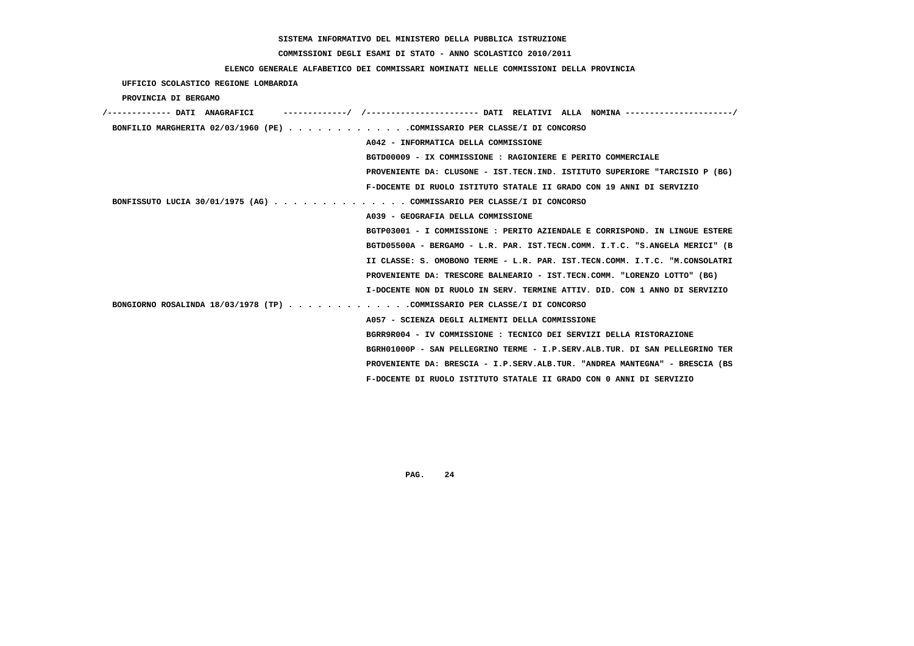# **COMMISSIONI DEGLI ESAMI DI STATO - ANNO SCOLASTICO 2010/2011**

## **ELENCO GENERALE ALFABETICO DEI COMMISSARI NOMINATI NELLE COMMISSIONI DELLA PROVINCIA**

 **UFFICIO SCOLASTICO REGIONE LOMBARDIA**

 **PROVINCIA DI BERGAMO**

| /------------- DATI ANAGRAFICI                                           | ----------/ /---------------------- DATI RELATIVI ALLA NOMINA --------------------/ |
|--------------------------------------------------------------------------|-------------------------------------------------------------------------------------|
| BONFILIO MARGHERITA 02/03/1960 (PE) COMMISSARIO PER CLASSE/I DI CONCORSO |                                                                                     |
|                                                                          | A042 - INFORMATICA DELLA COMMISSIONE                                                |
|                                                                          | BGTD00009 - IX COMMISSIONE : RAGIONIERE E PERITO COMMERCIALE                        |
|                                                                          | PROVENIENTE DA: CLUSONE - IST.TECN.IND. ISTITUTO SUPERIORE "TARCISIO P (BG)         |
|                                                                          | F-DOCENTE DI RUOLO ISTITUTO STATALE II GRADO CON 19 ANNI DI SERVIZIO                |
| BONFISSUTO LUCIA 30/01/1975 (AG) COMMISSARIO PER CLASSE/I DI CONCORSO    |                                                                                     |
|                                                                          | A039 - GEOGRAFIA DELLA COMMISSIONE                                                  |
|                                                                          | BGTP03001 - I COMMISSIONE : PERITO AZIENDALE E CORRISPOND. IN LINGUE ESTERE         |
|                                                                          | BGTD05500A - BERGAMO - L.R. PAR. IST.TECN.COMM. I.T.C. "S.ANGELA MERICI" (B         |
|                                                                          | II CLASSE: S. OMOBONO TERME - L.R. PAR. IST.TECN.COMM. I.T.C. "M.CONSOLATRI         |
|                                                                          | PROVENIENTE DA: TRESCORE BALNEARIO - IST.TECN.COMM. "LORENZO LOTTO" (BG)            |
|                                                                          | I-DOCENTE NON DI RUOLO IN SERV. TERMINE ATTIV. DID. CON 1 ANNO DI SERVIZIO          |
| BONGIORNO ROSALINDA 18/03/1978 (TP) COMMISSARIO PER CLASSE/I DI CONCORSO |                                                                                     |
|                                                                          | A057 - SCIENZA DEGLI ALIMENTI DELLA COMMISSIONE                                     |
|                                                                          | BGRR9R004 - IV COMMISSIONE : TECNICO DEI SERVIZI DELLA RISTORAZIONE                 |
|                                                                          | BGRH01000P - SAN PELLEGRINO TERME - I.P.SERV.ALB.TUR. DI SAN PELLEGRINO TER         |
|                                                                          | PROVENIENTE DA: BRESCIA - I.P.SERV.ALB.TUR. "ANDREA MANTEGNA" - BRESCIA (BS         |
|                                                                          | F-DOCENTE DI RUOLO ISTITUTO STATALE II GRADO CON 0 ANNI DI SERVIZIO                 |
|                                                                          |                                                                                     |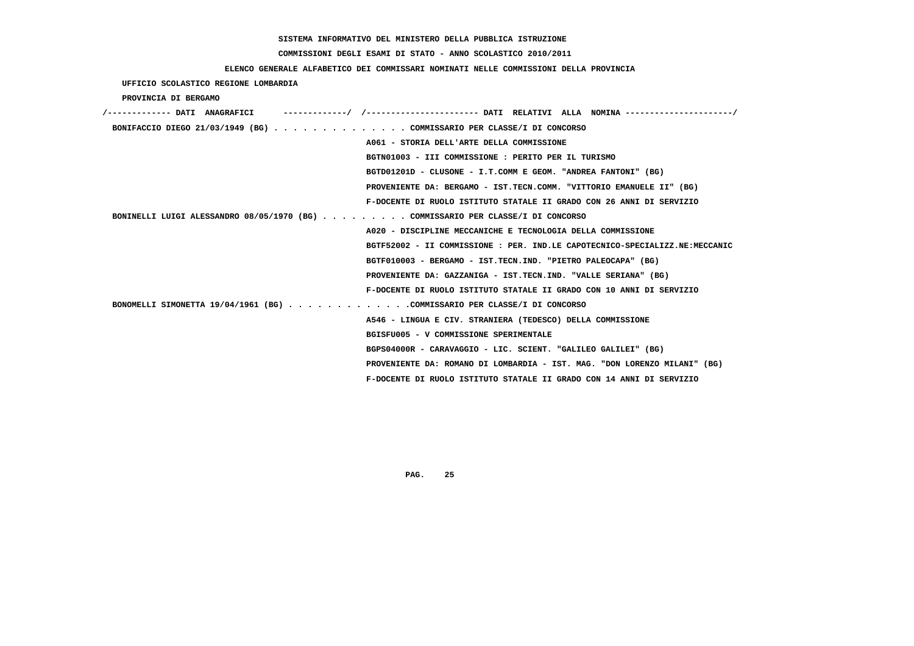# **COMMISSIONI DEGLI ESAMI DI STATO - ANNO SCOLASTICO 2010/2011**

### **ELENCO GENERALE ALFABETICO DEI COMMISSARI NOMINATI NELLE COMMISSIONI DELLA PROVINCIA**

 **UFFICIO SCOLASTICO REGIONE LOMBARDIA**

 **PROVINCIA DI BERGAMO**

| /------------- DATI ANAGRAFICI                                                  |                                                                             |
|---------------------------------------------------------------------------------|-----------------------------------------------------------------------------|
| BONIFACCIO DIEGO 21/03/1949 (BG) COMMISSARIO PER CLASSE/I DI CONCORSO           |                                                                             |
|                                                                                 | A061 - STORIA DELL'ARTE DELLA COMMISSIONE                                   |
|                                                                                 | BGTN01003 - III COMMISSIONE : PERITO PER IL TURISMO                         |
|                                                                                 | BGTD01201D - CLUSONE - I.T.COMM E GEOM. "ANDREA FANTONI" (BG)               |
|                                                                                 | PROVENIENTE DA: BERGAMO - IST.TECN.COMM. "VITTORIO EMANUELE II" (BG)        |
|                                                                                 | F-DOCENTE DI RUOLO ISTITUTO STATALE II GRADO CON 26 ANNI DI SERVIZIO        |
| BONINELLI LUIGI ALESSANDRO 08/05/1970 (BG) COMMISSARIO PER CLASSE/I DI CONCORSO |                                                                             |
|                                                                                 | A020 - DISCIPLINE MECCANICHE E TECNOLOGIA DELLA COMMISSIONE                 |
|                                                                                 | BGTF52002 - II COMMISSIONE : PER. IND.LE CAPOTECNICO-SPECIALIZZ.NE:MECCANIC |
|                                                                                 | BGTF010003 - BERGAMO - IST.TECN.IND. "PIETRO PALEOCAPA" (BG)                |
|                                                                                 | PROVENIENTE DA: GAZZANIGA - IST.TECN.IND. "VALLE SERIANA" (BG)              |
|                                                                                 | F-DOCENTE DI RUOLO ISTITUTO STATALE II GRADO CON 10 ANNI DI SERVIZIO        |
| BONOMELLI SIMONETTA 19/04/1961 (BG) COMMISSARIO PER CLASSE/I DI CONCORSO        |                                                                             |
|                                                                                 | A546 - LINGUA E CIV. STRANIERA (TEDESCO) DELLA COMMISSIONE                  |
|                                                                                 | BGISFU005 - V COMMISSIONE SPERIMENTALE                                      |
|                                                                                 | BGPS04000R - CARAVAGGIO - LIC. SCIENT. "GALILEO GALILEI" (BG)               |
|                                                                                 | PROVENIENTE DA: ROMANO DI LOMBARDIA - IST. MAG. "DON LORENZO MILANI" (BG)   |
|                                                                                 | F-DOCENTE DI RUOLO ISTITUTO STATALE II GRADO CON 14 ANNI DI SERVIZIO        |
|                                                                                 |                                                                             |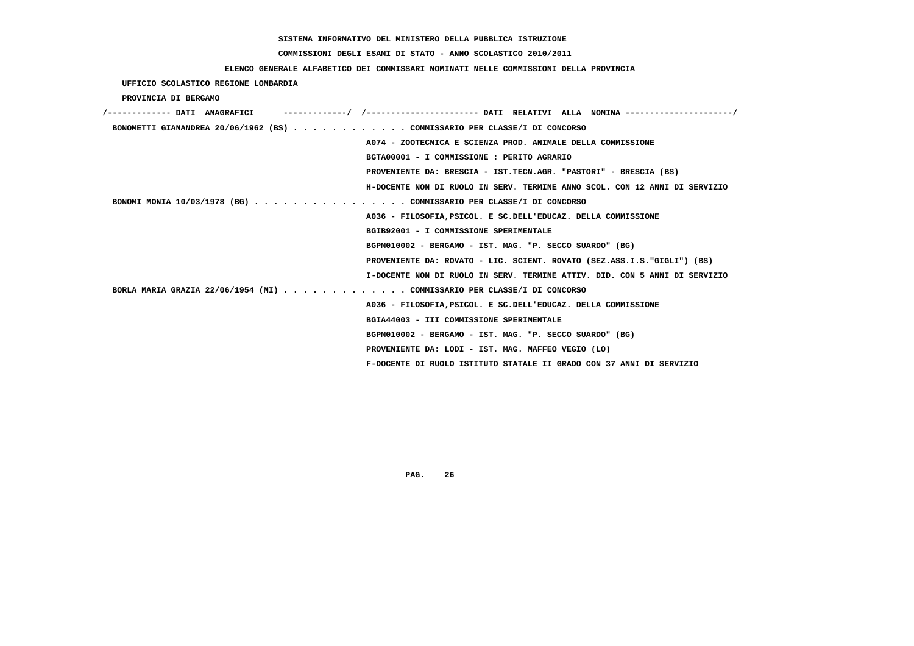# **COMMISSIONI DEGLI ESAMI DI STATO - ANNO SCOLASTICO 2010/2011**

# **ELENCO GENERALE ALFABETICO DEI COMMISSARI NOMINATI NELLE COMMISSIONI DELLA PROVINCIA**

 **UFFICIO SCOLASTICO REGIONE LOMBARDIA**

 **PROVINCIA DI BERGAMO**

| BONOMETTI GIANANDREA 20/06/1962 (BS) COMMISSARIO PER CLASSE/I DI CONCORSO  |
|----------------------------------------------------------------------------|
| A074 - ZOOTECNICA E SCIENZA PROD. ANIMALE DELLA COMMISSIONE                |
| BGTA00001 - I COMMISSIONE : PERITO AGRARIO                                 |
| PROVENIENTE DA: BRESCIA - IST.TECN.AGR. "PASTORI" - BRESCIA (BS)           |
| H-DOCENTE NON DI RUOLO IN SERV. TERMINE ANNO SCOL. CON 12 ANNI DI SERVIZIO |
| BONOMI MONIA 10/03/1978 (BG) COMMISSARIO PER CLASSE/I DI CONCORSO          |
| A036 - FILOSOFIA, PSICOL. E SC. DELL'EDUCAZ. DELLA COMMISSIONE             |
| BGIB92001 - I COMMISSIONE SPERIMENTALE                                     |
| BGPM010002 - BERGAMO - IST. MAG. "P. SECCO SUARDO" (BG)                    |
| PROVENIENTE DA: ROVATO - LIC. SCIENT. ROVATO (SEZ.ASS.I.S."GIGLI") (BS)    |
| I-DOCENTE NON DI RUOLO IN SERV. TERMINE ATTIV. DID. CON 5 ANNI DI SERVIZIO |
| BORLA MARIA GRAZIA 22/06/1954 (MI) COMMISSARIO PER CLASSE/I DI CONCORSO    |
| A036 - FILOSOFIA, PSICOL. E SC. DELL'EDUCAZ. DELLA COMMISSIONE             |
| BGIA44003 - III COMMISSIONE SPERIMENTALE                                   |
| BGPM010002 - BERGAMO - IST. MAG. "P. SECCO SUARDO" (BG)                    |
| PROVENIENTE DA: LODI - IST. MAG. MAFFEO VEGIO (LO)                         |
| F-DOCENTE DI RUOLO ISTITUTO STATALE II GRADO CON 37 ANNI DI SERVIZIO       |
|                                                                            |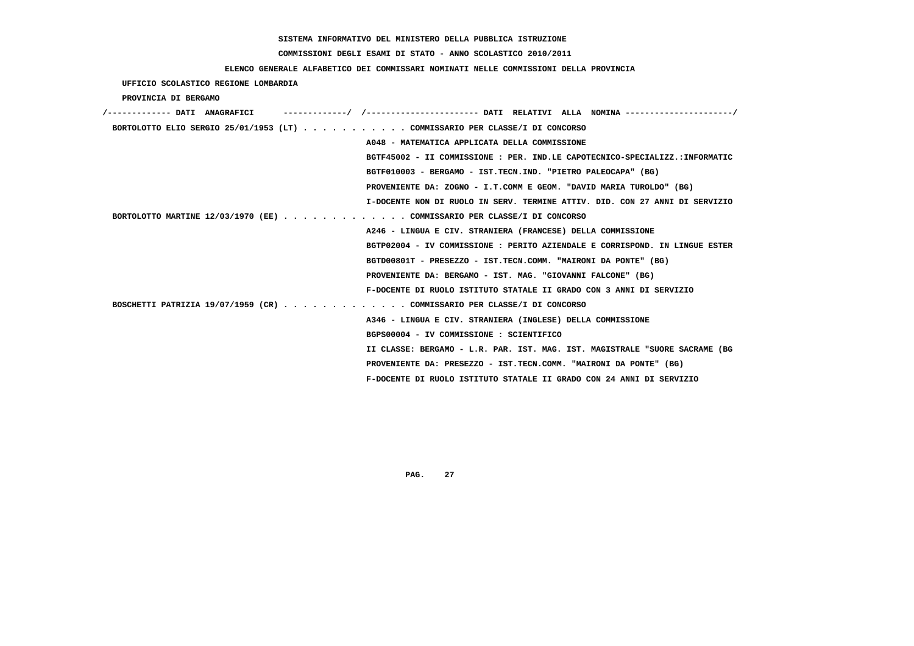# **COMMISSIONI DEGLI ESAMI DI STATO - ANNO SCOLASTICO 2010/2011**

### **ELENCO GENERALE ALFABETICO DEI COMMISSARI NOMINATI NELLE COMMISSIONI DELLA PROVINCIA**

 **UFFICIO SCOLASTICO REGIONE LOMBARDIA**

 **PROVINCIA DI BERGAMO**

| /------------- DATI ANAGRAFICI |  |                                                                             |  |
|--------------------------------|--|-----------------------------------------------------------------------------|--|
|                                |  | BORTOLOTTO ELIO SERGIO 25/01/1953 (LT) COMMISSARIO PER CLASSE/I DI CONCORSO |  |
|                                |  | A048 - MATEMATICA APPLICATA DELLA COMMISSIONE                               |  |
|                                |  | BGTF45002 - II COMMISSIONE : PER. IND.LE CAPOTECNICO-SPECIALIZZ.:INFORMATIC |  |
|                                |  | BGTF010003 - BERGAMO - IST.TECN.IND. "PIETRO PALEOCAPA" (BG)                |  |
|                                |  | PROVENIENTE DA: ZOGNO - I.T.COMM E GEOM. "DAVID MARIA TUROLDO" (BG)         |  |
|                                |  | I-DOCENTE NON DI RUOLO IN SERV. TERMINE ATTIV. DID. CON 27 ANNI DI SERVIZIO |  |
|                                |  | BORTOLOTTO MARTINE 12/03/1970 (EE) COMMISSARIO PER CLASSE/I DI CONCORSO     |  |
|                                |  | A246 - LINGUA E CIV. STRANIERA (FRANCESE) DELLA COMMISSIONE                 |  |
|                                |  | BGTP02004 - IV COMMISSIONE : PERITO AZIENDALE E CORRISPOND. IN LINGUE ESTER |  |
|                                |  | BGTD00801T - PRESEZZO - IST.TECN.COMM. "MAIRONI DA PONTE" (BG)              |  |
|                                |  | PROVENIENTE DA: BERGAMO - IST. MAG. "GIOVANNI FALCONE" (BG)                 |  |
|                                |  | F-DOCENTE DI RUOLO ISTITUTO STATALE II GRADO CON 3 ANNI DI SERVIZIO         |  |
|                                |  | BOSCHETTI PATRIZIA 19/07/1959 (CR) COMMISSARIO PER CLASSE/I DI CONCORSO     |  |
|                                |  | A346 - LINGUA E CIV. STRANIERA (INGLESE) DELLA COMMISSIONE                  |  |
|                                |  | BGPS00004 - IV COMMISSIONE : SCIENTIFICO                                    |  |
|                                |  | II CLASSE: BERGAMO - L.R. PAR. IST. MAG. IST. MAGISTRALE "SUORE SACRAME (BG |  |
|                                |  | PROVENIENTE DA: PRESEZZO - IST.TECN.COMM. "MAIRONI DA PONTE" (BG)           |  |
|                                |  | F-DOCENTE DI RUOLO ISTITUTO STATALE II GRADO CON 24 ANNI DI SERVIZIO        |  |
|                                |  |                                                                             |  |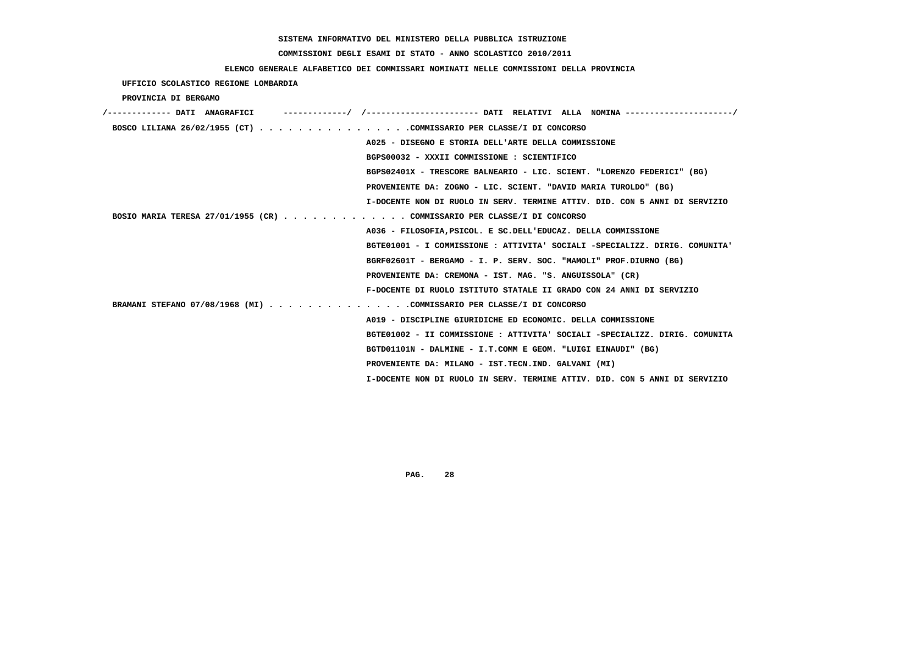# **COMMISSIONI DEGLI ESAMI DI STATO - ANNO SCOLASTICO 2010/2011**

# **ELENCO GENERALE ALFABETICO DEI COMMISSARI NOMINATI NELLE COMMISSIONI DELLA PROVINCIA**

 **UFFICIO SCOLASTICO REGIONE LOMBARDIA**

 **PROVINCIA DI BERGAMO**

| /------------- DATI ANAGRAFICI                                              |  |
|-----------------------------------------------------------------------------|--|
| BOSCO LILIANA 26/02/1955 (CT) COMMISSARIO PER CLASSE/I DI CONCORSO          |  |
| A025 - DISEGNO E STORIA DELL'ARTE DELLA COMMISSIONE                         |  |
| BGPS00032 - XXXII COMMISSIONE : SCIENTIFICO                                 |  |
| BGPS02401X - TRESCORE BALNEARIO - LIC. SCIENT. "LORENZO FEDERICI" (BG)      |  |
| PROVENIENTE DA: ZOGNO - LIC. SCIENT. "DAVID MARIA TUROLDO" (BG)             |  |
| I-DOCENTE NON DI RUOLO IN SERV. TERMINE ATTIV. DID. CON 5 ANNI DI SERVIZIO  |  |
| BOSIO MARIA TERESA 27/01/1955 (CR) COMMISSARIO PER CLASSE/I DI CONCORSO     |  |
| A036 - FILOSOFIA, PSICOL. E SC. DELL'EDUCAZ. DELLA COMMISSIONE              |  |
| BGTE01001 - I COMMISSIONE : ATTIVITA' SOCIALI -SPECIALIZZ. DIRIG. COMUNITA' |  |
| BGRF02601T - BERGAMO - I. P. SERV. SOC. "MAMOLI" PROF.DIURNO (BG)           |  |
| PROVENIENTE DA: CREMONA - IST. MAG. "S. ANGUISSOLA" (CR)                    |  |
| F-DOCENTE DI RUOLO ISTITUTO STATALE II GRADO CON 24 ANNI DI SERVIZIO        |  |
| BRAMANI STEFANO 07/08/1968 (MI) COMMISSARIO PER CLASSE/I DI CONCORSO        |  |
| A019 - DISCIPLINE GIURIDICHE ED ECONOMIC. DELLA COMMISSIONE                 |  |
| BGTE01002 - II COMMISSIONE : ATTIVITA' SOCIALI -SPECIALIZZ. DIRIG. COMUNITA |  |
| BGTD01101N - DALMINE - I.T.COMM E GEOM. "LUIGI EINAUDI" (BG)                |  |
| PROVENIENTE DA: MILANO - IST.TECN.IND. GALVANI (MI)                         |  |
| I-DOCENTE NON DI RUOLO IN SERV. TERMINE ATTIV. DID. CON 5 ANNI DI SERVIZIO  |  |
|                                                                             |  |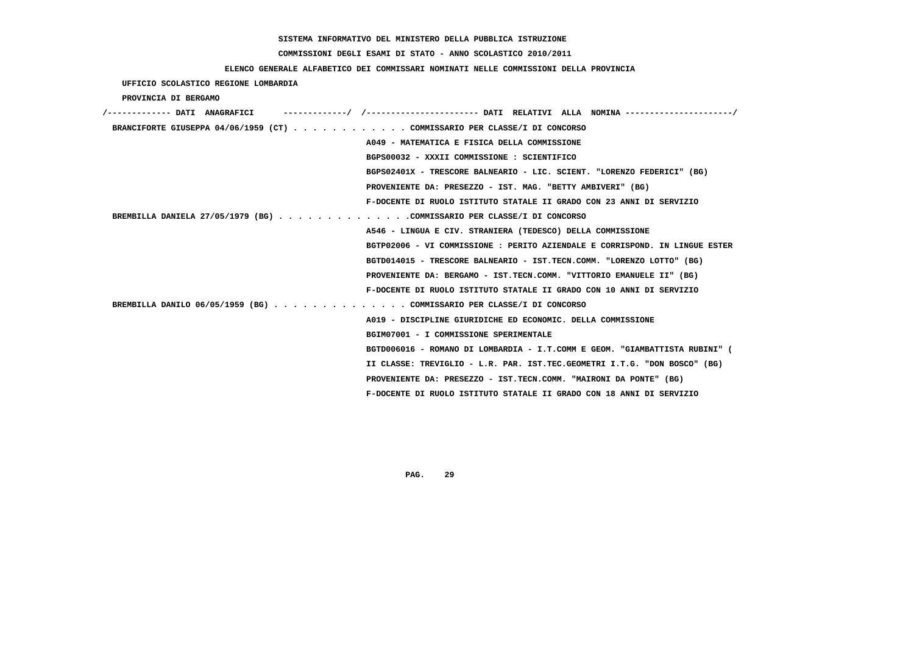# **COMMISSIONI DEGLI ESAMI DI STATO - ANNO SCOLASTICO 2010/2011**

## **ELENCO GENERALE ALFABETICO DEI COMMISSARI NOMINATI NELLE COMMISSIONI DELLA PROVINCIA**

### **UFFICIO SCOLASTICO REGIONE LOMBARDIA**

 **PROVINCIA DI BERGAMO**

| /------------- DATI ANAGRAFICI                                            |                                                                             |
|---------------------------------------------------------------------------|-----------------------------------------------------------------------------|
| BRANCIFORTE GIUSEPPA 04/06/1959 (CT) COMMISSARIO PER CLASSE/I DI CONCORSO |                                                                             |
|                                                                           | A049 - MATEMATICA E FISICA DELLA COMMISSIONE                                |
|                                                                           | BGPS00032 - XXXII COMMISSIONE : SCIENTIFICO                                 |
|                                                                           | BGPS02401X - TRESCORE BALNEARIO - LIC. SCIENT. "LORENZO FEDERICI" (BG)      |
|                                                                           | PROVENIENTE DA: PRESEZZO - IST. MAG. "BETTY AMBIVERI" (BG)                  |
|                                                                           | F-DOCENTE DI RUOLO ISTITUTO STATALE II GRADO CON 23 ANNI DI SERVIZIO        |
| BREMBILLA DANIELA 27/05/1979 (BG) COMMISSARIO PER CLASSE/I DI CONCORSO    |                                                                             |
|                                                                           | A546 - LINGUA E CIV. STRANIERA (TEDESCO) DELLA COMMISSIONE                  |
|                                                                           | BGTP02006 - VI COMMISSIONE : PERITO AZIENDALE E CORRISPOND. IN LINGUE ESTER |
|                                                                           | BGTD014015 - TRESCORE BALNEARIO - IST.TECN.COMM. "LORENZO LOTTO" (BG)       |
|                                                                           | PROVENIENTE DA: BERGAMO - IST.TECN.COMM. "VITTORIO EMANUELE II" (BG)        |
|                                                                           | F-DOCENTE DI RUOLO ISTITUTO STATALE II GRADO CON 10 ANNI DI SERVIZIO        |
| BREMBILLA DANILO 06/05/1959 (BG) COMMISSARIO PER CLASSE/I DI CONCORSO     |                                                                             |
|                                                                           | A019 - DISCIPLINE GIURIDICHE ED ECONOMIC. DELLA COMMISSIONE                 |
|                                                                           | BGIM07001 - I COMMISSIONE SPERIMENTALE                                      |
|                                                                           | BGTD006016 - ROMANO DI LOMBARDIA - I.T.COMM E GEOM. "GIAMBATTISTA RUBINI" ( |
|                                                                           | II CLASSE: TREVIGLIO - L.R. PAR. IST.TEC.GEOMETRI I.T.G. "DON BOSCO" (BG)   |
|                                                                           | PROVENIENTE DA: PRESEZZO - IST.TECN.COMM. "MAIRONI DA PONTE" (BG)           |
|                                                                           | F-DOCENTE DI RUOLO ISTITUTO STATALE II GRADO CON 18 ANNI DI SERVIZIO        |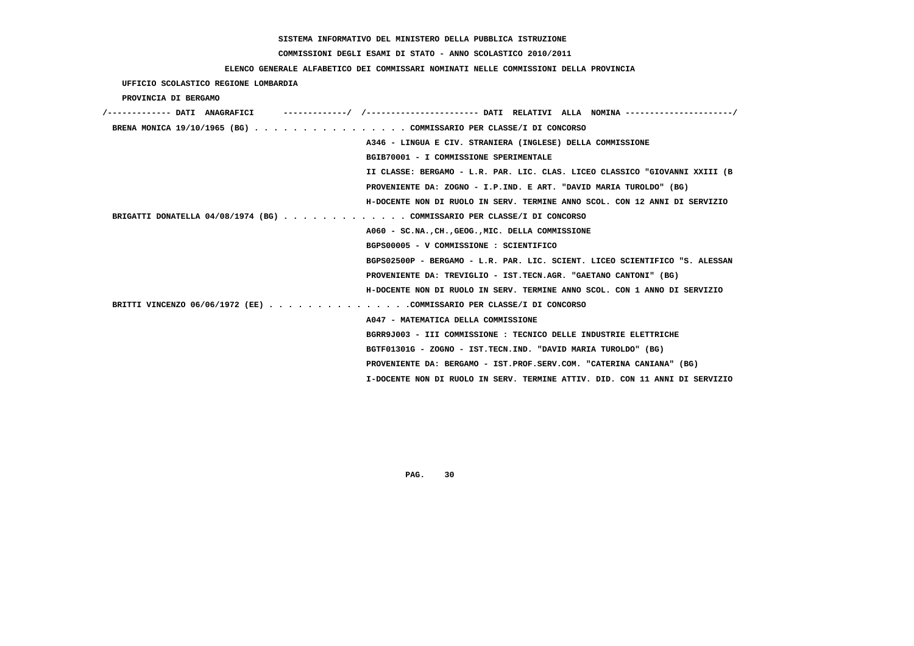# **COMMISSIONI DEGLI ESAMI DI STATO - ANNO SCOLASTICO 2010/2011**

### **ELENCO GENERALE ALFABETICO DEI COMMISSARI NOMINATI NELLE COMMISSIONI DELLA PROVINCIA**

 **UFFICIO SCOLASTICO REGIONE LOMBARDIA**

 **PROVINCIA DI BERGAMO**

| /------------- DATI ANAGRAFICI                                          | ------------/ /---------------------- DATI RELATIVI ALLA NOMINA --------------------/ |
|-------------------------------------------------------------------------|---------------------------------------------------------------------------------------|
| BRENA MONICA 19/10/1965 (BG) COMMISSARIO PER CLASSE/I DI CONCORSO       |                                                                                       |
|                                                                         | A346 - LINGUA E CIV. STRANIERA (INGLESE) DELLA COMMISSIONE                            |
|                                                                         | BGIB70001 - I COMMISSIONE SPERIMENTALE                                                |
|                                                                         | II CLASSE: BERGAMO - L.R. PAR. LIC. CLAS. LICEO CLASSICO "GIOVANNI XXIII (B           |
|                                                                         | PROVENIENTE DA: ZOGNO - I.P.IND. E ART. "DAVID MARIA TUROLDO" (BG)                    |
|                                                                         | H-DOCENTE NON DI RUOLO IN SERV. TERMINE ANNO SCOL. CON 12 ANNI DI SERVIZIO            |
| BRIGATTI DONATELLA 04/08/1974 (BG) COMMISSARIO PER CLASSE/I DI CONCORSO |                                                                                       |
|                                                                         | A060 - SC.NA., CH., GEOG., MIC. DELLA COMMISSIONE                                     |
|                                                                         | BGPS00005 - V COMMISSIONE : SCIENTIFICO                                               |
|                                                                         | BGPS02500P - BERGAMO - L.R. PAR. LIC. SCIENT. LICEO SCIENTIFICO "S. ALESSAN           |
|                                                                         | PROVENIENTE DA: TREVIGLIO - IST.TECN.AGR. "GAETANO CANTONI" (BG)                      |
|                                                                         | H-DOCENTE NON DI RUOLO IN SERV. TERMINE ANNO SCOL. CON 1 ANNO DI SERVIZIO             |
| BRITTI VINCENZO 06/06/1972 (EE) COMMISSARIO PER CLASSE/I DI CONCORSO    |                                                                                       |
|                                                                         | A047 - MATEMATICA DELLA COMMISSIONE                                                   |
|                                                                         | BGRR9J003 - III COMMISSIONE : TECNICO DELLE INDUSTRIE ELETTRICHE                      |
|                                                                         | BGTF01301G - ZOGNO - IST.TECN.IND. "DAVID MARIA TUROLDO" (BG)                         |
|                                                                         | PROVENIENTE DA: BERGAMO - IST.PROF.SERV.COM. "CATERINA CANIANA" (BG)                  |
|                                                                         | I-DOCENTE NON DI RUOLO IN SERV. TERMINE ATTIV. DID. CON 11 ANNI DI SERVIZIO           |
|                                                                         |                                                                                       |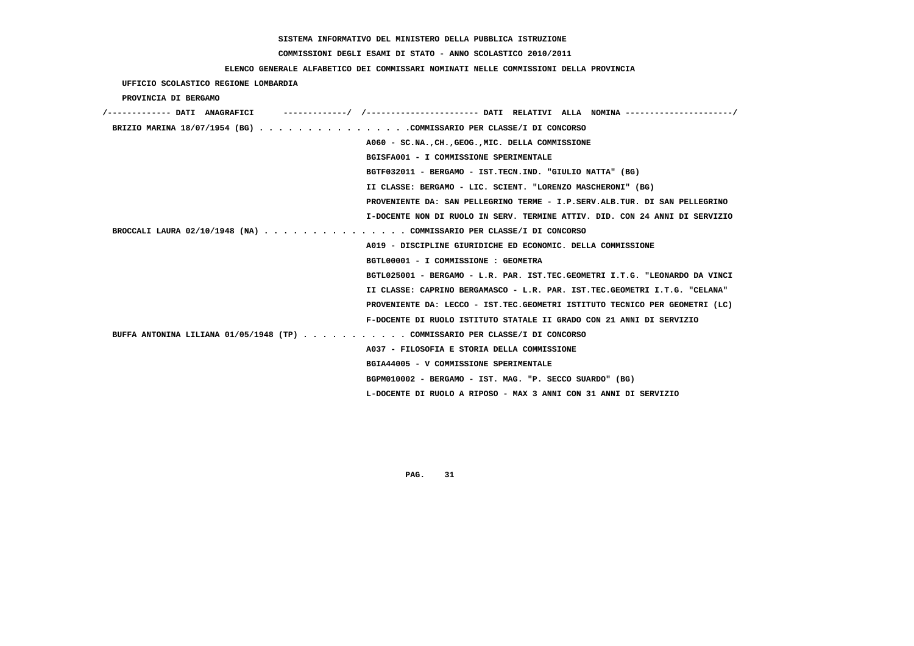#### **COMMISSIONI DEGLI ESAMI DI STATO - ANNO SCOLASTICO 2010/2011**

#### **ELENCO GENERALE ALFABETICO DEI COMMISSARI NOMINATI NELLE COMMISSIONI DELLA PROVINCIA**

 **UFFICIO SCOLASTICO REGIONE LOMBARDIA PROVINCIA DI BERGAMO /------------- DATI ANAGRAFICI -------------/ /----------------------- DATI RELATIVI ALLA NOMINA ----------------------/ BRIZIO MARINA 18/07/1954 (BG) . . . . . . . . . . . . . . . .COMMISSARIO PER CLASSE/I DI CONCORSO A060 - SC.NA.,CH.,GEOG.,MIC. DELLA COMMISSIONE BGISFA001 - I COMMISSIONE SPERIMENTALE BGTF032011 - BERGAMO - IST.TECN.IND. "GIULIO NATTA" (BG) II CLASSE: BERGAMO - LIC. SCIENT. "LORENZO MASCHERONI" (BG) PROVENIENTE DA: SAN PELLEGRINO TERME - I.P.SERV.ALB.TUR. DI SAN PELLEGRINO I-DOCENTE NON DI RUOLO IN SERV. TERMINE ATTIV. DID. CON 24 ANNI DI SERVIZIO BROCCALI LAURA 02/10/1948 (NA) . . . . . . . . . . . . . . . COMMISSARIO PER CLASSE/I DI CONCORSO A019 - DISCIPLINE GIURIDICHE ED ECONOMIC. DELLA COMMISSIONE BGTL00001 - I COMMISSIONE : GEOMETRA BGTL025001 - BERGAMO - L.R. PAR. IST.TEC.GEOMETRI I.T.G. "LEONARDO DA VINCI II CLASSE: CAPRINO BERGAMASCO - L.R. PAR. IST.TEC.GEOMETRI I.T.G. "CELANA" PROVENIENTE DA: LECCO - IST.TEC.GEOMETRI ISTITUTO TECNICO PER GEOMETRI (LC) F-DOCENTE DI RUOLO ISTITUTO STATALE II GRADO CON 21 ANNI DI SERVIZIO BUFFA ANTONINA LILIANA 01/05/1948 (TP) . . . . . . . . . . . COMMISSARIO PER CLASSE/I DI CONCORSO A037 - FILOSOFIA E STORIA DELLA COMMISSIONE BGIA44005 - V COMMISSIONE SPERIMENTALE BGPM010002 - BERGAMO - IST. MAG. "P. SECCO SUARDO" (BG) L-DOCENTE DI RUOLO A RIPOSO - MAX 3 ANNI CON 31 ANNI DI SERVIZIO**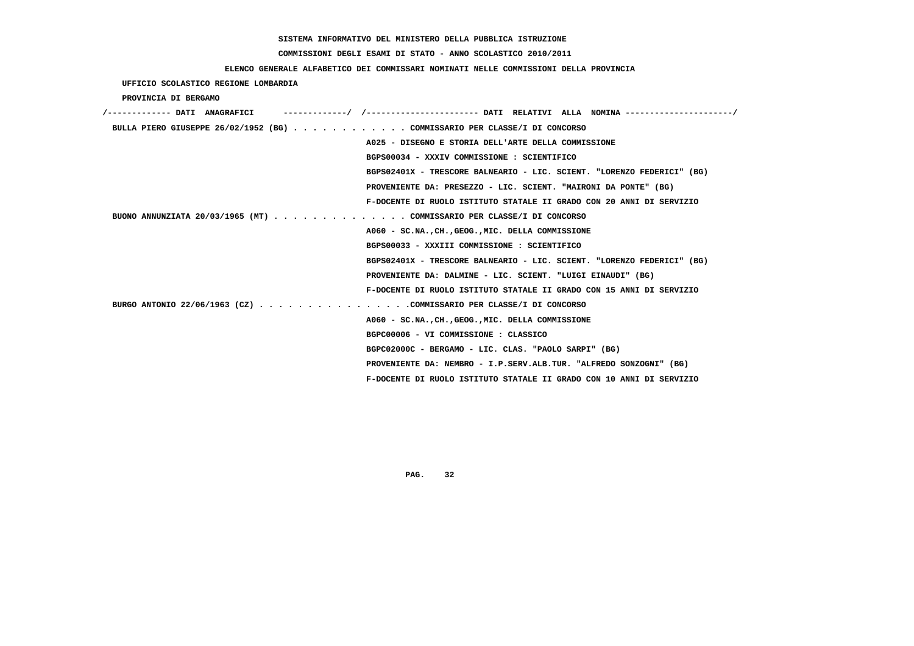# **COMMISSIONI DEGLI ESAMI DI STATO - ANNO SCOLASTICO 2010/2011**

## **ELENCO GENERALE ALFABETICO DEI COMMISSARI NOMINATI NELLE COMMISSIONI DELLA PROVINCIA**

 **UFFICIO SCOLASTICO REGIONE LOMBARDIA**

 **PROVINCIA DI BERGAMO**

| /------------- DATI ANAGRAFICI                                            |
|---------------------------------------------------------------------------|
| BULLA PIERO GIUSEPPE 26/02/1952 (BG) COMMISSARIO PER CLASSE/I DI CONCORSO |
| A025 - DISEGNO E STORIA DELL'ARTE DELLA COMMISSIONE                       |
| BGPS00034 - XXXIV COMMISSIONE : SCIENTIFICO                               |
| BGPS02401X - TRESCORE BALNEARIO - LIC. SCIENT. "LORENZO FEDERICI" (BG)    |
| PROVENIENTE DA: PRESEZZO - LIC. SCIENT. "MAIRONI DA PONTE" (BG)           |
| F-DOCENTE DI RUOLO ISTITUTO STATALE II GRADO CON 20 ANNI DI SERVIZIO      |
| BUONO ANNUNZIATA 20/03/1965 (MT) COMMISSARIO PER CLASSE/I DI CONCORSO     |
| A060 - SC.NA., CH., GEOG., MIC. DELLA COMMISSIONE                         |
| BGPS00033 - XXXIII COMMISSIONE : SCIENTIFICO                              |
| BGPS02401X - TRESCORE BALNEARIO - LIC. SCIENT. "LORENZO FEDERICI" (BG)    |
| PROVENIENTE DA: DALMINE - LIC. SCIENT. "LUIGI EINAUDI" (BG)               |
| F-DOCENTE DI RUOLO ISTITUTO STATALE II GRADO CON 15 ANNI DI SERVIZIO      |
| BURGO ANTONIO 22/06/1963 (CZ) COMMISSARIO PER CLASSE/I DI CONCORSO        |
| A060 - SC.NA., CH., GEOG., MIC. DELLA COMMISSIONE                         |
| BGPC00006 - VI COMMISSIONE : CLASSICO                                     |
| BGPC02000C - BERGAMO - LIC. CLAS. "PAOLO SARPI" (BG)                      |
| PROVENIENTE DA: NEMBRO - I.P.SERV.ALB.TUR. "ALFREDO SONZOGNI" (BG)        |
| F-DOCENTE DI RUOLO ISTITUTO STATALE II GRADO CON 10 ANNI DI SERVIZIO      |
|                                                                           |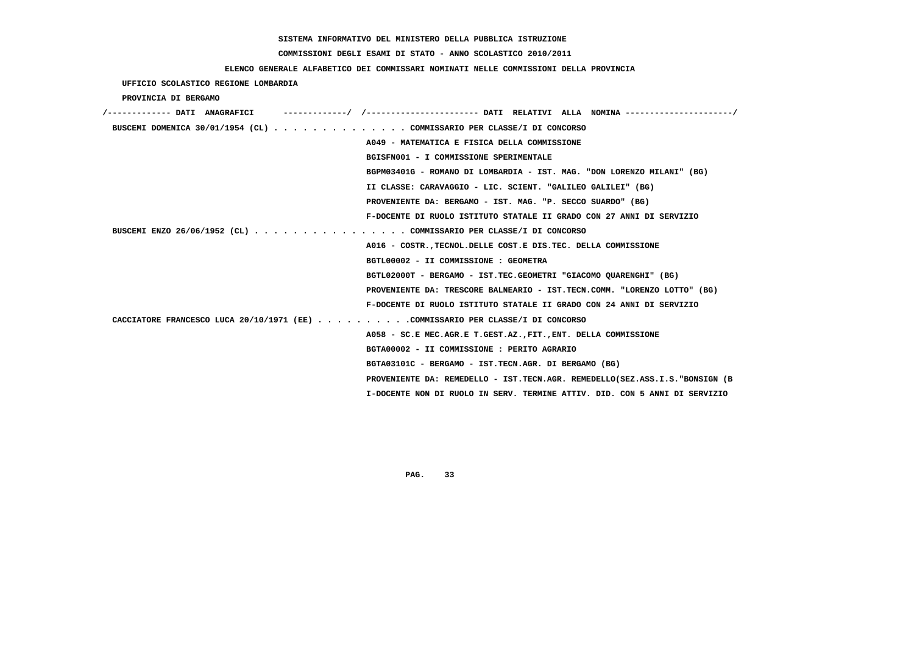# **COMMISSIONI DEGLI ESAMI DI STATO - ANNO SCOLASTICO 2010/2011**

## **ELENCO GENERALE ALFABETICO DEI COMMISSARI NOMINATI NELLE COMMISSIONI DELLA PROVINCIA**

### **UFFICIO SCOLASTICO REGIONE LOMBARDIA**

### **PROVINCIA DI BERGAMO**

| /------------- DATI ANAGRAFICI                                                 | -----------/ /--------------------- DATI RELATIVI ALLA NOMINA--------------------/ |
|--------------------------------------------------------------------------------|------------------------------------------------------------------------------------|
| BUSCEMI DOMENICA 30/01/1954 (CL) COMMISSARIO PER CLASSE/I DI CONCORSO          |                                                                                    |
|                                                                                | A049 - MATEMATICA E FISICA DELLA COMMISSIONE                                       |
|                                                                                | BGISFN001 - I COMMISSIONE SPERIMENTALE                                             |
|                                                                                | BGPM03401G - ROMANO DI LOMBARDIA - IST. MAG. "DON LORENZO MILANI" (BG)             |
|                                                                                | II CLASSE: CARAVAGGIO - LIC. SCIENT. "GALILEO GALILEI" (BG)                        |
|                                                                                | PROVENIENTE DA: BERGAMO - IST. MAG. "P. SECCO SUARDO" (BG)                         |
|                                                                                | F-DOCENTE DI RUOLO ISTITUTO STATALE II GRADO CON 27 ANNI DI SERVIZIO               |
| BUSCEMI ENZO 26/06/1952 (CL) COMMISSARIO PER CLASSE/I DI CONCORSO              |                                                                                    |
|                                                                                | A016 - COSTR., TECNOL. DELLE COST. E DIS. TEC. DELLA COMMISSIONE                   |
|                                                                                | BGTL00002 - II COMMISSIONE : GEOMETRA                                              |
|                                                                                | BGTL02000T - BERGAMO - IST.TEC.GEOMETRI "GIACOMO QUARENGHI" (BG)                   |
|                                                                                | PROVENIENTE DA: TRESCORE BALNEARIO - IST.TECN.COMM. "LORENZO LOTTO" (BG)           |
|                                                                                | F-DOCENTE DI RUOLO ISTITUTO STATALE II GRADO CON 24 ANNI DI SERVIZIO               |
| CACCIATORE FRANCESCO LUCA 20/10/1971 (EE) COMMISSARIO PER CLASSE/I DI CONCORSO |                                                                                    |
|                                                                                | A058 - SC.E MEC.AGR.E T.GEST.AZ., FIT., ENT. DELLA COMMISSIONE                     |
|                                                                                | BGTA00002 - II COMMISSIONE : PERITO AGRARIO                                        |
|                                                                                | BGTA03101C - BERGAMO - IST.TECN.AGR. DI BERGAMO (BG)                               |
|                                                                                | PROVENIENTE DA: REMEDELLO - IST.TECN.AGR. REMEDELLO(SEZ.ASS.I.S. "BONSIGN (B       |
|                                                                                | I-DOCENTE NON DI RUOLO IN SERV. TERMINE ATTIV. DID. CON 5 ANNI DI SERVIZIO         |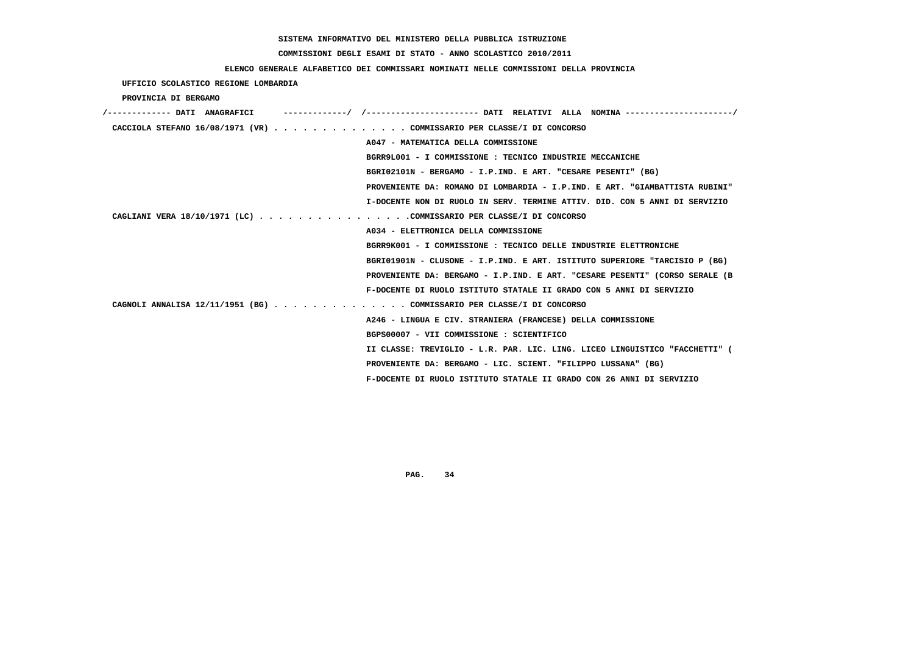# **COMMISSIONI DEGLI ESAMI DI STATO - ANNO SCOLASTICO 2010/2011**

# **ELENCO GENERALE ALFABETICO DEI COMMISSARI NOMINATI NELLE COMMISSIONI DELLA PROVINCIA**

 **UFFICIO SCOLASTICO REGIONE LOMBARDIA**

 **PROVINCIA DI BERGAMO**

| /------------- DATI ANAGRAFICI | ---------/ /--------------------- DATI RELATIVI ALLA NOMINA---------------------/ |
|--------------------------------|-----------------------------------------------------------------------------------|
|                                | CACCIOLA STEFANO $16/08/1971$ (VR) COMMISSARIO PER CLASSE/I DI CONCORSO           |
|                                | A047 - MATEMATICA DELLA COMMISSIONE                                               |
|                                | BGRR9L001 - I COMMISSIONE: TECNICO INDUSTRIE MECCANICHE                           |
|                                | BGRI02101N - BERGAMO - I.P.IND. E ART. "CESARE PESENTI" (BG)                      |
|                                | PROVENIENTE DA: ROMANO DI LOMBARDIA - I.P.IND. E ART. "GIAMBATTISTA RUBINI"       |
|                                | I-DOCENTE NON DI RUOLO IN SERV. TERMINE ATTIV. DID. CON 5 ANNI DI SERVIZIO        |
|                                | CAGLIANI VERA 18/10/1971 (LC) COMMISSARIO PER CLASSE/I DI CONCORSO                |
|                                | A034 - ELETTRONICA DELLA COMMISSIONE                                              |
|                                | BGRR9K001 - I COMMISSIONE : TECNICO DELLE INDUSTRIE ELETTRONICHE                  |
|                                | BGRI01901N - CLUSONE - I.P.IND. E ART. ISTITUTO SUPERIORE "TARCISIO P (BG)        |
|                                | PROVENIENTE DA: BERGAMO - I.P.IND. E ART. "CESARE PESENTI" (CORSO SERALE (B       |
|                                | F-DOCENTE DI RUOLO ISTITUTO STATALE II GRADO CON 5 ANNI DI SERVIZIO               |
|                                | CAGNOLI ANNALISA 12/11/1951 (BG) COMMISSARIO PER CLASSE/I DI CONCORSO             |
|                                | A246 - LINGUA E CIV. STRANIERA (FRANCESE) DELLA COMMISSIONE                       |
|                                | BGPS00007 - VII COMMISSIONE : SCIENTIFICO                                         |
|                                | II CLASSE: TREVIGLIO - L.R. PAR. LIC. LING. LICEO LINGUISTICO "FACCHETTI" (       |
|                                | PROVENIENTE DA: BERGAMO - LIC. SCIENT. "FILIPPO LUSSANA" (BG)                     |
|                                | F-DOCENTE DI RUOLO ISTITUTO STATALE II GRADO CON 26 ANNI DI SERVIZIO              |
|                                |                                                                                   |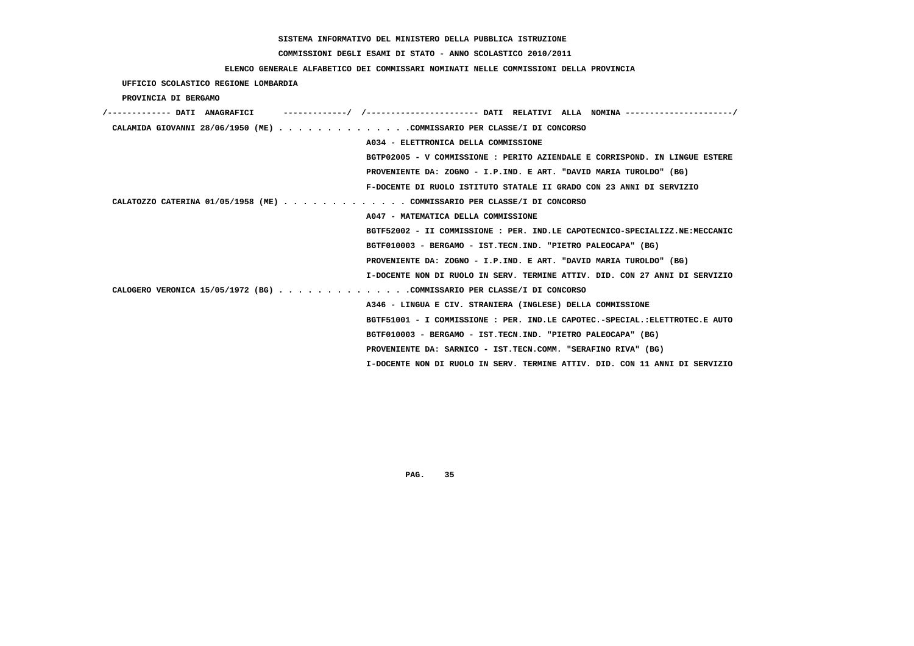# **COMMISSIONI DEGLI ESAMI DI STATO - ANNO SCOLASTICO 2010/2011**

## **ELENCO GENERALE ALFABETICO DEI COMMISSARI NOMINATI NELLE COMMISSIONI DELLA PROVINCIA**

 **UFFICIO SCOLASTICO REGIONE LOMBARDIA**

 **PROVINCIA DI BERGAMO**

| /------------- DATI ANAGRAFICI                                          | ----------/ /--------------------- DATI RELATIVI ALLA NOMINA--------------------/ |
|-------------------------------------------------------------------------|-----------------------------------------------------------------------------------|
| CALAMIDA GIOVANNI 28/06/1950 (ME) COMMISSARIO PER CLASSE/I DI CONCORSO  |                                                                                   |
|                                                                         | A034 - ELETTRONICA DELLA COMMISSIONE                                              |
|                                                                         | BGTP02005 - V COMMISSIONE: PERITO AZIENDALE E CORRISPOND. IN LINGUE ESTERE        |
|                                                                         | PROVENIENTE DA: ZOGNO - I.P.IND. E ART. "DAVID MARIA TUROLDO" (BG)                |
|                                                                         | F-DOCENTE DI RUOLO ISTITUTO STATALE II GRADO CON 23 ANNI DI SERVIZIO              |
| CALATOZZO CATERINA 01/05/1958 (ME) COMMISSARIO PER CLASSE/I DI CONCORSO |                                                                                   |
|                                                                         | A047 - MATEMATICA DELLA COMMISSIONE                                               |
|                                                                         | BGTF52002 - II COMMISSIONE : PER. IND.LE CAPOTECNICO-SPECIALIZZ.NE:MECCANIC       |
|                                                                         | BGTF010003 - BERGAMO - IST.TECN.IND. "PIETRO PALEOCAPA" (BG)                      |
|                                                                         | PROVENIENTE DA: ZOGNO - I.P.IND. E ART. "DAVID MARIA TUROLDO" (BG)                |
|                                                                         | I-DOCENTE NON DI RUOLO IN SERV. TERMINE ATTIV. DID. CON 27 ANNI DI SERVIZIO       |
| CALOGERO VERONICA 15/05/1972 (BG) COMMISSARIO PER CLASSE/I DI CONCORSO  |                                                                                   |
|                                                                         | A346 - LINGUA E CIV. STRANIERA (INGLESE) DELLA COMMISSIONE                        |
|                                                                         | BGTF51001 - I COMMISSIONE: PER. IND.LE CAPOTEC.-SPECIAL.:ELETTROTEC.E AUTO        |
|                                                                         | BGTF010003 - BERGAMO - IST.TECN.IND. "PIETRO PALEOCAPA" (BG)                      |
|                                                                         | PROVENIENTE DA: SARNICO - IST.TECN.COMM. "SERAFINO RIVA" (BG)                     |
|                                                                         | I-DOCENTE NON DI RUOLO IN SERV. TERMINE ATTIV. DID. CON 11 ANNI DI SERVIZIO       |
|                                                                         |                                                                                   |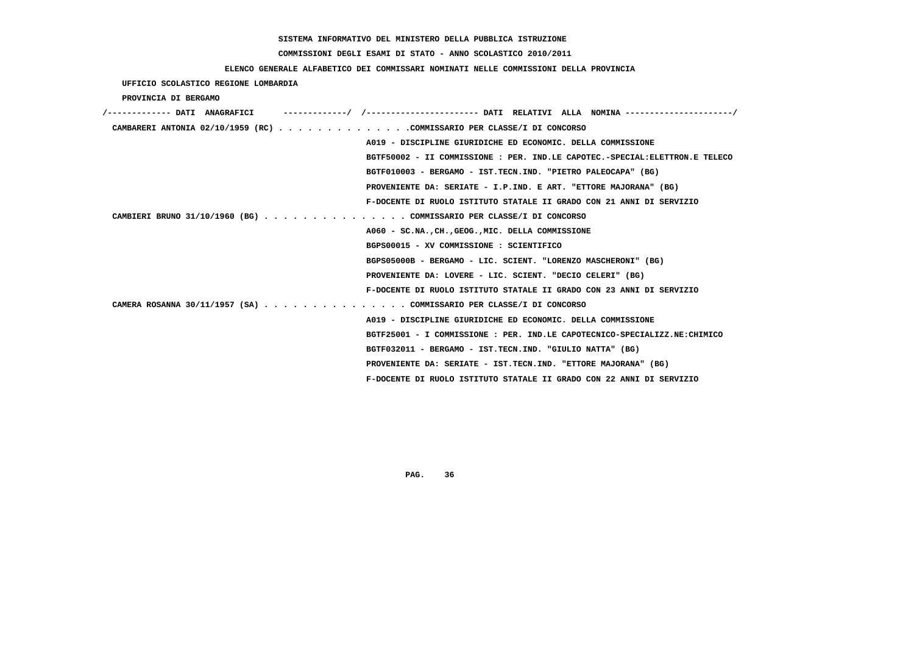# **COMMISSIONI DEGLI ESAMI DI STATO - ANNO SCOLASTICO 2010/2011**

## **ELENCO GENERALE ALFABETICO DEI COMMISSARI NOMINATI NELLE COMMISSIONI DELLA PROVINCIA**

 **UFFICIO SCOLASTICO REGIONE LOMBARDIA**

 **PROVINCIA DI BERGAMO**

| /------------- DATI ANAGRAFICI                                              |
|-----------------------------------------------------------------------------|
| CAMBARERI ANTONIA 02/10/1959 (RC) COMMISSARIO PER CLASSE/I DI CONCORSO      |
| A019 - DISCIPLINE GIURIDICHE ED ECONOMIC. DELLA COMMISSIONE                 |
| BGTF50002 - II COMMISSIONE : PER. IND.LE CAPOTEC.-SPECIAL:ELETTRON.E TELECO |
| BGTF010003 - BERGAMO - IST.TECN.IND. "PIETRO PALEOCAPA" (BG)                |
| PROVENIENTE DA: SERIATE - I.P.IND. E ART. "ETTORE MAJORANA" (BG)            |
| F-DOCENTE DI RUOLO ISTITUTO STATALE II GRADO CON 21 ANNI DI SERVIZIO        |
| CAMBIERI BRUNO 31/10/1960 (BG) COMMISSARIO PER CLASSE/I DI CONCORSO         |
| A060 - SC.NA., CH., GEOG., MIC. DELLA COMMISSIONE                           |
| BGPS00015 - XV COMMISSIONE : SCIENTIFICO                                    |
| BGPS05000B - BERGAMO - LIC. SCIENT. "LORENZO MASCHERONI" (BG)               |
| PROVENIENTE DA: LOVERE - LIC. SCIENT. "DECIO CELERI" (BG)                   |
| F-DOCENTE DI RUOLO ISTITUTO STATALE II GRADO CON 23 ANNI DI SERVIZIO        |
| CAMERA ROSANNA 30/11/1957 (SA) COMMISSARIO PER CLASSE/I DI CONCORSO         |
| A019 - DISCIPLINE GIURIDICHE ED ECONOMIC. DELLA COMMISSIONE                 |
| BGTF25001 - I COMMISSIONE : PER. IND.LE CAPOTECNICO-SPECIALIZZ.NE:CHIMICO   |
| BGTF032011 - BERGAMO - IST.TECN.IND. "GIULIO NATTA" (BG)                    |
| PROVENIENTE DA: SERIATE - IST.TECN.IND. "ETTORE MAJORANA" (BG)              |
| F-DOCENTE DI RUOLO ISTITUTO STATALE II GRADO CON 22 ANNI DI SERVIZIO        |
|                                                                             |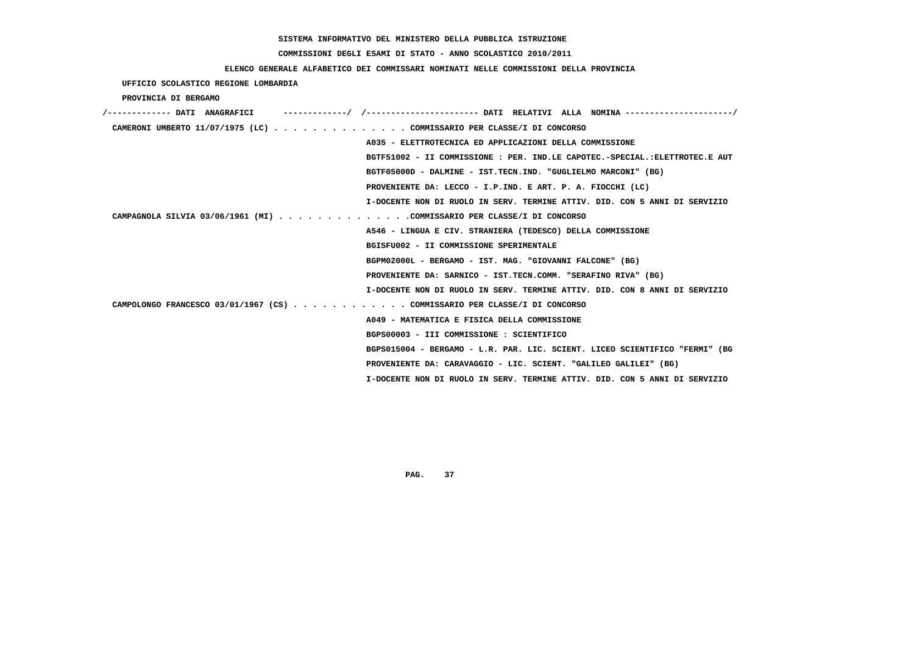# **COMMISSIONI DEGLI ESAMI DI STATO - ANNO SCOLASTICO 2010/2011**

## **ELENCO GENERALE ALFABETICO DEI COMMISSARI NOMINATI NELLE COMMISSIONI DELLA PROVINCIA**

 **UFFICIO SCOLASTICO REGIONE LOMBARDIA**

 **PROVINCIA DI BERGAMO**

| /------------- DATI ANAGRAFICI | -----------/ /--------------------- DATI RELATIVI ALLA NOMINA --------------------/ |
|--------------------------------|-------------------------------------------------------------------------------------|
|                                | CAMERONI UMBERTO 11/07/1975 (LC) COMMISSARIO PER CLASSE/I DI CONCORSO               |
|                                | A035 - ELETTROTECNICA ED APPLICAZIONI DELLA COMMISSIONE                             |
|                                | BGTF51002 - II COMMISSIONE : PER. IND.LE CAPOTEC.-SPECIAL.:ELETTROTEC.E AUT         |
|                                | BGTF05000D - DALMINE - IST.TECN.IND. "GUGLIELMO MARCONI" (BG)                       |
|                                | PROVENIENTE DA: LECCO - I.P.IND. E ART. P. A. FIOCCHI (LC)                          |
|                                | I-DOCENTE NON DI RUOLO IN SERV. TERMINE ATTIV. DID. CON 5 ANNI DI SERVIZIO          |
|                                | CAMPAGNOLA SILVIA 03/06/1961 (MI) COMMISSARIO PER CLASSE/I DI CONCORSO              |
|                                | A546 - LINGUA E CIV. STRANIERA (TEDESCO) DELLA COMMISSIONE                          |
|                                | BGISFU002 - II COMMISSIONE SPERIMENTALE                                             |
|                                | BGPM02000L - BERGAMO - IST. MAG. "GIOVANNI FALCONE" (BG)                            |
|                                | PROVENIENTE DA: SARNICO - IST.TECN.COMM. "SERAFINO RIVA" (BG)                       |
|                                | I-DOCENTE NON DI RUOLO IN SERV. TERMINE ATTIV. DID. CON 8 ANNI DI SERVIZIO          |
|                                | CAMPOLONGO FRANCESCO 03/01/1967 (CS) COMMISSARIO PER CLASSE/I DI CONCORSO           |
|                                | A049 - MATEMATICA E FISICA DELLA COMMISSIONE                                        |
|                                | BGPS00003 - III COMMISSIONE : SCIENTIFICO                                           |
|                                | BGPS015004 - BERGAMO - L.R. PAR. LIC. SCIENT. LICEO SCIENTIFICO "FERMI" (BG         |
|                                | PROVENIENTE DA: CARAVAGGIO - LIC. SCIENT. "GALILEO GALILEI" (BG)                    |
|                                | I-DOCENTE NON DI RUOLO IN SERV. TERMINE ATTIV. DID. CON 5 ANNI DI SERVIZIO          |
|                                |                                                                                     |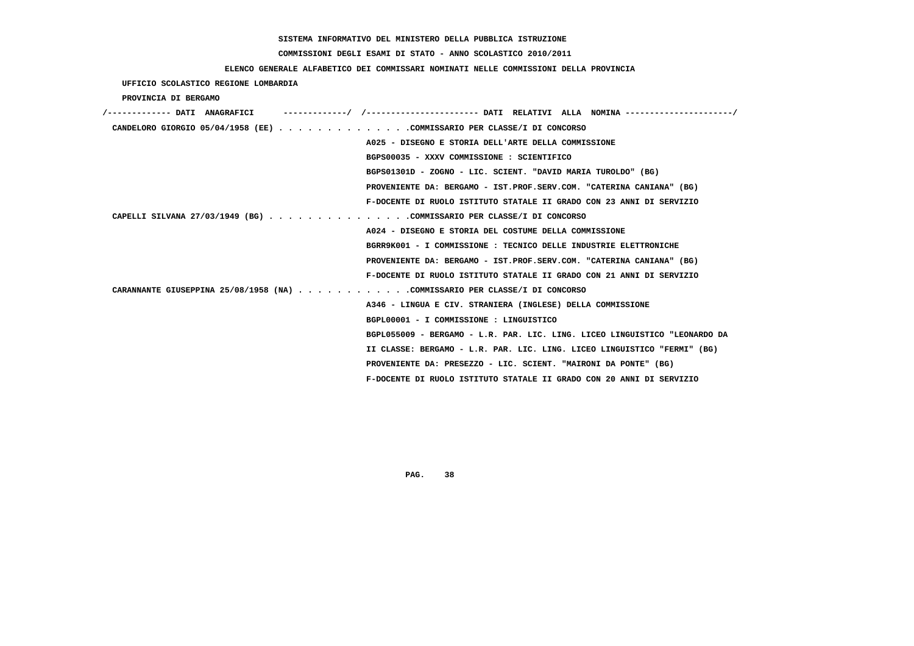# **COMMISSIONI DEGLI ESAMI DI STATO - ANNO SCOLASTICO 2010/2011**

### **ELENCO GENERALE ALFABETICO DEI COMMISSARI NOMINATI NELLE COMMISSIONI DELLA PROVINCIA**

 **UFFICIO SCOLASTICO REGIONE LOMBARDIA**

 **PROVINCIA DI BERGAMO**

| /------------- DATI ANAGRAFICI                                             |
|----------------------------------------------------------------------------|
| CANDELORO GIORGIO 05/04/1958 (EE) COMMISSARIO PER CLASSE/I DI CONCORSO     |
| A025 - DISEGNO E STORIA DELL'ARTE DELLA COMMISSIONE                        |
| BGPS00035 - XXXV COMMISSIONE : SCIENTIFICO                                 |
| BGPS01301D - ZOGNO - LIC. SCIENT. "DAVID MARIA TUROLDO" (BG)               |
| PROVENIENTE DA: BERGAMO - IST.PROF.SERV.COM. "CATERINA CANIANA" (BG)       |
| F-DOCENTE DI RUOLO ISTITUTO STATALE II GRADO CON 23 ANNI DI SERVIZIO       |
| CAPELLI SILVANA 27/03/1949 (BG) COMMISSARIO PER CLASSE/I DI CONCORSO       |
| A024 - DISEGNO E STORIA DEL COSTUME DELLA COMMISSIONE                      |
| BGRR9K001 - I COMMISSIONE : TECNICO DELLE INDUSTRIE ELETTRONICHE           |
| PROVENIENTE DA: BERGAMO - IST.PROF.SERV.COM. "CATERINA CANIANA" (BG)       |
| F-DOCENTE DI RUOLO ISTITUTO STATALE II GRADO CON 21 ANNI DI SERVIZIO       |
| CARANNANTE GIUSEPPINA 25/08/1958 (NA) COMMISSARIO PER CLASSE/I DI CONCORSO |
| A346 - LINGUA E CIV. STRANIERA (INGLESE) DELLA COMMISSIONE                 |
| BGPL00001 - I COMMISSIONE : LINGUISTICO                                    |
| BGPL055009 - BERGAMO - L.R. PAR. LIC. LING. LICEO LINGUISTICO "LEONARDO DA |
| II CLASSE: BERGAMO - L.R. PAR. LIC. LING. LICEO LINGUISTICO "FERMI" (BG)   |
| PROVENIENTE DA: PRESEZZO - LIC. SCIENT. "MAIRONI DA PONTE" (BG)            |
| F-DOCENTE DI RUOLO ISTITUTO STATALE II GRADO CON 20 ANNI DI SERVIZIO       |
|                                                                            |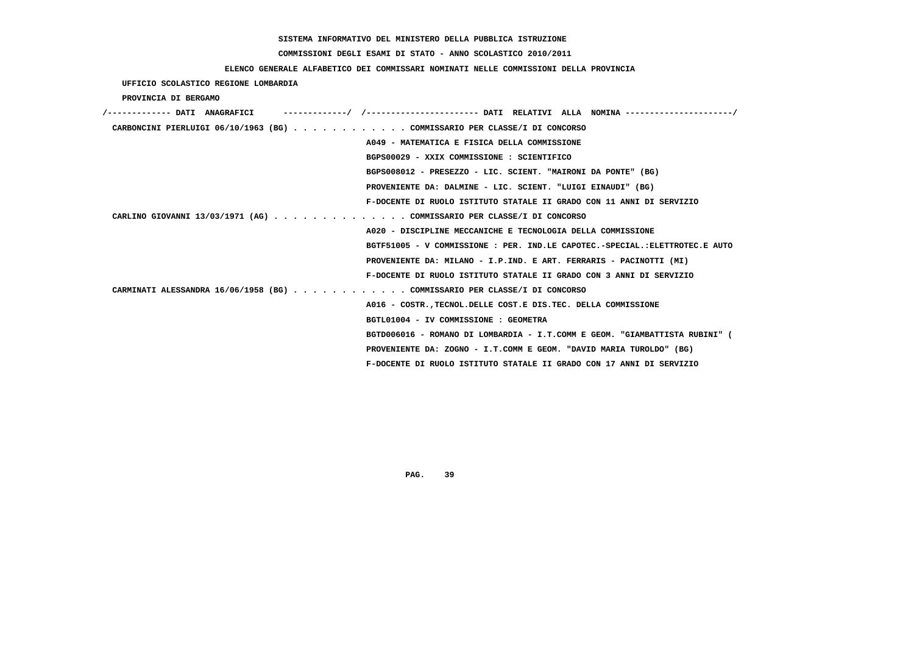# **COMMISSIONI DEGLI ESAMI DI STATO - ANNO SCOLASTICO 2010/2011**

### **ELENCO GENERALE ALFABETICO DEI COMMISSARI NOMINATI NELLE COMMISSIONI DELLA PROVINCIA**

 **UFFICIO SCOLASTICO REGIONE LOMBARDIA**

 **PROVINCIA DI BERGAMO**

| /------------- DATI ANAGRAFICI                                            |                                                                             |
|---------------------------------------------------------------------------|-----------------------------------------------------------------------------|
| CARBONCINI PIERLUIGI 06/10/1963 (BG) COMMISSARIO PER CLASSE/I DI CONCORSO |                                                                             |
|                                                                           | A049 - MATEMATICA E FISICA DELLA COMMISSIONE                                |
|                                                                           | BGPS00029 - XXIX COMMISSIONE : SCIENTIFICO                                  |
|                                                                           | BGPS008012 - PRESEZZO - LIC. SCIENT. "MAIRONI DA PONTE" (BG)                |
|                                                                           | PROVENIENTE DA: DALMINE - LIC. SCIENT. "LUIGI EINAUDI" (BG)                 |
|                                                                           | F-DOCENTE DI RUOLO ISTITUTO STATALE II GRADO CON 11 ANNI DI SERVIZIO        |
| CARLINO GIOVANNI 13/03/1971 (AG) COMMISSARIO PER CLASSE/I DI CONCORSO     |                                                                             |
|                                                                           | A020 - DISCIPLINE MECCANICHE E TECNOLOGIA DELLA COMMISSIONE                 |
|                                                                           | BGTF51005 - V COMMISSIONE : PER. IND.LE CAPOTEC.-SPECIAL.:ELETTROTEC.E AUTO |
|                                                                           | PROVENIENTE DA: MILANO - I.P.IND. E ART. FERRARIS - PACINOTTI (MI)          |
|                                                                           | F-DOCENTE DI RUOLO ISTITUTO STATALE II GRADO CON 3 ANNI DI SERVIZIO         |
| CARMINATI ALESSANDRA 16/06/1958 (BG) COMMISSARIO PER CLASSE/I DI CONCORSO |                                                                             |
|                                                                           | A016 - COSTR., TECNOL. DELLE COST. E DIS. TEC. DELLA COMMISSIONE            |
|                                                                           | BGTL01004 - IV COMMISSIONE : GEOMETRA                                       |
|                                                                           | BGTD006016 - ROMANO DI LOMBARDIA - I.T.COMM E GEOM. "GIAMBATTISTA RUBINI" ( |
|                                                                           | PROVENIENTE DA: ZOGNO - I.T.COMM E GEOM. "DAVID MARIA TUROLDO" (BG)         |
|                                                                           | F-DOCENTE DI RUOLO ISTITUTO STATALE II GRADO CON 17 ANNI DI SERVIZIO        |
|                                                                           |                                                                             |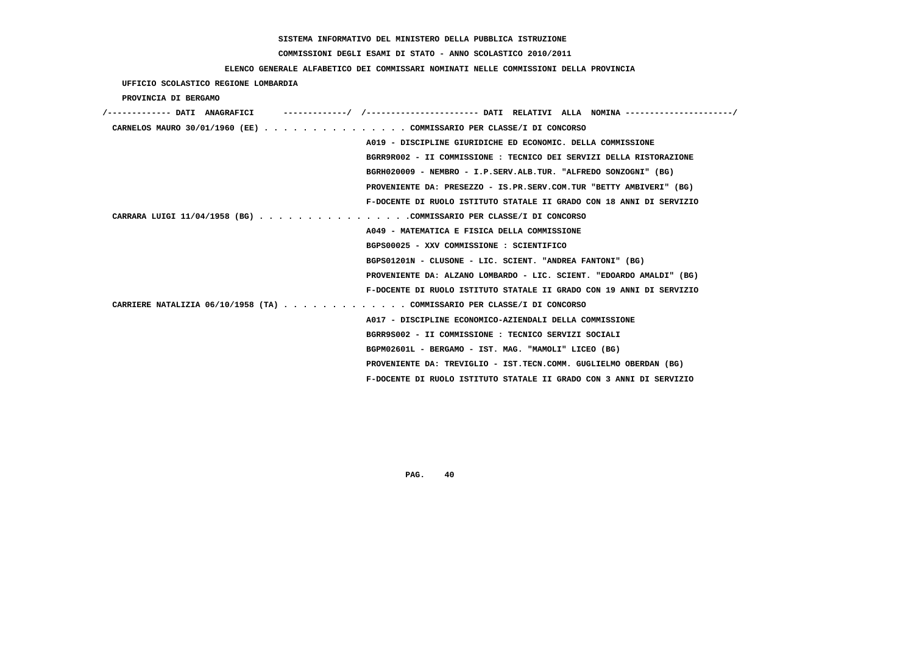# **COMMISSIONI DEGLI ESAMI DI STATO - ANNO SCOLASTICO 2010/2011**

### **ELENCO GENERALE ALFABETICO DEI COMMISSARI NOMINATI NELLE COMMISSIONI DELLA PROVINCIA**

 **UFFICIO SCOLASTICO REGIONE LOMBARDIA**

 **PROVINCIA DI BERGAMO**

| /------------- DATI ANAGRAFICI |                                                                         |
|--------------------------------|-------------------------------------------------------------------------|
|                                | CARNELOS MAURO 30/01/1960 (EE) COMMISSARIO PER CLASSE/I DI CONCORSO     |
|                                | A019 - DISCIPLINE GIURIDICHE ED ECONOMIC. DELLA COMMISSIONE             |
|                                | BGRR9R002 - II COMMISSIONE : TECNICO DEI SERVIZI DELLA RISTORAZIONE     |
|                                | BGRH020009 - NEMBRO - I.P.SERV.ALB.TUR. "ALFREDO SONZOGNI" (BG)         |
|                                | PROVENIENTE DA: PRESEZZO - IS.PR.SERV.COM.TUR "BETTY AMBIVERI" (BG)     |
|                                | F-DOCENTE DI RUOLO ISTITUTO STATALE II GRADO CON 18 ANNI DI SERVIZIO    |
|                                | CARRARA LUIGI 11/04/1958 (BG) COMMISSARIO PER CLASSE/I DI CONCORSO      |
|                                | A049 - MATEMATICA E FISICA DELLA COMMISSIONE                            |
|                                | BGPS00025 - XXV COMMISSIONE : SCIENTIFICO                               |
|                                | BGPS01201N - CLUSONE - LIC. SCIENT. "ANDREA FANTONI" (BG)               |
|                                | PROVENIENTE DA: ALZANO LOMBARDO - LIC. SCIENT. "EDOARDO AMALDI" (BG)    |
|                                | F-DOCENTE DI RUOLO ISTITUTO STATALE II GRADO CON 19 ANNI DI SERVIZIO    |
|                                | CARRIERE NATALIZIA 06/10/1958 (TA) COMMISSARIO PER CLASSE/I DI CONCORSO |
|                                | A017 - DISCIPLINE ECONOMICO-AZIENDALI DELLA COMMISSIONE                 |
|                                | BGRR9S002 - II COMMISSIONE : TECNICO SERVIZI SOCIALI                    |
|                                | BGPM02601L - BERGAMO - IST. MAG. "MAMOLI" LICEO (BG)                    |
|                                | PROVENIENTE DA: TREVIGLIO - IST.TECN.COMM. GUGLIELMO OBERDAN (BG)       |
|                                | F-DOCENTE DI RUOLO ISTITUTO STATALE II GRADO CON 3 ANNI DI SERVIZIO     |
|                                |                                                                         |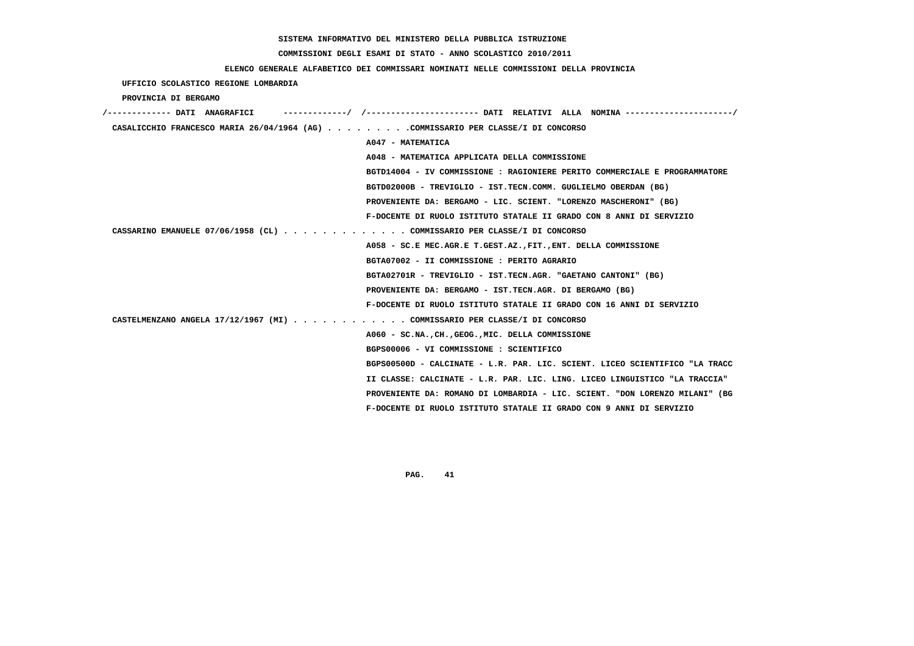# **COMMISSIONI DEGLI ESAMI DI STATO - ANNO SCOLASTICO 2010/2011**

### **ELENCO GENERALE ALFABETICO DEI COMMISSARI NOMINATI NELLE COMMISSIONI DELLA PROVINCIA**

 **UFFICIO SCOLASTICO REGIONE LOMBARDIA**

 **PROVINCIA DI BERGAMO**

| /------------ DATI ANAGRAFICI                                                    | ----------/ /--------------------- DATI RELATIVI ALLA NOMINA --------------------/ |
|----------------------------------------------------------------------------------|------------------------------------------------------------------------------------|
| CASALICCHIO FRANCESCO MARIA 26/04/1964 (AG) COMMISSARIO PER CLASSE/I DI CONCORSO |                                                                                    |
|                                                                                  | A047 - MATEMATICA                                                                  |
|                                                                                  | A048 - MATEMATICA APPLICATA DELLA COMMISSIONE                                      |
|                                                                                  | BGTD14004 - IV COMMISSIONE : RAGIONIERE PERITO COMMERCIALE E PROGRAMMATORE         |
|                                                                                  | BGTD02000B - TREVIGLIO - IST.TECN.COMM. GUGLIELMO OBERDAN (BG)                     |
|                                                                                  | PROVENIENTE DA: BERGAMO - LIC. SCIENT. "LORENZO MASCHERONI" (BG)                   |
|                                                                                  | F-DOCENTE DI RUOLO ISTITUTO STATALE II GRADO CON 8 ANNI DI SERVIZIO                |
| CASSARINO EMANUELE 07/06/1958 (CL) COMMISSARIO PER CLASSE/I DI CONCORSO          |                                                                                    |
|                                                                                  | A058 - SC.E MEC.AGR.E T.GEST.AZ., FIT., ENT. DELLA COMMISSIONE                     |
|                                                                                  | BGTA07002 - II COMMISSIONE : PERITO AGRARIO                                        |
|                                                                                  | BGTA02701R - TREVIGLIO - IST.TECN.AGR. "GAETANO CANTONI" (BG)                      |
|                                                                                  | PROVENIENTE DA: BERGAMO - IST.TECN.AGR. DI BERGAMO (BG)                            |
|                                                                                  | F-DOCENTE DI RUOLO ISTITUTO STATALE II GRADO CON 16 ANNI DI SERVIZIO               |
| CASTELMENZANO ANGELA 17/12/1967 (MI) COMMISSARIO PER CLASSE/I DI CONCORSO        |                                                                                    |
|                                                                                  | A060 - SC.NA., CH., GEOG., MIC. DELLA COMMISSIONE                                  |
|                                                                                  | BGPS00006 - VI COMMISSIONE : SCIENTIFICO                                           |
|                                                                                  | BGPS00500D - CALCINATE - L.R. PAR. LIC. SCIENT. LICEO SCIENTIFICO "LA TRACC        |
|                                                                                  | II CLASSE: CALCINATE - L.R. PAR. LIC. LING. LICEO LINGUISTICO "LA TRACCIA"         |
|                                                                                  | PROVENIENTE DA: ROMANO DI LOMBARDIA - LIC. SCIENT. "DON LORENZO MILANI" (BG        |
|                                                                                  | F-DOCENTE DI RUOLO ISTITUTO STATALE II GRADO CON 9 ANNI DI SERVIZIO                |
|                                                                                  |                                                                                    |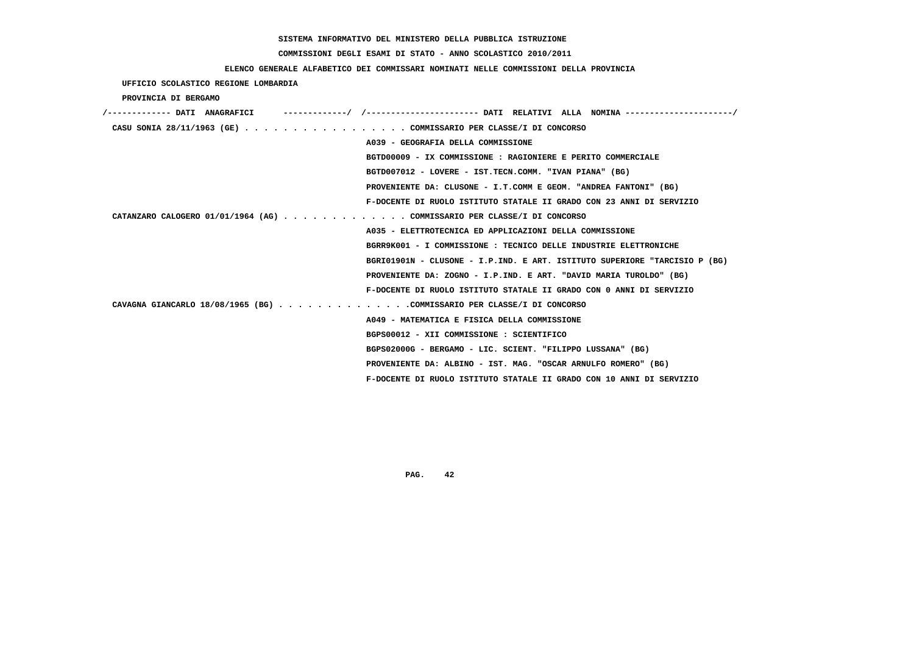# **COMMISSIONI DEGLI ESAMI DI STATO - ANNO SCOLASTICO 2010/2011**

## **ELENCO GENERALE ALFABETICO DEI COMMISSARI NOMINATI NELLE COMMISSIONI DELLA PROVINCIA**

 **UFFICIO SCOLASTICO REGIONE LOMBARDIA**

 **PROVINCIA DI BERGAMO**

| /------------- DATI ANAGRAFICI                                          | ----------/ /--------------------- DATI RELATIVI ALLA NOMINA--------------------/ |
|-------------------------------------------------------------------------|-----------------------------------------------------------------------------------|
| CASU SONIA 28/11/1963 (GE) COMMISSARIO PER CLASSE/I DI CONCORSO         |                                                                                   |
|                                                                         | A039 - GEOGRAFIA DELLA COMMISSIONE                                                |
|                                                                         | BGTD00009 - IX COMMISSIONE : RAGIONIERE E PERITO COMMERCIALE                      |
|                                                                         | BGTD007012 - LOVERE - IST.TECN.COMM. "IVAN PIANA" (BG)                            |
|                                                                         | PROVENIENTE DA: CLUSONE - I.T.COMM E GEOM. "ANDREA FANTONI" (BG)                  |
|                                                                         | F-DOCENTE DI RUOLO ISTITUTO STATALE II GRADO CON 23 ANNI DI SERVIZIO              |
| CATANZARO CALOGERO 01/01/1964 (AG) COMMISSARIO PER CLASSE/I DI CONCORSO |                                                                                   |
|                                                                         | A035 - ELETTROTECNICA ED APPLICAZIONI DELLA COMMISSIONE                           |
|                                                                         | BGRR9K001 - I COMMISSIONE : TECNICO DELLE INDUSTRIE ELETTRONICHE                  |
|                                                                         | BGRI01901N - CLUSONE - I.P.IND. E ART. ISTITUTO SUPERIORE "TARCISIO P (BG)        |
|                                                                         | PROVENIENTE DA: ZOGNO - I.P.IND. E ART. "DAVID MARIA TUROLDO" (BG)                |
|                                                                         | F-DOCENTE DI RUOLO ISTITUTO STATALE II GRADO CON 0 ANNI DI SERVIZIO               |
| CAVAGNA GIANCARLO 18/08/1965 (BG) COMMISSARIO PER CLASSE/I DI CONCORSO  |                                                                                   |
|                                                                         | A049 - MATEMATICA E FISICA DELLA COMMISSIONE                                      |
|                                                                         | BGPS00012 - XII COMMISSIONE : SCIENTIFICO                                         |
|                                                                         | BGPS02000G - BERGAMO - LIC. SCIENT. "FILIPPO LUSSANA" (BG)                        |
|                                                                         | PROVENIENTE DA: ALBINO - IST. MAG. "OSCAR ARNULFO ROMERO" (BG)                    |
|                                                                         | F-DOCENTE DI RUOLO ISTITUTO STATALE II GRADO CON 10 ANNI DI SERVIZIO              |
|                                                                         |                                                                                   |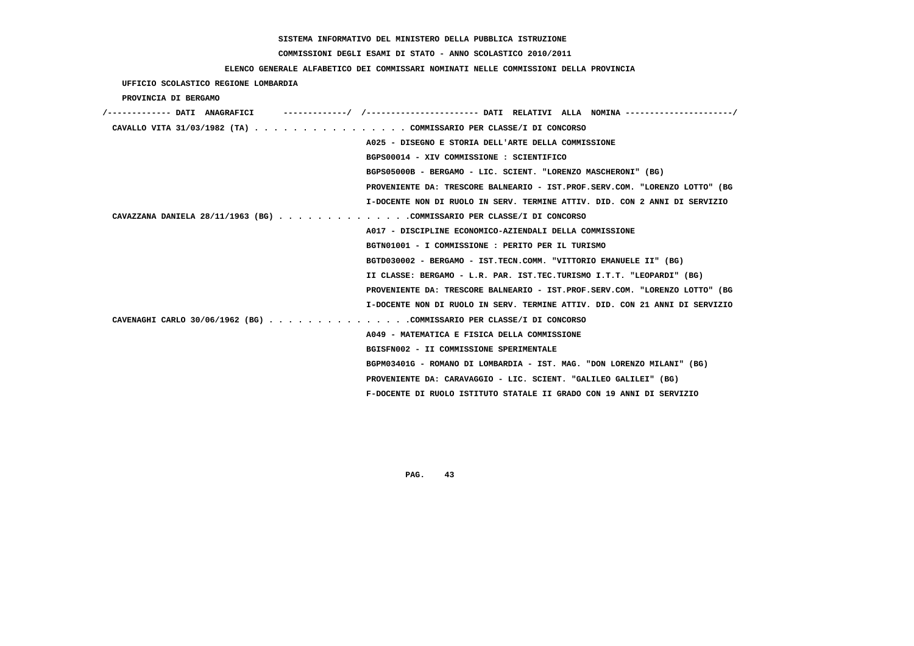#### **COMMISSIONI DEGLI ESAMI DI STATO - ANNO SCOLASTICO 2010/2011**

#### **ELENCO GENERALE ALFABETICO DEI COMMISSARI NOMINATI NELLE COMMISSIONI DELLA PROVINCIA**

 **UFFICIO SCOLASTICO REGIONE LOMBARDIA PROVINCIA DI BERGAMO /------------- DATI ANAGRAFICI -------------/ /----------------------- DATI RELATIVI ALLA NOMINA ----------------------/ CAVALLO VITA 31/03/1982 (TA) . . . . . . . . . . . . . . . . COMMISSARIO PER CLASSE/I DI CONCORSO A025 - DISEGNO E STORIA DELL'ARTE DELLA COMMISSIONE BGPS00014 - XIV COMMISSIONE : SCIENTIFICO BGPS05000B - BERGAMO - LIC. SCIENT. "LORENZO MASCHERONI" (BG) PROVENIENTE DA: TRESCORE BALNEARIO - IST.PROF.SERV.COM. "LORENZO LOTTO" (BG I-DOCENTE NON DI RUOLO IN SERV. TERMINE ATTIV. DID. CON 2 ANNI DI SERVIZIO CAVAZZANA DANIELA 28/11/1963 (BG) . . . . . . . . . . . . . .COMMISSARIO PER CLASSE/I DI CONCORSO A017 - DISCIPLINE ECONOMICO-AZIENDALI DELLA COMMISSIONE BGTN01001 - I COMMISSIONE : PERITO PER IL TURISMO BGTD030002 - BERGAMO - IST.TECN.COMM. "VITTORIO EMANUELE II" (BG) II CLASSE: BERGAMO - L.R. PAR. IST.TEC.TURISMO I.T.T. "LEOPARDI" (BG) PROVENIENTE DA: TRESCORE BALNEARIO - IST.PROF.SERV.COM. "LORENZO LOTTO" (BG I-DOCENTE NON DI RUOLO IN SERV. TERMINE ATTIV. DID. CON 21 ANNI DI SERVIZIO CAVENAGHI CARLO 30/06/1962 (BG) . . . . . . . . . . . . . . .COMMISSARIO PER CLASSE/I DI CONCORSO A049 - MATEMATICA E FISICA DELLA COMMISSIONE BGISFN002 - II COMMISSIONE SPERIMENTALE BGPM03401G - ROMANO DI LOMBARDIA - IST. MAG. "DON LORENZO MILANI" (BG) PROVENIENTE DA: CARAVAGGIO - LIC. SCIENT. "GALILEO GALILEI" (BG) F-DOCENTE DI RUOLO ISTITUTO STATALE II GRADO CON 19 ANNI DI SERVIZIO**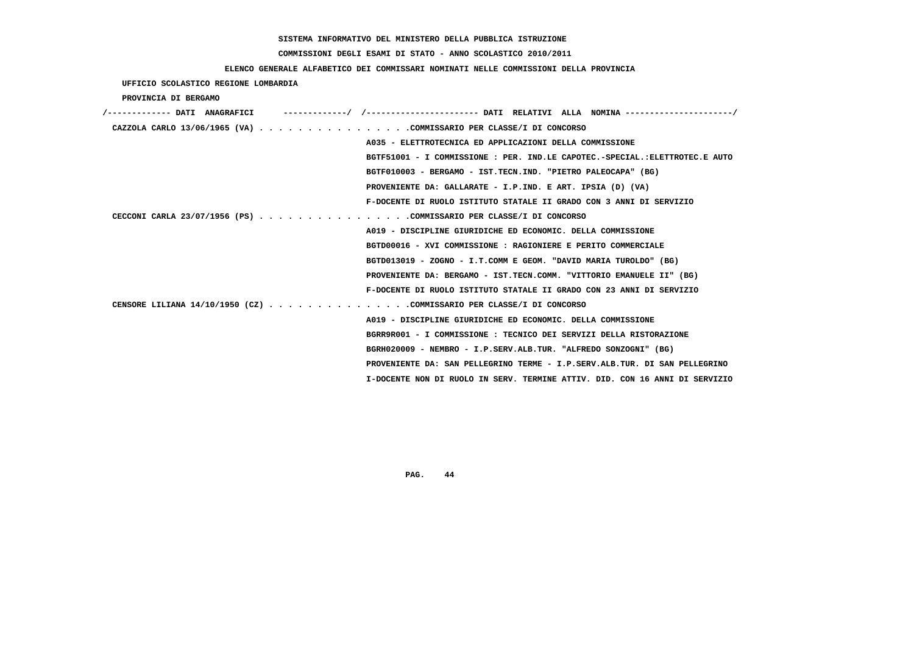# **COMMISSIONI DEGLI ESAMI DI STATO - ANNO SCOLASTICO 2010/2011**

### **ELENCO GENERALE ALFABETICO DEI COMMISSARI NOMINATI NELLE COMMISSIONI DELLA PROVINCIA**

 **UFFICIO SCOLASTICO REGIONE LOMBARDIA**

 **PROVINCIA DI BERGAMO**

| /------------- DATI ANAGRAFICI                                       |                                                                             |
|----------------------------------------------------------------------|-----------------------------------------------------------------------------|
| CAZZOLA CARLO 13/06/1965 (VA) COMMISSARIO PER CLASSE/I DI CONCORSO   |                                                                             |
|                                                                      | A035 - ELETTROTECNICA ED APPLICAZIONI DELLA COMMISSIONE                     |
|                                                                      | BGTF51001 - I COMMISSIONE : PER. IND.LE CAPOTEC.-SPECIAL.:ELETTROTEC.E AUTO |
|                                                                      | BGTF010003 - BERGAMO - IST.TECN.IND. "PIETRO PALEOCAPA" (BG)                |
|                                                                      | PROVENIENTE DA: GALLARATE - I.P.IND. E ART. IPSIA (D) (VA)                  |
|                                                                      | F-DOCENTE DI RUOLO ISTITUTO STATALE II GRADO CON 3 ANNI DI SERVIZIO         |
| CECCONI CARLA 23/07/1956 (PS) COMMISSARIO PER CLASSE/I DI CONCORSO   |                                                                             |
|                                                                      | A019 - DISCIPLINE GIURIDICHE ED ECONOMIC. DELLA COMMISSIONE                 |
|                                                                      | BGTD00016 - XVI COMMISSIONE : RAGIONIERE E PERITO COMMERCIALE               |
|                                                                      | BGTD013019 - ZOGNO - I.T.COMM E GEOM. "DAVID MARIA TUROLDO" (BG)            |
|                                                                      | PROVENIENTE DA: BERGAMO - IST.TECN.COMM. "VITTORIO EMANUELE II" (BG)        |
|                                                                      | F-DOCENTE DI RUOLO ISTITUTO STATALE II GRADO CON 23 ANNI DI SERVIZIO        |
| CENSORE LILIANA 14/10/1950 (CZ) COMMISSARIO PER CLASSE/I DI CONCORSO |                                                                             |
|                                                                      | A019 - DISCIPLINE GIURIDICHE ED ECONOMIC. DELLA COMMISSIONE                 |
|                                                                      | BGRR9R001 - I COMMISSIONE : TECNICO DEI SERVIZI DELLA RISTORAZIONE          |
|                                                                      | BGRH020009 - NEMBRO - I.P.SERV.ALB.TUR. "ALFREDO SONZOGNI" (BG)             |
|                                                                      | PROVENIENTE DA: SAN PELLEGRINO TERME - I.P.SERV.ALB.TUR. DI SAN PELLEGRINO  |
|                                                                      | I-DOCENTE NON DI RUOLO IN SERV. TERMINE ATTIV. DID. CON 16 ANNI DI SERVIZIO |
|                                                                      |                                                                             |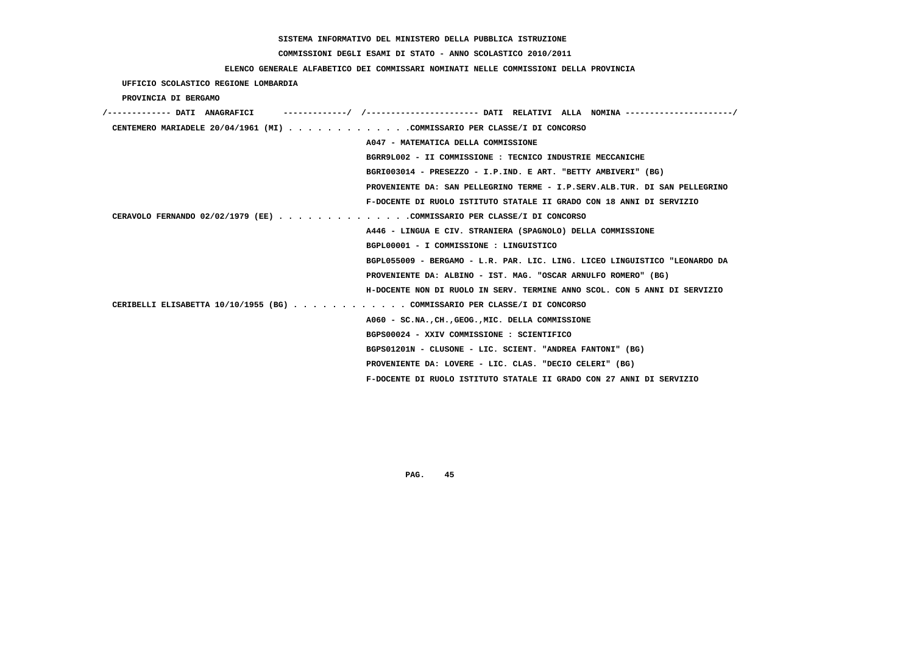# **COMMISSIONI DEGLI ESAMI DI STATO - ANNO SCOLASTICO 2010/2011**

### **ELENCO GENERALE ALFABETICO DEI COMMISSARI NOMINATI NELLE COMMISSIONI DELLA PROVINCIA**

 **UFFICIO SCOLASTICO REGIONE LOMBARDIA**

 **PROVINCIA DI BERGAMO**

| /------------- DATI ANAGRAFICI                                             |
|----------------------------------------------------------------------------|
| CENTEMERO MARIADELE 20/04/1961 (MI) COMMISSARIO PER CLASSE/I DI CONCORSO   |
| A047 - MATEMATICA DELLA COMMISSIONE                                        |
| BGRR9L002 - II COMMISSIONE : TECNICO INDUSTRIE MECCANICHE                  |
| BGRI003014 - PRESEZZO - I.P.IND. E ART. "BETTY AMBIVERI" (BG)              |
| PROVENIENTE DA: SAN PELLEGRINO TERME - I.P.SERV.ALB.TUR. DI SAN PELLEGRINO |
| F-DOCENTE DI RUOLO ISTITUTO STATALE II GRADO CON 18 ANNI DI SERVIZIO       |
| CERAVOLO FERNANDO 02/02/1979 (EE) COMMISSARIO PER CLASSE/I DI CONCORSO     |
| A446 - LINGUA E CIV. STRANIERA (SPAGNOLO) DELLA COMMISSIONE                |
| BGPL00001 - I COMMISSIONE : LINGUISTICO                                    |
| BGPL055009 - BERGAMO - L.R. PAR. LIC. LING. LICEO LINGUISTICO "LEONARDO DA |
| PROVENIENTE DA: ALBINO - IST. MAG. "OSCAR ARNULFO ROMERO" (BG)             |
| H-DOCENTE NON DI RUOLO IN SERV. TERMINE ANNO SCOL. CON 5 ANNI DI SERVIZIO  |
| CERIBELLI ELISABETTA 10/10/1955 (BG) COMMISSARIO PER CLASSE/I DI CONCORSO  |
| A060 - SC.NA., CH., GEOG., MIC. DELLA COMMISSIONE                          |
| BGPS00024 - XXIV COMMISSIONE : SCIENTIFICO                                 |
| BGPS01201N - CLUSONE - LIC. SCIENT. "ANDREA FANTONI" (BG)                  |
| PROVENIENTE DA: LOVERE - LIC. CLAS. "DECIO CELERI" (BG)                    |
| F-DOCENTE DI RUOLO ISTITUTO STATALE II GRADO CON 27 ANNI DI SERVIZIO       |
|                                                                            |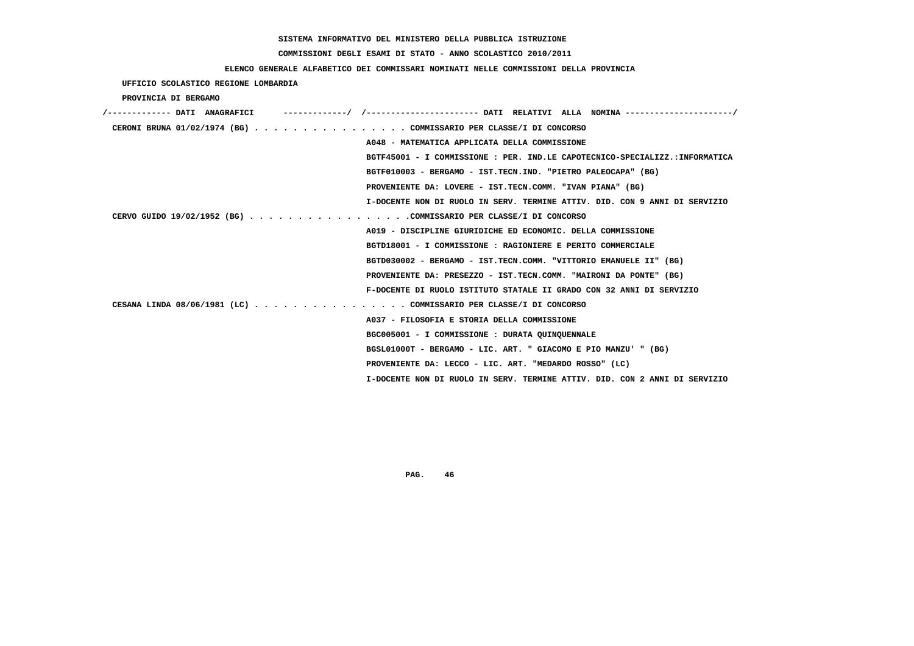# **COMMISSIONI DEGLI ESAMI DI STATO - ANNO SCOLASTICO 2010/2011**

### **ELENCO GENERALE ALFABETICO DEI COMMISSARI NOMINATI NELLE COMMISSIONI DELLA PROVINCIA**

 **UFFICIO SCOLASTICO REGIONE LOMBARDIA**

 **PROVINCIA DI BERGAMO**

| /------------- DATI ANAGRAFICI                                    |                                                                             |
|-------------------------------------------------------------------|-----------------------------------------------------------------------------|
| CERONI BRUNA 01/02/1974 (BG) COMMISSARIO PER CLASSE/I DI CONCORSO |                                                                             |
|                                                                   | A048 - MATEMATICA APPLICATA DELLA COMMISSIONE                               |
|                                                                   | BGTF45001 - I COMMISSIONE : PER. IND.LE CAPOTECNICO-SPECIALIZZ.:INFORMATICA |
|                                                                   | BGTF010003 - BERGAMO - IST.TECN.IND. "PIETRO PALEOCAPA" (BG)                |
|                                                                   | PROVENIENTE DA: LOVERE - IST.TECN.COMM. "IVAN PIANA" (BG)                   |
|                                                                   | I-DOCENTE NON DI RUOLO IN SERV. TERMINE ATTIV. DID. CON 9 ANNI DI SERVIZIO  |
| CERVO GUIDO 19/02/1952 (BG) COMMISSARIO PER CLASSE/I DI CONCORSO  |                                                                             |
|                                                                   | A019 - DISCIPLINE GIURIDICHE ED ECONOMIC. DELLA COMMISSIONE                 |
|                                                                   | BGTD18001 - I COMMISSIONE : RAGIONIERE E PERITO COMMERCIALE                 |
|                                                                   | BGTD030002 - BERGAMO - IST.TECN.COMM. "VITTORIO EMANUELE II" (BG)           |
|                                                                   | PROVENIENTE DA: PRESEZZO - IST.TECN.COMM. "MAIRONI DA PONTE" (BG)           |
|                                                                   | F-DOCENTE DI RUOLO ISTITUTO STATALE II GRADO CON 32 ANNI DI SERVIZIO        |
| CESANA LINDA 08/06/1981 (LC) COMMISSARIO PER CLASSE/I DI CONCORSO |                                                                             |
|                                                                   | A037 - FILOSOFIA E STORIA DELLA COMMISSIONE                                 |
|                                                                   | BGC005001 - I COMMISSIONE : DURATA OUINOUENNALE                             |
|                                                                   | BGSL01000T - BERGAMO - LIC. ART. " GIACOMO E PIO MANZU' " (BG)              |
|                                                                   | PROVENIENTE DA: LECCO - LIC. ART. "MEDARDO ROSSO" (LC)                      |
|                                                                   | I-DOCENTE NON DI RUOLO IN SERV. TERMINE ATTIV. DID. CON 2 ANNI DI SERVIZIO  |
|                                                                   |                                                                             |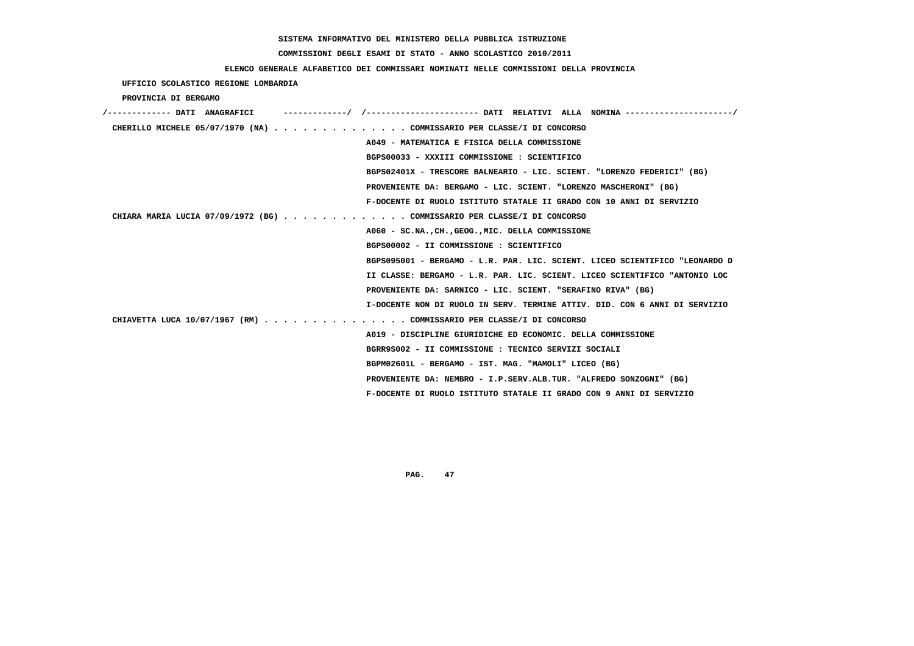# **COMMISSIONI DEGLI ESAMI DI STATO - ANNO SCOLASTICO 2010/2011**

### **ELENCO GENERALE ALFABETICO DEI COMMISSARI NOMINATI NELLE COMMISSIONI DELLA PROVINCIA**

 **UFFICIO SCOLASTICO REGIONE LOMBARDIA**

 **PROVINCIA DI BERGAMO**

| /------------- DATI ANAGRAFICI | -/ /----------------------- DATI RELATIVI ALLA NOMINA ---------------------/ |
|--------------------------------|------------------------------------------------------------------------------|
|                                | CHERILLO MICHELE 05/07/1970 (NA) COMMISSARIO PER CLASSE/I DI CONCORSO        |
|                                | A049 - MATEMATICA E FISICA DELLA COMMISSIONE                                 |
|                                | BGPS00033 - XXXIII COMMISSIONE : SCIENTIFICO                                 |
|                                | BGPS02401X - TRESCORE BALNEARIO - LIC. SCIENT. "LORENZO FEDERICI" (BG)       |
|                                | PROVENIENTE DA: BERGAMO - LIC. SCIENT. "LORENZO MASCHERONI" (BG)             |
|                                | F-DOCENTE DI RUOLO ISTITUTO STATALE II GRADO CON 10 ANNI DI SERVIZIO         |
|                                | CHIARA MARIA LUCIA 07/09/1972 (BG) COMMISSARIO PER CLASSE/I DI CONCORSO      |
|                                | A060 - SC.NA., CH., GEOG., MIC. DELLA COMMISSIONE                            |
|                                | BGPS00002 - II COMMISSIONE : SCIENTIFICO                                     |
|                                | BGPS095001 - BERGAMO - L.R. PAR. LIC. SCIENT. LICEO SCIENTIFICO "LEONARDO D  |
|                                | II CLASSE: BERGAMO - L.R. PAR. LIC. SCIENT. LICEO SCIENTIFICO "ANTONIO LOC   |
|                                | PROVENIENTE DA: SARNICO - LIC. SCIENT. "SERAFINO RIVA" (BG)                  |
|                                | I-DOCENTE NON DI RUOLO IN SERV. TERMINE ATTIV. DID. CON 6 ANNI DI SERVIZIO   |
|                                | CHIAVETTA LUCA 10/07/1967 (RM) COMMISSARIO PER CLASSE/I DI CONCORSO          |
|                                | A019 - DISCIPLINE GIURIDICHE ED ECONOMIC. DELLA COMMISSIONE                  |
|                                | BGRR9S002 - II COMMISSIONE : TECNICO SERVIZI SOCIALI                         |
|                                | BGPM02601L - BERGAMO - IST. MAG. "MAMOLI" LICEO (BG)                         |
|                                | PROVENIENTE DA: NEMBRO - I.P.SERV.ALB.TUR. "ALFREDO SONZOGNI" (BG)           |
|                                | F-DOCENTE DI RUOLO ISTITUTO STATALE II GRADO CON 9 ANNI DI SERVIZIO          |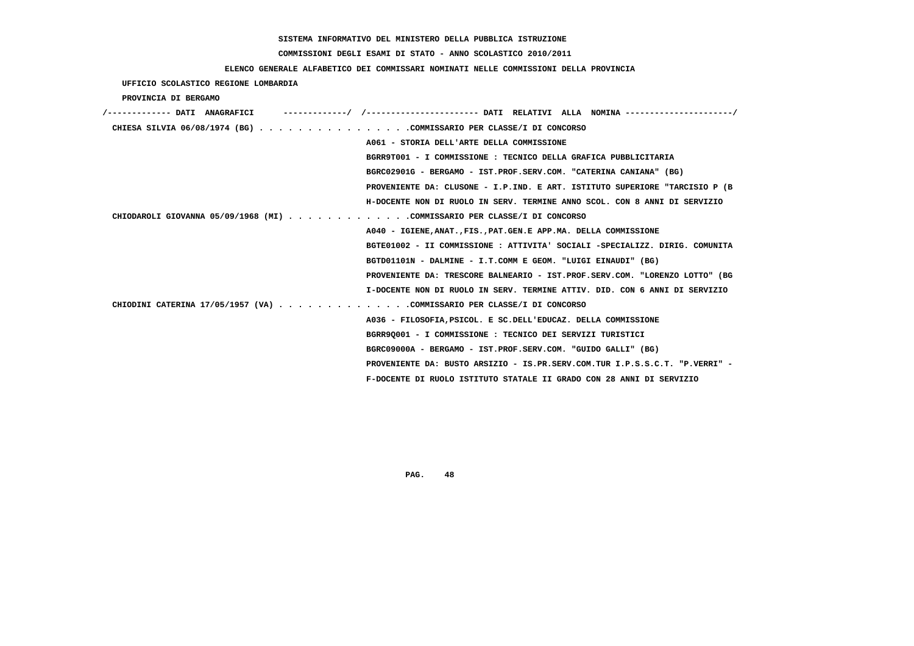# **COMMISSIONI DEGLI ESAMI DI STATO - ANNO SCOLASTICO 2010/2011**

### **ELENCO GENERALE ALFABETICO DEI COMMISSARI NOMINATI NELLE COMMISSIONI DELLA PROVINCIA**

 **UFFICIO SCOLASTICO REGIONE LOMBARDIA**

 **PROVINCIA DI BERGAMO**

| ------------- DATI ANAGRAFICI                                            | ---------/ /--------------------- DATI RELATIVI ALLA NOMINA--------------------/ |
|--------------------------------------------------------------------------|----------------------------------------------------------------------------------|
| CHIESA SILVIA $06/08/1974$ (BG) COMMISSARIO PER CLASSE/I DI CONCORSO     |                                                                                  |
|                                                                          | A061 - STORIA DELL'ARTE DELLA COMMISSIONE                                        |
|                                                                          | BGRR9T001 - I COMMISSIONE : TECNICO DELLA GRAFICA PUBBLICITARIA                  |
|                                                                          | BGRC02901G - BERGAMO - IST.PROF.SERV.COM. "CATERINA CANIANA" (BG)                |
|                                                                          | PROVENIENTE DA: CLUSONE - I.P.IND. E ART. ISTITUTO SUPERIORE "TARCISIO P (B      |
|                                                                          | H-DOCENTE NON DI RUOLO IN SERV. TERMINE ANNO SCOL. CON 8 ANNI DI SERVIZIO        |
| CHIODAROLI GIOVANNA 05/09/1968 (MI) COMMISSARIO PER CLASSE/I DI CONCORSO |                                                                                  |
|                                                                          | A040 - IGIENE, ANAT., FIS., PAT. GEN. E APP. MA. DELLA COMMISSIONE               |
|                                                                          | BGTE01002 - II COMMISSIONE : ATTIVITA' SOCIALI -SPECIALIZZ. DIRIG. COMUNITA      |
|                                                                          | BGTD01101N - DALMINE - I.T.COMM E GEOM. "LUIGI EINAUDI" (BG)                     |
|                                                                          | PROVENIENTE DA: TRESCORE BALNEARIO - IST.PROF.SERV.COM. "LORENZO LOTTO" (BG      |
|                                                                          | I-DOCENTE NON DI RUOLO IN SERV. TERMINE ATTIV. DID. CON 6 ANNI DI SERVIZIO       |
| CHIODINI CATERINA 17/05/1957 (VA) COMMISSARIO PER CLASSE/I DI CONCORSO   |                                                                                  |
|                                                                          | A036 - FILOSOFIA, PSICOL. E SC. DELL'EDUCAZ. DELLA COMMISSIONE                   |
|                                                                          | BGRR90001 - I COMMISSIONE : TECNICO DEI SERVIZI TURISTICI                        |
|                                                                          | BGRC09000A - BERGAMO - IST.PROF.SERV.COM. "GUIDO GALLI" (BG)                     |
|                                                                          | PROVENIENTE DA: BUSTO ARSIZIO - IS.PR.SERV.COM.TUR I.P.S.S.C.T. "P.VERRI" -      |
|                                                                          | F-DOCENTE DI RUOLO ISTITUTO STATALE II GRADO CON 28 ANNI DI SERVIZIO             |
|                                                                          |                                                                                  |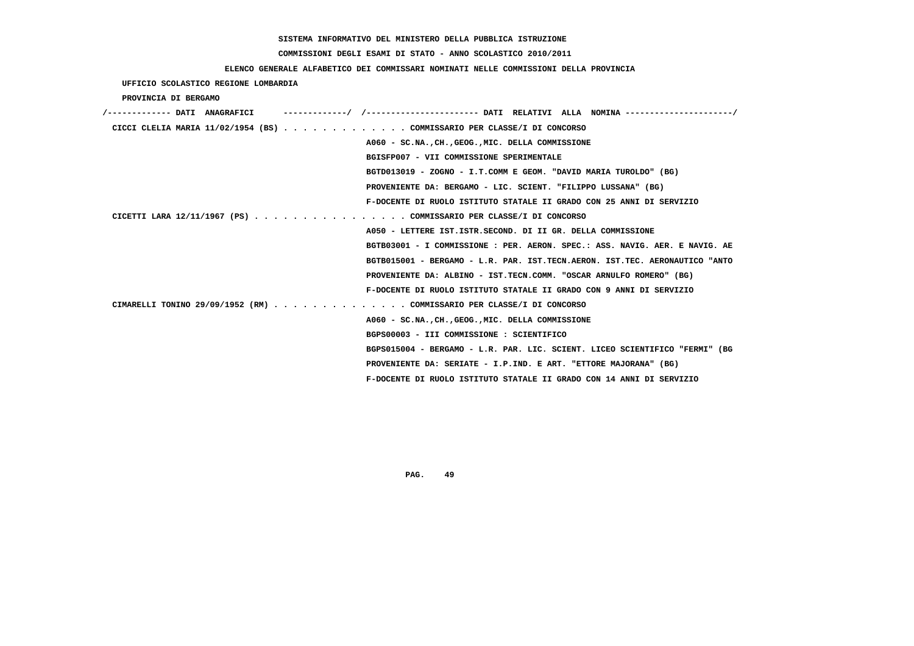# **COMMISSIONI DEGLI ESAMI DI STATO - ANNO SCOLASTICO 2010/2011**

### **ELENCO GENERALE ALFABETICO DEI COMMISSARI NOMINATI NELLE COMMISSIONI DELLA PROVINCIA**

 **UFFICIO SCOLASTICO REGIONE LOMBARDIA**

 **PROVINCIA DI BERGAMO**

| /------------- DATI ANAGRAFICI                                            | ------------/ /---------------------- DATI RELATIVI ALLA NOMINA --------------------/ |
|---------------------------------------------------------------------------|---------------------------------------------------------------------------------------|
| CICCI CLELIA MARIA $11/02/1954$ (BS) COMMISSARIO PER CLASSE/I DI CONCORSO |                                                                                       |
|                                                                           | A060 - SC.NA., CH., GEOG., MIC. DELLA COMMISSIONE                                     |
|                                                                           | BGISFP007 - VII COMMISSIONE SPERIMENTALE                                              |
|                                                                           | BGTD013019 - ZOGNO - I.T.COMM E GEOM. "DAVID MARIA TUROLDO" (BG)                      |
|                                                                           | PROVENIENTE DA: BERGAMO - LIC. SCIENT. "FILIPPO LUSSANA" (BG)                         |
|                                                                           | F-DOCENTE DI RUOLO ISTITUTO STATALE II GRADO CON 25 ANNI DI SERVIZIO                  |
| CICETTI LARA 12/11/1967 (PS) COMMISSARIO PER CLASSE/I DI CONCORSO         |                                                                                       |
|                                                                           | A050 - LETTERE IST. ISTR. SECOND. DI II GR. DELLA COMMISSIONE                         |
|                                                                           | BGTB03001 - I COMMISSIONE : PER. AERON. SPEC.: ASS. NAVIG. AER. E NAVIG. AE           |
|                                                                           | BGTB015001 - BERGAMO - L.R. PAR. IST.TECN.AERON. IST.TEC. AERONAUTICO "ANTO           |
|                                                                           | PROVENIENTE DA: ALBINO - IST.TECN.COMM. "OSCAR ARNULFO ROMERO" (BG)                   |
|                                                                           | F-DOCENTE DI RUOLO ISTITUTO STATALE II GRADO CON 9 ANNI DI SERVIZIO                   |
| CIMARELLI TONINO 29/09/1952 (RM) COMMISSARIO PER CLASSE/I DI CONCORSO     |                                                                                       |
|                                                                           | A060 - SC.NA., CH., GEOG., MIC. DELLA COMMISSIONE                                     |
|                                                                           | BGPS00003 - III COMMISSIONE : SCIENTIFICO                                             |
|                                                                           | BGPS015004 - BERGAMO - L.R. PAR. LIC. SCIENT. LICEO SCIENTIFICO "FERMI" (BG           |
|                                                                           | PROVENIENTE DA: SERIATE - I.P.IND. E ART. "ETTORE MAJORANA" (BG)                      |
|                                                                           | F-DOCENTE DI RUOLO ISTITUTO STATALE II GRADO CON 14 ANNI DI SERVIZIO                  |
|                                                                           |                                                                                       |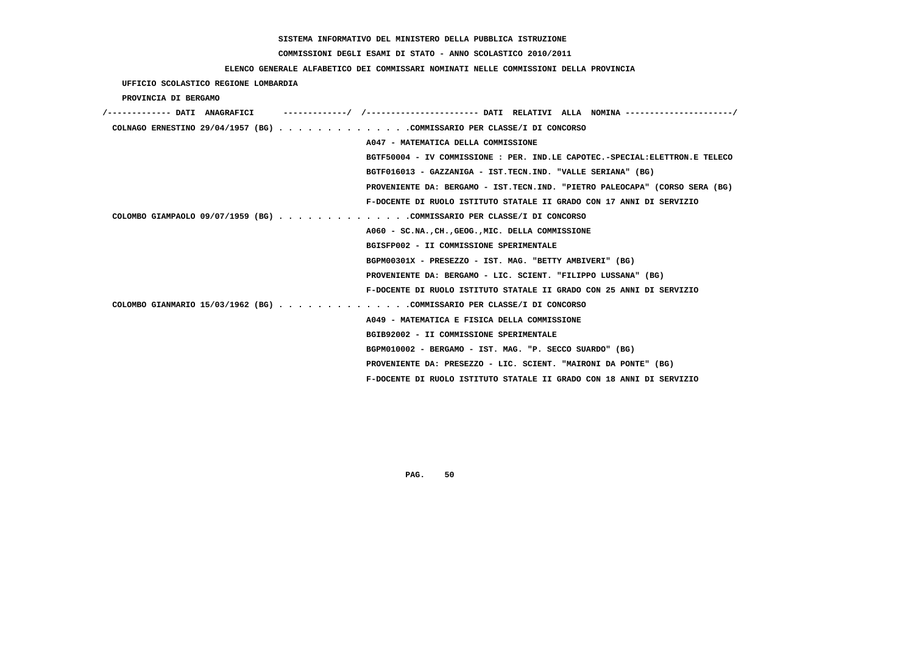# **COMMISSIONI DEGLI ESAMI DI STATO - ANNO SCOLASTICO 2010/2011**

## **ELENCO GENERALE ALFABETICO DEI COMMISSARI NOMINATI NELLE COMMISSIONI DELLA PROVINCIA**

 **UFFICIO SCOLASTICO REGIONE LOMBARDIA**

 **PROVINCIA DI BERGAMO**

| /------------- DATI ANAGRAFICI | ---------/ /--------------------- DATI RELATIVI ALLA NOMINA--------------------/ |
|--------------------------------|----------------------------------------------------------------------------------|
|                                | COLNAGO ERNESTINO 29/04/1957 (BG) COMMISSARIO PER CLASSE/I DI CONCORSO           |
|                                | A047 - MATEMATICA DELLA COMMISSIONE                                              |
|                                | BGTF50004 - IV COMMISSIONE : PER. IND.LE CAPOTEC.-SPECIAL: ELETTRON.E TELECO     |
|                                | BGTF016013 - GAZZANIGA - IST.TECN.IND. "VALLE SERIANA" (BG)                      |
|                                | PROVENIENTE DA: BERGAMO - IST.TECN.IND. "PIETRO PALEOCAPA" (CORSO SERA (BG)      |
|                                | F-DOCENTE DI RUOLO ISTITUTO STATALE II GRADO CON 17 ANNI DI SERVIZIO             |
|                                | COLOMBO GIAMPAOLO 09/07/1959 (BG) COMMISSARIO PER CLASSE/I DI CONCORSO           |
|                                | A060 - SC.NA., CH., GEOG., MIC. DELLA COMMISSIONE                                |
|                                | BGISFP002 - II COMMISSIONE SPERIMENTALE                                          |
|                                | BGPM00301X - PRESEZZO - IST. MAG. "BETTY AMBIVERI" (BG)                          |
|                                | PROVENIENTE DA: BERGAMO - LIC. SCIENT. "FILIPPO LUSSANA" (BG)                    |
|                                | F-DOCENTE DI RUOLO ISTITUTO STATALE II GRADO CON 25 ANNI DI SERVIZIO             |
|                                | COLOMBO GIANMARIO 15/03/1962 (BG) COMMISSARIO PER CLASSE/I DI CONCORSO           |
|                                | A049 - MATEMATICA E FISICA DELLA COMMISSIONE                                     |
|                                | BGIB92002 - II COMMISSIONE SPERIMENTALE                                          |
|                                | BGPM010002 - BERGAMO - IST. MAG. "P. SECCO SUARDO" (BG)                          |
|                                | PROVENIENTE DA: PRESEZZO - LIC. SCIENT. "MAIRONI DA PONTE" (BG)                  |
|                                | F-DOCENTE DI RUOLO ISTITUTO STATALE II GRADO CON 18 ANNI DI SERVIZIO             |
|                                |                                                                                  |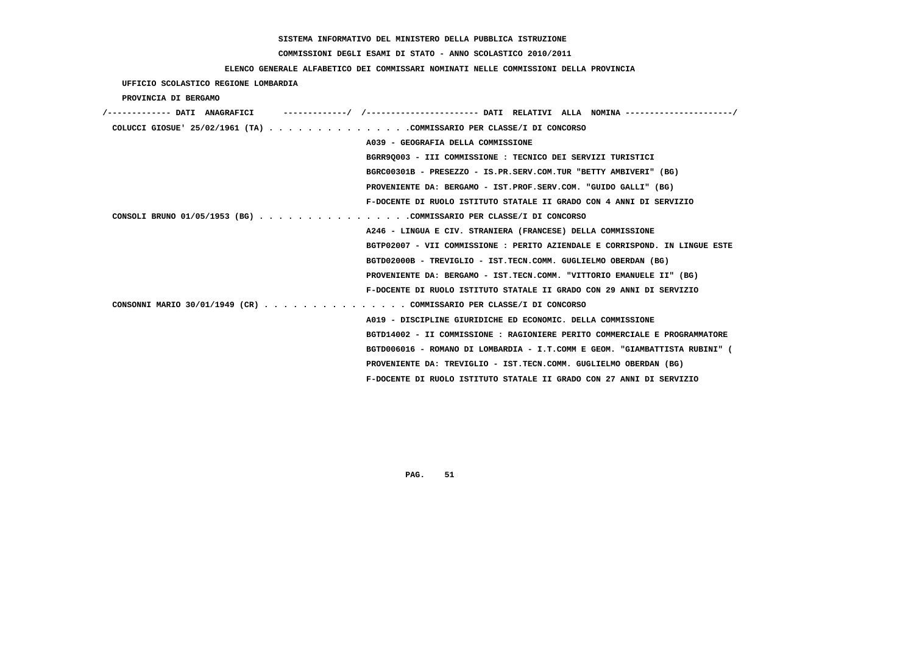# **COMMISSIONI DEGLI ESAMI DI STATO - ANNO SCOLASTICO 2010/2011**

## **ELENCO GENERALE ALFABETICO DEI COMMISSARI NOMINATI NELLE COMMISSIONI DELLA PROVINCIA**

 **UFFICIO SCOLASTICO REGIONE LOMBARDIA**

 **PROVINCIA DI BERGAMO**

| /------------- DATI ANAGRAFICI                                          |                                                                             |
|-------------------------------------------------------------------------|-----------------------------------------------------------------------------|
| COLUCCI GIOSUE ' $25/02/1961$ (TA) COMMISSARIO PER CLASSE/I DI CONCORSO |                                                                             |
|                                                                         | A039 - GEOGRAFIA DELLA COMMISSIONE                                          |
|                                                                         | BGRR90003 - III COMMISSIONE : TECNICO DEI SERVIZI TURISTICI                 |
|                                                                         | BGRC00301B - PRESEZZO - IS.PR.SERV.COM.TUR "BETTY AMBIVERI" (BG)            |
|                                                                         | PROVENIENTE DA: BERGAMO - IST.PROF.SERV.COM. "GUIDO GALLI" (BG)             |
|                                                                         | F-DOCENTE DI RUOLO ISTITUTO STATALE II GRADO CON 4 ANNI DI SERVIZIO         |
| CONSOLI BRUNO 01/05/1953 (BG) COMMISSARIO PER CLASSE/I DI CONCORSO      |                                                                             |
|                                                                         | A246 - LINGUA E CIV. STRANIERA (FRANCESE) DELLA COMMISSIONE                 |
|                                                                         | BGTP02007 - VII COMMISSIONE : PERITO AZIENDALE E CORRISPOND. IN LINGUE ESTE |
|                                                                         | BGTD02000B - TREVIGLIO - IST.TECN.COMM. GUGLIELMO OBERDAN (BG)              |
|                                                                         | PROVENIENTE DA: BERGAMO - IST.TECN.COMM. "VITTORIO EMANUELE II" (BG)        |
|                                                                         | F-DOCENTE DI RUOLO ISTITUTO STATALE II GRADO CON 29 ANNI DI SERVIZIO        |
| CONSONNI MARIO 30/01/1949 (CR) COMMISSARIO PER CLASSE/I DI CONCORSO     |                                                                             |
|                                                                         | A019 - DISCIPLINE GIURIDICHE ED ECONOMIC. DELLA COMMISSIONE                 |
|                                                                         | BGTD14002 - II COMMISSIONE : RAGIONIERE PERITO COMMERCIALE E PROGRAMMATORE  |
|                                                                         | BGTD006016 - ROMANO DI LOMBARDIA - I.T.COMM E GEOM. "GIAMBATTISTA RUBINI" ( |
|                                                                         | PROVENIENTE DA: TREVIGLIO - IST.TECN.COMM. GUGLIELMO OBERDAN (BG)           |
|                                                                         | F-DOCENTE DI RUOLO ISTITUTO STATALE II GRADO CON 27 ANNI DI SERVIZIO        |
|                                                                         |                                                                             |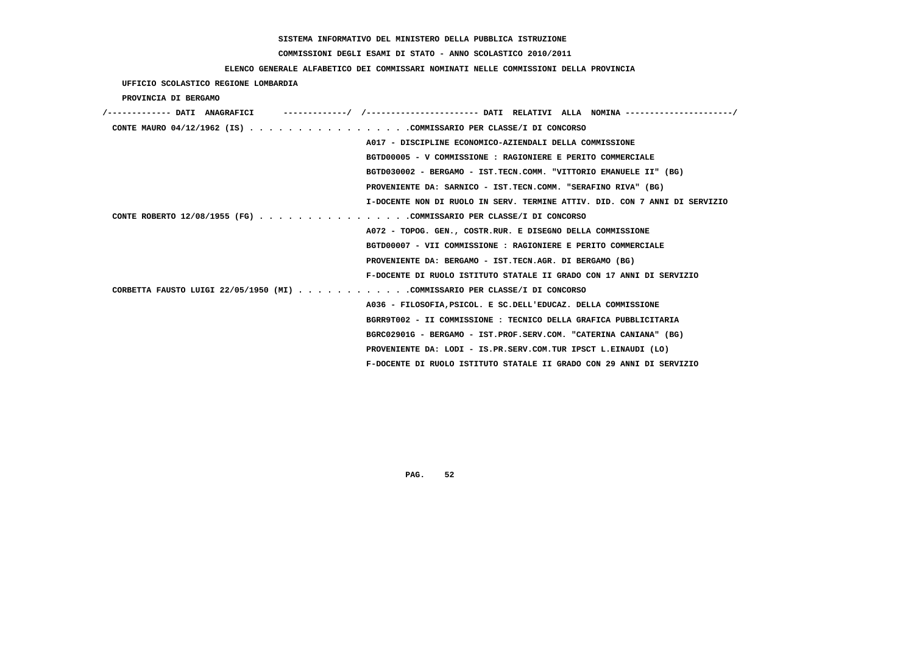# **COMMISSIONI DEGLI ESAMI DI STATO - ANNO SCOLASTICO 2010/2011**

### **ELENCO GENERALE ALFABETICO DEI COMMISSARI NOMINATI NELLE COMMISSIONI DELLA PROVINCIA**

 **UFFICIO SCOLASTICO REGIONE LOMBARDIA**

 **PROVINCIA DI BERGAMO**

| /------------- DATI ANAGRAFICI                                                                 |
|------------------------------------------------------------------------------------------------|
| CONTE MAURO 04/12/1962 (IS) COMMISSARIO PER CLASSE/I DI CONCORSO                               |
| A017 - DISCIPLINE ECONOMICO-AZIENDALI DELLA COMMISSIONE                                        |
| BGTD00005 - V COMMISSIONE : RAGIONIERE E PERITO COMMERCIALE                                    |
| BGTD030002 - BERGAMO - IST.TECN.COMM. "VITTORIO EMANUELE II" (BG)                              |
| PROVENIENTE DA: SARNICO - IST.TECN.COMM. "SERAFINO RIVA" (BG)                                  |
| I-DOCENTE NON DI RUOLO IN SERV. TERMINE ATTIV. DID. CON 7 ANNI DI SERVIZIO                     |
| CONTE ROBERTO 12/08/1955 (FG) COMMISSARIO PER CLASSE/I DI CONCORSO                             |
| A072 - TOPOG. GEN., COSTR.RUR. E DISEGNO DELLA COMMISSIONE                                     |
| BGTD00007 - VII COMMISSIONE : RAGIONIERE E PERITO COMMERCIALE                                  |
| PROVENIENTE DA: BERGAMO - IST.TECN.AGR. DI BERGAMO (BG)                                        |
| F-DOCENTE DI RUOLO ISTITUTO STATALE II GRADO CON 17 ANNI DI SERVIZIO                           |
| CORBETTA FAUSTO LUIGI 22/05/1950 (MI) $\ldots$ ,,,,,,,,,,,COMMISSARIO PER CLASSE/I DI CONCORSO |
| A036 - FILOSOFIA, PSICOL. E SC. DELL'EDUCAZ. DELLA COMMISSIONE                                 |
| BGRR9T002 - II COMMISSIONE : TECNICO DELLA GRAFICA PUBBLICITARIA                               |
| BGRC02901G - BERGAMO - IST.PROF.SERV.COM. "CATERINA CANIANA" (BG)                              |
| PROVENIENTE DA: LODI - IS.PR.SERV.COM.TUR IPSCT L.EINAUDI (LO)                                 |
| F-DOCENTE DI RUOLO ISTITUTO STATALE II GRADO CON 29 ANNI DI SERVIZIO                           |
|                                                                                                |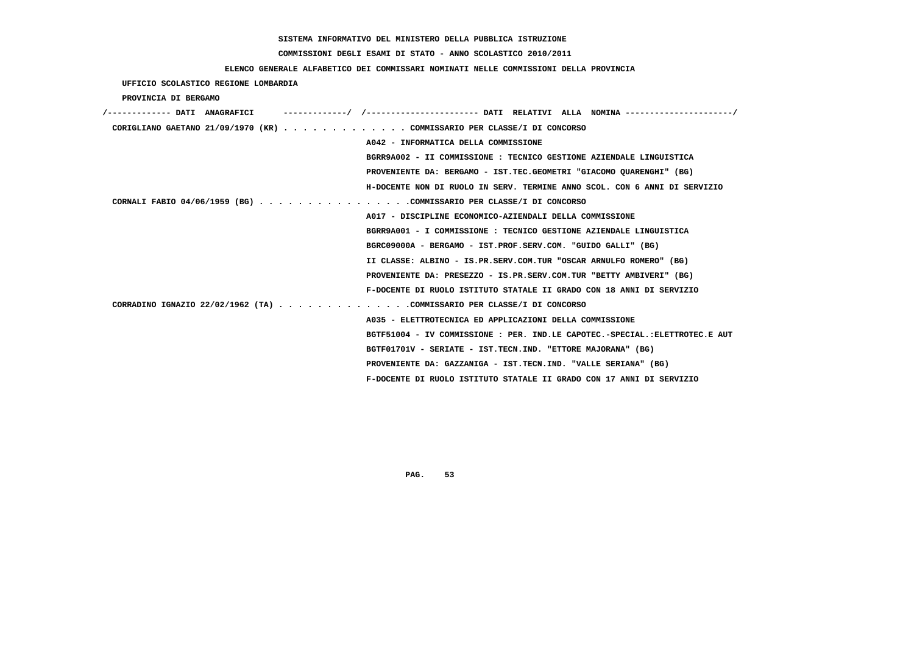# **COMMISSIONI DEGLI ESAMI DI STATO - ANNO SCOLASTICO 2010/2011**

### **ELENCO GENERALE ALFABETICO DEI COMMISSARI NOMINATI NELLE COMMISSIONI DELLA PROVINCIA**

 **UFFICIO SCOLASTICO REGIONE LOMBARDIA**

 **PROVINCIA DI BERGAMO**

| '------------- DATI ANAGRAFICI                                          | -------/ /---------------------- DATI RELATIVI ALLA NOMINA--------------------/ |
|-------------------------------------------------------------------------|---------------------------------------------------------------------------------|
| CORIGLIANO GAETANO 21/09/1970 (KR) COMMISSARIO PER CLASSE/I DI CONCORSO |                                                                                 |
|                                                                         | A042 - INFORMATICA DELLA COMMISSIONE                                            |
|                                                                         | BGRR9A002 - II COMMISSIONE : TECNICO GESTIONE AZIENDALE LINGUISTICA             |
|                                                                         | PROVENIENTE DA: BERGAMO - IST.TEC.GEOMETRI "GIACOMO OUARENGHI" (BG)             |
|                                                                         | H-DOCENTE NON DI RUOLO IN SERV. TERMINE ANNO SCOL. CON 6 ANNI DI SERVIZIO       |
| CORNALI FABIO 04/06/1959 (BG) COMMISSARIO PER CLASSE/I DI CONCORSO      |                                                                                 |
|                                                                         | A017 - DISCIPLINE ECONOMICO-AZIENDALI DELLA COMMISSIONE                         |
|                                                                         | BGRR9A001 - I COMMISSIONE : TECNICO GESTIONE AZIENDALE LINGUISTICA              |
|                                                                         | BGRC09000A - BERGAMO - IST.PROF.SERV.COM. "GUIDO GALLI" (BG)                    |
|                                                                         | II CLASSE: ALBINO - IS.PR.SERV.COM.TUR "OSCAR ARNULFO ROMERO" (BG)              |
|                                                                         | PROVENIENTE DA: PRESEZZO - IS.PR.SERV.COM.TUR "BETTY AMBIVERI" (BG)             |
|                                                                         | F-DOCENTE DI RUOLO ISTITUTO STATALE II GRADO CON 18 ANNI DI SERVIZIO            |
| CORRADINO IGNAZIO 22/02/1962 (TA) COMMISSARIO PER CLASSE/I DI CONCORSO  |                                                                                 |
|                                                                         | A035 - ELETTROTECNICA ED APPLICAZIONI DELLA COMMISSIONE                         |
|                                                                         | BGTF51004 - IV COMMISSIONE : PER. IND.LE CAPOTEC.-SPECIAL.:ELETTROTEC.E AUT     |
|                                                                         | BGTF01701V - SERIATE - IST.TECN.IND. "ETTORE MAJORANA" (BG)                     |
|                                                                         | PROVENIENTE DA: GAZZANIGA - IST.TECN.IND. "VALLE SERIANA" (BG)                  |
|                                                                         | F-DOCENTE DI RUOLO ISTITUTO STATALE II GRADO CON 17 ANNI DI SERVIZIO            |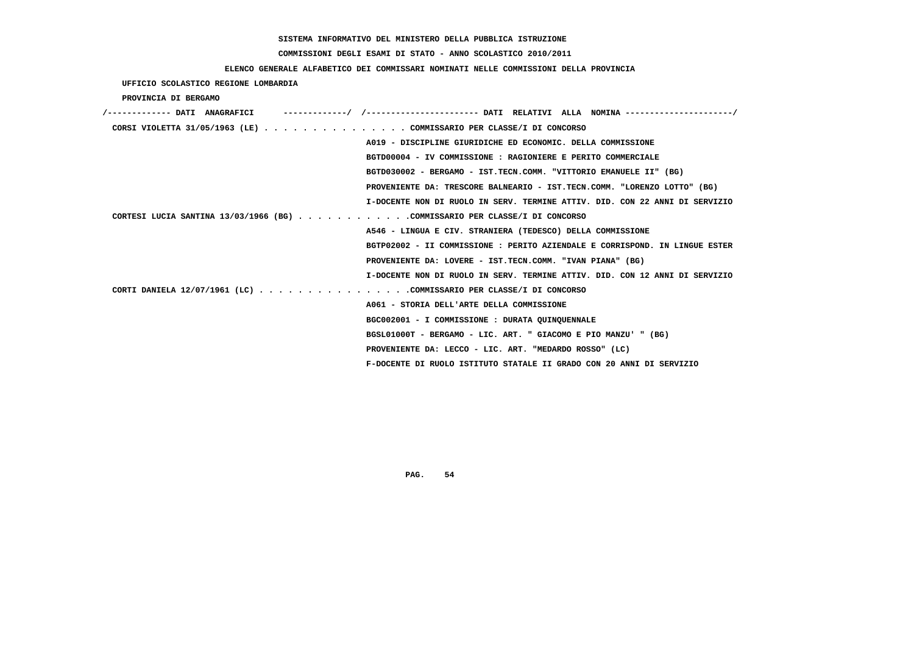# **COMMISSIONI DEGLI ESAMI DI STATO - ANNO SCOLASTICO 2010/2011**

### **ELENCO GENERALE ALFABETICO DEI COMMISSARI NOMINATI NELLE COMMISSIONI DELLA PROVINCIA**

 **UFFICIO SCOLASTICO REGIONE LOMBARDIA**

 **PROVINCIA DI BERGAMO**

| /------------- DATI ANAGRAFICI                                              |
|-----------------------------------------------------------------------------|
| CORSI VIOLETTA 31/05/1963 (LE) COMMISSARIO PER CLASSE/I DI CONCORSO         |
| A019 - DISCIPLINE GIURIDICHE ED ECONOMIC. DELLA COMMISSIONE                 |
| BGTD00004 - IV COMMISSIONE : RAGIONIERE E PERITO COMMERCIALE                |
| BGTD030002 - BERGAMO - IST.TECN.COMM. "VITTORIO EMANUELE II" (BG)           |
| PROVENIENTE DA: TRESCORE BALNEARIO - IST.TECN.COMM. "LORENZO LOTTO" (BG)    |
| I-DOCENTE NON DI RUOLO IN SERV. TERMINE ATTIV. DID. CON 22 ANNI DI SERVIZIO |
| CORTESI LUCIA SANTINA 13/03/1966 (BG) COMMISSARIO PER CLASSE/I DI CONCORSO  |
| A546 - LINGUA E CIV. STRANIERA (TEDESCO) DELLA COMMISSIONE                  |
| BGTP02002 - II COMMISSIONE : PERITO AZIENDALE E CORRISPOND. IN LINGUE ESTER |
| PROVENIENTE DA: LOVERE - IST.TECN.COMM. "IVAN PIANA" (BG)                   |
| I-DOCENTE NON DI RUOLO IN SERV. TERMINE ATTIV. DID. CON 12 ANNI DI SERVIZIO |
| CORTI DANIELA 12/07/1961 (LC) COMMISSARIO PER CLASSE/I DI CONCORSO          |
| A061 - STORIA DELL'ARTE DELLA COMMISSIONE                                   |
| BGC002001 - I COMMISSIONE : DURATA QUINQUENNALE                             |
| BGSL01000T - BERGAMO - LIC. ART. " GIACOMO E PIO MANZU' " (BG)              |
| PROVENIENTE DA: LECCO - LIC. ART. "MEDARDO ROSSO" (LC)                      |
| F-DOCENTE DI RUOLO ISTITUTO STATALE II GRADO CON 20 ANNI DI SERVIZIO        |
|                                                                             |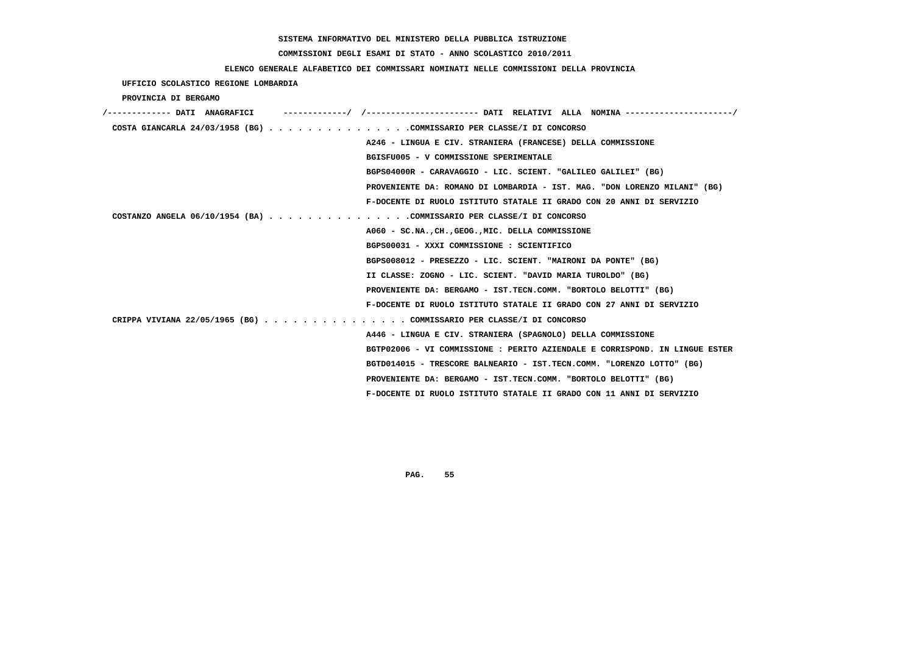# **COMMISSIONI DEGLI ESAMI DI STATO - ANNO SCOLASTICO 2010/2011**

### **ELENCO GENERALE ALFABETICO DEI COMMISSARI NOMINATI NELLE COMMISSIONI DELLA PROVINCIA**

### **UFFICIO SCOLASTICO REGIONE LOMBARDIA**

 **PROVINCIA DI BERGAMO**

| -----------------       DATI RELATIVI ALLA NOMINA----------------------/<br>/------------- DATI ANAGRAFICI |
|------------------------------------------------------------------------------------------------------------|
| COSTA GIANCARLA 24/03/1958 (BG) COMMISSARIO PER CLASSE/I DI CONCORSO                                       |
| A246 - LINGUA E CIV. STRANIERA (FRANCESE) DELLA COMMISSIONE                                                |
| BGISFU005 - V COMMISSIONE SPERIMENTALE                                                                     |
| BGPS04000R - CARAVAGGIO - LIC. SCIENT. "GALILEO GALILEI" (BG)                                              |
| PROVENIENTE DA: ROMANO DI LOMBARDIA - IST. MAG. "DON LORENZO MILANI" (BG)                                  |
| F-DOCENTE DI RUOLO ISTITUTO STATALE II GRADO CON 20 ANNI DI SERVIZIO                                       |
| COSTANZO ANGELA 06/10/1954 (BA) COMMISSARIO PER CLASSE/I DI CONCORSO                                       |
| A060 - SC.NA., CH., GEOG., MIC. DELLA COMMISSIONE                                                          |
| BGPS00031 - XXXI COMMISSIONE : SCIENTIFICO                                                                 |
| BGPS008012 - PRESEZZO - LIC. SCIENT. "MAIRONI DA PONTE" (BG)                                               |
| II CLASSE: ZOGNO - LIC. SCIENT. "DAVID MARIA TUROLDO" (BG)                                                 |
| PROVENIENTE DA: BERGAMO - IST.TECN.COMM. "BORTOLO BELOTTI" (BG)                                            |
| F-DOCENTE DI RUOLO ISTITUTO STATALE II GRADO CON 27 ANNI DI SERVIZIO                                       |
| CRIPPA VIVIANA 22/05/1965 (BG) COMMISSARIO PER CLASSE/I DI CONCORSO                                        |
| A446 - LINGUA E CIV. STRANIERA (SPAGNOLO) DELLA COMMISSIONE                                                |
| BGTP02006 - VI COMMISSIONE : PERITO AZIENDALE E CORRISPOND. IN LINGUE ESTER                                |
| BGTD014015 - TRESCORE BALNEARIO - IST.TECN.COMM. "LORENZO LOTTO" (BG)                                      |
| PROVENIENTE DA: BERGAMO - IST.TECN.COMM. "BORTOLO BELOTTI" (BG)                                            |
| F-DOCENTE DI RUOLO ISTITUTO STATALE II GRADO CON 11 ANNI DI SERVIZIO                                       |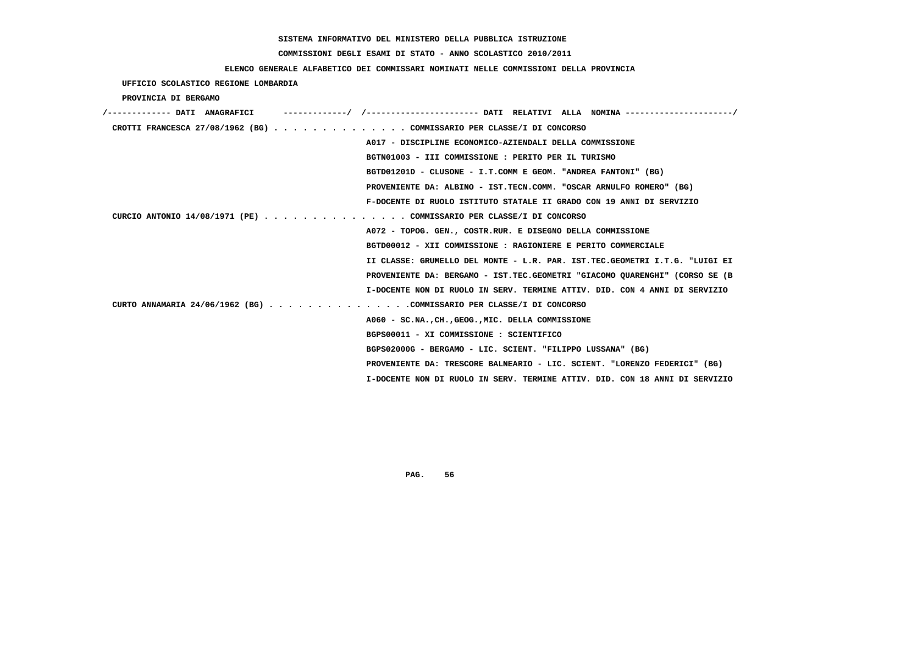# **COMMISSIONI DEGLI ESAMI DI STATO - ANNO SCOLASTICO 2010/2011**

### **ELENCO GENERALE ALFABETICO DEI COMMISSARI NOMINATI NELLE COMMISSIONI DELLA PROVINCIA**

 **UFFICIO SCOLASTICO REGIONE LOMBARDIA**

 **PROVINCIA DI BERGAMO**

| /------------- DATI ANAGRAFICI                                        |                                                                             |
|-----------------------------------------------------------------------|-----------------------------------------------------------------------------|
| CROTTI FRANCESCA 27/08/1962 (BG) COMMISSARIO PER CLASSE/I DI CONCORSO |                                                                             |
|                                                                       | A017 - DISCIPLINE ECONOMICO-AZIENDALI DELLA COMMISSIONE                     |
|                                                                       | BGTN01003 - III COMMISSIONE : PERITO PER IL TURISMO                         |
|                                                                       | BGTD01201D - CLUSONE - I.T.COMM E GEOM. "ANDREA FANTONI" (BG)               |
|                                                                       | PROVENIENTE DA: ALBINO - IST.TECN.COMM. "OSCAR ARNULFO ROMERO" (BG)         |
|                                                                       | F-DOCENTE DI RUOLO ISTITUTO STATALE II GRADO CON 19 ANNI DI SERVIZIO        |
| CURCIO ANTONIO 14/08/1971 (PE) COMMISSARIO PER CLASSE/I DI CONCORSO   |                                                                             |
|                                                                       | A072 - TOPOG. GEN., COSTR.RUR. E DISEGNO DELLA COMMISSIONE                  |
|                                                                       | BGTD00012 - XII COMMISSIONE : RAGIONIERE E PERITO COMMERCIALE               |
|                                                                       | II CLASSE: GRUMELLO DEL MONTE - L.R. PAR. IST.TEC.GEOMETRI I.T.G. "LUIGI EI |
|                                                                       | PROVENIENTE DA: BERGAMO - IST.TEC.GEOMETRI "GIACOMO OUARENGHI" (CORSO SE (B |
|                                                                       | I-DOCENTE NON DI RUOLO IN SERV. TERMINE ATTIV. DID. CON 4 ANNI DI SERVIZIO  |
| CURTO ANNAMARIA 24/06/1962 (BG) COMMISSARIO PER CLASSE/I DI CONCORSO  |                                                                             |
|                                                                       | A060 - SC.NA., CH., GEOG., MIC. DELLA COMMISSIONE                           |
|                                                                       | BGPS00011 - XI COMMISSIONE : SCIENTIFICO                                    |
|                                                                       | BGPS02000G - BERGAMO - LIC. SCIENT. "FILIPPO LUSSANA" (BG)                  |
|                                                                       | PROVENIENTE DA: TRESCORE BALNEARIO - LIC. SCIENT. "LORENZO FEDERICI" (BG)   |
|                                                                       | I-DOCENTE NON DI RUOLO IN SERV. TERMINE ATTIV. DID. CON 18 ANNI DI SERVIZIO |
|                                                                       |                                                                             |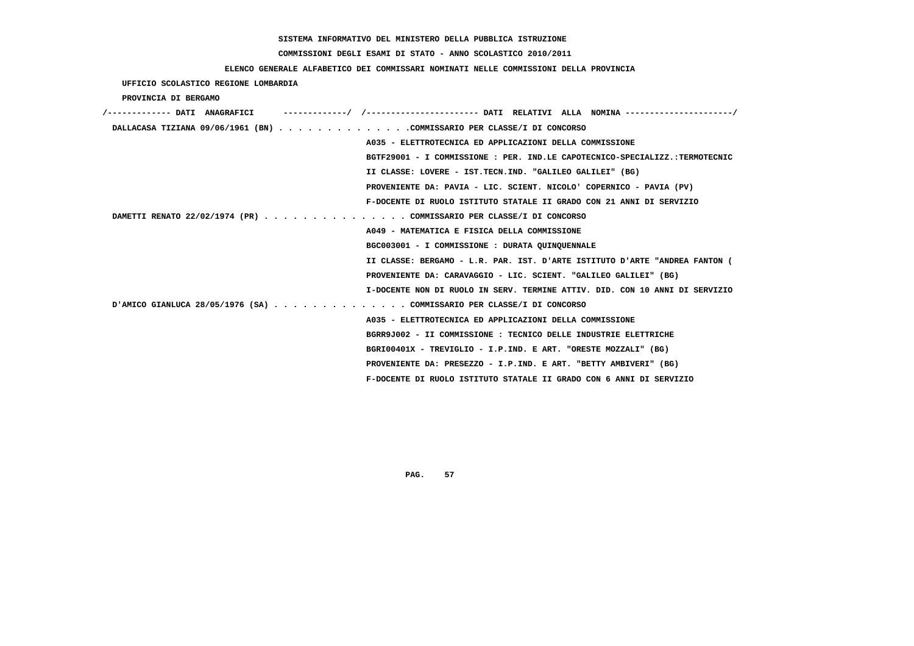# **COMMISSIONI DEGLI ESAMI DI STATO - ANNO SCOLASTICO 2010/2011**

## **ELENCO GENERALE ALFABETICO DEI COMMISSARI NOMINATI NELLE COMMISSIONI DELLA PROVINCIA**

 **UFFICIO SCOLASTICO REGIONE LOMBARDIA**

 **PROVINCIA DI BERGAMO**

| /------------- DATI ANAGRAFICI                                         |                                                                             |
|------------------------------------------------------------------------|-----------------------------------------------------------------------------|
| DALLACASA TIZIANA 09/06/1961 (BN) COMMISSARIO PER CLASSE/I DI CONCORSO |                                                                             |
|                                                                        | A035 - ELETTROTECNICA ED APPLICAZIONI DELLA COMMISSIONE                     |
|                                                                        | BGTF29001 - I COMMISSIONE : PER. IND.LE CAPOTECNICO-SPECIALIZZ.:TERMOTECNIC |
|                                                                        | II CLASSE: LOVERE - IST.TECN.IND. "GALILEO GALILEI" (BG)                    |
|                                                                        | PROVENIENTE DA: PAVIA - LIC. SCIENT. NICOLO' COPERNICO - PAVIA (PV)         |
|                                                                        | F-DOCENTE DI RUOLO ISTITUTO STATALE II GRADO CON 21 ANNI DI SERVIZIO        |
| DAMETTI RENATO 22/02/1974 (PR) COMMISSARIO PER CLASSE/I DI CONCORSO    |                                                                             |
|                                                                        | A049 - MATEMATICA E FISICA DELLA COMMISSIONE                                |
|                                                                        | BGC003001 - I COMMISSIONE : DURATA QUINQUENNALE                             |
|                                                                        | II CLASSE: BERGAMO - L.R. PAR. IST. D'ARTE ISTITUTO D'ARTE "ANDREA FANTON ( |
|                                                                        | PROVENIENTE DA: CARAVAGGIO - LIC. SCIENT. "GALILEO GALILEI" (BG)            |
|                                                                        | I-DOCENTE NON DI RUOLO IN SERV. TERMINE ATTIV. DID. CON 10 ANNI DI SERVIZIO |
| D'AMICO GIANLUCA 28/05/1976 (SA) COMMISSARIO PER CLASSE/I DI CONCORSO  |                                                                             |
|                                                                        | A035 - ELETTROTECNICA ED APPLICAZIONI DELLA COMMISSIONE                     |
|                                                                        | BGRR9J002 - II COMMISSIONE : TECNICO DELLE INDUSTRIE ELETTRICHE             |
|                                                                        | BGRI00401X - TREVIGLIO - I.P.IND. E ART. "ORESTE MOZZALI" (BG)              |
|                                                                        | PROVENIENTE DA: PRESEZZO - I.P.IND. E ART. "BETTY AMBIVERI" (BG)            |
|                                                                        | F-DOCENTE DI RUOLO ISTITUTO STATALE II GRADO CON 6 ANNI DI SERVIZIO         |
|                                                                        |                                                                             |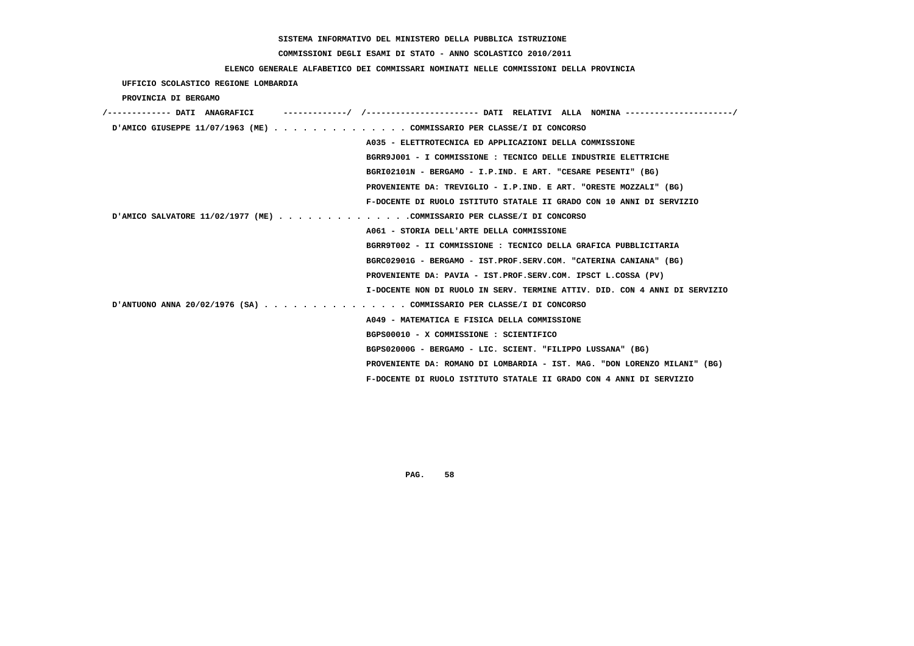# **COMMISSIONI DEGLI ESAMI DI STATO - ANNO SCOLASTICO 2010/2011**

### **ELENCO GENERALE ALFABETICO DEI COMMISSARI NOMINATI NELLE COMMISSIONI DELLA PROVINCIA**

 **UFFICIO SCOLASTICO REGIONE LOMBARDIA**

 **PROVINCIA DI BERGAMO**

| /------------- DATI ANAGRAFICI |                                                                            |
|--------------------------------|----------------------------------------------------------------------------|
|                                | D'AMICO GIUSEPPE 11/07/1963 (ME) COMMISSARIO PER CLASSE/I DI CONCORSO      |
|                                | A035 - ELETTROTECNICA ED APPLICAZIONI DELLA COMMISSIONE                    |
|                                | BGRR9J001 - I COMMISSIONE : TECNICO DELLE INDUSTRIE ELETTRICHE             |
|                                | BGRI02101N - BERGAMO - I.P.IND. E ART. "CESARE PESENTI" (BG)               |
|                                | PROVENIENTE DA: TREVIGLIO - I.P.IND. E ART. "ORESTE MOZZALI" (BG)          |
|                                | F-DOCENTE DI RUOLO ISTITUTO STATALE II GRADO CON 10 ANNI DI SERVIZIO       |
|                                |                                                                            |
|                                | A061 - STORIA DELL'ARTE DELLA COMMISSIONE                                  |
|                                | BGRR9T002 - II COMMISSIONE : TECNICO DELLA GRAFICA PUBBLICITARIA           |
|                                | BGRC02901G - BERGAMO - IST.PROF.SERV.COM. "CATERINA CANIANA" (BG)          |
|                                | PROVENIENTE DA: PAVIA - IST.PROF.SERV.COM. IPSCT L.COSSA (PV)              |
|                                | I-DOCENTE NON DI RUOLO IN SERV. TERMINE ATTIV. DID. CON 4 ANNI DI SERVIZIO |
|                                | D'ANTUONO ANNA 20/02/1976 (SA) COMMISSARIO PER CLASSE/I DI CONCORSO        |
|                                | A049 - MATEMATICA E FISICA DELLA COMMISSIONE                               |
|                                | BGPS00010 - X COMMISSIONE : SCIENTIFICO                                    |
|                                | BGPS02000G - BERGAMO - LIC. SCIENT. "FILIPPO LUSSANA" (BG)                 |
|                                | PROVENIENTE DA: ROMANO DI LOMBARDIA - IST. MAG. "DON LORENZO MILANI" (BG)  |
|                                | F-DOCENTE DI RUOLO ISTITUTO STATALE II GRADO CON 4 ANNI DI SERVIZIO        |
|                                |                                                                            |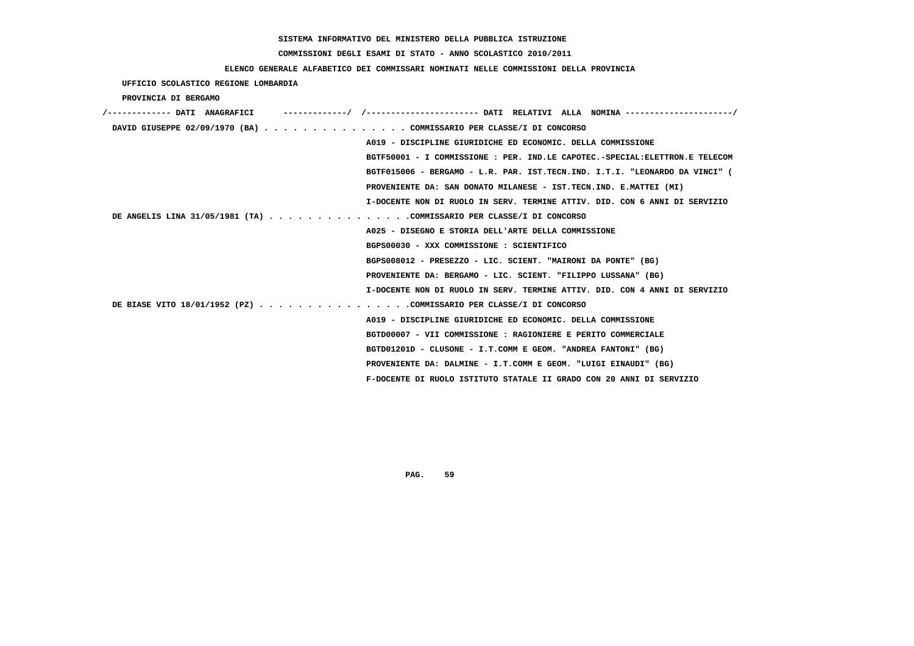# **COMMISSIONI DEGLI ESAMI DI STATO - ANNO SCOLASTICO 2010/2011**

## **ELENCO GENERALE ALFABETICO DEI COMMISSARI NOMINATI NELLE COMMISSIONI DELLA PROVINCIA**

 **UFFICIO SCOLASTICO REGIONE LOMBARDIA**

 **PROVINCIA DI BERGAMO**

| /------------- DATI ANAGRAFICI |                                                                             |
|--------------------------------|-----------------------------------------------------------------------------|
|                                | DAVID GIUSEPPE 02/09/1970 (BA) COMMISSARIO PER CLASSE/I DI CONCORSO         |
|                                | A019 - DISCIPLINE GIURIDICHE ED ECONOMIC. DELLA COMMISSIONE                 |
|                                | BGTF50001 - I COMMISSIONE : PER. IND.LE CAPOTEC.-SPECIAL:ELETTRON.E TELECOM |
|                                | BGTF015006 - BERGAMO - L.R. PAR. IST.TECN.IND. I.T.I. "LEONARDO DA VINCI" ( |
|                                | PROVENIENTE DA: SAN DONATO MILANESE - IST.TECN.IND. E.MATTEI (MI)           |
|                                | I-DOCENTE NON DI RUOLO IN SERV. TERMINE ATTIV. DID. CON 6 ANNI DI SERVIZIO  |
|                                | DE ANGELIS LINA 31/05/1981 (TA) COMMISSARIO PER CLASSE/I DI CONCORSO        |
|                                | A025 - DISEGNO E STORIA DELL'ARTE DELLA COMMISSIONE                         |
|                                | BGPS00030 - XXX COMMISSIONE : SCIENTIFICO                                   |
|                                | BGPS008012 - PRESEZZO - LIC. SCIENT. "MAIRONI DA PONTE" (BG)                |
|                                | PROVENIENTE DA: BERGAMO - LIC. SCIENT. "FILIPPO LUSSANA" (BG)               |
|                                | I-DOCENTE NON DI RUOLO IN SERV. TERMINE ATTIV. DID. CON 4 ANNI DI SERVIZIO  |
|                                | DE BIASE VITO 18/01/1952 (PZ) COMMISSARIO PER CLASSE/I DI CONCORSO          |
|                                | A019 - DISCIPLINE GIURIDICHE ED ECONOMIC. DELLA COMMISSIONE                 |
|                                | BGTD00007 - VII COMMISSIONE : RAGIONIERE E PERITO COMMERCIALE               |
|                                | BGTD01201D - CLUSONE - I.T.COMM E GEOM. "ANDREA FANTONI" (BG)               |
|                                | PROVENIENTE DA: DALMINE - I.T.COMM E GEOM. "LUIGI EINAUDI" (BG)             |
|                                | F-DOCENTE DI RUOLO ISTITUTO STATALE II GRADO CON 20 ANNI DI SERVIZIO        |
|                                |                                                                             |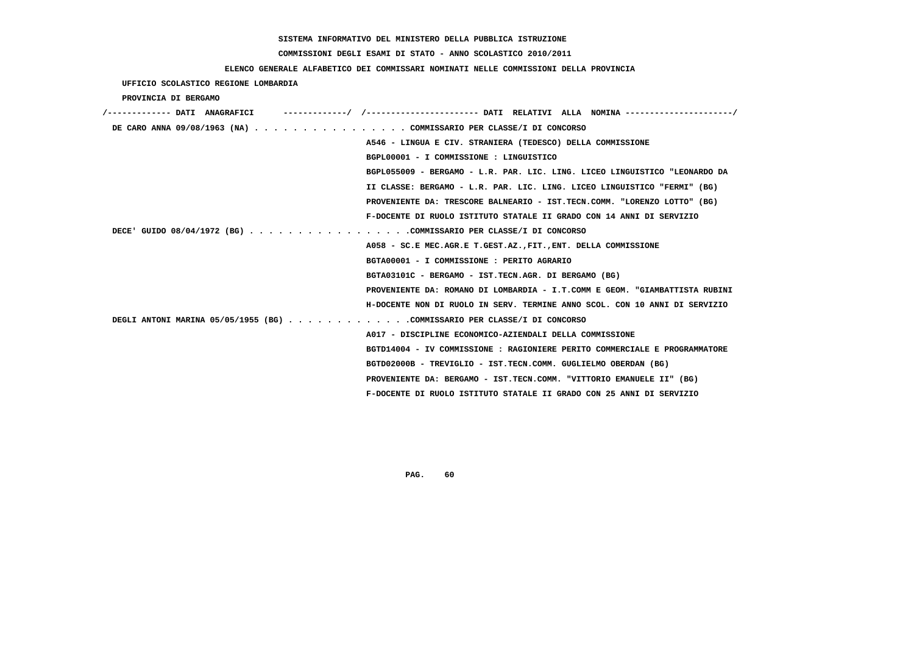# **COMMISSIONI DEGLI ESAMI DI STATO - ANNO SCOLASTICO 2010/2011**

### **ELENCO GENERALE ALFABETICO DEI COMMISSARI NOMINATI NELLE COMMISSIONI DELLA PROVINCIA**

| UFFICIO SCOLASTICO REGIONE LOMBARDIA                                     |                                                                             |
|--------------------------------------------------------------------------|-----------------------------------------------------------------------------|
| PROVINCIA DI BERGAMO                                                     |                                                                             |
| /------------- DATI ANAGRAFICI                                           |                                                                             |
| DE CARO ANNA 09/08/1963 (NA) COMMISSARIO PER CLASSE/I DI CONCORSO        |                                                                             |
|                                                                          | A546 - LINGUA E CIV. STRANIERA (TEDESCO) DELLA COMMISSIONE                  |
|                                                                          | BGPL00001 - I COMMISSIONE : LINGUISTICO                                     |
|                                                                          | BGPL055009 - BERGAMO - L.R. PAR. LIC. LING. LICEO LINGUISTICO "LEONARDO DA  |
|                                                                          | II CLASSE: BERGAMO - L.R. PAR. LIC. LING. LICEO LINGUISTICO "FERMI" (BG)    |
|                                                                          | PROVENIENTE DA: TRESCORE BALNEARIO - IST.TECN.COMM. "LORENZO LOTTO" (BG)    |
|                                                                          | F-DOCENTE DI RUOLO ISTITUTO STATALE II GRADO CON 14 ANNI DI SERVIZIO        |
| DECE' GUIDO 08/04/1972 (BG) COMMISSARIO PER CLASSE/I DI CONCORSO         |                                                                             |
|                                                                          | A058 - SC.E MEC.AGR.E T.GEST.AZ., FIT., ENT. DELLA COMMISSIONE              |
|                                                                          | BGTA00001 - I COMMISSIONE : PERITO AGRARIO                                  |
|                                                                          | BGTA03101C - BERGAMO - IST.TECN.AGR. DI BERGAMO (BG)                        |
|                                                                          | PROVENIENTE DA: ROMANO DI LOMBARDIA - I.T.COMM E GEOM. "GIAMBATTISTA RUBINI |
|                                                                          | H-DOCENTE NON DI RUOLO IN SERV. TERMINE ANNO SCOL. CON 10 ANNI DI SERVIZIO  |
| DEGLI ANTONI MARINA 05/05/1955 (BG) COMMISSARIO PER CLASSE/I DI CONCORSO |                                                                             |
|                                                                          | A017 - DISCIPLINE ECONOMICO-AZIENDALI DELLA COMMISSIONE                     |
|                                                                          | BGTD14004 - IV COMMISSIONE : RAGIONIERE PERITO COMMERCIALE E PROGRAMMATORE  |
|                                                                          | BGTD02000B - TREVIGLIO - IST.TECN.COMM. GUGLIELMO OBERDAN (BG)              |
|                                                                          | PROVENIENTE DA: BERGAMO - IST.TECN.COMM. "VITTORIO EMANUELE II" (BG)        |
|                                                                          | F-DOCENTE DI RUOLO ISTITUTO STATALE II GRADO CON 25 ANNI DI SERVIZIO        |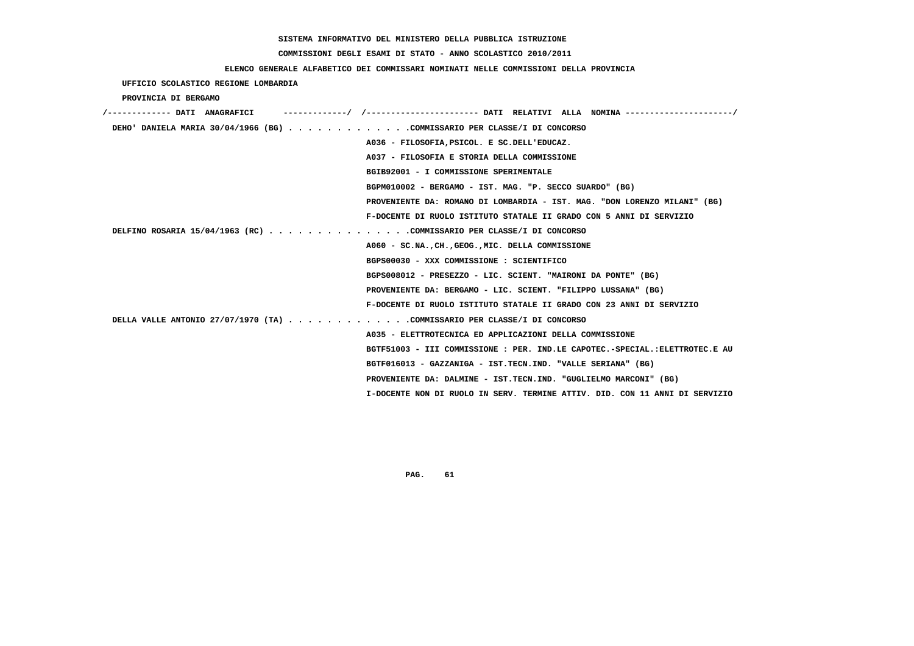# **COMMISSIONI DEGLI ESAMI DI STATO - ANNO SCOLASTICO 2010/2011**

### **ELENCO GENERALE ALFABETICO DEI COMMISSARI NOMINATI NELLE COMMISSIONI DELLA PROVINCIA**

## **UFFICIO SCOLASTICO REGIONE LOMBARDIA**

### **PROVINCIA DI BERGAMO**

| ----------/ /--------------------- DATI RELATIVI ALLA NOMINA--------------------/<br>/------------- DATI ANAGRAFICI |
|---------------------------------------------------------------------------------------------------------------------|
| DEHO' DANIELA MARIA 30/04/1966 (BG) COMMISSARIO PER CLASSE/I DI CONCORSO                                            |
| A036 - FILOSOFIA, PSICOL. E SC.DELL'EDUCAZ.                                                                         |
| A037 - FILOSOFIA E STORIA DELLA COMMISSIONE                                                                         |
| BGIB92001 - I COMMISSIONE SPERIMENTALE                                                                              |
| BGPM010002 - BERGAMO - IST. MAG. "P. SECCO SUARDO" (BG)                                                             |
| PROVENIENTE DA: ROMANO DI LOMBARDIA - IST. MAG. "DON LORENZO MILANI" (BG)                                           |
| F-DOCENTE DI RUOLO ISTITUTO STATALE II GRADO CON 5 ANNI DI SERVIZIO                                                 |
| DELFINO ROSARIA 15/04/1963 (RC) COMMISSARIO PER CLASSE/I DI CONCORSO                                                |
| A060 - SC.NA., CH., GEOG., MIC. DELLA COMMISSIONE                                                                   |
| BGPS00030 - XXX COMMISSIONE : SCIENTIFICO                                                                           |
| BGPS008012 - PRESEZZO - LIC. SCIENT. "MAIRONI DA PONTE" (BG)                                                        |
| PROVENIENTE DA: BERGAMO - LIC. SCIENT. "FILIPPO LUSSANA" (BG)                                                       |
| F-DOCENTE DI RUOLO ISTITUTO STATALE II GRADO CON 23 ANNI DI SERVIZIO                                                |
| DELLA VALLE ANTONIO 27/07/1970 (TA) COMMISSARIO PER CLASSE/I DI CONCORSO                                            |
| A035 - ELETTROTECNICA ED APPLICAZIONI DELLA COMMISSIONE                                                             |
| BGTF51003 - III COMMISSIONE : PER. IND.LE CAPOTEC.-SPECIAL.:ELETTROTEC.E AU                                         |
| BGTF016013 - GAZZANIGA - IST.TECN.IND. "VALLE SERIANA" (BG)                                                         |
| PROVENIENTE DA: DALMINE - IST.TECN.IND. "GUGLIELMO MARCONI" (BG)                                                    |
| I-DOCENTE NON DI RUOLO IN SERV. TERMINE ATTIV. DID. CON 11 ANNI DI SERVIZIO                                         |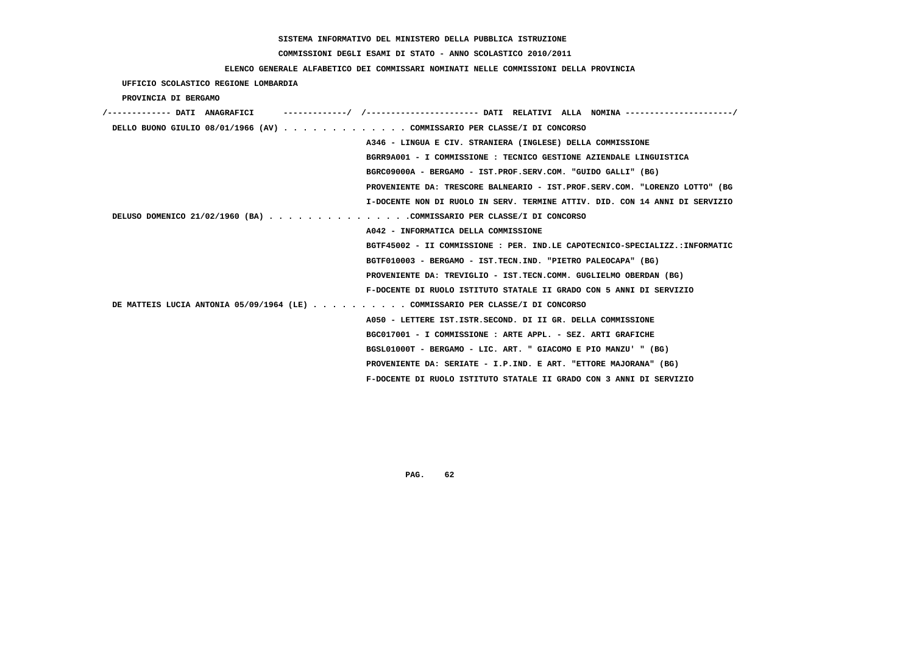# **COMMISSIONI DEGLI ESAMI DI STATO - ANNO SCOLASTICO 2010/2011**

### **ELENCO GENERALE ALFABETICO DEI COMMISSARI NOMINATI NELLE COMMISSIONI DELLA PROVINCIA**

 **UFFICIO SCOLASTICO REGIONE LOMBARDIA**

 **PROVINCIA DI BERGAMO**

| /------------- DATI ANAGRAFICI |  |                                                                             |  |
|--------------------------------|--|-----------------------------------------------------------------------------|--|
|                                |  | DELLO BUONO GIULIO 08/01/1966 (AV) COMMISSARIO PER CLASSE/I DI CONCORSO     |  |
|                                |  | A346 - LINGUA E CIV. STRANIERA (INGLESE) DELLA COMMISSIONE                  |  |
|                                |  | BGRR9A001 - I COMMISSIONE : TECNICO GESTIONE AZIENDALE LINGUISTICA          |  |
|                                |  | BGRC09000A - BERGAMO - IST.PROF.SERV.COM. "GUIDO GALLI" (BG)                |  |
|                                |  | PROVENIENTE DA: TRESCORE BALNEARIO - IST.PROF.SERV.COM. "LORENZO LOTTO" (BG |  |
|                                |  | I-DOCENTE NON DI RUOLO IN SERV. TERMINE ATTIV. DID. CON 14 ANNI DI SERVIZIO |  |
|                                |  | DELUSO DOMENICO 21/02/1960 (BA) COMMISSARIO PER CLASSE/I DI CONCORSO        |  |
|                                |  | A042 - INFORMATICA DELLA COMMISSIONE                                        |  |
|                                |  | BGTF45002 - II COMMISSIONE : PER. IND.LE CAPOTECNICO-SPECIALIZZ.:INFORMATIC |  |
|                                |  | BGTF010003 - BERGAMO - IST.TECN.IND. "PIETRO PALEOCAPA" (BG)                |  |
|                                |  | PROVENIENTE DA: TREVIGLIO - IST.TECN.COMM. GUGLIELMO OBERDAN (BG)           |  |
|                                |  | F-DOCENTE DI RUOLO ISTITUTO STATALE II GRADO CON 5 ANNI DI SERVIZIO         |  |
|                                |  | DE MATTEIS LUCIA ANTONIA 05/09/1964 (LE)OMMISSARIO PER CLASSE/I DI CONCORSO |  |
|                                |  | A050 - LETTERE IST.ISTR.SECOND. DI II GR. DELLA COMMISSIONE                 |  |
|                                |  | BGC017001 - I COMMISSIONE : ARTE APPL. - SEZ. ARTI GRAFICHE                 |  |
|                                |  | BGSL01000T - BERGAMO - LIC. ART. " GIACOMO E PIO MANZU' " (BG)              |  |
|                                |  | PROVENIENTE DA: SERIATE - I.P.IND. E ART. "ETTORE MAJORANA" (BG)            |  |
|                                |  | F-DOCENTE DI RUOLO ISTITUTO STATALE II GRADO CON 3 ANNI DI SERVIZIO         |  |
|                                |  |                                                                             |  |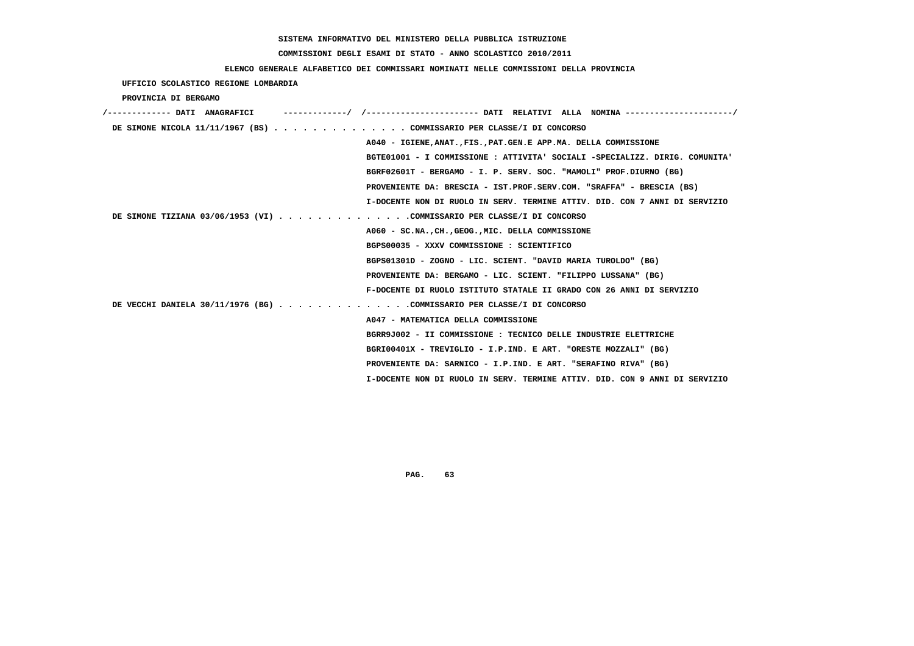# **COMMISSIONI DEGLI ESAMI DI STATO - ANNO SCOLASTICO 2010/2011**

### **ELENCO GENERALE ALFABETICO DEI COMMISSARI NOMINATI NELLE COMMISSIONI DELLA PROVINCIA**

 **UFFICIO SCOLASTICO REGIONE LOMBARDIA**

 **PROVINCIA DI BERGAMO**

| /------------- DATI ANAGRAFICI |                                                                             |
|--------------------------------|-----------------------------------------------------------------------------|
|                                | DE SIMONE NICOLA 11/11/1967 (BS) COMMISSARIO PER CLASSE/I DI CONCORSO       |
|                                | A040 - IGIENE, ANAT., FIS., PAT. GEN. E APP. MA. DELLA COMMISSIONE          |
|                                | BGTE01001 - I COMMISSIONE : ATTIVITA' SOCIALI -SPECIALIZZ. DIRIG. COMUNITA' |
|                                | BGRF02601T - BERGAMO - I. P. SERV. SOC. "MAMOLI" PROF.DIURNO (BG)           |
|                                | PROVENIENTE DA: BRESCIA - IST.PROF.SERV.COM. "SRAFFA" - BRESCIA (BS)        |
|                                | I-DOCENTE NON DI RUOLO IN SERV. TERMINE ATTIV. DID. CON 7 ANNI DI SERVIZIO  |
|                                | DE SIMONE TIZIANA 03/06/1953 (VI) COMMISSARIO PER CLASSE/I DI CONCORSO      |
|                                | A060 - SC.NACHGEOGMIC. DELLA COMMISSIONE                                    |
|                                | BGPS00035 - XXXV COMMISSIONE : SCIENTIFICO                                  |
|                                | BGPS01301D - ZOGNO - LIC. SCIENT. "DAVID MARIA TUROLDO" (BG)                |
|                                | PROVENIENTE DA: BERGAMO - LIC. SCIENT. "FILIPPO LUSSANA" (BG)               |
|                                | F-DOCENTE DI RUOLO ISTITUTO STATALE II GRADO CON 26 ANNI DI SERVIZIO        |
|                                | DE VECCHI DANIELA 30/11/1976 (BG) COMMISSARIO PER CLASSE/I DI CONCORSO      |
|                                | A047 - MATEMATICA DELLA COMMISSIONE                                         |
|                                | BGRR9J002 - II COMMISSIONE : TECNICO DELLE INDUSTRIE ELETTRICHE             |
|                                | BGRI00401X - TREVIGLIO - I.P.IND. E ART. "ORESTE MOZZALI" (BG)              |
|                                | PROVENIENTE DA: SARNICO - I.P.IND. E ART. "SERAFINO RIVA" (BG)              |
|                                | I-DOCENTE NON DI RUOLO IN SERV. TERMINE ATTIV. DID. CON 9 ANNI DI SERVIZIO  |
|                                |                                                                             |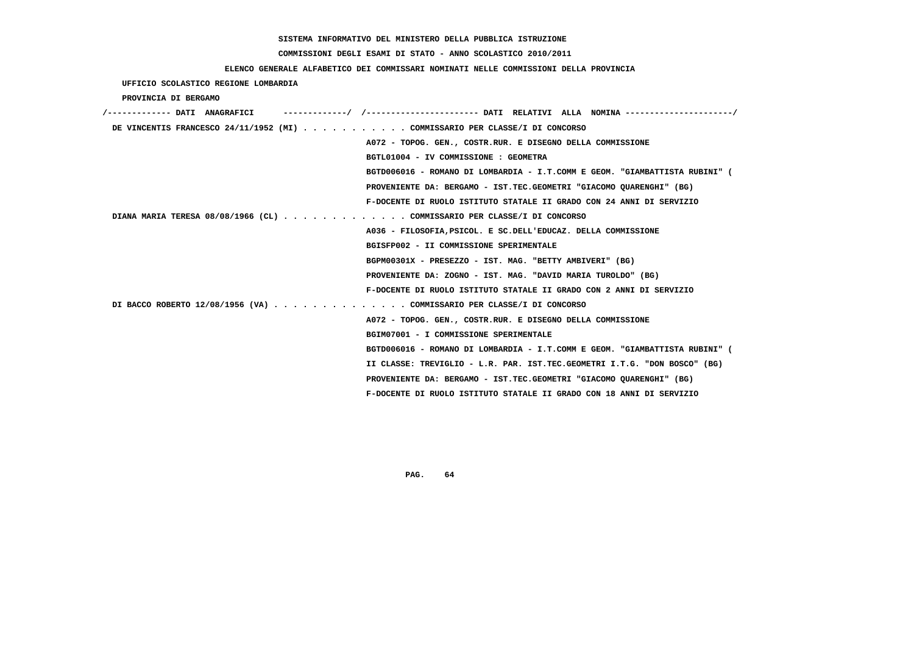# **COMMISSIONI DEGLI ESAMI DI STATO - ANNO SCOLASTICO 2010/2011**

### **ELENCO GENERALE ALFABETICO DEI COMMISSARI NOMINATI NELLE COMMISSIONI DELLA PROVINCIA**

 **UFFICIO SCOLASTICO REGIONE LOMBARDIA**

 **PROVINCIA DI BERGAMO**

|  | DE VINCENTIS FRANCESCO 24/11/1952 (MI) COMMISSARIO PER CLASSE/I DI CONCORSO |
|--|-----------------------------------------------------------------------------|
|  | A072 - TOPOG. GEN., COSTR.RUR. E DISEGNO DELLA COMMISSIONE                  |
|  | BGTL01004 - IV COMMISSIONE : GEOMETRA                                       |
|  | BGTD006016 - ROMANO DI LOMBARDIA - I.T.COMM E GEOM. "GIAMBATTISTA RUBINI" ( |
|  | PROVENIENTE DA: BERGAMO - IST.TEC.GEOMETRI "GIACOMO OUARENGHI" (BG)         |
|  | F-DOCENTE DI RUOLO ISTITUTO STATALE II GRADO CON 24 ANNI DI SERVIZIO        |
|  | DIANA MARIA TERESA 08/08/1966 (CL) COMMISSARIO PER CLASSE/I DI CONCORSO     |
|  | A036 - FILOSOFIA, PSICOL. E SC. DELL'EDUCAZ. DELLA COMMISSIONE              |
|  | BGISFP002 - II COMMISSIONE SPERIMENTALE                                     |
|  | BGPM00301X - PRESEZZO - IST. MAG. "BETTY AMBIVERI" (BG)                     |
|  | PROVENIENTE DA: ZOGNO - IST. MAG. "DAVID MARIA TUROLDO" (BG)                |
|  | F-DOCENTE DI RUOLO ISTITUTO STATALE II GRADO CON 2 ANNI DI SERVIZIO         |
|  | DI BACCO ROBERTO 12/08/1956 (VA) COMMISSARIO PER CLASSE/I DI CONCORSO       |
|  | A072 - TOPOG. GEN., COSTR.RUR. E DISEGNO DELLA COMMISSIONE                  |
|  | BGIM07001 - I COMMISSIONE SPERIMENTALE                                      |
|  | BGTD006016 - ROMANO DI LOMBARDIA - I.T.COMM E GEOM. "GIAMBATTISTA RUBINI" ( |
|  | II CLASSE: TREVIGLIO - L.R. PAR. IST.TEC.GEOMETRI I.T.G. "DON BOSCO" (BG)   |
|  | PROVENIENTE DA: BERGAMO - IST.TEC.GEOMETRI "GIACOMO QUARENGHI" (BG)         |
|  | F-DOCENTE DI RUOLO ISTITUTO STATALE II GRADO CON 18 ANNI DI SERVIZIO        |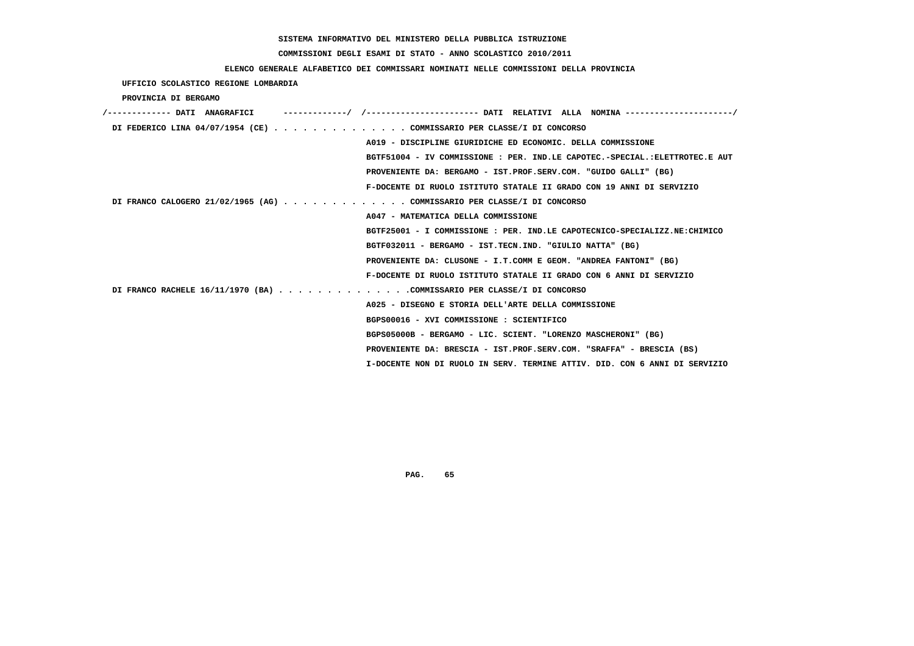# **COMMISSIONI DEGLI ESAMI DI STATO - ANNO SCOLASTICO 2010/2011**

### **ELENCO GENERALE ALFABETICO DEI COMMISSARI NOMINATI NELLE COMMISSIONI DELLA PROVINCIA**

 **UFFICIO SCOLASTICO REGIONE LOMBARDIA**

 **PROVINCIA DI BERGAMO**

| /------------- DATI ANAGRAFICI | ------------/ /---------------------- DATI RELATIVI ALLA NOMINA --------------------/ |
|--------------------------------|---------------------------------------------------------------------------------------|
|                                | DI FEDERICO LINA 04/07/1954 (CE) COMMISSARIO PER CLASSE/I DI CONCORSO                 |
|                                | A019 - DISCIPLINE GIURIDICHE ED ECONOMIC. DELLA COMMISSIONE                           |
|                                | BGTF51004 - IV COMMISSIONE : PER. IND.LE CAPOTEC.-SPECIAL.:ELETTROTEC.E AUT           |
|                                | PROVENIENTE DA: BERGAMO - IST.PROF.SERV.COM. "GUIDO GALLI" (BG)                       |
|                                | F-DOCENTE DI RUOLO ISTITUTO STATALE II GRADO CON 19 ANNI DI SERVIZIO                  |
|                                | DI FRANCO CALOGERO 21/02/1965 (AG) COMMISSARIO PER CLASSE/I DI CONCORSO               |
|                                | A047 - MATEMATICA DELLA COMMISSIONE                                                   |
|                                | BGTF25001 - I COMMISSIONE : PER. IND.LE CAPOTECNICO-SPECIALIZZ.NE:CHIMICO             |
|                                | BGTF032011 - BERGAMO - IST.TECN.IND. "GIULIO NATTA" (BG)                              |
|                                | PROVENIENTE DA: CLUSONE - I.T.COMM E GEOM. "ANDREA FANTONI" (BG)                      |
|                                | F-DOCENTE DI RUOLO ISTITUTO STATALE II GRADO CON 6 ANNI DI SERVIZIO                   |
|                                | DI FRANCO RACHELE 16/11/1970 (BA) COMMISSARIO PER CLASSE/I DI CONCORSO                |
|                                | A025 - DISEGNO E STORIA DELL'ARTE DELLA COMMISSIONE                                   |
|                                | BGPS00016 - XVI COMMISSIONE : SCIENTIFICO                                             |
|                                | BGPS05000B - BERGAMO - LIC. SCIENT. "LORENZO MASCHERONI" (BG)                         |
|                                | PROVENIENTE DA: BRESCIA - IST.PROF.SERV.COM. "SRAFFA" - BRESCIA (BS)                  |
|                                | I-DOCENTE NON DI RUOLO IN SERV. TERMINE ATTIV. DID. CON 6 ANNI DI SERVIZIO            |
|                                |                                                                                       |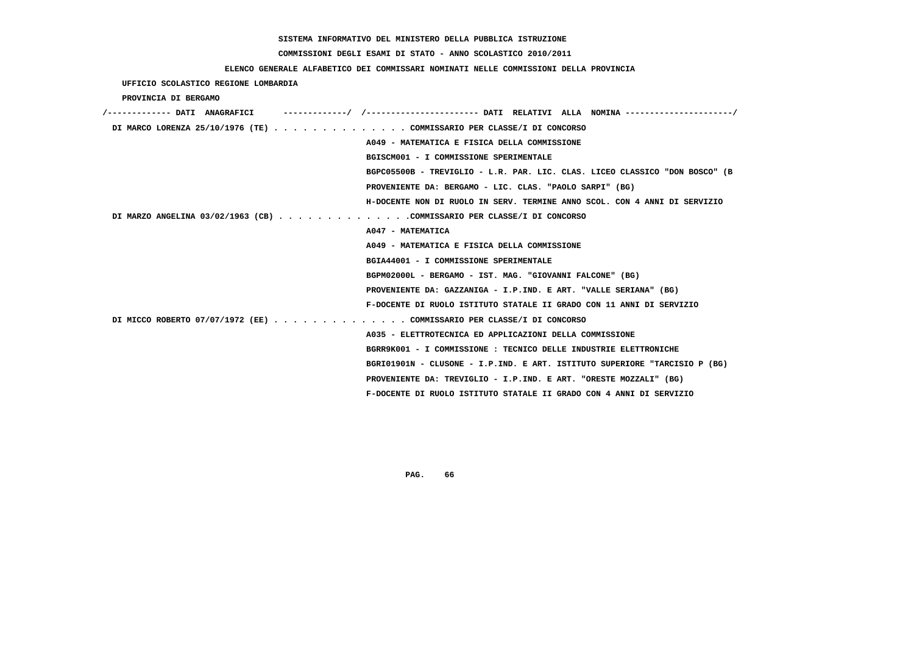# **COMMISSIONI DEGLI ESAMI DI STATO - ANNO SCOLASTICO 2010/2011**

### **ELENCO GENERALE ALFABETICO DEI COMMISSARI NOMINATI NELLE COMMISSIONI DELLA PROVINCIA**

 **UFFICIO SCOLASTICO REGIONE LOMBARDIA**

 **PROVINCIA DI BERGAMO**

| /------------- DATI ANAGRAFICI | -/ /----------------------- DATI RELATIVI ALLA NOMINA ---------------------/ |
|--------------------------------|------------------------------------------------------------------------------|
|                                | DI MARCO LORENZA 25/10/1976 (TE) COMMISSARIO PER CLASSE/I DI CONCORSO        |
|                                | A049 - MATEMATICA E FISICA DELLA COMMISSIONE                                 |
|                                | BGISCM001 - I COMMISSIONE SPERIMENTALE                                       |
|                                | BGPC05500B - TREVIGLIO - L.R. PAR. LIC. CLAS. LICEO CLASSICO "DON BOSCO" (B  |
|                                | PROVENIENTE DA: BERGAMO - LIC. CLAS. "PAOLO SARPI" (BG)                      |
|                                | H-DOCENTE NON DI RUOLO IN SERV. TERMINE ANNO SCOL. CON 4 ANNI DI SERVIZIO    |
|                                | DI MARZO ANGELINA 03/02/1963 (CB) COMMISSARIO PER CLASSE/I DI CONCORSO       |
|                                | A047 - MATEMATICA                                                            |
|                                | A049 - MATEMATICA E FISICA DELLA COMMISSIONE                                 |
|                                | BGIA44001 - I COMMISSIONE SPERIMENTALE                                       |
|                                | BGPM02000L - BERGAMO - IST. MAG. "GIOVANNI FALCONE" (BG)                     |
|                                | PROVENIENTE DA: GAZZANIGA - I.P.IND. E ART. "VALLE SERIANA" (BG)             |
|                                | F-DOCENTE DI RUOLO ISTITUTO STATALE II GRADO CON 11 ANNI DI SERVIZIO         |
|                                | DI MICCO ROBERTO 07/07/1972 (EE) COMMISSARIO PER CLASSE/I DI CONCORSO        |
|                                | A035 - ELETTROTECNICA ED APPLICAZIONI DELLA COMMISSIONE                      |
|                                | BGRR9K001 - I COMMISSIONE : TECNICO DELLE INDUSTRIE ELETTRONICHE             |
|                                | BGRI01901N - CLUSONE - I.P.IND. E ART. ISTITUTO SUPERIORE "TARCISIO P (BG)   |
|                                | PROVENIENTE DA: TREVIGLIO - I.P.IND. E ART. "ORESTE MOZZALI" (BG)            |
|                                | F-DOCENTE DI RUOLO ISTITUTO STATALE II GRADO CON 4 ANNI DI SERVIZIO          |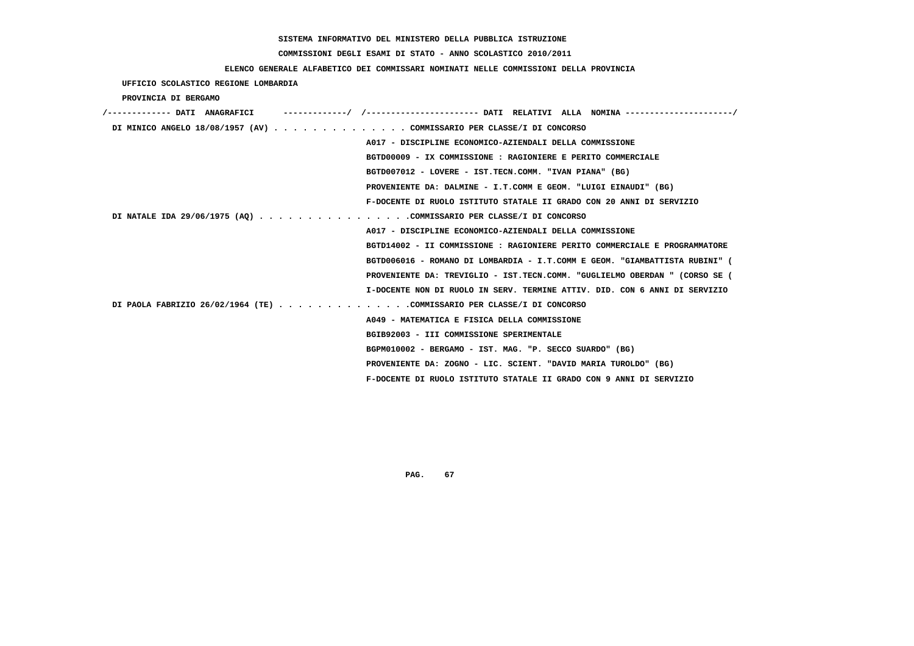# **COMMISSIONI DEGLI ESAMI DI STATO - ANNO SCOLASTICO 2010/2011**

## **ELENCO GENERALE ALFABETICO DEI COMMISSARI NOMINATI NELLE COMMISSIONI DELLA PROVINCIA**

 **UFFICIO SCOLASTICO REGIONE LOMBARDIA**

 **PROVINCIA DI BERGAMO**

| /------------- DATI ANAGRAFICI | -------------/ /--------------------- DATI RELATIVI ALLA NOMINA--------------------/ |
|--------------------------------|--------------------------------------------------------------------------------------|
|                                | DI MINICO ANGELO 18/08/1957 (AV) COMMISSARIO PER CLASSE/I DI CONCORSO                |
|                                | A017 - DISCIPLINE ECONOMICO-AZIENDALI DELLA COMMISSIONE                              |
|                                | BGTD00009 - IX COMMISSIONE : RAGIONIERE E PERITO COMMERCIALE                         |
|                                | BGTD007012 - LOVERE - IST.TECN.COMM. "IVAN PIANA" (BG)                               |
|                                | PROVENIENTE DA: DALMINE - I.T.COMM E GEOM. "LUIGI EINAUDI" (BG)                      |
|                                | F-DOCENTE DI RUOLO ISTITUTO STATALE II GRADO CON 20 ANNI DI SERVIZIO                 |
|                                | DI NATALE IDA 29/06/1975 (AQ) COMMISSARIO PER CLASSE/I DI CONCORSO                   |
|                                | A017 - DISCIPLINE ECONOMICO-AZIENDALI DELLA COMMISSIONE                              |
|                                | BGTD14002 - II COMMISSIONE : RAGIONIERE PERITO COMMERCIALE E PROGRAMMATORE           |
|                                | BGTD006016 - ROMANO DI LOMBARDIA - I.T.COMM E GEOM. "GIAMBATTISTA RUBINI" (          |
|                                | PROVENIENTE DA: TREVIGLIO - IST.TECN.COMM. "GUGLIELMO OBERDAN " (CORSO SE (          |
|                                | I-DOCENTE NON DI RUOLO IN SERV. TERMINE ATTIV. DID. CON 6 ANNI DI SERVIZIO           |
|                                | DI PAOLA FABRIZIO 26/02/1964 (TE) COMMISSARIO PER CLASSE/I DI CONCORSO               |
|                                | A049 - MATEMATICA E FISICA DELLA COMMISSIONE                                         |
|                                | BGIB92003 - III COMMISSIONE SPERIMENTALE                                             |
|                                | BGPM010002 - BERGAMO - IST. MAG. "P. SECCO SUARDO" (BG)                              |
|                                | PROVENIENTE DA: ZOGNO - LIC. SCIENT. "DAVID MARIA TUROLDO" (BG)                      |
|                                | F-DOCENTE DI RUOLO ISTITUTO STATALE II GRADO CON 9 ANNI DI SERVIZIO                  |
|                                |                                                                                      |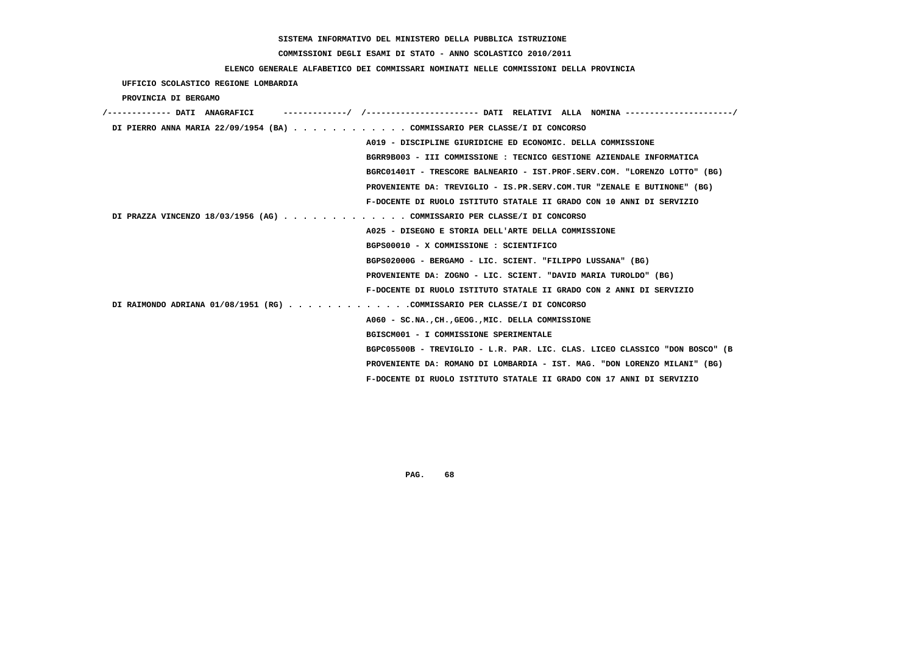# **COMMISSIONI DEGLI ESAMI DI STATO - ANNO SCOLASTICO 2010/2011**

### **ELENCO GENERALE ALFABETICO DEI COMMISSARI NOMINATI NELLE COMMISSIONI DELLA PROVINCIA**

 **UFFICIO SCOLASTICO REGIONE LOMBARDIA**

 **PROVINCIA DI BERGAMO**

| DI PIERRO ANNA MARIA 22/09/1954 (BA) COMMISSARIO PER CLASSE/I DI CONCORSO |                                                                             |
|---------------------------------------------------------------------------|-----------------------------------------------------------------------------|
|                                                                           | A019 - DISCIPLINE GIURIDICHE ED ECONOMIC. DELLA COMMISSIONE                 |
|                                                                           | BGRR9B003 - III COMMISSIONE : TECNICO GESTIONE AZIENDALE INFORMATICA        |
|                                                                           | BGRC01401T - TRESCORE BALNEARIO - IST.PROF.SERV.COM. "LORENZO LOTTO" (BG)   |
|                                                                           | PROVENIENTE DA: TREVIGLIO - IS.PR.SERV.COM.TUR "ZENALE E BUTINONE" (BG)     |
|                                                                           | F-DOCENTE DI RUOLO ISTITUTO STATALE II GRADO CON 10 ANNI DI SERVIZIO        |
| DI PRAZZA VINCENZO 18/03/1956 (AG) COMMISSARIO PER CLASSE/I DI CONCORSO   |                                                                             |
|                                                                           | A025 - DISEGNO E STORIA DELL'ARTE DELLA COMMISSIONE                         |
|                                                                           | BGPS00010 - X COMMISSIONE : SCIENTIFICO                                     |
|                                                                           | BGPS02000G - BERGAMO - LIC. SCIENT. "FILIPPO LUSSANA" (BG)                  |
|                                                                           | PROVENIENTE DA: ZOGNO - LIC. SCIENT. "DAVID MARIA TUROLDO" (BG)             |
|                                                                           | F-DOCENTE DI RUOLO ISTITUTO STATALE II GRADO CON 2 ANNI DI SERVIZIO         |
| DI RAIMONDO ADRIANA 01/08/1951 (RG) COMMISSARIO PER CLASSE/I DI CONCORSO  |                                                                             |
|                                                                           | A060 - SC.NACHGEOGMIC. DELLA COMMISSIONE                                    |
|                                                                           | BGISCM001 - I COMMISSIONE SPERIMENTALE                                      |
|                                                                           | BGPC05500B - TREVIGLIO - L.R. PAR. LIC. CLAS. LICEO CLASSICO "DON BOSCO" (B |
|                                                                           | PROVENIENTE DA: ROMANO DI LOMBARDIA - IST. MAG. "DON LORENZO MILANI" (BG)   |
|                                                                           | F-DOCENTE DI RUOLO ISTITUTO STATALE II GRADO CON 17 ANNI DI SERVIZIO        |
|                                                                           |                                                                             |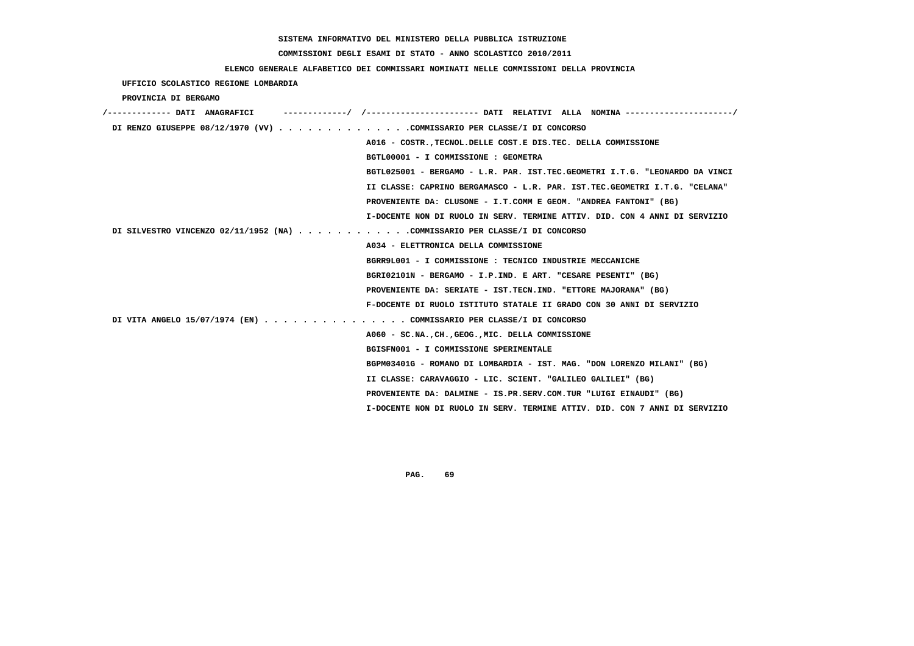#### **COMMISSIONI DEGLI ESAMI DI STATO - ANNO SCOLASTICO 2010/2011**

#### **ELENCO GENERALE ALFABETICO DEI COMMISSARI NOMINATI NELLE COMMISSIONI DELLA PROVINCIA**

 **UFFICIO SCOLASTICO REGIONE LOMBARDIA PROVINCIA DI BERGAMO /------------- DATI ANAGRAFICI -------------/ /----------------------- DATI RELATIVI ALLA NOMINA ----------------------/ DI RENZO GIUSEPPE 08/12/1970 (VV) . . . . . . . . . . . . . .COMMISSARIO PER CLASSE/I DI CONCORSO A016 - COSTR.,TECNOL.DELLE COST.E DIS.TEC. DELLA COMMISSIONE BGTL00001 - I COMMISSIONE : GEOMETRA BGTL025001 - BERGAMO - L.R. PAR. IST.TEC.GEOMETRI I.T.G. "LEONARDO DA VINCI II CLASSE: CAPRINO BERGAMASCO - L.R. PAR. IST.TEC.GEOMETRI I.T.G. "CELANA" PROVENIENTE DA: CLUSONE - I.T.COMM E GEOM. "ANDREA FANTONI" (BG) I-DOCENTE NON DI RUOLO IN SERV. TERMINE ATTIV. DID. CON 4 ANNI DI SERVIZIO DI SILVESTRO VINCENZO 02/11/1952 (NA) . . . . . . . . . . . .COMMISSARIO PER CLASSE/I DI CONCORSO A034 - ELETTRONICA DELLA COMMISSIONE BGRR9L001 - I COMMISSIONE : TECNICO INDUSTRIE MECCANICHE BGRI02101N - BERGAMO - I.P.IND. E ART. "CESARE PESENTI" (BG) PROVENIENTE DA: SERIATE - IST.TECN.IND. "ETTORE MAJORANA" (BG) F-DOCENTE DI RUOLO ISTITUTO STATALE II GRADO CON 30 ANNI DI SERVIZIO DI VITA ANGELO 15/07/1974 (EN) . . . . . . . . . . . . . . . COMMISSARIO PER CLASSE/I DI CONCORSO A060 - SC.NA.,CH.,GEOG.,MIC. DELLA COMMISSIONE BGISFN001 - I COMMISSIONE SPERIMENTALE BGPM03401G - ROMANO DI LOMBARDIA - IST. MAG. "DON LORENZO MILANI" (BG) II CLASSE: CARAVAGGIO - LIC. SCIENT. "GALILEO GALILEI" (BG) PROVENIENTE DA: DALMINE - IS.PR.SERV.COM.TUR "LUIGI EINAUDI" (BG) I-DOCENTE NON DI RUOLO IN SERV. TERMINE ATTIV. DID. CON 7 ANNI DI SERVIZIO**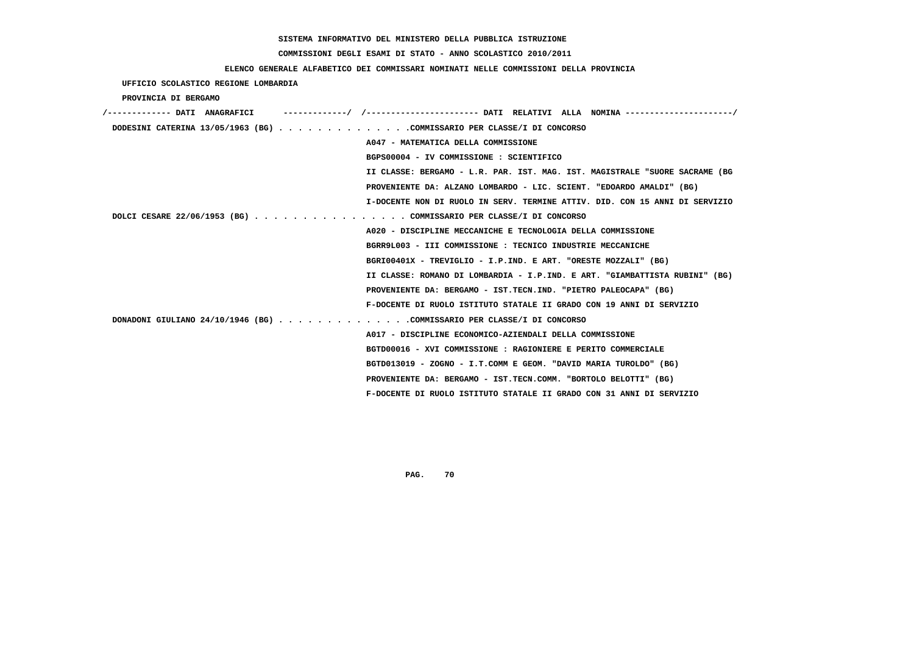# **COMMISSIONI DEGLI ESAMI DI STATO - ANNO SCOLASTICO 2010/2011**

### **ELENCO GENERALE ALFABETICO DEI COMMISSARI NOMINATI NELLE COMMISSIONI DELLA PROVINCIA**

# **UFFICIO SCOLASTICO REGIONE LOMBARDIA**

### **PROVINCIA DI BERGAMO**

| /------------- DATI ANAGRAFICI                                              |
|-----------------------------------------------------------------------------|
| DODESINI CATERINA 13/05/1963 (BG) COMMISSARIO PER CLASSE/I DI CONCORSO      |
| A047 - MATEMATICA DELLA COMMISSIONE                                         |
| BGPS00004 - IV COMMISSIONE : SCIENTIFICO                                    |
| II CLASSE: BERGAMO - L.R. PAR. IST. MAG. IST. MAGISTRALE "SUORE SACRAME (BG |
| PROVENIENTE DA: ALZANO LOMBARDO - LIC. SCIENT. "EDOARDO AMALDI" (BG)        |
| I-DOCENTE NON DI RUOLO IN SERV. TERMINE ATTIV. DID. CON 15 ANNI DI SERVIZIO |
| DOLCI CESARE 22/06/1953 (BG) COMMISSARIO PER CLASSE/I DI CONCORSO           |
| A020 - DISCIPLINE MECCANICHE E TECNOLOGIA DELLA COMMISSIONE                 |
| BGRR9L003 - III COMMISSIONE : TECNICO INDUSTRIE MECCANICHE                  |
| BGRI00401X - TREVIGLIO - I.P.IND. E ART. "ORESTE MOZZALI" (BG)              |
| II CLASSE: ROMANO DI LOMBARDIA - I.P.IND. E ART. "GIAMBATTISTA RUBINI" (BG) |
| PROVENIENTE DA: BERGAMO - IST.TECN.IND. "PIETRO PALEOCAPA" (BG)             |
| F-DOCENTE DI RUOLO ISTITUTO STATALE II GRADO CON 19 ANNI DI SERVIZIO        |
| DONADONI GIULIANO 24/10/1946 (BG) COMMISSARIO PER CLASSE/I DI CONCORSO      |
| A017 - DISCIPLINE ECONOMICO-AZIENDALI DELLA COMMISSIONE                     |
| BGTD00016 - XVI COMMISSIONE : RAGIONIERE E PERITO COMMERCIALE               |
| BGTD013019 - ZOGNO - I.T.COMM E GEOM. "DAVID MARIA TUROLDO" (BG)            |
| PROVENIENTE DA: BERGAMO - IST.TECN.COMM. "BORTOLO BELOTTI" (BG)             |
| F-DOCENTE DI RUOLO ISTITUTO STATALE II GRADO CON 31 ANNI DI SERVIZIO        |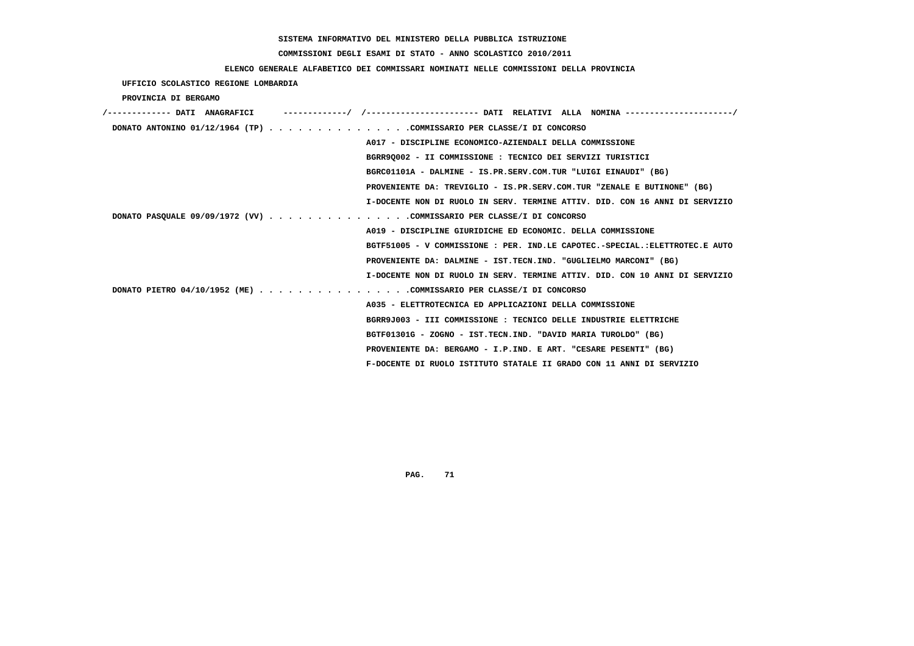# **COMMISSIONI DEGLI ESAMI DI STATO - ANNO SCOLASTICO 2010/2011**

## **ELENCO GENERALE ALFABETICO DEI COMMISSARI NOMINATI NELLE COMMISSIONI DELLA PROVINCIA**

 **UFFICIO SCOLASTICO REGIONE LOMBARDIA**

 **PROVINCIA DI BERGAMO**

| I-DOCENTE NON DI RUOLO IN SERV. TERMINE ATTIV. DID. CON 16 ANNI DI SERVIZIO |
|-----------------------------------------------------------------------------|
|                                                                             |
|                                                                             |
| BGTF51005 - V COMMISSIONE : PER. IND.LE CAPOTEC.-SPECIAL.:ELETTROTEC.E AUTO |
|                                                                             |
| I-DOCENTE NON DI RUOLO IN SERV. TERMINE ATTIV. DID. CON 10 ANNI DI SERVIZIO |
|                                                                             |
|                                                                             |
|                                                                             |
|                                                                             |
|                                                                             |
|                                                                             |
|                                                                             |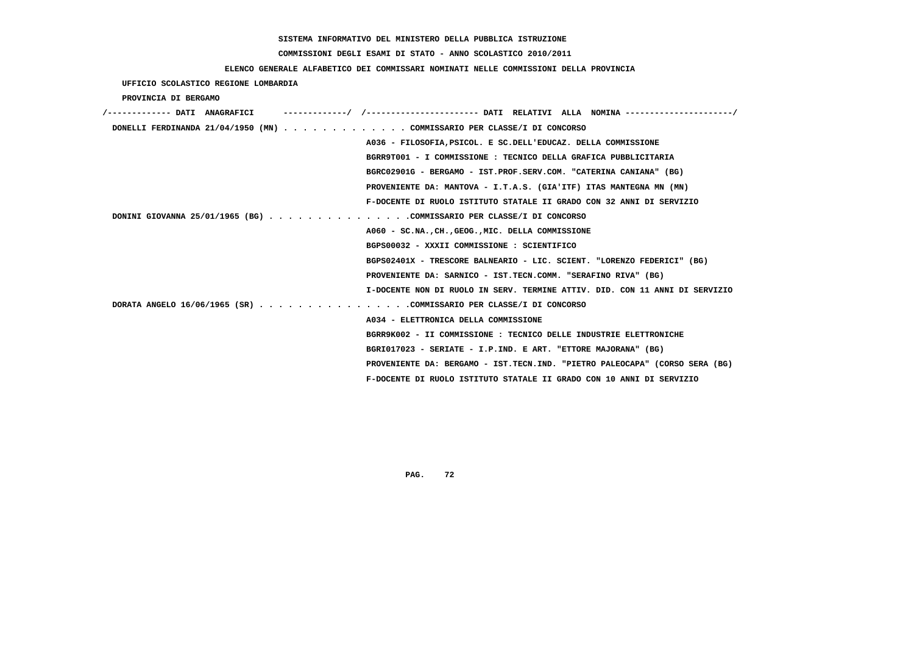# **COMMISSIONI DEGLI ESAMI DI STATO - ANNO SCOLASTICO 2010/2011**

### **ELENCO GENERALE ALFABETICO DEI COMMISSARI NOMINATI NELLE COMMISSIONI DELLA PROVINCIA**

 **UFFICIO SCOLASTICO REGIONE LOMBARDIA**

 **PROVINCIA DI BERGAMO**

| /------------- DATI ANAGRAFICI |                                                                             |
|--------------------------------|-----------------------------------------------------------------------------|
|                                | DONELLI FERDINANDA 21/04/1950 (MN) COMMISSARIO PER CLASSE/I DI CONCORSO     |
|                                | A036 - FILOSOFIA, PSICOL. E SC. DELL'EDUCAZ. DELLA COMMISSIONE              |
|                                | BGRR9T001 - I COMMISSIONE : TECNICO DELLA GRAFICA PUBBLICITARIA             |
|                                | BGRC02901G - BERGAMO - IST.PROF.SERV.COM. "CATERINA CANIANA" (BG)           |
|                                | PROVENIENTE DA: MANTOVA - I.T.A.S. (GIA'ITF) ITAS MANTEGNA MN (MN)          |
|                                | F-DOCENTE DI RUOLO ISTITUTO STATALE II GRADO CON 32 ANNI DI SERVIZIO        |
|                                | DONINI GIOVANNA 25/01/1965 (BG) COMMISSARIO PER CLASSE/I DI CONCORSO        |
|                                | A060 - SC.NA., CH., GEOG., MIC. DELLA COMMISSIONE                           |
|                                | BGPS00032 - XXXII COMMISSIONE : SCIENTIFICO                                 |
|                                | BGPS02401X - TRESCORE BALNEARIO - LIC. SCIENT. "LORENZO FEDERICI" (BG)      |
|                                | PROVENIENTE DA: SARNICO - IST.TECN.COMM. "SERAFINO RIVA" (BG)               |
|                                | I-DOCENTE NON DI RUOLO IN SERV. TERMINE ATTIV. DID. CON 11 ANNI DI SERVIZIO |
|                                | DORATA ANGELO 16/06/1965 (SR) COMMISSARIO PER CLASSE/I DI CONCORSO          |
|                                | A034 - ELETTRONICA DELLA COMMISSIONE                                        |
|                                | BGRR9K002 - II COMMISSIONE : TECNICO DELLE INDUSTRIE ELETTRONICHE           |
|                                | BGRI017023 - SERIATE - I.P.IND. E ART. "ETTORE MAJORANA" (BG)               |
|                                | PROVENIENTE DA: BERGAMO - IST.TECN.IND. "PIETRO PALEOCAPA" (CORSO SERA (BG) |
|                                | F-DOCENTE DI RUOLO ISTITUTO STATALE II GRADO CON 10 ANNI DI SERVIZIO        |
|                                |                                                                             |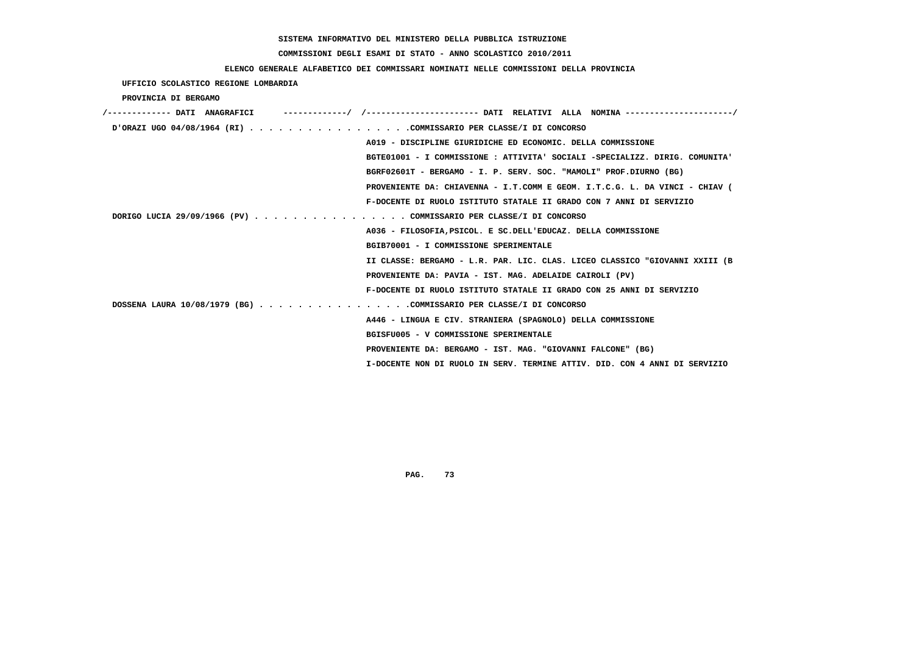## **COMMISSIONI DEGLI ESAMI DI STATO - ANNO SCOLASTICO 2010/2011**

### **ELENCO GENERALE ALFABETICO DEI COMMISSARI NOMINATI NELLE COMMISSIONI DELLA PROVINCIA**

 **UFFICIO SCOLASTICO REGIONE LOMBARDIA**

 **PROVINCIA DI BERGAMO**

| /------------- DATI ANAGRAFICI                                     |                                                                             |
|--------------------------------------------------------------------|-----------------------------------------------------------------------------|
| D'ORAZI UGO 04/08/1964 (RI) COMMISSARIO PER CLASSE/I DI CONCORSO   |                                                                             |
|                                                                    | A019 - DISCIPLINE GIURIDICHE ED ECONOMIC. DELLA COMMISSIONE                 |
|                                                                    | BGTE01001 - I COMMISSIONE : ATTIVITA' SOCIALI -SPECIALIZZ. DIRIG. COMUNITA' |
|                                                                    | BGRF02601T - BERGAMO - I. P. SERV. SOC. "MAMOLI" PROF.DIURNO (BG)           |
|                                                                    | PROVENIENTE DA: CHIAVENNA - I.T.COMM E GEOM. I.T.C.G. L. DA VINCI - CHIAV ( |
|                                                                    | F-DOCENTE DI RUOLO ISTITUTO STATALE II GRADO CON 7 ANNI DI SERVIZIO         |
| DORIGO LUCIA 29/09/1966 (PV) COMMISSARIO PER CLASSE/I DI CONCORSO  |                                                                             |
|                                                                    | A036 - FILOSOFIA, PSICOL. E SC. DELL'EDUCAZ. DELLA COMMISSIONE              |
|                                                                    | BGIB70001 - I COMMISSIONE SPERIMENTALE                                      |
|                                                                    | II CLASSE: BERGAMO - L.R. PAR. LIC. CLAS. LICEO CLASSICO "GIOVANNI XXIII (B |
|                                                                    | PROVENIENTE DA: PAVIA - IST. MAG. ADELAIDE CAIROLI (PV)                     |
|                                                                    | F-DOCENTE DI RUOLO ISTITUTO STATALE II GRADO CON 25 ANNI DI SERVIZIO        |
| DOSSENA LAURA 10/08/1979 (BG) COMMISSARIO PER CLASSE/I DI CONCORSO |                                                                             |
|                                                                    | A446 - LINGUA E CIV. STRANIERA (SPAGNOLO) DELLA COMMISSIONE                 |
|                                                                    | BGISFU005 - V COMMISSIONE SPERIMENTALE                                      |
|                                                                    | PROVENIENTE DA: BERGAMO - IST. MAG. "GIOVANNI FALCONE" (BG)                 |
|                                                                    | I-DOCENTE NON DI RUOLO IN SERV. TERMINE ATTIV. DID. CON 4 ANNI DI SERVIZIO  |
|                                                                    |                                                                             |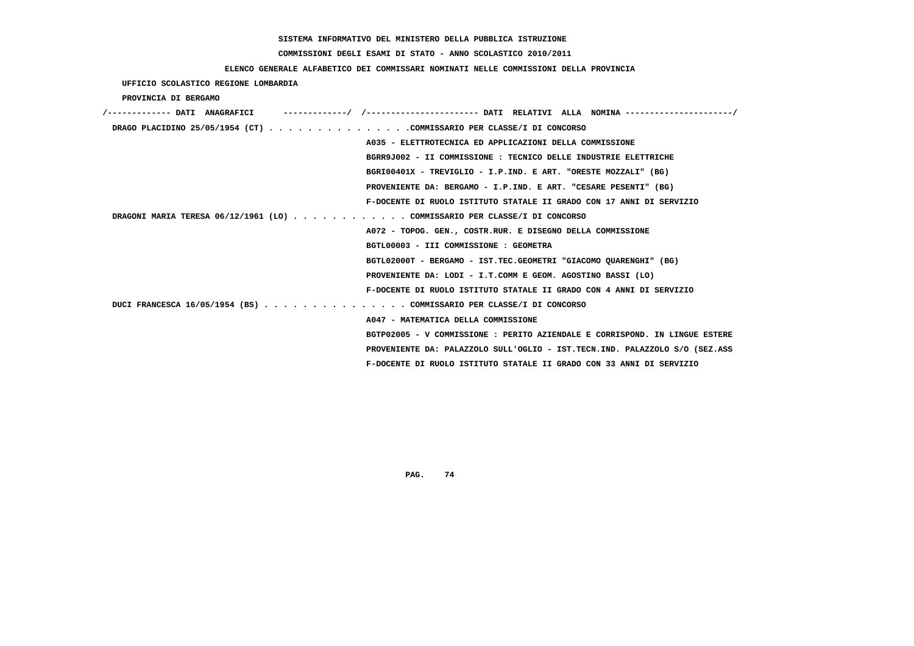## **COMMISSIONI DEGLI ESAMI DI STATO - ANNO SCOLASTICO 2010/2011**

### **ELENCO GENERALE ALFABETICO DEI COMMISSARI NOMINATI NELLE COMMISSIONI DELLA PROVINCIA**

 **UFFICIO SCOLASTICO REGIONE LOMBARDIA**

 **PROVINCIA DI BERGAMO**

| /------------- DATI ANAGRAFICI                                            |                                                                             |
|---------------------------------------------------------------------------|-----------------------------------------------------------------------------|
| DRAGO PLACIDINO 25/05/1954 (CT) COMMISSARIO PER CLASSE/I DI CONCORSO      |                                                                             |
|                                                                           | A035 - ELETTROTECNICA ED APPLICAZIONI DELLA COMMISSIONE                     |
|                                                                           | BGRR9J002 - II COMMISSIONE : TECNICO DELLE INDUSTRIE ELETTRICHE             |
|                                                                           | BGRI00401X - TREVIGLIO - I.P.IND. E ART. "ORESTE MOZZALI" (BG)              |
|                                                                           | PROVENIENTE DA: BERGAMO - I.P.IND. E ART. "CESARE PESENTI" (BG)             |
|                                                                           | F-DOCENTE DI RUOLO ISTITUTO STATALE II GRADO CON 17 ANNI DI SERVIZIO        |
| DRAGONI MARIA TERESA 06/12/1961 (LO) COMMISSARIO PER CLASSE/I DI CONCORSO |                                                                             |
|                                                                           | A072 - TOPOG. GEN., COSTR.RUR. E DISEGNO DELLA COMMISSIONE                  |
| BGTL00003 - III COMMISSIONE : GEOMETRA                                    |                                                                             |
|                                                                           | BGTL02000T - BERGAMO - IST.TEC.GEOMETRI "GIACOMO QUARENGHI" (BG)            |
|                                                                           | PROVENIENTE DA: LODI - I.T.COMM E GEOM. AGOSTINO BASSI (LO)                 |
|                                                                           | F-DOCENTE DI RUOLO ISTITUTO STATALE II GRADO CON 4 ANNI DI SERVIZIO         |
| DUCI FRANCESCA 16/05/1954 (BS) COMMISSARIO PER CLASSE/I DI CONCORSO       |                                                                             |
| A047 - MATEMATICA DELLA COMMISSIONE                                       |                                                                             |
|                                                                           | BGTP02005 - V COMMISSIONE : PERITO AZIENDALE E CORRISPOND. IN LINGUE ESTERE |
|                                                                           | PROVENIENTE DA: PALAZZOLO SULL'OGLIO - IST.TECN.IND. PALAZZOLO S/O (SEZ.ASS |
|                                                                           | F-DOCENTE DI RUOLO ISTITUTO STATALE II GRADO CON 33 ANNI DI SERVIZIO        |
|                                                                           |                                                                             |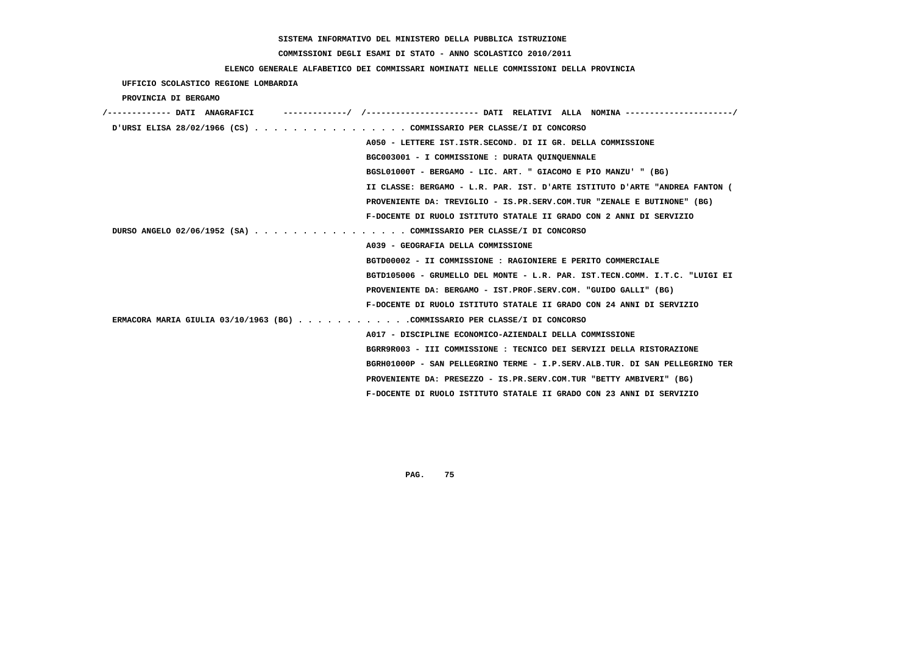## **COMMISSIONI DEGLI ESAMI DI STATO - ANNO SCOLASTICO 2010/2011**

## **ELENCO GENERALE ALFABETICO DEI COMMISSARI NOMINATI NELLE COMMISSIONI DELLA PROVINCIA**

| UFFICIO SCOLASTICO REGIONE LOMBARDIA                                       |                                                                                     |
|----------------------------------------------------------------------------|-------------------------------------------------------------------------------------|
| PROVINCIA DI BERGAMO                                                       |                                                                                     |
| /------------- DATI ANAGRAFICI                                             | ------------/ /--------------------- DATI RELATIVI ALLA NOMINA -------------------- |
| URSI ELISA 28/02/1966 (CS) COMMISSARIO PER CLASSE/I DI CONCORSO            |                                                                                     |
|                                                                            | A050 - LETTERE IST.ISTR.SECOND. DI II GR. DELLA COMMISSIONE                         |
|                                                                            | BGC003001 - I COMMISSIONE : DURATA OUINOUENNALE                                     |
|                                                                            | BGSL01000T - BERGAMO - LIC. ART. " GIACOMO E PIO MANZU' " (BG)                      |
|                                                                            | II CLASSE: BERGAMO - L.R. PAR. IST. D'ARTE ISTITUTO D'ARTE "ANDREA FANTON (         |
|                                                                            | PROVENIENTE DA: TREVIGLIO - IS.PR.SERV.COM.TUR "ZENALE E BUTINONE" (BG)             |
|                                                                            | F-DOCENTE DI RUOLO ISTITUTO STATALE II GRADO CON 2 ANNI DI SERVIZIO                 |
| DURSO ANGELO 02/06/1952 (SA) COMMISSARIO PER CLASSE/I DI CONCORSO          |                                                                                     |
|                                                                            | A039 - GEOGRAFIA DELLA COMMISSIONE                                                  |
|                                                                            | BGTD00002 - II COMMISSIONE : RAGIONIERE E PERITO COMMERCIALE                        |
|                                                                            | BGTD105006 - GRUMELLO DEL MONTE - L.R. PAR. IST.TECN.COMM. I.T.C. "LUIGI EI         |
|                                                                            | PROVENIENTE DA: BERGAMO - IST.PROF.SERV.COM. "GUIDO GALLI" (BG)                     |
|                                                                            | F-DOCENTE DI RUOLO ISTITUTO STATALE II GRADO CON 24 ANNI DI SERVIZIO                |
| ERMACORA MARIA GIULIA 03/10/1963 (BG) COMMISSARIO PER CLASSE/I DI CONCORSO |                                                                                     |
|                                                                            | A017 - DISCIPLINE ECONOMICO-AZIENDALI DELLA COMMISSIONE                             |
|                                                                            | BGRR9R003 - III COMMISSIONE : TECNICO DEI SERVIZI DELLA RISTORAZIONE                |
|                                                                            | BGRH01000P - SAN PELLEGRINO TERME - I.P.SERV.ALB.TUR. DI SAN PELLEGRINO TER         |
|                                                                            | PROVENIENTE DA: PRESEZZO - IS.PR.SERV.COM.TUR "BETTY AMBIVERI" (BG)                 |
|                                                                            | F-DOCENTE DI RUOLO ISTITUTO STATALE II GRADO CON 23 ANNI DI SERVIZIO                |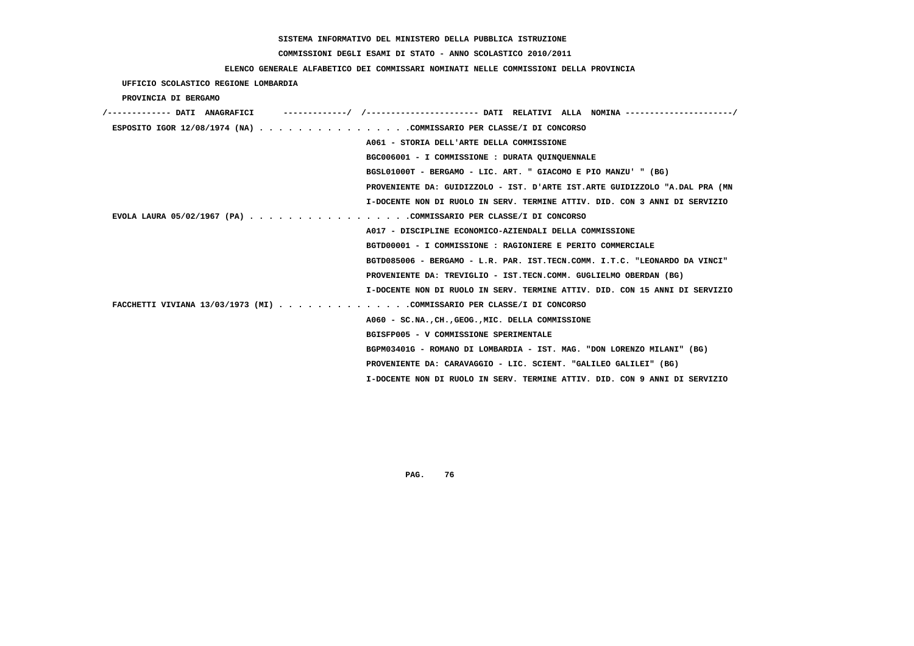## **COMMISSIONI DEGLI ESAMI DI STATO - ANNO SCOLASTICO 2010/2011**

### **ELENCO GENERALE ALFABETICO DEI COMMISSARI NOMINATI NELLE COMMISSIONI DELLA PROVINCIA**

 **UFFICIO SCOLASTICO REGIONE LOMBARDIA**

 **PROVINCIA DI BERGAMO**

| /------------- DATI ANAGRAFICI                                         | -----------/ /--------------------- DATI RELATIVI ALLA NOMINA --------------------/ |
|------------------------------------------------------------------------|-------------------------------------------------------------------------------------|
| ESPOSITO IGOR 12/08/1974 (NA) COMMISSARIO PER CLASSE/I DI CONCORSO     |                                                                                     |
|                                                                        | A061 - STORIA DELL'ARTE DELLA COMMISSIONE                                           |
|                                                                        | BGC006001 - I COMMISSIONE : DURATA QUINQUENNALE                                     |
|                                                                        | BGSL01000T - BERGAMO - LIC. ART. " GIACOMO E PIO MANZU' " (BG)                      |
|                                                                        | PROVENIENTE DA: GUIDIZZOLO - IST. D'ARTE IST.ARTE GUIDIZZOLO "A.DAL PRA (MN         |
|                                                                        | I-DOCENTE NON DI RUOLO IN SERV. TERMINE ATTIV. DID. CON 3 ANNI DI SERVIZIO          |
| EVOLA LAURA 05/02/1967 (PA) COMMISSARIO PER CLASSE/I DI CONCORSO       |                                                                                     |
|                                                                        | A017 - DISCIPLINE ECONOMICO-AZIENDALI DELLA COMMISSIONE                             |
|                                                                        | BGTD00001 - I COMMISSIONE : RAGIONIERE E PERITO COMMERCIALE                         |
|                                                                        | BGTD085006 - BERGAMO - L.R. PAR. IST.TECN.COMM. I.T.C. "LEONARDO DA VINCI"          |
|                                                                        | PROVENIENTE DA: TREVIGLIO - IST.TECN.COMM. GUGLIELMO OBERDAN (BG)                   |
|                                                                        | I-DOCENTE NON DI RUOLO IN SERV. TERMINE ATTIV. DID. CON 15 ANNI DI SERVIZIO         |
| FACCHETTI VIVIANA 13/03/1973 (MI) COMMISSARIO PER CLASSE/I DI CONCORSO |                                                                                     |
|                                                                        | A060 - SC.NA., CH., GEOG., MIC. DELLA COMMISSIONE                                   |
|                                                                        | BGISFP005 - V COMMISSIONE SPERIMENTALE                                              |
|                                                                        | BGPM03401G - ROMANO DI LOMBARDIA - IST. MAG. "DON LORENZO MILANI" (BG)              |
|                                                                        | PROVENIENTE DA: CARAVAGGIO - LIC. SCIENT. "GALILEO GALILEI" (BG)                    |
|                                                                        | I-DOCENTE NON DI RUOLO IN SERV. TERMINE ATTIV. DID. CON 9 ANNI DI SERVIZIO          |
|                                                                        |                                                                                     |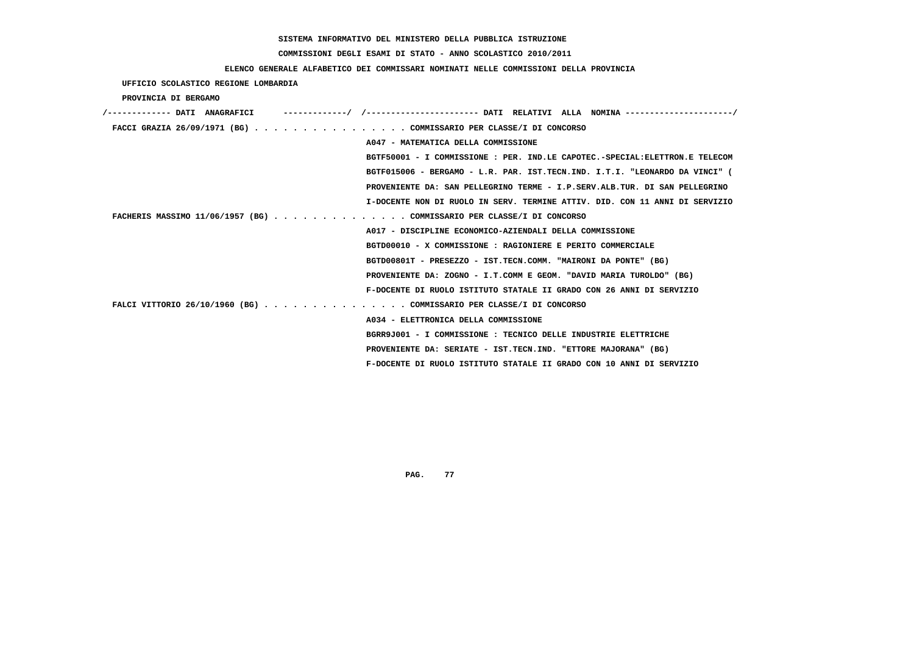## **COMMISSIONI DEGLI ESAMI DI STATO - ANNO SCOLASTICO 2010/2011**

### **ELENCO GENERALE ALFABETICO DEI COMMISSARI NOMINATI NELLE COMMISSIONI DELLA PROVINCIA**

 **UFFICIO SCOLASTICO REGIONE LOMBARDIA**

 **PROVINCIA DI BERGAMO**

| /------------ DATT ANAGRAFICT |                                                                              |
|-------------------------------|------------------------------------------------------------------------------|
|                               | FACCI GRAZIA 26/09/1971 (BG) COMMISSARIO PER CLASSE/I DI CONCORSO            |
|                               | A047 - MATEMATICA DELLA COMMISSIONE                                          |
|                               | BGTF50001 - I COMMISSIONE : PER. IND.LE CAPOTEC.-SPECIAL: ELETTRON.E TELECOM |
|                               | BGTF015006 - BERGAMO - L.R. PAR. IST.TECN.IND. I.T.I. "LEONARDO DA VINCI" (  |
|                               | PROVENIENTE DA: SAN PELLEGRINO TERME - I.P.SERV.ALB.TUR. DI SAN PELLEGRINO   |
|                               | I-DOCENTE NON DI RUOLO IN SERV. TERMINE ATTIV. DID. CON 11 ANNI DI SERVIZIO  |
|                               | FACHERIS MASSIMO 11/06/1957 (BG) COMMISSARIO PER CLASSE/I DI CONCORSO        |
|                               | A017 - DISCIPLINE ECONOMICO-AZIENDALI DELLA COMMISSIONE                      |
|                               | BGTD00010 - X COMMISSIONE : RAGIONIERE E PERITO COMMERCIALE                  |
|                               | BGTD00801T - PRESEZZO - IST.TECN.COMM. "MAIRONI DA PONTE" (BG)               |
|                               | PROVENIENTE DA: ZOGNO - I.T.COMM E GEOM. "DAVID MARIA TUROLDO" (BG)          |
|                               | F-DOCENTE DI RUOLO ISTITUTO STATALE II GRADO CON 26 ANNI DI SERVIZIO         |
|                               | FALCI VITTORIO 26/10/1960 (BG) COMMISSARIO PER CLASSE/I DI CONCORSO          |
|                               | A034 - ELETTRONICA DELLA COMMISSIONE                                         |
|                               | BGRR9J001 - I COMMISSIONE : TECNICO DELLE INDUSTRIE ELETTRICHE               |
|                               | PROVENIENTE DA: SERIATE - IST.TECN.IND. "ETTORE MAJORANA" (BG)               |
|                               | F-DOCENTE DI RUOLO ISTITUTO STATALE II GRADO CON 10 ANNI DI SERVIZIO         |
|                               |                                                                              |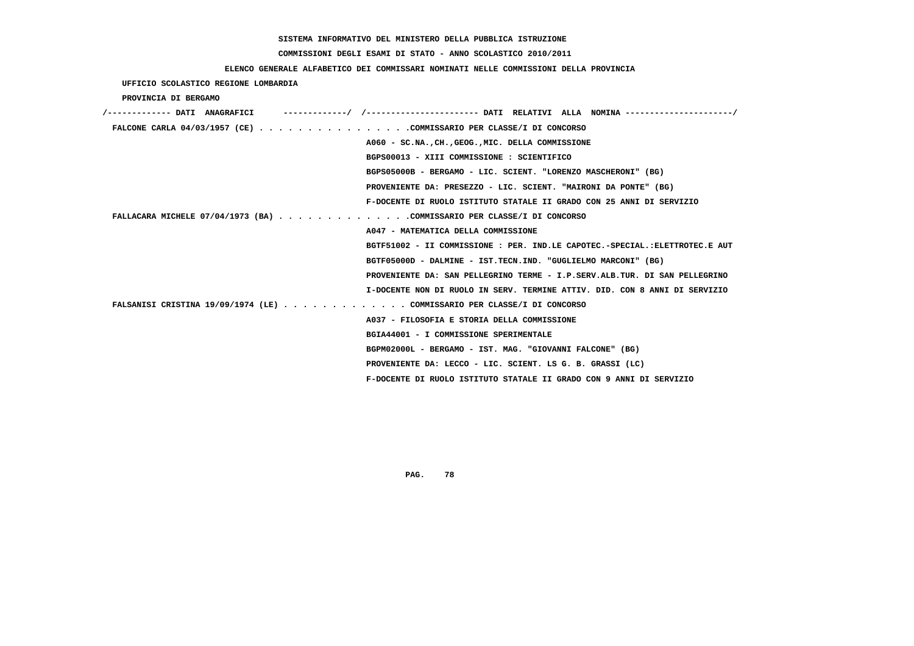## **COMMISSIONI DEGLI ESAMI DI STATO - ANNO SCOLASTICO 2010/2011**

### **ELENCO GENERALE ALFABETICO DEI COMMISSARI NOMINATI NELLE COMMISSIONI DELLA PROVINCIA**

 **UFFICIO SCOLASTICO REGIONE LOMBARDIA**

 **PROVINCIA DI BERGAMO**

| /------------- DATI ANAGRAFICI                                          |                                                                             |
|-------------------------------------------------------------------------|-----------------------------------------------------------------------------|
| FALCONE CARLA $04/03/1957$ (CE) COMMISSARIO PER CLASSE/I DI CONCORSO    |                                                                             |
|                                                                         | A060 - SC.NA., CH., GEOG., MIC. DELLA COMMISSIONE                           |
|                                                                         | BGPS00013 - XIII COMMISSIONE : SCIENTIFICO                                  |
|                                                                         | BGPS05000B - BERGAMO - LIC. SCIENT. "LORENZO MASCHERONI" (BG)               |
|                                                                         | PROVENIENTE DA: PRESEZZO - LIC. SCIENT. "MAIRONI DA PONTE" (BG)             |
|                                                                         | F-DOCENTE DI RUOLO ISTITUTO STATALE II GRADO CON 25 ANNI DI SERVIZIO        |
| FALLACARA MICHELE 07/04/1973 (BA) COMMISSARIO PER CLASSE/I DI CONCORSO  |                                                                             |
|                                                                         | A047 - MATEMATICA DELLA COMMISSIONE                                         |
|                                                                         | BGTF51002 - II COMMISSIONE : PER. IND.LE CAPOTEC.-SPECIAL.:ELETTROTEC.E AUT |
|                                                                         | BGTF05000D - DALMINE - IST.TECN.IND. "GUGLIELMO MARCONI" (BG)               |
|                                                                         | PROVENIENTE DA: SAN PELLEGRINO TERME - I.P.SERV.ALB.TUR. DI SAN PELLEGRINO  |
|                                                                         | I-DOCENTE NON DI RUOLO IN SERV. TERMINE ATTIV. DID. CON 8 ANNI DI SERVIZIO  |
| FALSANISI CRISTINA 19/09/1974 (LE) COMMISSARIO PER CLASSE/I DI CONCORSO |                                                                             |
|                                                                         | A037 - FILOSOFIA E STORIA DELLA COMMISSIONE                                 |
|                                                                         | BGIA44001 - I COMMISSIONE SPERIMENTALE                                      |
|                                                                         | BGPM02000L - BERGAMO - IST. MAG. "GIOVANNI FALCONE" (BG)                    |
|                                                                         | PROVENIENTE DA: LECCO - LIC. SCIENT. LS G. B. GRASSI (LC)                   |
|                                                                         | F-DOCENTE DI RUOLO ISTITUTO STATALE II GRADO CON 9 ANNI DI SERVIZIO         |
|                                                                         |                                                                             |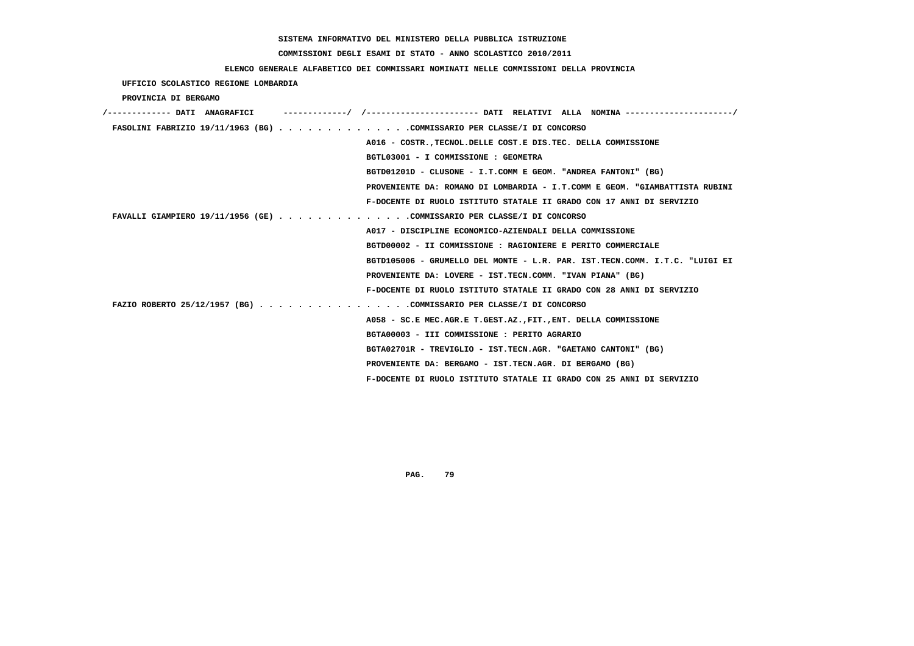## **COMMISSIONI DEGLI ESAMI DI STATO - ANNO SCOLASTICO 2010/2011**

### **ELENCO GENERALE ALFABETICO DEI COMMISSARI NOMINATI NELLE COMMISSIONI DELLA PROVINCIA**

 **UFFICIO SCOLASTICO REGIONE LOMBARDIA**

 **PROVINCIA DI BERGAMO**

| /------------- DATI ANAGRAFICI | ----------/ /---------------------- DATI RELATIVI ALLA NOMINA---------------------/ |
|--------------------------------|-------------------------------------------------------------------------------------|
|                                | FASOLINI FABRIZIO 19/11/1963 (BG) COMMISSARIO PER CLASSE/I DI CONCORSO              |
|                                | A016 - COSTR. TECNOL. DELLE COST. E DIS. TEC. DELLA COMMISSIONE                     |
|                                | BGTL03001 - I COMMISSIONE : GEOMETRA                                                |
|                                | BGTD01201D - CLUSONE - I.T.COMM E GEOM. "ANDREA FANTONI" (BG)                       |
|                                | PROVENIENTE DA: ROMANO DI LOMBARDIA - I.T.COMM E GEOM. "GIAMBATTISTA RUBINI         |
|                                | F-DOCENTE DI RUOLO ISTITUTO STATALE II GRADO CON 17 ANNI DI SERVIZIO                |
|                                | FAVALLI GIAMPIERO 19/11/1956 (GE) COMMISSARIO PER CLASSE/I DI CONCORSO              |
|                                | A017 - DISCIPLINE ECONOMICO-AZIENDALI DELLA COMMISSIONE                             |
|                                | BGTD00002 - II COMMISSIONE : RAGIONIERE E PERITO COMMERCIALE                        |
|                                | BGTD105006 - GRUMELLO DEL MONTE - L.R. PAR. IST.TECN.COMM. I.T.C. "LUIGI EI         |
|                                | PROVENIENTE DA: LOVERE - IST.TECN.COMM. "IVAN PIANA" (BG)                           |
|                                | F-DOCENTE DI RUOLO ISTITUTO STATALE II GRADO CON 28 ANNI DI SERVIZIO                |
|                                | FAZIO ROBERTO 25/12/1957 (BG) COMMISSARIO PER CLASSE/I DI CONCORSO                  |
|                                | A058 - SC.E MEC.AGR.E T.GEST.AZ., FIT., ENT. DELLA COMMISSIONE                      |
|                                | BGTA00003 - III COMMISSIONE : PERITO AGRARIO                                        |
|                                | BGTA02701R - TREVIGLIO - IST.TECN.AGR. "GAETANO CANTONI" (BG)                       |
|                                | PROVENIENTE DA: BERGAMO - IST.TECN.AGR. DI BERGAMO (BG)                             |
|                                | F-DOCENTE DI RUOLO ISTITUTO STATALE II GRADO CON 25 ANNI DI SERVIZIO                |
|                                |                                                                                     |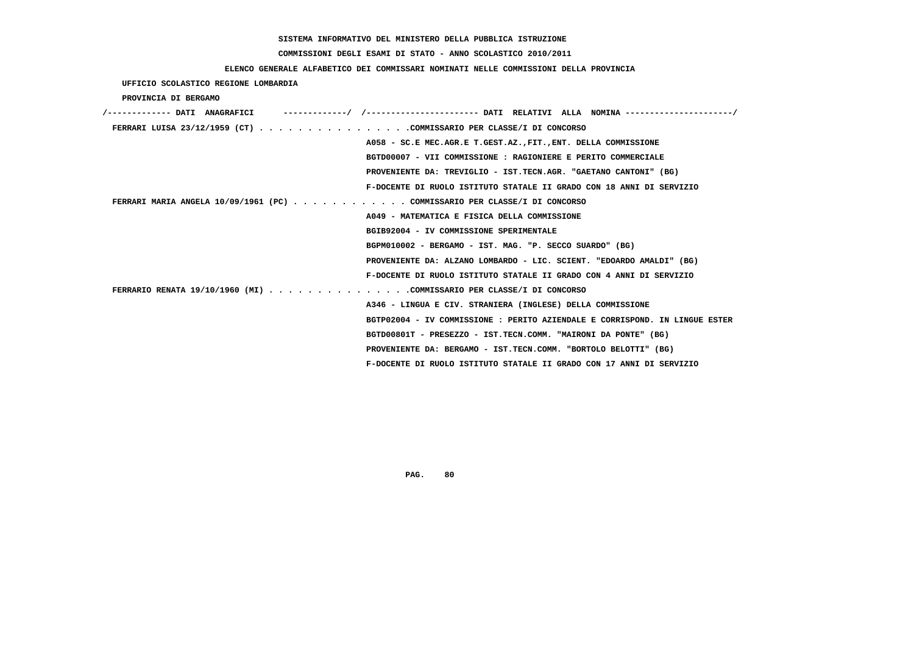## **COMMISSIONI DEGLI ESAMI DI STATO - ANNO SCOLASTICO 2010/2011**

### **ELENCO GENERALE ALFABETICO DEI COMMISSARI NOMINATI NELLE COMMISSIONI DELLA PROVINCIA**

 **UFFICIO SCOLASTICO REGIONE LOMBARDIA**

 **PROVINCIA DI BERGAMO**

| /------------- DATI ANAGRAFICI<br>-------------/ /--------------------- DATT RELATTVT ALLA NOMINA--------------------/ |
|------------------------------------------------------------------------------------------------------------------------|
| FERRARI LUISA 23/12/1959 (CT) COMMISSARIO PER CLASSE/I DI CONCORSO                                                     |
| A058 - SC.E MEC.AGR.E T.GEST.AZ., FIT., ENT. DELLA COMMISSIONE                                                         |
| BGTD00007 - VII COMMISSIONE : RAGIONIERE E PERITO COMMERCIALE                                                          |
| PROVENIENTE DA: TREVIGLIO - IST.TECN.AGR. "GAETANO CANTONI" (BG)                                                       |
| F-DOCENTE DI RUOLO ISTITUTO STATALE II GRADO CON 18 ANNI DI SERVIZIO                                                   |
| FERRARI MARIA ANGELA 10/09/1961 (PC) COMMISSARIO PER CLASSE/I DI CONCORSO                                              |
| A049 - MATEMATICA E FISICA DELLA COMMISSIONE                                                                           |
| BGIB92004 - IV COMMISSIONE SPERIMENTALE                                                                                |
| BGPM010002 - BERGAMO - IST. MAG. "P. SECCO SUARDO" (BG)                                                                |
| PROVENIENTE DA: ALZANO LOMBARDO - LIC. SCIENT. "EDOARDO AMALDI" (BG)                                                   |
| F-DOCENTE DI RUOLO ISTITUTO STATALE II GRADO CON 4 ANNI DI SERVIZIO                                                    |
| FERRARIO RENATA 19/10/1960 (MI) COMMISSARIO PER CLASSE/I DI CONCORSO                                                   |
| A346 - LINGUA E CIV. STRANIERA (INGLESE) DELLA COMMISSIONE                                                             |
| BGTP02004 - IV COMMISSIONE : PERITO AZIENDALE E CORRISPOND. IN LINGUE ESTER                                            |
| BGTD00801T - PRESEZZO - IST.TECN.COMM. "MAIRONI DA PONTE" (BG)                                                         |
| PROVENIENTE DA: BERGAMO - IST.TECN.COMM. "BORTOLO BELOTTI" (BG)                                                        |
| F-DOCENTE DI RUOLO ISTITUTO STATALE II GRADO CON 17 ANNI DI SERVIZIO                                                   |
|                                                                                                                        |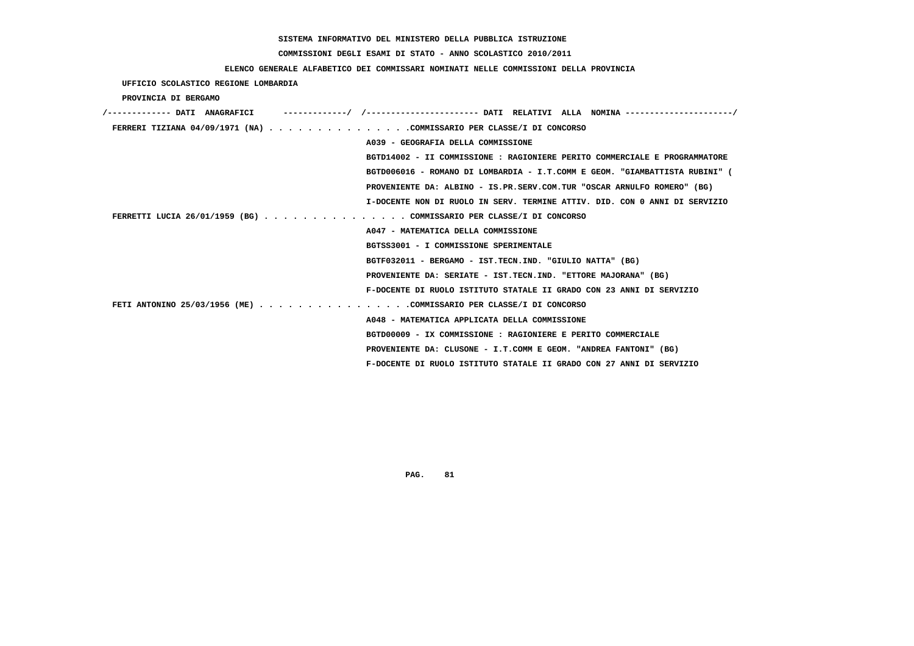## **COMMISSIONI DEGLI ESAMI DI STATO - ANNO SCOLASTICO 2010/2011**

### **ELENCO GENERALE ALFABETICO DEI COMMISSARI NOMINATI NELLE COMMISSIONI DELLA PROVINCIA**

 **UFFICIO SCOLASTICO REGIONE LOMBARDIA**

 **PROVINCIA DI BERGAMO**

| -/ /---------------------- DATI RELATIVI ALLA NOMINA --------------------/<br>/------------- DATI ANAGRAFICI |
|--------------------------------------------------------------------------------------------------------------|
| FERRERI TIZIANA 04/09/1971 (NA) COMMISSARIO PER CLASSE/I DI CONCORSO                                         |
| A039 - GEOGRAFIA DELLA COMMISSIONE                                                                           |
| BGTD14002 - II COMMISSIONE : RAGIONIERE PERITO COMMERCIALE E PROGRAMMATORE                                   |
| BGTD006016 - ROMANO DI LOMBARDIA - I.T.COMM E GEOM. "GIAMBATTISTA RUBINI" (                                  |
| PROVENIENTE DA: ALBINO - IS.PR.SERV.COM.TUR "OSCAR ARNULFO ROMERO" (BG)                                      |
| I-DOCENTE NON DI RUOLO IN SERV. TERMINE ATTIV. DID. CON 0 ANNI DI SERVIZIO                                   |
| FERRETTI LUCIA 26/01/1959 (BG) COMMISSARIO PER CLASSE/I DI CONCORSO                                          |
| A047 - MATEMATICA DELLA COMMISSIONE                                                                          |
| BGTSS3001 - I COMMISSIONE SPERIMENTALE                                                                       |
| BGTF032011 - BERGAMO - IST.TECN.IND. "GIULIO NATTA" (BG)                                                     |
| PROVENIENTE DA: SERIATE - IST.TECN.IND. "ETTORE MAJORANA" (BG)                                               |
| F-DOCENTE DI RUOLO ISTITUTO STATALE II GRADO CON 23 ANNI DI SERVIZIO                                         |
| FETI ANTONINO 25/03/1956 (ME) COMMISSARIO PER CLASSE/I DI CONCORSO                                           |
| A048 - MATEMATICA APPLICATA DELLA COMMISSIONE                                                                |
| BGTD00009 - IX COMMISSIONE : RAGIONIERE E PERITO COMMERCIALE                                                 |
| PROVENIENTE DA: CLUSONE - I.T.COMM E GEOM. "ANDREA FANTONI" (BG)                                             |
| F-DOCENTE DI RUOLO ISTITUTO STATALE II GRADO CON 27 ANNI DI SERVIZIO                                         |
|                                                                                                              |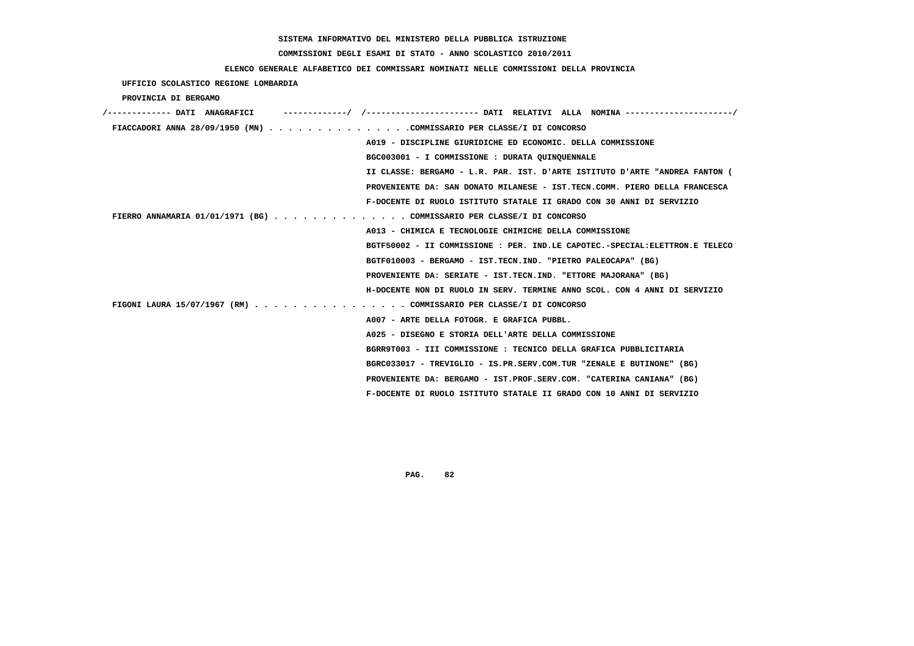## **COMMISSIONI DEGLI ESAMI DI STATO - ANNO SCOLASTICO 2010/2011**

### **ELENCO GENERALE ALFABETICO DEI COMMISSARI NOMINATI NELLE COMMISSIONI DELLA PROVINCIA**

 **UFFICIO SCOLASTICO REGIONE LOMBARDIA**

 **PROVINCIA DI BERGAMO**

| /------------- DATI ANAGRAFICI                                              |
|-----------------------------------------------------------------------------|
| FIACCADORI ANNA 28/09/1950 (MN) COMMISSARIO PER CLASSE/I DI CONCORSO        |
| A019 - DISCIPLINE GIURIDICHE ED ECONOMIC. DELLA COMMISSIONE                 |
| BGC003001 - I COMMISSIONE : DURATA QUINQUENNALE                             |
| II CLASSE: BERGAMO - L.R. PAR. IST. D'ARTE ISTITUTO D'ARTE "ANDREA FANTON ( |
| PROVENIENTE DA: SAN DONATO MILANESE - IST.TECN.COMM. PIERO DELLA FRANCESCA  |
| F-DOCENTE DI RUOLO ISTITUTO STATALE II GRADO CON 30 ANNI DI SERVIZIO        |
| FIERRO ANNAMARIA 01/01/1971 (BG) COMMISSARIO PER CLASSE/I DI CONCORSO       |
| A013 - CHIMICA E TECNOLOGIE CHIMICHE DELLA COMMISSIONE                      |
| BGTF50002 - II COMMISSIONE : PER. IND.LE CAPOTEC.-SPECIAL:ELETTRON.E TELECO |
| BGTF010003 - BERGAMO - IST.TECN.IND. "PIETRO PALEOCAPA" (BG)                |
| PROVENIENTE DA: SERIATE - IST.TECN.IND. "ETTORE MAJORANA" (BG)              |
| H-DOCENTE NON DI RUOLO IN SERV. TERMINE ANNO SCOL. CON 4 ANNI DI SERVIZIO   |
| FIGONI LAURA 15/07/1967 (RM) COMMISSARIO PER CLASSE/I DI CONCORSO           |
| A007 - ARTE DELLA FOTOGR. E GRAFICA PUBBL.                                  |
| A025 - DISEGNO E STORIA DELL'ARTE DELLA COMMISSIONE                         |
| BGRR9T003 - III COMMISSIONE : TECNICO DELLA GRAFICA PUBBLICITARIA           |
| BGRC033017 - TREVIGLIO - IS.PR.SERV.COM.TUR "ZENALE E BUTINONE" (BG)        |
| PROVENIENTE DA: BERGAMO - IST.PROF.SERV.COM. "CATERINA CANIANA" (BG)        |
| F-DOCENTE DI RUOLO ISTITUTO STATALE II GRADO CON 10 ANNI DI SERVIZIO        |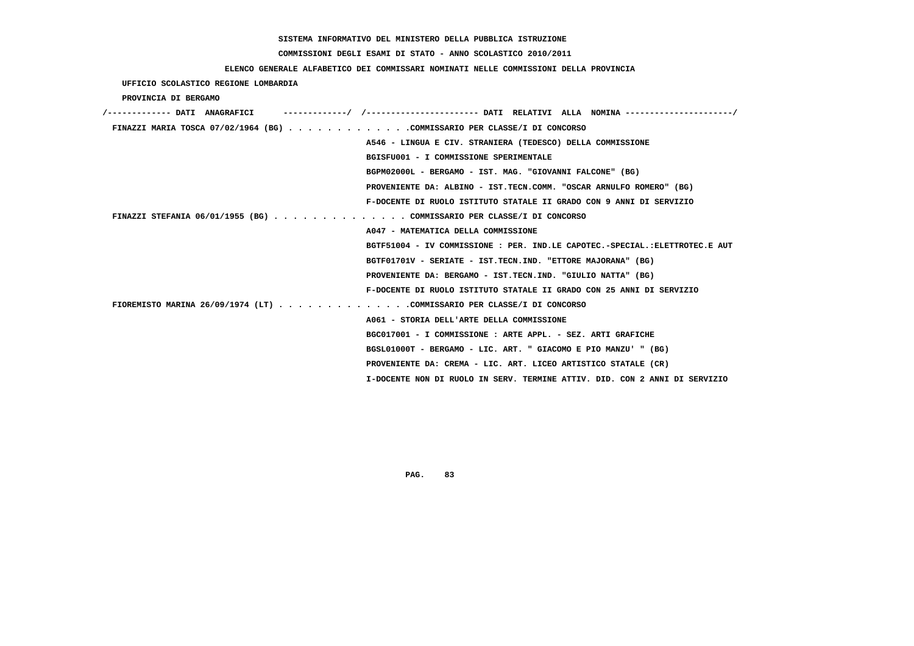## **COMMISSIONI DEGLI ESAMI DI STATO - ANNO SCOLASTICO 2010/2011**

### **ELENCO GENERALE ALFABETICO DEI COMMISSARI NOMINATI NELLE COMMISSIONI DELLA PROVINCIA**

 **UFFICIO SCOLASTICO REGIONE LOMBARDIA**

 **PROVINCIA DI BERGAMO**

| /------------- DATI ANAGRAFICI                                           | -----------/ /--------------------- DATI RELATIVI ALLA NOMINA --------------------/ |
|--------------------------------------------------------------------------|-------------------------------------------------------------------------------------|
| FINAZZI MARIA TOSCA 07/02/1964 (BG) COMMISSARIO PER CLASSE/I DI CONCORSO |                                                                                     |
|                                                                          | A546 - LINGUA E CIV. STRANIERA (TEDESCO) DELLA COMMISSIONE                          |
|                                                                          | BGISFU001 - I COMMISSIONE SPERIMENTALE                                              |
|                                                                          | BGPM02000L - BERGAMO - IST. MAG. "GIOVANNI FALCONE" (BG)                            |
|                                                                          | PROVENIENTE DA: ALBINO - IST.TECN.COMM. "OSCAR ARNULFO ROMERO" (BG)                 |
|                                                                          | F-DOCENTE DI RUOLO ISTITUTO STATALE II GRADO CON 9 ANNI DI SERVIZIO                 |
| FINAZZI STEFANIA 06/01/1955 (BG) COMMISSARIO PER CLASSE/I DI CONCORSO    |                                                                                     |
|                                                                          | A047 - MATEMATICA DELLA COMMISSIONE                                                 |
|                                                                          | BGTF51004 - IV COMMISSIONE : PER. IND.LE CAPOTEC.-SPECIAL.:ELETTROTEC.E AUT         |
|                                                                          | BGTF01701V - SERIATE - IST.TECN.IND. "ETTORE MAJORANA" (BG)                         |
|                                                                          | PROVENIENTE DA: BERGAMO - IST.TECN.IND. "GIULIO NATTA" (BG)                         |
|                                                                          | F-DOCENTE DI RUOLO ISTITUTO STATALE II GRADO CON 25 ANNI DI SERVIZIO                |
| FIOREMISTO MARINA 26/09/1974 (LT) COMMISSARIO PER CLASSE/I DI CONCORSO   |                                                                                     |
|                                                                          | A061 - STORIA DELL'ARTE DELLA COMMISSIONE                                           |
|                                                                          | BGC017001 - I COMMISSIONE : ARTE APPL. - SEZ. ARTI GRAFICHE                         |
|                                                                          | BGSL01000T - BERGAMO - LIC. ART. " GIACOMO E PIO MANZU' " (BG)                      |
|                                                                          | PROVENIENTE DA: CREMA - LIC. ART. LICEO ARTISTICO STATALE (CR)                      |
|                                                                          | I-DOCENTE NON DI RUOLO IN SERV. TERMINE ATTIV. DID. CON 2 ANNI DI SERVIZIO          |
|                                                                          |                                                                                     |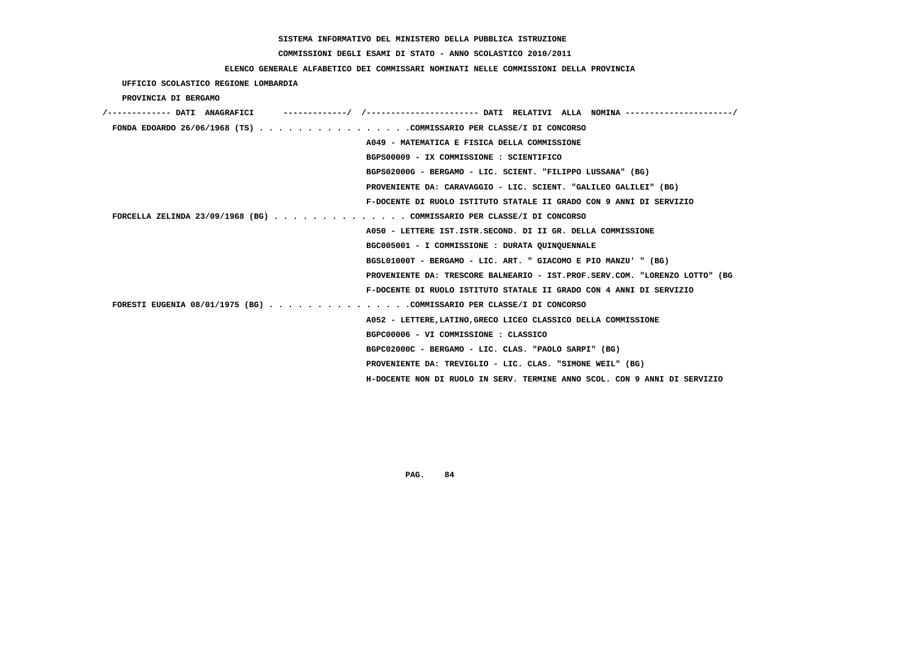## **COMMISSIONI DEGLI ESAMI DI STATO - ANNO SCOLASTICO 2010/2011**

### **ELENCO GENERALE ALFABETICO DEI COMMISSARI NOMINATI NELLE COMMISSIONI DELLA PROVINCIA**

 **UFFICIO SCOLASTICO REGIONE LOMBARDIA**

 **PROVINCIA DI BERGAMO**

| /------------- DATI ANAGRAFICI                                        |                                                                             |
|-----------------------------------------------------------------------|-----------------------------------------------------------------------------|
| FONDA EDOARDO 26/06/1968 (TS) COMMISSARIO PER CLASSE/I DI CONCORSO    |                                                                             |
|                                                                       | A049 - MATEMATICA E FISICA DELLA COMMISSIONE                                |
|                                                                       | BGPS00009 - IX COMMISSIONE : SCIENTIFICO                                    |
|                                                                       | BGPS02000G - BERGAMO - LIC. SCIENT. "FILIPPO LUSSANA" (BG)                  |
|                                                                       | PROVENIENTE DA: CARAVAGGIO - LIC. SCIENT. "GALILEO GALILEI" (BG)            |
|                                                                       | F-DOCENTE DI RUOLO ISTITUTO STATALE II GRADO CON 9 ANNI DI SERVIZIO         |
| FORCELLA ZELINDA 23/09/1968 (BG) COMMISSARIO PER CLASSE/I DI CONCORSO |                                                                             |
|                                                                       | A050 - LETTERE IST. ISTR. SECOND. DI II GR. DELLA COMMISSIONE               |
|                                                                       | BGC005001 - I COMMISSIONE : DURATA QUINQUENNALE                             |
|                                                                       | BGSL01000T - BERGAMO - LIC. ART. " GIACOMO E PIO MANZU' " (BG)              |
|                                                                       | PROVENIENTE DA: TRESCORE BALNEARIO - IST.PROF.SERV.COM. "LORENZO LOTTO" (BG |
|                                                                       | F-DOCENTE DI RUOLO ISTITUTO STATALE II GRADO CON 4 ANNI DI SERVIZIO         |
| FORESTI EUGENIA 08/01/1975 (BG) COMMISSARIO PER CLASSE/I DI CONCORSO  |                                                                             |
|                                                                       | A052 - LETTERE, LATINO, GRECO LICEO CLASSICO DELLA COMMISSIONE              |
|                                                                       | BGPC00006 - VI COMMISSIONE : CLASSICO                                       |
|                                                                       | BGPC02000C - BERGAMO - LIC. CLAS. "PAOLO SARPI" (BG)                        |
|                                                                       | PROVENIENTE DA: TREVIGLIO - LIC. CLAS. "SIMONE WEIL" (BG)                   |
|                                                                       | H-DOCENTE NON DI RUOLO IN SERV. TERMINE ANNO SCOL. CON 9 ANNI DI SERVIZIO   |
|                                                                       |                                                                             |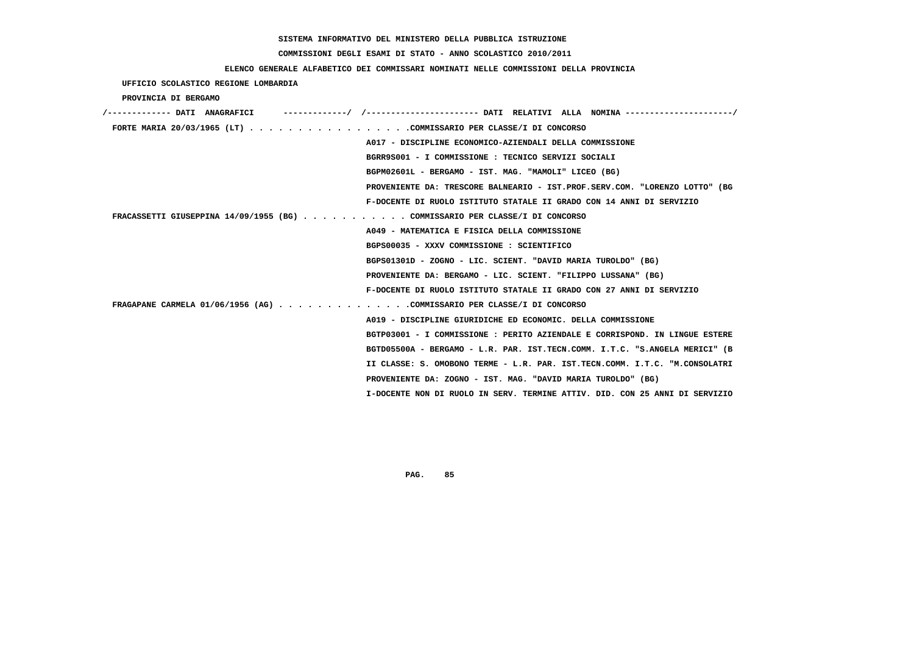## **COMMISSIONI DEGLI ESAMI DI STATO - ANNO SCOLASTICO 2010/2011**

### **ELENCO GENERALE ALFABETICO DEI COMMISSARI NOMINATI NELLE COMMISSIONI DELLA PROVINCIA**

 **UFFICIO SCOLASTICO REGIONE LOMBARDIA**

 **PROVINCIA DI BERGAMO**

| /------------- DATI ANAGRAFICI                                              |
|-----------------------------------------------------------------------------|
| FORTE MARIA 20/03/1965 (LT) COMMISSARIO PER CLASSE/I DI CONCORSO            |
| A017 - DISCIPLINE ECONOMICO-AZIENDALI DELLA COMMISSIONE                     |
| BGRR9S001 - I COMMISSIONE : TECNICO SERVIZI SOCIALI                         |
| BGPM02601L - BERGAMO - IST. MAG. "MAMOLI" LICEO (BG)                        |
| PROVENIENTE DA: TRESCORE BALNEARIO - IST.PROF.SERV.COM. "LORENZO LOTTO" (BG |
| F-DOCENTE DI RUOLO ISTITUTO STATALE II GRADO CON 14 ANNI DI SERVIZIO        |
| FRACASSETTI GIUSEPPINA 14/09/1955 (BG) COMMISSARIO PER CLASSE/I DI CONCORSO |
| A049 - MATEMATICA E FISICA DELLA COMMISSIONE                                |
| BGPS00035 - XXXV COMMISSIONE : SCIENTIFICO                                  |
| BGPS01301D - ZOGNO - LIC. SCIENT. "DAVID MARIA TUROLDO" (BG)                |
| PROVENIENTE DA: BERGAMO - LIC. SCIENT. "FILIPPO LUSSANA" (BG)               |
| F-DOCENTE DI RUOLO ISTITUTO STATALE II GRADO CON 27 ANNI DI SERVIZIO        |
| FRAGAPANE CARMELA 01/06/1956 (AG) COMMISSARIO PER CLASSE/I DI CONCORSO      |
| A019 - DISCIPLINE GIURIDICHE ED ECONOMIC. DELLA COMMISSIONE                 |
| BGTP03001 - I COMMISSIONE : PERITO AZIENDALE E CORRISPOND. IN LINGUE ESTERE |
| BGTD05500A - BERGAMO - L.R. PAR. IST.TECN.COMM. I.T.C. "S.ANGELA MERICI" (B |
| II CLASSE: S. OMOBONO TERME - L.R. PAR. IST.TECN.COMM. I.T.C. "M.CONSOLATRI |
| PROVENIENTE DA: ZOGNO - IST. MAG. "DAVID MARIA TUROLDO" (BG)                |
| I-DOCENTE NON DI RUOLO IN SERV. TERMINE ATTIV. DID. CON 25 ANNI DI SERVIZIO |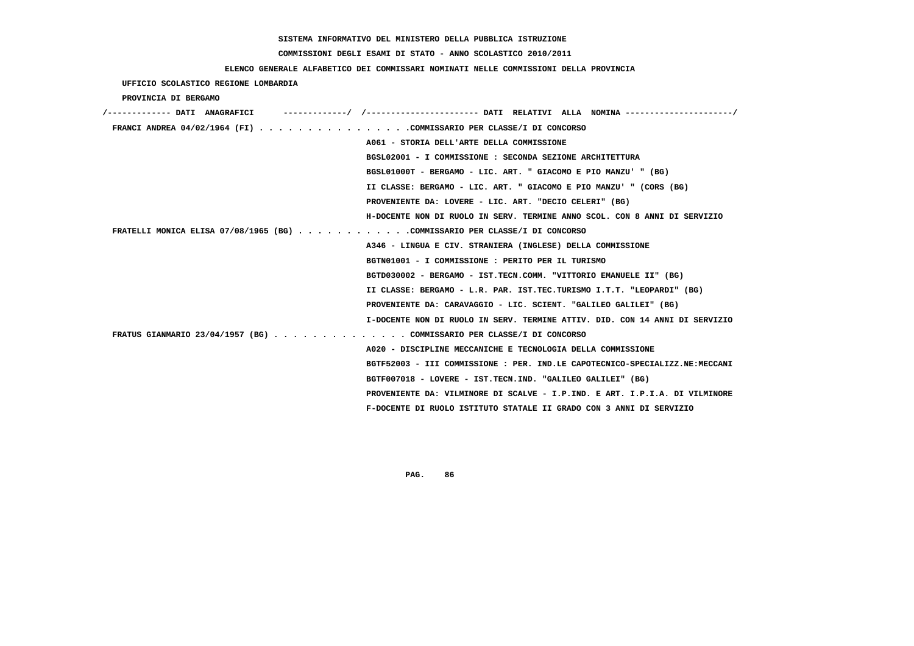#### **COMMISSIONI DEGLI ESAMI DI STATO - ANNO SCOLASTICO 2010/2011**

 **UFFICIO SCOLASTICO REGIONE LOMBARDIA**

#### **ELENCO GENERALE ALFABETICO DEI COMMISSARI NOMINATI NELLE COMMISSIONI DELLA PROVINCIA**

 **PROVINCIA DI BERGAMO /------------- DATI ANAGRAFICI -------------/ /----------------------- DATI RELATIVI ALLA NOMINA ----------------------/ FRANCI ANDREA 04/02/1964 (FI) . . . . . . . . . . . . . . . .COMMISSARIO PER CLASSE/I DI CONCORSO A061 - STORIA DELL'ARTE DELLA COMMISSIONE BGSL02001 - I COMMISSIONE : SECONDA SEZIONE ARCHITETTURA BGSL01000T - BERGAMO - LIC. ART. " GIACOMO E PIO MANZU' " (BG) II CLASSE: BERGAMO - LIC. ART. " GIACOMO E PIO MANZU' " (CORS (BG) PROVENIENTE DA: LOVERE - LIC. ART. "DECIO CELERI" (BG) H-DOCENTE NON DI RUOLO IN SERV. TERMINE ANNO SCOL. CON 8 ANNI DI SERVIZIO FRATELLI MONICA ELISA 07/08/1965 (BG) . . . . . . . . . . . .COMMISSARIO PER CLASSE/I DI CONCORSO A346 - LINGUA E CIV. STRANIERA (INGLESE) DELLA COMMISSIONE BGTN01001 - I COMMISSIONE : PERITO PER IL TURISMO BGTD030002 - BERGAMO - IST.TECN.COMM. "VITTORIO EMANUELE II" (BG) II CLASSE: BERGAMO - L.R. PAR. IST.TEC.TURISMO I.T.T. "LEOPARDI" (BG) PROVENIENTE DA: CARAVAGGIO - LIC. SCIENT. "GALILEO GALILEI" (BG) I-DOCENTE NON DI RUOLO IN SERV. TERMINE ATTIV. DID. CON 14 ANNI DI SERVIZIO FRATUS GIANMARIO 23/04/1957 (BG) . . . . . . . . . . . . . . COMMISSARIO PER CLASSE/I DI CONCORSO A020 - DISCIPLINE MECCANICHE E TECNOLOGIA DELLA COMMISSIONE BGTF52003 - III COMMISSIONE : PER. IND.LE CAPOTECNICO-SPECIALIZZ.NE:MECCANI BGTF007018 - LOVERE - IST.TECN.IND. "GALILEO GALILEI" (BG) PROVENIENTE DA: VILMINORE DI SCALVE - I.P.IND. E ART. I.P.I.A. DI VILMINORE F-DOCENTE DI RUOLO ISTITUTO STATALE II GRADO CON 3 ANNI DI SERVIZIO**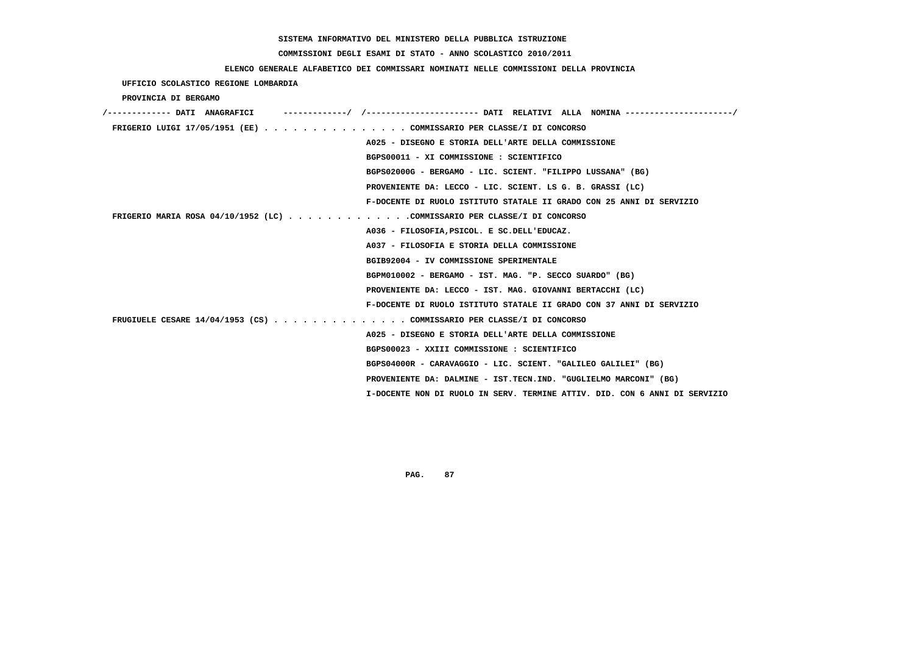## **COMMISSIONI DEGLI ESAMI DI STATO - ANNO SCOLASTICO 2010/2011**

### **ELENCO GENERALE ALFABETICO DEI COMMISSARI NOMINATI NELLE COMMISSIONI DELLA PROVINCIA**

 **UFFICIO SCOLASTICO REGIONE LOMBARDIA**

 **PROVINCIA DI BERGAMO**

| /------------- DATI ANAGRAFICI                                           |                                                                            |
|--------------------------------------------------------------------------|----------------------------------------------------------------------------|
| FRIGERIO LUIGI 17/05/1951 (EE) COMMISSARIO PER CLASSE/I DI CONCORSO      |                                                                            |
|                                                                          | A025 - DISEGNO E STORIA DELL'ARTE DELLA COMMISSIONE                        |
|                                                                          | BGPS00011 - XI COMMISSIONE : SCIENTIFICO                                   |
|                                                                          | BGPS02000G - BERGAMO - LIC. SCIENT. "FILIPPO LUSSANA" (BG)                 |
|                                                                          | PROVENIENTE DA: LECCO - LIC. SCIENT. LS G. B. GRASSI (LC)                  |
|                                                                          | F-DOCENTE DI RUOLO ISTITUTO STATALE II GRADO CON 25 ANNI DI SERVIZIO       |
| FRIGERIO MARIA ROSA 04/10/1952 (LC) COMMISSARIO PER CLASSE/I DI CONCORSO |                                                                            |
|                                                                          | A036 - FILOSOFIA, PSICOL. E SC.DELL'EDUCAZ.                                |
|                                                                          | A037 - FILOSOFIA E STORIA DELLA COMMISSIONE                                |
|                                                                          | BGIB92004 - IV COMMISSIONE SPERIMENTALE                                    |
|                                                                          | BGPM010002 - BERGAMO - IST. MAG. "P. SECCO SUARDO" (BG)                    |
|                                                                          | PROVENIENTE DA: LECCO - IST. MAG. GIOVANNI BERTACCHI (LC)                  |
|                                                                          | F-DOCENTE DI RUOLO ISTITUTO STATALE II GRADO CON 37 ANNI DI SERVIZIO       |
| FRUGIUELE CESARE 14/04/1953 (CS) COMMISSARIO PER CLASSE/I DI CONCORSO    |                                                                            |
|                                                                          | A025 - DISEGNO E STORIA DELL'ARTE DELLA COMMISSIONE                        |
|                                                                          | BGPS00023 - XXIII COMMISSIONE : SCIENTIFICO                                |
|                                                                          | BGPS04000R - CARAVAGGIO - LIC. SCIENT. "GALILEO GALILEI" (BG)              |
|                                                                          | PROVENIENTE DA: DALMINE - IST.TECN.IND. "GUGLIELMO MARCONI" (BG)           |
|                                                                          | I-DOCENTE NON DI RUOLO IN SERV. TERMINE ATTIV. DID. CON 6 ANNI DI SERVIZIO |
|                                                                          |                                                                            |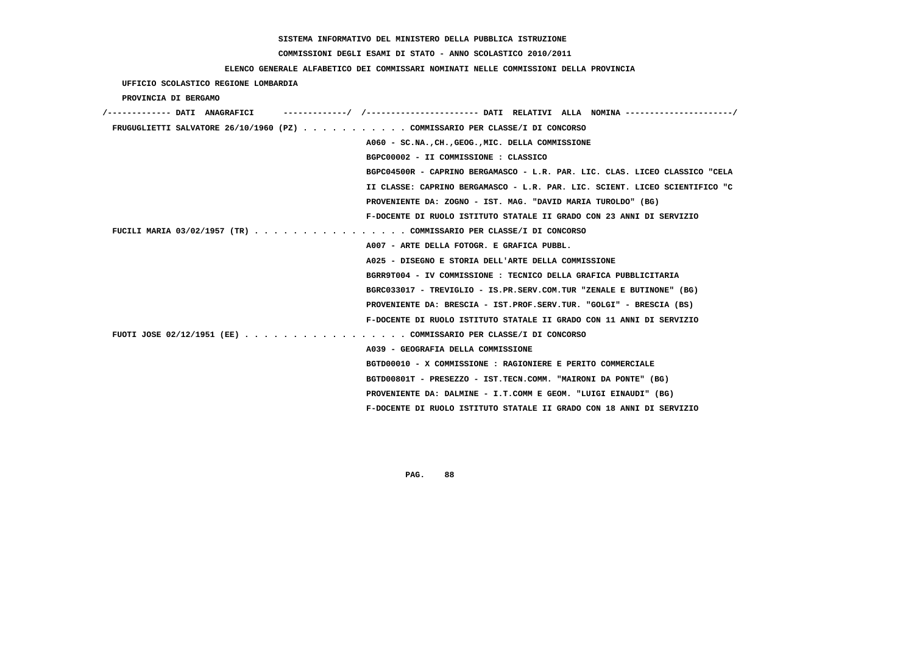## **COMMISSIONI DEGLI ESAMI DI STATO - ANNO SCOLASTICO 2010/2011**

# **ELENCO GENERALE ALFABETICO DEI COMMISSARI NOMINATI NELLE COMMISSIONI DELLA PROVINCIA**

|                                                                             | RUBNCO GENEKADE AUFADEIICO DEI COMMISSARI NOMINAII NEUDE COMMISSIONI DEUDA PROVINCIA |
|-----------------------------------------------------------------------------|--------------------------------------------------------------------------------------|
| UFFICIO SCOLASTICO REGIONE LOMBARDIA                                        |                                                                                      |
| PROVINCIA DI BERGAMO                                                        |                                                                                      |
|                                                                             |                                                                                      |
| FRUGUGLIETTI SALVATORE 26/10/1960 (PZ) COMMISSARIO PER CLASSE/I DI CONCORSO |                                                                                      |
|                                                                             | A060 - SC.NA., CH., GEOG., MIC. DELLA COMMISSIONE                                    |
|                                                                             | BGPC00002 - II COMMISSIONE : CLASSICO                                                |
|                                                                             | BGPC04500R - CAPRINO BERGAMASCO - L.R. PAR. LIC. CLAS. LICEO CLASSICO "CELA          |
|                                                                             | II CLASSE: CAPRINO BERGAMASCO - L.R. PAR. LIC. SCIENT. LICEO SCIENTIFICO "C          |
|                                                                             | PROVENIENTE DA: ZOGNO - IST. MAG. "DAVID MARIA TUROLDO" (BG)                         |
|                                                                             | F-DOCENTE DI RUOLO ISTITUTO STATALE II GRADO CON 23 ANNI DI SERVIZIO                 |
| FUCILI MARIA 03/02/1957 (TR) COMMISSARIO PER CLASSE/I DI CONCORSO           |                                                                                      |
|                                                                             | A007 - ARTE DELLA FOTOGR. E GRAFICA PUBBL.                                           |
|                                                                             | A025 - DISEGNO E STORIA DELL'ARTE DELLA COMMISSIONE                                  |
|                                                                             | BGRR9T004 - IV COMMISSIONE : TECNICO DELLA GRAFICA PUBBLICITARIA                     |
|                                                                             | BGRC033017 - TREVIGLIO - IS.PR.SERV.COM.TUR "ZENALE E BUTINONE" (BG)                 |
|                                                                             | PROVENIENTE DA: BRESCIA - IST.PROF.SERV.TUR. "GOLGI" - BRESCIA (BS)                  |
|                                                                             | F-DOCENTE DI RUOLO ISTITUTO STATALE II GRADO CON 11 ANNI DI SERVIZIO                 |
| FUOTI JOSE 02/12/1951 (EE) COMMISSARIO PER CLASSE/I DI CONCORSO             |                                                                                      |
|                                                                             | A039 - GEOGRAFIA DELLA COMMISSIONE                                                   |
|                                                                             | BGTD00010 - X COMMISSIONE : RAGIONIERE E PERITO COMMERCIALE                          |
|                                                                             | BGTD00801T - PRESEZZO - IST.TECN.COMM. "MAIRONI DA PONTE" (BG)                       |
|                                                                             | PROVENIENTE DA: DALMINE - I.T.COMM E GEOM. "LUIGI EINAUDI" (BG)                      |
|                                                                             | F-DOCENTE DI RUOLO ISTITUTO STATALE II GRADO CON 18 ANNI DI SERVIZIO                 |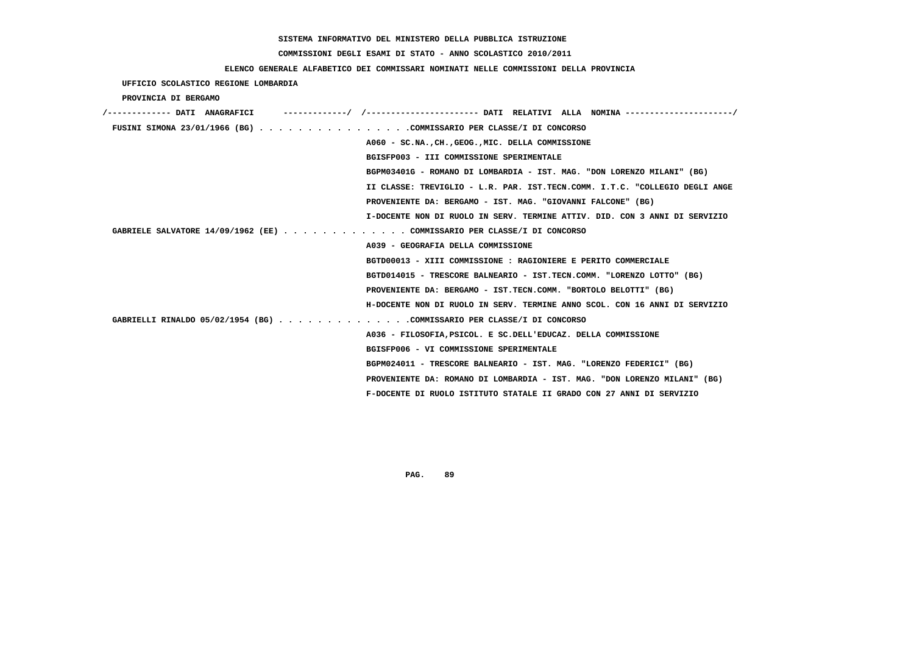#### **COMMISSIONI DEGLI ESAMI DI STATO - ANNO SCOLASTICO 2010/2011**

 **UFFICIO SCOLASTICO REGIONE LOMBARDIA**

#### **ELENCO GENERALE ALFABETICO DEI COMMISSARI NOMINATI NELLE COMMISSIONI DELLA PROVINCIA**

 **PROVINCIA DI BERGAMO /------------- DATI ANAGRAFICI -------------/ /----------------------- DATI RELATIVI ALLA NOMINA ----------------------/ FUSINI SIMONA 23/01/1966 (BG) . . . . . . . . . . . . . . . .COMMISSARIO PER CLASSE/I DI CONCORSO A060 - SC.NA.,CH.,GEOG.,MIC. DELLA COMMISSIONE BGISFP003 - III COMMISSIONE SPERIMENTALE BGPM03401G - ROMANO DI LOMBARDIA - IST. MAG. "DON LORENZO MILANI" (BG) II CLASSE: TREVIGLIO - L.R. PAR. IST.TECN.COMM. I.T.C. "COLLEGIO DEGLI ANGE PROVENIENTE DA: BERGAMO - IST. MAG. "GIOVANNI FALCONE" (BG) I-DOCENTE NON DI RUOLO IN SERV. TERMINE ATTIV. DID. CON 3 ANNI DI SERVIZIO GABRIELE SALVATORE 14/09/1962 (EE) . . . . . . . . . . . . . COMMISSARIO PER CLASSE/I DI CONCORSO A039 - GEOGRAFIA DELLA COMMISSIONE BGTD00013 - XIII COMMISSIONE : RAGIONIERE E PERITO COMMERCIALE BGTD014015 - TRESCORE BALNEARIO - IST.TECN.COMM. "LORENZO LOTTO" (BG) PROVENIENTE DA: BERGAMO - IST.TECN.COMM. "BORTOLO BELOTTI" (BG) H-DOCENTE NON DI RUOLO IN SERV. TERMINE ANNO SCOL. CON 16 ANNI DI SERVIZIO GABRIELLI RINALDO 05/02/1954 (BG) . . . . . . . . . . . . . .COMMISSARIO PER CLASSE/I DI CONCORSO A036 - FILOSOFIA,PSICOL. E SC.DELL'EDUCAZ. DELLA COMMISSIONE BGISFP006 - VI COMMISSIONE SPERIMENTALE BGPM024011 - TRESCORE BALNEARIO - IST. MAG. "LORENZO FEDERICI" (BG) PROVENIENTE DA: ROMANO DI LOMBARDIA - IST. MAG. "DON LORENZO MILANI" (BG) F-DOCENTE DI RUOLO ISTITUTO STATALE II GRADO CON 27 ANNI DI SERVIZIO**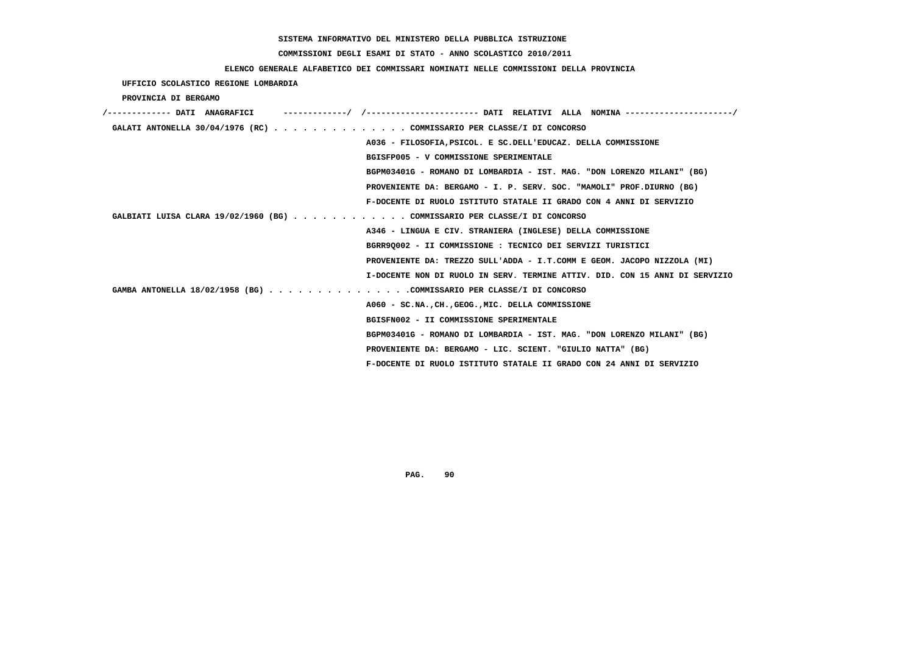## **COMMISSIONI DEGLI ESAMI DI STATO - ANNO SCOLASTICO 2010/2011**

### **ELENCO GENERALE ALFABETICO DEI COMMISSARI NOMINATI NELLE COMMISSIONI DELLA PROVINCIA**

 **UFFICIO SCOLASTICO REGIONE LOMBARDIA**

 **PROVINCIA DI BERGAMO**

| -----------/ /--------------------- DATI RELATIVI ALLA NOMINA --------------------/<br>/------------- DATI ANAGRAFICI |
|-----------------------------------------------------------------------------------------------------------------------|
| GALATI ANTONELLA 30/04/1976 (RC) COMMISSARIO PER CLASSE/I DI CONCORSO                                                 |
| A036 - FILOSOFIA, PSICOL. E SC. DELL'EDUCAZ. DELLA COMMISSIONE                                                        |
| BGISFP005 - V COMMISSIONE SPERIMENTALE                                                                                |
| BGPM03401G - ROMANO DI LOMBARDIA - IST. MAG. "DON LORENZO MILANI" (BG)                                                |
| PROVENIENTE DA: BERGAMO - I. P. SERV. SOC. "MAMOLI" PROF.DIURNO (BG)                                                  |
| F-DOCENTE DI RUOLO ISTITUTO STATALE II GRADO CON 4 ANNI DI SERVIZIO                                                   |
| GALBIATI LUISA CLARA 19/02/1960 (BG) COMMISSARIO PER CLASSE/I DI CONCORSO                                             |
| A346 - LINGUA E CIV. STRANIERA (INGLESE) DELLA COMMISSIONE                                                            |
| BGRR90002 - II COMMISSIONE : TECNICO DEI SERVIZI TURISTICI                                                            |
| PROVENIENTE DA: TREZZO SULL'ADDA - I.T.COMM E GEOM. JACOPO NIZZOLA (MI)                                               |
| I-DOCENTE NON DI RUOLO IN SERV. TERMINE ATTIV. DID. CON 15 ANNI DI SERVIZIO                                           |
| GAMBA ANTONELLA 18/02/1958 (BG) COMMISSARIO PER CLASSE/I DI CONCORSO                                                  |
| A060 - SC.NA., CH., GEOG., MIC. DELLA COMMISSIONE                                                                     |
| BGISFN002 - II COMMISSIONE SPERIMENTALE                                                                               |
| BGPM03401G - ROMANO DI LOMBARDIA - IST. MAG. "DON LORENZO MILANI" (BG)                                                |
| PROVENIENTE DA: BERGAMO - LIC. SCIENT. "GIULIO NATTA" (BG)                                                            |
| F-DOCENTE DI RUOLO ISTITUTO STATALE II GRADO CON 24 ANNI DI SERVIZIO                                                  |
|                                                                                                                       |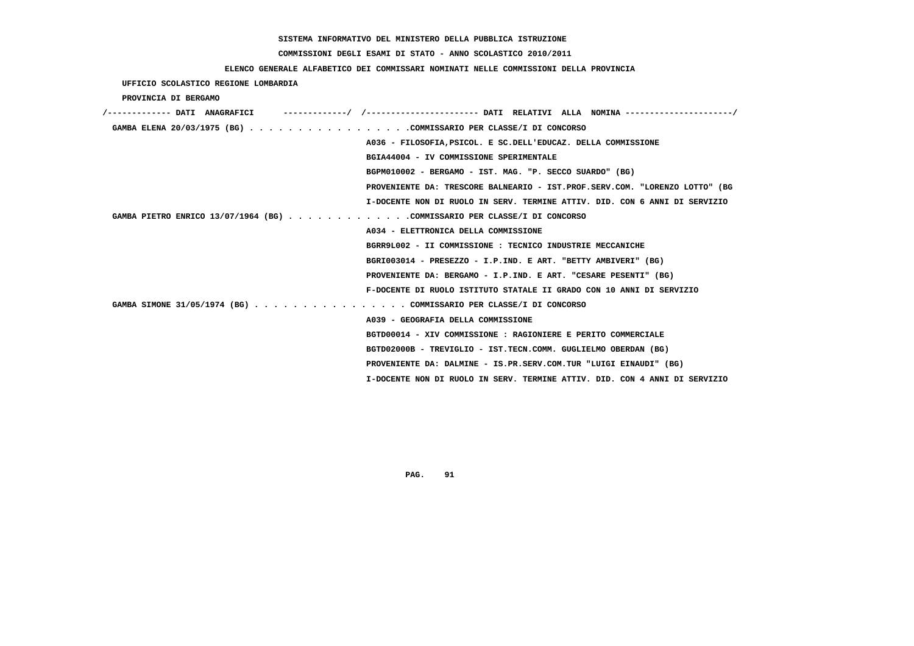## **COMMISSIONI DEGLI ESAMI DI STATO - ANNO SCOLASTICO 2010/2011**

### **ELENCO GENERALE ALFABETICO DEI COMMISSARI NOMINATI NELLE COMMISSIONI DELLA PROVINCIA**

 **UFFICIO SCOLASTICO REGIONE LOMBARDIA**

 **PROVINCIA DI BERGAMO**

| ----------/ /--------------------- DATI RELATIVI ALLA NOMINA--------------------/<br>/------------- DATI ANAGRAFICI |
|---------------------------------------------------------------------------------------------------------------------|
| GAMBA ELENA 20/03/1975 (BG) COMMISSARIO PER CLASSE/I DI CONCORSO                                                    |
| A036 - FILOSOFIA, PSICOL. E SC. DELL'EDUCAZ. DELLA COMMISSIONE                                                      |
| BGIA44004 - IV COMMISSIONE SPERIMENTALE                                                                             |
| BGPM010002 - BERGAMO - IST. MAG. "P. SECCO SUARDO" (BG)                                                             |
| PROVENIENTE DA: TRESCORE BALNEARIO - IST.PROF.SERV.COM. "LORENZO LOTTO" (BG                                         |
| I-DOCENTE NON DI RUOLO IN SERV. TERMINE ATTIV. DID. CON 6 ANNI DI SERVIZIO                                          |
| GAMBA PIETRO ENRICO 13/07/1964 (BG) COMMISSARIO PER CLASSE/I DI CONCORSO                                            |
| A034 - ELETTRONICA DELLA COMMISSIONE                                                                                |
| BGRR9L002 - II COMMISSIONE : TECNICO INDUSTRIE MECCANICHE                                                           |
| BGRI003014 - PRESEZZO - I.P.IND. E ART. "BETTY AMBIVERI" (BG)                                                       |
| PROVENIENTE DA: BERGAMO - I.P.IND. E ART. "CESARE PESENTI" (BG)                                                     |
| F-DOCENTE DI RUOLO ISTITUTO STATALE II GRADO CON 10 ANNI DI SERVIZIO                                                |
| GAMBA SIMONE 31/05/1974 (BG) COMMISSARIO PER CLASSE/I DI CONCORSO                                                   |
| A039 - GEOGRAFIA DELLA COMMISSIONE                                                                                  |
| BGTD00014 - XIV COMMISSIONE : RAGIONIERE E PERITO COMMERCIALE                                                       |
| BGTD02000B - TREVIGLIO - IST.TECN.COMM. GUGLIELMO OBERDAN (BG)                                                      |
| PROVENIENTE DA: DALMINE - IS.PR.SERV.COM.TUR "LUIGI EINAUDI" (BG)                                                   |
| I-DOCENTE NON DI RUOLO IN SERV. TERMINE ATTIV. DID. CON 4 ANNI DI SERVIZIO                                          |
|                                                                                                                     |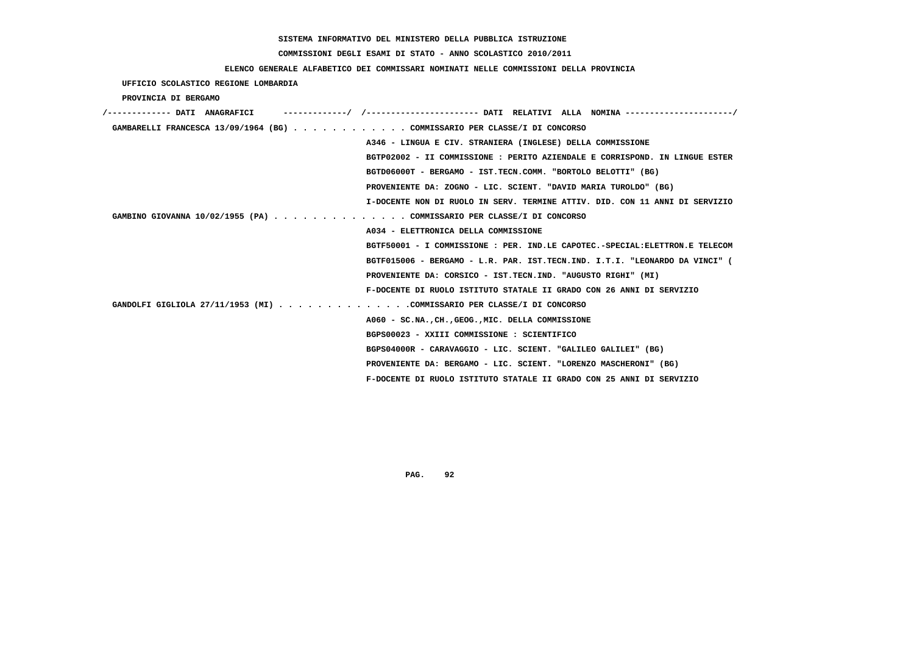## **COMMISSIONI DEGLI ESAMI DI STATO - ANNO SCOLASTICO 2010/2011**

### **ELENCO GENERALE ALFABETICO DEI COMMISSARI NOMINATI NELLE COMMISSIONI DELLA PROVINCIA**

 **UFFICIO SCOLASTICO REGIONE LOMBARDIA**

 **PROVINCIA DI BERGAMO**

| /------------- DATI ANAGRAFICI                                            |                                                                             |
|---------------------------------------------------------------------------|-----------------------------------------------------------------------------|
| GAMBARELLI FRANCESCA 13/09/1964 (BG) COMMISSARIO PER CLASSE/I DI CONCORSO |                                                                             |
|                                                                           | A346 - LINGUA E CIV. STRANIERA (INGLESE) DELLA COMMISSIONE                  |
|                                                                           | BGTP02002 - II COMMISSIONE : PERITO AZIENDALE E CORRISPOND. IN LINGUE ESTER |
|                                                                           | BGTD06000T - BERGAMO - IST.TECN.COMM. "BORTOLO BELOTTI" (BG)                |
|                                                                           | PROVENIENTE DA: ZOGNO - LIC. SCIENT. "DAVID MARIA TUROLDO" (BG)             |
|                                                                           | I-DOCENTE NON DI RUOLO IN SERV. TERMINE ATTIV. DID. CON 11 ANNI DI SERVIZIO |
| GAMBINO GIOVANNA 10/02/1955 (PA) COMMISSARIO PER CLASSE/I DI CONCORSO     |                                                                             |
|                                                                           | A034 - ELETTRONICA DELLA COMMISSIONE                                        |
|                                                                           | BGTF50001 - I COMMISSIONE : PER. IND.LE CAPOTEC.-SPECIAL:ELETTRON.E TELECOM |
|                                                                           | BGTF015006 - BERGAMO - L.R. PAR. IST.TECN.IND. I.T.I. "LEONARDO DA VINCI" ( |
|                                                                           | PROVENIENTE DA: CORSICO - IST.TECN.IND. "AUGUSTO RIGHI" (MI)                |
|                                                                           | F-DOCENTE DI RUOLO ISTITUTO STATALE II GRADO CON 26 ANNI DI SERVIZIO        |
| GANDOLFI GIGLIOLA 27/11/1953 (MI) COMMISSARIO PER CLASSE/I DI CONCORSO    |                                                                             |
|                                                                           | A060 - SC.NA., CH., GEOG., MIC. DELLA COMMISSIONE                           |
|                                                                           | BGPS00023 - XXIII COMMISSIONE : SCIENTIFICO                                 |
|                                                                           | BGPS04000R - CARAVAGGIO - LIC. SCIENT. "GALILEO GALILEI" (BG)               |
|                                                                           | PROVENIENTE DA: BERGAMO - LIC. SCIENT. "LORENZO MASCHERONI" (BG)            |
|                                                                           | F-DOCENTE DI RUOLO ISTITUTO STATALE II GRADO CON 25 ANNI DI SERVIZIO        |
|                                                                           |                                                                             |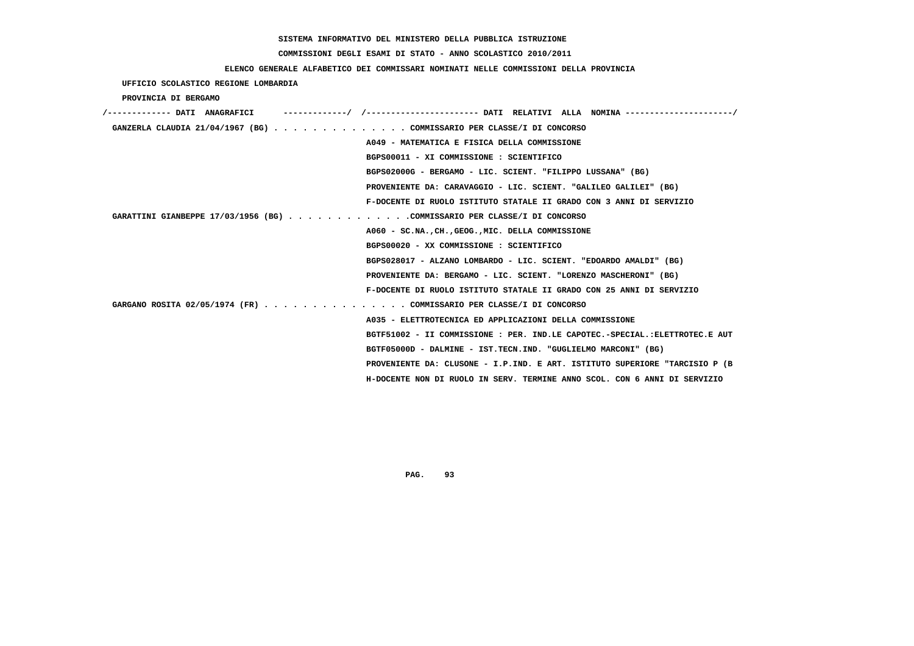## **COMMISSIONI DEGLI ESAMI DI STATO - ANNO SCOLASTICO 2010/2011**

### **ELENCO GENERALE ALFABETICO DEI COMMISSARI NOMINATI NELLE COMMISSIONI DELLA PROVINCIA**

 **UFFICIO SCOLASTICO REGIONE LOMBARDIA**

 **PROVINCIA DI BERGAMO**

| /------------- DATI ANAGRAFICI                                              |
|-----------------------------------------------------------------------------|
| GANZERLA CLAUDIA 21/04/1967 (BG) COMMISSARIO PER CLASSE/I DI CONCORSO       |
| A049 - MATEMATICA E FISICA DELLA COMMISSIONE                                |
| BGPS00011 - XI COMMISSIONE : SCIENTIFICO                                    |
| BGPS02000G - BERGAMO - LIC. SCIENT. "FILIPPO LUSSANA" (BG)                  |
| PROVENIENTE DA: CARAVAGGIO - LIC. SCIENT. "GALILEO GALILEI" (BG)            |
| F-DOCENTE DI RUOLO ISTITUTO STATALE II GRADO CON 3 ANNI DI SERVIZIO         |
| GARATTINI GIANBEPPE 17/03/1956 (BG) COMMISSARIO PER CLASSE/I DI CONCORSO    |
| A060 - SC.NA., CH., GEOG., MIC. DELLA COMMISSIONE                           |
| BGPS00020 - XX COMMISSIONE : SCIENTIFICO                                    |
| BGPS028017 - ALZANO LOMBARDO - LIC. SCIENT. "EDOARDO AMALDI" (BG)           |
| PROVENIENTE DA: BERGAMO - LIC. SCIENT. "LORENZO MASCHERONI" (BG)            |
| F-DOCENTE DI RUOLO ISTITUTO STATALE II GRADO CON 25 ANNI DI SERVIZIO        |
| GARGANO ROSITA 02/05/1974 (FR) COMMISSARIO PER CLASSE/I DI CONCORSO         |
| A035 - ELETTROTECNICA ED APPLICAZIONI DELLA COMMISSIONE                     |
| BGTF51002 - II COMMISSIONE : PER. IND.LE CAPOTEC.-SPECIAL.:ELETTROTEC.E AUT |
| BGTF05000D - DALMINE - IST.TECN.IND. "GUGLIELMO MARCONI" (BG)               |
| PROVENIENTE DA: CLUSONE - I.P.IND. E ART. ISTITUTO SUPERIORE "TARCISIO P (B |
| H-DOCENTE NON DI RUOLO IN SERV. TERMINE ANNO SCOL. CON 6 ANNI DI SERVIZIO   |
|                                                                             |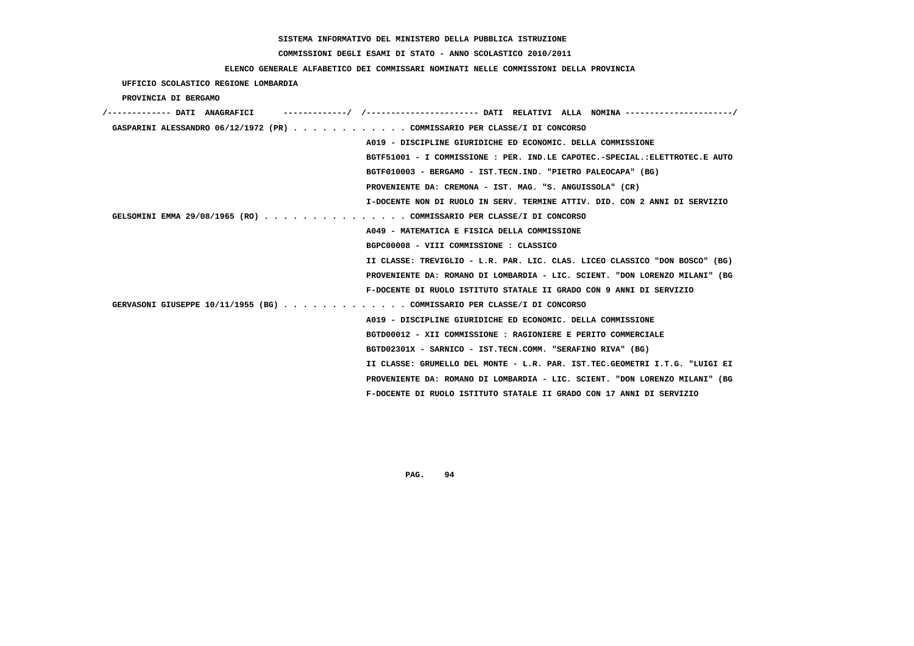## **COMMISSIONI DEGLI ESAMI DI STATO - ANNO SCOLASTICO 2010/2011**

### **ELENCO GENERALE ALFABETICO DEI COMMISSARI NOMINATI NELLE COMMISSIONI DELLA PROVINCIA**

 **UFFICIO SCOLASTICO REGIONE LOMBARDIA**

 **PROVINCIA DI BERGAMO**

| /------------- DATI ANAGRAFICI                                              |
|-----------------------------------------------------------------------------|
| GASPARINI ALESSANDRO 06/12/1972 (PR) COMMISSARIO PER CLASSE/I DI CONCORSO   |
| A019 - DISCIPLINE GIURIDICHE ED ECONOMIC. DELLA COMMISSIONE                 |
| BGTF51001 - I COMMISSIONE : PER. IND.LE CAPOTEC.-SPECIAL.:ELETTROTEC.E AUTO |
| BGTF010003 - BERGAMO - IST.TECN.IND. "PIETRO PALEOCAPA" (BG)                |
| PROVENIENTE DA: CREMONA - IST. MAG. "S. ANGUISSOLA" (CR)                    |
| I-DOCENTE NON DI RUOLO IN SERV. TERMINE ATTIV. DID. CON 2 ANNI DI SERVIZIO  |
| GELSOMINI EMMA 29/08/1965 (RO) COMMISSARIO PER CLASSE/I DI CONCORSO         |
| A049 - MATEMATICA E FISICA DELLA COMMISSIONE                                |
| BGPC00008 - VIII COMMISSIONE : CLASSICO                                     |
| II CLASSE: TREVIGLIO - L.R. PAR. LIC. CLAS. LICEO CLASSICO "DON BOSCO" (BG) |
| PROVENIENTE DA: ROMANO DI LOMBARDIA - LIC. SCIENT. "DON LORENZO MILANI" (BG |
| F-DOCENTE DI RUOLO ISTITUTO STATALE II GRADO CON 9 ANNI DI SERVIZIO         |
| GERVASONI GIUSEPPE 10/11/1955 (BG) COMMISSARIO PER CLASSE/I DI CONCORSO     |
| A019 - DISCIPLINE GIURIDICHE ED ECONOMIC. DELLA COMMISSIONE                 |
| BGTD00012 - XII COMMISSIONE : RAGIONIERE E PERITO COMMERCIALE               |
| BGTD02301X - SARNICO - IST.TECN.COMM. "SERAFINO RIVA" (BG)                  |
| II CLASSE: GRUMELLO DEL MONTE - L.R. PAR. IST.TEC.GEOMETRI I.T.G. "LUIGI EI |
| PROVENIENTE DA: ROMANO DI LOMBARDIA - LIC. SCIENT. "DON LORENZO MILANI" (BG |
| F-DOCENTE DI RUOLO ISTITUTO STATALE II GRADO CON 17 ANNI DI SERVIZIO        |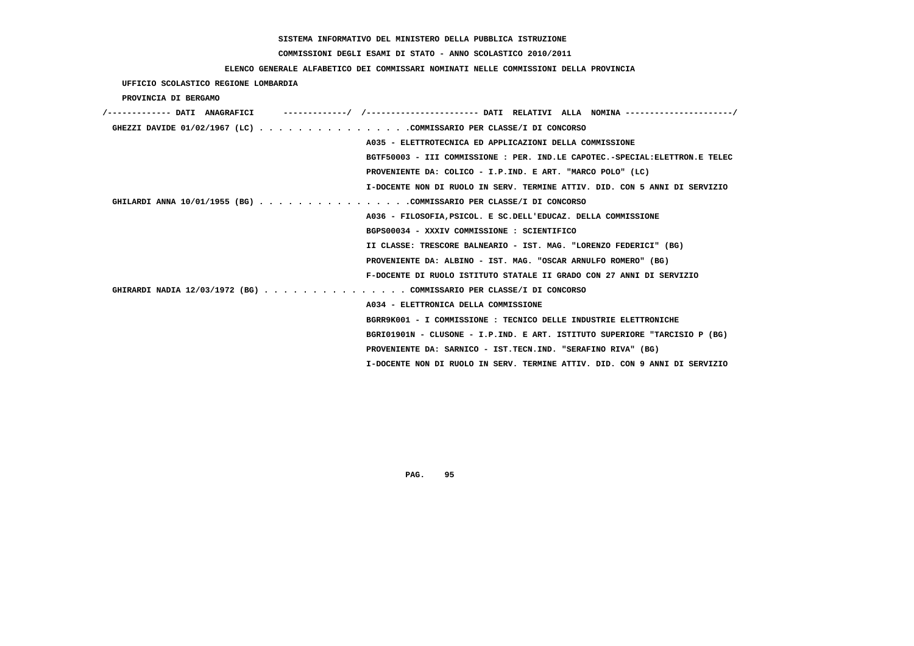## **COMMISSIONI DEGLI ESAMI DI STATO - ANNO SCOLASTICO 2010/2011**

### **ELENCO GENERALE ALFABETICO DEI COMMISSARI NOMINATI NELLE COMMISSIONI DELLA PROVINCIA**

 **UFFICIO SCOLASTICO REGIONE LOMBARDIA**

 **PROVINCIA DI BERGAMO**

| /------------- DATI ANAGRAFICI | -------------/ /--------------------- DATI RELATIVI ALLA NOMINA--------------------/ |
|--------------------------------|--------------------------------------------------------------------------------------|
|                                | GHEZZI DAVIDE 01/02/1967 (LC) COMMISSARIO PER CLASSE/I DI CONCORSO                   |
|                                | A035 - ELETTROTECNICA ED APPLICAZIONI DELLA COMMISSIONE                              |
|                                | BGTF50003 - III COMMISSIONE : PER. IND.LE CAPOTEC.-SPECIAL:ELETTRON.E TELEC          |
|                                | PROVENIENTE DA: COLICO - I.P.IND. E ART. "MARCO POLO" (LC)                           |
|                                | I-DOCENTE NON DI RUOLO IN SERV. TERMINE ATTIV. DID. CON 5 ANNI DI SERVIZIO           |
|                                | GHILARDI ANNA 10/01/1955 (BG) COMMISSARIO PER CLASSE/I DI CONCORSO                   |
|                                | A036 - FILOSOFIA, PSICOL, E SC. DELL'EDUCAZ. DELLA COMMISSIONE                       |
|                                | BGPS00034 - XXXIV COMMISSIONE : SCIENTIFICO                                          |
|                                | II CLASSE: TRESCORE BALNEARIO - IST. MAG. "LORENZO FEDERICI" (BG)                    |
|                                | PROVENIENTE DA: ALBINO - IST. MAG. "OSCAR ARNULFO ROMERO" (BG)                       |
|                                | F-DOCENTE DI RUOLO ISTITUTO STATALE II GRADO CON 27 ANNI DI SERVIZIO                 |
|                                | GHIRARDI NADIA 12/03/1972 (BG) COMMISSARIO PER CLASSE/I DI CONCORSO                  |
|                                | A034 - ELETTRONICA DELLA COMMISSIONE                                                 |
|                                | BGRR9K001 - I COMMISSIONE : TECNICO DELLE INDUSTRIE ELETTRONICHE                     |
|                                | BGRI01901N - CLUSONE - I.P.IND. E ART. ISTITUTO SUPERIORE "TARCISIO P (BG)           |
|                                | PROVENIENTE DA: SARNICO - IST.TECN.IND. "SERAFINO RIVA" (BG)                         |
|                                | I-DOCENTE NON DI RUOLO IN SERV. TERMINE ATTIV. DID. CON 9 ANNI DI SERVIZIO           |
|                                |                                                                                      |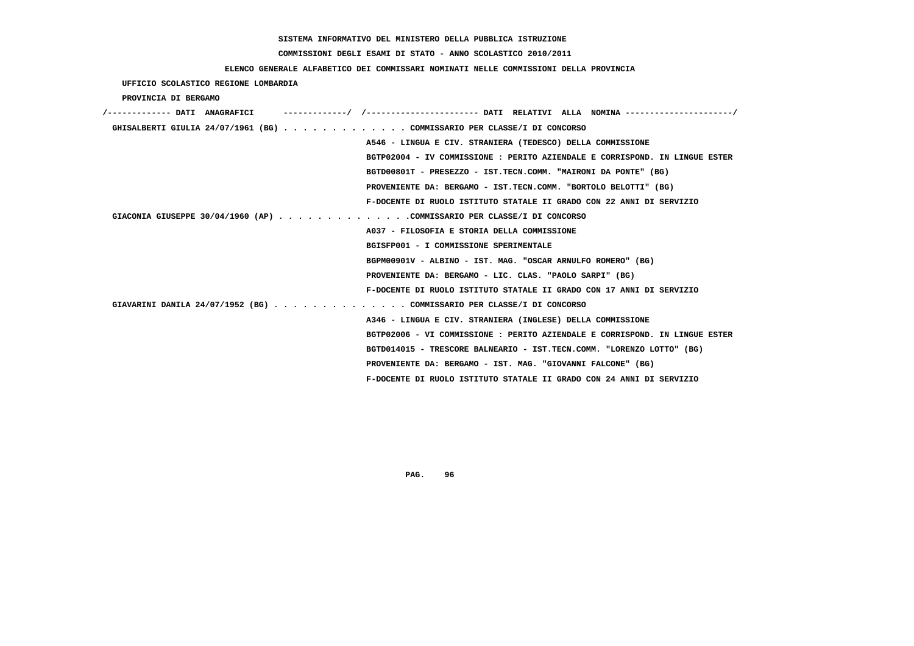## **COMMISSIONI DEGLI ESAMI DI STATO - ANNO SCOLASTICO 2010/2011**

### **ELENCO GENERALE ALFABETICO DEI COMMISSARI NOMINATI NELLE COMMISSIONI DELLA PROVINCIA**

 **UFFICIO SCOLASTICO REGIONE LOMBARDIA**

 **PROVINCIA DI BERGAMO**

| /------------- DATI ANAGRAFICI |  |                                                                             |
|--------------------------------|--|-----------------------------------------------------------------------------|
|                                |  | GHISALBERTI GIULIA 24/07/1961 (BG) COMMISSARIO PER CLASSE/I DI CONCORSO     |
|                                |  | A546 - LINGUA E CIV. STRANIERA (TEDESCO) DELLA COMMISSIONE                  |
|                                |  | BGTP02004 - IV COMMISSIONE : PERITO AZIENDALE E CORRISPOND. IN LINGUE ESTER |
|                                |  | BGTD00801T - PRESEZZO - IST.TECN.COMM. "MAIRONI DA PONTE" (BG)              |
|                                |  | PROVENIENTE DA: BERGAMO - IST.TECN.COMM. "BORTOLO BELOTTI" (BG)             |
|                                |  | F-DOCENTE DI RUOLO ISTITUTO STATALE II GRADO CON 22 ANNI DI SERVIZIO        |
|                                |  | GIACONIA GIUSEPPE 30/04/1960 (AP) COMMISSARIO PER CLASSE/I DI CONCORSO      |
|                                |  | A037 - FILOSOFIA E STORIA DELLA COMMISSIONE                                 |
|                                |  | BGISFP001 - I COMMISSIONE SPERIMENTALE                                      |
|                                |  | BGPM00901V - ALBINO - IST. MAG. "OSCAR ARNULFO ROMERO" (BG)                 |
|                                |  | PROVENIENTE DA: BERGAMO - LIC. CLAS. "PAOLO SARPI" (BG)                     |
|                                |  | F-DOCENTE DI RUOLO ISTITUTO STATALE II GRADO CON 17 ANNI DI SERVIZIO        |
|                                |  | GIAVARINI DANILA 24/07/1952 (BG) COMMISSARIO PER CLASSE/I DI CONCORSO       |
|                                |  | A346 - LINGUA E CIV. STRANIERA (INGLESE) DELLA COMMISSIONE                  |
|                                |  | BGTP02006 - VI COMMISSIONE : PERITO AZIENDALE E CORRISPOND. IN LINGUE ESTER |
|                                |  | BGTD014015 - TRESCORE BALNEARIO - IST.TECN.COMM. "LORENZO LOTTO" (BG)       |
|                                |  | PROVENIENTE DA: BERGAMO - IST. MAG. "GIOVANNI FALCONE" (BG)                 |
|                                |  | F-DOCENTE DI RUOLO ISTITUTO STATALE II GRADO CON 24 ANNI DI SERVIZIO        |
|                                |  |                                                                             |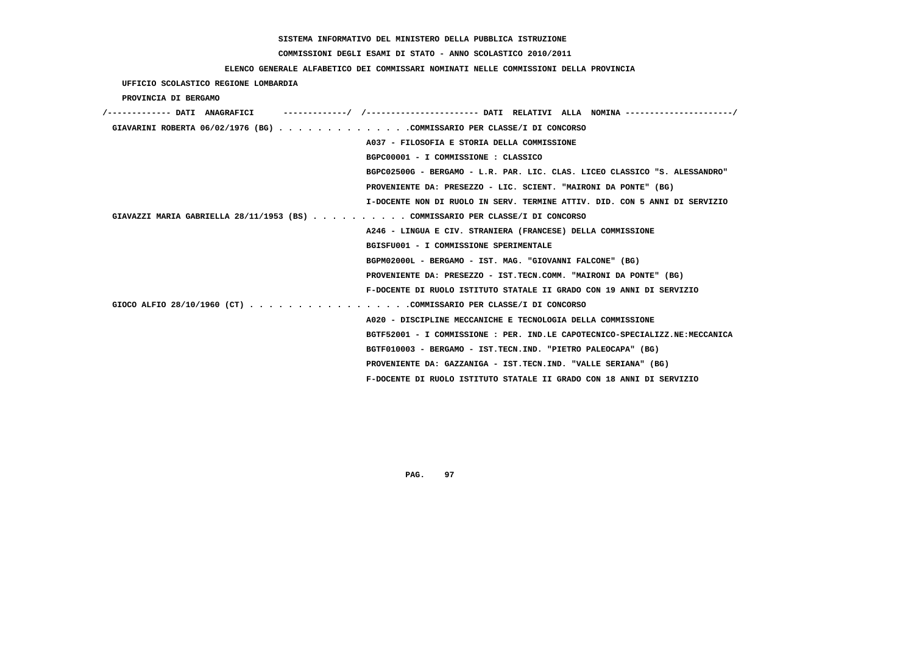## **COMMISSIONI DEGLI ESAMI DI STATO - ANNO SCOLASTICO 2010/2011**

### **ELENCO GENERALE ALFABETICO DEI COMMISSARI NOMINATI NELLE COMMISSIONI DELLA PROVINCIA**

 **UFFICIO SCOLASTICO REGIONE LOMBARDIA**

 **PROVINCIA DI BERGAMO**

| /------------- DATI ANAGRAFICI                                                |                                                                             |
|-------------------------------------------------------------------------------|-----------------------------------------------------------------------------|
| GIAVARINI ROBERTA 06/02/1976 (BG) COMMISSARIO PER CLASSE/I DI CONCORSO        |                                                                             |
|                                                                               | A037 - FILOSOFIA E STORIA DELLA COMMISSIONE                                 |
|                                                                               | BGPC00001 - I COMMISSIONE : CLASSICO                                        |
|                                                                               | BGPC02500G - BERGAMO - L.R. PAR. LIC. CLAS. LICEO CLASSICO "S. ALESSANDRO"  |
|                                                                               | PROVENIENTE DA: PRESEZZO - LIC. SCIENT. "MAIRONI DA PONTE" (BG)             |
|                                                                               | I-DOCENTE NON DI RUOLO IN SERV. TERMINE ATTIV. DID. CON 5 ANNI DI SERVIZIO  |
| GIAVAZZI MARIA GABRIELLA 28/11/1953 (BS) COMMISSARIO PER CLASSE/I DI CONCORSO |                                                                             |
|                                                                               | A246 - LINGUA E CIV. STRANIERA (FRANCESE) DELLA COMMISSIONE                 |
|                                                                               | BGISFU001 - I COMMISSIONE SPERIMENTALE                                      |
|                                                                               | BGPM02000L - BERGAMO - IST. MAG. "GIOVANNI FALCONE" (BG)                    |
|                                                                               | PROVENIENTE DA: PRESEZZO - IST.TECN.COMM. "MAIRONI DA PONTE" (BG)           |
|                                                                               | F-DOCENTE DI RUOLO ISTITUTO STATALE II GRADO CON 19 ANNI DI SERVIZIO        |
| GIOCO ALFIO 28/10/1960 (CT) COMMISSARIO PER CLASSE/I DI CONCORSO              |                                                                             |
|                                                                               | A020 - DISCIPLINE MECCANICHE E TECNOLOGIA DELLA COMMISSIONE                 |
|                                                                               | BGTF52001 - I COMMISSIONE : PER. IND.LE CAPOTECNICO-SPECIALIZZ.NE:MECCANICA |
|                                                                               | BGTF010003 - BERGAMO - IST.TECN.IND. "PIETRO PALEOCAPA" (BG)                |
|                                                                               | PROVENIENTE DA: GAZZANIGA - IST.TECN.IND. "VALLE SERIANA" (BG)              |
|                                                                               | F-DOCENTE DI RUOLO ISTITUTO STATALE II GRADO CON 18 ANNI DI SERVIZIO        |
|                                                                               |                                                                             |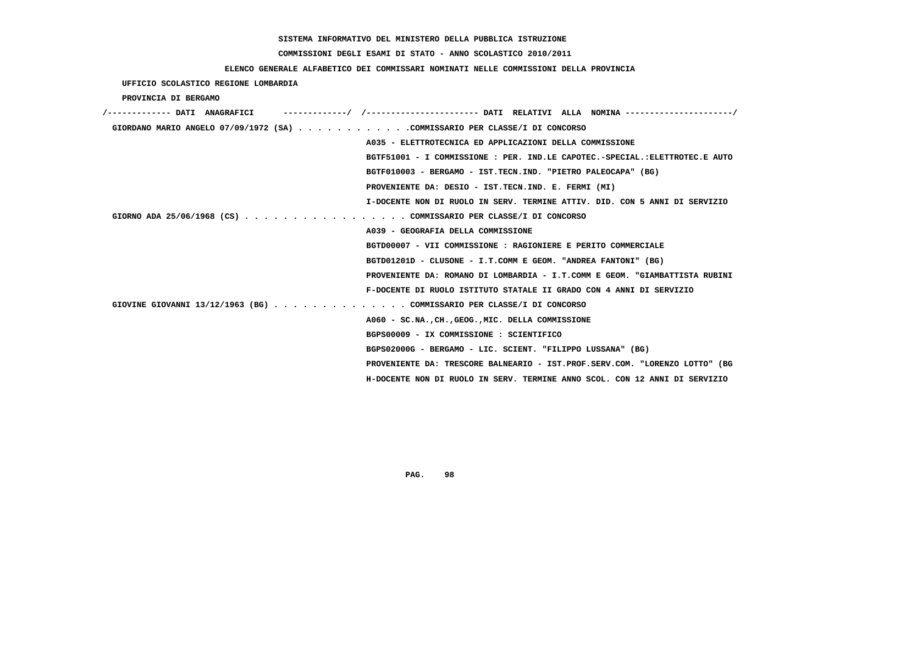## **COMMISSIONI DEGLI ESAMI DI STATO - ANNO SCOLASTICO 2010/2011**

### **ELENCO GENERALE ALFABETICO DEI COMMISSARI NOMINATI NELLE COMMISSIONI DELLA PROVINCIA**

 **UFFICIO SCOLASTICO REGIONE LOMBARDIA**

 **PROVINCIA DI BERGAMO**

| /------------- DATI ANAGRAFICI                                              |
|-----------------------------------------------------------------------------|
| GIORDANO MARIO ANGELO 07/09/1972 (SA) COMMISSARIO PER CLASSE/I DI CONCORSO  |
| A035 - ELETTROTECNICA ED APPLICAZIONI DELLA COMMISSIONE                     |
| BGTF51001 - I COMMISSIONE : PER. IND.LE CAPOTEC.-SPECIAL.:ELETTROTEC.E AUTO |
| BGTF010003 - BERGAMO - IST.TECN.IND. "PIETRO PALEOCAPA" (BG)                |
| PROVENIENTE DA: DESIO - IST.TECN.IND. E. FERMI (MI)                         |
| I-DOCENTE NON DI RUOLO IN SERV. TERMINE ATTIV. DID. CON 5 ANNI DI SERVIZIO  |
| GIORNO ADA 25/06/1968 (CS) COMMISSARIO PER CLASSE/I DI CONCORSO             |
| A039 - GEOGRAFIA DELLA COMMISSIONE                                          |
| BGTD00007 - VII COMMISSIONE : RAGIONIERE E PERITO COMMERCIALE               |
| BGTD01201D - CLUSONE - I.T.COMM E GEOM. "ANDREA FANTONI" (BG)               |
| PROVENIENTE DA: ROMANO DI LOMBARDIA - I.T.COMM E GEOM. "GIAMBATTISTA RUBINI |
| F-DOCENTE DI RUOLO ISTITUTO STATALE II GRADO CON 4 ANNI DI SERVIZIO         |
| GIOVINE GIOVANNI 13/12/1963 (BG) COMMISSARIO PER CLASSE/I DI CONCORSO       |
| A060 - SC.NA., CH., GEOG., MIC. DELLA COMMISSIONE                           |
| BGPS00009 - IX COMMISSIONE : SCIENTIFICO                                    |
| BGPS02000G - BERGAMO - LIC. SCIENT. "FILIPPO LUSSANA" (BG)                  |
| PROVENIENTE DA: TRESCORE BALNEARIO - IST.PROF.SERV.COM. "LORENZO LOTTO" (BG |
| H-DOCENTE NON DI RUOLO IN SERV. TERMINE ANNO SCOL. CON 12 ANNI DI SERVIZIO  |
|                                                                             |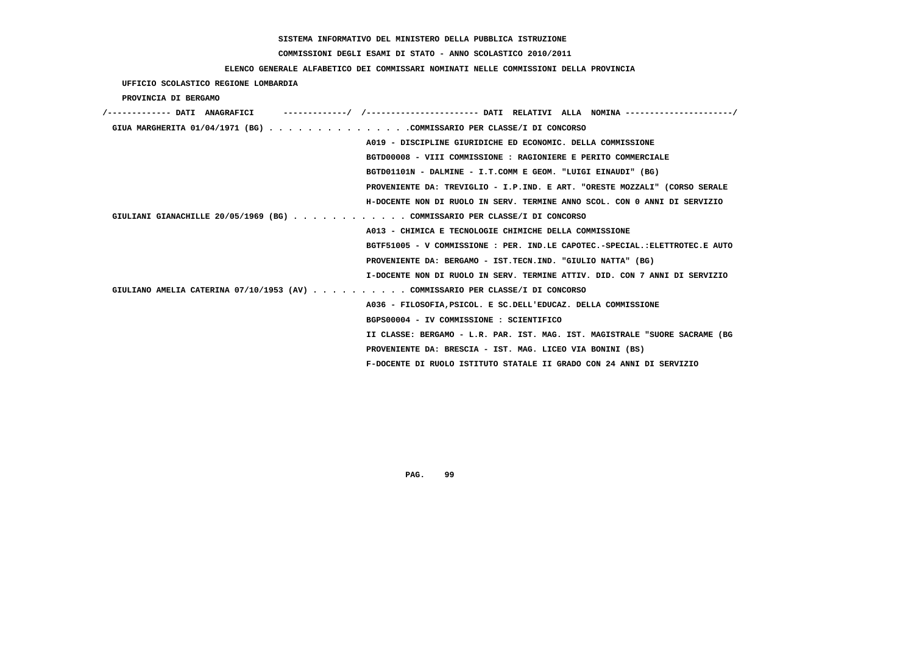## **COMMISSIONI DEGLI ESAMI DI STATO - ANNO SCOLASTICO 2010/2011**

### **ELENCO GENERALE ALFABETICO DEI COMMISSARI NOMINATI NELLE COMMISSIONI DELLA PROVINCIA**

 **UFFICIO SCOLASTICO REGIONE LOMBARDIA**

 **PROVINCIA DI BERGAMO**

| '------------- DATI ANAGRAFICI                                                |
|-------------------------------------------------------------------------------|
| GIUA MARGHERITA 01/04/1971 (BG) COMMISSARIO PER CLASSE/I DI CONCORSO          |
| A019 - DISCIPLINE GIURIDICHE ED ECONOMIC. DELLA COMMISSIONE                   |
| BGTD00008 - VIII COMMISSIONE : RAGIONIERE E PERITO COMMERCIALE                |
| BGTD01101N - DALMINE - I.T.COMM E GEOM. "LUIGI EINAUDI" (BG)                  |
| PROVENIENTE DA: TREVIGLIO - I.P.IND. E ART. "ORESTE MOZZALI" (CORSO SERALE    |
| H-DOCENTE NON DI RUOLO IN SERV. TERMINE ANNO SCOL. CON 0 ANNI DI SERVIZIO     |
| GIULIANI GIANACHILLE 20/05/1969 (BG) COMMISSARIO PER CLASSE/I DI CONCORSO     |
| A013 - CHIMICA E TECNOLOGIE CHIMICHE DELLA COMMISSIONE                        |
| BGTF51005 - V COMMISSIONE : PER. IND.LE CAPOTEC.-SPECIAL.:ELETTROTEC.E AUTO   |
| PROVENIENTE DA: BERGAMO - IST.TECN.IND. "GIULIO NATTA" (BG)                   |
| I-DOCENTE NON DI RUOLO IN SERV. TERMINE ATTIV. DID. CON 7 ANNI DI SERVIZIO    |
| GIULIANO AMELIA CATERINA 07/10/1953 (AV) COMMISSARIO PER CLASSE/I DI CONCORSO |
| A036 - FILOSOFIA, PSICOL. E SC. DELL'EDUCAZ. DELLA COMMISSIONE                |
| BGPS00004 - IV COMMISSIONE : SCIENTIFICO                                      |
| II CLASSE: BERGAMO - L.R. PAR. IST. MAG. IST. MAGISTRALE "SUORE SACRAME (BG   |
| PROVENIENTE DA: BRESCIA - IST. MAG. LICEO VIA BONINI (BS)                     |
| F-DOCENTE DI RUOLO ISTITUTO STATALE II GRADO CON 24 ANNI DI SERVIZIO          |
|                                                                               |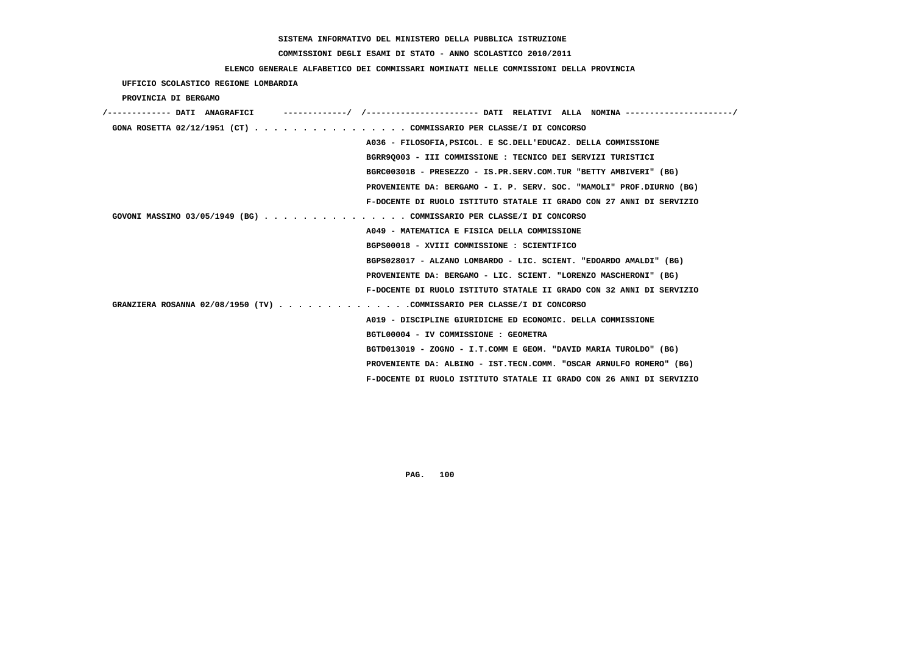## **COMMISSIONI DEGLI ESAMI DI STATO - ANNO SCOLASTICO 2010/2011**

#### **ELENCO GENERALE ALFABETICO DEI COMMISSARI NOMINATI NELLE COMMISSIONI DELLA PROVINCIA**

 **UFFICIO SCOLASTICO REGIONE LOMBARDIA**

 **PROVINCIA DI BERGAMO**

| /------------- DATI ANAGRAFICI |                                                                        |
|--------------------------------|------------------------------------------------------------------------|
|                                | GONA ROSETTA 02/12/1951 (CT) COMMISSARIO PER CLASSE/I DI CONCORSO      |
|                                | A036 - FILOSOFIA, PSICOL. E SC. DELL'EDUCAZ. DELLA COMMISSIONE         |
|                                | BGRR90003 - III COMMISSIONE : TECNICO DEI SERVIZI TURISTICI            |
|                                | BGRC00301B - PRESEZZO - IS.PR.SERV.COM.TUR "BETTY AMBIVERI" (BG)       |
|                                | PROVENIENTE DA: BERGAMO - I. P. SERV. SOC. "MAMOLI" PROF.DIURNO (BG)   |
|                                | F-DOCENTE DI RUOLO ISTITUTO STATALE II GRADO CON 27 ANNI DI SERVIZIO   |
|                                | GOVONI MASSIMO 03/05/1949 (BG) COMMISSARIO PER CLASSE/I DI CONCORSO    |
|                                | A049 - MATEMATICA E FISICA DELLA COMMISSIONE                           |
|                                | BGPS00018 - XVIII COMMISSIONE : SCIENTIFICO                            |
|                                | BGPS028017 - ALZANO LOMBARDO - LIC. SCIENT. "EDOARDO AMALDI" (BG)      |
|                                | PROVENIENTE DA: BERGAMO - LIC. SCIENT. "LORENZO MASCHERONI" (BG)       |
|                                | F-DOCENTE DI RUOLO ISTITUTO STATALE II GRADO CON 32 ANNI DI SERVIZIO   |
|                                | GRANZIERA ROSANNA 02/08/1950 (TV) COMMISSARIO PER CLASSE/I DI CONCORSO |
|                                | A019 - DISCIPLINE GIURIDICHE ED ECONOMIC. DELLA COMMISSIONE            |
|                                | BGTL00004 - IV COMMISSIONE : GEOMETRA                                  |
|                                | BGTD013019 - ZOGNO - I.T.COMM E GEOM. "DAVID MARIA TUROLDO" (BG)       |
|                                | PROVENIENTE DA: ALBINO - IST.TECN.COMM. "OSCAR ARNULFO ROMERO" (BG)    |
|                                | F-DOCENTE DI RUOLO ISTITUTO STATALE II GRADO CON 26 ANNI DI SERVIZIO   |
|                                |                                                                        |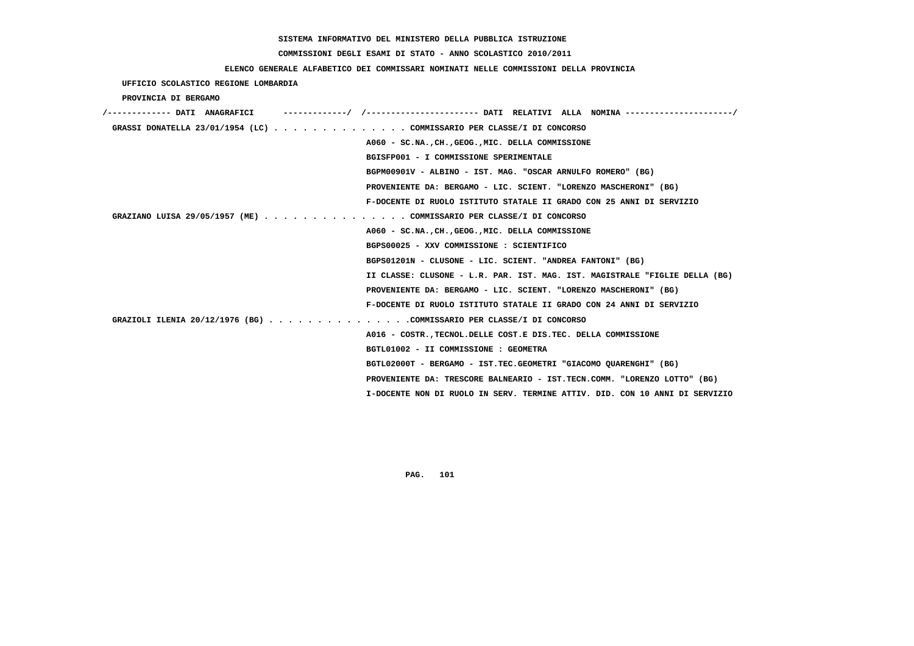## **COMMISSIONI DEGLI ESAMI DI STATO - ANNO SCOLASTICO 2010/2011**

### **ELENCO GENERALE ALFABETICO DEI COMMISSARI NOMINATI NELLE COMMISSIONI DELLA PROVINCIA**

 **UFFICIO SCOLASTICO REGIONE LOMBARDIA**

 **PROVINCIA DI BERGAMO**

| GRASSI DONATELLA 23/01/1954 (LC) COMMISSARIO PER CLASSE/I DI CONCORSO       |
|-----------------------------------------------------------------------------|
| A060 - SC.NA., CH., GEOG., MIC. DELLA COMMISSIONE                           |
| BGISFP001 - I COMMISSIONE SPERIMENTALE                                      |
| BGPM00901V - ALBINO - IST. MAG. "OSCAR ARNULFO ROMERO" (BG)                 |
| PROVENIENTE DA: BERGAMO - LIC. SCIENT. "LORENZO MASCHERONI" (BG)            |
| F-DOCENTE DI RUOLO ISTITUTO STATALE II GRADO CON 25 ANNI DI SERVIZIO        |
| GRAZIANO LUISA 29/05/1957 (ME) COMMISSARIO PER CLASSE/I DI CONCORSO         |
| A060 - SC.NA., CH., GEOG., MIC. DELLA COMMISSIONE                           |
| BGPS00025 - XXV COMMISSIONE : SCIENTIFICO                                   |
| BGPS01201N - CLUSONE - LIC. SCIENT. "ANDREA FANTONI" (BG)                   |
| II CLASSE: CLUSONE - L.R. PAR. IST. MAG. IST. MAGISTRALE "FIGLIE DELLA (BG) |
| PROVENIENTE DA: BERGAMO - LIC. SCIENT. "LORENZO MASCHERONI" (BG)            |
| F-DOCENTE DI RUOLO ISTITUTO STATALE II GRADO CON 24 ANNI DI SERVIZIO        |
| GRAZIOLI ILENIA 20/12/1976 (BG) COMMISSARIO PER CLASSE/I DI CONCORSO        |
| A016 - COSTR., TECNOL. DELLE COST. E DIS. TEC. DELLA COMMISSIONE            |
| BGTL01002 - II COMMISSIONE : GEOMETRA                                       |
| BGTL02000T - BERGAMO - IST.TEC.GEOMETRI "GIACOMO OUARENGHI" (BG)            |
| PROVENIENTE DA: TRESCORE BALNEARIO - IST.TECN.COMM. "LORENZO LOTTO" (BG)    |
| I-DOCENTE NON DI RUOLO IN SERV. TERMINE ATTIV. DID. CON 10 ANNI DI SERVIZIO |
|                                                                             |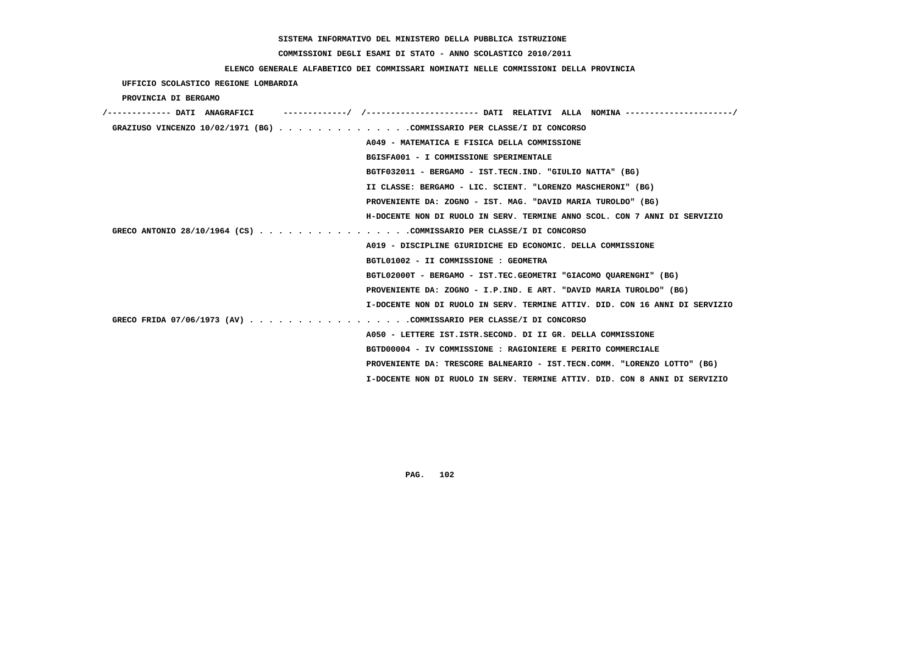## **COMMISSIONI DEGLI ESAMI DI STATO - ANNO SCOLASTICO 2010/2011**

### **ELENCO GENERALE ALFABETICO DEI COMMISSARI NOMINATI NELLE COMMISSIONI DELLA PROVINCIA**

| UFFICIO SCOLASTICO REGIONE LOMBARDIA                                        |  |
|-----------------------------------------------------------------------------|--|
| PROVINCIA DI BERGAMO                                                        |  |
| /------------- DATI ANAGRAFICI                                              |  |
| GRAZIUSO VINCENZO 10/02/1971 (BG) COMMISSARIO PER CLASSE/I DI CONCORSO      |  |
| A049 - MATEMATICA E FISICA DELLA COMMISSIONE                                |  |
| BGISFA001 - I COMMISSIONE SPERIMENTALE                                      |  |
| BGTF032011 - BERGAMO - IST.TECN.IND. "GIULIO NATTA" (BG)                    |  |
| II CLASSE: BERGAMO - LIC. SCIENT. "LORENZO MASCHERONI" (BG)                 |  |
| PROVENIENTE DA: ZOGNO - IST. MAG. "DAVID MARIA TUROLDO" (BG)                |  |
| H-DOCENTE NON DI RUOLO IN SERV. TERMINE ANNO SCOL. CON 7 ANNI DI SERVIZIO   |  |
| GRECO ANTONIO 28/10/1964 (CS) COMMISSARIO PER CLASSE/I DI CONCORSO          |  |
| A019 - DISCIPLINE GIURIDICHE ED ECONOMIC. DELLA COMMISSIONE                 |  |
| BGTL01002 - II COMMISSIONE : GEOMETRA                                       |  |
| BGTL02000T - BERGAMO - IST.TEC.GEOMETRI "GIACOMO QUARENGHI" (BG)            |  |
| PROVENIENTE DA: ZOGNO - I.P.IND. E ART. "DAVID MARIA TUROLDO" (BG)          |  |
| I-DOCENTE NON DI RUOLO IN SERV. TERMINE ATTIV. DID. CON 16 ANNI DI SERVIZIO |  |
| GRECO FRIDA 07/06/1973 (AV) COMMISSARIO PER CLASSE/I DI CONCORSO            |  |
| A050 - LETTERE IST. ISTR. SECOND. DI II GR. DELLA COMMISSIONE               |  |
| BGTD00004 - IV COMMISSIONE : RAGIONIERE E PERITO COMMERCIALE                |  |
| PROVENIENTE DA: TRESCORE BALNEARIO - IST.TECN.COMM. "LORENZO LOTTO" (BG)    |  |
| I-DOCENTE NON DI RUOLO IN SERV. TERMINE ATTIV. DID. CON 8 ANNI DI SERVIZIO  |  |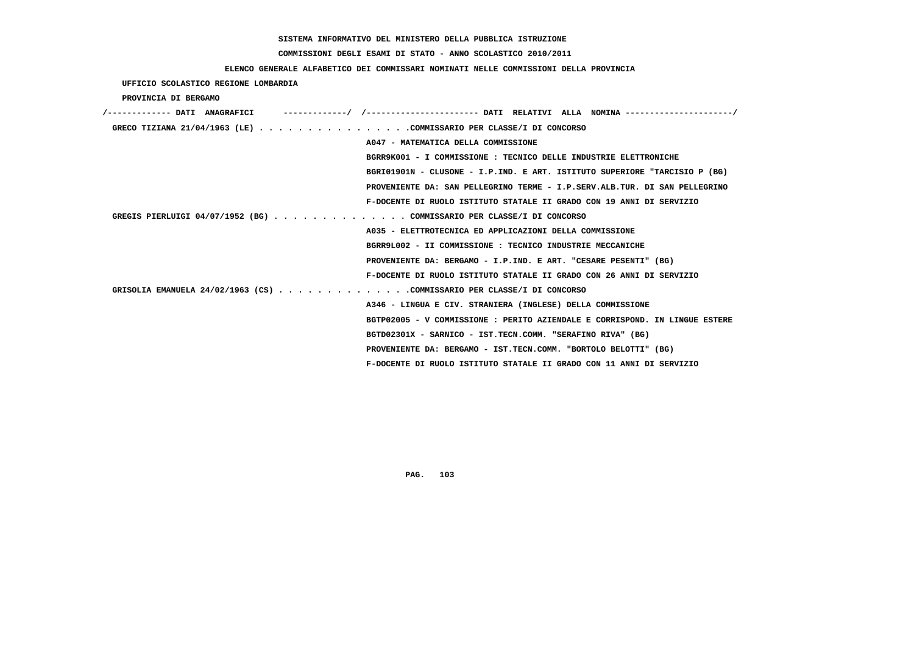## **COMMISSIONI DEGLI ESAMI DI STATO - ANNO SCOLASTICO 2010/2011**

### **ELENCO GENERALE ALFABETICO DEI COMMISSARI NOMINATI NELLE COMMISSIONI DELLA PROVINCIA**

 **UFFICIO SCOLASTICO REGIONE LOMBARDIA**

 **PROVINCIA DI BERGAMO**

| -------------/ /--------------------- DATI RELATIVI ALLA NOMINA--------------------/<br>/------------- DATI ANAGRAFICI |
|------------------------------------------------------------------------------------------------------------------------|
| GRECO TIZIANA 21/04/1963 (LE) COMMISSARIO PER CLASSE/I DI CONCORSO                                                     |
| A047 - MATEMATICA DELLA COMMISSIONE                                                                                    |
| BGRR9K001 - I COMMISSIONE : TECNICO DELLE INDUSTRIE ELETTRONICHE                                                       |
| BGRI01901N - CLUSONE - I.P.IND. E ART. ISTITUTO SUPERIORE "TARCISIO P (BG)                                             |
| PROVENIENTE DA: SAN PELLEGRINO TERME - I.P.SERV.ALB.TUR. DI SAN PELLEGRINO                                             |
| F-DOCENTE DI RUOLO ISTITUTO STATALE II GRADO CON 19 ANNI DI SERVIZIO                                                   |
| GREGIS PIERLUIGI 04/07/1952 (BG) COMMISSARIO PER CLASSE/I DI CONCORSO                                                  |
| A035 - ELETTROTECNICA ED APPLICAZIONI DELLA COMMISSIONE                                                                |
| BGRR9L002 - II COMMISSIONE : TECNICO INDUSTRIE MECCANICHE                                                              |
| PROVENIENTE DA: BERGAMO - I.P.IND. E ART. "CESARE PESENTI" (BG)                                                        |
| F-DOCENTE DI RUOLO ISTITUTO STATALE II GRADO CON 26 ANNI DI SERVIZIO                                                   |
| GRISOLIA EMANUELA 24/02/1963 (CS) COMMISSARIO PER CLASSE/I DI CONCORSO                                                 |
| A346 - LINGUA E CIV. STRANIERA (INGLESE) DELLA COMMISSIONE                                                             |
| BGTP02005 - V COMMISSIONE: PERITO AZIENDALE E CORRISPOND. IN LINGUE ESTERE                                             |
| BGTD02301X - SARNICO - IST.TECN.COMM. "SERAFINO RIVA" (BG)                                                             |
| PROVENIENTE DA: BERGAMO - IST.TECN.COMM. "BORTOLO BELOTTI" (BG)                                                        |
| F-DOCENTE DI RUOLO ISTITUTO STATALE II GRADO CON 11 ANNI DI SERVIZIO                                                   |
|                                                                                                                        |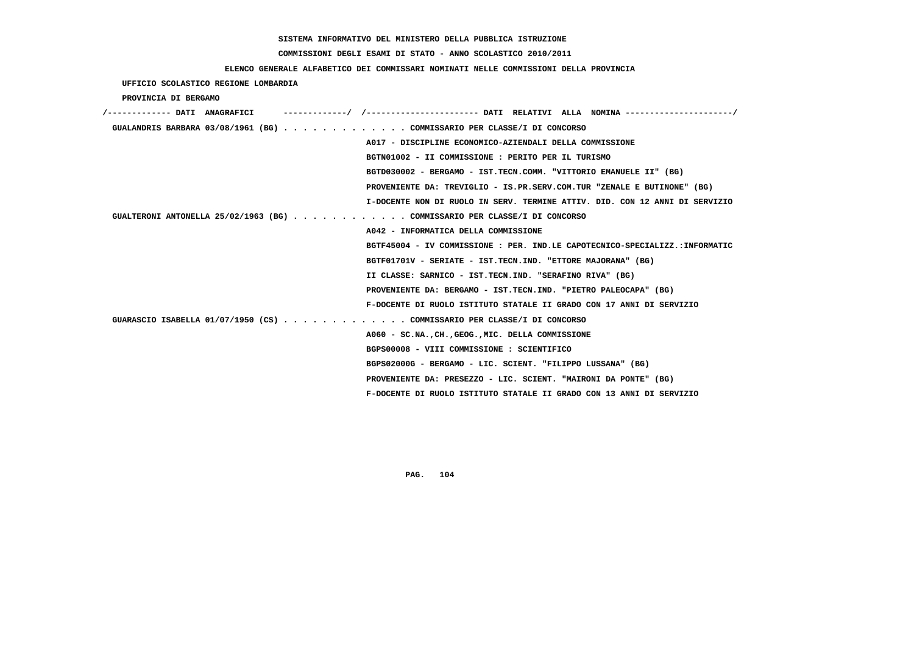## **COMMISSIONI DEGLI ESAMI DI STATO - ANNO SCOLASTICO 2010/2011**

### **ELENCO GENERALE ALFABETICO DEI COMMISSARI NOMINATI NELLE COMMISSIONI DELLA PROVINCIA**

 **UFFICIO SCOLASTICO REGIONE LOMBARDIA**

 **PROVINCIA DI BERGAMO**

| /------------- DATI ANAGRAFICI                                            | -/ /----------------------- DATI RELATIVI ALLA NOMINA ---------------------/ |
|---------------------------------------------------------------------------|------------------------------------------------------------------------------|
| GUALANDRIS BARBARA 03/08/1961 (BG) COMMISSARIO PER CLASSE/I DI CONCORSO   |                                                                              |
|                                                                           | A017 - DISCIPLINE ECONOMICO-AZIENDALI DELLA COMMISSIONE                      |
|                                                                           | BGTN01002 - II COMMISSIONE : PERITO PER IL TURISMO                           |
|                                                                           | BGTD030002 - BERGAMO - IST.TECN.COMM. "VITTORIO EMANUELE II" (BG)            |
|                                                                           | PROVENIENTE DA: TREVIGLIO - IS.PR.SERV.COM.TUR "ZENALE E BUTINONE" (BG)      |
|                                                                           | I-DOCENTE NON DI RUOLO IN SERV. TERMINE ATTIV. DID. CON 12 ANNI DI SERVIZIO  |
| GUALTERONI ANTONELLA 25/02/1963 (BG) COMMISSARIO PER CLASSE/I DI CONCORSO |                                                                              |
|                                                                           | A042 - INFORMATICA DELLA COMMISSIONE                                         |
|                                                                           | BGTF45004 - IV COMMISSIONE : PER. IND.LE CAPOTECNICO-SPECIALIZZ.:INFORMATIC  |
|                                                                           | BGTF01701V - SERIATE - IST.TECN.IND. "ETTORE MAJORANA" (BG)                  |
|                                                                           | II CLASSE: SARNICO - IST.TECN.IND. "SERAFINO RIVA" (BG)                      |
|                                                                           | PROVENIENTE DA: BERGAMO - IST.TECN.IND. "PIETRO PALEOCAPA" (BG)              |
|                                                                           | F-DOCENTE DI RUOLO ISTITUTO STATALE II GRADO CON 17 ANNI DI SERVIZIO         |
| GUARASCIO ISABELLA 01/07/1950 (CS) COMMISSARIO PER CLASSE/I DI CONCORSO   |                                                                              |
|                                                                           | A060 - SC.NA., CH., GEOG., MIC. DELLA COMMISSIONE                            |
|                                                                           | BGPS00008 - VIII COMMISSIONE : SCIENTIFICO                                   |
|                                                                           | BGPS02000G - BERGAMO - LIC. SCIENT. "FILIPPO LUSSANA" (BG)                   |
|                                                                           | PROVENIENTE DA: PRESEZZO - LIC. SCIENT. "MAIRONI DA PONTE" (BG)              |
|                                                                           | F-DOCENTE DI RUOLO ISTITUTO STATALE II GRADO CON 13 ANNI DI SERVIZIO         |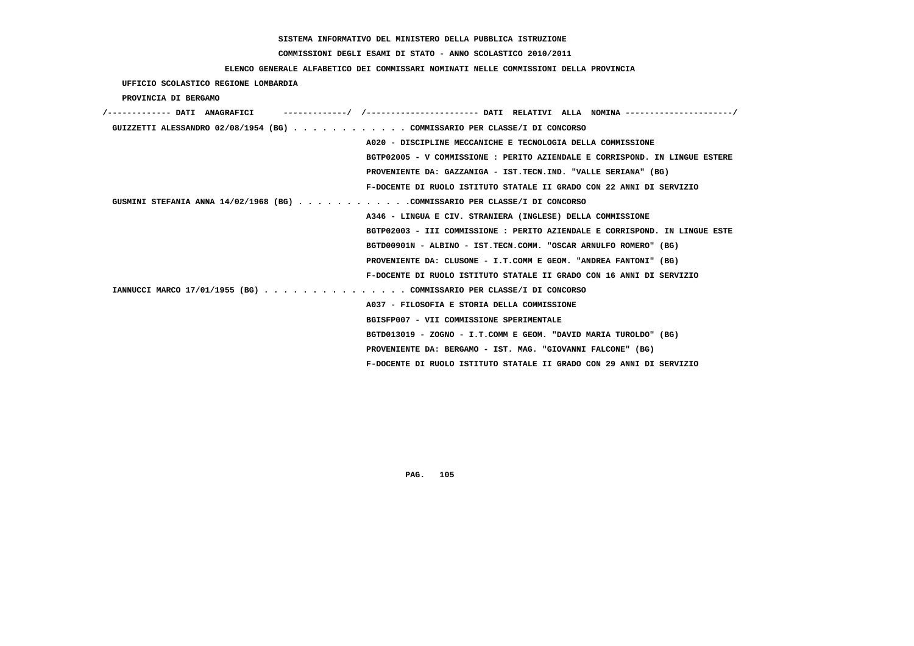## **COMMISSIONI DEGLI ESAMI DI STATO - ANNO SCOLASTICO 2010/2011**

### **ELENCO GENERALE ALFABETICO DEI COMMISSARI NOMINATI NELLE COMMISSIONI DELLA PROVINCIA**

 **UFFICIO SCOLASTICO REGIONE LOMBARDIA**

 **PROVINCIA DI BERGAMO**

| /------------- DATI ANAGRAFICI                                               |
|------------------------------------------------------------------------------|
| GUIZZETTI ALESSANDRO 02/08/1954 (BG) COMMISSARIO PER CLASSE/I DI CONCORSO    |
| A020 - DISCIPLINE MECCANICHE E TECNOLOGIA DELLA COMMISSIONE                  |
| BGTP02005 - V COMMISSIONE : PERITO AZIENDALE E CORRISPOND. IN LINGUE ESTERE  |
| PROVENIENTE DA: GAZZANIGA - IST.TECN.IND. "VALLE SERIANA" (BG)               |
| F-DOCENTE DI RUOLO ISTITUTO STATALE II GRADO CON 22 ANNI DI SERVIZIO         |
| GUSMINI STEFANIA ANNA $14/02/1968$ (BG) COMMISSARIO PER CLASSE/I DI CONCORSO |
| A346 - LINGUA E CIV. STRANIERA (INGLESE) DELLA COMMISSIONE                   |
| BGTP02003 - III COMMISSIONE : PERITO AZIENDALE E CORRISPOND. IN LINGUE ESTE  |
| BGTD00901N - ALBINO - IST.TECN.COMM. "OSCAR ARNULFO ROMERO" (BG)             |
| PROVENIENTE DA: CLUSONE - I.T.COMM E GEOM. "ANDREA FANTONI" (BG)             |
| F-DOCENTE DI RUOLO ISTITUTO STATALE II GRADO CON 16 ANNI DI SERVIZIO         |
| IANNUCCI MARCO 17/01/1955 (BG) COMMISSARIO PER CLASSE/I DI CONCORSO          |
| A037 - FILOSOFIA E STORIA DELLA COMMISSIONE                                  |
| BGISFP007 - VII COMMISSIONE SPERIMENTALE                                     |
| BGTD013019 - ZOGNO - I.T.COMM E GEOM. "DAVID MARIA TUROLDO" (BG)             |
| PROVENIENTE DA: BERGAMO - IST. MAG. "GIOVANNI FALCONE" (BG)                  |
| F-DOCENTE DI RUOLO ISTITUTO STATALE II GRADO CON 29 ANNI DI SERVIZIO         |
|                                                                              |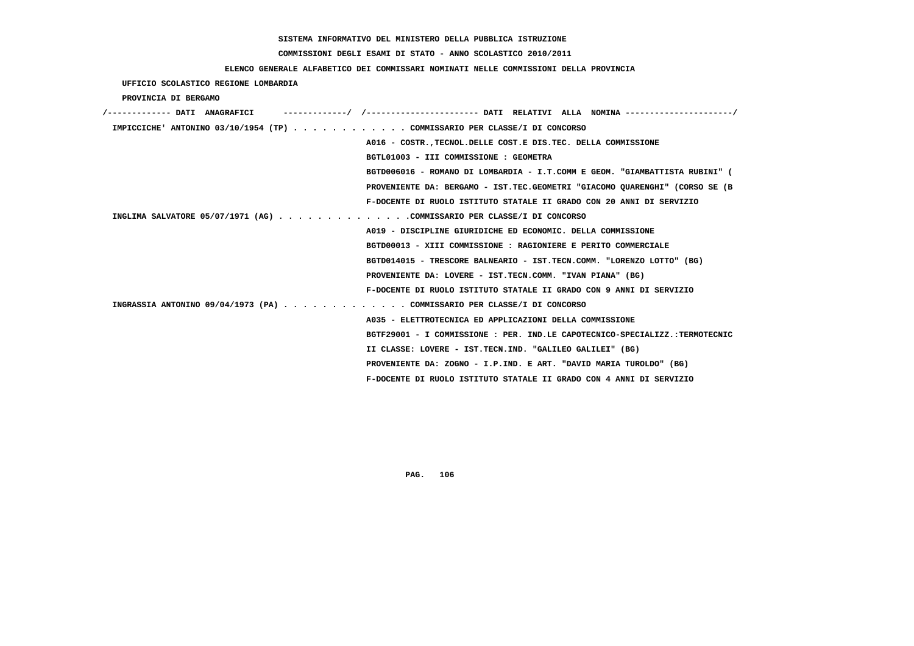## **COMMISSIONI DEGLI ESAMI DI STATO - ANNO SCOLASTICO 2010/2011**

### **ELENCO GENERALE ALFABETICO DEI COMMISSARI NOMINATI NELLE COMMISSIONI DELLA PROVINCIA**

 **UFFICIO SCOLASTICO REGIONE LOMBARDIA**

 **PROVINCIA DI BERGAMO**

| /------------- DATI ANAGRAFICI                                            |                                                                             |
|---------------------------------------------------------------------------|-----------------------------------------------------------------------------|
| IMPICCICHE' ANTONINO 03/10/1954 (TP) COMMISSARIO PER CLASSE/I DI CONCORSO |                                                                             |
|                                                                           | A016 - COSTR., TECNOL. DELLE COST. E DIS. TEC. DELLA COMMISSIONE            |
|                                                                           | BGTL01003 - III COMMISSIONE : GEOMETRA                                      |
|                                                                           | BGTD006016 - ROMANO DI LOMBARDIA - I.T.COMM E GEOM. "GIAMBATTISTA RUBINI" ( |
|                                                                           | PROVENIENTE DA: BERGAMO - IST.TEC.GEOMETRI "GIACOMO OUARENGHI" (CORSO SE (B |
|                                                                           | F-DOCENTE DI RUOLO ISTITUTO STATALE II GRADO CON 20 ANNI DI SERVIZIO        |
| INGLIMA SALVATORE 05/07/1971 (AG) COMMISSARIO PER CLASSE/I DI CONCORSO    |                                                                             |
|                                                                           | A019 - DISCIPLINE GIURIDICHE ED ECONOMIC. DELLA COMMISSIONE                 |
|                                                                           | BGTD00013 - XIII COMMISSIONE : RAGIONIERE E PERITO COMMERCIALE              |
|                                                                           | BGTD014015 - TRESCORE BALNEARIO - IST.TECN.COMM. "LORENZO LOTTO" (BG)       |
|                                                                           | PROVENIENTE DA: LOVERE - IST.TECN.COMM. "IVAN PIANA" (BG)                   |
|                                                                           | F-DOCENTE DI RUOLO ISTITUTO STATALE II GRADO CON 9 ANNI DI SERVIZIO         |
| INGRASSIA ANTONINO 09/04/1973 (PA) COMMISSARIO PER CLASSE/I DI CONCORSO   |                                                                             |
|                                                                           | A035 - ELETTROTECNICA ED APPLICAZIONI DELLA COMMISSIONE                     |
|                                                                           | BGTF29001 - I COMMISSIONE : PER. IND.LE CAPOTECNICO-SPECIALIZZ.:TERMOTECNIC |
|                                                                           | II CLASSE: LOVERE - IST.TECN.IND. "GALILEO GALILEI" (BG)                    |
|                                                                           | PROVENIENTE DA: ZOGNO - I.P.IND. E ART. "DAVID MARIA TUROLDO" (BG)          |
|                                                                           | F-DOCENTE DI RUOLO ISTITUTO STATALE II GRADO CON 4 ANNI DI SERVIZIO         |
|                                                                           |                                                                             |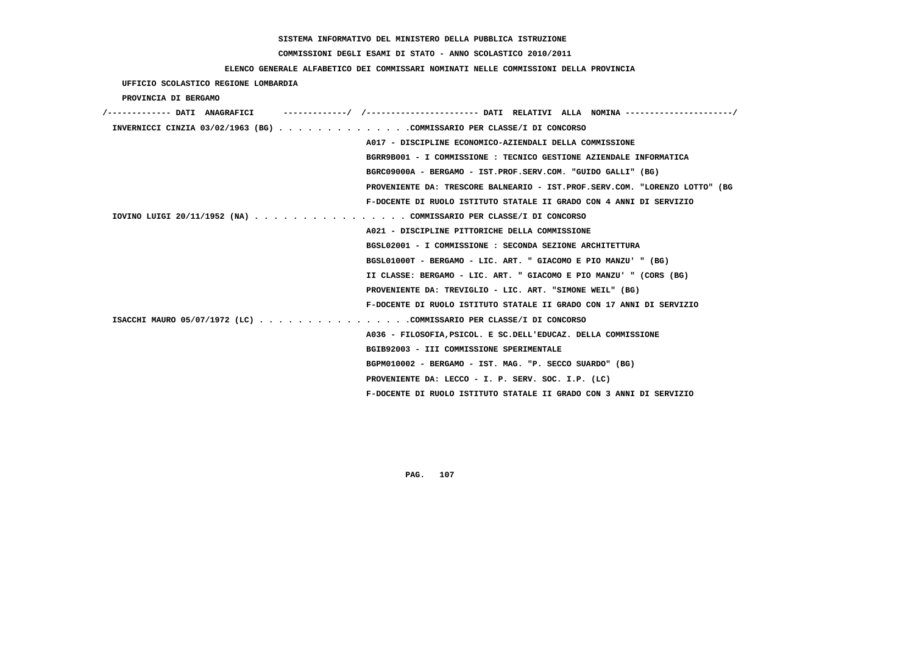## **COMMISSIONI DEGLI ESAMI DI STATO - ANNO SCOLASTICO 2010/2011**

### **ELENCO GENERALE ALFABETICO DEI COMMISSARI NOMINATI NELLE COMMISSIONI DELLA PROVINCIA**

#### **UFFICIO SCOLASTICO REGIONE LOMBARDIA**

#### **PROVINCIA DI BERGAMO**

| -/        /---------------------- DATI RELATIVI ALLA NOMINA---------------------/<br>/------------- DATI ANAGRAFICI |
|---------------------------------------------------------------------------------------------------------------------|
| INVERNICCI CINZIA 03/02/1963 (BG) COMMISSARIO PER CLASSE/I DI CONCORSO                                              |
| A017 - DISCIPLINE ECONOMICO-AZIENDALI DELLA COMMISSIONE                                                             |
| BGRR9B001 - I COMMISSIONE : TECNICO GESTIONE AZIENDALE INFORMATICA                                                  |
| BGRC09000A - BERGAMO - IST.PROF.SERV.COM. "GUIDO GALLI" (BG)                                                        |
| PROVENIENTE DA: TRESCORE BALNEARIO - IST.PROF.SERV.COM. "LORENZO LOTTO" (BG                                         |
| F-DOCENTE DI RUOLO ISTITUTO STATALE II GRADO CON 4 ANNI DI SERVIZIO                                                 |
| IOVINO LUIGI 20/11/1952 (NA) COMMISSARIO PER CLASSE/I DI CONCORSO                                                   |
| A021 - DISCIPLINE PITTORICHE DELLA COMMISSIONE                                                                      |
| BGSL02001 - I COMMISSIONE : SECONDA SEZIONE ARCHITETTURA                                                            |
| BGSL01000T - BERGAMO - LIC. ART. " GIACOMO E PIO MANZU' " (BG)                                                      |
| II CLASSE: BERGAMO - LIC. ART. " GIACOMO E PIO MANZU' " (CORS (BG)                                                  |
| PROVENIENTE DA: TREVIGLIO - LIC. ART. "SIMONE WEIL" (BG)                                                            |
| F-DOCENTE DI RUOLO ISTITUTO STATALE II GRADO CON 17 ANNI DI SERVIZIO                                                |
| ISACCHI MAURO 05/07/1972 (LC) COMMISSARIO PER CLASSE/I DI CONCORSO                                                  |
| A036 - FILOSOFIA, PSICOL. E SC. DELL'EDUCAZ. DELLA COMMISSIONE                                                      |
| BGIB92003 - III COMMISSIONE SPERIMENTALE                                                                            |
| BGPM010002 - BERGAMO - IST. MAG. "P. SECCO SUARDO" (BG)                                                             |
| PROVENIENTE DA: LECCO - I. P. SERV. SOC. I.P. (LC)                                                                  |
| F-DOCENTE DI RUOLO ISTITUTO STATALE II GRADO CON 3 ANNI DI SERVIZIO                                                 |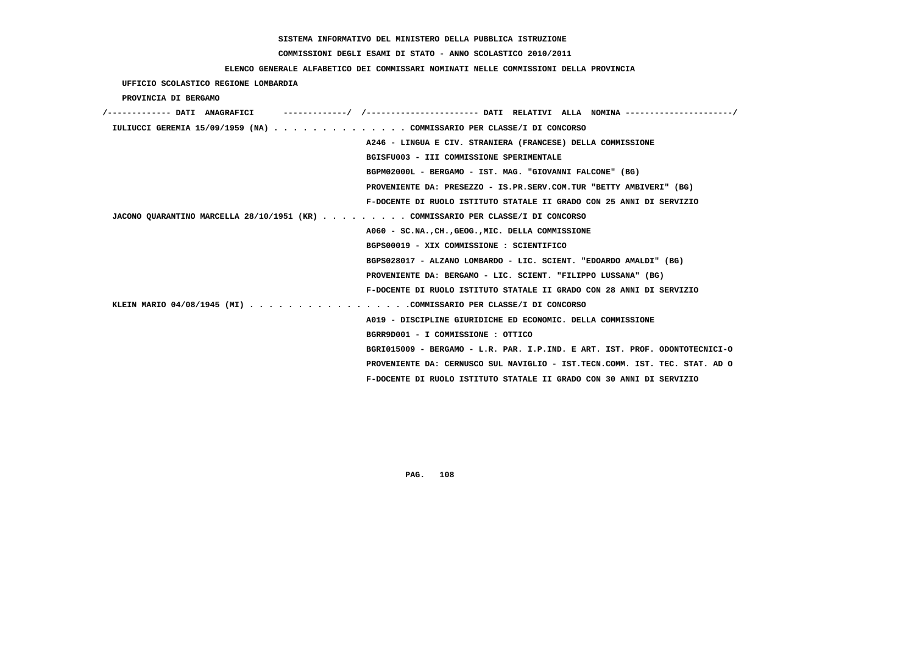## **COMMISSIONI DEGLI ESAMI DI STATO - ANNO SCOLASTICO 2010/2011**

#### **ELENCO GENERALE ALFABETICO DEI COMMISSARI NOMINATI NELLE COMMISSIONI DELLA PROVINCIA**

 **UFFICIO SCOLASTICO REGIONE LOMBARDIA**

 **PROVINCIA DI BERGAMO**

| /------------- DATI ANAGRAFICI                                                  | -----------/ /--------------------- DATI RELATIVI ALLA NOMINA--------------------/ |
|---------------------------------------------------------------------------------|------------------------------------------------------------------------------------|
| IULIUCCI GEREMIA 15/09/1959 (NA) COMMISSARIO PER CLASSE/I DI CONCORSO           |                                                                                    |
|                                                                                 | A246 - LINGUA E CIV. STRANIERA (FRANCESE) DELLA COMMISSIONE                        |
|                                                                                 | BGISFU003 - III COMMISSIONE SPERIMENTALE                                           |
|                                                                                 | BGPM02000L - BERGAMO - IST. MAG. "GIOVANNI FALCONE" (BG)                           |
|                                                                                 | PROVENIENTE DA: PRESEZZO - IS.PR.SERV.COM.TUR "BETTY AMBIVERI" (BG)                |
|                                                                                 | F-DOCENTE DI RUOLO ISTITUTO STATALE II GRADO CON 25 ANNI DI SERVIZIO               |
| JACONO QUARANTINO MARCELLA 28/10/1951 (KR) COMMISSARIO PER CLASSE/I DI CONCORSO |                                                                                    |
|                                                                                 | A060 - SC.NA., CH., GEOG., MIC. DELLA COMMISSIONE                                  |
|                                                                                 | BGPS00019 - XIX COMMISSIONE : SCIENTIFICO                                          |
|                                                                                 | BGPS028017 - ALZANO LOMBARDO - LIC. SCIENT. "EDOARDO AMALDI" (BG)                  |
|                                                                                 | PROVENIENTE DA: BERGAMO - LIC. SCIENT. "FILIPPO LUSSANA" (BG)                      |
|                                                                                 | F-DOCENTE DI RUOLO ISTITUTO STATALE II GRADO CON 28 ANNI DI SERVIZIO               |
| KLEIN MARIO 04/08/1945 (MI) COMMISSARIO PER CLASSE/I DI CONCORSO                |                                                                                    |
|                                                                                 | A019 - DISCIPLINE GIURIDICHE ED ECONOMIC. DELLA COMMISSIONE                        |
|                                                                                 | BGRR9D001 - I COMMISSIONE : OTTICO                                                 |
|                                                                                 | BGRI015009 - BERGAMO - L.R. PAR. I.P.IND. E ART. IST. PROF. ODONTOTECNICI-O        |
|                                                                                 | PROVENIENTE DA: CERNUSCO SUL NAVIGLIO - IST.TECN.COMM. IST. TEC. STAT. AD O        |
|                                                                                 | F-DOCENTE DI RUOLO ISTITUTO STATALE II GRADO CON 30 ANNI DI SERVIZIO               |
|                                                                                 |                                                                                    |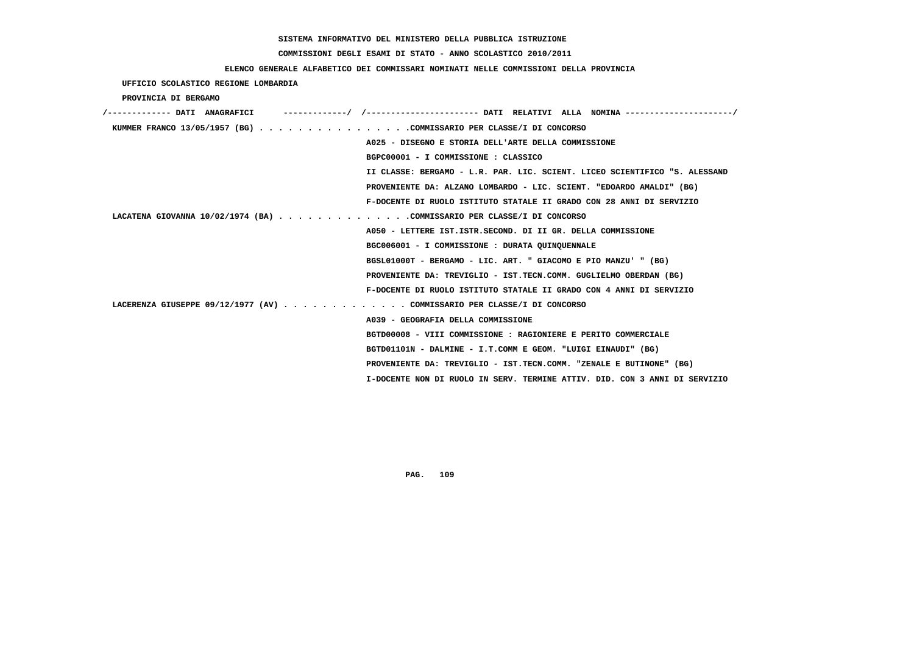# **COMMISSIONI DEGLI ESAMI DI STATO - ANNO SCOLASTICO 2010/2011**

## **ELENCO GENERALE ALFABETICO DEI COMMISSARI NOMINATI NELLE COMMISSIONI DELLA PROVINCIA**

 **UFFICIO SCOLASTICO REGIONE LOMBARDIA**

 **PROVINCIA DI BERGAMO**

| /------------- DATI ANAGRAFICI                                          | ----------/ /---------------------- DATI RELATIVI ALLA NOMINA --------------------/ |
|-------------------------------------------------------------------------|-------------------------------------------------------------------------------------|
| KUMMER FRANCO 13/05/1957 (BG) COMMISSARIO PER CLASSE/I DI CONCORSO      |                                                                                     |
|                                                                         | A025 - DISEGNO E STORIA DELL'ARTE DELLA COMMISSIONE                                 |
|                                                                         | BGPC00001 - I COMMISSIONE : CLASSICO                                                |
|                                                                         | II CLASSE: BERGAMO - L.R. PAR. LIC. SCIENT. LICEO SCIENTIFICO "S. ALESSAND          |
|                                                                         | PROVENIENTE DA: ALZANO LOMBARDO - LIC. SCIENT. "EDOARDO AMALDI" (BG)                |
|                                                                         | F-DOCENTE DI RUOLO ISTITUTO STATALE II GRADO CON 28 ANNI DI SERVIZIO                |
| LACATENA GIOVANNA 10/02/1974 (BA) COMMISSARIO PER CLASSE/I DI CONCORSO  |                                                                                     |
|                                                                         | A050 - LETTERE IST.ISTR.SECOND. DI II GR. DELLA COMMISSIONE                         |
|                                                                         | BGC006001 - I COMMISSIONE : DURATA QUINQUENNALE                                     |
|                                                                         | BGSL01000T - BERGAMO - LIC. ART. " GIACOMO E PIO MANZU' " (BG)                      |
|                                                                         | PROVENIENTE DA: TREVIGLIO - IST.TECN.COMM. GUGLIELMO OBERDAN (BG)                   |
|                                                                         | F-DOCENTE DI RUOLO ISTITUTO STATALE II GRADO CON 4 ANNI DI SERVIZIO                 |
| LACERENZA GIUSEPPE 09/12/1977 (AV) COMMISSARIO PER CLASSE/I DI CONCORSO |                                                                                     |
|                                                                         | A039 - GEOGRAFIA DELLA COMMISSIONE                                                  |
|                                                                         | BGTD00008 - VIII COMMISSIONE : RAGIONIERE E PERITO COMMERCIALE                      |
|                                                                         | BGTD01101N - DALMINE - I.T.COMM E GEOM. "LUIGI EINAUDI" (BG)                        |
|                                                                         | PROVENIENTE DA: TREVIGLIO - IST.TECN.COMM. "ZENALE E BUTINONE" (BG)                 |
|                                                                         | I-DOCENTE NON DI RUOLO IN SERV. TERMINE ATTIV. DID. CON 3 ANNI DI SERVIZIO          |
|                                                                         |                                                                                     |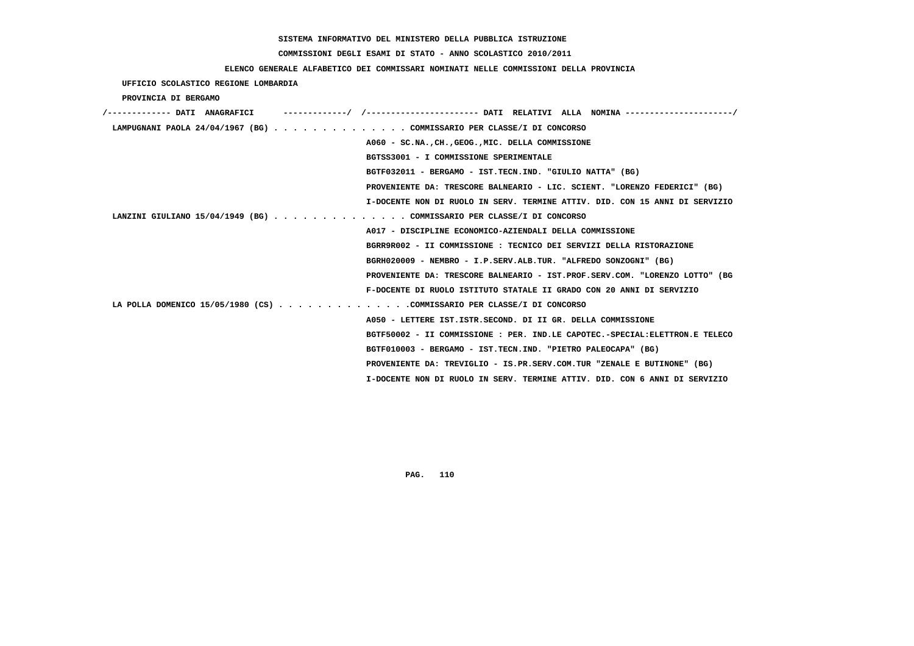# **COMMISSIONI DEGLI ESAMI DI STATO - ANNO SCOLASTICO 2010/2011**

## **ELENCO GENERALE ALFABETICO DEI COMMISSARI NOMINATI NELLE COMMISSIONI DELLA PROVINCIA**

 **UFFICIO SCOLASTICO REGIONE LOMBARDIA**

 **PROVINCIA DI BERGAMO**

| /------------- DATI ANAGRAFICI |                                                                             |
|--------------------------------|-----------------------------------------------------------------------------|
|                                | LAMPUGNANI PAOLA 24/04/1967 (BG) COMMISSARIO PER CLASSE/I DI CONCORSO       |
|                                | A060 - SC.NA., CH., GEOG., MIC. DELLA COMMISSIONE                           |
|                                | BGTSS3001 - I COMMISSIONE SPERIMENTALE                                      |
|                                | BGTF032011 - BERGAMO - IST.TECN.IND. "GIULIO NATTA" (BG)                    |
|                                | PROVENIENTE DA: TRESCORE BALNEARIO - LIC. SCIENT. "LORENZO FEDERICI" (BG)   |
|                                | I-DOCENTE NON DI RUOLO IN SERV. TERMINE ATTIV. DID. CON 15 ANNI DI SERVIZIO |
|                                | LANZINI GIULIANO 15/04/1949 (BG) COMMISSARIO PER CLASSE/I DI CONCORSO       |
|                                | A017 - DISCIPLINE ECONOMICO-AZIENDALI DELLA COMMISSIONE                     |
|                                | BGRR9R002 - II COMMISSIONE : TECNICO DEI SERVIZI DELLA RISTORAZIONE         |
|                                | BGRH020009 - NEMBRO - I.P.SERV.ALB.TUR. "ALFREDO SONZOGNI" (BG)             |
|                                | PROVENIENTE DA: TRESCORE BALNEARIO - IST.PROF.SERV.COM. "LORENZO LOTTO" (BG |
|                                | F-DOCENTE DI RUOLO ISTITUTO STATALE II GRADO CON 20 ANNI DI SERVIZIO        |
|                                | LA POLLA DOMENICO 15/05/1980 (CS) COMMISSARIO PER CLASSE/I DI CONCORSO      |
|                                | A050 - LETTERE IST. ISTR. SECOND. DI II GR. DELLA COMMISSIONE               |
|                                | BGTF50002 - II COMMISSIONE : PER. IND.LE CAPOTEC.-SPECIAL:ELETTRON.E TELECO |
|                                | BGTF010003 - BERGAMO - IST.TECN.IND. "PIETRO PALEOCAPA" (BG)                |
|                                | PROVENIENTE DA: TREVIGLIO - IS.PR.SERV.COM.TUR "ZENALE E BUTINONE" (BG)     |
|                                | I-DOCENTE NON DI RUOLO IN SERV. TERMINE ATTIV. DID. CON 6 ANNI DI SERVIZIO  |
|                                |                                                                             |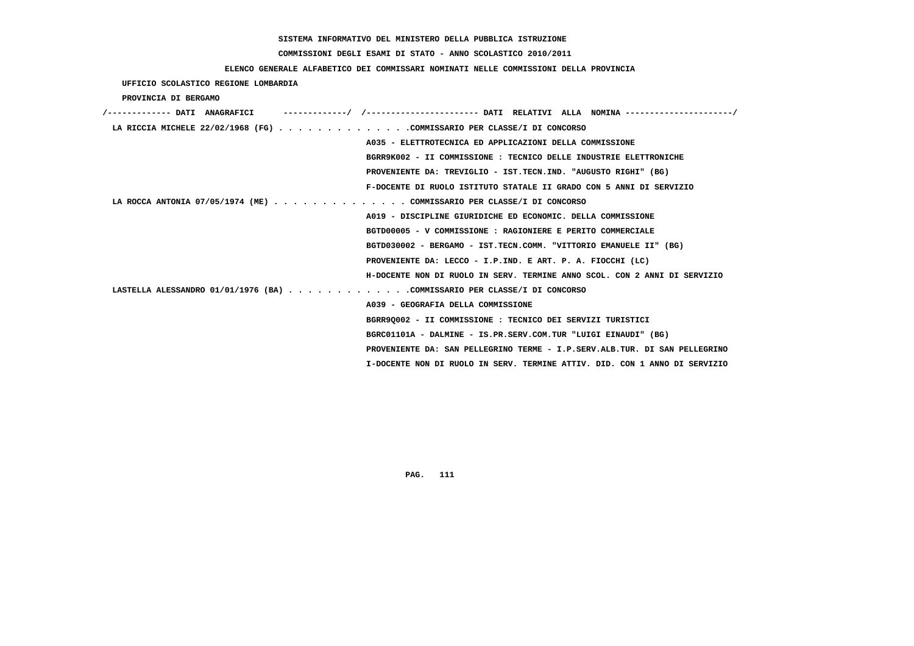# **COMMISSIONI DEGLI ESAMI DI STATO - ANNO SCOLASTICO 2010/2011**

## **ELENCO GENERALE ALFABETICO DEI COMMISSARI NOMINATI NELLE COMMISSIONI DELLA PROVINCIA**

 **UFFICIO SCOLASTICO REGIONE LOMBARDIA**

### **PROVINCIA DI BERGAMO**

| ----------/ /---------------------- DATI RELATIVI ALLA NOMINA---------------------/<br>/------------- DATI ANAGRAFICI |
|-----------------------------------------------------------------------------------------------------------------------|
| LA RICCIA MICHELE 22/02/1968 (FG) COMMISSARIO PER CLASSE/I DI CONCORSO                                                |
| A035 - ELETTROTECNICA ED APPLICAZIONI DELLA COMMISSIONE                                                               |
| BGRR9K002 - II COMMISSIONE : TECNICO DELLE INDUSTRIE ELETTRONICHE                                                     |
| PROVENIENTE DA: TREVIGLIO - IST.TECN.IND. "AUGUSTO RIGHI" (BG)                                                        |
| F-DOCENTE DI RUOLO ISTITUTO STATALE II GRADO CON 5 ANNI DI SERVIZIO                                                   |
| LA ROCCA ANTONIA 07/05/1974 (ME) COMMISSARIO PER CLASSE/I DI CONCORSO                                                 |
| A019 - DISCIPLINE GIURIDICHE ED ECONOMIC. DELLA COMMISSIONE                                                           |
| BGTD00005 - V COMMISSIONE : RAGIONIERE E PERITO COMMERCIALE                                                           |
| BGTD030002 - BERGAMO - IST.TECN.COMM. "VITTORIO EMANUELE II" (BG)                                                     |
| PROVENIENTE DA: LECCO - I.P.IND. E ART. P. A. FIOCCHI (LC)                                                            |
| H-DOCENTE NON DI RUOLO IN SERV. TERMINE ANNO SCOL. CON 2 ANNI DI SERVIZIO                                             |
| LASTELLA ALESSANDRO 01/01/1976 (BA) COMMISSARIO PER CLASSE/I DI CONCORSO                                              |
| A039 - GEOGRAFIA DELLA COMMISSIONE                                                                                    |
| BGRR90002 - II COMMISSIONE : TECNICO DEI SERVIZI TURISTICI                                                            |
| BGRC01101A - DALMINE - IS.PR.SERV.COM.TUR "LUIGI EINAUDI" (BG)                                                        |
| PROVENIENTE DA: SAN PELLEGRINO TERME - I.P.SERV.ALB.TUR. DI SAN PELLEGRINO                                            |
| I-DOCENTE NON DI RUOLO IN SERV. TERMINE ATTIV. DID. CON 1 ANNO DI SERVIZIO                                            |
|                                                                                                                       |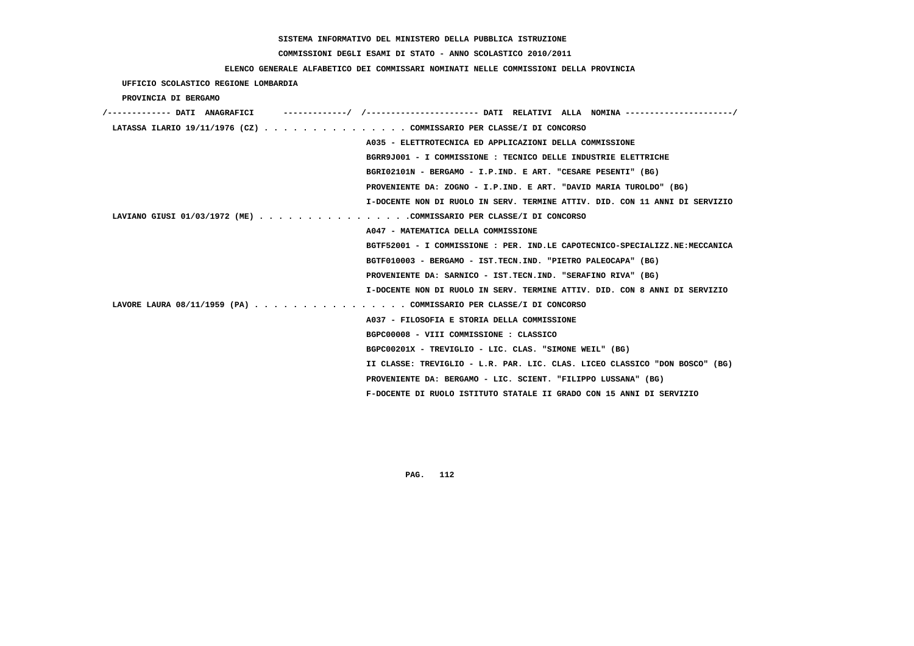# **COMMISSIONI DEGLI ESAMI DI STATO - ANNO SCOLASTICO 2010/2011**

## **ELENCO GENERALE ALFABETICO DEI COMMISSARI NOMINATI NELLE COMMISSIONI DELLA PROVINCIA**

 **UFFICIO SCOLASTICO REGIONE LOMBARDIA**

 **PROVINCIA DI BERGAMO**

| /------------- DATI ANAGRAFICI |                                                                             |
|--------------------------------|-----------------------------------------------------------------------------|
|                                | LATASSA ILARIO 19/11/1976 (CZ) COMMISSARIO PER CLASSE/I DI CONCORSO         |
|                                | A035 - ELETTROTECNICA ED APPLICAZIONI DELLA COMMISSIONE                     |
|                                | BGRR9J001 - I COMMISSIONE : TECNICO DELLE INDUSTRIE ELETTRICHE              |
|                                | BGRI02101N - BERGAMO - I.P.IND. E ART. "CESARE PESENTI" (BG)                |
|                                | PROVENIENTE DA: ZOGNO - I.P.IND. E ART. "DAVID MARIA TUROLDO" (BG)          |
|                                | I-DOCENTE NON DI RUOLO IN SERV. TERMINE ATTIV. DID. CON 11 ANNI DI SERVIZIO |
|                                | LAVIANO GIUSI 01/03/1972 (ME) COMMISSARIO PER CLASSE/I DI CONCORSO          |
|                                | A047 - MATEMATICA DELLA COMMISSIONE                                         |
|                                | BGTF52001 - I COMMISSIONE : PER. IND.LE CAPOTECNICO-SPECIALIZZ.NE:MECCANICA |
|                                | BGTF010003 - BERGAMO - IST.TECN.IND. "PIETRO PALEOCAPA" (BG)                |
|                                | PROVENIENTE DA: SARNICO - IST.TECN.IND. "SERAFINO RIVA" (BG)                |
|                                | I-DOCENTE NON DI RUOLO IN SERV. TERMINE ATTIV. DID. CON 8 ANNI DI SERVIZIO  |
|                                | LAVORE LAURA 08/11/1959 (PA) COMMISSARIO PER CLASSE/I DI CONCORSO           |
|                                | A037 - FILOSOFIA E STORIA DELLA COMMISSIONE                                 |
|                                | BGPC00008 - VIII COMMISSIONE : CLASSICO                                     |
|                                | BGPC00201X - TREVIGLIO - LIC. CLAS. "SIMONE WEIL" (BG)                      |
|                                | II CLASSE: TREVIGLIO - L.R. PAR. LIC. CLAS. LICEO CLASSICO "DON BOSCO" (BG) |
|                                | PROVENIENTE DA: BERGAMO - LIC. SCIENT. "FILIPPO LUSSANA" (BG)               |
|                                | F-DOCENTE DI RUOLO ISTITUTO STATALE II GRADO CON 15 ANNI DI SERVIZIO        |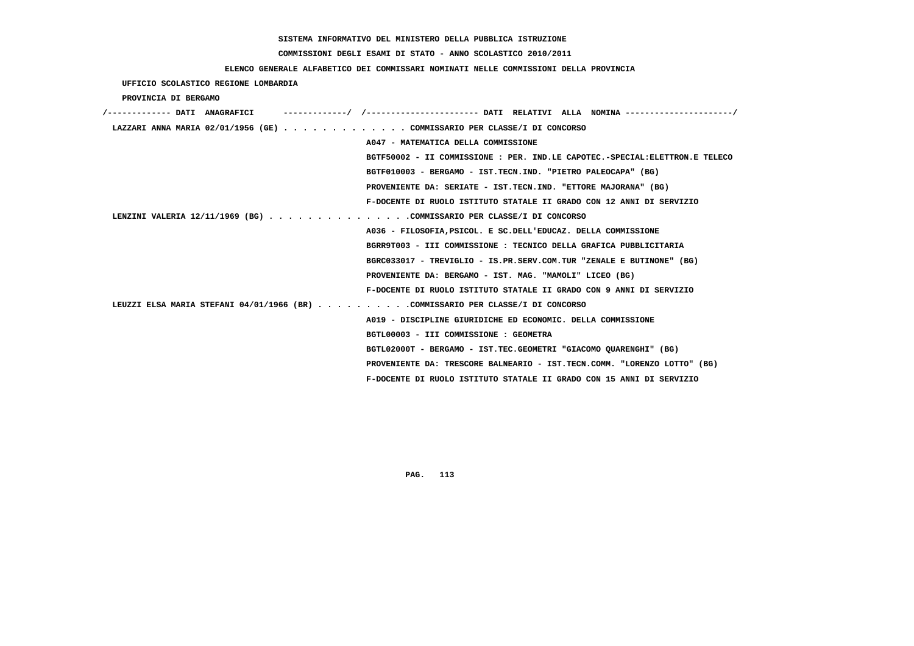# **COMMISSIONI DEGLI ESAMI DI STATO - ANNO SCOLASTICO 2010/2011**

## **ELENCO GENERALE ALFABETICO DEI COMMISSARI NOMINATI NELLE COMMISSIONI DELLA PROVINCIA**

 **UFFICIO SCOLASTICO REGIONE LOMBARDIA**

 **PROVINCIA DI BERGAMO**

| /------------- DATI ANAGRAFICI                                                 |                                                                             |
|--------------------------------------------------------------------------------|-----------------------------------------------------------------------------|
| LAZZARI ANNA MARIA 02/01/1956 (GE) COMMISSARIO PER CLASSE/I DI CONCORSO        |                                                                             |
|                                                                                | A047 - MATEMATICA DELLA COMMISSIONE                                         |
|                                                                                | BGTF50002 - II COMMISSIONE : PER. IND.LE CAPOTEC.-SPECIAL:ELETTRON.E TELECO |
|                                                                                | BGTF010003 - BERGAMO - IST.TECN.IND. "PIETRO PALEOCAPA" (BG)                |
|                                                                                | PROVENIENTE DA: SERIATE - IST.TECN.IND. "ETTORE MAJORANA" (BG)              |
|                                                                                | F-DOCENTE DI RUOLO ISTITUTO STATALE II GRADO CON 12 ANNI DI SERVIZIO        |
| LENZINI VALERIA 12/11/1969 (BG) COMMISSARIO PER CLASSE/I DI CONCORSO           |                                                                             |
|                                                                                | A036 - FILOSOFIA, PSICOL. E SC. DELL'EDUCAZ. DELLA COMMISSIONE              |
|                                                                                | BGRR9T003 - III COMMISSIONE : TECNICO DELLA GRAFICA PUBBLICITARIA           |
|                                                                                | BGRC033017 - TREVIGLIO - IS.PR.SERV.COM.TUR "ZENALE E BUTINONE" (BG)        |
|                                                                                | PROVENIENTE DA: BERGAMO - IST. MAG. "MAMOLI" LICEO (BG)                     |
|                                                                                | F-DOCENTE DI RUOLO ISTITUTO STATALE II GRADO CON 9 ANNI DI SERVIZIO         |
| LEUZZI ELSA MARIA STEFANI 04/01/1966 (BR) COMMISSARIO PER CLASSE/I DI CONCORSO |                                                                             |
|                                                                                | A019 - DISCIPLINE GIURIDICHE ED ECONOMIC. DELLA COMMISSIONE                 |
|                                                                                | BGTL00003 - III COMMISSIONE : GEOMETRA                                      |
|                                                                                | BGTL02000T - BERGAMO - IST.TEC.GEOMETRI "GIACOMO OUARENGHI" (BG)            |
|                                                                                | PROVENIENTE DA: TRESCORE BALNEARIO - IST.TECN.COMM. "LORENZO LOTTO" (BG)    |
|                                                                                | F-DOCENTE DI RUOLO ISTITUTO STATALE II GRADO CON 15 ANNI DI SERVIZIO        |
|                                                                                |                                                                             |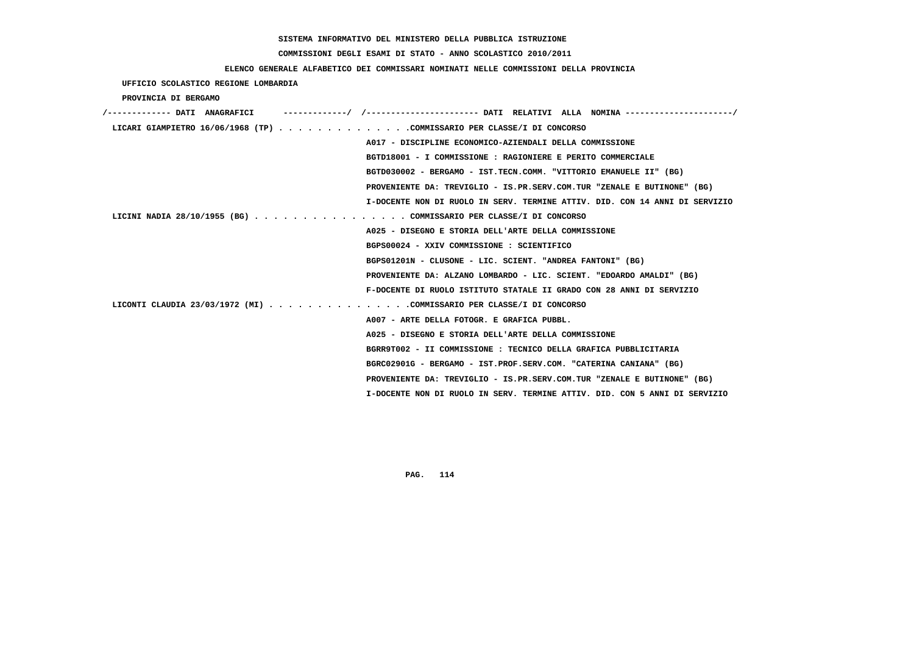# **COMMISSIONI DEGLI ESAMI DI STATO - ANNO SCOLASTICO 2010/2011**

## **ELENCO GENERALE ALFABETICO DEI COMMISSARI NOMINATI NELLE COMMISSIONI DELLA PROVINCIA**

 **UFFICIO SCOLASTICO REGIONE LOMBARDIA**

 **PROVINCIA DI BERGAMO**

| /------------- DATI ANAGRAFICI                                              |
|-----------------------------------------------------------------------------|
| LICARI GIAMPIETRO 16/06/1968 (TP) COMMISSARIO PER CLASSE/I DI CONCORSO      |
| A017 - DISCIPLINE ECONOMICO-AZIENDALI DELLA COMMISSIONE                     |
| BGTD18001 - I COMMISSIONE : RAGIONIERE E PERITO COMMERCIALE                 |
| BGTD030002 - BERGAMO - IST.TECN.COMM. "VITTORIO EMANUELE II" (BG)           |
| PROVENIENTE DA: TREVIGLIO - IS.PR.SERV.COM.TUR "ZENALE E BUTINONE" (BG)     |
| I-DOCENTE NON DI RUOLO IN SERV. TERMINE ATTIV. DID. CON 14 ANNI DI SERVIZIO |
| LICINI NADIA 28/10/1955 (BG) COMMISSARIO PER CLASSE/I DI CONCORSO           |
| A025 - DISEGNO E STORIA DELL'ARTE DELLA COMMISSIONE                         |
| BGPS00024 - XXIV COMMISSIONE : SCIENTIFICO                                  |
| BGPS01201N - CLUSONE - LIC. SCIENT. "ANDREA FANTONI" (BG)                   |
| PROVENIENTE DA: ALZANO LOMBARDO - LIC. SCIENT. "EDOARDO AMALDI" (BG)        |
| F-DOCENTE DI RUOLO ISTITUTO STATALE II GRADO CON 28 ANNI DI SERVIZIO        |
| LICONTI CLAUDIA 23/03/1972 (MI) COMMISSARIO PER CLASSE/I DI CONCORSO        |
| A007 - ARTE DELLA FOTOGR. E GRAFICA PUBBL.                                  |
| A025 - DISEGNO E STORIA DELL'ARTE DELLA COMMISSIONE                         |
| BGRR9T002 - II COMMISSIONE : TECNICO DELLA GRAFICA PUBBLICITARIA            |
| BGRC02901G - BERGAMO - IST.PROF.SERV.COM. "CATERINA CANIANA" (BG)           |
| PROVENIENTE DA: TREVIGLIO - IS.PR.SERV.COM.TUR "ZENALE E BUTINONE" (BG)     |
| I-DOCENTE NON DI RUOLO IN SERV. TERMINE ATTIV. DID. CON 5 ANNI DI SERVIZIO  |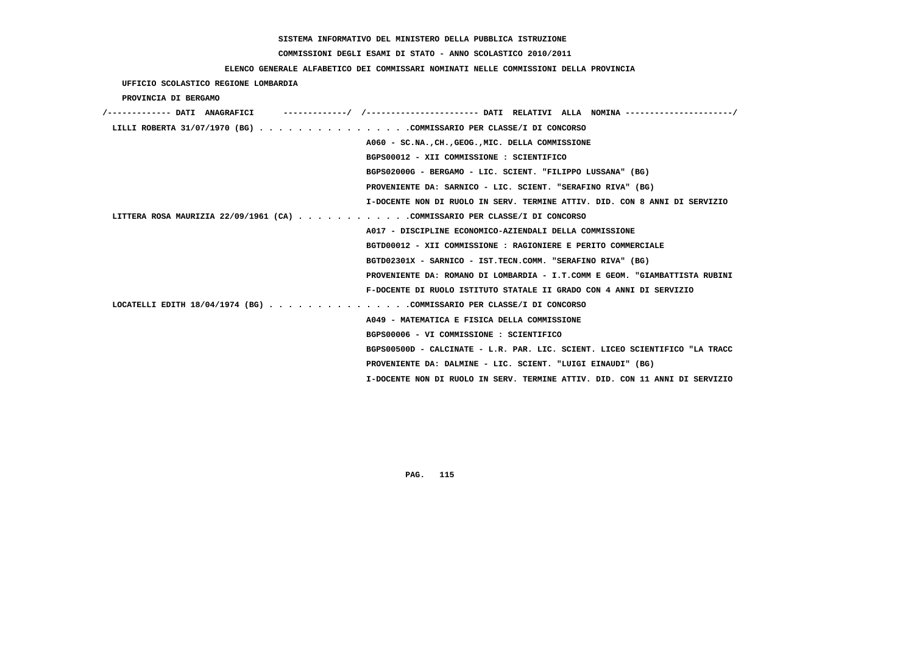# **COMMISSIONI DEGLI ESAMI DI STATO - ANNO SCOLASTICO 2010/2011**

## **ELENCO GENERALE ALFABETICO DEI COMMISSARI NOMINATI NELLE COMMISSIONI DELLA PROVINCIA**

 **UFFICIO SCOLASTICO REGIONE LOMBARDIA**

 **PROVINCIA DI BERGAMO**

| /------------- DATI ANAGRAFICI                                             |                                                                             |
|----------------------------------------------------------------------------|-----------------------------------------------------------------------------|
| LILLI ROBERTA 31/07/1970 (BG) COMMISSARIO PER CLASSE/I DI CONCORSO         |                                                                             |
|                                                                            | A060 - SC.NA., CH., GEOG., MIC. DELLA COMMISSIONE                           |
|                                                                            | BGPS00012 - XII COMMISSIONE : SCIENTIFICO                                   |
|                                                                            | BGPS02000G - BERGAMO - LIC. SCIENT. "FILIPPO LUSSANA" (BG)                  |
|                                                                            | PROVENIENTE DA: SARNICO - LIC. SCIENT. "SERAFINO RIVA" (BG)                 |
|                                                                            | I-DOCENTE NON DI RUOLO IN SERV. TERMINE ATTIV. DID. CON 8 ANNI DI SERVIZIO  |
| LITTERA ROSA MAURIZIA 22/09/1961 (CA) COMMISSARIO PER CLASSE/I DI CONCORSO |                                                                             |
|                                                                            | A017 - DISCIPLINE ECONOMICO-AZIENDALI DELLA COMMISSIONE                     |
|                                                                            | BGTD00012 - XII COMMISSIONE : RAGIONIERE E PERITO COMMERCIALE               |
|                                                                            | BGTD02301X - SARNICO - IST.TECN.COMM. "SERAFINO RIVA" (BG)                  |
|                                                                            | PROVENIENTE DA: ROMANO DI LOMBARDIA - I.T.COMM E GEOM. "GIAMBATTISTA RUBINI |
|                                                                            | F-DOCENTE DI RUOLO ISTITUTO STATALE II GRADO CON 4 ANNI DI SERVIZIO         |
| LOCATELLI EDITH $18/04/1974$ (BG) COMMISSARIO PER CLASSE/I DI CONCORSO     |                                                                             |
|                                                                            | A049 - MATEMATICA E FISICA DELLA COMMISSIONE                                |
|                                                                            | BGPS00006 - VI COMMISSIONE : SCIENTIFICO                                    |
|                                                                            | BGPS00500D - CALCINATE - L.R. PAR. LIC. SCIENT. LICEO SCIENTIFICO "LA TRACC |
|                                                                            | PROVENIENTE DA: DALMINE - LIC. SCIENT. "LUIGI EINAUDI" (BG)                 |
|                                                                            | I-DOCENTE NON DI RUOLO IN SERV. TERMINE ATTIV. DID. CON 11 ANNI DI SERVIZIO |
|                                                                            |                                                                             |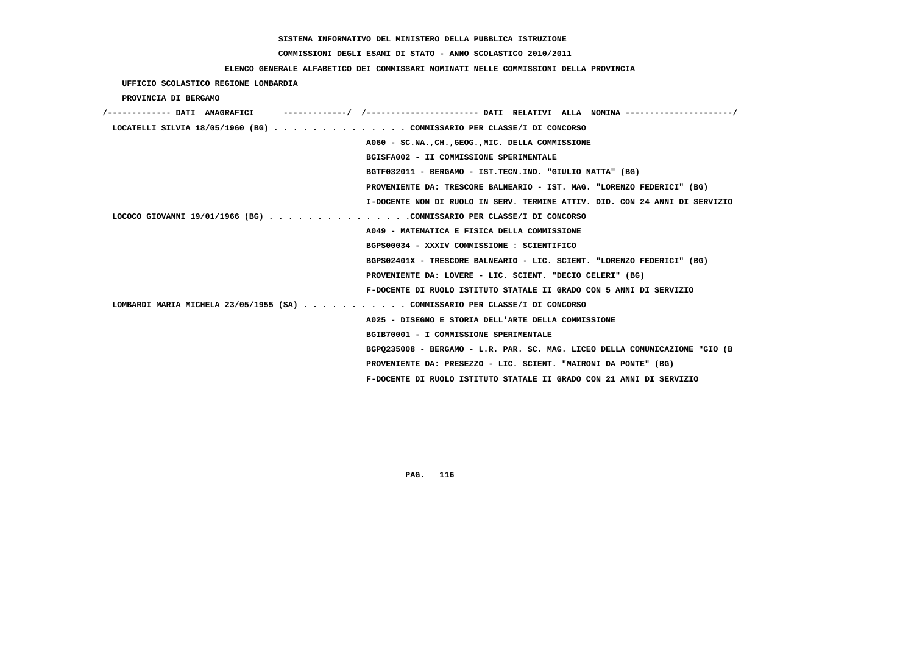### **COMMISSIONI DEGLI ESAMI DI STATO - ANNO SCOLASTICO 2010/2011**

## **ELENCO GENERALE ALFABETICO DEI COMMISSARI NOMINATI NELLE COMMISSIONI DELLA PROVINCIA**

 **UFFICIO SCOLASTICO REGIONE LOMBARDIA**

 **PROVINCIA DI BERGAMO**

| /------------- DATI ANAGRAFICI | ------------/ /--------------------- DATI RELATIVI ALLA NOMINA -------------------/ |
|--------------------------------|-------------------------------------------------------------------------------------|
|                                | LOCATELLI SILVIA 18/05/1960 (BG) COMMISSARIO PER CLASSE/I DI CONCORSO               |
|                                | A060 - SC.NA., CH., GEOG., MIC. DELLA COMMISSIONE                                   |
|                                | BGISFA002 - II COMMISSIONE SPERIMENTALE                                             |
|                                | BGTF032011 - BERGAMO - IST.TECN.IND. "GIULIO NATTA" (BG)                            |
|                                | PROVENIENTE DA: TRESCORE BALNEARIO - IST. MAG. "LORENZO FEDERICI" (BG)              |
|                                | I-DOCENTE NON DI RUOLO IN SERV. TERMINE ATTIV. DID. CON 24 ANNI DI SERVIZIO         |
|                                | LOCOCO GIOVANNI 19/01/1966 (BG) COMMISSARIO PER CLASSE/I DI CONCORSO                |
|                                | A049 - MATEMATICA E FISICA DELLA COMMISSIONE                                        |
|                                | BGPS00034 - XXXIV COMMISSIONE : SCIENTIFICO                                         |
|                                | BGPS02401X - TRESCORE BALNEARIO - LIC. SCIENT. "LORENZO FEDERICI" (BG)              |
|                                | PROVENIENTE DA: LOVERE - LIC. SCIENT. "DECIO CELERI" (BG)                           |
|                                | F-DOCENTE DI RUOLO ISTITUTO STATALE II GRADO CON 5 ANNI DI SERVIZIO                 |
|                                | LOMBARDI MARIA MICHELA 23/05/1955 (SA) COMMISSARIO PER CLASSE/I DI CONCORSO         |
|                                | A025 - DISEGNO E STORIA DELL'ARTE DELLA COMMISSIONE                                 |
|                                | BGIB70001 - I COMMISSIONE SPERIMENTALE                                              |
|                                | BGP0235008 - BERGAMO - L.R. PAR. SC. MAG. LICEO DELLA COMUNICAZIONE "GIO (B         |
|                                | PROVENIENTE DA: PRESEZZO - LIC. SCIENT. "MAIRONI DA PONTE" (BG)                     |
|                                | F-DOCENTE DI RUOLO ISTITUTO STATALE II GRADO CON 21 ANNI DI SERVIZIO                |
|                                |                                                                                     |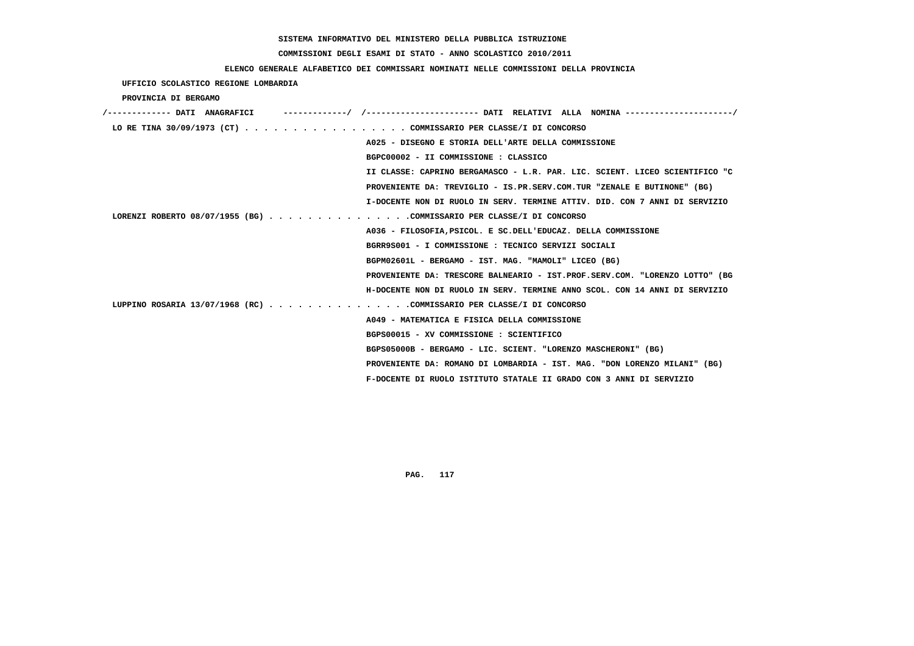# **COMMISSIONI DEGLI ESAMI DI STATO - ANNO SCOLASTICO 2010/2011**

## **ELENCO GENERALE ALFABETICO DEI COMMISSARI NOMINATI NELLE COMMISSIONI DELLA PROVINCIA**

 **UFFICIO SCOLASTICO REGIONE LOMBARDIA**

 **PROVINCIA DI BERGAMO**

| /------------- DATI ANAGRAFICI | ----------/ /---------------------- DATI RELATIVI ALLA NOMINA --------------------/ |
|--------------------------------|-------------------------------------------------------------------------------------|
|                                | LO RE TINA 30/09/1973 (CT) COMMISSARIO PER CLASSE/I DI CONCORSO                     |
|                                | A025 - DISEGNO E STORIA DELL'ARTE DELLA COMMISSIONE                                 |
|                                | BGPC00002 - II COMMISSIONE : CLASSICO                                               |
|                                | II CLASSE: CAPRINO BERGAMASCO - L.R. PAR. LIC. SCIENT. LICEO SCIENTIFICO "C         |
|                                | PROVENIENTE DA: TREVIGLIO - IS.PR.SERV.COM.TUR "ZENALE E BUTINONE" (BG)             |
|                                | I-DOCENTE NON DI RUOLO IN SERV. TERMINE ATTIV. DID. CON 7 ANNI DI SERVIZIO          |
|                                | LORENZI ROBERTO 08/07/1955 (BG) COMMISSARIO PER CLASSE/I DI CONCORSO                |
|                                | A036 - FILOSOFIA, PSICOL. E SC. DELL'EDUCAZ. DELLA COMMISSIONE                      |
|                                | BGRR9S001 - I COMMISSIONE : TECNICO SERVIZI SOCIALI                                 |
|                                | BGPM02601L - BERGAMO - IST. MAG. "MAMOLI" LICEO (BG)                                |
|                                | PROVENIENTE DA: TRESCORE BALNEARIO - IST.PROF.SERV.COM. "LORENZO LOTTO" (BG         |
|                                | H-DOCENTE NON DI RUOLO IN SERV. TERMINE ANNO SCOL. CON 14 ANNI DI SERVIZIO          |
|                                | LUPPINO ROSARIA 13/07/1968 (RC) COMMISSARIO PER CLASSE/I DI CONCORSO                |
|                                | A049 - MATEMATICA E FISICA DELLA COMMISSIONE                                        |
|                                | BGPS00015 - XV COMMISSIONE : SCIENTIFICO                                            |
|                                | BGPS05000B - BERGAMO - LIC. SCIENT. "LORENZO MASCHERONI" (BG)                       |
|                                | PROVENIENTE DA: ROMANO DI LOMBARDIA - IST. MAG. "DON LORENZO MILANI" (BG)           |
|                                | F-DOCENTE DI RUOLO ISTITUTO STATALE II GRADO CON 3 ANNI DI SERVIZIO                 |
|                                |                                                                                     |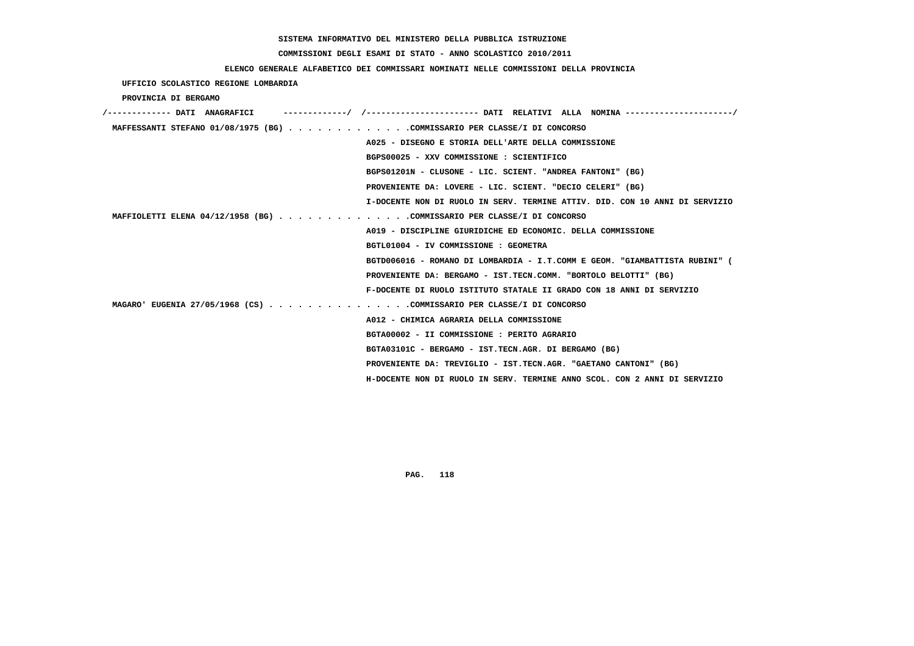# **COMMISSIONI DEGLI ESAMI DI STATO - ANNO SCOLASTICO 2010/2011**

## **ELENCO GENERALE ALFABETICO DEI COMMISSARI NOMINATI NELLE COMMISSIONI DELLA PROVINCIA**

 **UFFICIO SCOLASTICO REGIONE LOMBARDIA**

 **PROVINCIA DI BERGAMO**

| /------------- DATI ANAGRAFICI                                              |
|-----------------------------------------------------------------------------|
| MAFFESSANTI STEFANO 01/08/1975 (BG) COMMISSARIO PER CLASSE/I DI CONCORSO    |
| A025 - DISEGNO E STORIA DELL'ARTE DELLA COMMISSIONE                         |
| BGPS00025 - XXV COMMISSIONE : SCIENTIFICO                                   |
| BGPS01201N - CLUSONE - LIC. SCIENT. "ANDREA FANTONI" (BG)                   |
| PROVENIENTE DA: LOVERE - LIC. SCIENT. "DECIO CELERI" (BG)                   |
| I-DOCENTE NON DI RUOLO IN SERV. TERMINE ATTIV. DID. CON 10 ANNI DI SERVIZIO |
| MAFFIOLETTI ELENA 04/12/1958 (BG) COMMISSARIO PER CLASSE/I DI CONCORSO      |
| A019 - DISCIPLINE GIURIDICHE ED ECONOMIC. DELLA COMMISSIONE                 |
| BGTL01004 - IV COMMISSIONE : GEOMETRA                                       |
| BGTD006016 - ROMANO DI LOMBARDIA - I.T.COMM E GEOM. "GIAMBATTISTA RUBINI" ( |
| PROVENIENTE DA: BERGAMO - IST.TECN.COMM. "BORTOLO BELOTTI" (BG)             |
| F-DOCENTE DI RUOLO ISTITUTO STATALE II GRADO CON 18 ANNI DI SERVIZIO        |
| MAGARO' EUGENIA 27/05/1968 (CS) COMMISSARIO PER CLASSE/I DI CONCORSO        |
| A012 - CHIMICA AGRARIA DELLA COMMISSIONE                                    |
| BGTA00002 - II COMMISSIONE : PERITO AGRARIO                                 |
| BGTA03101C - BERGAMO - IST.TECN.AGR. DI BERGAMO (BG)                        |
| PROVENIENTE DA: TREVIGLIO - IST.TECN.AGR. "GAETANO CANTONI" (BG)            |
| H-DOCENTE NON DI RUOLO IN SERV. TERMINE ANNO SCOL. CON 2 ANNI DI SERVIZIO   |
|                                                                             |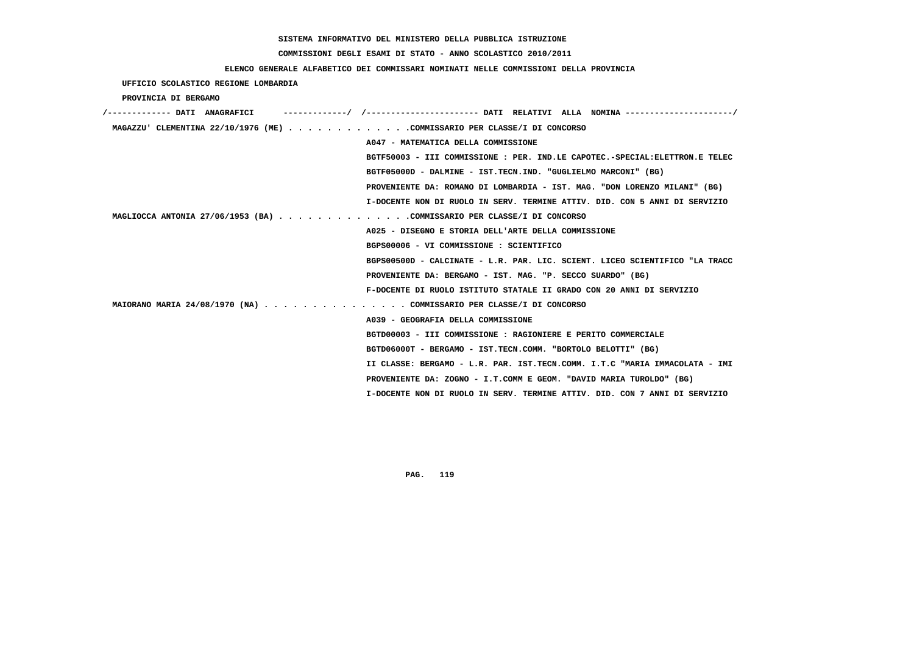# **COMMISSIONI DEGLI ESAMI DI STATO - ANNO SCOLASTICO 2010/2011**

## **ELENCO GENERALE ALFABETICO DEI COMMISSARI NOMINATI NELLE COMMISSIONI DELLA PROVINCIA**

 **UFFICIO SCOLASTICO REGIONE LOMBARDIA**

 **PROVINCIA DI BERGAMO**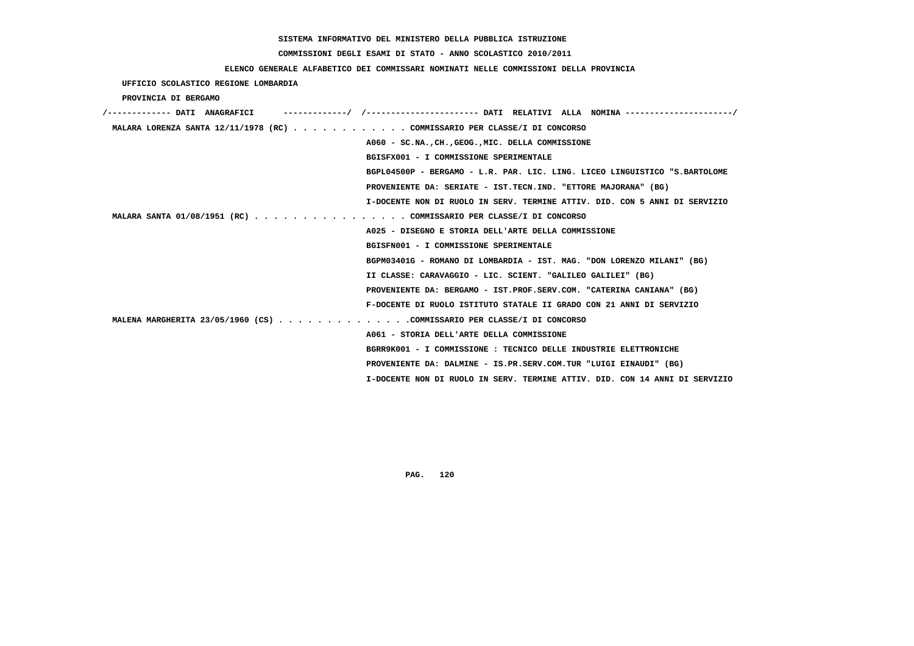# **COMMISSIONI DEGLI ESAMI DI STATO - ANNO SCOLASTICO 2010/2011**

## **ELENCO GENERALE ALFABETICO DEI COMMISSARI NOMINATI NELLE COMMISSIONI DELLA PROVINCIA**

 **UFFICIO SCOLASTICO REGIONE LOMBARDIA**

 **PROVINCIA DI BERGAMO**

| /------------- DATI ANAGRAFICI                                            |                                                                             |
|---------------------------------------------------------------------------|-----------------------------------------------------------------------------|
| MALARA LORENZA SANTA 12/11/1978 (RC) COMMISSARIO PER CLASSE/I DI CONCORSO |                                                                             |
|                                                                           | A060 - SC.NA., CH., GEOG., MIC. DELLA COMMISSIONE                           |
|                                                                           | BGISFX001 - I COMMISSIONE SPERIMENTALE                                      |
|                                                                           | BGPL04500P - BERGAMO - L.R. PAR. LIC. LING. LICEO LINGUISTICO "S.BARTOLOME  |
|                                                                           | PROVENIENTE DA: SERIATE - IST.TECN.IND. "ETTORE MAJORANA" (BG)              |
|                                                                           | I-DOCENTE NON DI RUOLO IN SERV. TERMINE ATTIV. DID. CON 5 ANNI DI SERVIZIO  |
| MALARA SANTA 01/08/1951 (RC) COMMISSARIO PER CLASSE/I DI CONCORSO         |                                                                             |
|                                                                           | A025 - DISEGNO E STORIA DELL'ARTE DELLA COMMISSIONE                         |
|                                                                           | BGISFN001 - I COMMISSIONE SPERIMENTALE                                      |
|                                                                           | BGPM03401G - ROMANO DI LOMBARDIA - IST. MAG. "DON LORENZO MILANI" (BG)      |
|                                                                           | II CLASSE: CARAVAGGIO - LIC. SCIENT. "GALILEO GALILEI" (BG)                 |
|                                                                           | PROVENIENTE DA: BERGAMO - IST.PROF.SERV.COM. "CATERINA CANIANA" (BG)        |
|                                                                           | F-DOCENTE DI RUOLO ISTITUTO STATALE II GRADO CON 21 ANNI DI SERVIZIO        |
| MALENA MARGHERITA 23/05/1960 (CS) COMMISSARIO PER CLASSE/I DI CONCORSO    |                                                                             |
|                                                                           | A061 - STORIA DELL'ARTE DELLA COMMISSIONE                                   |
|                                                                           | BGRR9K001 - I COMMISSIONE : TECNICO DELLE INDUSTRIE ELETTRONICHE            |
|                                                                           | PROVENIENTE DA: DALMINE - IS.PR.SERV.COM.TUR "LUIGI EINAUDI" (BG)           |
|                                                                           | I-DOCENTE NON DI RUOLO IN SERV. TERMINE ATTIV. DID. CON 14 ANNI DI SERVIZIO |
|                                                                           |                                                                             |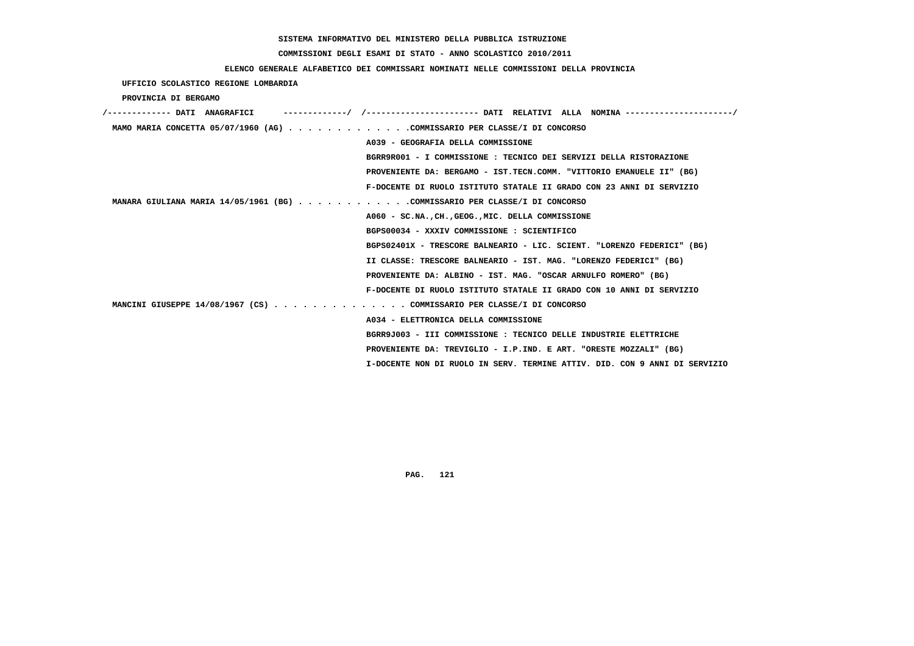# **COMMISSIONI DEGLI ESAMI DI STATO - ANNO SCOLASTICO 2010/2011**

## **ELENCO GENERALE ALFABETICO DEI COMMISSARI NOMINATI NELLE COMMISSIONI DELLA PROVINCIA**

 **UFFICIO SCOLASTICO REGIONE LOMBARDIA**

 **PROVINCIA DI BERGAMO**

| ----------/ /--------------------- DATI RELATIVI ALLA NOMINA--------------------/<br>/------------- DATI ANAGRAFICI |
|---------------------------------------------------------------------------------------------------------------------|
| MAMO MARIA CONCETTA 05/07/1960 (AG) COMMISSARIO PER CLASSE/I DI CONCORSO                                            |
| A039 - GEOGRAFIA DELLA COMMISSIONE                                                                                  |
| BGRR9R001 - I COMMISSIONE: TECNICO DEI SERVIZI DELLA RISTORAZIONE                                                   |
| PROVENIENTE DA: BERGAMO - IST.TECN.COMM. "VITTORIO EMANUELE II" (BG)                                                |
| F-DOCENTE DI RUOLO ISTITUTO STATALE II GRADO CON 23 ANNI DI SERVIZIO                                                |
| MANARA GIULIANA MARIA 14/05/1961 (BG) COMMISSARIO PER CLASSE/I DI CONCORSO                                          |
| A060 - SC.NACHGEOGMIC. DELLA COMMISSIONE                                                                            |
| BGPS00034 - XXXIV COMMISSIONE : SCIENTIFICO                                                                         |
| BGPS02401X - TRESCORE BALNEARIO - LIC. SCIENT. "LORENZO FEDERICI" (BG)                                              |
| II CLASSE: TRESCORE BALNEARIO - IST. MAG. "LORENZO FEDERICI" (BG)                                                   |
| PROVENIENTE DA: ALBINO - IST. MAG. "OSCAR ARNULFO ROMERO" (BG)                                                      |
| F-DOCENTE DI RUOLO ISTITUTO STATALE II GRADO CON 10 ANNI DI SERVIZIO                                                |
| MANCINI GIUSEPPE 14/08/1967 (CS) COMMISSARIO PER CLASSE/I DI CONCORSO                                               |
| A034 - ELETTRONICA DELLA COMMISSIONE                                                                                |
| BGRR9J003 - III COMMISSIONE : TECNICO DELLE INDUSTRIE ELETTRICHE                                                    |
| PROVENIENTE DA: TREVIGLIO - I.P.IND. E ART. "ORESTE MOZZALI" (BG)                                                   |
| I-DOCENTE NON DI RUOLO IN SERV. TERMINE ATTIV. DID. CON 9 ANNI DI SERVIZIO                                          |
|                                                                                                                     |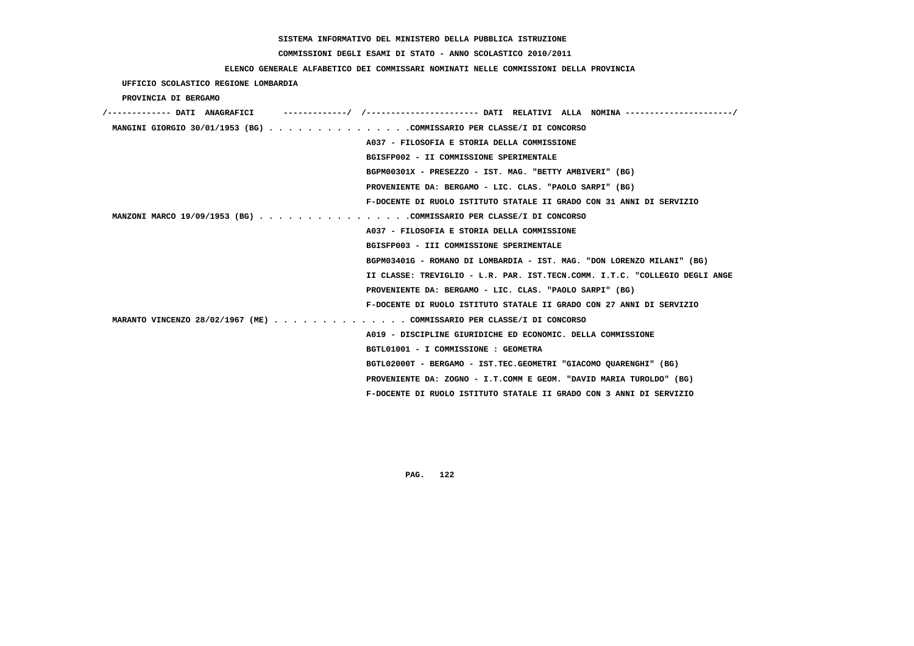# **COMMISSIONI DEGLI ESAMI DI STATO - ANNO SCOLASTICO 2010/2011**

## **ELENCO GENERALE ALFABETICO DEI COMMISSARI NOMINATI NELLE COMMISSIONI DELLA PROVINCIA**

 **UFFICIO SCOLASTICO REGIONE LOMBARDIA**

 **PROVINCIA DI BERGAMO**

| /------------- DATI ANAGRAFICI                                        |                                                                             |
|-----------------------------------------------------------------------|-----------------------------------------------------------------------------|
| MANGINI GIORGIO 30/01/1953 (BG) COMMISSARIO PER CLASSE/I DI CONCORSO  |                                                                             |
|                                                                       | A037 - FILOSOFIA E STORIA DELLA COMMISSIONE                                 |
|                                                                       | BGISFP002 - II COMMISSIONE SPERIMENTALE                                     |
|                                                                       | BGPM00301X - PRESEZZO - IST. MAG. "BETTY AMBIVERI" (BG)                     |
|                                                                       | PROVENIENTE DA: BERGAMO - LIC. CLAS. "PAOLO SARPI" (BG)                     |
|                                                                       | F-DOCENTE DI RUOLO ISTITUTO STATALE II GRADO CON 31 ANNI DI SERVIZIO        |
| MANZONI MARCO 19/09/1953 (BG) COMMISSARIO PER CLASSE/I DI CONCORSO    |                                                                             |
|                                                                       | A037 - FILOSOFIA E STORIA DELLA COMMISSIONE                                 |
|                                                                       | BGISFP003 - III COMMISSIONE SPERIMENTALE                                    |
|                                                                       | BGPM03401G - ROMANO DI LOMBARDIA - IST. MAG. "DON LORENZO MILANI" (BG)      |
|                                                                       | II CLASSE: TREVIGLIO - L.R. PAR. IST.TECN.COMM. I.T.C. "COLLEGIO DEGLI ANGE |
|                                                                       | PROVENIENTE DA: BERGAMO - LIC. CLAS. "PAOLO SARPI" (BG)                     |
|                                                                       | F-DOCENTE DI RUOLO ISTITUTO STATALE II GRADO CON 27 ANNI DI SERVIZIO        |
| MARANTO VINCENZO 28/02/1967 (ME) COMMISSARIO PER CLASSE/I DI CONCORSO |                                                                             |
|                                                                       | A019 - DISCIPLINE GIURIDICHE ED ECONOMIC. DELLA COMMISSIONE                 |
|                                                                       | BGTL01001 - I COMMISSIONE : GEOMETRA                                        |
|                                                                       | BGTL02000T - BERGAMO - IST.TEC.GEOMETRI "GIACOMO QUARENGHI" (BG)            |
|                                                                       | PROVENIENTE DA: ZOGNO - I.T.COMM E GEOM. "DAVID MARIA TUROLDO" (BG)         |
|                                                                       | F-DOCENTE DI RUOLO ISTITUTO STATALE II GRADO CON 3 ANNI DI SERVIZIO         |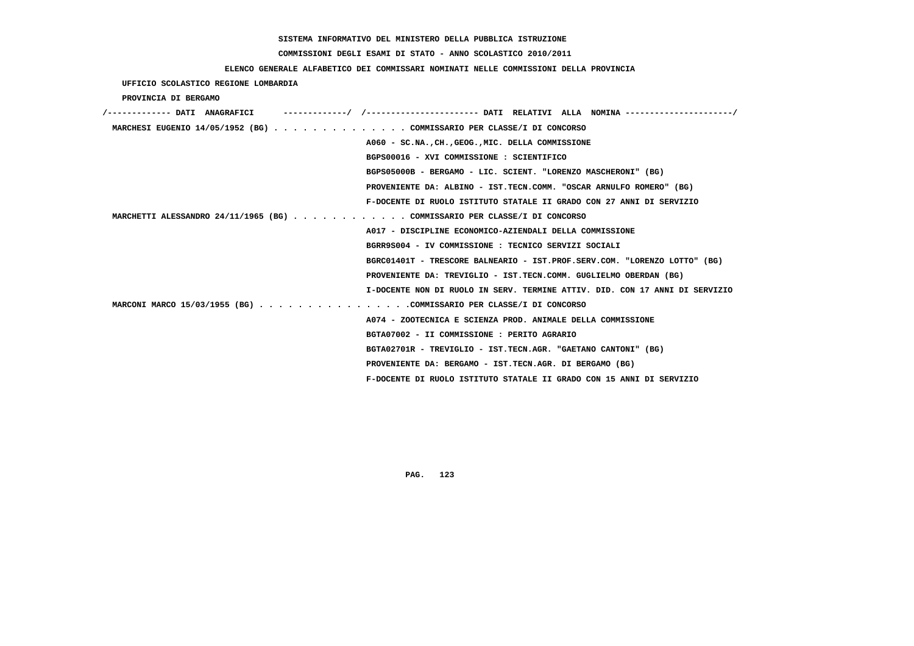# **COMMISSIONI DEGLI ESAMI DI STATO - ANNO SCOLASTICO 2010/2011**

## **ELENCO GENERALE ALFABETICO DEI COMMISSARI NOMINATI NELLE COMMISSIONI DELLA PROVINCIA**

 **UFFICIO SCOLASTICO REGIONE LOMBARDIA**

 **PROVINCIA DI BERGAMO**

| /------------- DATI ANAGRAFICI                                            |                                                                             |
|---------------------------------------------------------------------------|-----------------------------------------------------------------------------|
| MARCHESI EUGENIO 14/05/1952 (BG) COMMISSARIO PER CLASSE/I DI CONCORSO     |                                                                             |
|                                                                           | A060 - SC.NA., CH., GEOG., MIC. DELLA COMMISSIONE                           |
|                                                                           | BGPS00016 - XVI COMMISSIONE : SCIENTIFICO                                   |
|                                                                           | BGPS05000B - BERGAMO - LIC. SCIENT. "LORENZO MASCHERONI" (BG)               |
|                                                                           | PROVENIENTE DA: ALBINO - IST.TECN.COMM. "OSCAR ARNULFO ROMERO" (BG)         |
|                                                                           | F-DOCENTE DI RUOLO ISTITUTO STATALE II GRADO CON 27 ANNI DI SERVIZIO        |
| MARCHETTI ALESSANDRO 24/11/1965 (BG) COMMISSARIO PER CLASSE/I DI CONCORSO |                                                                             |
|                                                                           | A017 - DISCIPLINE ECONOMICO-AZIENDALI DELLA COMMISSIONE                     |
|                                                                           | BGRR9S004 - IV COMMISSIONE : TECNICO SERVIZI SOCIALI                        |
|                                                                           | BGRC01401T - TRESCORE BALNEARIO - IST.PROF.SERV.COM. "LORENZO LOTTO" (BG)   |
|                                                                           | PROVENIENTE DA: TREVIGLIO - IST.TECN.COMM. GUGLIELMO OBERDAN (BG)           |
|                                                                           | I-DOCENTE NON DI RUOLO IN SERV. TERMINE ATTIV. DID. CON 17 ANNI DI SERVIZIO |
| MARCONI MARCO 15/03/1955 (BG) COMMISSARIO PER CLASSE/I DI CONCORSO        |                                                                             |
|                                                                           | A074 - ZOOTECNICA E SCIENZA PROD. ANIMALE DELLA COMMISSIONE                 |
|                                                                           | BGTA07002 - II COMMISSIONE : PERITO AGRARIO                                 |
|                                                                           | BGTA02701R - TREVIGLIO - IST.TECN.AGR. "GAETANO CANTONI" (BG)               |
|                                                                           | PROVENIENTE DA: BERGAMO - IST.TECN.AGR. DI BERGAMO (BG)                     |
|                                                                           | F-DOCENTE DI RUOLO ISTITUTO STATALE II GRADO CON 15 ANNI DI SERVIZIO        |
|                                                                           |                                                                             |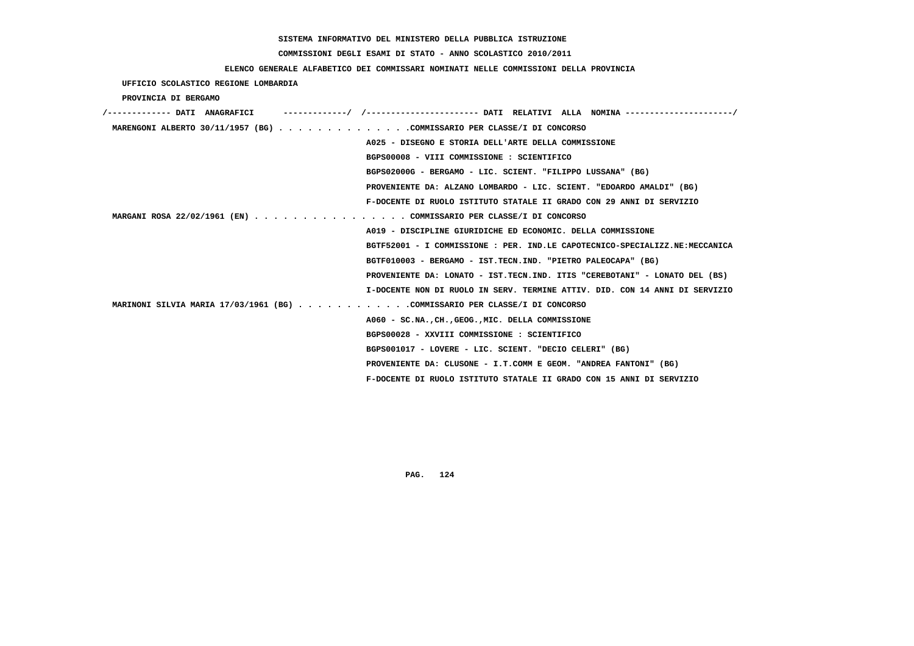# **COMMISSIONI DEGLI ESAMI DI STATO - ANNO SCOLASTICO 2010/2011**

## **ELENCO GENERALE ALFABETICO DEI COMMISSARI NOMINATI NELLE COMMISSIONI DELLA PROVINCIA**

 **UFFICIO SCOLASTICO REGIONE LOMBARDIA**

 **PROVINCIA DI BERGAMO**

| /------------- DATI ANAGRAFICI                                             |                                                                             |
|----------------------------------------------------------------------------|-----------------------------------------------------------------------------|
| MARENGONI ALBERTO 30/11/1957 (BG) COMMISSARIO PER CLASSE/I DI CONCORSO     |                                                                             |
|                                                                            | A025 - DISEGNO E STORIA DELL'ARTE DELLA COMMISSIONE                         |
|                                                                            | BGPS00008 - VIII COMMISSIONE : SCIENTIFICO                                  |
|                                                                            | BGPS02000G - BERGAMO - LIC. SCIENT. "FILIPPO LUSSANA" (BG)                  |
|                                                                            | PROVENIENTE DA: ALZANO LOMBARDO - LIC. SCIENT. "EDOARDO AMALDI" (BG)        |
|                                                                            | F-DOCENTE DI RUOLO ISTITUTO STATALE II GRADO CON 29 ANNI DI SERVIZIO        |
| MARGANI ROSA 22/02/1961 (EN) COMMISSARIO PER CLASSE/I DI CONCORSO          |                                                                             |
|                                                                            | A019 - DISCIPLINE GIURIDICHE ED ECONOMIC. DELLA COMMISSIONE                 |
|                                                                            | BGTF52001 - I COMMISSIONE : PER. IND.LE CAPOTECNICO-SPECIALIZZ.NE:MECCANICA |
|                                                                            | BGTF010003 - BERGAMO - IST.TECN.IND. "PIETRO PALEOCAPA" (BG)                |
|                                                                            | PROVENIENTE DA: LONATO - IST.TECN.IND. ITIS "CEREBOTANI" - LONATO DEL (BS)  |
|                                                                            | I-DOCENTE NON DI RUOLO IN SERV. TERMINE ATTIV. DID. CON 14 ANNI DI SERVIZIO |
| MARINONI SILVIA MARIA 17/03/1961 (BG) COMMISSARIO PER CLASSE/I DI CONCORSO |                                                                             |
|                                                                            | A060 - SC.NA., CH., GEOG., MIC. DELLA COMMISSIONE                           |
|                                                                            | BGPS00028 - XXVIII COMMISSIONE : SCIENTIFICO                                |
|                                                                            | BGPS001017 - LOVERE - LIC. SCIENT. "DECIO CELERI" (BG)                      |
|                                                                            | PROVENIENTE DA: CLUSONE - I.T.COMM E GEOM. "ANDREA FANTONI" (BG)            |
|                                                                            | F-DOCENTE DI RUOLO ISTITUTO STATALE II GRADO CON 15 ANNI DI SERVIZIO        |
|                                                                            |                                                                             |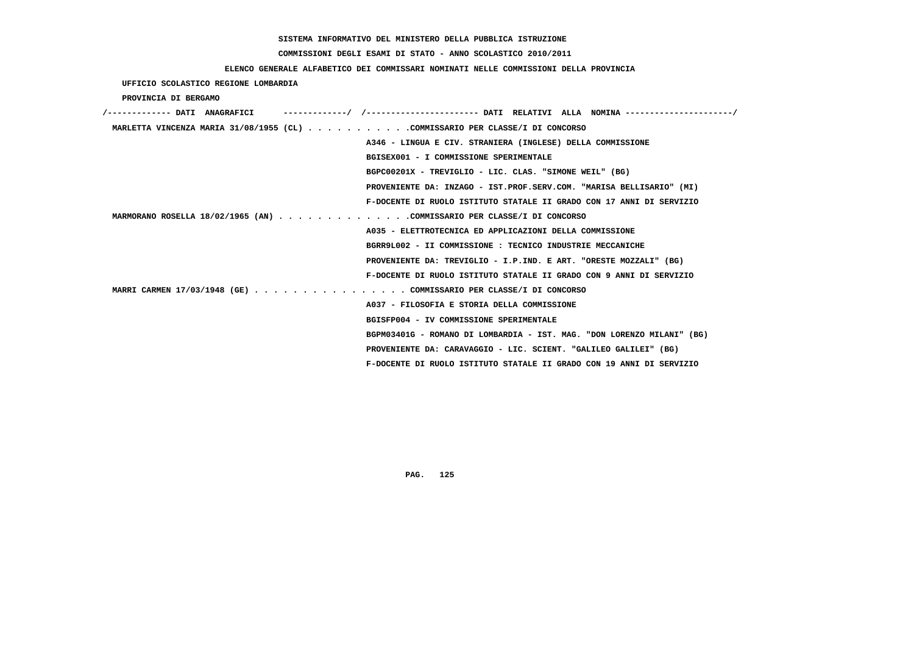# **COMMISSIONI DEGLI ESAMI DI STATO - ANNO SCOLASTICO 2010/2011**

## **ELENCO GENERALE ALFABETICO DEI COMMISSARI NOMINATI NELLE COMMISSIONI DELLA PROVINCIA**

 **UFFICIO SCOLASTICO REGIONE LOMBARDIA**

 **PROVINCIA DI BERGAMO**

| /------------- DATI ANAGRAFICI | -----------/ /--------------------- DATI RELATIVI ALLA NOMINA --------------------/ |
|--------------------------------|-------------------------------------------------------------------------------------|
|                                | MARLETTA VINCENZA MARIA 31/08/1955 (CL) COMMISSARIO PER CLASSE/I DI CONCORSO        |
|                                | A346 - LINGUA E CIV. STRANIERA (INGLESE) DELLA COMMISSIONE                          |
|                                | BGISEX001 - I COMMISSIONE SPERIMENTALE                                              |
|                                | BGPC00201X - TREVIGLIO - LIC. CLAS. "SIMONE WEIL" (BG)                              |
|                                | PROVENIENTE DA: INZAGO - IST.PROF.SERV.COM. "MARISA BELLISARIO" (MI)                |
|                                | F-DOCENTE DI RUOLO ISTITUTO STATALE II GRADO CON 17 ANNI DI SERVIZIO                |
|                                | MARMORANO ROSELLA 18/02/1965 (AN) COMMISSARIO PER CLASSE/I DI CONCORSO              |
|                                | A035 - ELETTROTECNICA ED APPLICAZIONI DELLA COMMISSIONE                             |
|                                | BGRR9L002 - II COMMISSIONE : TECNICO INDUSTRIE MECCANICHE                           |
|                                | PROVENIENTE DA: TREVIGLIO - I.P.IND. E ART. "ORESTE MOZZALI" (BG)                   |
|                                | F-DOCENTE DI RUOLO ISTITUTO STATALE II GRADO CON 9 ANNI DI SERVIZIO                 |
|                                | MARRI CARMEN 17/03/1948 (GE) COMMISSARIO PER CLASSE/I DI CONCORSO                   |
|                                | A037 - FILOSOFIA E STORIA DELLA COMMISSIONE                                         |
|                                | BGISFP004 - IV COMMISSIONE SPERIMENTALE                                             |
|                                | BGPM03401G - ROMANO DI LOMBARDIA - IST. MAG. "DON LORENZO MILANI" (BG)              |
|                                | PROVENIENTE DA: CARAVAGGIO - LIC. SCIENT. "GALILEO GALILEI" (BG)                    |
|                                | F-DOCENTE DI RUOLO ISTITUTO STATALE II GRADO CON 19 ANNI DI SERVIZIO                |
|                                |                                                                                     |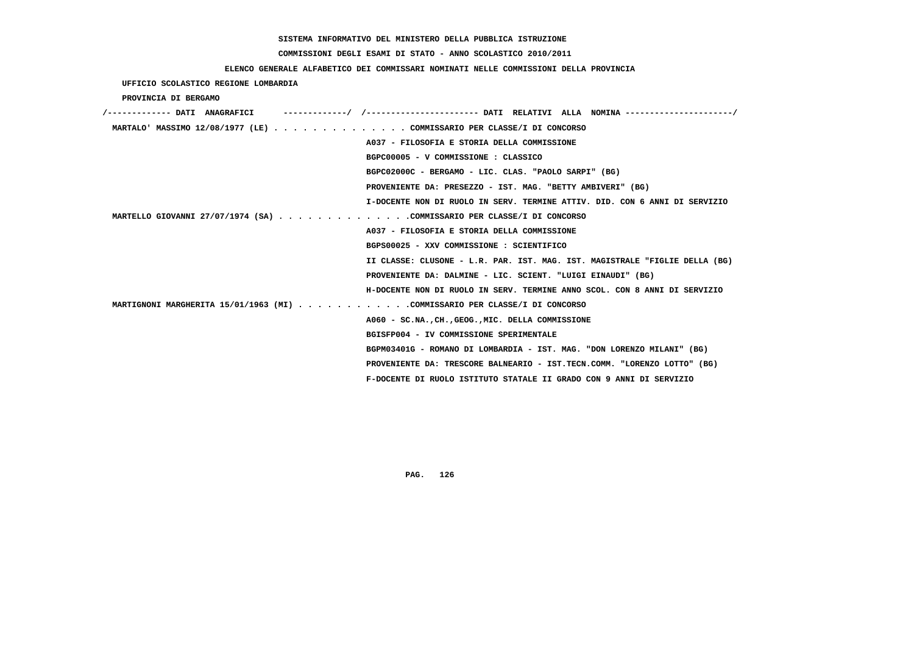### **COMMISSIONI DEGLI ESAMI DI STATO - ANNO SCOLASTICO 2010/2011**

## **ELENCO GENERALE ALFABETICO DEI COMMISSARI NOMINATI NELLE COMMISSIONI DELLA PROVINCIA**

 **UFFICIO SCOLASTICO REGIONE LOMBARDIA**

 **PROVINCIA DI BERGAMO**

| /------------- DATI ANAGRAFICI | -------------/ /--------------------- DATI RELATIVI ALLA NOMINA ------------------- |
|--------------------------------|-------------------------------------------------------------------------------------|
|                                | MARTALO' MASSIMO 12/08/1977 (LE) COMMISSARIO PER CLASSE/I DI CONCORSO               |
|                                | A037 - FILOSOFIA E STORIA DELLA COMMISSIONE                                         |
|                                | BGPC00005 - V COMMISSIONE : CLASSICO                                                |
|                                | BGPC02000C - BERGAMO - LIC. CLAS. "PAOLO SARPI" (BG)                                |
|                                | PROVENIENTE DA: PRESEZZO - IST. MAG. "BETTY AMBIVERI" (BG)                          |
|                                | I-DOCENTE NON DI RUOLO IN SERV. TERMINE ATTIV. DID. CON 6 ANNI DI SERVIZIO          |
|                                | MARTELLO GIOVANNI 27/07/1974 (SA) COMMISSARIO PER CLASSE/I DI CONCORSO              |
|                                | A037 - FILOSOFIA E STORIA DELLA COMMISSIONE                                         |
|                                | BGPS00025 - XXV COMMISSIONE : SCIENTIFICO                                           |
|                                | II CLASSE: CLUSONE - L.R. PAR. IST. MAG. IST. MAGISTRALE "FIGLIE DELLA (BG)         |
|                                | PROVENIENTE DA: DALMINE - LIC. SCIENT. "LUIGI EINAUDI" (BG)                         |
|                                | H-DOCENTE NON DI RUOLO IN SERV. TERMINE ANNO SCOL. CON 8 ANNI DI SERVIZIO           |
|                                | MARTIGNONI MARGHERITA 15/01/1963 (MI) COMMISSARIO PER CLASSE/I DI CONCORSO          |
|                                | A060 - SC.NA., CH., GEOG., MIC. DELLA COMMISSIONE                                   |
|                                | BGISFP004 - IV COMMISSIONE SPERIMENTALE                                             |
|                                | BGPM03401G - ROMANO DI LOMBARDIA - IST. MAG. "DON LORENZO MILANI" (BG)              |
|                                | PROVENIENTE DA: TRESCORE BALNEARIO - IST.TECN.COMM. "LORENZO LOTTO" (BG)            |
|                                | F-DOCENTE DI RUOLO ISTITUTO STATALE II GRADO CON 9 ANNI DI SERVIZIO                 |
|                                |                                                                                     |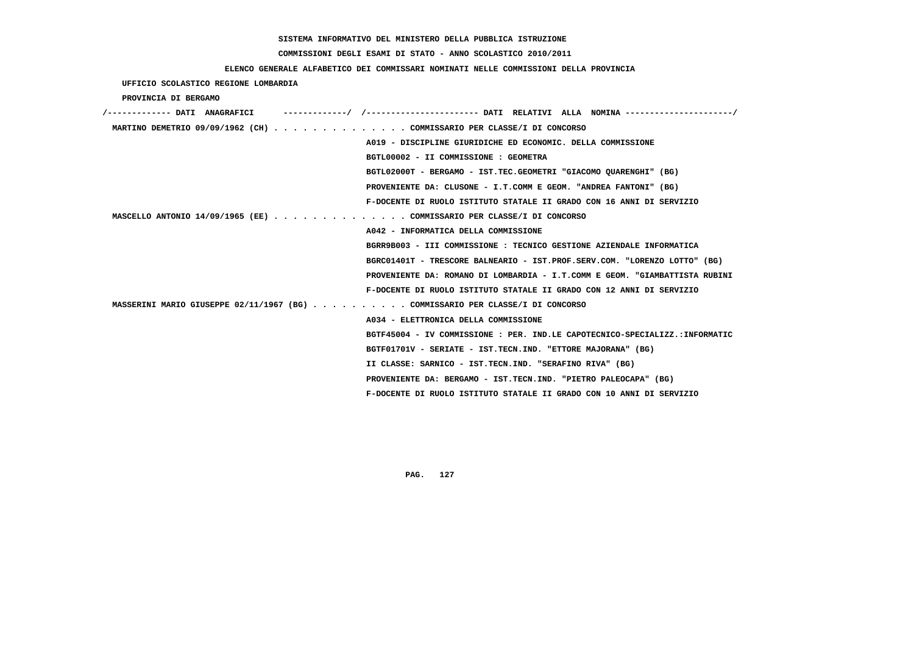# **COMMISSIONI DEGLI ESAMI DI STATO - ANNO SCOLASTICO 2010/2011**

## **ELENCO GENERALE ALFABETICO DEI COMMISSARI NOMINATI NELLE COMMISSIONI DELLA PROVINCIA**

 **UFFICIO SCOLASTICO REGIONE LOMBARDIA**

 **PROVINCIA DI BERGAMO**

| MARTINO DEMETRIO 09/09/1962 (CH) COMMISSARIO PER CLASSE/I DI CONCORSO         |
|-------------------------------------------------------------------------------|
| A019 - DISCIPLINE GIURIDICHE ED ECONOMIC. DELLA COMMISSIONE                   |
| BGTL00002 - II COMMISSIONE : GEOMETRA                                         |
| BGTL02000T - BERGAMO - IST.TEC.GEOMETRI "GIACOMO OUARENGHI" (BG)              |
| PROVENIENTE DA: CLUSONE - I.T.COMM E GEOM. "ANDREA FANTONI" (BG)              |
| F-DOCENTE DI RUOLO ISTITUTO STATALE II GRADO CON 16 ANNI DI SERVIZIO          |
| MASCELLO ANTONIO 14/09/1965 (EE) COMMISSARIO PER CLASSE/I DI CONCORSO         |
| A042 - INFORMATICA DELLA COMMISSIONE                                          |
| BGRR9B003 - III COMMISSIONE : TECNICO GESTIONE AZIENDALE INFORMATICA          |
| BGRC01401T - TRESCORE BALNEARIO - IST.PROF.SERV.COM. "LORENZO LOTTO" (BG)     |
| PROVENIENTE DA: ROMANO DI LOMBARDIA - I.T.COMM E GEOM. "GIAMBATTISTA RUBINI   |
| F-DOCENTE DI RUOLO ISTITUTO STATALE II GRADO CON 12 ANNI DI SERVIZIO          |
| MASSERINI MARIO GIUSEPPE 02/11/1967 (BG) COMMISSARIO PER CLASSE/I DI CONCORSO |
| A034 - ELETTRONICA DELLA COMMISSIONE                                          |
| BGTF45004 - IV COMMISSIONE : PER. IND.LE CAPOTECNICO-SPECIALIZZ.:INFORMATIC   |
| BGTF01701V - SERIATE - IST.TECN.IND. "ETTORE MAJORANA" (BG)                   |
| II CLASSE: SARNICO - IST.TECN.IND. "SERAFINO RIVA" (BG)                       |
| PROVENIENTE DA: BERGAMO - IST.TECN.IND. "PIETRO PALEOCAPA" (BG)               |
| F-DOCENTE DI RUOLO ISTITUTO STATALE II GRADO CON 10 ANNI DI SERVIZIO          |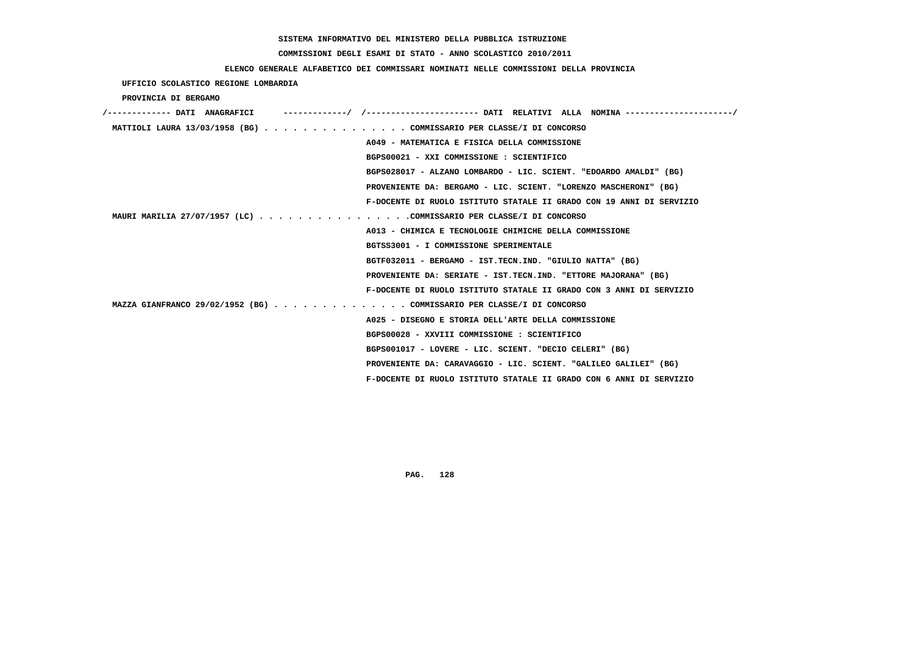# **COMMISSIONI DEGLI ESAMI DI STATO - ANNO SCOLASTICO 2010/2011**

## **ELENCO GENERALE ALFABETICO DEI COMMISSARI NOMINATI NELLE COMMISSIONI DELLA PROVINCIA**

 **UFFICIO SCOLASTICO REGIONE LOMBARDIA**

 **PROVINCIA DI BERGAMO**

| /------------- DATI ANAGRAFICI |                                                                       |
|--------------------------------|-----------------------------------------------------------------------|
|                                | MATTIOLI LAURA 13/03/1958 (BG) COMMISSARIO PER CLASSE/I DI CONCORSO   |
|                                | A049 - MATEMATICA E FISICA DELLA COMMISSIONE                          |
|                                | BGPS00021 - XXI COMMISSIONE : SCIENTIFICO                             |
|                                | BGPS028017 - ALZANO LOMBARDO - LIC. SCIENT. "EDOARDO AMALDI" (BG)     |
|                                | PROVENIENTE DA: BERGAMO - LIC. SCIENT. "LORENZO MASCHERONI" (BG)      |
|                                | F-DOCENTE DI RUOLO ISTITUTO STATALE II GRADO CON 19 ANNI DI SERVIZIO  |
|                                | MAURI MARILIA 27/07/1957 (LC) COMMISSARIO PER CLASSE/I DI CONCORSO    |
|                                | A013 - CHIMICA E TECNOLOGIE CHIMICHE DELLA COMMISSIONE                |
|                                | BGTSS3001 - I COMMISSIONE SPERIMENTALE                                |
|                                | BGTF032011 - BERGAMO - IST.TECN.IND. "GIULIO NATTA" (BG)              |
|                                | PROVENIENTE DA: SERIATE - IST.TECN.IND. "ETTORE MAJORANA" (BG)        |
|                                | F-DOCENTE DI RUOLO ISTITUTO STATALE II GRADO CON 3 ANNI DI SERVIZIO   |
|                                | MAZZA GIANFRANCO 29/02/1952 (BG) COMMISSARIO PER CLASSE/I DI CONCORSO |
|                                | A025 - DISEGNO E STORIA DELL'ARTE DELLA COMMISSIONE                   |
|                                | BGPS00028 - XXVIII COMMISSIONE : SCIENTIFICO                          |
|                                | BGPS001017 - LOVERE - LIC. SCIENT. "DECIO CELERI" (BG)                |
|                                | PROVENIENTE DA: CARAVAGGIO - LIC. SCIENT. "GALILEO GALILEI" (BG)      |
|                                | F-DOCENTE DI RUOLO ISTITUTO STATALE II GRADO CON 6 ANNI DI SERVIZIO   |
|                                |                                                                       |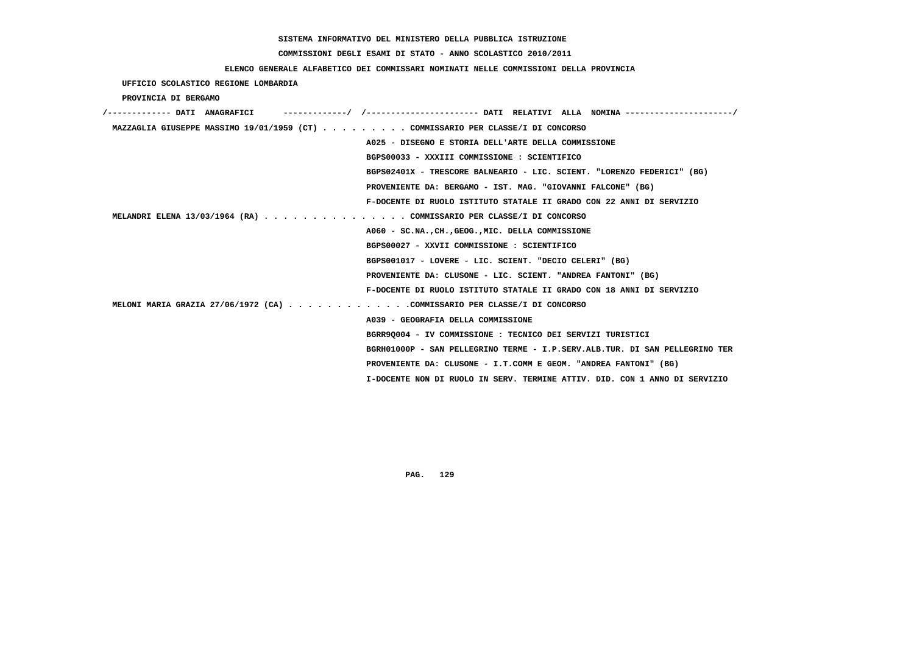### **COMMISSIONI DEGLI ESAMI DI STATO - ANNO SCOLASTICO 2010/2011**

## **ELENCO GENERALE ALFABETICO DEI COMMISSARI NOMINATI NELLE COMMISSIONI DELLA PROVINCIA**

 **UFFICIO SCOLASTICO REGIONE LOMBARDIA**

 **PROVINCIA DI BERGAMO**

| /------------- DATI ANAGRAFICI | ------------/ /--------------------- DATI RELATIVI ALLA NOMINA --------------------/ |
|--------------------------------|--------------------------------------------------------------------------------------|
|                                | MAZZAGLIA GIUSEPPE MASSIMO 19/01/1959 (CT) COMMISSARIO PER CLASSE/I DI CONCORSO      |
|                                | A025 - DISEGNO E STORIA DELL'ARTE DELLA COMMISSIONE                                  |
|                                | BGPS00033 - XXXIII COMMISSIONE : SCIENTIFICO                                         |
|                                | BGPS02401X - TRESCORE BALNEARIO - LIC. SCIENT. "LORENZO FEDERICI" (BG)               |
|                                | PROVENIENTE DA: BERGAMO - IST. MAG. "GIOVANNI FALCONE" (BG)                          |
|                                | F-DOCENTE DI RUOLO ISTITUTO STATALE II GRADO CON 22 ANNI DI SERVIZIO                 |
|                                | MELANDRI ELENA 13/03/1964 (RA) COMMISSARIO PER CLASSE/I DI CONCORSO                  |
|                                | A060 - SC.NA., CH., GEOG., MIC. DELLA COMMISSIONE                                    |
|                                | BGPS00027 - XXVII COMMISSIONE : SCIENTIFICO                                          |
|                                | BGPS001017 - LOVERE - LIC. SCIENT. "DECIO CELERI" (BG)                               |
|                                | PROVENIENTE DA: CLUSONE - LIC. SCIENT. "ANDREA FANTONI" (BG)                         |
|                                | F-DOCENTE DI RUOLO ISTITUTO STATALE II GRADO CON 18 ANNI DI SERVIZIO                 |
|                                | MELONI MARIA GRAZIA 27/06/1972 (CA) COMMISSARIO PER CLASSE/I DI CONCORSO             |
|                                | A039 - GEOGRAFIA DELLA COMMISSIONE                                                   |
|                                | BGRR90004 - IV COMMISSIONE : TECNICO DEI SERVIZI TURISTICI                           |
|                                | BGRH01000P - SAN PELLEGRINO TERME - I.P.SERV.ALB.TUR. DI SAN PELLEGRINO TER          |
|                                | PROVENIENTE DA: CLUSONE - I.T.COMM E GEOM. "ANDREA FANTONI" (BG)                     |
|                                | I-DOCENTE NON DI RUOLO IN SERV. TERMINE ATTIV. DID. CON 1 ANNO DI SERVIZIO           |
|                                |                                                                                      |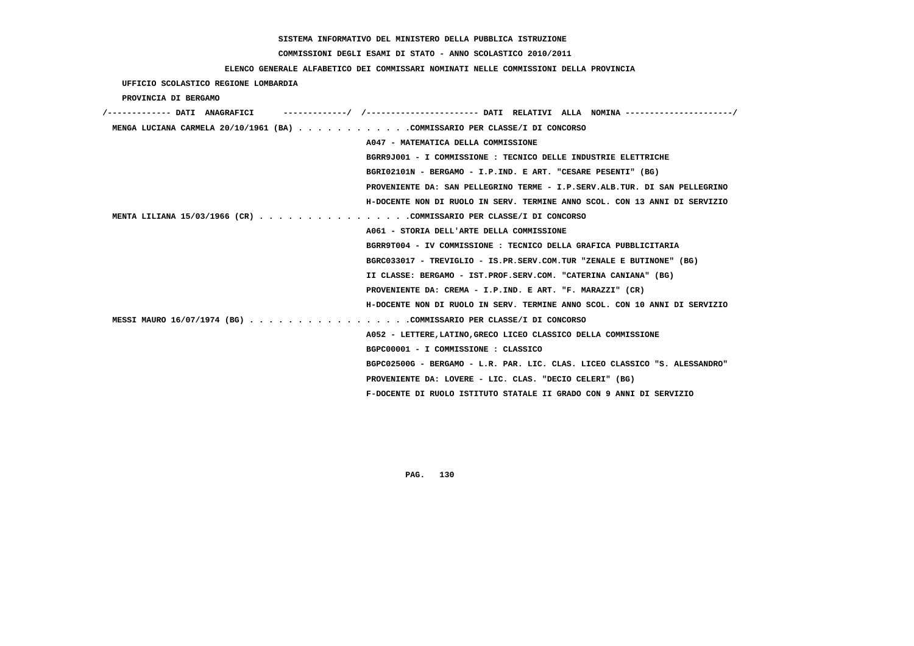# **COMMISSIONI DEGLI ESAMI DI STATO - ANNO SCOLASTICO 2010/2011**

## **ELENCO GENERALE ALFABETICO DEI COMMISSARI NOMINATI NELLE COMMISSIONI DELLA PROVINCIA**

## **UFFICIO SCOLASTICO REGIONE LOMBARDIA**

 **PROVINCIA DI BERGAMO**

| /------------- DATI ANAGRAFICI                                             | -------/ /---------------------- DATI RELATIVI ALLA NOMINA--------------------/ |
|----------------------------------------------------------------------------|---------------------------------------------------------------------------------|
| MENGA LUCIANA CARMELA 20/10/1961 (BA) COMMISSARIO PER CLASSE/I DI CONCORSO |                                                                                 |
|                                                                            | A047 - MATEMATICA DELLA COMMISSIONE                                             |
|                                                                            | BGRR9J001 - I COMMISSIONE : TECNICO DELLE INDUSTRIE ELETTRICHE                  |
|                                                                            | BGRI02101N - BERGAMO - I.P.IND. E ART. "CESARE PESENTI" (BG)                    |
|                                                                            | PROVENIENTE DA: SAN PELLEGRINO TERME - I.P.SERV.ALB.TUR. DI SAN PELLEGRINO      |
|                                                                            | H-DOCENTE NON DI RUOLO IN SERV. TERMINE ANNO SCOL. CON 13 ANNI DI SERVIZIO      |
| MENTA LILIANA 15/03/1966 (CR) COMMISSARIO PER CLASSE/I DI CONCORSO         |                                                                                 |
|                                                                            | A061 - STORIA DELL'ARTE DELLA COMMISSIONE                                       |
|                                                                            | BGRR9T004 - IV COMMISSIONE : TECNICO DELLA GRAFICA PUBBLICITARIA                |
|                                                                            | BGRC033017 - TREVIGLIO - IS.PR.SERV.COM.TUR "ZENALE E BUTINONE" (BG)            |
|                                                                            | II CLASSE: BERGAMO - IST.PROF.SERV.COM. "CATERINA CANIANA" (BG)                 |
|                                                                            | PROVENIENTE DA: CREMA - I.P.IND. E ART. "F. MARAZZI" (CR)                       |
|                                                                            | H-DOCENTE NON DI RUOLO IN SERV. TERMINE ANNO SCOL. CON 10 ANNI DI SERVIZIO      |
| MESSI MAURO 16/07/1974 (BG) COMMISSARIO PER CLASSE/I DI CONCORSO           |                                                                                 |
|                                                                            | A052 - LETTERE, LATINO, GRECO LICEO CLASSICO DELLA COMMISSIONE                  |
|                                                                            | BGPC00001 - I COMMISSIONE : CLASSICO                                            |
|                                                                            | BGPC02500G - BERGAMO - L.R. PAR. LIC. CLAS. LICEO CLASSICO "S. ALESSANDRO"      |
|                                                                            | PROVENIENTE DA: LOVERE - LIC. CLAS. "DECIO CELERI" (BG)                         |
|                                                                            | F-DOCENTE DI RUOLO ISTITUTO STATALE II GRADO CON 9 ANNI DI SERVIZIO             |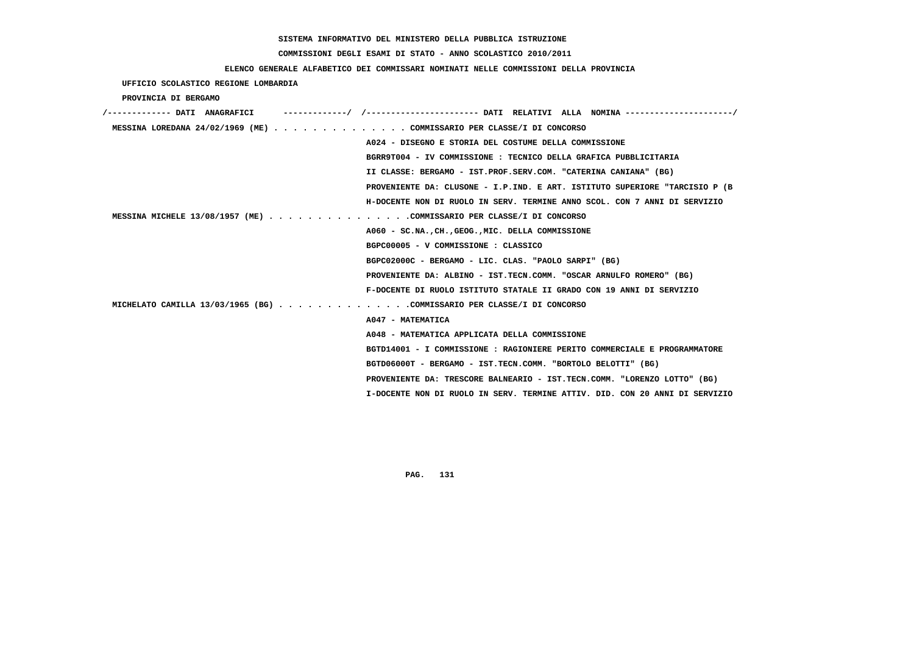# **COMMISSIONI DEGLI ESAMI DI STATO - ANNO SCOLASTICO 2010/2011**

## **ELENCO GENERALE ALFABETICO DEI COMMISSARI NOMINATI NELLE COMMISSIONI DELLA PROVINCIA**

 **UFFICIO SCOLASTICO REGIONE LOMBARDIA**

 **PROVINCIA DI BERGAMO**

| /------------- DATI ANAGRAFICI | -/ /----------------------- DATI RELATIVI ALLA NOMINA ---------------------/ |
|--------------------------------|------------------------------------------------------------------------------|
|                                | MESSINA LOREDANA 24/02/1969 (ME) COMMISSARIO PER CLASSE/I DI CONCORSO        |
|                                | A024 - DISEGNO E STORIA DEL COSTUME DELLA COMMISSIONE                        |
|                                | BGRR9T004 - IV COMMISSIONE : TECNICO DELLA GRAFICA PUBBLICITARIA             |
|                                | II CLASSE: BERGAMO - IST.PROF.SERV.COM. "CATERINA CANIANA" (BG)              |
|                                | PROVENIENTE DA: CLUSONE - I.P.IND. E ART. ISTITUTO SUPERIORE "TARCISIO P (B  |
|                                | H-DOCENTE NON DI RUOLO IN SERV. TERMINE ANNO SCOL. CON 7 ANNI DI SERVIZIO    |
|                                | MESSINA MICHELE 13/08/1957 (ME) COMMISSARIO PER CLASSE/I DI CONCORSO         |
|                                | A060 - SC.NA., CH., GEOG., MIC. DELLA COMMISSIONE                            |
|                                | BGPC00005 - V COMMISSIONE : CLASSICO                                         |
|                                | BGPC02000C - BERGAMO - LIC. CLAS. "PAOLO SARPI" (BG)                         |
|                                | PROVENIENTE DA: ALBINO - IST.TECN.COMM. "OSCAR ARNULFO ROMERO" (BG)          |
|                                | F-DOCENTE DI RUOLO ISTITUTO STATALE II GRADO CON 19 ANNI DI SERVIZIO         |
|                                | MICHELATO CAMILLA 13/03/1965 (BG) COMMISSARIO PER CLASSE/I DI CONCORSO       |
|                                | A047 - MATEMATICA                                                            |
|                                | A048 - MATEMATICA APPLICATA DELLA COMMISSIONE                                |
|                                | BGTD14001 - I COMMISSIONE : RAGIONIERE PERITO COMMERCIALE E PROGRAMMATORE    |
|                                | BGTD06000T - BERGAMO - IST.TECN.COMM. "BORTOLO BELOTTI" (BG)                 |
|                                | PROVENIENTE DA: TRESCORE BALNEARIO - IST.TECN.COMM. "LORENZO LOTTO" (BG)     |
|                                | I-DOCENTE NON DI RUOLO IN SERV. TERMINE ATTIV. DID. CON 20 ANNI DI SERVIZIO  |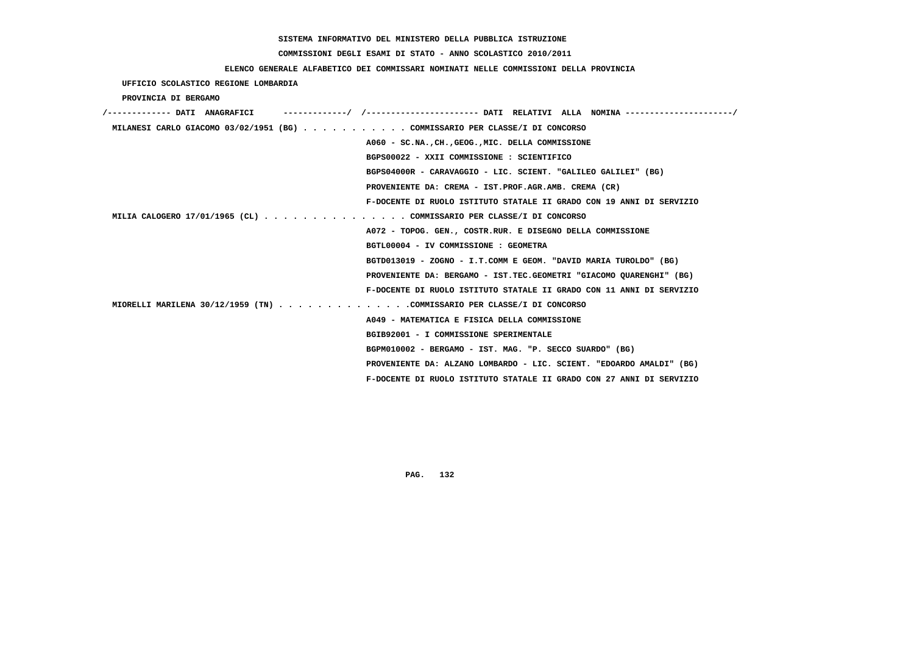# **COMMISSIONI DEGLI ESAMI DI STATO - ANNO SCOLASTICO 2010/2011**

## **ELENCO GENERALE ALFABETICO DEI COMMISSARI NOMINATI NELLE COMMISSIONI DELLA PROVINCIA**

 **UFFICIO SCOLASTICO REGIONE LOMBARDIA**

 **PROVINCIA DI BERGAMO**

| /------------- DATI ANAGRAFICI |                                                                             |
|--------------------------------|-----------------------------------------------------------------------------|
|                                | MILANESI CARLO GIACOMO 03/02/1951 (BG) COMMISSARIO PER CLASSE/I DI CONCORSO |
|                                | A060 - SC.NA., CH., GEOG., MIC. DELLA COMMISSIONE                           |
|                                | BGPS00022 - XXII COMMISSIONE : SCIENTIFICO                                  |
|                                | BGPS04000R - CARAVAGGIO - LIC. SCIENT. "GALILEO GALILEI" (BG)               |
|                                | PROVENIENTE DA: CREMA - IST.PROF.AGR.AMB. CREMA (CR)                        |
|                                | F-DOCENTE DI RUOLO ISTITUTO STATALE II GRADO CON 19 ANNI DI SERVIZIO        |
|                                | MILIA CALOGERO 17/01/1965 (CL) COMMISSARIO PER CLASSE/I DI CONCORSO         |
|                                | A072 - TOPOG. GEN., COSTR.RUR. E DISEGNO DELLA COMMISSIONE                  |
|                                | BGTL00004 - IV COMMISSIONE : GEOMETRA                                       |
|                                | BGTD013019 - ZOGNO - I.T.COMM E GEOM. "DAVID MARIA TUROLDO" (BG)            |
|                                | PROVENIENTE DA: BERGAMO - IST.TEC.GEOMETRI "GIACOMO QUARENGHI" (BG)         |
|                                | F-DOCENTE DI RUOLO ISTITUTO STATALE II GRADO CON 11 ANNI DI SERVIZIO        |
|                                | MIORELLI MARILENA 30/12/1959 (TN) COMMISSARIO PER CLASSE/I DI CONCORSO      |
|                                | A049 - MATEMATICA E FISICA DELLA COMMISSIONE                                |
|                                | BGIB92001 - I COMMISSIONE SPERIMENTALE                                      |
|                                | BGPM010002 - BERGAMO - IST. MAG. "P. SECCO SUARDO" (BG)                     |
|                                | PROVENIENTE DA: ALZANO LOMBARDO - LIC. SCIENT. "EDOARDO AMALDI" (BG)        |
|                                | F-DOCENTE DI RUOLO ISTITUTO STATALE II GRADO CON 27 ANNI DI SERVIZIO        |
|                                |                                                                             |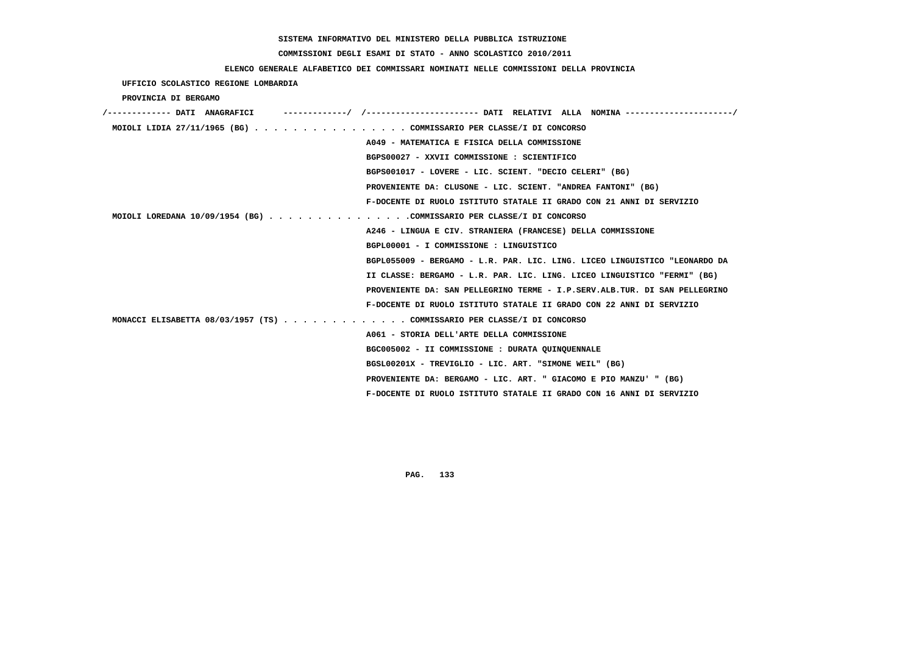# **COMMISSIONI DEGLI ESAMI DI STATO - ANNO SCOLASTICO 2010/2011**

## **ELENCO GENERALE ALFABETICO DEI COMMISSARI NOMINATI NELLE COMMISSIONI DELLA PROVINCIA**

## **UFFICIO SCOLASTICO REGIONE LOMBARDIA**

### **PROVINCIA DI BERGAMO**

| /------------- DATI ANAGRAFICI | ----------/ /---------------------- DATI RELATIVI ALLA NOMINA ---------    |
|--------------------------------|----------------------------------------------------------------------------|
|                                | MOIOLI LIDIA 27/11/1965 (BG) COMMISSARIO PER CLASSE/I DI CONCORSO          |
|                                | A049 - MATEMATICA E FISICA DELLA COMMISSIONE                               |
|                                | BGPS00027 - XXVII COMMISSIONE : SCIENTIFICO                                |
|                                | BGPS001017 - LOVERE - LIC. SCIENT. "DECIO CELERI" (BG)                     |
|                                | PROVENIENTE DA: CLUSONE - LIC. SCIENT. "ANDREA FANTONI" (BG)               |
|                                | F-DOCENTE DI RUOLO ISTITUTO STATALE II GRADO CON 21 ANNI DI SERVIZIO       |
|                                | MOIOLI LOREDANA 10/09/1954 (BG) COMMISSARIO PER CLASSE/I DI CONCORSO       |
|                                | A246 - LINGUA E CIV. STRANIERA (FRANCESE) DELLA COMMISSIONE                |
|                                | BGPL00001 - I COMMISSIONE : LINGUISTICO                                    |
|                                | BGPL055009 - BERGAMO - L.R. PAR. LIC. LING. LICEO LINGUISTICO "LEONARDO DA |
|                                | II CLASSE: BERGAMO - L.R. PAR. LIC. LING. LICEO LINGUISTICO "FERMI" (BG)   |
|                                | PROVENIENTE DA: SAN PELLEGRINO TERME - I.P.SERV.ALB.TUR. DI SAN PELLEGRINO |
|                                | F-DOCENTE DI RUOLO ISTITUTO STATALE II GRADO CON 22 ANNI DI SERVIZIO       |
|                                | MONACCI ELISABETTA 08/03/1957 (TS) COMMISSARIO PER CLASSE/I DI CONCORSO    |
|                                | A061 - STORIA DELL'ARTE DELLA COMMISSIONE                                  |
|                                | BGC005002 - II COMMISSIONE : DURATA OUINOUENNALE                           |
|                                | BGSL00201X - TREVIGLIO - LIC. ART. "SIMONE WEIL" (BG)                      |
|                                | PROVENIENTE DA: BERGAMO - LIC. ART. " GIACOMO E PIO MANZU' " (BG)          |
|                                | F-DOCENTE DI RUOLO ISTITUTO STATALE II GRADO CON 16 ANNI DI SERVIZIO       |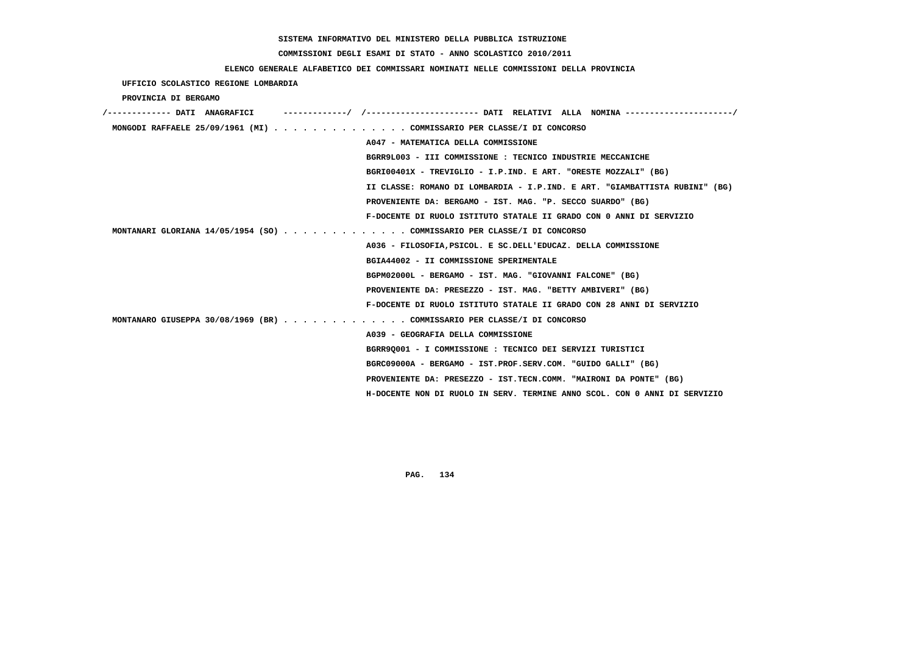# **COMMISSIONI DEGLI ESAMI DI STATO - ANNO SCOLASTICO 2010/2011**

## **ELENCO GENERALE ALFABETICO DEI COMMISSARI NOMINATI NELLE COMMISSIONI DELLA PROVINCIA**

 **UFFICIO SCOLASTICO REGIONE LOMBARDIA**

 **PROVINCIA DI BERGAMO**

| /------------- DATI ANAGRAFICI |                                                                             |
|--------------------------------|-----------------------------------------------------------------------------|
|                                | MONGODI RAFFAELE 25/09/1961 (MI) COMMISSARIO PER CLASSE/I DI CONCORSO       |
|                                | A047 - MATEMATICA DELLA COMMISSIONE                                         |
|                                | BGRR9L003 - III COMMISSIONE : TECNICO INDUSTRIE MECCANICHE                  |
|                                | BGRI00401X - TREVIGLIO - I.P.IND. E ART. "ORESTE MOZZALI" (BG)              |
|                                | II CLASSE: ROMANO DI LOMBARDIA - I.P.IND. E ART. "GIAMBATTISTA RUBINI" (BG) |
|                                | PROVENIENTE DA: BERGAMO - IST. MAG. "P. SECCO SUARDO" (BG)                  |
|                                | F-DOCENTE DI RUOLO ISTITUTO STATALE II GRADO CON 0 ANNI DI SERVIZIO         |
|                                | MONTANARI GLORIANA $14/05/1954$ (SO) COMMISSARIO PER CLASSE/I DI CONCORSO   |
|                                | A036 - FILOSOFIA, PSICOL. E SC. DELL'EDUCAZ. DELLA COMMISSIONE              |
|                                | BGIA44002 - II COMMISSIONE SPERIMENTALE                                     |
|                                | BGPM02000L - BERGAMO - IST. MAG. "GIOVANNI FALCONE" (BG)                    |
|                                | PROVENIENTE DA: PRESEZZO - IST. MAG. "BETTY AMBIVERI" (BG)                  |
|                                | F-DOCENTE DI RUOLO ISTITUTO STATALE II GRADO CON 28 ANNI DI SERVIZIO        |
|                                | MONTANARO GIUSEPPA 30/08/1969 (BR) COMMISSARIO PER CLASSE/I DI CONCORSO     |
|                                | A039 - GEOGRAFIA DELLA COMMISSIONE                                          |
|                                | BGRR90001 - I COMMISSIONE : TECNICO DEI SERVIZI TURISTICI                   |
|                                | BGRC09000A - BERGAMO - IST.PROF.SERV.COM. "GUIDO GALLI" (BG)                |
|                                | PROVENIENTE DA: PRESEZZO - IST.TECN.COMM. "MAIRONI DA PONTE" (BG)           |
|                                | H-DOCENTE NON DI RUOLO IN SERV. TERMINE ANNO SCOL. CON 0 ANNI DI SERVIZIO   |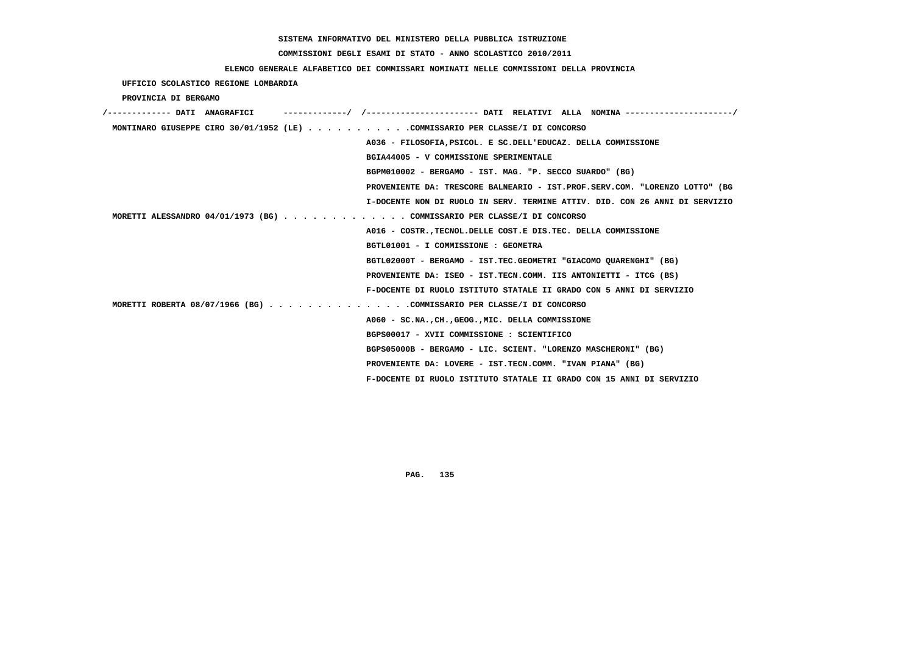# **COMMISSIONI DEGLI ESAMI DI STATO - ANNO SCOLASTICO 2010/2011**

## **ELENCO GENERALE ALFABETICO DEI COMMISSARI NOMINATI NELLE COMMISSIONI DELLA PROVINCIA**

 **UFFICIO SCOLASTICO REGIONE LOMBARDIA**

 **PROVINCIA DI BERGAMO**

| /------------- DATI ANAGRAFICI |                                                                              |
|--------------------------------|------------------------------------------------------------------------------|
|                                | MONTINARO GIUSEPPE CIRO 30/01/1952 (LE) COMMISSARIO PER CLASSE/I DI CONCORSO |
|                                | A036 - FILOSOFIA, PSICOL. E SC. DELL'EDUCAZ. DELLA COMMISSIONE               |
|                                | BGIA44005 - V COMMISSIONE SPERIMENTALE                                       |
|                                | BGPM010002 - BERGAMO - IST. MAG. "P. SECCO SUARDO" (BG)                      |
|                                | PROVENIENTE DA: TRESCORE BALNEARIO - IST.PROF.SERV.COM. "LORENZO LOTTO" (BG  |
|                                | I-DOCENTE NON DI RUOLO IN SERV. TERMINE ATTIV. DID. CON 26 ANNI DI SERVIZIO  |
|                                | MORETTI ALESSANDRO 04/01/1973 (BG) COMMISSARIO PER CLASSE/I DI CONCORSO      |
|                                | A016 - COSTR., TECNOL. DELLE COST. E DIS. TEC. DELLA COMMISSIONE             |
|                                | BGTL01001 - I COMMISSIONE : GEOMETRA                                         |
|                                | BGTL02000T - BERGAMO - IST.TEC.GEOMETRI "GIACOMO OUARENGHI" (BG)             |
|                                | PROVENIENTE DA: ISEO - IST.TECN.COMM. IIS ANTONIETTI - ITCG (BS)             |
|                                | F-DOCENTE DI RUOLO ISTITUTO STATALE II GRADO CON 5 ANNI DI SERVIZIO          |
|                                | MORETTI ROBERTA 08/07/1966 (BG) COMMISSARIO PER CLASSE/I DI CONCORSO         |
|                                | A060 - SC.NA., CH., GEOG., MIC. DELLA COMMISSIONE                            |
|                                | BGPS00017 - XVII COMMISSIONE : SCIENTIFICO                                   |
|                                | BGPS05000B - BERGAMO - LIC. SCIENT. "LORENZO MASCHERONI" (BG)                |
|                                | PROVENIENTE DA: LOVERE - IST.TECN.COMM. "IVAN PIANA" (BG)                    |
|                                | F-DOCENTE DI RUOLO ISTITUTO STATALE II GRADO CON 15 ANNI DI SERVIZIO         |
|                                |                                                                              |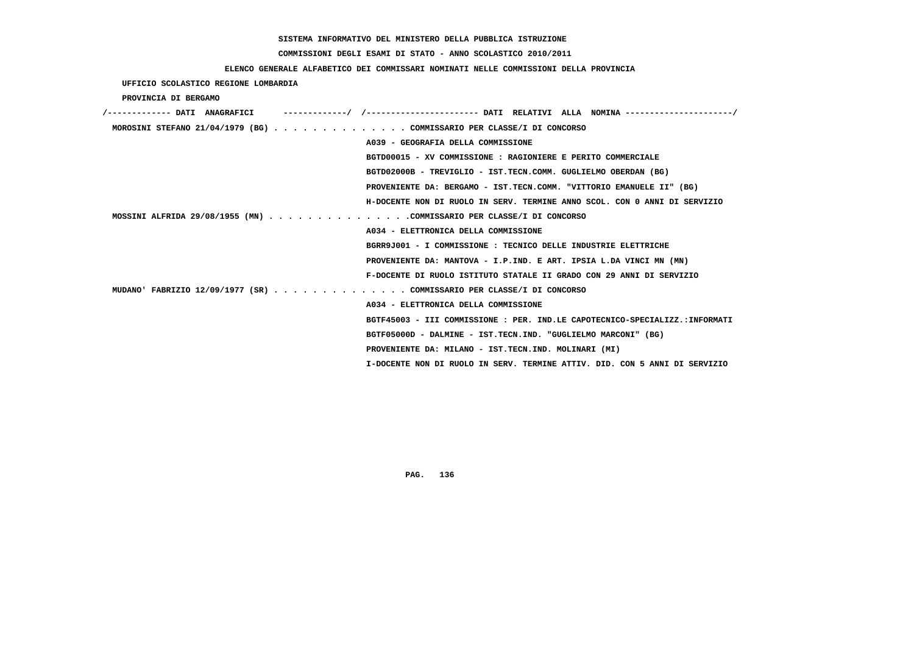# **COMMISSIONI DEGLI ESAMI DI STATO - ANNO SCOLASTICO 2010/2011**

## **ELENCO GENERALE ALFABETICO DEI COMMISSARI NOMINATI NELLE COMMISSIONI DELLA PROVINCIA**

 **UFFICIO SCOLASTICO REGIONE LOMBARDIA**

 **PROVINCIA DI BERGAMO**

|  | MOROSINI STEFANO 21/04/1979 (BG) COMMISSARIO PER CLASSE/I DI CONCORSO       |
|--|-----------------------------------------------------------------------------|
|  | A039 - GEOGRAFIA DELLA COMMISSIONE                                          |
|  | BGTD00015 - XV COMMISSIONE : RAGIONIERE E PERITO COMMERCIALE                |
|  | BGTD02000B - TREVIGLIO - IST.TECN.COMM. GUGLIELMO OBERDAN (BG)              |
|  | PROVENIENTE DA: BERGAMO - IST.TECN.COMM. "VITTORIO EMANUELE II" (BG)        |
|  | H-DOCENTE NON DI RUOLO IN SERV. TERMINE ANNO SCOL. CON 0 ANNI DI SERVIZIO   |
|  | MOSSINI ALFRIDA 29/08/1955 (MN) COMMISSARIO PER CLASSE/I DI CONCORSO        |
|  | A034 - ELETTRONICA DELLA COMMISSIONE                                        |
|  | BGRR9J001 - I COMMISSIONE : TECNICO DELLE INDUSTRIE ELETTRICHE              |
|  | PROVENIENTE DA: MANTOVA - I.P.IND. E ART. IPSIA L.DA VINCI MN (MN)          |
|  | F-DOCENTE DI RUOLO ISTITUTO STATALE II GRADO CON 29 ANNI DI SERVIZIO        |
|  | MUDANO' FABRIZIO 12/09/1977 (SR) COMMISSARIO PER CLASSE/I DI CONCORSO       |
|  | A034 - ELETTRONICA DELLA COMMISSIONE                                        |
|  | BGTF45003 - III COMMISSIONE : PER. IND.LE CAPOTECNICO-SPECIALIZZ.:INFORMATI |
|  | BGTF05000D - DALMINE - IST.TECN.IND. "GUGLIELMO MARCONI" (BG)               |
|  | PROVENIENTE DA: MILANO - IST.TECN.IND. MOLINARI (MI)                        |
|  | I-DOCENTE NON DI RUOLO IN SERV. TERMINE ATTIV. DID. CON 5 ANNI DI SERVIZIO  |
|  |                                                                             |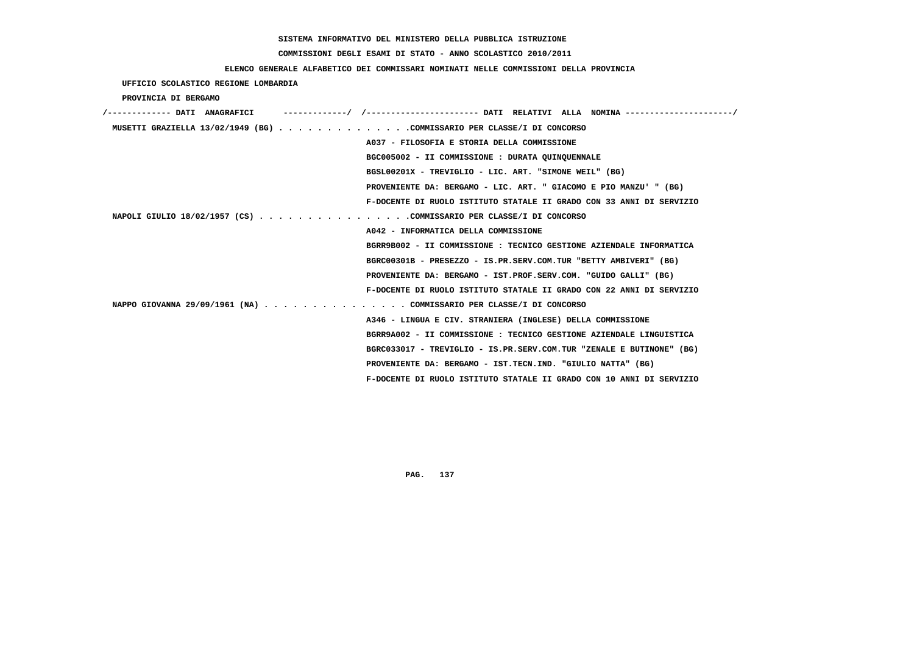# **COMMISSIONI DEGLI ESAMI DI STATO - ANNO SCOLASTICO 2010/2011**

## **ELENCO GENERALE ALFABETICO DEI COMMISSARI NOMINATI NELLE COMMISSIONI DELLA PROVINCIA**

 **UFFICIO SCOLASTICO REGIONE LOMBARDIA**

 **PROVINCIA DI BERGAMO**

| /------------- DATI ANAGRAFICI                                         |                                                                      |
|------------------------------------------------------------------------|----------------------------------------------------------------------|
| MUSETTI GRAZIELLA 13/02/1949 (BG) COMMISSARIO PER CLASSE/I DI CONCORSO |                                                                      |
|                                                                        | A037 - FILOSOFIA E STORIA DELLA COMMISSIONE                          |
|                                                                        | BGC005002 - II COMMISSIONE : DURATA QUINQUENNALE                     |
|                                                                        | BGSL00201X - TREVIGLIO - LIC. ART. "SIMONE WEIL" (BG)                |
|                                                                        | PROVENIENTE DA: BERGAMO - LIC. ART. " GIACOMO E PIO MANZU' " (BG)    |
|                                                                        | F-DOCENTE DI RUOLO ISTITUTO STATALE II GRADO CON 33 ANNI DI SERVIZIO |
| NAPOLI GIULIO 18/02/1957 (CS) COMMISSARIO PER CLASSE/I DI CONCORSO     |                                                                      |
|                                                                        | A042 - INFORMATICA DELLA COMMISSIONE                                 |
|                                                                        | BGRR9B002 - II COMMISSIONE : TECNICO GESTIONE AZIENDALE INFORMATICA  |
|                                                                        | BGRC00301B - PRESEZZO - IS.PR.SERV.COM.TUR "BETTY AMBIVERI" (BG)     |
|                                                                        | PROVENIENTE DA: BERGAMO - IST.PROF.SERV.COM. "GUIDO GALLI" (BG)      |
|                                                                        | F-DOCENTE DI RUOLO ISTITUTO STATALE II GRADO CON 22 ANNI DI SERVIZIO |
| NAPPO GIOVANNA 29/09/1961 (NA) COMMISSARIO PER CLASSE/I DI CONCORSO    |                                                                      |
|                                                                        | A346 - LINGUA E CIV. STRANIERA (INGLESE) DELLA COMMISSIONE           |
|                                                                        | BGRR9A002 - II COMMISSIONE : TECNICO GESTIONE AZIENDALE LINGUISTICA  |
|                                                                        | BGRC033017 - TREVIGLIO - IS.PR.SERV.COM.TUR "ZENALE E BUTINONE" (BG) |
|                                                                        | PROVENIENTE DA: BERGAMO - IST.TECN.IND. "GIULIO NATTA" (BG)          |
|                                                                        | F-DOCENTE DI RUOLO ISTITUTO STATALE II GRADO CON 10 ANNI DI SERVIZIO |
|                                                                        |                                                                      |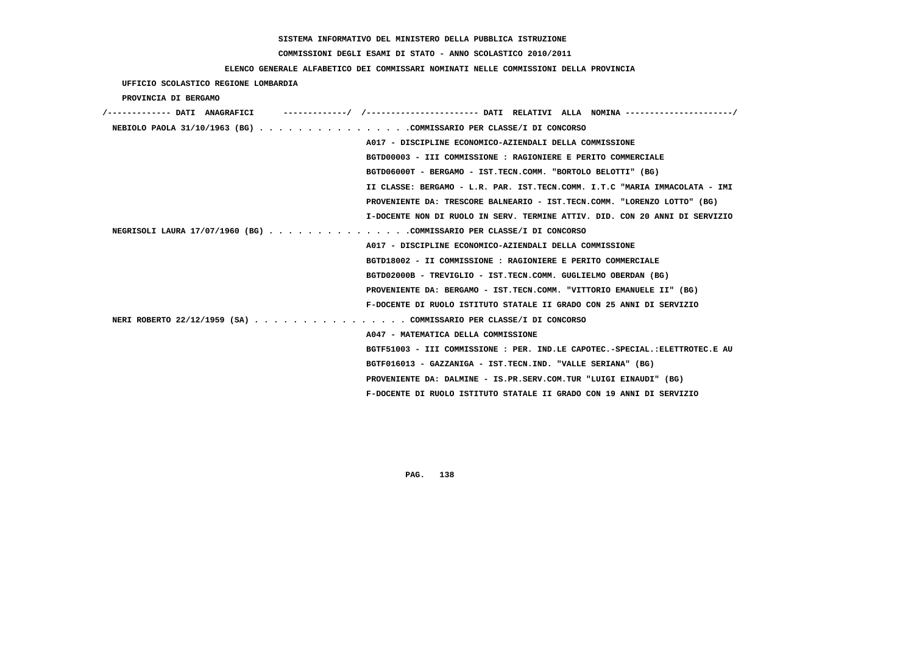# **COMMISSIONI DEGLI ESAMI DI STATO - ANNO SCOLASTICO 2010/2011**

 **UFFICIO SCOLASTICO REGIONE LOMBARDIA**

# **ELENCO GENERALE ALFABETICO DEI COMMISSARI NOMINATI NELLE COMMISSIONI DELLA PROVINCIA**

| PROVINCIA DI BERGAMO                                                 |                                                                             |
|----------------------------------------------------------------------|-----------------------------------------------------------------------------|
|                                                                      |                                                                             |
| NEBIOLO PAOLA 31/10/1963 (BG) COMMISSARIO PER CLASSE/I DI CONCORSO   |                                                                             |
|                                                                      | A017 - DISCIPLINE ECONOMICO-AZIENDALI DELLA COMMISSIONE                     |
|                                                                      | BGTD00003 - III COMMISSIONE : RAGIONIERE E PERITO COMMERCIALE               |
|                                                                      | BGTD06000T - BERGAMO - IST.TECN.COMM. "BORTOLO BELOTTI" (BG)                |
|                                                                      | II CLASSE: BERGAMO - L.R. PAR. IST.TECN.COMM. I.T.C "MARIA IMMACOLATA - IMI |
|                                                                      | PROVENIENTE DA: TRESCORE BALNEARIO - IST.TECN.COMM. "LORENZO LOTTO" (BG)    |
|                                                                      | I-DOCENTE NON DI RUOLO IN SERV. TERMINE ATTIV. DID. CON 20 ANNI DI SERVIZIO |
| NEGRISOLI LAURA 17/07/1960 (BG) COMMISSARIO PER CLASSE/I DI CONCORSO |                                                                             |
|                                                                      | A017 - DISCIPLINE ECONOMICO-AZIENDALI DELLA COMMISSIONE                     |
|                                                                      | BGTD18002 - II COMMISSIONE : RAGIONIERE E PERITO COMMERCIALE                |
|                                                                      | BGTD02000B - TREVIGLIO - IST.TECN.COMM. GUGLIELMO OBERDAN (BG)              |
|                                                                      | PROVENIENTE DA: BERGAMO - IST.TECN.COMM. "VITTORIO EMANUELE II" (BG)        |
|                                                                      | F-DOCENTE DI RUOLO ISTITUTO STATALE II GRADO CON 25 ANNI DI SERVIZIO        |
| NERI ROBERTO 22/12/1959 (SA) COMMISSARIO PER CLASSE/I DI CONCORSO    |                                                                             |
|                                                                      | A047 - MATEMATICA DELLA COMMISSIONE                                         |
|                                                                      | BGTF51003 - III COMMISSIONE : PER. IND.LE CAPOTEC.-SPECIAL.:ELETTROTEC.E AU |
|                                                                      | BGTF016013 - GAZZANIGA - IST.TECN.IND. "VALLE SERIANA" (BG)                 |
|                                                                      | PROVENIENTE DA: DALMINE - IS.PR.SERV.COM.TUR "LUIGI EINAUDI" (BG)           |
|                                                                      | F-DOCENTE DI RUOLO ISTITUTO STATALE II GRADO CON 19 ANNI DI SERVIZIO        |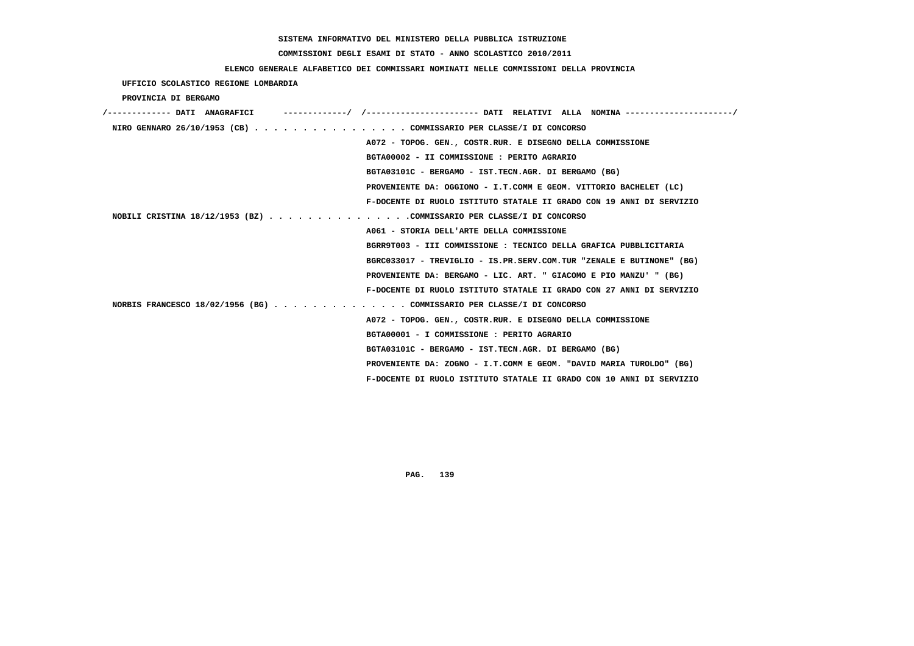# **COMMISSIONI DEGLI ESAMI DI STATO - ANNO SCOLASTICO 2010/2011**

## **ELENCO GENERALE ALFABETICO DEI COMMISSARI NOMINATI NELLE COMMISSIONI DELLA PROVINCIA**

# **UFFICIO SCOLASTICO REGIONE LOMBARDIA**

### **PROVINCIA DI BERGAMO**

| ------------/ /--------------------- DATI RELATIVI ALLA NOMINA -------------------/<br>----------- DATI ANAGRAFICI |  |
|--------------------------------------------------------------------------------------------------------------------|--|
| NIRO GENNARO 26/10/1953 (CB) COMMISSARIO PER CLASSE/I DI CONCORSO                                                  |  |
| A072 - TOPOG. GEN., COSTR.RUR. E DISEGNO DELLA COMMISSIONE                                                         |  |
| BGTA00002 - II COMMISSIONE : PERITO AGRARIO                                                                        |  |
| BGTA03101C - BERGAMO - IST.TECN.AGR. DI BERGAMO (BG)                                                               |  |
| PROVENIENTE DA: OGGIONO - I.T.COMM E GEOM. VITTORIO BACHELET (LC)                                                  |  |
| F-DOCENTE DI RUOLO ISTITUTO STATALE II GRADO CON 19 ANNI DI SERVIZIO                                               |  |
| NOBILI CRISTINA $18/12/1953$ (BZ) COMMISSARIO PER CLASSE/I DI CONCORSO                                             |  |
| A061 - STORIA DELL'ARTE DELLA COMMISSIONE                                                                          |  |
| BGRR9T003 - III COMMISSIONE : TECNICO DELLA GRAFICA PUBBLICITARIA                                                  |  |
| BGRC033017 - TREVIGLIO - IS.PR.SERV.COM.TUR "ZENALE E BUTINONE" (BG)                                               |  |
| PROVENIENTE DA: BERGAMO - LIC. ART. " GIACOMO E PIO MANZU' " (BG)                                                  |  |
| F-DOCENTE DI RUOLO ISTITUTO STATALE II GRADO CON 27 ANNI DI SERVIZIO                                               |  |
| NORBIS FRANCESCO 18/02/1956 (BG) COMMISSARIO PER CLASSE/I DI CONCORSO                                              |  |
| A072 - TOPOG. GEN., COSTR.RUR. E DISEGNO DELLA COMMISSIONE                                                         |  |
| BGTA00001 - I COMMISSIONE : PERITO AGRARIO                                                                         |  |
| BGTA03101C - BERGAMO - IST.TECN.AGR. DI BERGAMO (BG)                                                               |  |
| PROVENIENTE DA: ZOGNO - I.T.COMM E GEOM. "DAVID MARIA TUROLDO" (BG)                                                |  |
| F-DOCENTE DI RUOLO ISTITUTO STATALE II GRADO CON 10 ANNI DI SERVIZIO                                               |  |
|                                                                                                                    |  |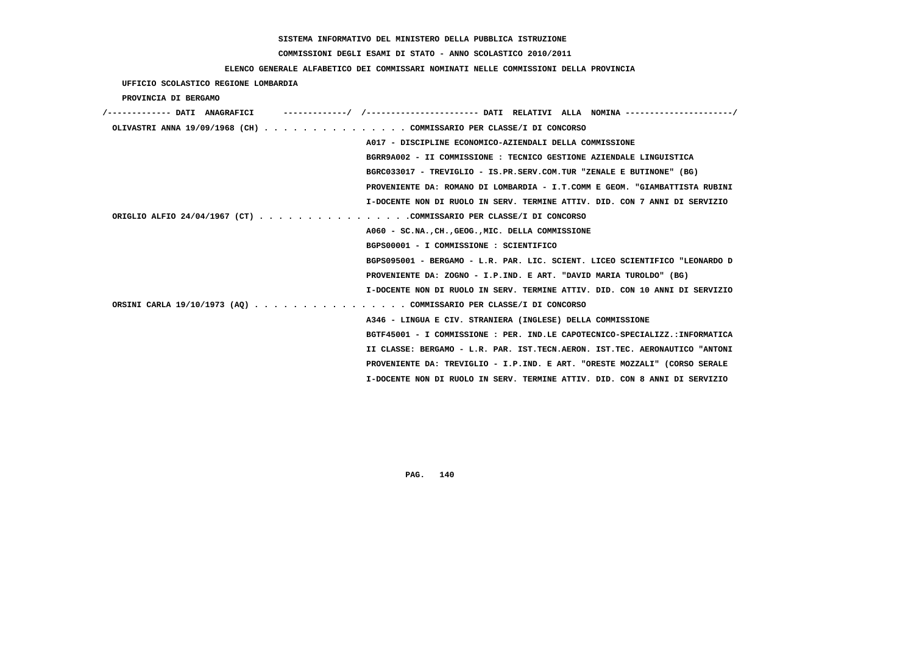# **COMMISSIONI DEGLI ESAMI DI STATO - ANNO SCOLASTICO 2010/2011**

## **ELENCO GENERALE ALFABETICO DEI COMMISSARI NOMINATI NELLE COMMISSIONI DELLA PROVINCIA**

 **UFFICIO SCOLASTICO REGIONE LOMBARDIA**

 **PROVINCIA DI BERGAMO**

| /------------- DATI ANAGRAFICI |                                                                             |
|--------------------------------|-----------------------------------------------------------------------------|
|                                | OLIVASTRI ANNA 19/09/1968 (CH) COMMISSARIO PER CLASSE/I DI CONCORSO         |
|                                | A017 - DISCIPLINE ECONOMICO-AZIENDALI DELLA COMMISSIONE                     |
|                                | BGRR9A002 - II COMMISSIONE : TECNICO GESTIONE AZIENDALE LINGUISTICA         |
|                                | BGRC033017 - TREVIGLIO - IS.PR.SERV.COM.TUR "ZENALE E BUTINONE" (BG)        |
|                                | PROVENIENTE DA: ROMANO DI LOMBARDIA - I.T.COMM E GEOM. "GIAMBATTISTA RUBINI |
|                                | I-DOCENTE NON DI RUOLO IN SERV. TERMINE ATTIV. DID. CON 7 ANNI DI SERVIZIO  |
|                                | ORIGLIO ALFIO 24/04/1967 (CT) COMMISSARIO PER CLASSE/I DI CONCORSO          |
|                                | A060 - SC.NA., CH., GEOG., MIC. DELLA COMMISSIONE                           |
|                                | BGPS00001 - I COMMISSIONE : SCIENTIFICO                                     |
|                                | BGPS095001 - BERGAMO - L.R. PAR. LIC. SCIENT. LICEO SCIENTIFICO "LEONARDO D |
|                                | PROVENIENTE DA: ZOGNO - I.P.IND. E ART. "DAVID MARIA TUROLDO" (BG)          |
|                                | I-DOCENTE NON DI RUOLO IN SERV. TERMINE ATTIV. DID. CON 10 ANNI DI SERVIZIO |
|                                | ORSINI CARLA 19/10/1973 (AQ) COMMISSARIO PER CLASSE/I DI CONCORSO           |
|                                | A346 - LINGUA E CIV. STRANIERA (INGLESE) DELLA COMMISSIONE                  |
|                                | BGTF45001 - I COMMISSIONE : PER. IND.LE CAPOTECNICO-SPECIALIZZ.:INFORMATICA |
|                                | II CLASSE: BERGAMO - L.R. PAR. IST.TECN.AERON. IST.TEC. AERONAUTICO "ANTONI |
|                                | PROVENIENTE DA: TREVIGLIO - I.P.IND. E ART. "ORESTE MOZZALI" (CORSO SERALE  |
|                                | I-DOCENTE NON DI RUOLO IN SERV. TERMINE ATTIV. DID. CON 8 ANNI DI SERVIZIO  |
|                                |                                                                             |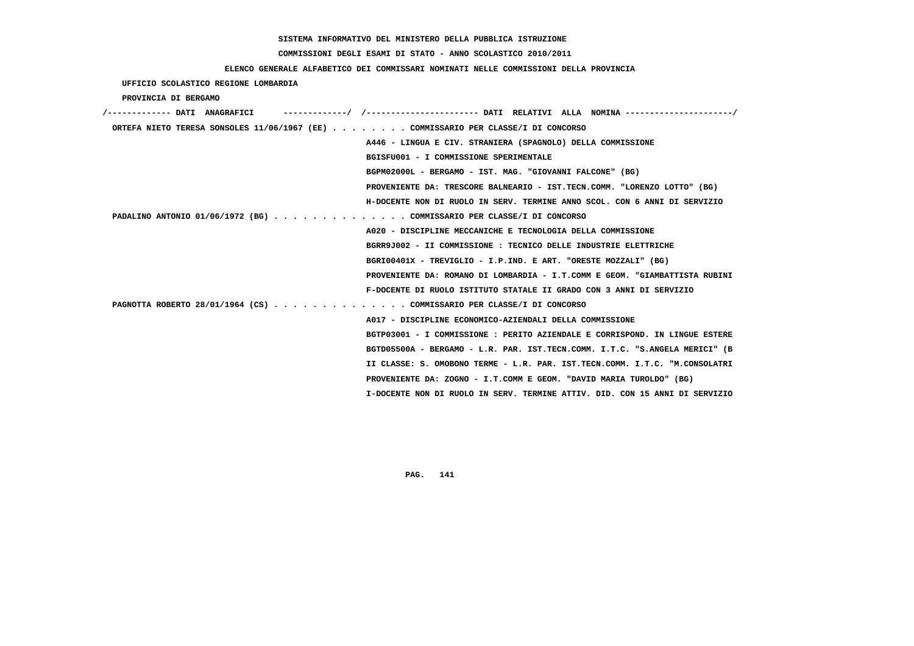# **COMMISSIONI DEGLI ESAMI DI STATO - ANNO SCOLASTICO 2010/2011**

## **ELENCO GENERALE ALFABETICO DEI COMMISSARI NOMINATI NELLE COMMISSIONI DELLA PROVINCIA**

## **UFFICIO SCOLASTICO REGIONE LOMBARDIA**

### **PROVINCIA DI BERGAMO**

| -/ /---------------------- DATI RELATIVI ALLA NOMINA ---------------------/<br>/------------- DATI ANAGRAFICI |
|---------------------------------------------------------------------------------------------------------------|
| ORTEFA NIETO TERESA SONSOLES 11/06/1967 (EE) COMMISSARIO PER CLASSE/I DI CONCORSO                             |
| A446 - LINGUA E CIV. STRANIERA (SPAGNOLO) DELLA COMMISSIONE                                                   |
| BGISFU001 - I COMMISSIONE SPERIMENTALE                                                                        |
| BGPM02000L - BERGAMO - IST. MAG. "GIOVANNI FALCONE" (BG)                                                      |
| PROVENIENTE DA: TRESCORE BALNEARIO - IST.TECN.COMM. "LORENZO LOTTO" (BG)                                      |
| H-DOCENTE NON DI RUOLO IN SERV. TERMINE ANNO SCOL. CON 6 ANNI DI SERVIZIO                                     |
| PADALINO ANTONIO 01/06/1972 (BG) COMMISSARIO PER CLASSE/I DI CONCORSO                                         |
| A020 - DISCIPLINE MECCANICHE E TECNOLOGIA DELLA COMMISSIONE                                                   |
| BGRR9J002 - II COMMISSIONE : TECNICO DELLE INDUSTRIE ELETTRICHE                                               |
| BGRI00401X - TREVIGLIO - I.P.IND. E ART. "ORESTE MOZZALI" (BG)                                                |
| PROVENIENTE DA: ROMANO DI LOMBARDIA - I.T.COMM E GEOM. "GIAMBATTISTA RUBINI                                   |
| F-DOCENTE DI RUOLO ISTITUTO STATALE II GRADO CON 3 ANNI DI SERVIZIO                                           |
| PAGNOTTA ROBERTO 28/01/1964 (CS) COMMISSARIO PER CLASSE/I DI CONCORSO                                         |
| A017 - DISCIPLINE ECONOMICO-AZIENDALI DELLA COMMISSIONE                                                       |
| BGTP03001 - I COMMISSIONE : PERITO AZIENDALE E CORRISPOND. IN LINGUE ESTERE                                   |
| BGTD05500A - BERGAMO - L.R. PAR. IST.TECN.COMM. I.T.C. "S.ANGELA MERICI" (B                                   |
| II CLASSE: S. OMOBONO TERME - L.R. PAR. IST.TECN.COMM. I.T.C. "M.CONSOLATRI                                   |
| PROVENIENTE DA: ZOGNO - I.T.COMM E GEOM. "DAVID MARIA TUROLDO" (BG)                                           |
| I-DOCENTE NON DI RUOLO IN SERV. TERMINE ATTIV. DID. CON 15 ANNI DI SERVIZIO                                   |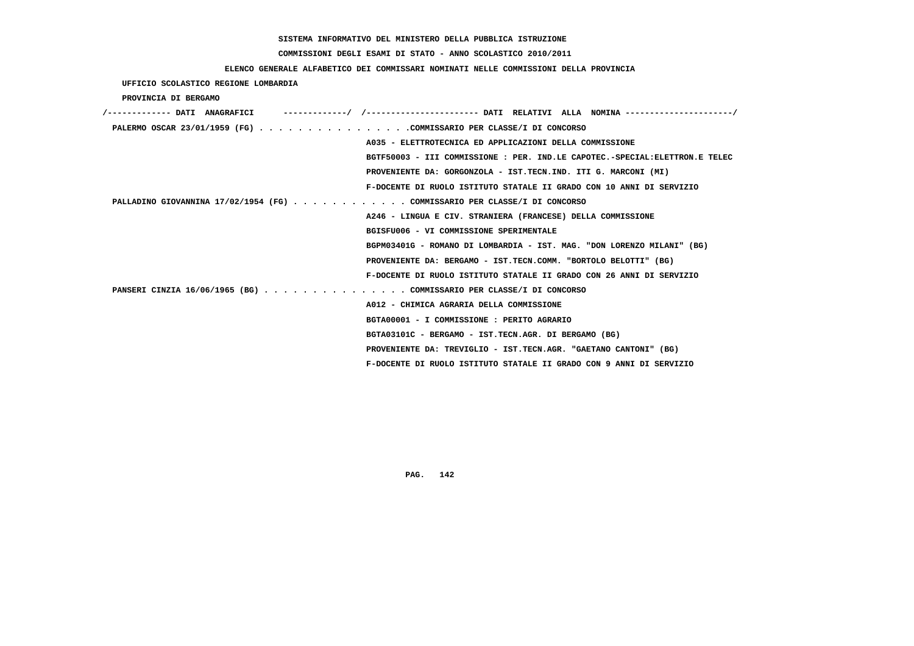# **COMMISSIONI DEGLI ESAMI DI STATO - ANNO SCOLASTICO 2010/2011**

## **ELENCO GENERALE ALFABETICO DEI COMMISSARI NOMINATI NELLE COMMISSIONI DELLA PROVINCIA**

 **UFFICIO SCOLASTICO REGIONE LOMBARDIA**

 **PROVINCIA DI BERGAMO**

| ------------/ /---------------------- DATI RELATIVI ALLA NOMINA ---------------------/<br>/------------- DATI ANAGRAFICI |
|--------------------------------------------------------------------------------------------------------------------------|
| PALERMO OSCAR 23/01/1959 (FG) COMMISSARIO PER CLASSE/I DI CONCORSO                                                       |
| A035 - ELETTROTECNICA ED APPLICAZIONI DELLA COMMISSIONE                                                                  |
| BGTF50003 - III COMMISSIONE : PER. IND.LE CAPOTEC.-SPECIAL:ELETTRON.E TELEC                                              |
| PROVENIENTE DA: GORGONZOLA - IST.TECN.IND. ITI G. MARCONI (MI)                                                           |
| F-DOCENTE DI RUOLO ISTITUTO STATALE II GRADO CON 10 ANNI DI SERVIZIO                                                     |
| PALLADINO GIOVANNINA 17/02/1954 (FG) COMMISSARIO PER CLASSE/I DI CONCORSO                                                |
| A246 - LINGUA E CIV. STRANIERA (FRANCESE) DELLA COMMISSIONE                                                              |
| BGISFU006 - VI COMMISSIONE SPERIMENTALE                                                                                  |
| BGPM03401G - ROMANO DI LOMBARDIA - IST. MAG. "DON LORENZO MILANI" (BG)                                                   |
| PROVENIENTE DA: BERGAMO - IST.TECN.COMM. "BORTOLO BELOTTI" (BG)                                                          |
| F-DOCENTE DI RUOLO ISTITUTO STATALE II GRADO CON 26 ANNI DI SERVIZIO                                                     |
| PANSERI CINZIA 16/06/1965 (BG) COMMISSARIO PER CLASSE/I DI CONCORSO                                                      |
| A012 - CHIMICA AGRARIA DELLA COMMISSIONE                                                                                 |
| BGTA00001 - I COMMISSIONE : PERITO AGRARIO                                                                               |
| BGTA03101C - BERGAMO - IST.TECN.AGR. DI BERGAMO (BG)                                                                     |
| PROVENIENTE DA: TREVIGLIO - IST.TECN.AGR. "GAETANO CANTONI" (BG)                                                         |
| F-DOCENTE DI RUOLO ISTITUTO STATALE II GRADO CON 9 ANNI DI SERVIZIO                                                      |
|                                                                                                                          |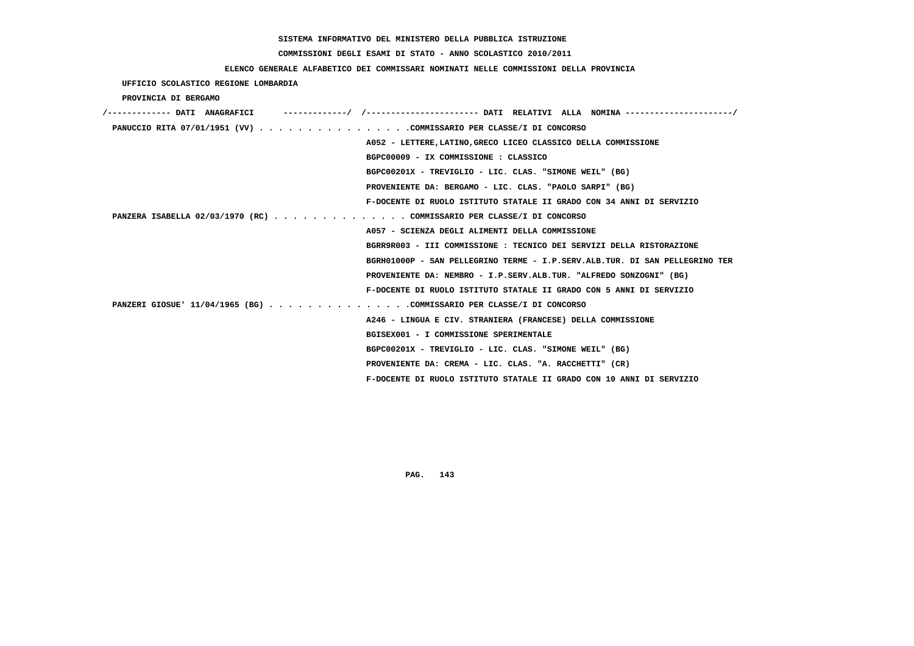# **COMMISSIONI DEGLI ESAMI DI STATO - ANNO SCOLASTICO 2010/2011**

## **ELENCO GENERALE ALFABETICO DEI COMMISSARI NOMINATI NELLE COMMISSIONI DELLA PROVINCIA**

 **UFFICIO SCOLASTICO REGIONE LOMBARDIA**

 **PROVINCIA DI BERGAMO**

| /------------- DATI ANAGRAFICI                                        | -----------/ /--------------------- DATI RELATIVI ALLA NOMINA --------------------/ |
|-----------------------------------------------------------------------|-------------------------------------------------------------------------------------|
| PANUCCIO RITA 07/01/1951 (VV) COMMISSARIO PER CLASSE/I DI CONCORSO    |                                                                                     |
|                                                                       | A052 - LETTERE, LATINO, GRECO LICEO CLASSICO DELLA COMMISSIONE                      |
|                                                                       | BGPC00009 - IX COMMISSIONE : CLASSICO                                               |
|                                                                       | BGPC00201X - TREVIGLIO - LIC. CLAS. "SIMONE WEIL" (BG)                              |
|                                                                       | PROVENIENTE DA: BERGAMO - LIC. CLAS. "PAOLO SARPI" (BG)                             |
|                                                                       | F-DOCENTE DI RUOLO ISTITUTO STATALE II GRADO CON 34 ANNI DI SERVIZIO                |
| PANZERA ISABELLA 02/03/1970 (RC) COMMISSARIO PER CLASSE/I DI CONCORSO |                                                                                     |
|                                                                       | A057 - SCIENZA DEGLI ALIMENTI DELLA COMMISSIONE                                     |
|                                                                       | BGRR9R003 - III COMMISSIONE : TECNICO DEI SERVIZI DELLA RISTORAZIONE                |
|                                                                       | BGRH01000P - SAN PELLEGRINO TERME - I.P.SERV.ALB.TUR. DI SAN PELLEGRINO TER         |
|                                                                       | PROVENIENTE DA: NEMBRO - I.P.SERV.ALB.TUR. "ALFREDO SONZOGNI" (BG)                  |
|                                                                       | F-DOCENTE DI RUOLO ISTITUTO STATALE II GRADO CON 5 ANNI DI SERVIZIO                 |
| PANZERI GIOSUE' 11/04/1965 (BG) COMMISSARIO PER CLASSE/I DI CONCORSO  |                                                                                     |
|                                                                       | A246 - LINGUA E CIV. STRANIERA (FRANCESE) DELLA COMMISSIONE                         |
|                                                                       | BGISEX001 - I COMMISSIONE SPERIMENTALE                                              |
|                                                                       | BGPC00201X - TREVIGLIO - LIC. CLAS. "SIMONE WEIL" (BG)                              |
|                                                                       | PROVENIENTE DA: CREMA - LIC. CLAS. "A. RACCHETTI" (CR)                              |
|                                                                       | F-DOCENTE DI RUOLO ISTITUTO STATALE II GRADO CON 10 ANNI DI SERVIZIO                |
|                                                                       |                                                                                     |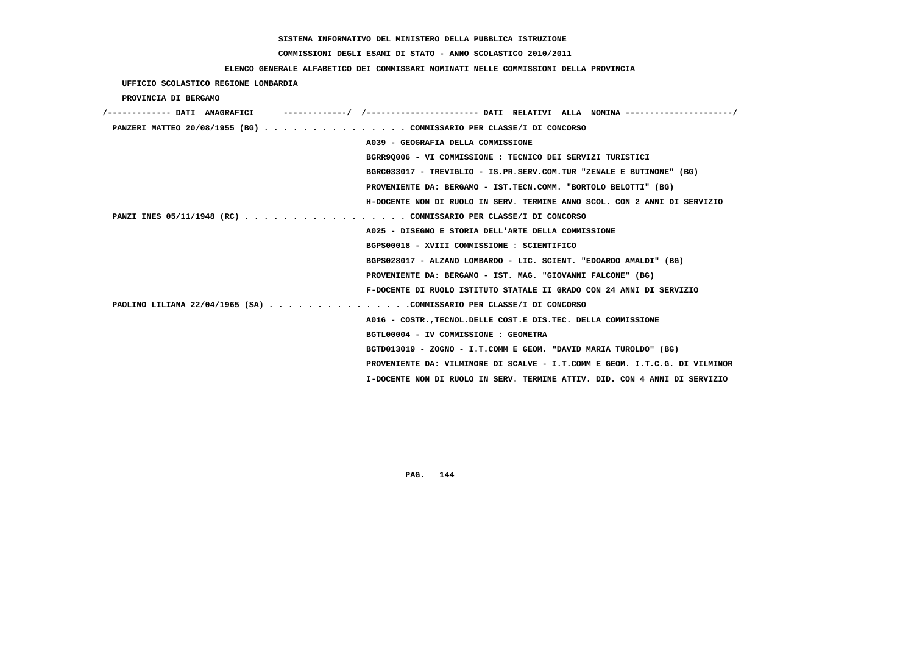# **COMMISSIONI DEGLI ESAMI DI STATO - ANNO SCOLASTICO 2010/2011**

## **ELENCO GENERALE ALFABETICO DEI COMMISSARI NOMINATI NELLE COMMISSIONI DELLA PROVINCIA**

 **UFFICIO SCOLASTICO REGIONE LOMBARDIA**

 **PROVINCIA DI BERGAMO**

| /------------- DATI ANAGRAFICI | ---------/ /---------------------- DATI RELATIVI ALLA NOMINA --------------------/ |
|--------------------------------|------------------------------------------------------------------------------------|
|                                | PANZERI MATTEO 20/08/1955 (BG) COMMISSARIO PER CLASSE/I DI CONCORSO                |
|                                | A039 - GEOGRAFIA DELLA COMMISSIONE                                                 |
|                                | BGRR9Q006 - VI COMMISSIONE : TECNICO DEI SERVIZI TURISTICI                         |
|                                | BGRC033017 - TREVIGLIO - IS.PR.SERV.COM.TUR "ZENALE E BUTINONE" (BG)               |
|                                | PROVENIENTE DA: BERGAMO - IST.TECN.COMM. "BORTOLO BELOTTI" (BG)                    |
|                                | H-DOCENTE NON DI RUOLO IN SERV. TERMINE ANNO SCOL. CON 2 ANNI DI SERVIZIO          |
|                                | PANZI INES 05/11/1948 (RC) COMMISSARIO PER CLASSE/I DI CONCORSO                    |
|                                | A025 - DISEGNO E STORIA DELL'ARTE DELLA COMMISSIONE                                |
|                                | BGPS00018 - XVIII COMMISSIONE : SCIENTIFICO                                        |
|                                | BGPS028017 - ALZANO LOMBARDO - LIC. SCIENT. "EDOARDO AMALDI" (BG)                  |
|                                | PROVENIENTE DA: BERGAMO - IST. MAG. "GIOVANNI FALCONE" (BG)                        |
|                                | F-DOCENTE DI RUOLO ISTITUTO STATALE II GRADO CON 24 ANNI DI SERVIZIO               |
|                                | PAOLINO LILIANA 22/04/1965 (SA) COMMISSARIO PER CLASSE/I DI CONCORSO               |
|                                | A016 - COSTR. TECNOL. DELLE COST. E DIS. TEC. DELLA COMMISSIONE                    |
|                                | BGTL00004 - IV COMMISSIONE : GEOMETRA                                              |
|                                | BGTD013019 - ZOGNO - I.T.COMM E GEOM. "DAVID MARIA TUROLDO" (BG)                   |
|                                | PROVENIENTE DA: VILMINORE DI SCALVE - I.T.COMM E GEOM. I.T.C.G. DI VILMINOR        |
|                                | I-DOCENTE NON DI RUOLO IN SERV. TERMINE ATTIV. DID. CON 4 ANNI DI SERVIZIO         |
|                                |                                                                                    |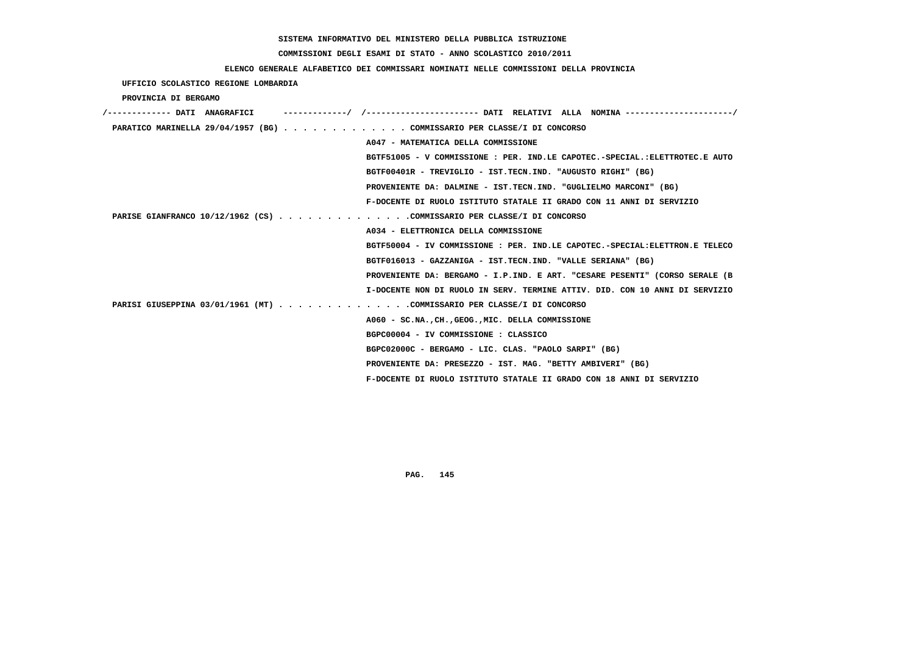# **COMMISSIONI DEGLI ESAMI DI STATO - ANNO SCOLASTICO 2010/2011**

### **ELENCO GENERALE ALFABETICO DEI COMMISSARI NOMINATI NELLE COMMISSIONI DELLA PROVINCIA**

 **UFFICIO SCOLASTICO REGIONE LOMBARDIA**

 **PROVINCIA DI BERGAMO**

| /------------- DATI ANAGRAFICI |                                                                             |
|--------------------------------|-----------------------------------------------------------------------------|
|                                | PARATICO MARINELLA 29/04/1957 (BG) COMMISSARIO PER CLASSE/I DI CONCORSO     |
|                                | A047 - MATEMATICA DELLA COMMISSIONE                                         |
|                                | BGTF51005 - V COMMISSIONE : PER. IND.LE CAPOTEC.-SPECIAL.:ELETTROTEC.E AUTO |
|                                | BGTF00401R - TREVIGLIO - IST.TECN.IND. "AUGUSTO RIGHI" (BG)                 |
|                                | PROVENIENTE DA: DALMINE - IST.TECN.IND. "GUGLIELMO MARCONI" (BG)            |
|                                | F-DOCENTE DI RUOLO ISTITUTO STATALE II GRADO CON 11 ANNI DI SERVIZIO        |
|                                | PARISE GIANFRANCO 10/12/1962 (CS) COMMISSARIO PER CLASSE/I DI CONCORSO      |
|                                | A034 - ELETTRONICA DELLA COMMISSIONE                                        |
|                                | BGTF50004 - IV COMMISSIONE : PER. IND.LE CAPOTEC.-SPECIAL:ELETTRON.E TELECO |
|                                | BGTF016013 - GAZZANIGA - IST.TECN.IND. "VALLE SERIANA" (BG)                 |
|                                | PROVENIENTE DA: BERGAMO - I.P.IND. E ART. "CESARE PESENTI" (CORSO SERALE (B |
|                                | I-DOCENTE NON DI RUOLO IN SERV. TERMINE ATTIV. DID. CON 10 ANNI DI SERVIZIO |
|                                | PARISI GIUSEPPINA 03/01/1961 (MT) COMMISSARIO PER CLASSE/I DI CONCORSO      |
|                                | A060 - SC.NA., CH., GEOG., MIC. DELLA COMMISSIONE                           |
|                                | BGPC00004 - IV COMMISSIONE : CLASSICO                                       |
|                                | BGPC02000C - BERGAMO - LIC. CLAS. "PAOLO SARPI" (BG)                        |
|                                | PROVENIENTE DA: PRESEZZO - IST. MAG. "BETTY AMBIVERI" (BG)                  |
|                                | F-DOCENTE DI RUOLO ISTITUTO STATALE II GRADO CON 18 ANNI DI SERVIZIO        |
|                                |                                                                             |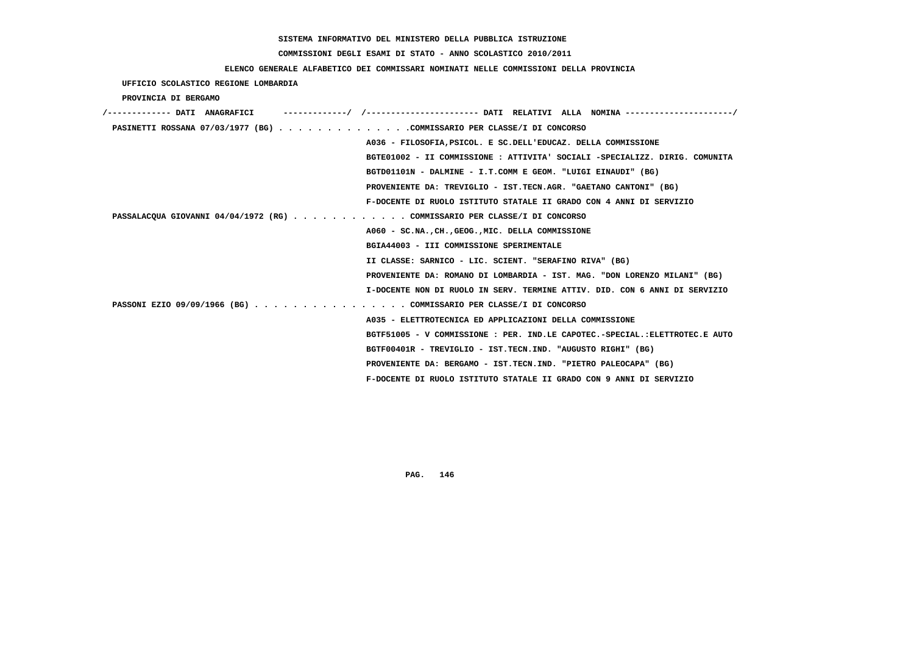# **COMMISSIONI DEGLI ESAMI DI STATO - ANNO SCOLASTICO 2010/2011**

### **ELENCO GENERALE ALFABETICO DEI COMMISSARI NOMINATI NELLE COMMISSIONI DELLA PROVINCIA**

 **UFFICIO SCOLASTICO REGIONE LOMBARDIA**

 **PROVINCIA DI BERGAMO**

| /------------- DATI ANAGRAFICI                                            |                                                                             |
|---------------------------------------------------------------------------|-----------------------------------------------------------------------------|
| PASINETTI ROSSANA 07/03/1977 (BG) COMMISSARIO PER CLASSE/I DI CONCORSO    |                                                                             |
|                                                                           | A036 - FILOSOFIA, PSICOL. E SC. DELL'EDUCAZ. DELLA COMMISSIONE              |
|                                                                           | BGTE01002 - II COMMISSIONE : ATTIVITA' SOCIALI -SPECIALIZZ. DIRIG. COMUNITA |
|                                                                           | BGTD01101N - DALMINE - I.T.COMM E GEOM. "LUIGI EINAUDI" (BG)                |
|                                                                           | PROVENIENTE DA: TREVIGLIO - IST.TECN.AGR. "GAETANO CANTONI" (BG)            |
|                                                                           | F-DOCENTE DI RUOLO ISTITUTO STATALE II GRADO CON 4 ANNI DI SERVIZIO         |
| PASSALACQUA GIOVANNI 04/04/1972 (RG) COMMISSARIO PER CLASSE/I DI CONCORSO |                                                                             |
|                                                                           | A060 - SC.NA., CH., GEOG., MIC. DELLA COMMISSIONE                           |
|                                                                           | BGIA44003 - III COMMISSIONE SPERIMENTALE                                    |
|                                                                           | II CLASSE: SARNICO - LIC. SCIENT. "SERAFINO RIVA" (BG)                      |
|                                                                           | PROVENIENTE DA: ROMANO DI LOMBARDIA - IST. MAG. "DON LORENZO MILANI" (BG)   |
|                                                                           | I-DOCENTE NON DI RUOLO IN SERV. TERMINE ATTIV. DID. CON 6 ANNI DI SERVIZIO  |
| PASSONI EZIO 09/09/1966 (BG) COMMISSARIO PER CLASSE/I DI CONCORSO         |                                                                             |
|                                                                           | A035 - ELETTROTECNICA ED APPLICAZIONI DELLA COMMISSIONE                     |
|                                                                           | BGTF51005 - V COMMISSIONE : PER. IND.LE CAPOTEC.-SPECIAL.:ELETTROTEC.E AUTO |
|                                                                           | BGTF00401R - TREVIGLIO - IST.TECN.IND. "AUGUSTO RIGHI" (BG)                 |
|                                                                           | PROVENIENTE DA: BERGAMO - IST.TECN.IND. "PIETRO PALEOCAPA" (BG)             |
|                                                                           | F-DOCENTE DI RUOLO ISTITUTO STATALE II GRADO CON 9 ANNI DI SERVIZIO         |
|                                                                           |                                                                             |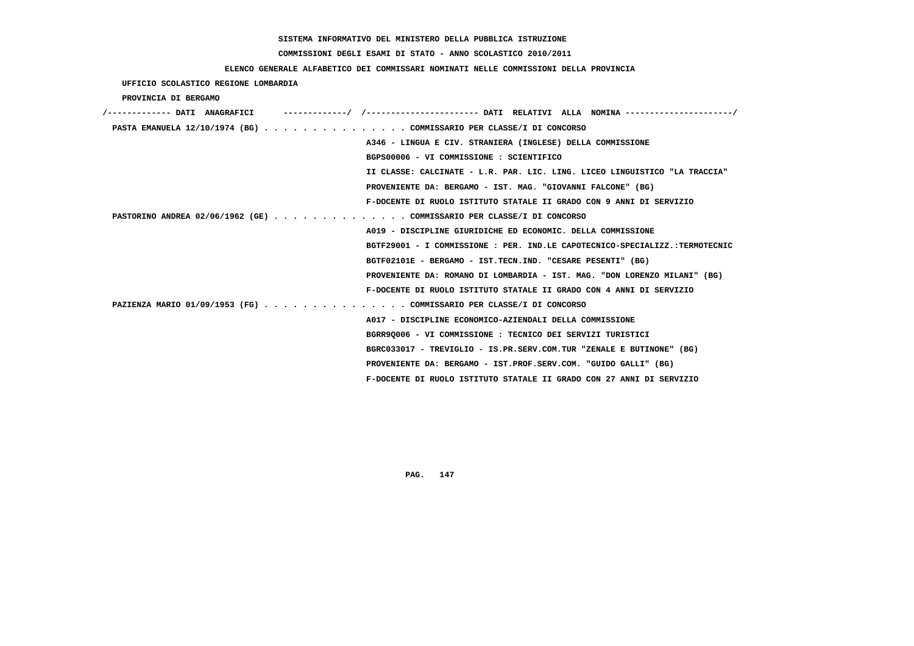# **COMMISSIONI DEGLI ESAMI DI STATO - ANNO SCOLASTICO 2010/2011**

### **ELENCO GENERALE ALFABETICO DEI COMMISSARI NOMINATI NELLE COMMISSIONI DELLA PROVINCIA**

 **UFFICIO SCOLASTICO REGIONE LOMBARDIA**

 **PROVINCIA DI BERGAMO**

| /------------- DATI ANAGRAFICI | ---------/ /--------------------- DATI RELATIVI ALLA NOMINA--------------------/ |
|--------------------------------|----------------------------------------------------------------------------------|
|                                | PASTA EMANUELA 12/10/1974 (BG) COMMISSARIO PER CLASSE/I DI CONCORSO              |
|                                | A346 - LINGUA E CIV. STRANIERA (INGLESE) DELLA COMMISSIONE                       |
|                                | BGPS00006 - VI COMMISSIONE : SCIENTIFICO                                         |
|                                | II CLASSE: CALCINATE - L.R. PAR. LIC. LING. LICEO LINGUISTICO "LA TRACCIA"       |
|                                | PROVENIENTE DA: BERGAMO - IST. MAG. "GIOVANNI FALCONE" (BG)                      |
|                                | F-DOCENTE DI RUOLO ISTITUTO STATALE II GRADO CON 9 ANNI DI SERVIZIO              |
|                                | PASTORINO ANDREA 02/06/1962 (GE) COMMISSARIO PER CLASSE/I DI CONCORSO            |
|                                | A019 - DISCIPLINE GIURIDICHE ED ECONOMIC. DELLA COMMISSIONE                      |
|                                | BGTF29001 - I COMMISSIONE : PER. IND.LE CAPOTECNICO-SPECIALIZZ.:TERMOTECNIC      |
|                                | BGTF02101E - BERGAMO - IST.TECN.IND. "CESARE PESENTI" (BG)                       |
|                                | PROVENIENTE DA: ROMANO DI LOMBARDIA - IST. MAG. "DON LORENZO MILANI" (BG)        |
|                                | F-DOCENTE DI RUOLO ISTITUTO STATALE II GRADO CON 4 ANNI DI SERVIZIO              |
|                                | PAZIENZA MARIO 01/09/1953 (FG) COMMISSARIO PER CLASSE/I DI CONCORSO              |
|                                | A017 - DISCIPLINE ECONOMICO-AZIENDALI DELLA COMMISSIONE                          |
|                                | BGRR90006 - VI COMMISSIONE : TECNICO DEI SERVIZI TURISTICI                       |
|                                | BGRC033017 - TREVIGLIO - IS.PR.SERV.COM.TUR "ZENALE E BUTINONE" (BG)             |
|                                | PROVENIENTE DA: BERGAMO - IST.PROF.SERV.COM. "GUIDO GALLI" (BG)                  |
|                                | F-DOCENTE DI RUOLO ISTITUTO STATALE II GRADO CON 27 ANNI DI SERVIZIO             |
|                                |                                                                                  |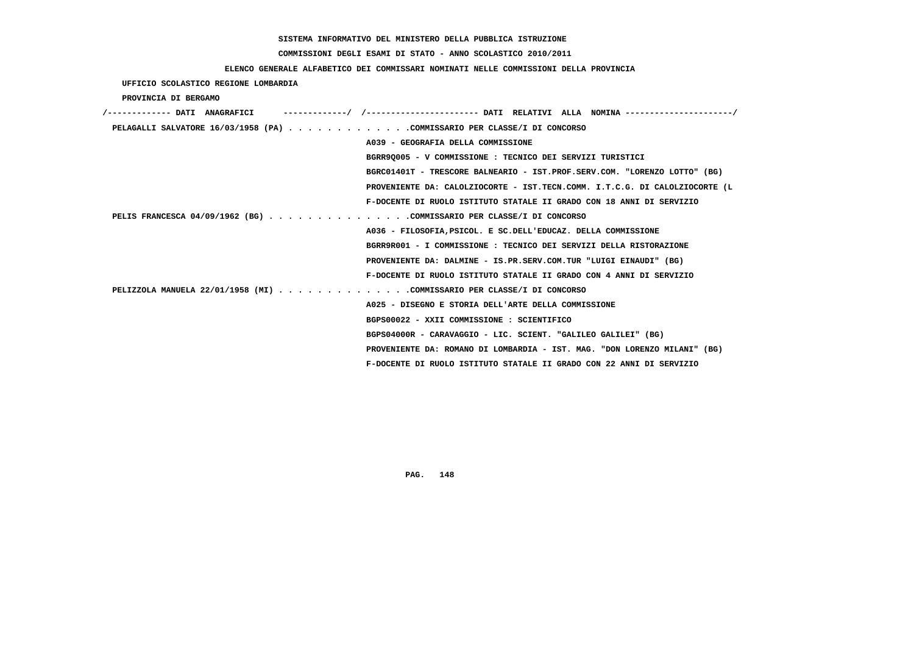# **COMMISSIONI DEGLI ESAMI DI STATO - ANNO SCOLASTICO 2010/2011**

### **ELENCO GENERALE ALFABETICO DEI COMMISSARI NOMINATI NELLE COMMISSIONI DELLA PROVINCIA**

 **UFFICIO SCOLASTICO REGIONE LOMBARDIA**

 **PROVINCIA DI BERGAMO**

| /------------- DATI ANAGRAFICI                                           |                                                                             |
|--------------------------------------------------------------------------|-----------------------------------------------------------------------------|
| PELAGALLI SALVATORE 16/03/1958 (PA) COMMISSARIO PER CLASSE/I DI CONCORSO |                                                                             |
|                                                                          | A039 - GEOGRAFIA DELLA COMMISSIONE                                          |
|                                                                          | BGRR90005 - V COMMISSIONE : TECNICO DEI SERVIZI TURISTICI                   |
|                                                                          | BGRC01401T - TRESCORE BALNEARIO - IST.PROF.SERV.COM. "LORENZO LOTTO" (BG)   |
|                                                                          | PROVENIENTE DA: CALOLZIOCORTE - IST.TECN.COMM. I.T.C.G. DI CALOLZIOCORTE (L |
|                                                                          | F-DOCENTE DI RUOLO ISTITUTO STATALE II GRADO CON 18 ANNI DI SERVIZIO        |
| PELIS FRANCESCA 04/09/1962 (BG) COMMISSARIO PER CLASSE/I DI CONCORSO     |                                                                             |
|                                                                          | A036 - FILOSOFIA, PSICOL. E SC. DELL'EDUCAZ. DELLA COMMISSIONE              |
|                                                                          | BGRR9R001 - I COMMISSIONE : TECNICO DEI SERVIZI DELLA RISTORAZIONE          |
|                                                                          | PROVENIENTE DA: DALMINE - IS.PR.SERV.COM.TUR "LUIGI EINAUDI" (BG)           |
|                                                                          | F-DOCENTE DI RUOLO ISTITUTO STATALE II GRADO CON 4 ANNI DI SERVIZIO         |
| PELIZZOLA MANUELA 22/01/1958 (MI) COMMISSARIO PER CLASSE/I DI CONCORSO   |                                                                             |
|                                                                          | A025 - DISEGNO E STORIA DELL'ARTE DELLA COMMISSIONE                         |
|                                                                          | BGPS00022 - XXII COMMISSIONE : SCIENTIFICO                                  |
|                                                                          | BGPS04000R - CARAVAGGIO - LIC. SCIENT. "GALILEO GALILEI" (BG)               |
|                                                                          | PROVENIENTE DA: ROMANO DI LOMBARDIA - IST. MAG. "DON LORENZO MILANI" (BG)   |
|                                                                          | F-DOCENTE DI RUOLO ISTITUTO STATALE II GRADO CON 22 ANNI DI SERVIZIO        |
|                                                                          |                                                                             |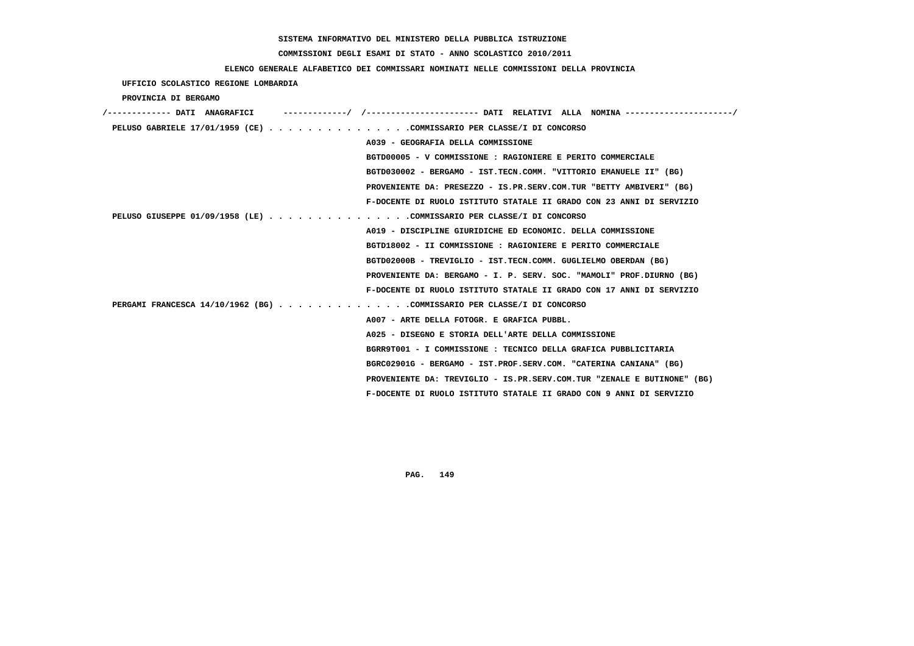# **COMMISSIONI DEGLI ESAMI DI STATO - ANNO SCOLASTICO 2010/2011**

### **ELENCO GENERALE ALFABETICO DEI COMMISSARI NOMINATI NELLE COMMISSIONI DELLA PROVINCIA**

 **UFFICIO SCOLASTICO REGIONE LOMBARDIA**

 **PROVINCIA DI BERGAMO**

| /------------- DATI ANAGRAFICI<br>-/ /---------------------- DATI RELATIVI ALLA NOMINA ---------------------/ |
|---------------------------------------------------------------------------------------------------------------|
| PELUSO GABRIELE 17/01/1959 (CE) COMMISSARIO PER CLASSE/I DI CONCORSO                                          |
| A039 - GEOGRAFIA DELLA COMMISSIONE                                                                            |
| BGTD00005 - V COMMISSIONE : RAGIONIERE E PERITO COMMERCIALE                                                   |
| BGTD030002 - BERGAMO - IST.TECN.COMM. "VITTORIO EMANUELE II" (BG)                                             |
| PROVENIENTE DA: PRESEZZO - IS.PR.SERV.COM.TUR "BETTY AMBIVERI" (BG)                                           |
| F-DOCENTE DI RUOLO ISTITUTO STATALE II GRADO CON 23 ANNI DI SERVIZIO                                          |
| PELUSO GIUSEPPE 01/09/1958 (LE) COMMISSARIO PER CLASSE/I DI CONCORSO                                          |
| A019 - DISCIPLINE GIURIDICHE ED ECONOMIC. DELLA COMMISSIONE                                                   |
| BGTD18002 - II COMMISSIONE : RAGIONIERE E PERITO COMMERCIALE                                                  |
| BGTD02000B - TREVIGLIO - IST.TECN.COMM. GUGLIELMO OBERDAN (BG)                                                |
| PROVENIENTE DA: BERGAMO - I. P. SERV. SOC. "MAMOLI" PROF.DIURNO (BG)                                          |
| F-DOCENTE DI RUOLO ISTITUTO STATALE II GRADO CON 17 ANNI DI SERVIZIO                                          |
| PERGAMI FRANCESCA 14/10/1962 (BG) COMMISSARIO PER CLASSE/I DI CONCORSO                                        |
| A007 - ARTE DELLA FOTOGR. E GRAFICA PUBBL.                                                                    |
| A025 - DISEGNO E STORIA DELL'ARTE DELLA COMMISSIONE                                                           |
| BGRR9T001 - I COMMISSIONE : TECNICO DELLA GRAFICA PUBBLICITARIA                                               |
| BGRC02901G - BERGAMO - IST.PROF.SERV.COM. "CATERINA CANIANA" (BG)                                             |
| PROVENIENTE DA: TREVIGLIO - IS.PR.SERV.COM.TUR "ZENALE E BUTINONE" (BG)                                       |
| F-DOCENTE DI RUOLO ISTITUTO STATALE II GRADO CON 9 ANNI DI SERVIZIO                                           |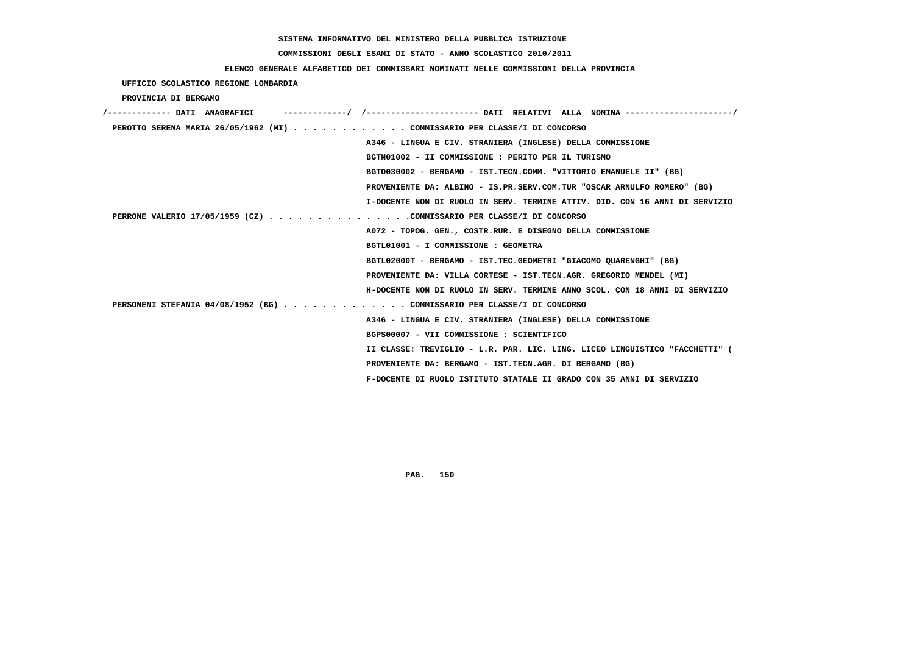# **COMMISSIONI DEGLI ESAMI DI STATO - ANNO SCOLASTICO 2010/2011**

### **ELENCO GENERALE ALFABETICO DEI COMMISSARI NOMINATI NELLE COMMISSIONI DELLA PROVINCIA**

 **UFFICIO SCOLASTICO REGIONE LOMBARDIA**

 **PROVINCIA DI BERGAMO**

| /------------- DATI ANAGRAFICI                                            |                                                                             |
|---------------------------------------------------------------------------|-----------------------------------------------------------------------------|
| PEROTTO SERENA MARIA 26/05/1962 (MI) COMMISSARIO PER CLASSE/I DI CONCORSO |                                                                             |
|                                                                           | A346 - LINGUA E CIV. STRANIERA (INGLESE) DELLA COMMISSIONE                  |
|                                                                           | BGTN01002 - II COMMISSIONE : PERITO PER IL TURISMO                          |
|                                                                           | BGTD030002 - BERGAMO - IST.TECN.COMM. "VITTORIO EMANUELE II" (BG)           |
|                                                                           | PROVENIENTE DA: ALBINO - IS.PR.SERV.COM.TUR "OSCAR ARNULFO ROMERO" (BG)     |
|                                                                           | I-DOCENTE NON DI RUOLO IN SERV. TERMINE ATTIV. DID. CON 16 ANNI DI SERVIZIO |
| PERRONE VALERIO 17/05/1959 (CZ) COMMISSARIO PER CLASSE/I DI CONCORSO      |                                                                             |
|                                                                           | A072 - TOPOG. GEN., COSTR.RUR. E DISEGNO DELLA COMMISSIONE                  |
|                                                                           | BGTL01001 - I COMMISSIONE : GEOMETRA                                        |
|                                                                           | BGTL02000T - BERGAMO - IST.TEC.GEOMETRI "GIACOMO OUARENGHI" (BG)            |
|                                                                           | PROVENIENTE DA: VILLA CORTESE - IST.TECN.AGR. GREGORIO MENDEL (MI)          |
|                                                                           | H-DOCENTE NON DI RUOLO IN SERV. TERMINE ANNO SCOL. CON 18 ANNI DI SERVIZIO  |
| PERSONENI STEFANIA 04/08/1952 (BG) COMMISSARIO PER CLASSE/I DI CONCORSO   |                                                                             |
|                                                                           | A346 - LINGUA E CIV. STRANIERA (INGLESE) DELLA COMMISSIONE                  |
|                                                                           | BGPS00007 - VII COMMISSIONE : SCIENTIFICO                                   |
|                                                                           | II CLASSE: TREVIGLIO - L.R. PAR. LIC. LING. LICEO LINGUISTICO "FACCHETTI" ( |
|                                                                           | PROVENIENTE DA: BERGAMO - IST.TECN.AGR. DI BERGAMO (BG)                     |
|                                                                           | F-DOCENTE DI RUOLO ISTITUTO STATALE II GRADO CON 35 ANNI DI SERVIZIO        |
|                                                                           |                                                                             |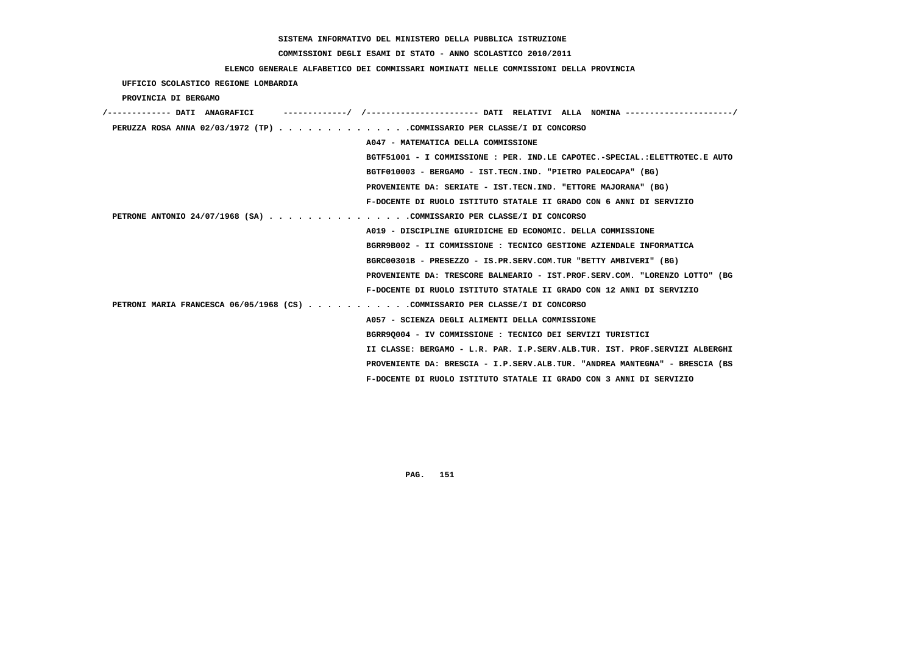# **COMMISSIONI DEGLI ESAMI DI STATO - ANNO SCOLASTICO 2010/2011**

### **ELENCO GENERALE ALFABETICO DEI COMMISSARI NOMINATI NELLE COMMISSIONI DELLA PROVINCIA**

 **UFFICIO SCOLASTICO REGIONE LOMBARDIA**

 **PROVINCIA DI BERGAMO**

| ------------- DATI ANAGRAFICI                                                | -------/ /--------------------- DATI RELATIVI ALLA NOMINA---------------------/ |
|------------------------------------------------------------------------------|---------------------------------------------------------------------------------|
| PERUZZA ROSA ANNA 02/03/1972 (TP) COMMISSARIO PER CLASSE/I DI CONCORSO       |                                                                                 |
|                                                                              | A047 - MATEMATICA DELLA COMMISSIONE                                             |
|                                                                              | BGTF51001 - I COMMISSIONE : PER. IND.LE CAPOTEC.-SPECIAL.:ELETTROTEC.E AUTO     |
|                                                                              | BGTF010003 - BERGAMO - IST.TECN.IND. "PIETRO PALEOCAPA" (BG)                    |
|                                                                              | PROVENIENTE DA: SERIATE - IST.TECN.IND. "ETTORE MAJORANA" (BG)                  |
|                                                                              | F-DOCENTE DI RUOLO ISTITUTO STATALE II GRADO CON 6 ANNI DI SERVIZIO             |
| PETRONE ANTONIO 24/07/1968 (SA) COMMISSARIO PER CLASSE/I DI CONCORSO         |                                                                                 |
|                                                                              | A019 - DISCIPLINE GIURIDICHE ED ECONOMIC. DELLA COMMISSIONE                     |
|                                                                              | BGRR9B002 - II COMMISSIONE : TECNICO GESTIONE AZIENDALE INFORMATICA             |
|                                                                              | BGRC00301B - PRESEZZO - IS.PR.SERV.COM.TUR "BETTY AMBIVERI" (BG)                |
|                                                                              | PROVENIENTE DA: TRESCORE BALNEARIO - IST.PROF.SERV.COM. "LORENZO LOTTO" (BG     |
|                                                                              | F-DOCENTE DI RUOLO ISTITUTO STATALE II GRADO CON 12 ANNI DI SERVIZIO            |
| PETRONI MARIA FRANCESCA 06/05/1968 (CS) COMMISSARIO PER CLASSE/I DI CONCORSO |                                                                                 |
|                                                                              | A057 - SCIENZA DEGLI ALIMENTI DELLA COMMISSIONE                                 |
|                                                                              | BGRR90004 - IV COMMISSIONE : TECNICO DEI SERVIZI TURISTICI                      |
|                                                                              | II CLASSE: BERGAMO - L.R. PAR. I.P.SERV.ALB.TUR. IST. PROF.SERVIZI ALBERGHI     |
|                                                                              | PROVENIENTE DA: BRESCIA - I.P.SERV.ALB.TUR. "ANDREA MANTEGNA" - BRESCIA (BS     |
|                                                                              | F-DOCENTE DI RUOLO ISTITUTO STATALE II GRADO CON 3 ANNI DI SERVIZIO             |
|                                                                              |                                                                                 |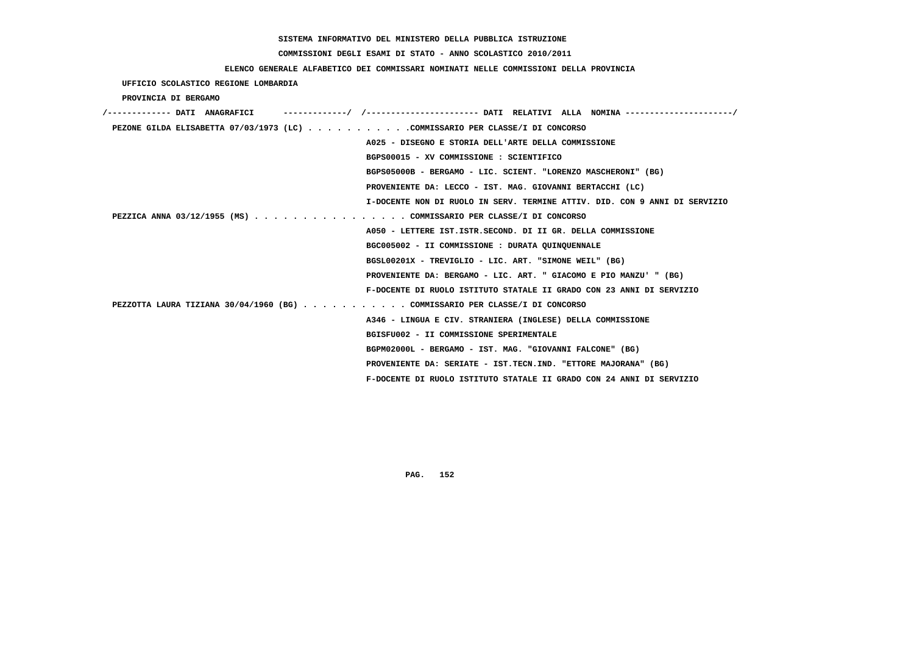# **COMMISSIONI DEGLI ESAMI DI STATO - ANNO SCOLASTICO 2010/2011**

### **ELENCO GENERALE ALFABETICO DEI COMMISSARI NOMINATI NELLE COMMISSIONI DELLA PROVINCIA**

 **UFFICIO SCOLASTICO REGIONE LOMBARDIA**

 **PROVINCIA DI BERGAMO**

| /------------- DATI ANAGRAFICI |                                                                              |
|--------------------------------|------------------------------------------------------------------------------|
|                                | PEZONE GILDA ELISABETTA 07/03/1973 (LC) COMMISSARIO PER CLASSE/I DI CONCORSO |
|                                | A025 - DISEGNO E STORIA DELL'ARTE DELLA COMMISSIONE                          |
|                                | BGPS00015 - XV COMMISSIONE : SCIENTIFICO                                     |
|                                | BGPS05000B - BERGAMO - LIC. SCIENT. "LORENZO MASCHERONI" (BG)                |
|                                | PROVENIENTE DA: LECCO - IST. MAG. GIOVANNI BERTACCHI (LC)                    |
|                                | I-DOCENTE NON DI RUOLO IN SERV. TERMINE ATTIV. DID. CON 9 ANNI DI SERVIZIO   |
|                                | PEZZICA ANNA 03/12/1955 (MS) COMMISSARIO PER CLASSE/I DI CONCORSO            |
|                                | A050 - LETTERE IST.ISTR.SECOND. DI II GR. DELLA COMMISSIONE                  |
|                                | BGC005002 - II COMMISSIONE : DURATA QUINQUENNALE                             |
|                                | BGSL00201X - TREVIGLIO - LIC. ART. "SIMONE WEIL" (BG)                        |
|                                | PROVENIENTE DA: BERGAMO - LIC. ART. " GIACOMO E PIO MANZU' " (BG)            |
|                                | F-DOCENTE DI RUOLO ISTITUTO STATALE II GRADO CON 23 ANNI DI SERVIZIO         |
|                                | PEZZOTTA LAURA TIZIANA 30/04/1960 (BG) COMMISSARIO PER CLASSE/I DI CONCORSO  |
|                                | A346 - LINGUA E CIV. STRANIERA (INGLESE) DELLA COMMISSIONE                   |
|                                | BGISFU002 - II COMMISSIONE SPERIMENTALE                                      |
|                                | BGPM02000L - BERGAMO - IST. MAG. "GIOVANNI FALCONE" (BG)                     |
|                                | PROVENIENTE DA: SERIATE - IST.TECN.IND. "ETTORE MAJORANA" (BG)               |
|                                | F-DOCENTE DI RUOLO ISTITUTO STATALE II GRADO CON 24 ANNI DI SERVIZIO         |
|                                |                                                                              |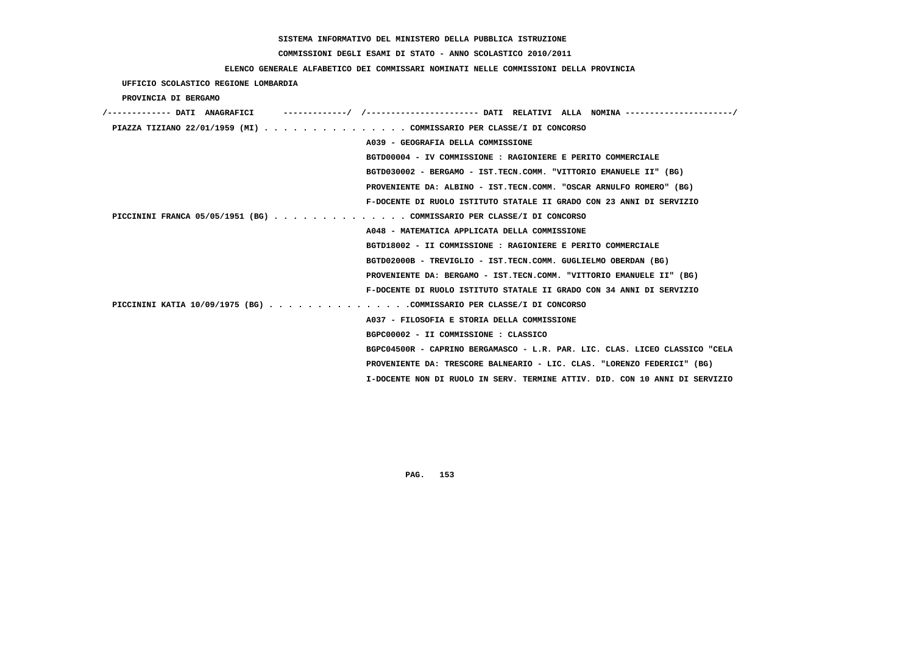# **COMMISSIONI DEGLI ESAMI DI STATO - ANNO SCOLASTICO 2010/2011**

### **ELENCO GENERALE ALFABETICO DEI COMMISSARI NOMINATI NELLE COMMISSIONI DELLA PROVINCIA**

 **UFFICIO SCOLASTICO REGIONE LOMBARDIA**

 **PROVINCIA DI BERGAMO**

| /------------- DATI ANAGRAFICI | -----------/ /--------------------- DATI RELATIVI ALLA NOMINA --------------------/ |
|--------------------------------|-------------------------------------------------------------------------------------|
|                                | PIAZZA TIZIANO 22/01/1959 (MI) COMMISSARIO PER CLASSE/I DI CONCORSO                 |
|                                | A039 - GEOGRAFIA DELLA COMMISSIONE                                                  |
|                                | BGTD00004 - IV COMMISSIONE : RAGIONIERE E PERITO COMMERCIALE                        |
|                                | BGTD030002 - BERGAMO - IST.TECN.COMM. "VITTORIO EMANUELE II" (BG)                   |
|                                | PROVENIENTE DA: ALBINO - IST.TECN.COMM. "OSCAR ARNULFO ROMERO" (BG)                 |
|                                | F-DOCENTE DI RUOLO ISTITUTO STATALE II GRADO CON 23 ANNI DI SERVIZIO                |
|                                | PICCININI FRANCA 05/05/1951 (BG) COMMISSARIO PER CLASSE/I DI CONCORSO               |
|                                | A048 - MATEMATICA APPLICATA DELLA COMMISSIONE                                       |
|                                | BGTD18002 - II COMMISSIONE : RAGIONIERE E PERITO COMMERCIALE                        |
|                                | BGTD02000B - TREVIGLIO - IST.TECN.COMM. GUGLIELMO OBERDAN (BG)                      |
|                                | PROVENIENTE DA: BERGAMO - IST.TECN.COMM. "VITTORIO EMANUELE II" (BG)                |
|                                | F-DOCENTE DI RUOLO ISTITUTO STATALE II GRADO CON 34 ANNI DI SERVIZIO                |
|                                | PICCININI KATIA 10/09/1975 (BG) COMMISSARIO PER CLASSE/I DI CONCORSO                |
|                                | A037 - FILOSOFIA E STORIA DELLA COMMISSIONE                                         |
|                                | BGPC00002 - II COMMISSIONE : CLASSICO                                               |
|                                | BGPC04500R - CAPRINO BERGAMASCO - L.R. PAR. LIC. CLAS. LICEO CLASSICO "CELA         |
|                                | PROVENIENTE DA: TRESCORE BALNEARIO - LIC. CLAS. "LORENZO FEDERICI" (BG)             |
|                                | I-DOCENTE NON DI RUOLO IN SERV. TERMINE ATTIV. DID. CON 10 ANNI DI SERVIZIO         |
|                                |                                                                                     |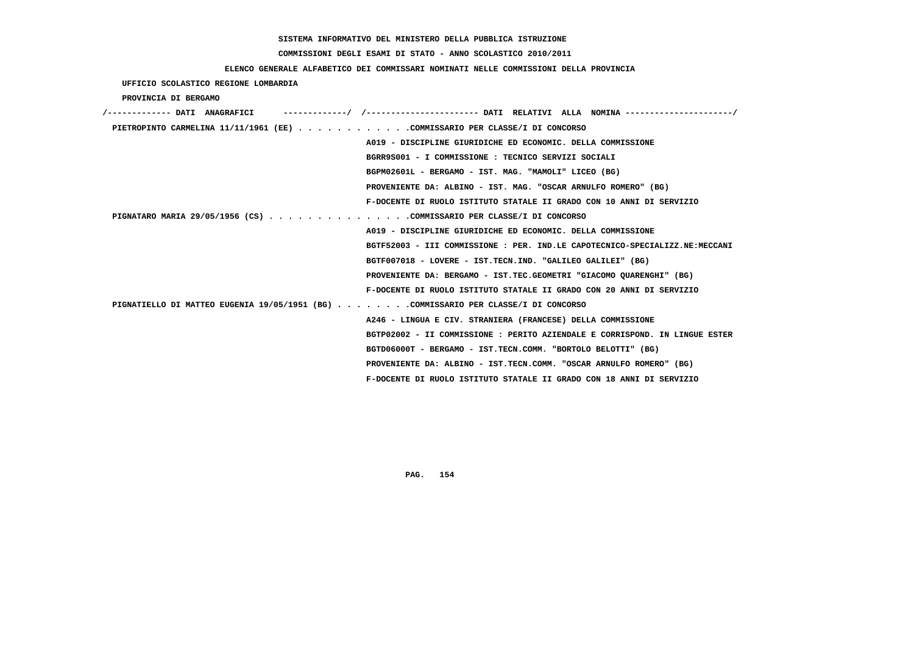# **COMMISSIONI DEGLI ESAMI DI STATO - ANNO SCOLASTICO 2010/2011**

### **ELENCO GENERALE ALFABETICO DEI COMMISSARI NOMINATI NELLE COMMISSIONI DELLA PROVINCIA**

 **UFFICIO SCOLASTICO REGIONE LOMBARDIA**

 **PROVINCIA DI BERGAMO**

| /------------- DATI ANAGRAFICI                                                     |                                                                             |
|------------------------------------------------------------------------------------|-----------------------------------------------------------------------------|
| PIETROPINTO CARMELINA 11/11/1961 (EE) COMMISSARIO PER CLASSE/I DI CONCORSO         |                                                                             |
|                                                                                    | A019 - DISCIPLINE GIURIDICHE ED ECONOMIC. DELLA COMMISSIONE                 |
|                                                                                    | BGRR9S001 - I COMMISSIONE : TECNICO SERVIZI SOCIALI                         |
|                                                                                    | BGPM02601L - BERGAMO - IST. MAG. "MAMOLI" LICEO (BG)                        |
|                                                                                    | PROVENIENTE DA: ALBINO - IST. MAG. "OSCAR ARNULFO ROMERO" (BG)              |
|                                                                                    | F-DOCENTE DI RUOLO ISTITUTO STATALE II GRADO CON 10 ANNI DI SERVIZIO        |
| PIGNATARO MARIA 29/05/1956 (CS) COMMISSARIO PER CLASSE/I DI CONCORSO               |                                                                             |
|                                                                                    | A019 - DISCIPLINE GIURIDICHE ED ECONOMIC. DELLA COMMISSIONE                 |
|                                                                                    | BGTF52003 - III COMMISSIONE : PER. IND.LE CAPOTECNICO-SPECIALIZZ.NE:MECCANI |
|                                                                                    | BGTF007018 - LOVERE - IST.TECN.IND. "GALILEO GALILEI" (BG)                  |
|                                                                                    | PROVENIENTE DA: BERGAMO - IST.TEC.GEOMETRI "GIACOMO OUARENGHI" (BG)         |
|                                                                                    | F-DOCENTE DI RUOLO ISTITUTO STATALE II GRADO CON 20 ANNI DI SERVIZIO        |
| PIGNATIELLO DI MATTEO EUGENIA 19/05/1951 (BG) COMMISSARIO PER CLASSE/I DI CONCORSO |                                                                             |
|                                                                                    | A246 - LINGUA E CIV. STRANIERA (FRANCESE) DELLA COMMISSIONE                 |
|                                                                                    | BGTP02002 - II COMMISSIONE : PERITO AZIENDALE E CORRISPOND. IN LINGUE ESTER |
|                                                                                    | BGTD06000T - BERGAMO - IST.TECN.COMM. "BORTOLO BELOTTI" (BG)                |
|                                                                                    | PROVENIENTE DA: ALBINO - IST.TECN.COMM. "OSCAR ARNULFO ROMERO" (BG)         |
|                                                                                    | F-DOCENTE DI RUOLO ISTITUTO STATALE II GRADO CON 18 ANNI DI SERVIZIO        |
|                                                                                    |                                                                             |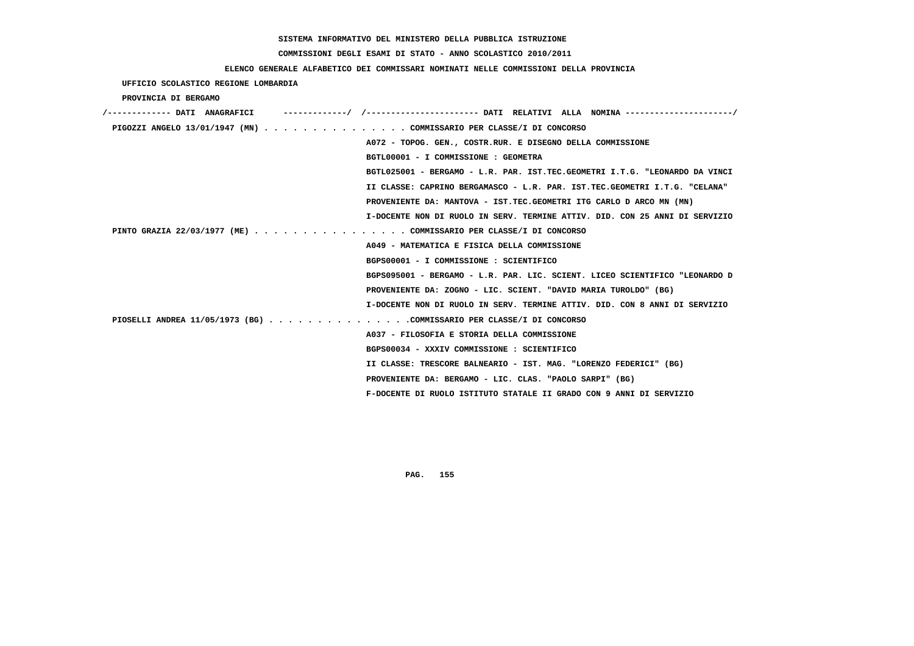# **COMMISSIONI DEGLI ESAMI DI STATO - ANNO SCOLASTICO 2010/2011**

### **ELENCO GENERALE ALFABETICO DEI COMMISSARI NOMINATI NELLE COMMISSIONI DELLA PROVINCIA**

| UFFICIO SCOLASTICO REGIONE LOMBARDIA                                 |                                                                             |
|----------------------------------------------------------------------|-----------------------------------------------------------------------------|
| PROVINCIA DI BERGAMO                                                 |                                                                             |
|                                                                      |                                                                             |
| PIGOZZI ANGELO 13/01/1947 (MN) COMMISSARIO PER CLASSE/I DI CONCORSO  |                                                                             |
|                                                                      | A072 - TOPOG. GEN., COSTR.RUR. E DISEGNO DELLA COMMISSIONE                  |
|                                                                      | BGTL00001 - I COMMISSIONE : GEOMETRA                                        |
|                                                                      | BGTL025001 - BERGAMO - L.R. PAR. IST.TEC.GEOMETRI I.T.G. "LEONARDO DA VINCI |
|                                                                      | II CLASSE: CAPRINO BERGAMASCO - L.R. PAR. IST.TEC.GEOMETRI I.T.G. "CELANA"  |
|                                                                      | PROVENIENTE DA: MANTOVA - IST.TEC.GEOMETRI ITG CARLO D ARCO MN (MN)         |
|                                                                      | I-DOCENTE NON DI RUOLO IN SERV. TERMINE ATTIV. DID. CON 25 ANNI DI SERVIZIO |
| PINTO GRAZIA 22/03/1977 (ME) COMMISSARIO PER CLASSE/I DI CONCORSO    |                                                                             |
|                                                                      | A049 - MATEMATICA E FISICA DELLA COMMISSIONE                                |
|                                                                      | BGPS00001 - I COMMISSIONE : SCIENTIFICO                                     |
|                                                                      | BGPS095001 - BERGAMO - L.R. PAR. LIC. SCIENT. LICEO SCIENTIFICO "LEONARDO D |
|                                                                      | PROVENIENTE DA: ZOGNO - LIC. SCIENT. "DAVID MARIA TUROLDO" (BG)             |
|                                                                      | I-DOCENTE NON DI RUOLO IN SERV. TERMINE ATTIV. DID. CON 8 ANNI DI SERVIZIO  |
| PIOSELLI ANDREA 11/05/1973 (BG) COMMISSARIO PER CLASSE/I DI CONCORSO |                                                                             |
|                                                                      | A037 - FILOSOFIA E STORIA DELLA COMMISSIONE                                 |
|                                                                      | BGPS00034 - XXXIV COMMISSIONE : SCIENTIFICO                                 |
|                                                                      | II CLASSE: TRESCORE BALNEARIO - IST. MAG. "LORENZO FEDERICI" (BG)           |
|                                                                      | PROVENIENTE DA: BERGAMO - LIC. CLAS. "PAOLO SARPI" (BG)                     |
|                                                                      | F-DOCENTE DI RUOLO ISTITUTO STATALE II GRADO CON 9 ANNI DI SERVIZIO         |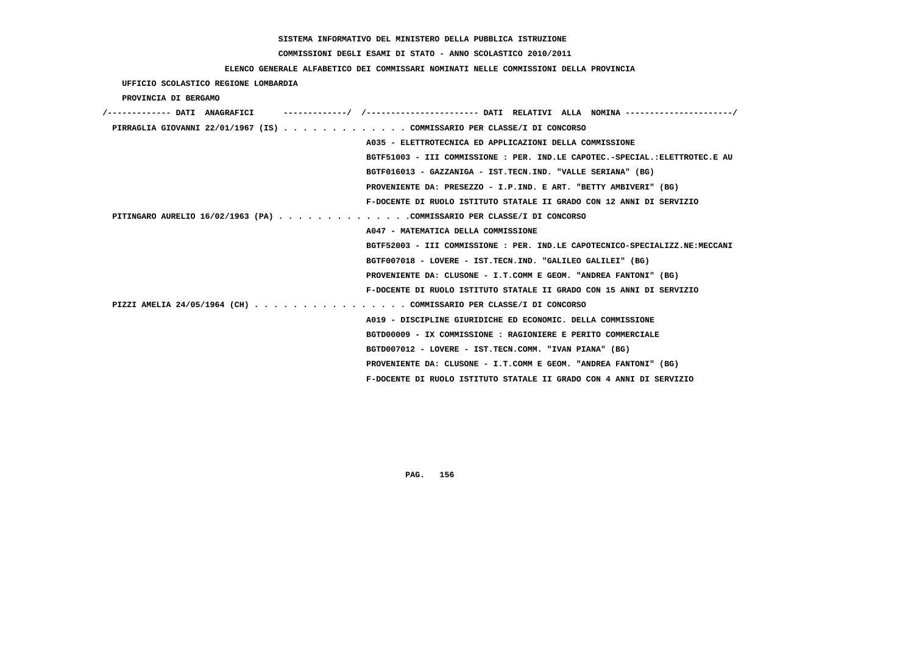# **COMMISSIONI DEGLI ESAMI DI STATO - ANNO SCOLASTICO 2010/2011**

### **ELENCO GENERALE ALFABETICO DEI COMMISSARI NOMINATI NELLE COMMISSIONI DELLA PROVINCIA**

 **UFFICIO SCOLASTICO REGIONE LOMBARDIA**

 **PROVINCIA DI BERGAMO**

| /------------- DATI ANAGRAFICI |                                                                             |
|--------------------------------|-----------------------------------------------------------------------------|
|                                | PIRRAGLIA GIOVANNI 22/01/1967 (IS) COMMISSARIO PER CLASSE/I DI CONCORSO     |
|                                | A035 - ELETTROTECNICA ED APPLICAZIONI DELLA COMMISSIONE                     |
|                                | BGTF51003 - III COMMISSIONE : PER. IND.LE CAPOTEC.-SPECIAL.:ELETTROTEC.E AU |
|                                | BGTF016013 - GAZZANIGA - IST.TECN.IND. "VALLE SERIANA" (BG)                 |
|                                | PROVENIENTE DA: PRESEZZO - I.P.IND. E ART. "BETTY AMBIVERI" (BG)            |
|                                | F-DOCENTE DI RUOLO ISTITUTO STATALE II GRADO CON 12 ANNI DI SERVIZIO        |
|                                | PITINGARO AURELIO 16/02/1963 (PA) COMMISSARIO PER CLASSE/I DI CONCORSO      |
|                                | A047 - MATEMATICA DELLA COMMISSIONE                                         |
|                                | BGTF52003 - III COMMISSIONE : PER. IND.LE CAPOTECNICO-SPECIALIZZ.NE:MECCANI |
|                                | BGTF007018 - LOVERE - IST.TECN.IND. "GALILEO GALILEI" (BG)                  |
|                                | PROVENIENTE DA: CLUSONE - I.T.COMM E GEOM. "ANDREA FANTONI" (BG)            |
|                                | F-DOCENTE DI RUOLO ISTITUTO STATALE II GRADO CON 15 ANNI DI SERVIZIO        |
|                                | PIZZI AMELIA 24/05/1964 (CH) COMMISSARIO PER CLASSE/I DI CONCORSO           |
|                                | A019 - DISCIPLINE GIURIDICHE ED ECONOMIC. DELLA COMMISSIONE                 |
|                                | BGTD00009 - IX COMMISSIONE : RAGIONIERE E PERITO COMMERCIALE                |
|                                | BGTD007012 - LOVERE - IST.TECN.COMM. "IVAN PIANA" (BG)                      |
|                                | PROVENIENTE DA: CLUSONE - I.T.COMM E GEOM. "ANDREA FANTONI" (BG)            |
|                                | F-DOCENTE DI RUOLO ISTITUTO STATALE II GRADO CON 4 ANNI DI SERVIZIO         |
|                                |                                                                             |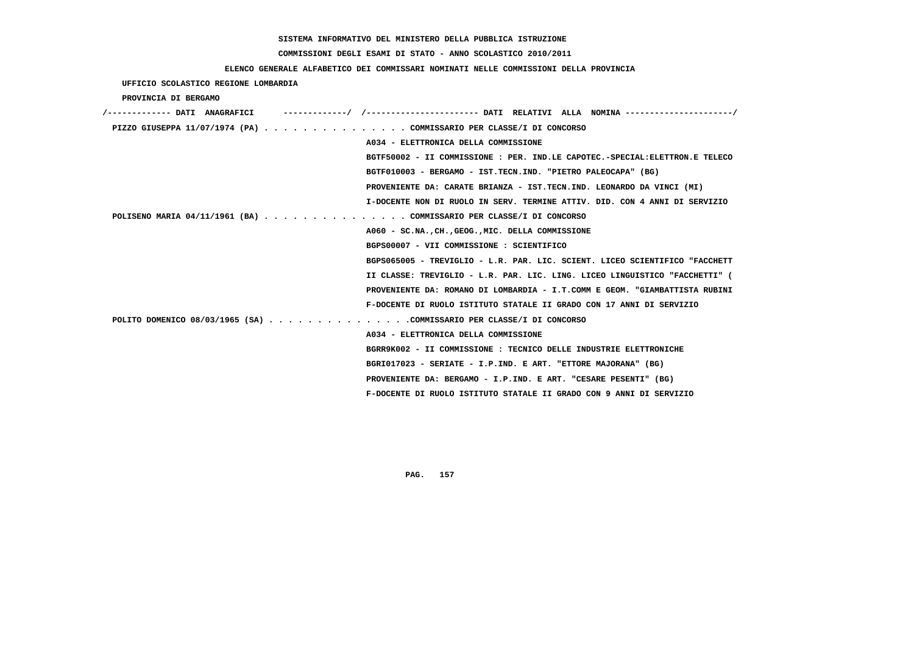# **COMMISSIONI DEGLI ESAMI DI STATO - ANNO SCOLASTICO 2010/2011**

### **ELENCO GENERALE ALFABETICO DEI COMMISSARI NOMINATI NELLE COMMISSIONI DELLA PROVINCIA**

 **UFFICIO SCOLASTICO REGIONE LOMBARDIA**

 **PROVINCIA DI BERGAMO**

| /------------- DATI ANAGRAFICI                                       | -/ /----------------------- DATI RELATIVI ALLA NOMINA ----------------------/ |
|----------------------------------------------------------------------|-------------------------------------------------------------------------------|
| PIZZO GIUSEPPA 11/07/1974 (PA) COMMISSARIO PER CLASSE/I DI CONCORSO  |                                                                               |
|                                                                      | A034 - ELETTRONICA DELLA COMMISSIONE                                          |
|                                                                      | BGTF50002 - II COMMISSIONE : PER. IND.LE CAPOTEC.-SPECIAL:ELETTRON.E TELECO   |
|                                                                      | BGTF010003 - BERGAMO - IST.TECN.IND. "PIETRO PALEOCAPA" (BG)                  |
|                                                                      | PROVENIENTE DA: CARATE BRIANZA - IST.TECN.IND. LEONARDO DA VINCI (MI)         |
|                                                                      | I-DOCENTE NON DI RUOLO IN SERV. TERMINE ATTIV. DID. CON 4 ANNI DI SERVIZIO    |
| POLISENO MARIA 04/11/1961 (BA) COMMISSARIO PER CLASSE/I DI CONCORSO  |                                                                               |
|                                                                      | A060 - SC.NA., CH., GEOG., MIC. DELLA COMMISSIONE                             |
|                                                                      | BGPS00007 - VII COMMISSIONE : SCIENTIFICO                                     |
|                                                                      | BGPS065005 - TREVIGLIO - L.R. PAR. LIC. SCIENT. LICEO SCIENTIFICO "FACCHETT   |
|                                                                      | II CLASSE: TREVIGLIO - L.R. PAR. LIC. LING. LICEO LINGUISTICO "FACCHETTI" (   |
|                                                                      | PROVENIENTE DA: ROMANO DI LOMBARDIA - I.T.COMM E GEOM. "GIAMBATTISTA RUBINI   |
|                                                                      | F-DOCENTE DI RUOLO ISTITUTO STATALE II GRADO CON 17 ANNI DI SERVIZIO          |
| POLITO DOMENICO 08/03/1965 (SA) COMMISSARIO PER CLASSE/I DI CONCORSO |                                                                               |
|                                                                      | A034 - ELETTRONICA DELLA COMMISSIONE                                          |
|                                                                      | BGRR9K002 - II COMMISSIONE : TECNICO DELLE INDUSTRIE ELETTRONICHE             |
|                                                                      | BGRI017023 - SERIATE - I.P.IND. E ART. "ETTORE MAJORANA" (BG)                 |
|                                                                      | PROVENIENTE DA: BERGAMO - I.P.IND. E ART. "CESARE PESENTI" (BG)               |
|                                                                      | F-DOCENTE DI RUOLO ISTITUTO STATALE II GRADO CON 9 ANNI DI SERVIZIO           |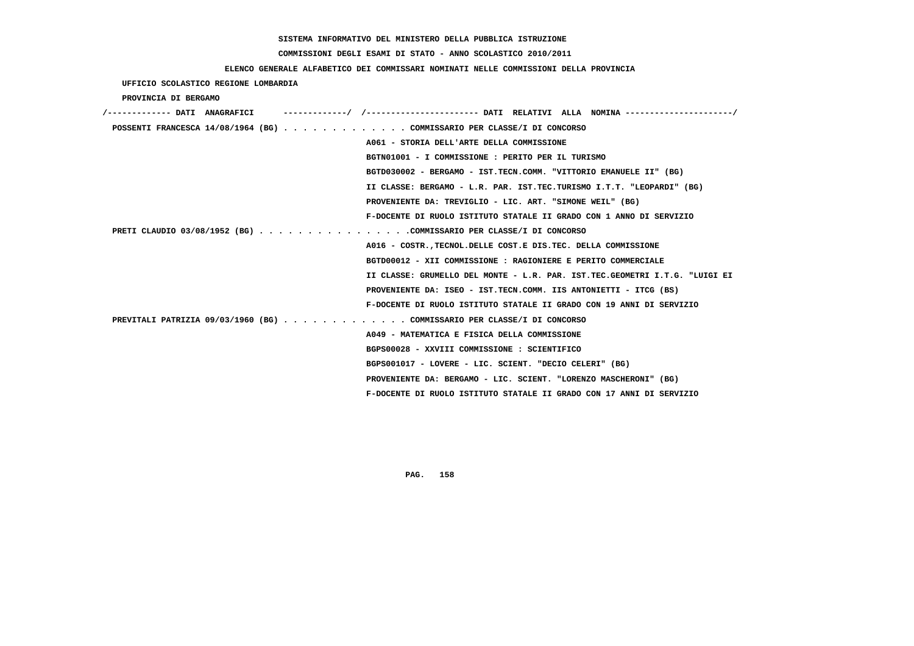#### **COMMISSIONI DEGLI ESAMI DI STATO - ANNO SCOLASTICO 2010/2011**

#### **ELENCO GENERALE ALFABETICO DEI COMMISSARI NOMINATI NELLE COMMISSIONI DELLA PROVINCIA**

# **UFFICIO SCOLASTICO REGIONE LOMBARDIA PROVINCIA DI BERGAMO /------------- DATI ANAGRAFICI -------------/ /----------------------- DATI RELATIVI ALLA NOMINA ----------------------/ POSSENTI FRANCESCA 14/08/1964 (BG) . . . . . . . . . . . . . COMMISSARIO PER CLASSE/I DI CONCORSO**

 **A061 - STORIA DELL'ARTE DELLA COMMISSIONE**

 **BGTN01001 - I COMMISSIONE : PERITO PER IL TURISMO**

 **BGTD030002 - BERGAMO - IST.TECN.COMM. "VITTORIO EMANUELE II" (BG)**

 **II CLASSE: BERGAMO - L.R. PAR. IST.TEC.TURISMO I.T.T. "LEOPARDI" (BG)**

 **PROVENIENTE DA: TREVIGLIO - LIC. ART. "SIMONE WEIL" (BG)**

 **F-DOCENTE DI RUOLO ISTITUTO STATALE II GRADO CON 1 ANNO DI SERVIZIO**

 **PRETI CLAUDIO 03/08/1952 (BG) . . . . . . . . . . . . . . . .COMMISSARIO PER CLASSE/I DI CONCORSO**

 **A016 - COSTR.,TECNOL.DELLE COST.E DIS.TEC. DELLA COMMISSIONE BGTD00012 - XII COMMISSIONE : RAGIONIERE E PERITO COMMERCIALE II CLASSE: GRUMELLO DEL MONTE - L.R. PAR. IST.TEC.GEOMETRI I.T.G. "LUIGI EI PROVENIENTE DA: ISEO - IST.TECN.COMM. IIS ANTONIETTI - ITCG (BS) F-DOCENTE DI RUOLO ISTITUTO STATALE II GRADO CON 19 ANNI DI SERVIZIO PREVITALI PATRIZIA 09/03/1960 (BG) . . . . . . . . . . . . . COMMISSARIO PER CLASSE/I DI CONCORSO A049 - MATEMATICA E FISICA DELLA COMMISSIONE BGPS00028 - XXVIII COMMISSIONE : SCIENTIFICO**

 **BGPS001017 - LOVERE - LIC. SCIENT. "DECIO CELERI" (BG)**

 **PROVENIENTE DA: BERGAMO - LIC. SCIENT. "LORENZO MASCHERONI" (BG)**

 **F-DOCENTE DI RUOLO ISTITUTO STATALE II GRADO CON 17 ANNI DI SERVIZIO**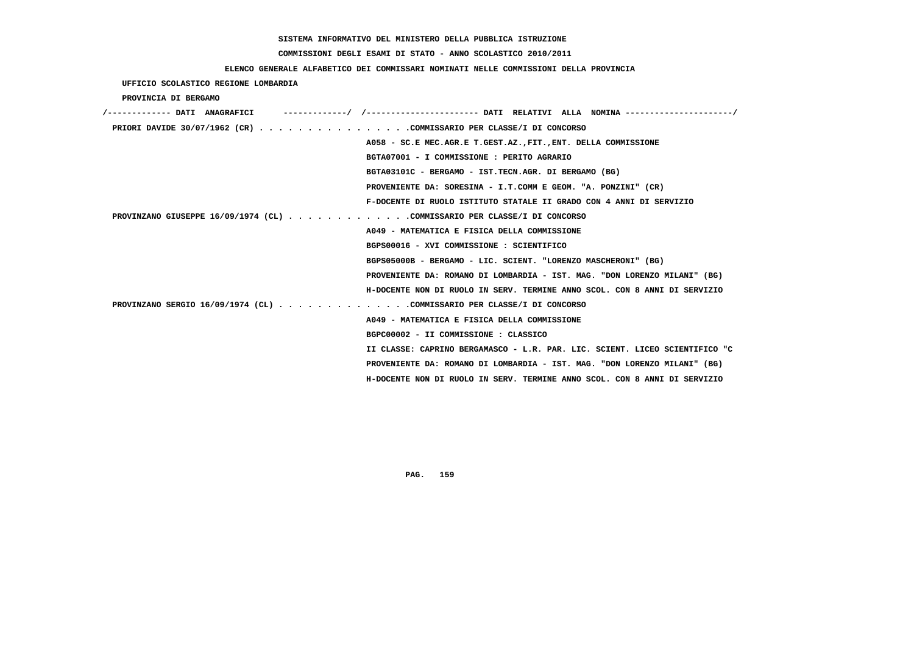# **COMMISSIONI DEGLI ESAMI DI STATO - ANNO SCOLASTICO 2010/2011**

### **ELENCO GENERALE ALFABETICO DEI COMMISSARI NOMINATI NELLE COMMISSIONI DELLA PROVINCIA**

 **UFFICIO SCOLASTICO REGIONE LOMBARDIA**

 **PROVINCIA DI BERGAMO**

| /------------- DATI ANAGRAFICI                                              |
|-----------------------------------------------------------------------------|
| PRIORI DAVIDE 30/07/1962 (CR) COMMISSARIO PER CLASSE/I DI CONCORSO          |
| A058 - SC.E MEC.AGR.E T.GEST.AZ., FIT., ENT. DELLA COMMISSIONE              |
| BGTA07001 - I COMMISSIONE : PERITO AGRARIO                                  |
| BGTA03101C - BERGAMO - IST.TECN.AGR. DI BERGAMO (BG)                        |
| PROVENIENTE DA: SORESINA - I.T.COMM E GEOM. "A. PONZINI" (CR)               |
| F-DOCENTE DI RUOLO ISTITUTO STATALE II GRADO CON 4 ANNI DI SERVIZIO         |
| PROVINZANO GIUSEPPE 16/09/1974 (CL) COMMISSARIO PER CLASSE/I DI CONCORSO    |
| A049 - MATEMATICA E FISICA DELLA COMMISSIONE                                |
| BGPS00016 - XVI COMMISSIONE : SCIENTIFICO                                   |
| BGPS05000B - BERGAMO - LIC. SCIENT. "LORENZO MASCHERONI" (BG)               |
| PROVENIENTE DA: ROMANO DI LOMBARDIA - IST. MAG. "DON LORENZO MILANI" (BG)   |
| H-DOCENTE NON DI RUOLO IN SERV. TERMINE ANNO SCOL. CON 8 ANNI DI SERVIZIO   |
| PROVINZANO SERGIO 16/09/1974 (CL) COMMISSARIO PER CLASSE/I DI CONCORSO      |
| A049 - MATEMATICA E FISICA DELLA COMMISSIONE                                |
| BGPC00002 - II COMMISSIONE : CLASSICO                                       |
| II CLASSE: CAPRINO BERGAMASCO - L.R. PAR. LIC. SCIENT. LICEO SCIENTIFICO "C |
| PROVENIENTE DA: ROMANO DI LOMBARDIA - IST. MAG. "DON LORENZO MILANI" (BG)   |
| H-DOCENTE NON DI RUOLO IN SERV. TERMINE ANNO SCOL. CON 8 ANNI DI SERVIZIO   |
|                                                                             |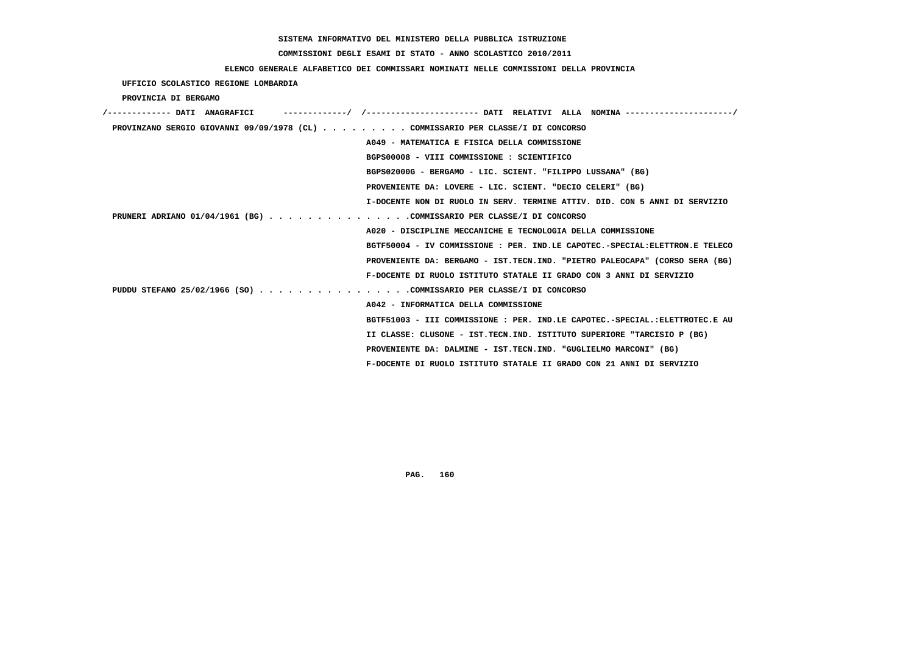# **COMMISSIONI DEGLI ESAMI DI STATO - ANNO SCOLASTICO 2010/2011**

### **ELENCO GENERALE ALFABETICO DEI COMMISSARI NOMINATI NELLE COMMISSIONI DELLA PROVINCIA**

 **UFFICIO SCOLASTICO REGIONE LOMBARDIA**

 **PROVINCIA DI BERGAMO**

| /------------- DATI ANAGRAFICI                                                  |                                                                             |
|---------------------------------------------------------------------------------|-----------------------------------------------------------------------------|
| PROVINZANO SERGIO GIOVANNI 09/09/1978 (CL) COMMISSARIO PER CLASSE/I DI CONCORSO |                                                                             |
|                                                                                 | A049 - MATEMATICA E FISICA DELLA COMMISSIONE                                |
|                                                                                 | BGPS00008 - VIII COMMISSIONE : SCIENTIFICO                                  |
|                                                                                 | BGPS02000G - BERGAMO - LIC. SCIENT. "FILIPPO LUSSANA" (BG)                  |
|                                                                                 | PROVENIENTE DA: LOVERE - LIC. SCIENT. "DECIO CELERI" (BG)                   |
|                                                                                 | I-DOCENTE NON DI RUOLO IN SERV. TERMINE ATTIV. DID. CON 5 ANNI DI SERVIZIO  |
| PRUNERI ADRIANO 01/04/1961 (BG) COMMISSARIO PER CLASSE/I DI CONCORSO            |                                                                             |
|                                                                                 | A020 - DISCIPLINE MECCANICHE E TECNOLOGIA DELLA COMMISSIONE                 |
|                                                                                 | BGTF50004 - IV COMMISSIONE : PER. IND.LE CAPOTEC.-SPECIAL:ELETTRON.E TELECO |
|                                                                                 | PROVENIENTE DA: BERGAMO - IST.TECN.IND. "PIETRO PALEOCAPA" (CORSO SERA (BG) |
|                                                                                 | F-DOCENTE DI RUOLO ISTITUTO STATALE II GRADO CON 3 ANNI DI SERVIZIO         |
| PUDDU STEFANO 25/02/1966 (SO) COMMISSARIO PER CLASSE/I DI CONCORSO              |                                                                             |
|                                                                                 | A042 - INFORMATICA DELLA COMMISSIONE                                        |
|                                                                                 | BGTF51003 - III COMMISSIONE : PER. IND.LE CAPOTEC.-SPECIAL.:ELETTROTEC.E AU |
|                                                                                 | II CLASSE: CLUSONE - IST.TECN.IND. ISTITUTO SUPERIORE "TARCISIO P (BG)      |
|                                                                                 | PROVENIENTE DA: DALMINE - IST.TECN.IND. "GUGLIELMO MARCONI" (BG)            |
|                                                                                 | F-DOCENTE DI RUOLO ISTITUTO STATALE II GRADO CON 21 ANNI DI SERVIZIO        |
|                                                                                 |                                                                             |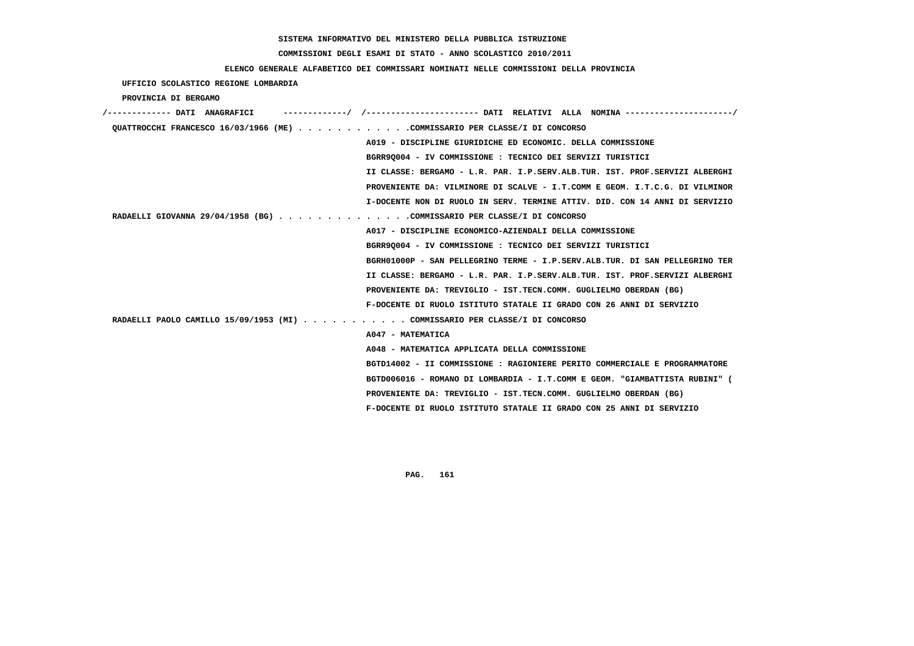#### **COMMISSIONI DEGLI ESAMI DI STATO - ANNO SCOLASTICO 2010/2011**

#### **ELENCO GENERALE ALFABETICO DEI COMMISSARI NOMINATI NELLE COMMISSIONI DELLA PROVINCIA**

 **UFFICIO SCOLASTICO REGIONE LOMBARDIA PROVINCIA DI BERGAMO /------------- DATI ANAGRAFICI -------------/ /----------------------- DATI RELATIVI ALLA NOMINA ----------------------/ QUATTROCCHI FRANCESCO 16/03/1966 (ME) . . . . . . . . . . . .COMMISSARIO PER CLASSE/I DI CONCORSO A019 - DISCIPLINE GIURIDICHE ED ECONOMIC. DELLA COMMISSIONE BGRR9Q004 - IV COMMISSIONE : TECNICO DEI SERVIZI TURISTICI II CLASSE: BERGAMO - L.R. PAR. I.P.SERV.ALB.TUR. IST. PROF.SERVIZI ALBERGHI PROVENIENTE DA: VILMINORE DI SCALVE - I.T.COMM E GEOM. I.T.C.G. DI VILMINOR I-DOCENTE NON DI RUOLO IN SERV. TERMINE ATTIV. DID. CON 14 ANNI DI SERVIZIO RADAELLI GIOVANNA 29/04/1958 (BG) . . . . . . . . . . . . . .COMMISSARIO PER CLASSE/I DI CONCORSO A017 - DISCIPLINE ECONOMICO-AZIENDALI DELLA COMMISSIONE BGRR9Q004 - IV COMMISSIONE : TECNICO DEI SERVIZI TURISTICI BGRH01000P - SAN PELLEGRINO TERME - I.P.SERV.ALB.TUR. DI SAN PELLEGRINO TER II CLASSE: BERGAMO - L.R. PAR. I.P.SERV.ALB.TUR. IST. PROF.SERVIZI ALBERGHI PROVENIENTE DA: TREVIGLIO - IST.TECN.COMM. GUGLIELMO OBERDAN (BG) F-DOCENTE DI RUOLO ISTITUTO STATALE II GRADO CON 26 ANNI DI SERVIZIO RADAELLI PAOLO CAMILLO 15/09/1953 (MI) . . . . . . . . . . . COMMISSARIO PER CLASSE/I DI CONCORSO A047 - MATEMATICA A048 - MATEMATICA APPLICATA DELLA COMMISSIONE BGTD14002 - II COMMISSIONE : RAGIONIERE PERITO COMMERCIALE E PROGRAMMATORE BGTD006016 - ROMANO DI LOMBARDIA - I.T.COMM E GEOM. "GIAMBATTISTA RUBINI" ( PROVENIENTE DA: TREVIGLIO - IST.TECN.COMM. GUGLIELMO OBERDAN (BG) F-DOCENTE DI RUOLO ISTITUTO STATALE II GRADO CON 25 ANNI DI SERVIZIO**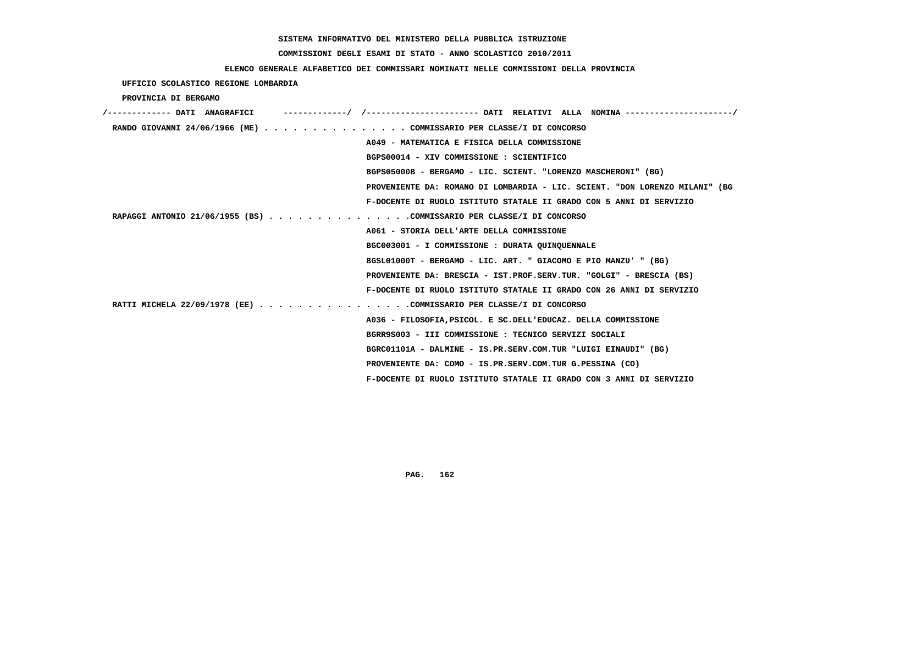# **COMMISSIONI DEGLI ESAMI DI STATO - ANNO SCOLASTICO 2010/2011**

### **ELENCO GENERALE ALFABETICO DEI COMMISSARI NOMINATI NELLE COMMISSIONI DELLA PROVINCIA**

 **UFFICIO SCOLASTICO REGIONE LOMBARDIA**

 **PROVINCIA DI BERGAMO**

| /------------- DATI ANAGRAFICI |                                                                             |
|--------------------------------|-----------------------------------------------------------------------------|
|                                | RANDO GIOVANNI 24/06/1966 (ME) COMMISSARIO PER CLASSE/I DI CONCORSO         |
|                                | A049 - MATEMATICA E FISICA DELLA COMMISSIONE                                |
|                                | BGPS00014 - XIV COMMISSIONE : SCIENTIFICO                                   |
|                                | BGPS05000B - BERGAMO - LIC. SCIENT. "LORENZO MASCHERONI" (BG)               |
|                                | PROVENIENTE DA: ROMANO DI LOMBARDIA - LIC. SCIENT. "DON LORENZO MILANI" (BG |
|                                | F-DOCENTE DI RUOLO ISTITUTO STATALE II GRADO CON 5 ANNI DI SERVIZIO         |
|                                | RAPAGGI ANTONIO 21/06/1955 (BS) COMMISSARIO PER CLASSE/I DI CONCORSO        |
|                                | A061 - STORIA DELL'ARTE DELLA COMMISSIONE                                   |
|                                | BGC003001 - I COMMISSIONE : DURATA QUINQUENNALE                             |
|                                | BGSL01000T - BERGAMO - LIC. ART. " GIACOMO E PIO MANZU' " (BG)              |
|                                | PROVENIENTE DA: BRESCIA - IST.PROF.SERV.TUR. "GOLGI" - BRESCIA (BS)         |
|                                | F-DOCENTE DI RUOLO ISTITUTO STATALE II GRADO CON 26 ANNI DI SERVIZIO        |
|                                | RATTI MICHELA 22/09/1978 (EE) COMMISSARIO PER CLASSE/I DI CONCORSO          |
|                                | A036 - FILOSOFIA, PSICOL. E SC. DELL'EDUCAZ. DELLA COMMISSIONE              |
|                                | BGRR9S003 - III COMMISSIONE : TECNICO SERVIZI SOCIALI                       |
|                                | BGRC01101A - DALMINE - IS.PR.SERV.COM.TUR "LUIGI EINAUDI" (BG)              |
|                                | PROVENIENTE DA: COMO - IS.PR.SERV.COM.TUR G.PESSINA (CO)                    |
|                                | F-DOCENTE DI RUOLO ISTITUTO STATALE II GRADO CON 3 ANNI DI SERVIZIO         |
|                                |                                                                             |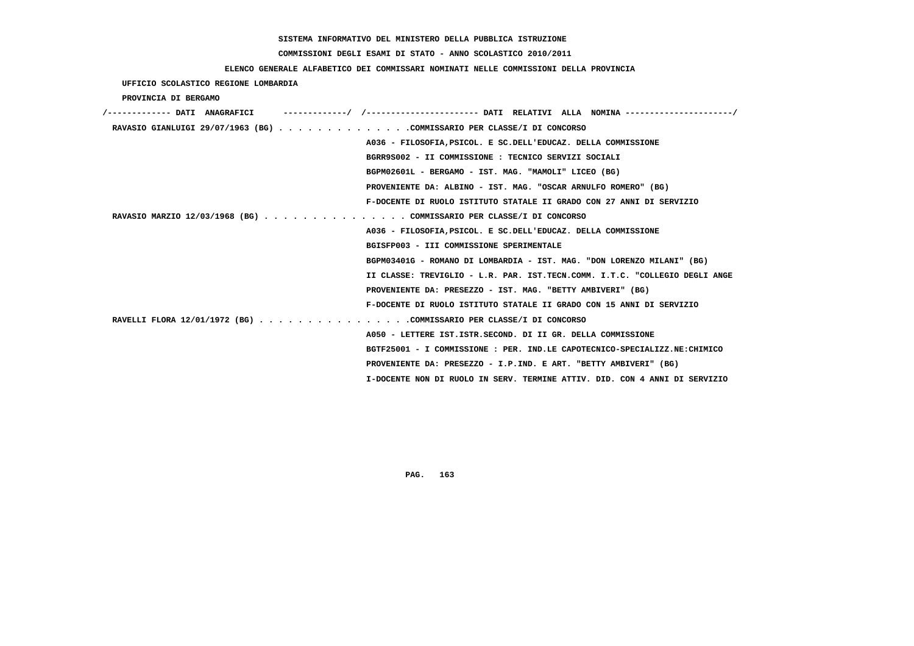# **COMMISSIONI DEGLI ESAMI DI STATO - ANNO SCOLASTICO 2010/2011**

### **ELENCO GENERALE ALFABETICO DEI COMMISSARI NOMINATI NELLE COMMISSIONI DELLA PROVINCIA**

### **UFFICIO SCOLASTICO REGIONE LOMBARDIA**

### **PROVINCIA DI BERGAMO**

| /------------- DATI ANAGRAFICI                                         | ---------/ /--------------------- DATI RELATIVI ALLA NOMINA---------------------/ |
|------------------------------------------------------------------------|-----------------------------------------------------------------------------------|
| RAVASIO GIANLUIGI 29/07/1963 (BG) COMMISSARIO PER CLASSE/I DI CONCORSO |                                                                                   |
|                                                                        | A036 - FILOSOFIA, PSICOL. E SC. DELL'EDUCAZ. DELLA COMMISSIONE                    |
|                                                                        | BGRR9S002 - II COMMISSIONE : TECNICO SERVIZI SOCIALI                              |
|                                                                        | BGPM02601L - BERGAMO - IST. MAG. "MAMOLI" LICEO (BG)                              |
|                                                                        | PROVENIENTE DA: ALBINO - IST. MAG. "OSCAR ARNULFO ROMERO" (BG)                    |
|                                                                        | F-DOCENTE DI RUOLO ISTITUTO STATALE II GRADO CON 27 ANNI DI SERVIZIO              |
| RAVASIO MARZIO 12/03/1968 (BG) COMMISSARIO PER CLASSE/I DI CONCORSO    |                                                                                   |
|                                                                        | A036 - FILOSOFIA, PSICOL, E SC. DELL'EDUCAZ, DELLA COMMISSIONE                    |
|                                                                        | BGISFP003 - III COMMISSIONE SPERIMENTALE                                          |
|                                                                        | BGPM03401G - ROMANO DI LOMBARDIA - IST. MAG. "DON LORENZO MILANI" (BG)            |
|                                                                        | II CLASSE: TREVIGLIO - L.R. PAR. IST.TECN.COMM. I.T.C. "COLLEGIO DEGLI ANGE       |
|                                                                        | PROVENIENTE DA: PRESEZZO - IST. MAG. "BETTY AMBIVERI" (BG)                        |
|                                                                        | F-DOCENTE DI RUOLO ISTITUTO STATALE II GRADO CON 15 ANNI DI SERVIZIO              |
| RAVELLI FLORA 12/01/1972 (BG) COMMISSARIO PER CLASSE/I DI CONCORSO     |                                                                                   |
|                                                                        | A050 - LETTERE IST. ISTR. SECOND. DI II GR. DELLA COMMISSIONE                     |
|                                                                        | BGTF25001 - I COMMISSIONE : PER. IND.LE CAPOTECNICO-SPECIALIZZ.NE:CHIMICO         |
|                                                                        | PROVENIENTE DA: PRESEZZO - I.P.IND. E ART. "BETTY AMBIVERI" (BG)                  |
|                                                                        | I-DOCENTE NON DI RUOLO IN SERV. TERMINE ATTIV. DID. CON 4 ANNI DI SERVIZIO        |
|                                                                        |                                                                                   |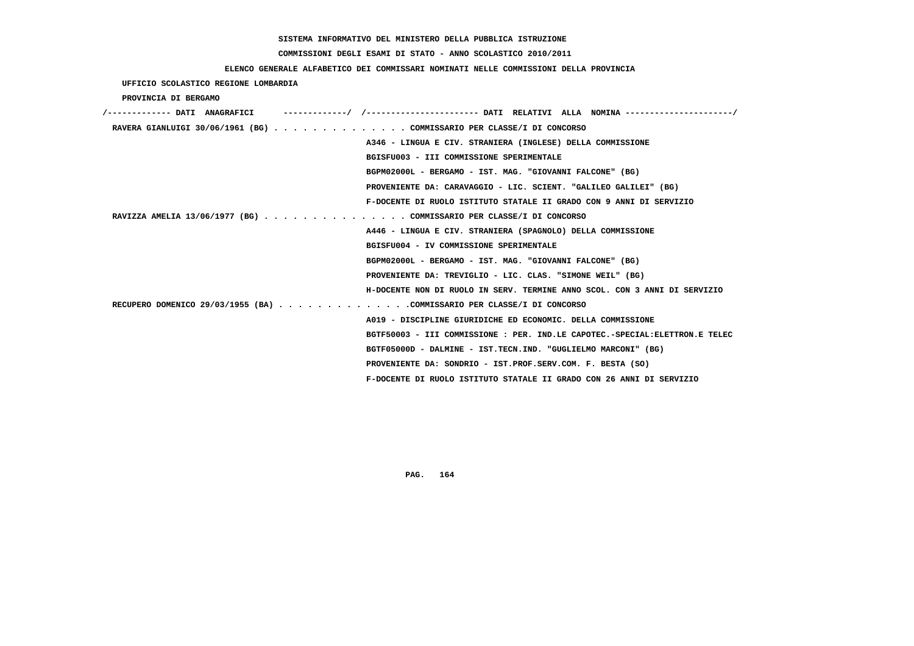# **COMMISSIONI DEGLI ESAMI DI STATO - ANNO SCOLASTICO 2010/2011**

### **ELENCO GENERALE ALFABETICO DEI COMMISSARI NOMINATI NELLE COMMISSIONI DELLA PROVINCIA**

 **UFFICIO SCOLASTICO REGIONE LOMBARDIA**

 **PROVINCIA DI BERGAMO**

| /------------- DATI ANAGRAFICI |                                                                             |
|--------------------------------|-----------------------------------------------------------------------------|
|                                | RAVERA GIANLUIGI 30/06/1961 (BG) COMMISSARIO PER CLASSE/I DI CONCORSO       |
|                                | A346 - LINGUA E CIV. STRANIERA (INGLESE) DELLA COMMISSIONE                  |
|                                | BGISFU003 - III COMMISSIONE SPERIMENTALE                                    |
|                                | BGPM02000L - BERGAMO - IST. MAG. "GIOVANNI FALCONE" (BG)                    |
|                                | PROVENIENTE DA: CARAVAGGIO - LIC. SCIENT. "GALILEO GALILEI" (BG)            |
|                                | F-DOCENTE DI RUOLO ISTITUTO STATALE II GRADO CON 9 ANNI DI SERVIZIO         |
|                                | RAVIZZA AMELIA 13/06/1977 (BG) COMMISSARIO PER CLASSE/I DI CONCORSO         |
|                                | A446 - LINGUA E CIV. STRANIERA (SPAGNOLO) DELLA COMMISSIONE                 |
|                                | BGISFU004 - IV COMMISSIONE SPERIMENTALE                                     |
|                                | BGPM02000L - BERGAMO - IST. MAG. "GIOVANNI FALCONE" (BG)                    |
|                                | PROVENIENTE DA: TREVIGLIO - LIC. CLAS. "SIMONE WEIL" (BG)                   |
|                                | H-DOCENTE NON DI RUOLO IN SERV. TERMINE ANNO SCOL. CON 3 ANNI DI SERVIZIO   |
|                                | RECUPERO DOMENICO 29/03/1955 (BA) COMMISSARIO PER CLASSE/I DI CONCORSO      |
|                                | A019 - DISCIPLINE GIURIDICHE ED ECONOMIC. DELLA COMMISSIONE                 |
|                                | BGTF50003 - III COMMISSIONE : PER. IND.LE CAPOTEC.-SPECIAL:ELETTRON.E TELEC |
|                                | BGTF05000D - DALMINE - IST.TECN.IND. "GUGLIELMO MARCONI" (BG)               |
|                                | PROVENIENTE DA: SONDRIO - IST.PROF.SERV.COM. F. BESTA (SO)                  |
|                                | F-DOCENTE DI RUOLO ISTITUTO STATALE II GRADO CON 26 ANNI DI SERVIZIO        |
|                                |                                                                             |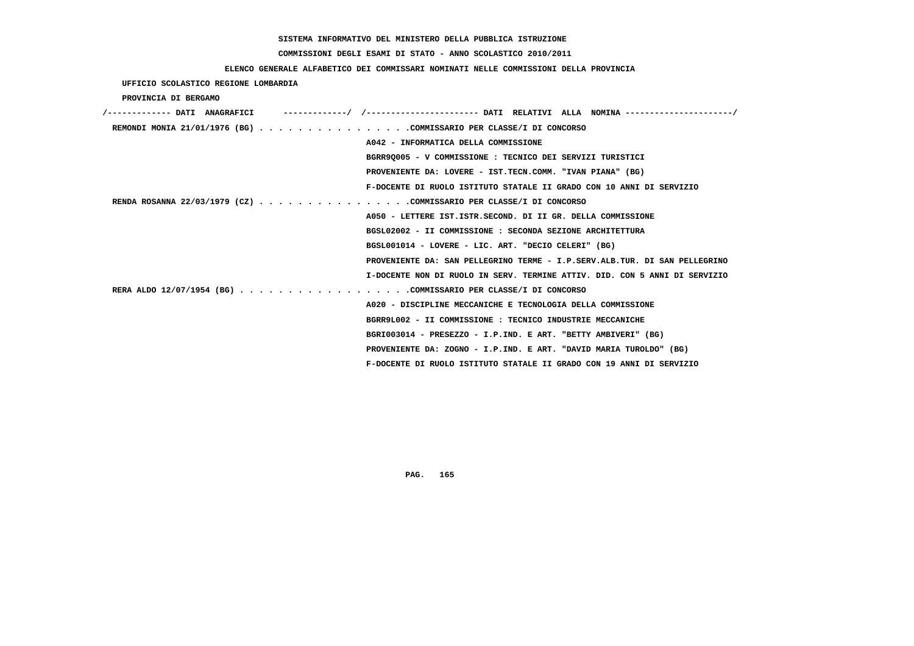# **COMMISSIONI DEGLI ESAMI DI STATO - ANNO SCOLASTICO 2010/2011**

### **ELENCO GENERALE ALFABETICO DEI COMMISSARI NOMINATI NELLE COMMISSIONI DELLA PROVINCIA**

 **UFFICIO SCOLASTICO REGIONE LOMBARDIA**

 **PROVINCIA DI BERGAMO**

| /------------- DATI ANAGRAFICI | -------------/ /--------------------- DATI RELATIVI ALLA NOMINA--------------------/ |
|--------------------------------|--------------------------------------------------------------------------------------|
|                                | REMONDI MONIA 21/01/1976 (BG) COMMISSARIO PER CLASSE/I DI CONCORSO                   |
|                                | A042 - INFORMATICA DELLA COMMISSIONE                                                 |
|                                | BGRR90005 - V COMMISSIONE : TECNICO DEI SERVIZI TURISTICI                            |
|                                | PROVENIENTE DA: LOVERE - IST.TECN.COMM. "IVAN PIANA" (BG)                            |
|                                | F-DOCENTE DI RUOLO ISTITUTO STATALE II GRADO CON 10 ANNI DI SERVIZIO                 |
|                                | RENDA ROSANNA 22/03/1979 (CZ) COMMISSARIO PER CLASSE/I DI CONCORSO                   |
|                                | A050 - LETTERE IST.ISTR.SECOND. DI II GR. DELLA COMMISSIONE                          |
|                                | BGSL02002 - II COMMISSIONE : SECONDA SEZIONE ARCHITETTURA                            |
|                                | BGSL001014 - LOVERE - LIC. ART. "DECIO CELERI" (BG)                                  |
|                                | PROVENIENTE DA: SAN PELLEGRINO TERME - I.P.SERV.ALB.TUR. DI SAN PELLEGRINO           |
|                                | I-DOCENTE NON DI RUOLO IN SERV. TERMINE ATTIV. DID. CON 5 ANNI DI SERVIZIO           |
|                                | RERA ALDO 12/07/1954 (BG) COMMISSARIO PER CLASSE/I DI CONCORSO                       |
|                                | A020 - DISCIPLINE MECCANICHE E TECNOLOGIA DELLA COMMISSIONE                          |
|                                | BGRR9L002 - II COMMISSIONE : TECNICO INDUSTRIE MECCANICHE                            |
|                                | BGRI003014 - PRESEZZO - I.P.IND. E ART. "BETTY AMBIVERI" (BG)                        |
|                                | PROVENIENTE DA: ZOGNO - I.P.IND. E ART. "DAVID MARIA TUROLDO" (BG)                   |
|                                | F-DOCENTE DI RUOLO ISTITUTO STATALE II GRADO CON 19 ANNI DI SERVIZIO                 |
|                                |                                                                                      |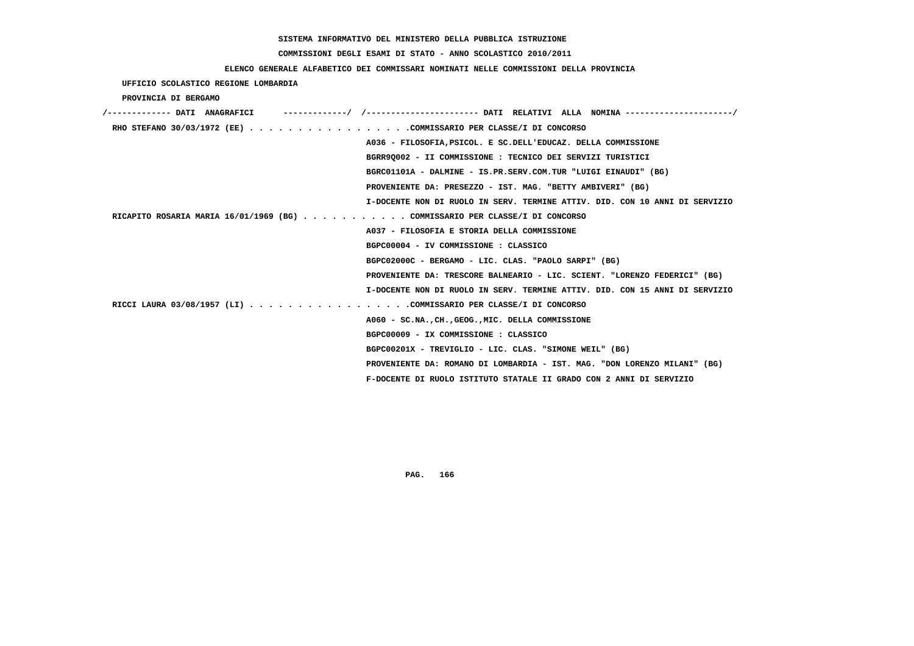# **COMMISSIONI DEGLI ESAMI DI STATO - ANNO SCOLASTICO 2010/2011**

### **ELENCO GENERALE ALFABETICO DEI COMMISSARI NOMINATI NELLE COMMISSIONI DELLA PROVINCIA**

 **UFFICIO SCOLASTICO REGIONE LOMBARDIA**

 **PROVINCIA DI BERGAMO**

| /------------- DATI ANAGRAFICI                                              |                                                                             |
|-----------------------------------------------------------------------------|-----------------------------------------------------------------------------|
| RHO STEFANO 30/03/1972 (EE) COMMISSARIO PER CLASSE/I DI CONCORSO            |                                                                             |
|                                                                             | A036 - FILOSOFIA, PSICOL. E SC. DELL'EDUCAZ. DELLA COMMISSIONE              |
|                                                                             | BGRR90002 - II COMMISSIONE : TECNICO DEI SERVIZI TURISTICI                  |
|                                                                             | BGRC01101A - DALMINE - IS.PR.SERV.COM.TUR "LUIGI EINAUDI" (BG)              |
|                                                                             | PROVENIENTE DA: PRESEZZO - IST. MAG. "BETTY AMBIVERI" (BG)                  |
|                                                                             | I-DOCENTE NON DI RUOLO IN SERV. TERMINE ATTIV. DID. CON 10 ANNI DI SERVIZIO |
| RICAPITO ROSARIA MARIA 16/01/1969 (BG) COMMISSARIO PER CLASSE/I DI CONCORSO |                                                                             |
|                                                                             | A037 - FILOSOFIA E STORIA DELLA COMMISSIONE                                 |
|                                                                             | BGPC00004 - IV COMMISSIONE : CLASSICO                                       |
|                                                                             | BGPC02000C - BERGAMO - LIC. CLAS. "PAOLO SARPI" (BG)                        |
|                                                                             | PROVENIENTE DA: TRESCORE BALNEARIO - LIC. SCIENT. "LORENZO FEDERICI" (BG)   |
|                                                                             | I-DOCENTE NON DI RUOLO IN SERV. TERMINE ATTIV. DID. CON 15 ANNI DI SERVIZIO |
| RICCI LAURA 03/08/1957 (LI) COMMISSARIO PER CLASSE/I DI CONCORSO            |                                                                             |
|                                                                             | A060 - SC.NA., CH., GEOG., MIC. DELLA COMMISSIONE                           |
|                                                                             | BGPC00009 - IX COMMISSIONE : CLASSICO                                       |
|                                                                             | BGPC00201X - TREVIGLIO - LIC. CLAS. "SIMONE WEIL" (BG)                      |
|                                                                             | PROVENIENTE DA: ROMANO DI LOMBARDIA - IST. MAG. "DON LORENZO MILANI" (BG)   |
|                                                                             | F-DOCENTE DI RUOLO ISTITUTO STATALE II GRADO CON 2 ANNI DI SERVIZIO         |
|                                                                             |                                                                             |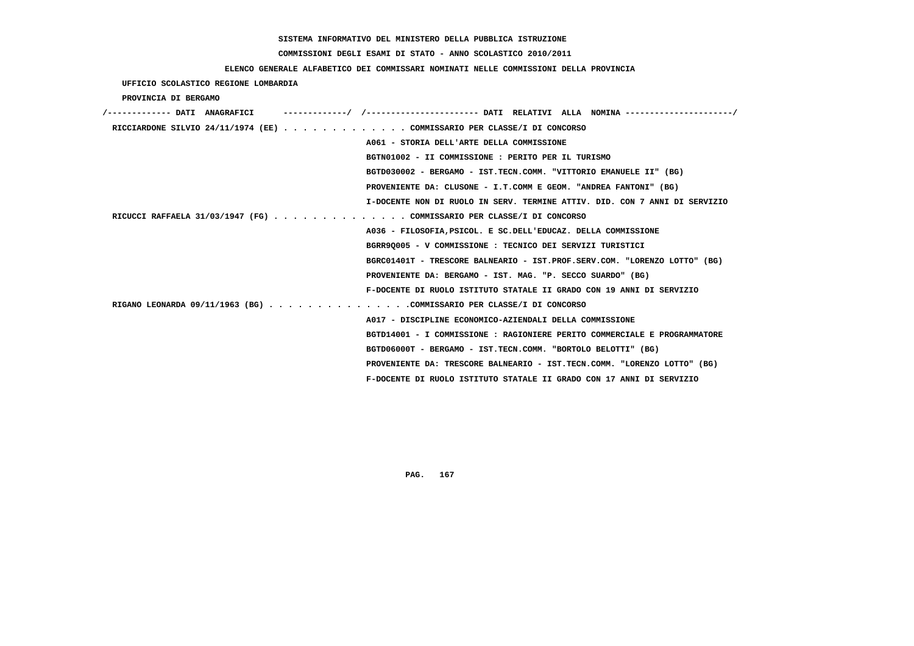# **COMMISSIONI DEGLI ESAMI DI STATO - ANNO SCOLASTICO 2010/2011**

### **ELENCO GENERALE ALFABETICO DEI COMMISSARI NOMINATI NELLE COMMISSIONI DELLA PROVINCIA**

 **UFFICIO SCOLASTICO REGIONE LOMBARDIA**

 **PROVINCIA DI BERGAMO**

| /------------- DATI ANAGRAFICI |  |                                                                            |
|--------------------------------|--|----------------------------------------------------------------------------|
|                                |  | RICCIARDONE SILVIO 24/11/1974 (EE) COMMISSARIO PER CLASSE/I DI CONCORSO    |
|                                |  | A061 - STORIA DELL'ARTE DELLA COMMISSIONE                                  |
|                                |  | BGTN01002 - II COMMISSIONE : PERITO PER IL TURISMO                         |
|                                |  | BGTD030002 - BERGAMO - IST.TECN.COMM. "VITTORIO EMANUELE II" (BG)          |
|                                |  | PROVENIENTE DA: CLUSONE - I.T.COMM E GEOM. "ANDREA FANTONI" (BG)           |
|                                |  | I-DOCENTE NON DI RUOLO IN SERV. TERMINE ATTIV. DID. CON 7 ANNI DI SERVIZIO |
|                                |  | RICUCCI RAFFAELA 31/03/1947 (FG) COMMISSARIO PER CLASSE/I DI CONCORSO      |
|                                |  | A036 - FILOSOFIA, PSICOL. E SC. DELL'EDUCAZ. DELLA COMMISSIONE             |
|                                |  | BGRR90005 - V COMMISSIONE : TECNICO DEI SERVIZI TURISTICI                  |
|                                |  | BGRC01401T - TRESCORE BALNEARIO - IST.PROF.SERV.COM. "LORENZO LOTTO" (BG)  |
|                                |  | PROVENIENTE DA: BERGAMO - IST. MAG. "P. SECCO SUARDO" (BG)                 |
|                                |  | F-DOCENTE DI RUOLO ISTITUTO STATALE II GRADO CON 19 ANNI DI SERVIZIO       |
|                                |  | RIGANO LEONARDA 09/11/1963 (BG) COMMISSARIO PER CLASSE/I DI CONCORSO       |
|                                |  | A017 - DISCIPLINE ECONOMICO-AZIENDALI DELLA COMMISSIONE                    |
|                                |  | BGTD14001 - I COMMISSIONE : RAGIONIERE PERITO COMMERCIALE E PROGRAMMATORE  |
|                                |  | BGTD06000T - BERGAMO - IST.TECN.COMM. "BORTOLO BELOTTI" (BG)               |
|                                |  | PROVENIENTE DA: TRESCORE BALNEARIO - IST.TECN.COMM. "LORENZO LOTTO" (BG)   |
|                                |  | F-DOCENTE DI RUOLO ISTITUTO STATALE II GRADO CON 17 ANNI DI SERVIZIO       |
|                                |  |                                                                            |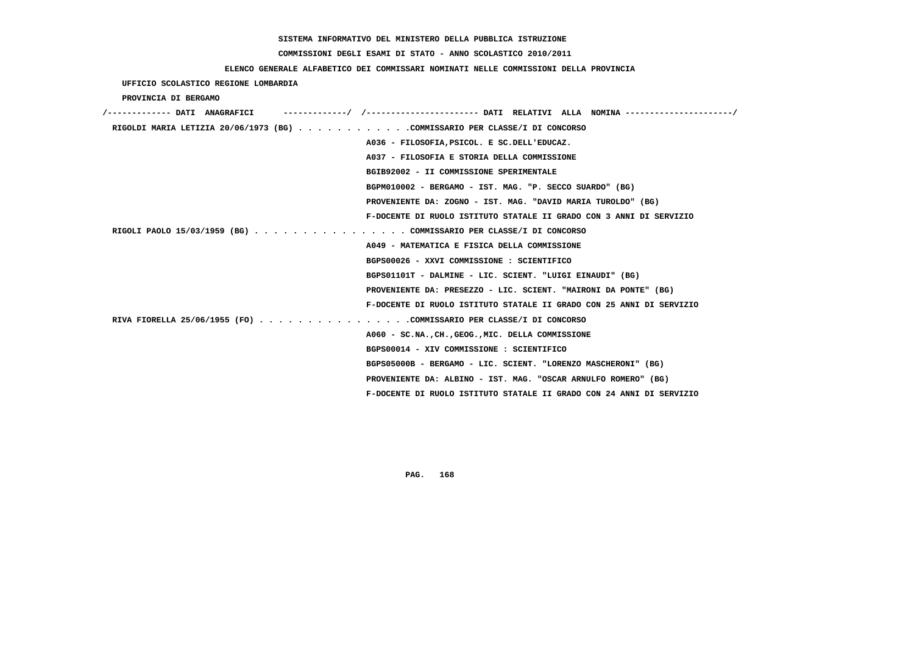# **COMMISSIONI DEGLI ESAMI DI STATO - ANNO SCOLASTICO 2010/2011**

### **ELENCO GENERALE ALFABETICO DEI COMMISSARI NOMINATI NELLE COMMISSIONI DELLA PROVINCIA**

### **UFFICIO SCOLASTICO REGIONE LOMBARDIA**

#### **PROVINCIA DI BERGAMO**

| /------------- DATI ANAGRAFICI                                             | ----------/ /--------------------- DATI RELATIVI ALLA NOMINA--------------------/ |
|----------------------------------------------------------------------------|-----------------------------------------------------------------------------------|
| RIGOLDI MARIA LETIZIA 20/06/1973 (BG) COMMISSARIO PER CLASSE/I DI CONCORSO |                                                                                   |
|                                                                            | A036 - FILOSOFIA, PSICOL. E SC. DELL'EDUCAZ.                                      |
|                                                                            | A037 - FILOSOFIA E STORIA DELLA COMMISSIONE                                       |
|                                                                            | BGIB92002 - II COMMISSIONE SPERIMENTALE                                           |
|                                                                            | BGPM010002 - BERGAMO - IST. MAG. "P. SECCO SUARDO" (BG)                           |
|                                                                            | PROVENIENTE DA: ZOGNO - IST. MAG. "DAVID MARIA TUROLDO" (BG)                      |
|                                                                            | F-DOCENTE DI RUOLO ISTITUTO STATALE II GRADO CON 3 ANNI DI SERVIZIO               |
| RIGOLI PAOLO 15/03/1959 (BG) COMMISSARIO PER CLASSE/I DI CONCORSO          |                                                                                   |
|                                                                            | A049 - MATEMATICA E FISICA DELLA COMMISSIONE                                      |
|                                                                            | BGPS00026 - XXVI COMMISSIONE : SCIENTIFICO                                        |
|                                                                            | BGPS01101T - DALMINE - LIC. SCIENT. "LUIGI EINAUDI" (BG)                          |
|                                                                            | PROVENIENTE DA: PRESEZZO - LIC. SCIENT. "MAIRONI DA PONTE" (BG)                   |
|                                                                            | F-DOCENTE DI RUOLO ISTITUTO STATALE II GRADO CON 25 ANNI DI SERVIZIO              |
| RIVA FIORELLA 25/06/1955 (FO) COMMISSARIO PER CLASSE/I DI CONCORSO         |                                                                                   |
|                                                                            | A060 - SC.NACHGEOGMIC. DELLA COMMISSIONE                                          |
|                                                                            | BGPS00014 - XIV COMMISSIONE : SCIENTIFICO                                         |
|                                                                            | BGPS05000B - BERGAMO - LIC. SCIENT. "LORENZO MASCHERONI" (BG)                     |
|                                                                            | PROVENIENTE DA: ALBINO - IST. MAG. "OSCAR ARNULFO ROMERO" (BG)                    |
|                                                                            | F-DOCENTE DI RUOLO ISTITUTO STATALE II GRADO CON 24 ANNI DI SERVIZIO              |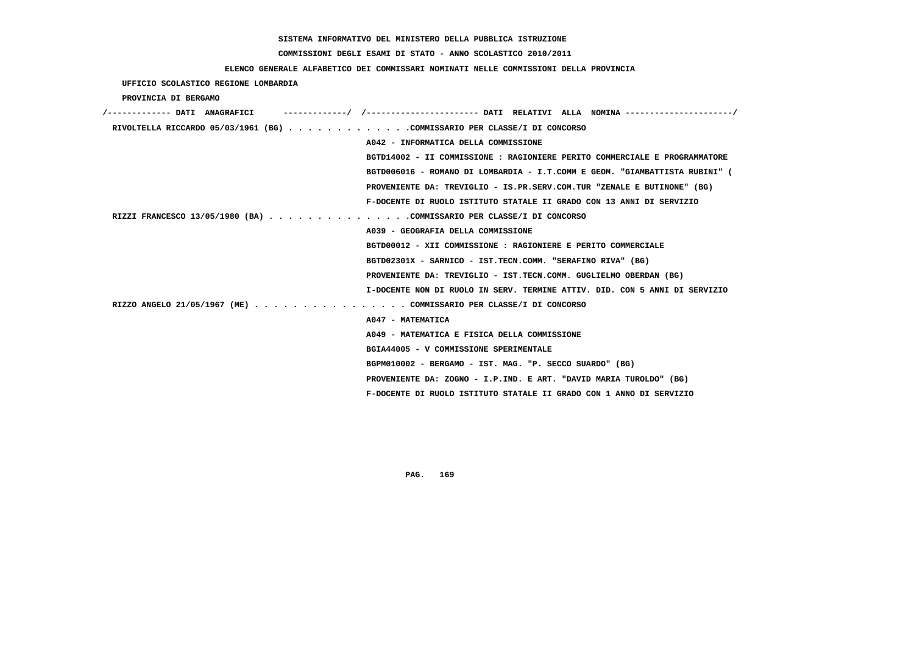# **COMMISSIONI DEGLI ESAMI DI STATO - ANNO SCOLASTICO 2010/2011**

### **ELENCO GENERALE ALFABETICO DEI COMMISSARI NOMINATI NELLE COMMISSIONI DELLA PROVINCIA**

 **UFFICIO SCOLASTICO REGIONE LOMBARDIA**

 **PROVINCIA DI BERGAMO**

| /------------- DATI ANAGRAFICI                                           | -/ /----------------------- DATI RELATIVI ALLA NOMINA ---------------------/ |
|--------------------------------------------------------------------------|------------------------------------------------------------------------------|
| RIVOLTELLA RICCARDO 05/03/1961 (BG) COMMISSARIO PER CLASSE/I DI CONCORSO |                                                                              |
|                                                                          | A042 - INFORMATICA DELLA COMMISSIONE                                         |
|                                                                          | BGTD14002 - II COMMISSIONE : RAGIONIERE PERITO COMMERCIALE E PROGRAMMATORE   |
|                                                                          | BGTD006016 - ROMANO DI LOMBARDIA - I.T.COMM E GEOM. "GIAMBATTISTA RUBINI" (  |
|                                                                          | PROVENIENTE DA: TREVIGLIO - IS.PR.SERV.COM.TUR "ZENALE E BUTINONE" (BG)      |
|                                                                          | F-DOCENTE DI RUOLO ISTITUTO STATALE II GRADO CON 13 ANNI DI SERVIZIO         |
| RIZZI FRANCESCO 13/05/1980 (BA) COMMISSARIO PER CLASSE/I DI CONCORSO     |                                                                              |
|                                                                          | A039 - GEOGRAFIA DELLA COMMISSIONE                                           |
|                                                                          | BGTD00012 - XII COMMISSIONE : RAGIONIERE E PERITO COMMERCIALE                |
|                                                                          | BGTD02301X - SARNICO - IST.TECN.COMM. "SERAFINO RIVA" (BG)                   |
|                                                                          | PROVENIENTE DA: TREVIGLIO - IST.TECN.COMM. GUGLIELMO OBERDAN (BG)            |
|                                                                          | I-DOCENTE NON DI RUOLO IN SERV. TERMINE ATTIV. DID. CON 5 ANNI DI SERVIZIO   |
| RIZZO ANGELO 21/05/1967 (ME) COMMISSARIO PER CLASSE/I DI CONCORSO        |                                                                              |
| A047 - MATEMATICA                                                        |                                                                              |
|                                                                          | A049 - MATEMATICA E FISICA DELLA COMMISSIONE                                 |
|                                                                          | BGIA44005 - V COMMISSIONE SPERIMENTALE                                       |
|                                                                          | BGPM010002 - BERGAMO - IST. MAG. "P. SECCO SUARDO" (BG)                      |
|                                                                          | PROVENIENTE DA: ZOGNO - I.P.IND. E ART. "DAVID MARIA TUROLDO" (BG)           |
|                                                                          | F-DOCENTE DI RUOLO ISTITUTO STATALE II GRADO CON 1 ANNO DI SERVIZIO          |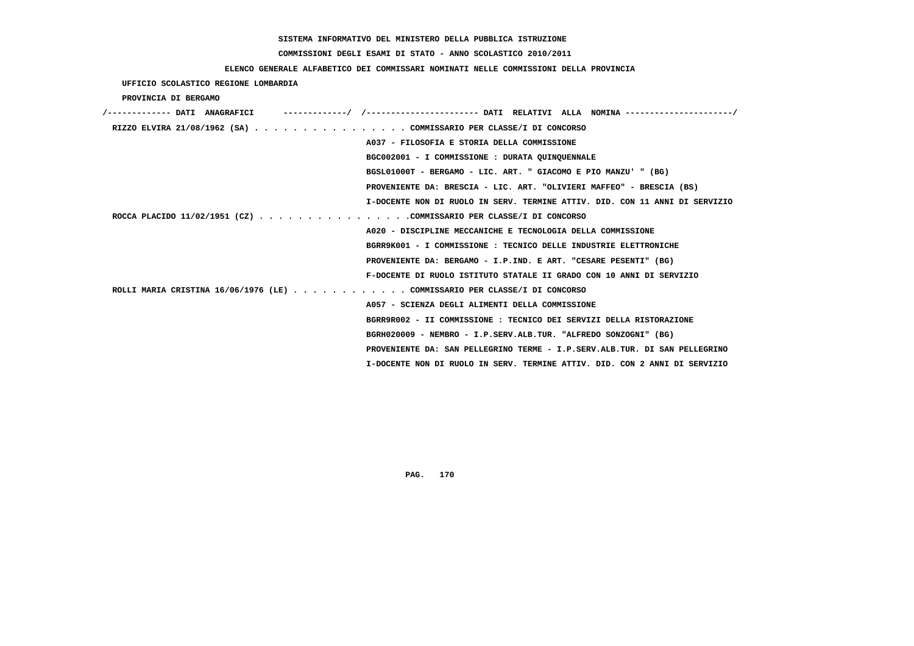# **COMMISSIONI DEGLI ESAMI DI STATO - ANNO SCOLASTICO 2010/2011**

### **ELENCO GENERALE ALFABETICO DEI COMMISSARI NOMINATI NELLE COMMISSIONI DELLA PROVINCIA**

 **UFFICIO SCOLASTICO REGIONE LOMBARDIA**

 **PROVINCIA DI BERGAMO**

| RIZZO ELVIRA 21/08/1962 (SA) COMMISSARIO PER CLASSE/I DI CONCORSO         |                                                                             |
|---------------------------------------------------------------------------|-----------------------------------------------------------------------------|
|                                                                           | A037 - FILOSOFIA E STORIA DELLA COMMISSIONE                                 |
|                                                                           | BGC002001 - I COMMISSIONE : DURATA OUINOUENNALE                             |
|                                                                           | BGSL01000T - BERGAMO - LIC. ART. " GIACOMO E PIO MANZU' " (BG)              |
|                                                                           | PROVENIENTE DA: BRESCIA - LIC. ART. "OLIVIERI MAFFEO" - BRESCIA (BS)        |
|                                                                           | I-DOCENTE NON DI RUOLO IN SERV. TERMINE ATTIV. DID. CON 11 ANNI DI SERVIZIO |
| ROCCA PLACIDO 11/02/1951 (CZ) COMMISSARIO PER CLASSE/I DI CONCORSO        |                                                                             |
|                                                                           | A020 - DISCIPLINE MECCANICHE E TECNOLOGIA DELLA COMMISSIONE                 |
|                                                                           | BGRR9K001 - I COMMISSIONE : TECNICO DELLE INDUSTRIE ELETTRONICHE            |
|                                                                           | PROVENIENTE DA: BERGAMO - I.P.IND. E ART. "CESARE PESENTI" (BG)             |
|                                                                           | F-DOCENTE DI RUOLO ISTITUTO STATALE II GRADO CON 10 ANNI DI SERVIZIO        |
| ROLLI MARIA CRISTINA 16/06/1976 (LE) COMMISSARIO PER CLASSE/I DI CONCORSO |                                                                             |
|                                                                           | A057 - SCIENZA DEGLI ALIMENTI DELLA COMMISSIONE                             |
|                                                                           | BGRR9R002 - II COMMISSIONE : TECNICO DEI SERVIZI DELLA RISTORAZIONE         |
|                                                                           | BGRH020009 - NEMBRO - I.P.SERV.ALB.TUR. "ALFREDO SONZOGNI" (BG)             |
|                                                                           | PROVENIENTE DA: SAN PELLEGRINO TERME - I.P.SERV.ALB.TUR. DI SAN PELLEGRINO  |
|                                                                           | I-DOCENTE NON DI RUOLO IN SERV. TERMINE ATTIV. DID. CON 2 ANNI DI SERVIZIO  |
|                                                                           |                                                                             |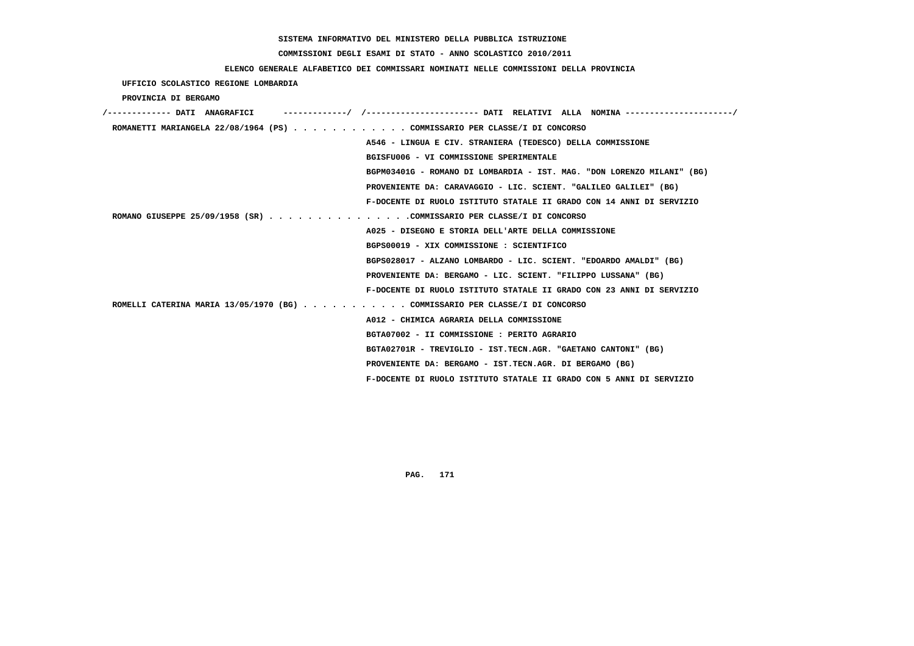# **COMMISSIONI DEGLI ESAMI DI STATO - ANNO SCOLASTICO 2010/2011**

### **ELENCO GENERALE ALFABETICO DEI COMMISSARI NOMINATI NELLE COMMISSIONI DELLA PROVINCIA**

 **UFFICIO SCOLASTICO REGIONE LOMBARDIA**

 **PROVINCIA DI BERGAMO**

| /------------- DATI ANAGRAFICI                                              |                                                                        |
|-----------------------------------------------------------------------------|------------------------------------------------------------------------|
| ROMANETTI MARIANGELA 22/08/1964 (PS) COMMISSARIO PER CLASSE/I DI CONCORSO   |                                                                        |
|                                                                             | A546 - LINGUA E CIV. STRANIERA (TEDESCO) DELLA COMMISSIONE             |
|                                                                             | BGISFU006 - VI COMMISSIONE SPERIMENTALE                                |
|                                                                             | BGPM03401G - ROMANO DI LOMBARDIA - IST. MAG. "DON LORENZO MILANI" (BG) |
|                                                                             | PROVENIENTE DA: CARAVAGGIO - LIC. SCIENT. "GALILEO GALILEI" (BG)       |
|                                                                             | F-DOCENTE DI RUOLO ISTITUTO STATALE II GRADO CON 14 ANNI DI SERVIZIO   |
| ROMANO GIUSEPPE 25/09/1958 (SR) COMMISSARIO PER CLASSE/I DI CONCORSO        |                                                                        |
|                                                                             | A025 - DISEGNO E STORIA DELL'ARTE DELLA COMMISSIONE                    |
|                                                                             | BGPS00019 - XIX COMMISSIONE : SCIENTIFICO                              |
|                                                                             | BGPS028017 - ALZANO LOMBARDO - LIC. SCIENT. "EDOARDO AMALDI" (BG)      |
|                                                                             | PROVENIENTE DA: BERGAMO - LIC. SCIENT. "FILIPPO LUSSANA" (BG)          |
|                                                                             | F-DOCENTE DI RUOLO ISTITUTO STATALE II GRADO CON 23 ANNI DI SERVIZIO   |
| ROMELLI CATERINA MARIA 13/05/1970 (BG) COMMISSARIO PER CLASSE/I DI CONCORSO |                                                                        |
|                                                                             | A012 - CHIMICA AGRARIA DELLA COMMISSIONE                               |
|                                                                             | BGTA07002 - II COMMISSIONE : PERITO AGRARIO                            |
|                                                                             | BGTA02701R - TREVIGLIO - IST.TECN.AGR. "GAETANO CANTONI" (BG)          |
|                                                                             | PROVENIENTE DA: BERGAMO - IST.TECN.AGR. DI BERGAMO (BG)                |
|                                                                             | F-DOCENTE DI RUOLO ISTITUTO STATALE II GRADO CON 5 ANNI DI SERVIZIO    |
|                                                                             |                                                                        |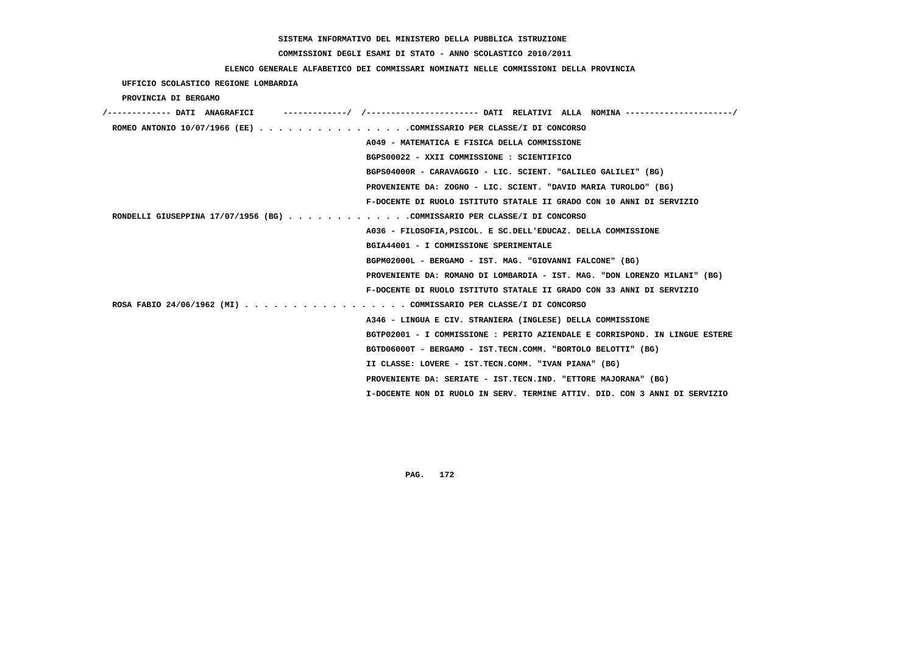# **COMMISSIONI DEGLI ESAMI DI STATO - ANNO SCOLASTICO 2010/2011**

### **ELENCO GENERALE ALFABETICO DEI COMMISSARI NOMINATI NELLE COMMISSIONI DELLA PROVINCIA**

 **UFFICIO SCOLASTICO REGIONE LOMBARDIA**

 **PROVINCIA DI BERGAMO**

| /------------- DATI ANAGRAFICI                                           | -/ /---------------------- DATI RELATIVI ALLA NOMINA ---------------------/ |
|--------------------------------------------------------------------------|-----------------------------------------------------------------------------|
| ROMEO ANTONIO 10/07/1966 (EE) COMMISSARIO PER CLASSE/I DI CONCORSO       |                                                                             |
|                                                                          | A049 - MATEMATICA E FISICA DELLA COMMISSIONE                                |
|                                                                          | BGPS00022 - XXII COMMISSIONE : SCIENTIFICO                                  |
|                                                                          | BGPS04000R - CARAVAGGIO - LIC. SCIENT. "GALILEO GALILEI" (BG)               |
|                                                                          | PROVENIENTE DA: ZOGNO - LIC. SCIENT. "DAVID MARIA TUROLDO" (BG)             |
|                                                                          | F-DOCENTE DI RUOLO ISTITUTO STATALE II GRADO CON 10 ANNI DI SERVIZIO        |
| RONDELLI GIUSEPPINA 17/07/1956 (BG) COMMISSARIO PER CLASSE/I DI CONCORSO |                                                                             |
|                                                                          | A036 - FILOSOFIA, PSICOL. E SC.DELL'EDUCAZ. DELLA COMMISSIONE               |
|                                                                          | BGIA44001 - I COMMISSIONE SPERIMENTALE                                      |
|                                                                          | BGPM02000L - BERGAMO - IST. MAG. "GIOVANNI FALCONE" (BG)                    |
|                                                                          | PROVENIENTE DA: ROMANO DI LOMBARDIA - IST. MAG. "DON LORENZO MILANI" (BG)   |
|                                                                          | F-DOCENTE DI RUOLO ISTITUTO STATALE II GRADO CON 33 ANNI DI SERVIZIO        |
| ROSA FABIO 24/06/1962 (MI) COMMISSARIO PER CLASSE/I DI CONCORSO          |                                                                             |
|                                                                          | A346 - LINGUA E CIV. STRANIERA (INGLESE) DELLA COMMISSIONE                  |
|                                                                          | BGTP02001 - I COMMISSIONE : PERITO AZIENDALE E CORRISPOND. IN LINGUE ESTERE |
|                                                                          | BGTD06000T - BERGAMO - IST.TECN.COMM. "BORTOLO BELOTTI" (BG)                |
|                                                                          | II CLASSE: LOVERE - IST.TECN.COMM. "IVAN PIANA" (BG)                        |
|                                                                          | PROVENIENTE DA: SERIATE - IST.TECN.IND. "ETTORE MAJORANA" (BG)              |
|                                                                          | I-DOCENTE NON DI RUOLO IN SERV. TERMINE ATTIV. DID. CON 3 ANNI DI SERVIZIO  |
|                                                                          |                                                                             |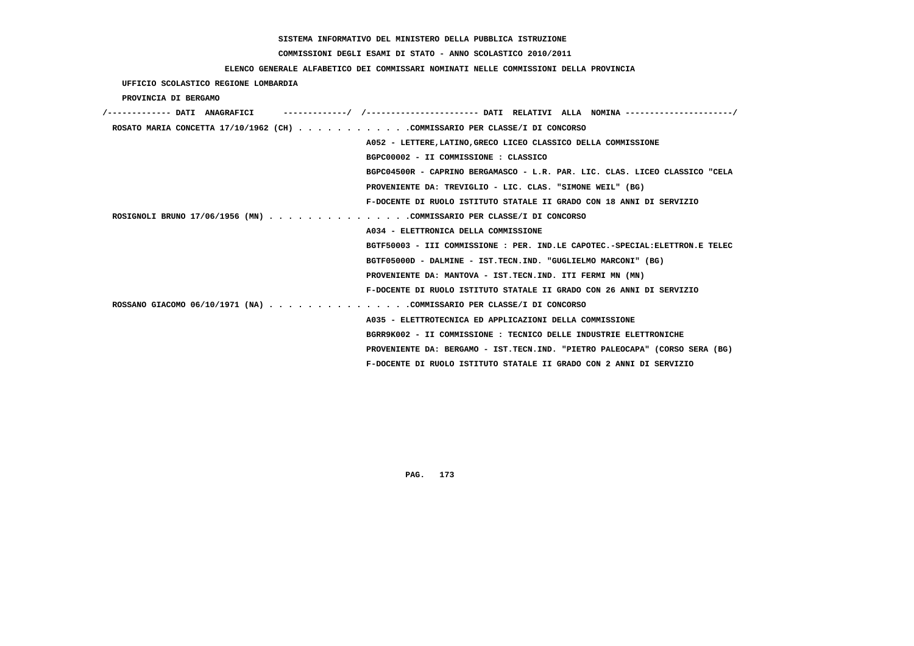# **COMMISSIONI DEGLI ESAMI DI STATO - ANNO SCOLASTICO 2010/2011**

### **ELENCO GENERALE ALFABETICO DEI COMMISSARI NOMINATI NELLE COMMISSIONI DELLA PROVINCIA**

 **UFFICIO SCOLASTICO REGIONE LOMBARDIA**

 **PROVINCIA DI BERGAMO**

| ROSATO MARIA CONCETTA 17/10/1962 (CH) COMMISSARIO PER CLASSE/I DI CONCORSO  |
|-----------------------------------------------------------------------------|
| A052 - LETTERE, LATINO, GRECO LICEO CLASSICO DELLA COMMISSIONE              |
| BGPC00002 - II COMMISSIONE : CLASSICO                                       |
| BGPC04500R - CAPRINO BERGAMASCO - L.R. PAR. LIC. CLAS. LICEO CLASSICO "CELA |
| PROVENIENTE DA: TREVIGLIO - LIC. CLAS. "SIMONE WEIL" (BG)                   |
| F-DOCENTE DI RUOLO ISTITUTO STATALE II GRADO CON 18 ANNI DI SERVIZIO        |
| ROSIGNOLI BRUNO 17/06/1956 (MN) COMMISSARIO PER CLASSE/I DI CONCORSO        |
| A034 - ELETTRONICA DELLA COMMISSIONE                                        |
| BGTF50003 - III COMMISSIONE : PER. IND.LE CAPOTEC.-SPECIAL:ELETTRON.E TELEC |
| BGTF05000D - DALMINE - IST.TECN.IND. "GUGLIELMO MARCONI" (BG)               |
| PROVENIENTE DA: MANTOVA - IST.TECN.IND. ITI FERMI MN (MN)                   |
| F-DOCENTE DI RUOLO ISTITUTO STATALE II GRADO CON 26 ANNI DI SERVIZIO        |
| ROSSANO GIACOMO 06/10/1971 (NA) COMMISSARIO PER CLASSE/I DI CONCORSO        |
| A035 - ELETTROTECNICA ED APPLICAZIONI DELLA COMMISSIONE                     |
| BGRR9K002 - II COMMISSIONE : TECNICO DELLE INDUSTRIE ELETTRONICHE           |
| PROVENIENTE DA: BERGAMO - IST.TECN.IND. "PIETRO PALEOCAPA" (CORSO SERA (BG) |
| F-DOCENTE DI RUOLO ISTITUTO STATALE II GRADO CON 2 ANNI DI SERVIZIO         |
|                                                                             |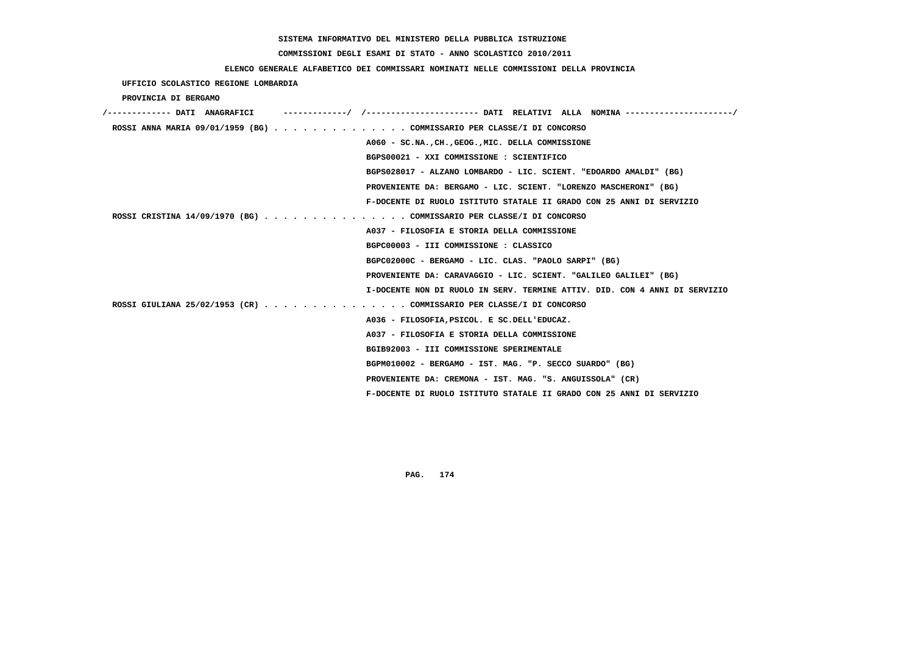# **COMMISSIONI DEGLI ESAMI DI STATO - ANNO SCOLASTICO 2010/2011**

### **ELENCO GENERALE ALFABETICO DEI COMMISSARI NOMINATI NELLE COMMISSIONI DELLA PROVINCIA**

 **UFFICIO SCOLASTICO REGIONE LOMBARDIA**

 **PROVINCIA DI BERGAMO**

| /------------- DATI ANAGRAFICI |                                                                            |
|--------------------------------|----------------------------------------------------------------------------|
|                                | ROSSI ANNA MARIA 09/01/1959 (BG) COMMISSARIO PER CLASSE/I DI CONCORSO      |
|                                | A060 - SC.NA., CH., GEOG., MIC. DELLA COMMISSIONE                          |
|                                | BGPS00021 - XXI COMMISSIONE : SCIENTIFICO                                  |
|                                | BGPS028017 - ALZANO LOMBARDO - LIC. SCIENT. "EDOARDO AMALDI" (BG)          |
|                                | PROVENIENTE DA: BERGAMO - LIC. SCIENT. "LORENZO MASCHERONI" (BG)           |
|                                | F-DOCENTE DI RUOLO ISTITUTO STATALE II GRADO CON 25 ANNI DI SERVIZIO       |
|                                | ROSSI CRISTINA 14/09/1970 (BG) COMMISSARIO PER CLASSE/I DI CONCORSO        |
|                                | A037 - FILOSOFIA E STORIA DELLA COMMISSIONE                                |
|                                | BGPC00003 - III COMMISSIONE : CLASSICO                                     |
|                                | BGPC02000C - BERGAMO - LIC. CLAS. "PAOLO SARPI" (BG)                       |
|                                | PROVENIENTE DA: CARAVAGGIO - LIC. SCIENT. "GALILEO GALILEI" (BG)           |
|                                | I-DOCENTE NON DI RUOLO IN SERV. TERMINE ATTIV. DID. CON 4 ANNI DI SERVIZIO |
|                                | ROSSI GIULIANA 25/02/1953 (CR) COMMISSARIO PER CLASSE/I DI CONCORSO        |
|                                | A036 - FILOSOFIA, PSICOL. E SC.DELL'EDUCAZ.                                |
|                                | A037 - FILOSOFIA E STORIA DELLA COMMISSIONE                                |
|                                | BGIB92003 - III COMMISSIONE SPERIMENTALE                                   |
|                                | BGPM010002 - BERGAMO - IST. MAG. "P. SECCO SUARDO" (BG)                    |
|                                | PROVENIENTE DA: CREMONA - IST. MAG. "S. ANGUISSOLA" (CR)                   |
|                                | F-DOCENTE DI RUOLO ISTITUTO STATALE II GRADO CON 25 ANNI DI SERVIZIO       |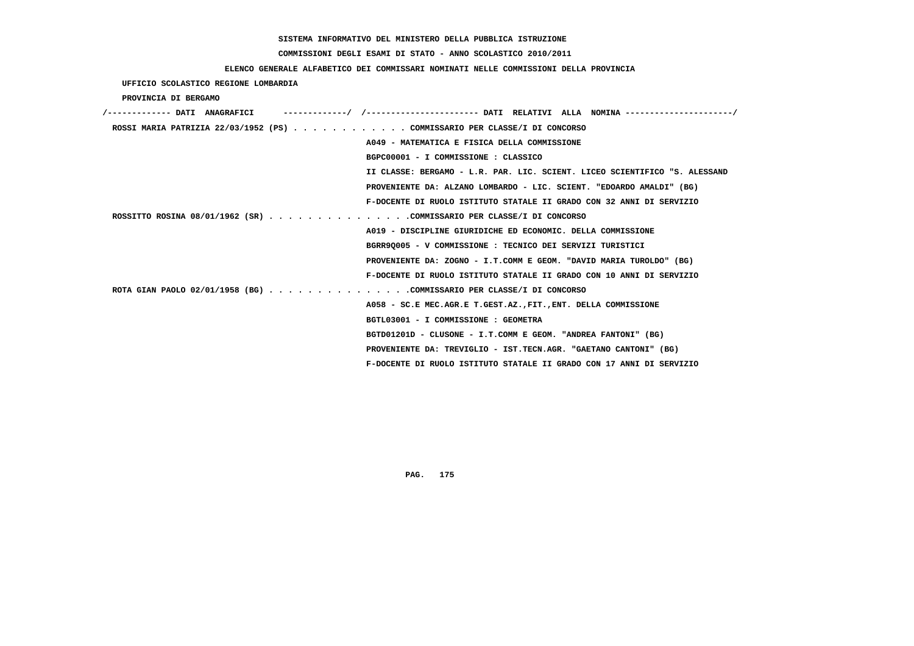# **COMMISSIONI DEGLI ESAMI DI STATO - ANNO SCOLASTICO 2010/2011**

### **ELENCO GENERALE ALFABETICO DEI COMMISSARI NOMINATI NELLE COMMISSIONI DELLA PROVINCIA**

 **UFFICIO SCOLASTICO REGIONE LOMBARDIA**

 **PROVINCIA DI BERGAMO**

| /------------- DATI ANAGRAFICI |                                                                            |
|--------------------------------|----------------------------------------------------------------------------|
|                                | ROSSI MARIA PATRIZIA 22/03/1952 (PS) COMMISSARIO PER CLASSE/I DI CONCORSO  |
|                                | A049 - MATEMATICA E FISICA DELLA COMMISSIONE                               |
|                                | BGPC00001 - I COMMISSIONE : CLASSICO                                       |
|                                | II CLASSE: BERGAMO - L.R. PAR. LIC. SCIENT. LICEO SCIENTIFICO "S. ALESSAND |
|                                | PROVENIENTE DA: ALZANO LOMBARDO - LIC. SCIENT. "EDOARDO AMALDI" (BG)       |
|                                | F-DOCENTE DI RUOLO ISTITUTO STATALE II GRADO CON 32 ANNI DI SERVIZIO       |
|                                | ROSSITTO ROSINA 08/01/1962 (SR) COMMISSARIO PER CLASSE/I DI CONCORSO       |
|                                | A019 - DISCIPLINE GIURIDICHE ED ECONOMIC. DELLA COMMISSIONE                |
|                                | BGRR90005 - V COMMISSIONE : TECNICO DEI SERVIZI TURISTICI                  |
|                                | PROVENIENTE DA: ZOGNO - I.T.COMM E GEOM. "DAVID MARIA TUROLDO" (BG)        |
|                                | F-DOCENTE DI RUOLO ISTITUTO STATALE II GRADO CON 10 ANNI DI SERVIZIO       |
|                                | ROTA GIAN PAOLO 02/01/1958 (BG) COMMISSARIO PER CLASSE/I DI CONCORSO       |
|                                | A058 - SC.E MEC.AGR.E T.GEST.AZ., FIT., ENT. DELLA COMMISSIONE             |
|                                | BGTL03001 - I COMMISSIONE : GEOMETRA                                       |
|                                | BGTD01201D - CLUSONE - I.T.COMM E GEOM. "ANDREA FANTONI" (BG)              |
|                                | PROVENIENTE DA: TREVIGLIO - IST.TECN.AGR. "GAETANO CANTONI" (BG)           |
|                                | F-DOCENTE DI RUOLO ISTITUTO STATALE II GRADO CON 17 ANNI DI SERVIZIO       |
|                                |                                                                            |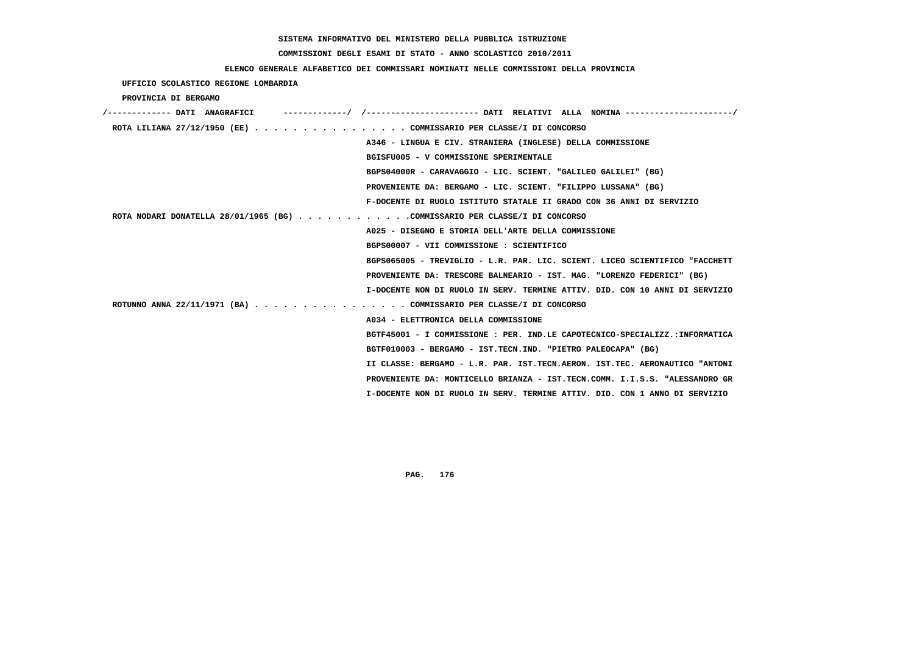# **COMMISSIONI DEGLI ESAMI DI STATO - ANNO SCOLASTICO 2010/2011**

### **ELENCO GENERALE ALFABETICO DEI COMMISSARI NOMINATI NELLE COMMISSIONI DELLA PROVINCIA**

 **UFFICIO SCOLASTICO REGIONE LOMBARDIA**

 **PROVINCIA DI BERGAMO**

| /------------- DATI ANAGRAFICI                                             |                                                                             |
|----------------------------------------------------------------------------|-----------------------------------------------------------------------------|
| ROTA LILIANA 27/12/1950 (EE) COMMISSARIO PER CLASSE/I DI CONCORSO          |                                                                             |
|                                                                            | A346 - LINGUA E CIV. STRANIERA (INGLESE) DELLA COMMISSIONE                  |
|                                                                            | BGISFU005 - V COMMISSIONE SPERIMENTALE                                      |
|                                                                            | BGPS04000R - CARAVAGGIO - LIC. SCIENT. "GALILEO GALILEI" (BG)               |
|                                                                            | PROVENIENTE DA: BERGAMO - LIC. SCIENT. "FILIPPO LUSSANA" (BG)               |
|                                                                            | F-DOCENTE DI RUOLO ISTITUTO STATALE II GRADO CON 36 ANNI DI SERVIZIO        |
| ROTA NODARI DONATELLA 28/01/1965 (BG) COMMISSARIO PER CLASSE/I DI CONCORSO |                                                                             |
|                                                                            | A025 - DISEGNO E STORIA DELL'ARTE DELLA COMMISSIONE                         |
|                                                                            | BGPS00007 - VII COMMISSIONE : SCIENTIFICO                                   |
|                                                                            | BGPS065005 - TREVIGLIO - L.R. PAR. LIC. SCIENT. LICEO SCIENTIFICO "FACCHETT |
|                                                                            | PROVENIENTE DA: TRESCORE BALNEARIO - IST. MAG. "LORENZO FEDERICI" (BG)      |
|                                                                            | I-DOCENTE NON DI RUOLO IN SERV. TERMINE ATTIV. DID. CON 10 ANNI DI SERVIZIO |
| ROTUNNO ANNA 22/11/1971 (BA) COMMISSARIO PER CLASSE/I DI CONCORSO          |                                                                             |
|                                                                            | A034 - ELETTRONICA DELLA COMMISSIONE                                        |
|                                                                            | BGTF45001 - I COMMISSIONE : PER. IND.LE CAPOTECNICO-SPECIALIZZ.:INFORMATICA |
|                                                                            | BGTF010003 - BERGAMO - IST.TECN.IND. "PIETRO PALEOCAPA" (BG)                |
|                                                                            | II CLASSE: BERGAMO - L.R. PAR. IST.TECN.AERON. IST.TEC. AERONAUTICO "ANTONI |
|                                                                            | PROVENIENTE DA: MONTICELLO BRIANZA - IST.TECN.COMM. I.I.S.S. "ALESSANDRO GR |
|                                                                            | I-DOCENTE NON DI RUOLO IN SERV. TERMINE ATTIV. DID. CON 1 ANNO DI SERVIZIO  |
|                                                                            |                                                                             |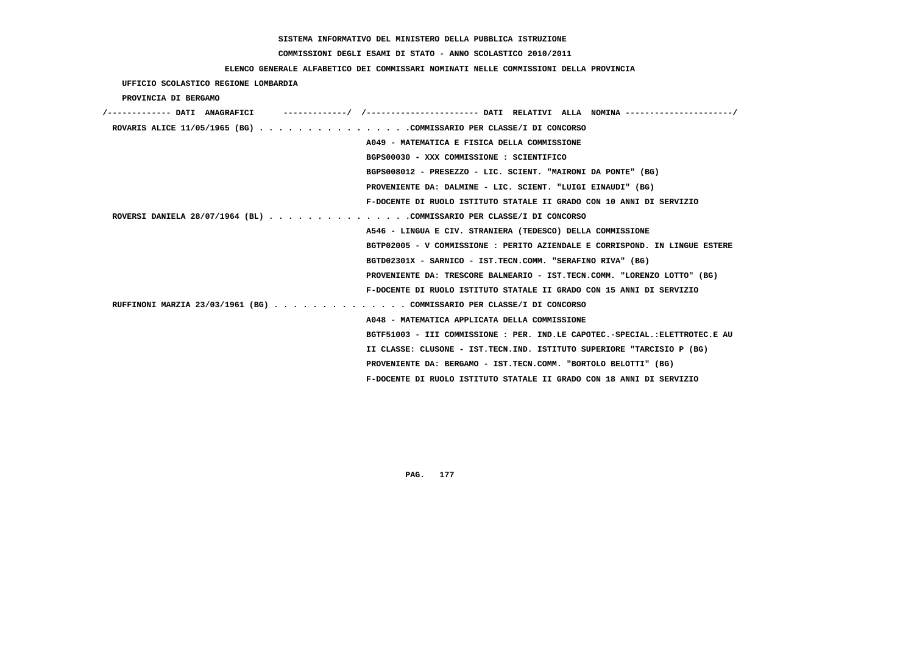# **COMMISSIONI DEGLI ESAMI DI STATO - ANNO SCOLASTICO 2010/2011**

### **ELENCO GENERALE ALFABETICO DEI COMMISSARI NOMINATI NELLE COMMISSIONI DELLA PROVINCIA**

 **UFFICIO SCOLASTICO REGIONE LOMBARDIA**

 **PROVINCIA DI BERGAMO**

| /------------- DATI ANAGRAFICI                                        |                                                                             |
|-----------------------------------------------------------------------|-----------------------------------------------------------------------------|
| ROVARIS ALICE 11/05/1965 (BG) COMMISSARIO PER CLASSE/I DI CONCORSO    |                                                                             |
|                                                                       | A049 - MATEMATICA E FISICA DELLA COMMISSIONE                                |
|                                                                       | BGPS00030 - XXX COMMISSIONE : SCIENTIFICO                                   |
|                                                                       | BGPS008012 - PRESEZZO - LIC. SCIENT. "MAIRONI DA PONTE" (BG)                |
|                                                                       | PROVENIENTE DA: DALMINE - LIC. SCIENT. "LUIGI EINAUDI" (BG)                 |
|                                                                       | F-DOCENTE DI RUOLO ISTITUTO STATALE II GRADO CON 10 ANNI DI SERVIZIO        |
| ROVERSI DANIELA 28/07/1964 (BL) COMMISSARIO PER CLASSE/I DI CONCORSO  |                                                                             |
|                                                                       | A546 - LINGUA E CIV. STRANIERA (TEDESCO) DELLA COMMISSIONE                  |
|                                                                       | BGTP02005 - V COMMISSIONE : PERITO AZIENDALE E CORRISPOND. IN LINGUE ESTERE |
|                                                                       | BGTD02301X - SARNICO - IST.TECN.COMM. "SERAFINO RIVA" (BG)                  |
|                                                                       | PROVENIENTE DA: TRESCORE BALNEARIO - IST.TECN.COMM. "LORENZO LOTTO" (BG)    |
|                                                                       | F-DOCENTE DI RUOLO ISTITUTO STATALE II GRADO CON 15 ANNI DI SERVIZIO        |
| RUFFINONI MARZIA 23/03/1961 (BG) COMMISSARIO PER CLASSE/I DI CONCORSO |                                                                             |
|                                                                       | A048 - MATEMATICA APPLICATA DELLA COMMISSIONE                               |
|                                                                       | BGTF51003 - III COMMISSIONE : PER. IND.LE CAPOTEC.-SPECIAL.:ELETTROTEC.E AU |
|                                                                       | II CLASSE: CLUSONE - IST.TECN.IND. ISTITUTO SUPERIORE "TARCISIO P (BG)      |
|                                                                       | PROVENIENTE DA: BERGAMO - IST.TECN.COMM. "BORTOLO BELOTTI" (BG)             |
|                                                                       | F-DOCENTE DI RUOLO ISTITUTO STATALE II GRADO CON 18 ANNI DI SERVIZIO        |
|                                                                       |                                                                             |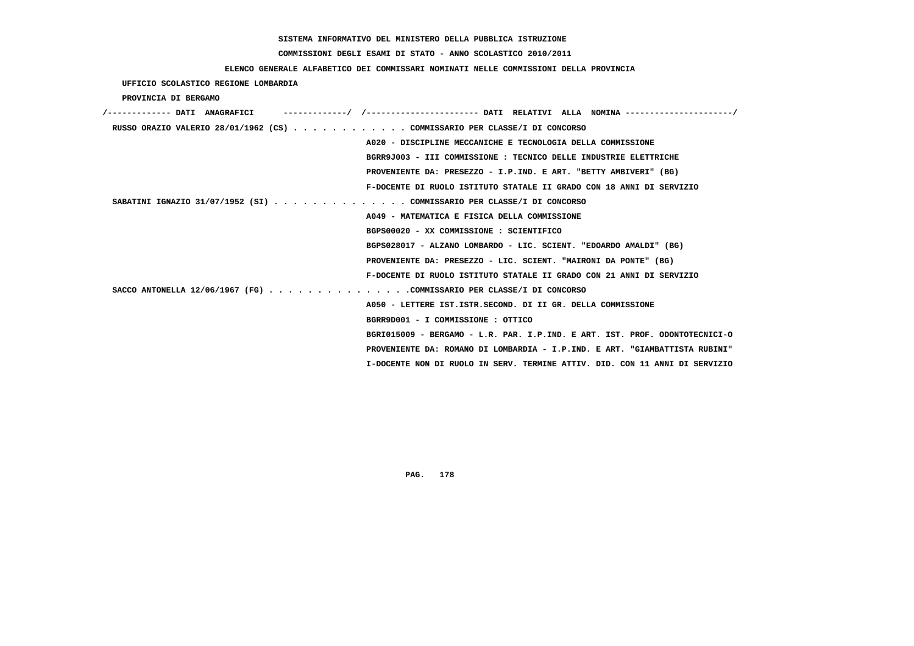# **COMMISSIONI DEGLI ESAMI DI STATO - ANNO SCOLASTICO 2010/2011**

### **ELENCO GENERALE ALFABETICO DEI COMMISSARI NOMINATI NELLE COMMISSIONI DELLA PROVINCIA**

 **UFFICIO SCOLASTICO REGIONE LOMBARDIA**

 **PROVINCIA DI BERGAMO**

| RUSSO ORAZIO VALERIO 28/01/1962 (CS) COMMISSARIO PER CLASSE/I DI CONCORSO   |
|-----------------------------------------------------------------------------|
| A020 - DISCIPLINE MECCANICHE E TECNOLOGIA DELLA COMMISSIONE                 |
| BGRR9J003 - III COMMISSIONE : TECNICO DELLE INDUSTRIE ELETTRICHE            |
| PROVENIENTE DA: PRESEZZO - I.P.IND. E ART. "BETTY AMBIVERI" (BG)            |
| F-DOCENTE DI RUOLO ISTITUTO STATALE II GRADO CON 18 ANNI DI SERVIZIO        |
| SABATINI IGNAZIO 31/07/1952 (SI) COMMISSARIO PER CLASSE/I DI CONCORSO       |
| A049 - MATEMATICA E FISICA DELLA COMMISSIONE                                |
| BGPS00020 - XX COMMISSIONE : SCIENTIFICO                                    |
| BGPS028017 - ALZANO LOMBARDO - LIC. SCIENT. "EDOARDO AMALDI" (BG)           |
| PROVENIENTE DA: PRESEZZO - LIC. SCIENT. "MAIRONI DA PONTE" (BG)             |
| F-DOCENTE DI RUOLO ISTITUTO STATALE II GRADO CON 21 ANNI DI SERVIZIO        |
| SACCO ANTONELLA 12/06/1967 (FG) COMMISSARIO PER CLASSE/I DI CONCORSO        |
| A050 - LETTERE IST.ISTR.SECOND. DI II GR. DELLA COMMISSIONE                 |
| BGRR9D001 - I COMMISSIONE : OTTICO                                          |
| BGRI015009 - BERGAMO - L.R. PAR. I.P.IND. E ART. IST. PROF. ODONTOTECNICI-O |
| PROVENIENTE DA: ROMANO DI LOMBARDIA - I.P.IND. E ART. "GIAMBATTISTA RUBINI" |
| I-DOCENTE NON DI RUOLO IN SERV. TERMINE ATTIV. DID. CON 11 ANNI DI SERVIZIO |
|                                                                             |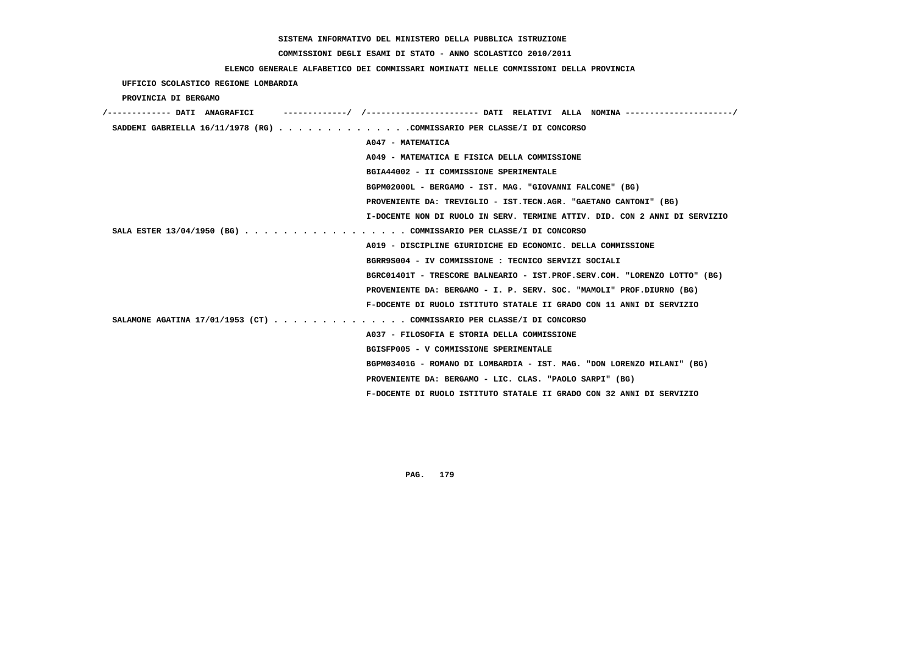#### **COMMISSIONI DEGLI ESAMI DI STATO - ANNO SCOLASTICO 2010/2011**

#### **ELENCO GENERALE ALFABETICO DEI COMMISSARI NOMINATI NELLE COMMISSIONI DELLA PROVINCIA**

 **UFFICIO SCOLASTICO REGIONE LOMBARDIA PROVINCIA DI BERGAMO /------------- DATI ANAGRAFICI -------------/ /----------------------- DATI RELATIVI ALLA NOMINA ----------------------/ SADDEMI GABRIELLA 16/11/1978 (RG) . . . . . . . . . . . . . .COMMISSARIO PER CLASSE/I DI CONCORSO A047 - MATEMATICA A049 - MATEMATICA E FISICA DELLA COMMISSIONE BGIA44002 - II COMMISSIONE SPERIMENTALE BGPM02000L - BERGAMO - IST. MAG. "GIOVANNI FALCONE" (BG) PROVENIENTE DA: TREVIGLIO - IST.TECN.AGR. "GAETANO CANTONI" (BG) I-DOCENTE NON DI RUOLO IN SERV. TERMINE ATTIV. DID. CON 2 ANNI DI SERVIZIO SALA ESTER 13/04/1950 (BG) . . . . . . . . . . . . . . . . . COMMISSARIO PER CLASSE/I DI CONCORSO A019 - DISCIPLINE GIURIDICHE ED ECONOMIC. DELLA COMMISSIONE BGRR9S004 - IV COMMISSIONE : TECNICO SERVIZI SOCIALI BGRC01401T - TRESCORE BALNEARIO - IST.PROF.SERV.COM. "LORENZO LOTTO" (BG) PROVENIENTE DA: BERGAMO - I. P. SERV. SOC. "MAMOLI" PROF.DIURNO (BG) F-DOCENTE DI RUOLO ISTITUTO STATALE II GRADO CON 11 ANNI DI SERVIZIO SALAMONE AGATINA 17/01/1953 (CT) . . . . . . . . . . . . . . COMMISSARIO PER CLASSE/I DI CONCORSO A037 - FILOSOFIA E STORIA DELLA COMMISSIONE BGISFP005 - V COMMISSIONE SPERIMENTALE BGPM03401G - ROMANO DI LOMBARDIA - IST. MAG. "DON LORENZO MILANI" (BG) PROVENIENTE DA: BERGAMO - LIC. CLAS. "PAOLO SARPI" (BG) F-DOCENTE DI RUOLO ISTITUTO STATALE II GRADO CON 32 ANNI DI SERVIZIO**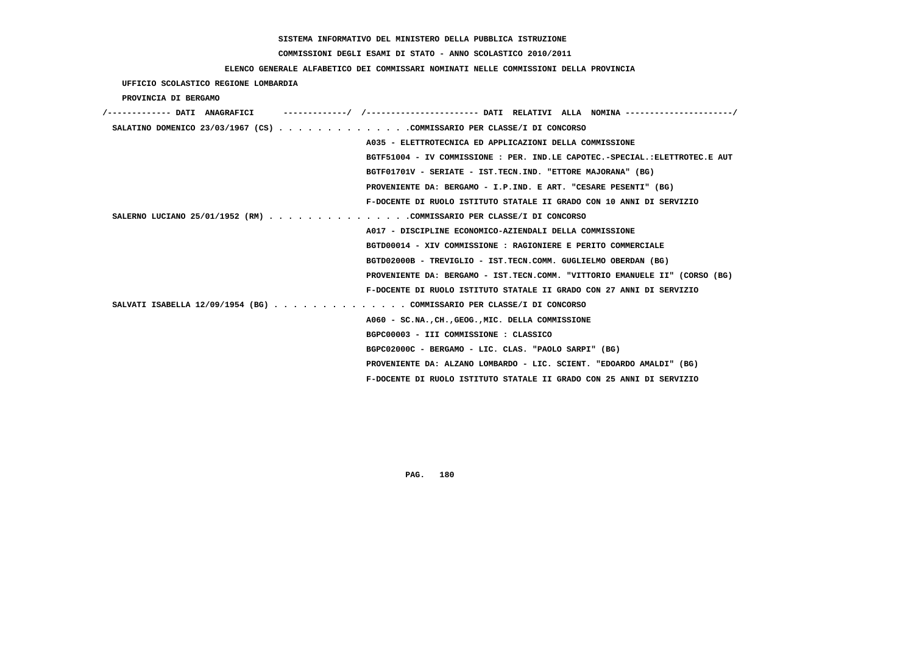# **COMMISSIONI DEGLI ESAMI DI STATO - ANNO SCOLASTICO 2010/2011**

### **ELENCO GENERALE ALFABETICO DEI COMMISSARI NOMINATI NELLE COMMISSIONI DELLA PROVINCIA**

 **UFFICIO SCOLASTICO REGIONE LOMBARDIA**

 **PROVINCIA DI BERGAMO**

| /------------- DATI ANAGRAFICI                                         |                                                                             |
|------------------------------------------------------------------------|-----------------------------------------------------------------------------|
| SALATINO DOMENICO 23/03/1967 (CS) COMMISSARIO PER CLASSE/I DI CONCORSO |                                                                             |
|                                                                        | A035 - ELETTROTECNICA ED APPLICAZIONI DELLA COMMISSIONE                     |
|                                                                        | BGTF51004 - IV COMMISSIONE : PER. IND.LE CAPOTEC.-SPECIAL.:ELETTROTEC.E AUT |
|                                                                        | BGTF01701V - SERIATE - IST.TECN.IND. "ETTORE MAJORANA" (BG)                 |
|                                                                        | PROVENIENTE DA: BERGAMO - I.P.IND. E ART. "CESARE PESENTI" (BG)             |
|                                                                        | F-DOCENTE DI RUOLO ISTITUTO STATALE II GRADO CON 10 ANNI DI SERVIZIO        |
| SALERNO LUCIANO 25/01/1952 (RM) COMMISSARIO PER CLASSE/I DI CONCORSO   |                                                                             |
|                                                                        | A017 - DISCIPLINE ECONOMICO-AZIENDALI DELLA COMMISSIONE                     |
|                                                                        | BGTD00014 - XIV COMMISSIONE : RAGIONIERE E PERITO COMMERCIALE               |
|                                                                        | BGTD02000B - TREVIGLIO - IST.TECN.COMM. GUGLIELMO OBERDAN (BG)              |
|                                                                        | PROVENIENTE DA: BERGAMO - IST.TECN.COMM. "VITTORIO EMANUELE II" (CORSO (BG) |
|                                                                        | F-DOCENTE DI RUOLO ISTITUTO STATALE II GRADO CON 27 ANNI DI SERVIZIO        |
| SALVATI ISABELLA 12/09/1954 (BG) COMMISSARIO PER CLASSE/I DI CONCORSO  |                                                                             |
|                                                                        | A060 - SC.NA., CH., GEOG., MIC. DELLA COMMISSIONE                           |
|                                                                        | BGPC00003 - III COMMISSIONE : CLASSICO                                      |
|                                                                        | BGPC02000C - BERGAMO - LIC. CLAS. "PAOLO SARPI" (BG)                        |
|                                                                        | PROVENIENTE DA: ALZANO LOMBARDO - LIC. SCIENT. "EDOARDO AMALDI" (BG)        |
|                                                                        | F-DOCENTE DI RUOLO ISTITUTO STATALE II GRADO CON 25 ANNI DI SERVIZIO        |
|                                                                        |                                                                             |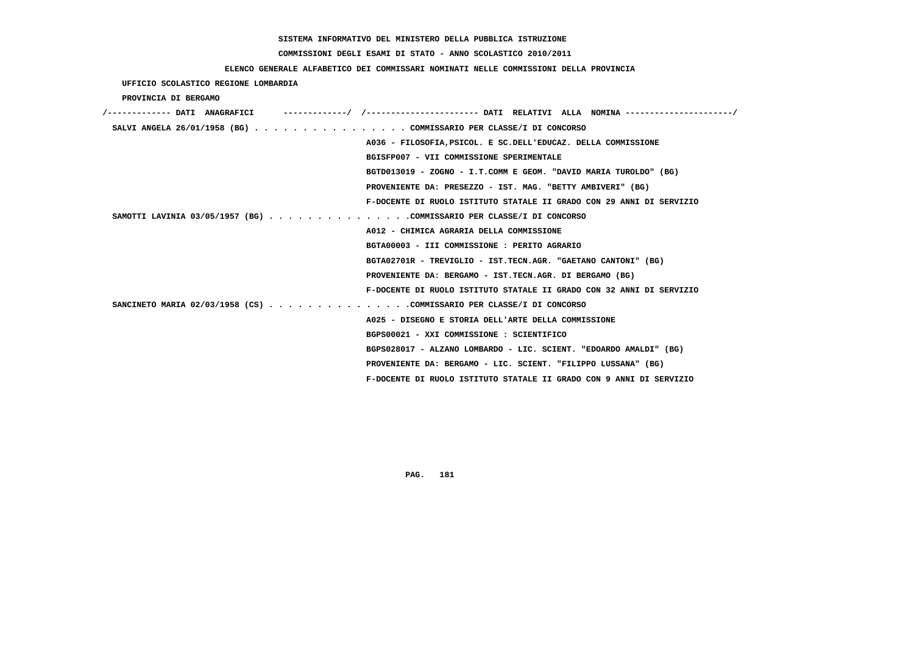# **COMMISSIONI DEGLI ESAMI DI STATO - ANNO SCOLASTICO 2010/2011**

# **ELENCO GENERALE ALFABETICO DEI COMMISSARI NOMINATI NELLE COMMISSIONI DELLA PROVINCIA**

 **UFFICIO SCOLASTICO REGIONE LOMBARDIA**

 **PROVINCIA DI BERGAMO**

| /------------- DATI ANAGRAFICI |                                                                      |
|--------------------------------|----------------------------------------------------------------------|
|                                | SALVI ANGELA 26/01/1958 (BG) COMMISSARIO PER CLASSE/I DI CONCORSO    |
|                                | A036 - FILOSOFIA, PSICOL. E SC. DELL'EDUCAZ. DELLA COMMISSIONE       |
|                                | BGISFP007 - VII COMMISSIONE SPERIMENTALE                             |
|                                | BGTD013019 - ZOGNO - I.T.COMM E GEOM. "DAVID MARIA TUROLDO" (BG)     |
|                                | PROVENIENTE DA: PRESEZZO - IST. MAG. "BETTY AMBIVERI" (BG)           |
|                                | F-DOCENTE DI RUOLO ISTITUTO STATALE II GRADO CON 29 ANNI DI SERVIZIO |
|                                | SAMOTTI LAVINIA 03/05/1957 (BG) COMMISSARIO PER CLASSE/I DI CONCORSO |
|                                | A012 - CHIMICA AGRARIA DELLA COMMISSIONE                             |
|                                | BGTA00003 - III COMMISSIONE : PERITO AGRARIO                         |
|                                | BGTA02701R - TREVIGLIO - IST.TECN.AGR. "GAETANO CANTONI" (BG)        |
|                                | PROVENIENTE DA: BERGAMO - IST.TECN.AGR. DI BERGAMO (BG)              |
|                                | F-DOCENTE DI RUOLO ISTITUTO STATALE II GRADO CON 32 ANNI DI SERVIZIO |
|                                | SANCINETO MARIA 02/03/1958 (CS) COMMISSARIO PER CLASSE/I DI CONCORSO |
|                                | A025 - DISEGNO E STORIA DELL'ARTE DELLA COMMISSIONE                  |
|                                | BGPS00021 - XXI COMMISSIONE : SCIENTIFICO                            |
|                                | BGPS028017 - ALZANO LOMBARDO - LIC. SCIENT. "EDOARDO AMALDI" (BG)    |
|                                | PROVENIENTE DA: BERGAMO - LIC. SCIENT. "FILIPPO LUSSANA" (BG)        |
|                                | F-DOCENTE DI RUOLO ISTITUTO STATALE II GRADO CON 9 ANNI DI SERVIZIO  |
|                                |                                                                      |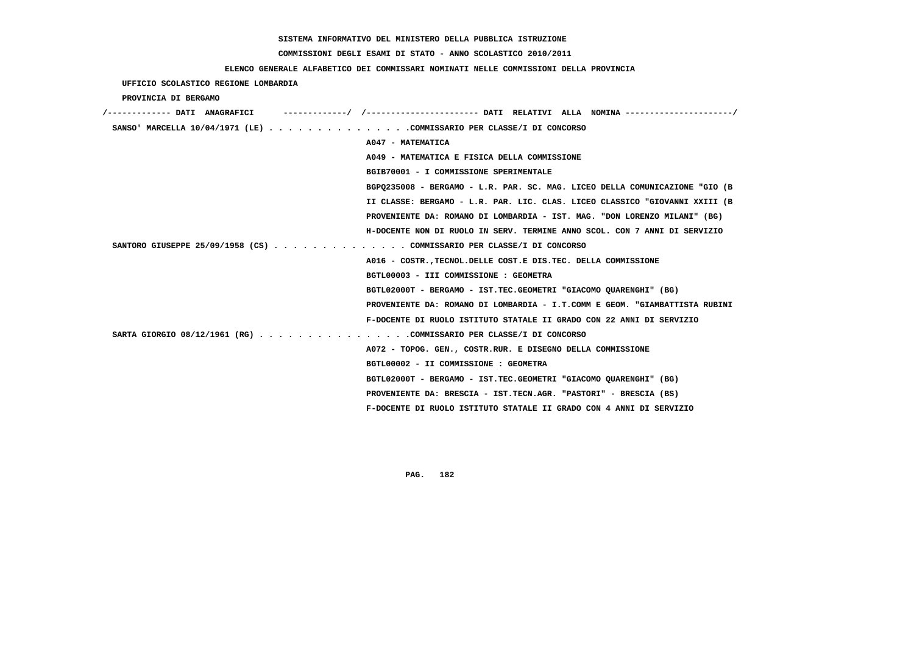# **COMMISSIONI DEGLI ESAMI DI STATO - ANNO SCOLASTICO 2010/2011**

# **ELENCO GENERALE ALFABETICO DEI COMMISSARI NOMINATI NELLE COMMISSIONI DELLA PROVINCIA**

| UFFICIO SCOLASTICO REGIONE LOMBARDIA                                   |                                                                             |
|------------------------------------------------------------------------|-----------------------------------------------------------------------------|
| PROVINCIA DI BERGAMO                                                   |                                                                             |
|                                                                        |                                                                             |
| SANSO' MARCELLA $10/04/1971$ (LE) COMMISSARIO PER CLASSE/I DI CONCORSO |                                                                             |
|                                                                        | A047 - MATEMATICA                                                           |
|                                                                        | A049 - MATEMATICA E FISICA DELLA COMMISSIONE                                |
|                                                                        | BGIB70001 - I COMMISSIONE SPERIMENTALE                                      |
|                                                                        | BGPQ235008 - BERGAMO - L.R. PAR. SC. MAG. LICEO DELLA COMUNICAZIONE "GIO (B |
|                                                                        | II CLASSE: BERGAMO - L.R. PAR. LIC. CLAS. LICEO CLASSICO "GIOVANNI XXIII (B |
|                                                                        | PROVENIENTE DA: ROMANO DI LOMBARDIA - IST. MAG. "DON LORENZO MILANI" (BG)   |
|                                                                        | H-DOCENTE NON DI RUOLO IN SERV. TERMINE ANNO SCOL. CON 7 ANNI DI SERVIZIO   |
| SANTORO GIUSEPPE 25/09/1958 (CS) COMMISSARIO PER CLASSE/I DI CONCORSO  |                                                                             |
|                                                                        | A016 - COSTR., TECNOL. DELLE COST. E DIS. TEC. DELLA COMMISSIONE            |
|                                                                        | BGTL00003 - III COMMISSIONE : GEOMETRA                                      |
|                                                                        | BGTL02000T - BERGAMO - IST.TEC.GEOMETRI "GIACOMO OUARENGHI" (BG)            |
|                                                                        | PROVENIENTE DA: ROMANO DI LOMBARDIA - I.T.COMM E GEOM. "GIAMBATTISTA RUBINI |
|                                                                        | F-DOCENTE DI RUOLO ISTITUTO STATALE II GRADO CON 22 ANNI DI SERVIZIO        |
| SARTA GIORGIO 08/12/1961 (RG) COMMISSARIO PER CLASSE/I DI CONCORSO     |                                                                             |
|                                                                        | A072 - TOPOG. GEN., COSTR.RUR. E DISEGNO DELLA COMMISSIONE                  |
|                                                                        | BGTL00002 - II COMMISSIONE : GEOMETRA                                       |
|                                                                        | BGTL02000T - BERGAMO - IST.TEC.GEOMETRI "GIACOMO QUARENGHI" (BG)            |
|                                                                        | PROVENIENTE DA: BRESCIA - IST.TECN.AGR. "PASTORI" - BRESCIA (BS)            |
|                                                                        | F-DOCENTE DI RUOLO ISTITUTO STATALE II GRADO CON 4 ANNI DI SERVIZIO         |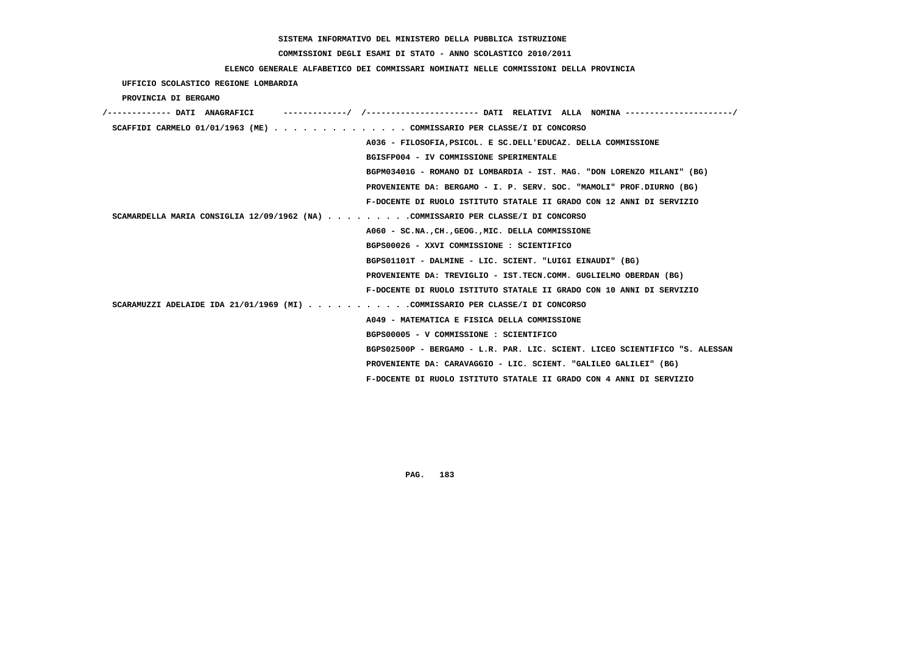# **COMMISSIONI DEGLI ESAMI DI STATO - ANNO SCOLASTICO 2010/2011**

### **ELENCO GENERALE ALFABETICO DEI COMMISSARI NOMINATI NELLE COMMISSIONI DELLA PROVINCIA**

 **UFFICIO SCOLASTICO REGIONE LOMBARDIA**

 **PROVINCIA DI BERGAMO**

| /------------- DATI ANAGRAFICI                                                   |
|----------------------------------------------------------------------------------|
| SCAFFIDI CARMELO 01/01/1963 (ME) COMMISSARIO PER CLASSE/I DI CONCORSO            |
| A036 - FILOSOFIA, PSICOL, E SC. DELL'EDUCAZ. DELLA COMMISSIONE                   |
| BGISFP004 - IV COMMISSIONE SPERIMENTALE                                          |
| BGPM03401G - ROMANO DI LOMBARDIA - IST. MAG. "DON LORENZO MILANI" (BG)           |
| PROVENIENTE DA: BERGAMO - I. P. SERV. SOC. "MAMOLI" PROF.DIURNO (BG)             |
| F-DOCENTE DI RUOLO ISTITUTO STATALE II GRADO CON 12 ANNI DI SERVIZIO             |
| SCAMARDELLA MARIA CONSIGLIA 12/09/1962 (NA) COMMISSARIO PER CLASSE/I DI CONCORSO |
| A060 - SC.NA., CH., GEOG., MIC. DELLA COMMISSIONE                                |
| BGPS00026 - XXVI COMMISSIONE : SCIENTIFICO                                       |
| BGPS01101T - DALMINE - LIC. SCIENT. "LUIGI EINAUDI" (BG)                         |
| PROVENIENTE DA: TREVIGLIO - IST.TECN.COMM. GUGLIELMO OBERDAN (BG)                |
| F-DOCENTE DI RUOLO ISTITUTO STATALE II GRADO CON 10 ANNI DI SERVIZIO             |
| SCARAMUZZI ADELAIDE IDA 21/01/1969 (MI) COMMISSARIO PER CLASSE/I DI CONCORSO     |
| A049 - MATEMATICA E FISICA DELLA COMMISSIONE                                     |
| BGPS00005 - V COMMISSIONE : SCIENTIFICO                                          |
| BGPS02500P - BERGAMO - L.R. PAR. LIC. SCIENT. LICEO SCIENTIFICO "S. ALESSAN      |
| PROVENIENTE DA: CARAVAGGIO - LIC. SCIENT. "GALILEO GALILEI" (BG)                 |
| F-DOCENTE DI RUOLO ISTITUTO STATALE II GRADO CON 4 ANNI DI SERVIZIO              |
|                                                                                  |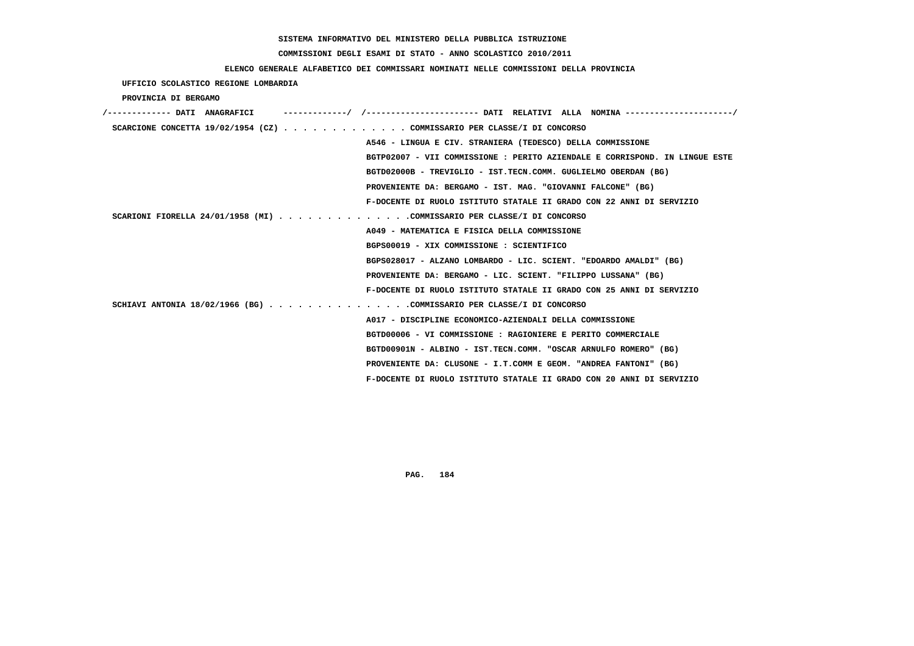# **COMMISSIONI DEGLI ESAMI DI STATO - ANNO SCOLASTICO 2010/2011**

### **ELENCO GENERALE ALFABETICO DEI COMMISSARI NOMINATI NELLE COMMISSIONI DELLA PROVINCIA**

 **UFFICIO SCOLASTICO REGIONE LOMBARDIA**

 **PROVINCIA DI BERGAMO**

| /------------- DATI ANAGRAFICI |                                                                                              |  |
|--------------------------------|----------------------------------------------------------------------------------------------|--|
|                                | SCARCIONE CONCETTA $19/02/1954$ (CZ) COMMISSARIO PER CLASSE/I DI CONCORSO                    |  |
|                                | A546 - LINGUA E CIV. STRANIERA (TEDESCO) DELLA COMMISSIONE                                   |  |
|                                | BGTP02007 - VII COMMISSIONE : PERITO AZIENDALE E CORRISPOND. IN LINGUE ESTE                  |  |
|                                | BGTD02000B - TREVIGLIO - IST.TECN.COMM. GUGLIELMO OBERDAN (BG)                               |  |
|                                | PROVENIENTE DA: BERGAMO - IST. MAG. "GIOVANNI FALCONE" (BG)                                  |  |
|                                | F-DOCENTE DI RUOLO ISTITUTO STATALE II GRADO CON 22 ANNI DI SERVIZIO                         |  |
|                                | SCARIONI FIORELLA 24/01/1958 (MI) COMMISSARIO PER CLASSE/I DI CONCORSO                       |  |
|                                | A049 - MATEMATICA E FISICA DELLA COMMISSIONE                                                 |  |
|                                | BGPS00019 - XIX COMMISSIONE : SCIENTIFICO                                                    |  |
|                                | BGPS028017 - ALZANO LOMBARDO - LIC. SCIENT. "EDOARDO AMALDI" (BG)                            |  |
|                                | PROVENIENTE DA: BERGAMO - LIC. SCIENT. "FILIPPO LUSSANA" (BG)                                |  |
|                                | F-DOCENTE DI RUOLO ISTITUTO STATALE II GRADO CON 25 ANNI DI SERVIZIO                         |  |
|                                | SCHIAVI ANTONIA 18/02/1966 (BG) $\ldots$ ,,,,,,,,,,,,,,,COMMISSARIO PER CLASSE/I DI CONCORSO |  |
|                                | A017 - DISCIPLINE ECONOMICO-AZIENDALI DELLA COMMISSIONE                                      |  |
|                                | BGTD00006 - VI COMMISSIONE : RAGIONIERE E PERITO COMMERCIALE                                 |  |
|                                | BGTD00901N - ALBINO - IST.TECN.COMM. "OSCAR ARNULFO ROMERO" (BG)                             |  |
|                                | PROVENIENTE DA: CLUSONE - I.T.COMM E GEOM. "ANDREA FANTONI" (BG)                             |  |
|                                | F-DOCENTE DI RUOLO ISTITUTO STATALE II GRADO CON 20 ANNI DI SERVIZIO                         |  |
|                                |                                                                                              |  |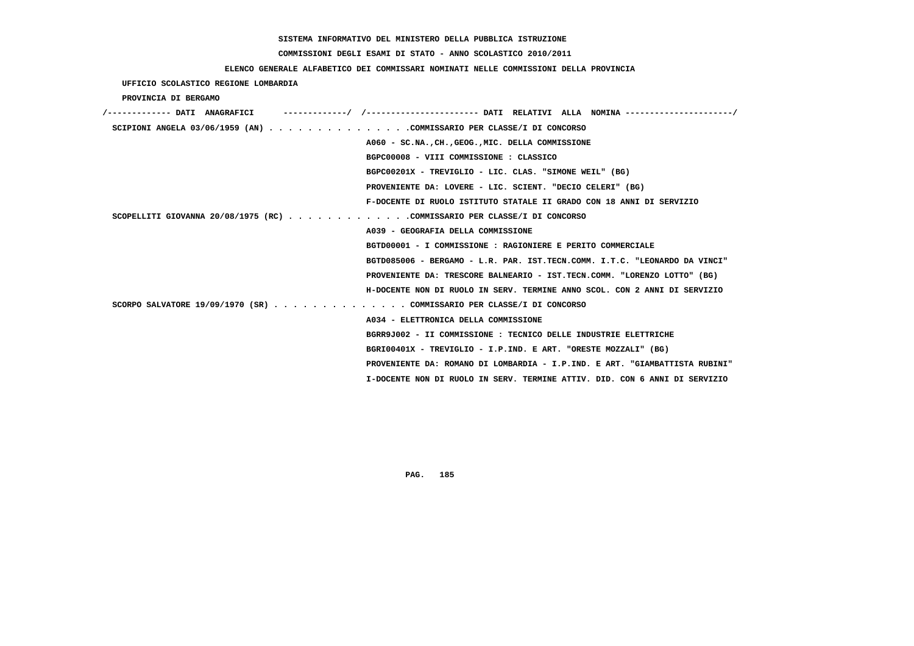# **COMMISSIONI DEGLI ESAMI DI STATO - ANNO SCOLASTICO 2010/2011**

### **ELENCO GENERALE ALFABETICO DEI COMMISSARI NOMINATI NELLE COMMISSIONI DELLA PROVINCIA**

 **UFFICIO SCOLASTICO REGIONE LOMBARDIA**

 **PROVINCIA DI BERGAMO**

| /------------- DATI ANAGRAFICI                                              |
|-----------------------------------------------------------------------------|
| SCIPIONI ANGELA 03/06/1959 (AN) COMMISSARIO PER CLASSE/I DI CONCORSO        |
| A060 - SC.NA., CH., GEOG., MIC. DELLA COMMISSIONE                           |
| BGPC00008 - VIII COMMISSIONE : CLASSICO                                     |
| BGPC00201X - TREVIGLIO - LIC. CLAS. "SIMONE WEIL" (BG)                      |
| PROVENIENTE DA: LOVERE - LIC. SCIENT. "DECIO CELERI" (BG)                   |
| F-DOCENTE DI RUOLO ISTITUTO STATALE II GRADO CON 18 ANNI DI SERVIZIO        |
| SCOPELLITI GIOVANNA 20/08/1975 (RC) COMMISSARIO PER CLASSE/I DI CONCORSO    |
| A039 - GEOGRAFIA DELLA COMMISSIONE                                          |
| BGTD00001 - I COMMISSIONE : RAGIONIERE E PERITO COMMERCIALE                 |
| BGTD085006 - BERGAMO - L.R. PAR. IST.TECN.COMM. I.T.C. "LEONARDO DA VINCI"  |
| PROVENIENTE DA: TRESCORE BALNEARIO - IST.TECN.COMM. "LORENZO LOTTO" (BG)    |
| H-DOCENTE NON DI RUOLO IN SERV. TERMINE ANNO SCOL. CON 2 ANNI DI SERVIZIO   |
| SCORPO SALVATORE 19/09/1970 (SR) COMMISSARIO PER CLASSE/I DI CONCORSO       |
| A034 - ELETTRONICA DELLA COMMISSIONE                                        |
| BGRR9J002 - II COMMISSIONE : TECNICO DELLE INDUSTRIE ELETTRICHE             |
| BGRI00401X - TREVIGLIO - I.P.IND. E ART. "ORESTE MOZZALI" (BG)              |
| PROVENIENTE DA: ROMANO DI LOMBARDIA - I.P.IND. E ART. "GIAMBATTISTA RUBINI" |
| I-DOCENTE NON DI RUOLO IN SERV. TERMINE ATTIV. DID. CON 6 ANNI DI SERVIZIO  |
|                                                                             |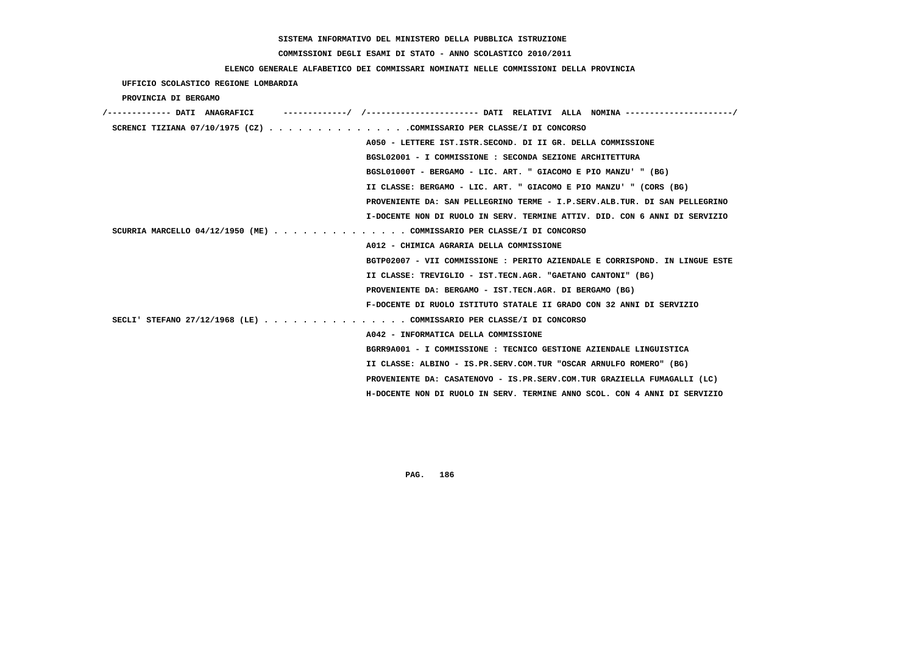#### **COMMISSIONI DEGLI ESAMI DI STATO - ANNO SCOLASTICO 2010/2011**

#### **ELENCO GENERALE ALFABETICO DEI COMMISSARI NOMINATI NELLE COMMISSIONI DELLA PROVINCIA**

 **UFFICIO SCOLASTICO REGIONE LOMBARDIA PROVINCIA DI BERGAMO /------------- DATI ANAGRAFICI -------------/ /----------------------- DATI RELATIVI ALLA NOMINA ----------------------/ SCRENCI TIZIANA 07/10/1975 (CZ) . . . . . . . . . . . . . . .COMMISSARIO PER CLASSE/I DI CONCORSO A050 - LETTERE IST.ISTR.SECOND. DI II GR. DELLA COMMISSIONE BGSL02001 - I COMMISSIONE : SECONDA SEZIONE ARCHITETTURA BGSL01000T - BERGAMO - LIC. ART. " GIACOMO E PIO MANZU' " (BG) II CLASSE: BERGAMO - LIC. ART. " GIACOMO E PIO MANZU' " (CORS (BG) PROVENIENTE DA: SAN PELLEGRINO TERME - I.P.SERV.ALB.TUR. DI SAN PELLEGRINO I-DOCENTE NON DI RUOLO IN SERV. TERMINE ATTIV. DID. CON 6 ANNI DI SERVIZIO SCURRIA MARCELLO 04/12/1950 (ME) . . . . . . . . . . . . . . COMMISSARIO PER CLASSE/I DI CONCORSO A012 - CHIMICA AGRARIA DELLA COMMISSIONE BGTP02007 - VII COMMISSIONE : PERITO AZIENDALE E CORRISPOND. IN LINGUE ESTE II CLASSE: TREVIGLIO - IST.TECN.AGR. "GAETANO CANTONI" (BG) PROVENIENTE DA: BERGAMO - IST.TECN.AGR. DI BERGAMO (BG) F-DOCENTE DI RUOLO ISTITUTO STATALE II GRADO CON 32 ANNI DI SERVIZIO SECLI' STEFANO 27/12/1968 (LE) . . . . . . . . . . . . . . . COMMISSARIO PER CLASSE/I DI CONCORSO A042 - INFORMATICA DELLA COMMISSIONE BGRR9A001 - I COMMISSIONE : TECNICO GESTIONE AZIENDALE LINGUISTICA II CLASSE: ALBINO - IS.PR.SERV.COM.TUR "OSCAR ARNULFO ROMERO" (BG) PROVENIENTE DA: CASATENOVO - IS.PR.SERV.COM.TUR GRAZIELLA FUMAGALLI (LC) H-DOCENTE NON DI RUOLO IN SERV. TERMINE ANNO SCOL. CON 4 ANNI DI SERVIZIO**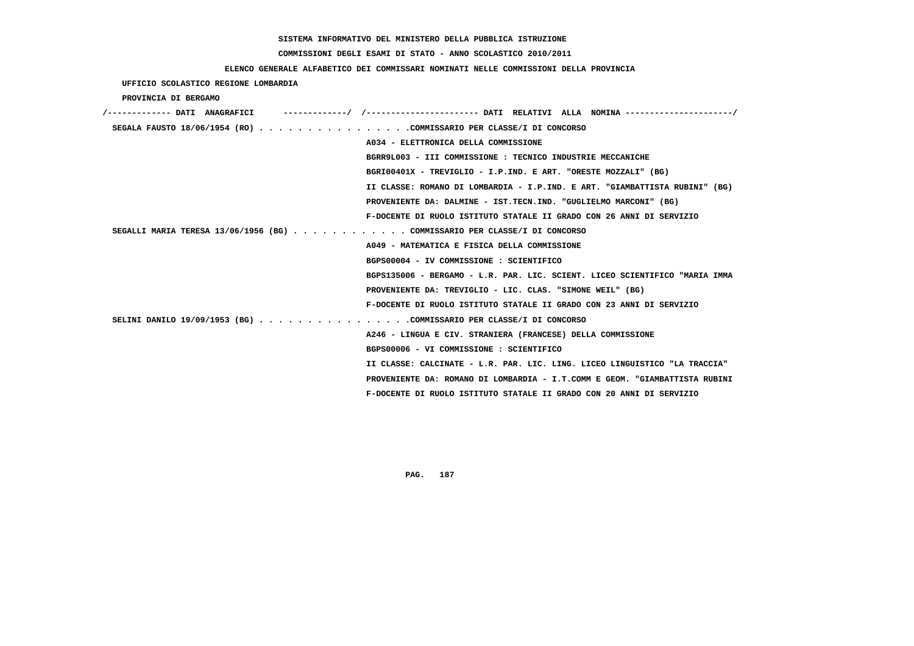# **COMMISSIONI DEGLI ESAMI DI STATO - ANNO SCOLASTICO 2010/2011**

### **ELENCO GENERALE ALFABETICO DEI COMMISSARI NOMINATI NELLE COMMISSIONI DELLA PROVINCIA**

| UFFICIO SCOLASTICO REGIONE LOMBARDIA                                      |                                                                             |
|---------------------------------------------------------------------------|-----------------------------------------------------------------------------|
| PROVINCIA DI BERGAMO                                                      |                                                                             |
| /------------- DATI ANAGRAFICI                                            |                                                                             |
| SEGALA FAUSTO 18/06/1954 (RO) COMMISSARIO PER CLASSE/I DI CONCORSO        |                                                                             |
|                                                                           | A034 - ELETTRONICA DELLA COMMISSIONE                                        |
|                                                                           | BGRR9L003 - III COMMISSIONE : TECNICO INDUSTRIE MECCANICHE                  |
|                                                                           | BGRI00401X - TREVIGLIO - I.P.IND. E ART. "ORESTE MOZZALI" (BG)              |
|                                                                           | II CLASSE: ROMANO DI LOMBARDIA - I.P.IND. E ART. "GIAMBATTISTA RUBINI" (BG) |
|                                                                           | PROVENIENTE DA: DALMINE - IST.TECN.IND. "GUGLIELMO MARCONI" (BG)            |
|                                                                           | F-DOCENTE DI RUOLO ISTITUTO STATALE II GRADO CON 26 ANNI DI SERVIZIO        |
| SEGALLI MARIA TERESA 13/06/1956 (BG) COMMISSARIO PER CLASSE/I DI CONCORSO |                                                                             |
|                                                                           | A049 - MATEMATICA E FISICA DELLA COMMISSIONE                                |
|                                                                           | BGPS00004 - IV COMMISSIONE : SCIENTIFICO                                    |
|                                                                           | BGPS135006 - BERGAMO - L.R. PAR. LIC. SCIENT. LICEO SCIENTIFICO "MARIA IMMA |
|                                                                           | PROVENIENTE DA: TREVIGLIO - LIC. CLAS. "SIMONE WEIL" (BG)                   |
|                                                                           | F-DOCENTE DI RUOLO ISTITUTO STATALE II GRADO CON 23 ANNI DI SERVIZIO        |
| SELINI DANILO 19/09/1953 (BG) COMMISSARIO PER CLASSE/I DI CONCORSO        |                                                                             |
|                                                                           | A246 - LINGUA E CIV. STRANIERA (FRANCESE) DELLA COMMISSIONE                 |
|                                                                           | BGPS00006 - VI COMMISSIONE : SCIENTIFICO                                    |
|                                                                           | II CLASSE: CALCINATE - L.R. PAR. LIC. LING. LICEO LINGUISTICO "LA TRACCIA"  |
|                                                                           | PROVENIENTE DA: ROMANO DI LOMBARDIA - I.T.COMM E GEOM. "GIAMBATTISTA RUBINI |
|                                                                           | F-DOCENTE DI RUOLO ISTITUTO STATALE II GRADO CON 20 ANNI DI SERVIZIO        |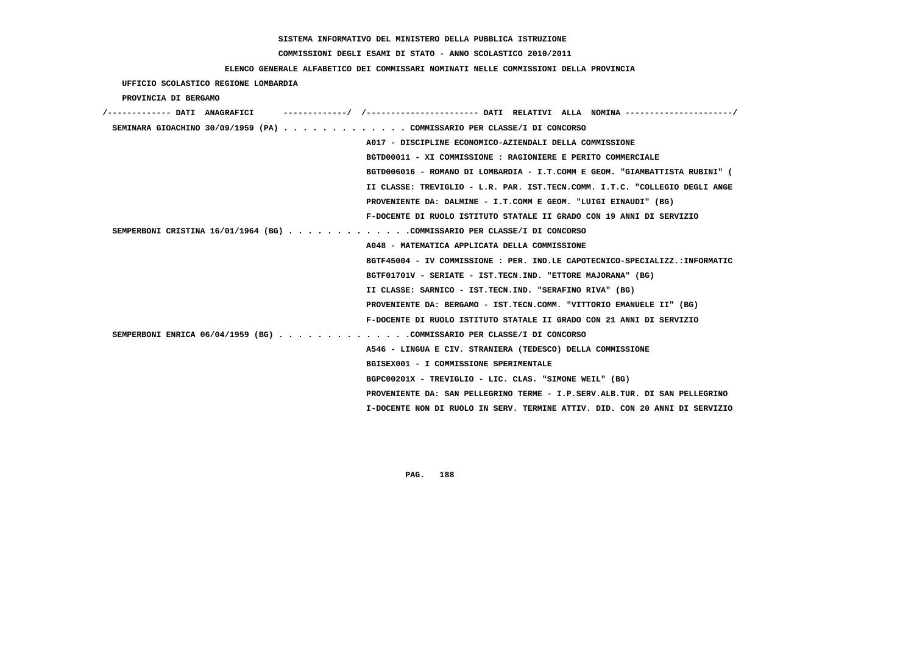#### **COMMISSIONI DEGLI ESAMI DI STATO - ANNO SCOLASTICO 2010/2011**

#### **ELENCO GENERALE ALFABETICO DEI COMMISSARI NOMINATI NELLE COMMISSIONI DELLA PROVINCIA**

 **UFFICIO SCOLASTICO REGIONE LOMBARDIA PROVINCIA DI BERGAMO /------------- DATI ANAGRAFICI -------------/ /----------------------- DATI RELATIVI ALLA NOMINA ----------------------/ SEMINARA GIOACHINO 30/09/1959 (PA) . . . . . . . . . . . . . COMMISSARIO PER CLASSE/I DI CONCORSO A017 - DISCIPLINE ECONOMICO-AZIENDALI DELLA COMMISSIONE BGTD00011 - XI COMMISSIONE : RAGIONIERE E PERITO COMMERCIALE BGTD006016 - ROMANO DI LOMBARDIA - I.T.COMM E GEOM. "GIAMBATTISTA RUBINI" ( II CLASSE: TREVIGLIO - L.R. PAR. IST.TECN.COMM. I.T.C. "COLLEGIO DEGLI ANGE PROVENIENTE DA: DALMINE - I.T.COMM E GEOM. "LUIGI EINAUDI" (BG) F-DOCENTE DI RUOLO ISTITUTO STATALE II GRADO CON 19 ANNI DI SERVIZIO SEMPERBONI CRISTINA 16/01/1964 (BG) . . . . . . . . . . . . .COMMISSARIO PER CLASSE/I DI CONCORSO A048 - MATEMATICA APPLICATA DELLA COMMISSIONE BGTF45004 - IV COMMISSIONE : PER. IND.LE CAPOTECNICO-SPECIALIZZ.:INFORMATIC BGTF01701V - SERIATE - IST.TECN.IND. "ETTORE MAJORANA" (BG) II CLASSE: SARNICO - IST.TECN.IND. "SERAFINO RIVA" (BG) PROVENIENTE DA: BERGAMO - IST.TECN.COMM. "VITTORIO EMANUELE II" (BG) F-DOCENTE DI RUOLO ISTITUTO STATALE II GRADO CON 21 ANNI DI SERVIZIO SEMPERBONI ENRICA 06/04/1959 (BG) . . . . . . . . . . . . . .COMMISSARIO PER CLASSE/I DI CONCORSO A546 - LINGUA E CIV. STRANIERA (TEDESCO) DELLA COMMISSIONE BGISEX001 - I COMMISSIONE SPERIMENTALE BGPC00201X - TREVIGLIO - LIC. CLAS. "SIMONE WEIL" (BG) PROVENIENTE DA: SAN PELLEGRINO TERME - I.P.SERV.ALB.TUR. DI SAN PELLEGRINO I-DOCENTE NON DI RUOLO IN SERV. TERMINE ATTIV. DID. CON 20 ANNI DI SERVIZIO**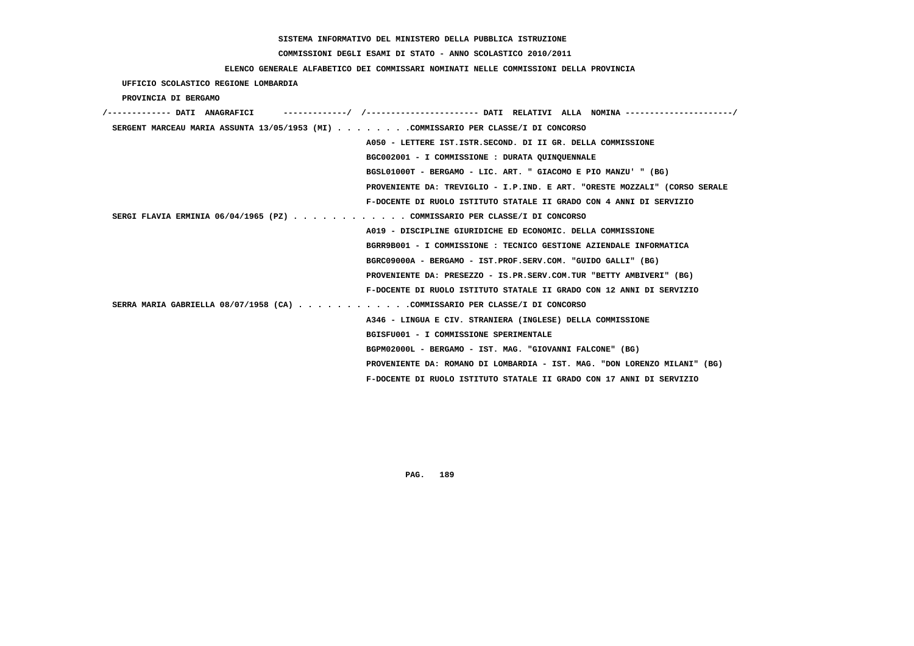# **COMMISSIONI DEGLI ESAMI DI STATO - ANNO SCOLASTICO 2010/2011**

### **ELENCO GENERALE ALFABETICO DEI COMMISSARI NOMINATI NELLE COMMISSIONI DELLA PROVINCIA**

### **UFFICIO SCOLASTICO REGIONE LOMBARDIA**

 **PROVINCIA DI BERGAMO**

| --------/ /---------------------- DATI RELATIVI ALLA NOMINA ---------<br>/------------- DATI ANAGRAFICI |
|---------------------------------------------------------------------------------------------------------|
| SERGENT MARCEAU MARIA ASSUNTA 13/05/1953 (MI) COMMISSARIO PER CLASSE/I DI CONCORSO                      |
| A050 - LETTERE IST.ISTR.SECOND. DI II GR. DELLA COMMISSIONE                                             |
| BGC002001 - I COMMISSIONE : DURATA QUINQUENNALE                                                         |
| BGSL01000T - BERGAMO - LIC. ART. " GIACOMO E PIO MANZU' " (BG)                                          |
| PROVENIENTE DA: TREVIGLIO - I.P.IND. E ART. "ORESTE MOZZALI" (CORSO SERALE                              |
| F-DOCENTE DI RUOLO ISTITUTO STATALE II GRADO CON 4 ANNI DI SERVIZIO                                     |
| SERGI FLAVIA ERMINIA 06/04/1965 (PZ) COMMISSARIO PER CLASSE/I DI CONCORSO                               |
| A019 - DISCIPLINE GIURIDICHE ED ECONOMIC. DELLA COMMISSIONE                                             |
| BGRR9B001 - I COMMISSIONE : TECNICO GESTIONE AZIENDALE INFORMATICA                                      |
| BGRC09000A - BERGAMO - IST.PROF.SERV.COM. "GUIDO GALLI" (BG)                                            |
| PROVENIENTE DA: PRESEZZO - IS.PR.SERV.COM.TUR "BETTY AMBIVERI" (BG)                                     |
| F-DOCENTE DI RUOLO ISTITUTO STATALE II GRADO CON 12 ANNI DI SERVIZIO                                    |
| SERRA MARIA GABRIELLA 08/07/1958 (CA) COMMISSARIO PER CLASSE/I DI CONCORSO                              |
| A346 - LINGUA E CIV. STRANIERA (INGLESE) DELLA COMMISSIONE                                              |
| BGISFU001 - I COMMISSIONE SPERIMENTALE                                                                  |
| BGPM02000L - BERGAMO - IST. MAG. "GIOVANNI FALCONE" (BG)                                                |
| PROVENIENTE DA: ROMANO DI LOMBARDIA - IST. MAG. "DON LORENZO MILANI" (BG)                               |
| F-DOCENTE DI RUOLO ISTITUTO STATALE II GRADO CON 17 ANNI DI SERVIZIO                                    |
|                                                                                                         |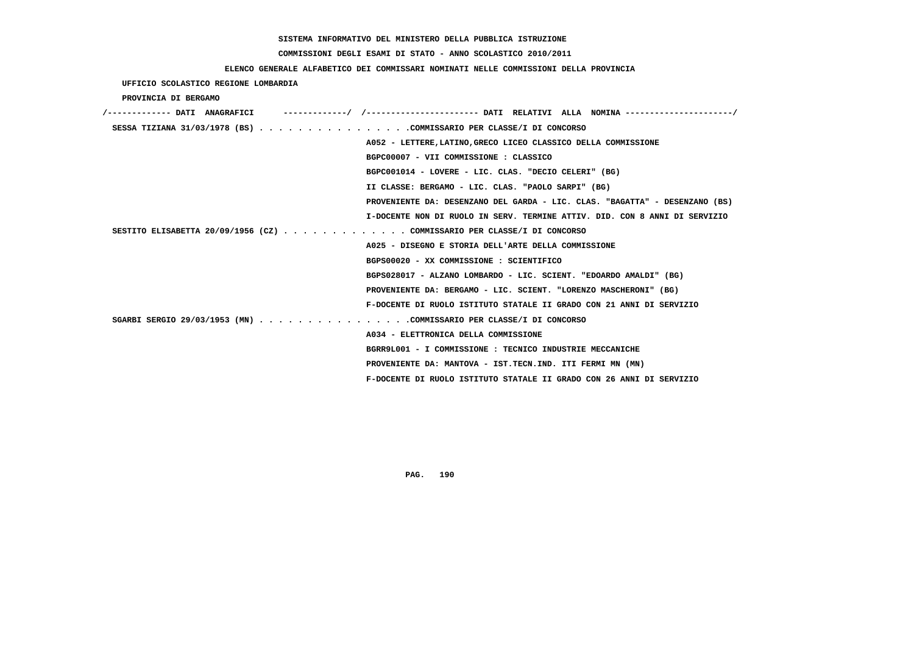# **COMMISSIONI DEGLI ESAMI DI STATO - ANNO SCOLASTICO 2010/2011**

## **ELENCO GENERALE ALFABETICO DEI COMMISSARI NOMINATI NELLE COMMISSIONI DELLA PROVINCIA**

# **UFFICIO SCOLASTICO REGIONE LOMBARDIA**

 **PROVINCIA DI BERGAMO**

| /------------- DATI ANAGRAFICI | ----------/ /---------------------- DATI RELATIVI ALLA NOMINA --------------------/ |
|--------------------------------|-------------------------------------------------------------------------------------|
|                                | SESSA TIZIANA 31/03/1978 (BS) COMMISSARIO PER CLASSE/I DI CONCORSO                  |
|                                | A052 - LETTERE, LATINO, GRECO LICEO CLASSICO DELLA COMMISSIONE                      |
|                                | BGPC00007 - VII COMMISSIONE : CLASSICO                                              |
|                                | BGPC001014 - LOVERE - LIC. CLAS. "DECIO CELERI" (BG)                                |
|                                | II CLASSE: BERGAMO - LIC. CLAS. "PAOLO SARPI" (BG)                                  |
|                                | PROVENIENTE DA: DESENZANO DEL GARDA - LIC. CLAS. "BAGATTA" - DESENZANO (BS)         |
|                                | I-DOCENTE NON DI RUOLO IN SERV. TERMINE ATTIV. DID. CON 8 ANNI DI SERVIZIO          |
|                                | SESTITO ELISABETTA 20/09/1956 (CZ) COMMISSARIO PER CLASSE/I DI CONCORSO             |
|                                | A025 - DISEGNO E STORIA DELL'ARTE DELLA COMMISSIONE                                 |
|                                | BGPS00020 - XX COMMISSIONE : SCIENTIFICO                                            |
|                                | BGPS028017 - ALZANO LOMBARDO - LIC. SCIENT. "EDOARDO AMALDI" (BG)                   |
|                                | PROVENIENTE DA: BERGAMO - LIC. SCIENT. "LORENZO MASCHERONI" (BG)                    |
|                                | F-DOCENTE DI RUOLO ISTITUTO STATALE II GRADO CON 21 ANNI DI SERVIZIO                |
|                                | SGARBI SERGIO 29/03/1953 (MN) COMMISSARIO PER CLASSE/I DI CONCORSO                  |
|                                | A034 - ELETTRONICA DELLA COMMISSIONE                                                |
|                                | BGRR9L001 - I COMMISSIONE : TECNICO INDUSTRIE MECCANICHE                            |
|                                | PROVENIENTE DA: MANTOVA - IST.TECN.IND. ITI FERMI MN (MN)                           |
|                                | F-DOCENTE DI RUOLO ISTITUTO STATALE II GRADO CON 26 ANNI DI SERVIZIO                |
|                                |                                                                                     |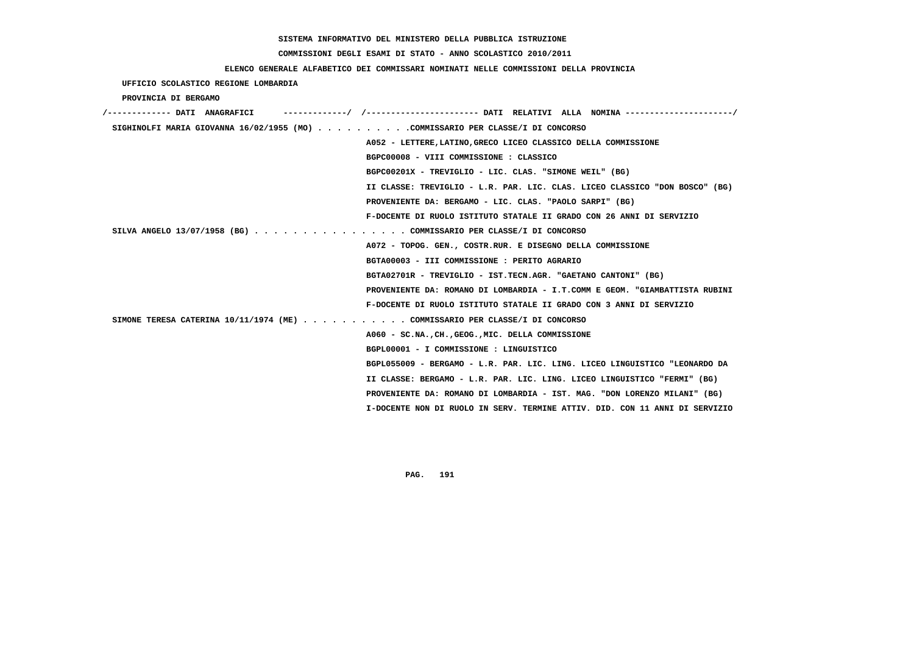# **COMMISSIONI DEGLI ESAMI DI STATO - ANNO SCOLASTICO 2010/2011**

### **ELENCO GENERALE ALFABETICO DEI COMMISSARI NOMINATI NELLE COMMISSIONI DELLA PROVINCIA**

### **UFFICIO SCOLASTICO REGIONE LOMBARDIA**

 **PROVINCIA DI BERGAMO**

| /------------- DATI ANAGRAFICI                                                 | --------/ /---------------------- DATI RELATIVI ALLA NOMINA---------------------/ |
|--------------------------------------------------------------------------------|-----------------------------------------------------------------------------------|
| SIGHINOLFI MARIA GIOVANNA 16/02/1955 (MO) COMMISSARIO PER CLASSE/I DI CONCORSO |                                                                                   |
|                                                                                | A052 - LETTERE, LATINO, GRECO LICEO CLASSICO DELLA COMMISSIONE                    |
|                                                                                | BGPC00008 - VIII COMMISSIONE : CLASSICO                                           |
|                                                                                | BGPC00201X - TREVIGLIO - LIC. CLAS. "SIMONE WEIL" (BG)                            |
|                                                                                | II CLASSE: TREVIGLIO - L.R. PAR. LIC. CLAS. LICEO CLASSICO "DON BOSCO" (BG)       |
|                                                                                | PROVENIENTE DA: BERGAMO - LIC. CLAS. "PAOLO SARPI" (BG)                           |
|                                                                                | F-DOCENTE DI RUOLO ISTITUTO STATALE II GRADO CON 26 ANNI DI SERVIZIO              |
| SILVA ANGELO 13/07/1958 (BG) COMMISSARIO PER CLASSE/I DI CONCORSO              |                                                                                   |
|                                                                                | A072 - TOPOG. GEN., COSTR.RUR. E DISEGNO DELLA COMMISSIONE                        |
|                                                                                | BGTA00003 - III COMMISSIONE : PERITO AGRARIO                                      |
|                                                                                | BGTA02701R - TREVIGLIO - IST.TECN.AGR. "GAETANO CANTONI" (BG)                     |
|                                                                                | PROVENIENTE DA: ROMANO DI LOMBARDIA - I.T.COMM E GEOM. "GIAMBATTISTA RUBINI       |
|                                                                                | F-DOCENTE DI RUOLO ISTITUTO STATALE II GRADO CON 3 ANNI DI SERVIZIO               |
| SIMONE TERESA CATERINA $10/11/1974$ (ME) COMMISSARIO PER CLASSE/I DI CONCORSO  |                                                                                   |
|                                                                                | A060 - SC.NA., CH., GEOG., MIC. DELLA COMMISSIONE                                 |
|                                                                                | BGPL00001 - I COMMISSIONE : LINGUISTICO                                           |
|                                                                                | BGPL055009 - BERGAMO - L.R. PAR. LIC. LING. LICEO LINGUISTICO "LEONARDO DA        |
|                                                                                | II CLASSE: BERGAMO - L.R. PAR. LIC. LING. LICEO LINGUISTICO "FERMI" (BG)          |
|                                                                                | PROVENIENTE DA: ROMANO DI LOMBARDIA - IST. MAG. "DON LORENZO MILANI" (BG)         |
|                                                                                | I-DOCENTE NON DI RUOLO IN SERV. TERMINE ATTIV. DID. CON 11 ANNI DI SERVIZIO       |
|                                                                                |                                                                                   |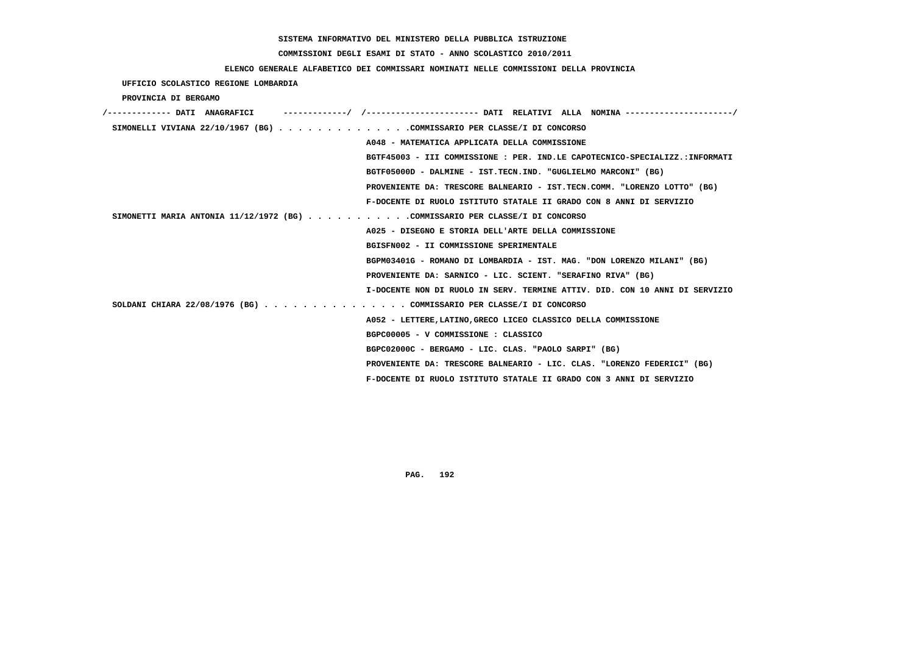# **COMMISSIONI DEGLI ESAMI DI STATO - ANNO SCOLASTICO 2010/2011**

### **ELENCO GENERALE ALFABETICO DEI COMMISSARI NOMINATI NELLE COMMISSIONI DELLA PROVINCIA**

 **UFFICIO SCOLASTICO REGIONE LOMBARDIA**

 **PROVINCIA DI BERGAMO**

| /------------- DATI ANAGRAFICI                                               |
|------------------------------------------------------------------------------|
| SIMONELLI VIVIANA 22/10/1967 (BG) COMMISSARIO PER CLASSE/I DI CONCORSO       |
| A048 - MATEMATICA APPLICATA DELLA COMMISSIONE                                |
| BGTF45003 - III COMMISSIONE : PER. IND.LE CAPOTECNICO-SPECIALIZZ.:INFORMATI  |
| BGTF05000D - DALMINE - IST.TECN.IND. "GUGLIELMO MARCONI" (BG)                |
| PROVENIENTE DA: TRESCORE BALNEARIO - IST.TECN.COMM. "LORENZO LOTTO" (BG)     |
| F-DOCENTE DI RUOLO ISTITUTO STATALE II GRADO CON 8 ANNI DI SERVIZIO          |
| SIMONETTI MARIA ANTONIA 11/12/1972 (BG) COMMISSARIO PER CLASSE/I DI CONCORSO |
| A025 - DISEGNO E STORIA DELL'ARTE DELLA COMMISSIONE                          |
| BGISFN002 - II COMMISSIONE SPERIMENTALE                                      |
| BGPM03401G - ROMANO DI LOMBARDIA - IST. MAG. "DON LORENZO MILANI" (BG)       |
| PROVENIENTE DA: SARNICO - LIC. SCIENT. "SERAFINO RIVA" (BG)                  |
| I-DOCENTE NON DI RUOLO IN SERV. TERMINE ATTIV. DID. CON 10 ANNI DI SERVIZIO  |
| SOLDANI CHIARA 22/08/1976 (BG) COMMISSARIO PER CLASSE/I DI CONCORSO          |
| A052 - LETTERE, LATINO, GRECO LICEO CLASSICO DELLA COMMISSIONE               |
| BGPC00005 - V COMMISSIONE : CLASSICO                                         |
| BGPC02000C - BERGAMO - LIC. CLAS. "PAOLO SARPI" (BG)                         |
| PROVENIENTE DA: TRESCORE BALNEARIO - LIC. CLAS. "LORENZO FEDERICI" (BG)      |
| F-DOCENTE DI RUOLO ISTITUTO STATALE II GRADO CON 3 ANNI DI SERVIZIO          |
|                                                                              |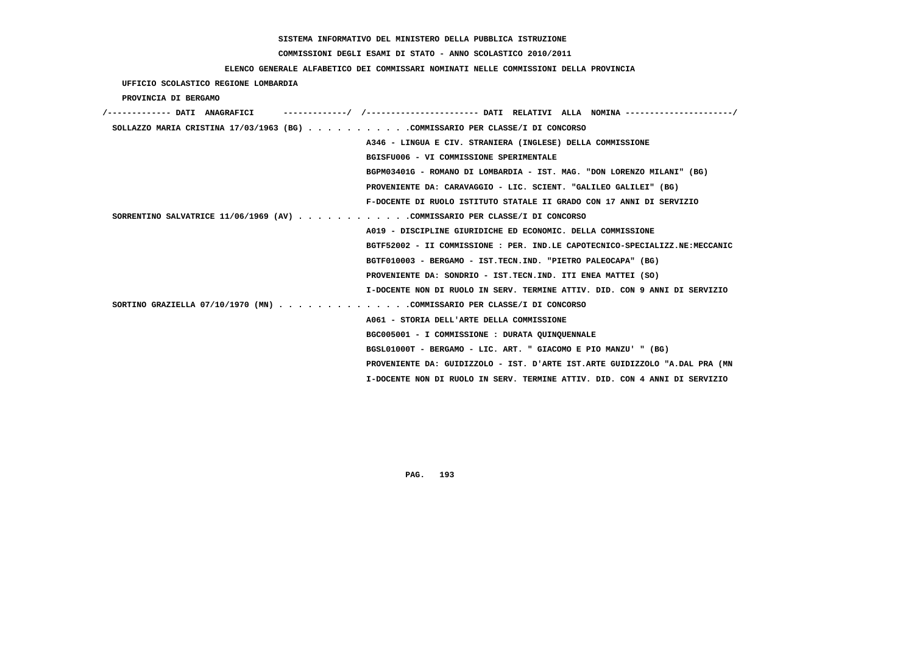# **COMMISSIONI DEGLI ESAMI DI STATO - ANNO SCOLASTICO 2010/2011**

### **ELENCO GENERALE ALFABETICO DEI COMMISSARI NOMINATI NELLE COMMISSIONI DELLA PROVINCIA**

 **UFFICIO SCOLASTICO REGIONE LOMBARDIA**

 **PROVINCIA DI BERGAMO**

| /------------- DATI ANAGRAFICI                                               | -----------/ /--------------------- DATI RELATIVI ALLA NOMINA--------------------/ |
|------------------------------------------------------------------------------|------------------------------------------------------------------------------------|
| SOLLAZZO MARIA CRISTINA 17/03/1963 (BG) COMMISSARIO PER CLASSE/I DI CONCORSO |                                                                                    |
|                                                                              | A346 - LINGUA E CIV. STRANIERA (INGLESE) DELLA COMMISSIONE                         |
|                                                                              | BGISFU006 - VI COMMISSIONE SPERIMENTALE                                            |
|                                                                              | BGPM03401G - ROMANO DI LOMBARDIA - IST. MAG. "DON LORENZO MILANI" (BG)             |
|                                                                              | PROVENIENTE DA: CARAVAGGIO - LIC. SCIENT. "GALILEO GALILEI" (BG)                   |
|                                                                              | F-DOCENTE DI RUOLO ISTITUTO STATALE II GRADO CON 17 ANNI DI SERVIZIO               |
| SORRENTINO SALVATRICE 11/06/1969 (AV) COMMISSARIO PER CLASSE/I DI CONCORSO   |                                                                                    |
|                                                                              | A019 - DISCIPLINE GIURIDICHE ED ECONOMIC. DELLA COMMISSIONE                        |
|                                                                              | BGTF52002 - II COMMISSIONE : PER. IND.LE CAPOTECNICO-SPECIALIZZ.NE:MECCANIC        |
|                                                                              | BGTF010003 - BERGAMO - IST.TECN.IND. "PIETRO PALEOCAPA" (BG)                       |
|                                                                              | PROVENIENTE DA: SONDRIO - IST.TECN.IND. ITI ENEA MATTEI (SO)                       |
|                                                                              | I-DOCENTE NON DI RUOLO IN SERV. TERMINE ATTIV. DID. CON 9 ANNI DI SERVIZIO         |
| SORTINO GRAZIELLA 07/10/1970 (MN) COMMISSARIO PER CLASSE/I DI CONCORSO       |                                                                                    |
|                                                                              | A061 - STORIA DELL'ARTE DELLA COMMISSIONE                                          |
|                                                                              | BGC005001 - I COMMISSIONE : DURATA QUINQUENNALE                                    |
|                                                                              | BGSL01000T - BERGAMO - LIC. ART. " GIACOMO E PIO MANZU' " (BG)                     |
|                                                                              | PROVENIENTE DA: GUIDIZZOLO - IST. D'ARTE IST.ARTE GUIDIZZOLO "A.DAL PRA (MN        |
|                                                                              | I-DOCENTE NON DI RUOLO IN SERV. TERMINE ATTIV. DID. CON 4 ANNI DI SERVIZIO         |
|                                                                              |                                                                                    |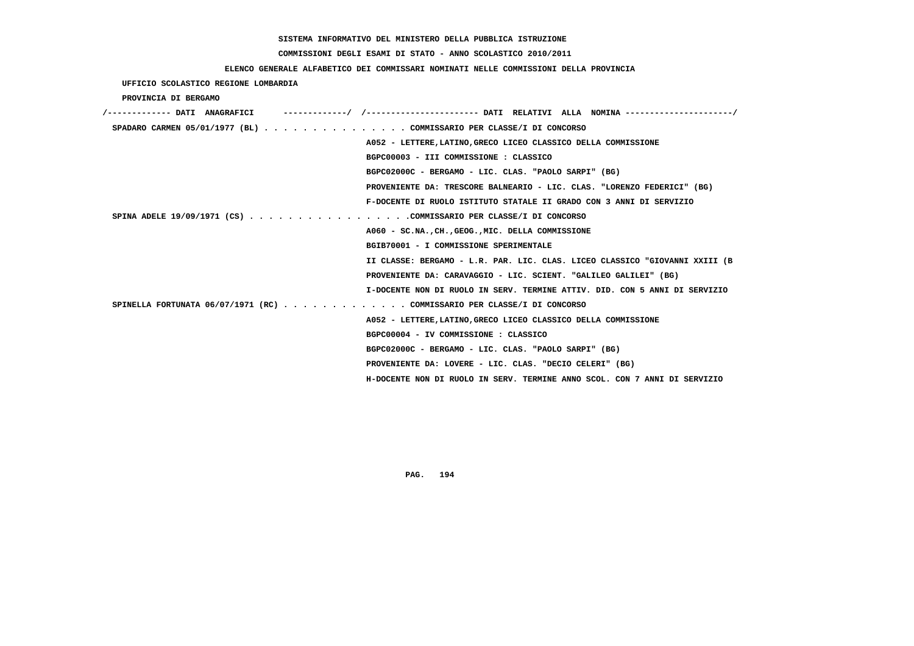# **COMMISSIONI DEGLI ESAMI DI STATO - ANNO SCOLASTICO 2010/2011**

## **ELENCO GENERALE ALFABETICO DEI COMMISSARI NOMINATI NELLE COMMISSIONI DELLA PROVINCIA**

 **UFFICIO SCOLASTICO REGIONE LOMBARDIA**

 **PROVINCIA DI BERGAMO**

| /------------- DATI ANAGRAFICI                                          | -------------/ /--------------------- DATI RELATIVI ALLA NOMINA--------------------/ |
|-------------------------------------------------------------------------|--------------------------------------------------------------------------------------|
| SPADARO CARMEN 05/01/1977 (BL) COMMISSARIO PER CLASSE/I DI CONCORSO     |                                                                                      |
|                                                                         | A052 - LETTERE, LATINO, GRECO LICEO CLASSICO DELLA COMMISSIONE                       |
|                                                                         | BGPC00003 - III COMMISSIONE : CLASSICO                                               |
|                                                                         | BGPC02000C - BERGAMO - LIC. CLAS. "PAOLO SARPI" (BG)                                 |
|                                                                         | PROVENIENTE DA: TRESCORE BALNEARIO - LIC. CLAS. "LORENZO FEDERICI" (BG)              |
|                                                                         | F-DOCENTE DI RUOLO ISTITUTO STATALE II GRADO CON 3 ANNI DI SERVIZIO                  |
| SPINA ADELE 19/09/1971 (CS) COMMISSARIO PER CLASSE/I DI CONCORSO        |                                                                                      |
|                                                                         | A060 - SC.NA., CH., GEOG., MIC. DELLA COMMISSIONE                                    |
|                                                                         | BGIB70001 - I COMMISSIONE SPERIMENTALE                                               |
|                                                                         | II CLASSE: BERGAMO - L.R. PAR. LIC. CLAS. LICEO CLASSICO "GIOVANNI XXIII (B          |
|                                                                         | PROVENIENTE DA: CARAVAGGIO - LIC. SCIENT. "GALILEO GALILEI" (BG)                     |
|                                                                         | I-DOCENTE NON DI RUOLO IN SERV. TERMINE ATTIV. DID. CON 5 ANNI DI SERVIZIO           |
| SPINELLA FORTUNATA 06/07/1971 (RC) COMMISSARIO PER CLASSE/I DI CONCORSO |                                                                                      |
|                                                                         | A052 - LETTERE, LATINO, GRECO LICEO CLASSICO DELLA COMMISSIONE                       |
|                                                                         | BGPC00004 - IV COMMISSIONE : CLASSICO                                                |
|                                                                         | BGPC02000C - BERGAMO - LIC. CLAS. "PAOLO SARPI" (BG)                                 |
|                                                                         | PROVENIENTE DA: LOVERE - LIC. CLAS. "DECIO CELERI" (BG)                              |
|                                                                         | H-DOCENTE NON DI RUOLO IN SERV. TERMINE ANNO SCOL. CON 7 ANNI DI SERVIZIO            |
|                                                                         |                                                                                      |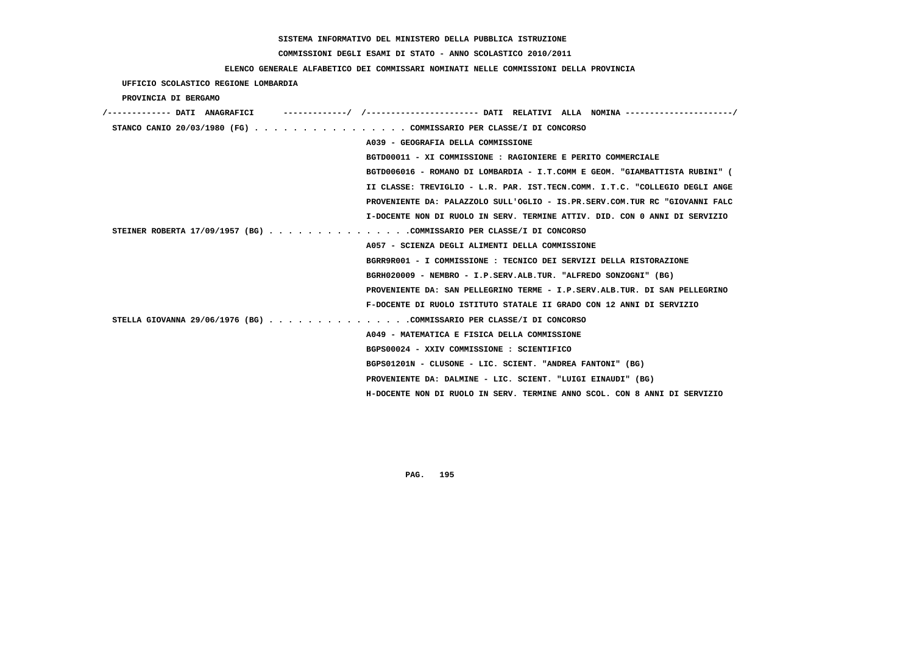# **COMMISSIONI DEGLI ESAMI DI STATO - ANNO SCOLASTICO 2010/2011**

# **ELENCO GENERALE ALFABETICO DEI COMMISSARI NOMINATI NELLE COMMISSIONI DELLA PROVINCIA**

| UFFICIO SCOLASTICO REGIONE LOMBARDIA |  |                                                                            |                                                                             |
|--------------------------------------|--|----------------------------------------------------------------------------|-----------------------------------------------------------------------------|
| PROVINCIA DI BERGAMO                 |  |                                                                            |                                                                             |
|                                      |  |                                                                            |                                                                             |
|                                      |  | STANCO CANIO 20/03/1980 (FG) COMMISSARIO PER CLASSE/I DI CONCORSO          |                                                                             |
|                                      |  | A039 - GEOGRAFIA DELLA COMMISSIONE                                         |                                                                             |
|                                      |  | BGTD00011 - XI COMMISSIONE : RAGIONIERE E PERITO COMMERCIALE               |                                                                             |
|                                      |  |                                                                            | BGTD006016 - ROMANO DI LOMBARDIA - I.T.COMM E GEOM. "GIAMBATTISTA RUBINI" ( |
|                                      |  |                                                                            | II CLASSE: TREVIGLIO - L.R. PAR. IST.TECN.COMM. I.T.C. "COLLEGIO DEGLI ANGE |
|                                      |  |                                                                            | PROVENIENTE DA: PALAZZOLO SULL'OGLIO - IS.PR.SERV.COM.TUR RC "GIOVANNI FALC |
|                                      |  | I-DOCENTE NON DI RUOLO IN SERV. TERMINE ATTIV. DID. CON 0 ANNI DI SERVIZIO |                                                                             |
|                                      |  | STEINER ROBERTA 17/09/1957 (BG) COMMISSARIO PER CLASSE/I DI CONCORSO       |                                                                             |
|                                      |  | A057 - SCIENZA DEGLI ALIMENTI DELLA COMMISSIONE                            |                                                                             |
|                                      |  | BGRR9R001 - I COMMISSIONE: TECNICO DEI SERVIZI DELLA RISTORAZIONE          |                                                                             |
|                                      |  | BGRH020009 - NEMBRO - I.P.SERV.ALB.TUR. "ALFREDO SONZOGNI" (BG)            |                                                                             |
|                                      |  | PROVENIENTE DA: SAN PELLEGRINO TERME - I.P.SERV.ALB.TUR. DI SAN PELLEGRINO |                                                                             |
|                                      |  | F-DOCENTE DI RUOLO ISTITUTO STATALE II GRADO CON 12 ANNI DI SERVIZIO       |                                                                             |
|                                      |  | STELLA GIOVANNA 29/06/1976 (BG) COMMISSARIO PER CLASSE/I DI CONCORSO       |                                                                             |
|                                      |  | A049 - MATEMATICA E FISICA DELLA COMMISSIONE                               |                                                                             |
|                                      |  | BGPS00024 - XXIV COMMISSIONE : SCIENTIFICO                                 |                                                                             |
|                                      |  | BGPS01201N - CLUSONE - LIC. SCIENT. "ANDREA FANTONI" (BG)                  |                                                                             |
|                                      |  | PROVENIENTE DA: DALMINE - LIC. SCIENT. "LUIGI EINAUDI" (BG)                |                                                                             |
|                                      |  | H-DOCENTE NON DI RUOLO IN SERV. TERMINE ANNO SCOL. CON 8 ANNI DI SERVIZIO  |                                                                             |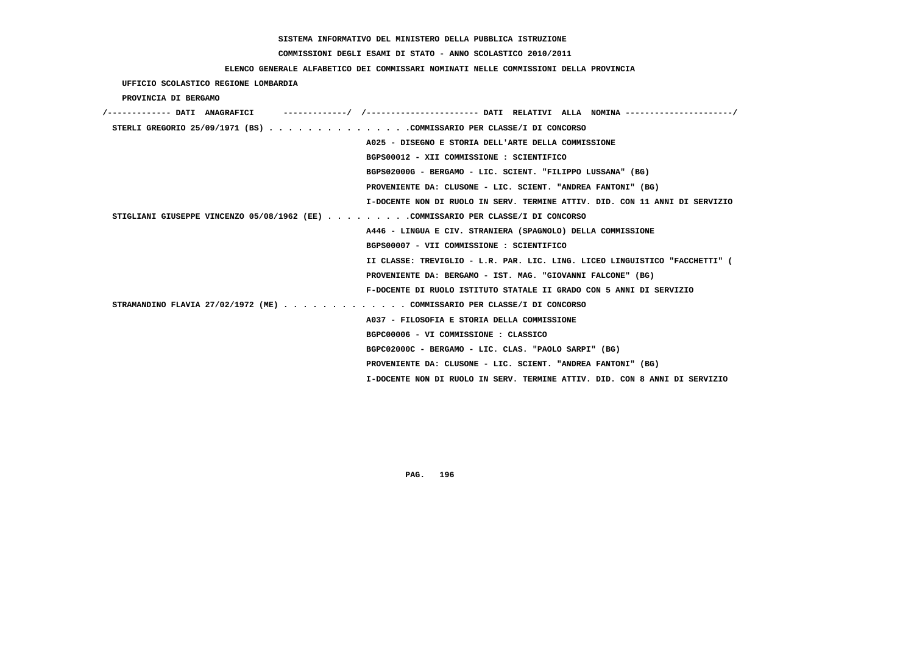# **COMMISSIONI DEGLI ESAMI DI STATO - ANNO SCOLASTICO 2010/2011**

## **ELENCO GENERALE ALFABETICO DEI COMMISSARI NOMINATI NELLE COMMISSIONI DELLA PROVINCIA**

 **UFFICIO SCOLASTICO REGIONE LOMBARDIA**

 **PROVINCIA DI BERGAMO**

| /------------- DATI ANAGRAFICI                                                   |                                                                             |
|----------------------------------------------------------------------------------|-----------------------------------------------------------------------------|
| STERLI GREGORIO 25/09/1971 (BS) COMMISSARIO PER CLASSE/I DI CONCORSO             |                                                                             |
|                                                                                  | A025 - DISEGNO E STORIA DELL'ARTE DELLA COMMISSIONE                         |
|                                                                                  | BGPS00012 - XII COMMISSIONE : SCIENTIFICO                                   |
|                                                                                  | BGPS02000G - BERGAMO - LIC. SCIENT. "FILIPPO LUSSANA" (BG)                  |
|                                                                                  | PROVENIENTE DA: CLUSONE - LIC. SCIENT. "ANDREA FANTONI" (BG)                |
|                                                                                  | I-DOCENTE NON DI RUOLO IN SERV. TERMINE ATTIV. DID. CON 11 ANNI DI SERVIZIO |
| STIGLIANI GIUSEPPE VINCENZO 05/08/1962 (EE) COMMISSARIO PER CLASSE/I DI CONCORSO |                                                                             |
|                                                                                  | A446 - LINGUA E CIV. STRANIERA (SPAGNOLO) DELLA COMMISSIONE                 |
|                                                                                  | BGPS00007 - VII COMMISSIONE : SCIENTIFICO                                   |
|                                                                                  | II CLASSE: TREVIGLIO - L.R. PAR. LIC. LING. LICEO LINGUISTICO "FACCHETTI" ( |
|                                                                                  | PROVENIENTE DA: BERGAMO - IST. MAG. "GIOVANNI FALCONE" (BG)                 |
|                                                                                  | F-DOCENTE DI RUOLO ISTITUTO STATALE II GRADO CON 5 ANNI DI SERVIZIO         |
| STRAMANDINO FLAVIA 27/02/1972 (ME) COMMISSARIO PER CLASSE/I DI CONCORSO          |                                                                             |
|                                                                                  | A037 - FILOSOFIA E STORIA DELLA COMMISSIONE                                 |
|                                                                                  | BGPC00006 - VI COMMISSIONE : CLASSICO                                       |
|                                                                                  | BGPC02000C - BERGAMO - LIC. CLAS. "PAOLO SARPI" (BG)                        |
|                                                                                  | PROVENIENTE DA: CLUSONE - LIC. SCIENT. "ANDREA FANTONI" (BG)                |
|                                                                                  | I-DOCENTE NON DI RUOLO IN SERV. TERMINE ATTIV. DID. CON 8 ANNI DI SERVIZIO  |
|                                                                                  |                                                                             |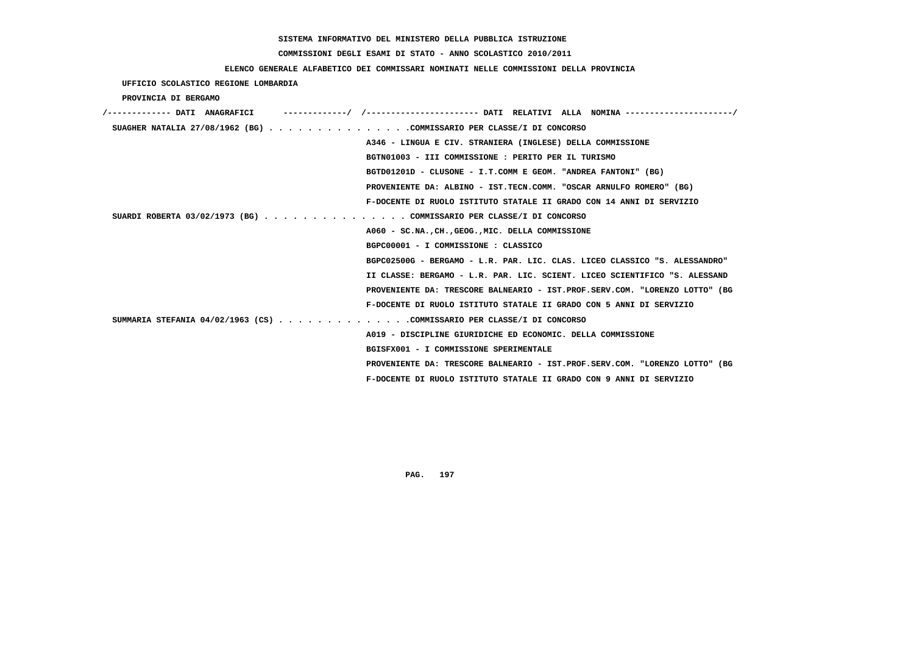# **COMMISSIONI DEGLI ESAMI DI STATO - ANNO SCOLASTICO 2010/2011**

# **ELENCO GENERALE ALFABETICO DEI COMMISSARI NOMINATI NELLE COMMISSIONI DELLA PROVINCIA**

 **UFFICIO SCOLASTICO REGIONE LOMBARDIA**

 **PROVINCIA DI BERGAMO**

| /------------- DATI ANAGRAFICI                                         |                                                                             |
|------------------------------------------------------------------------|-----------------------------------------------------------------------------|
| SUAGHER NATALIA 27/08/1962 (BG) COMMISSARIO PER CLASSE/I DI CONCORSO   |                                                                             |
|                                                                        | A346 - LINGUA E CIV. STRANIERA (INGLESE) DELLA COMMISSIONE                  |
|                                                                        | BGTN01003 - III COMMISSIONE : PERITO PER IL TURISMO                         |
|                                                                        | BGTD01201D - CLUSONE - I.T.COMM E GEOM. "ANDREA FANTONI" (BG)               |
|                                                                        | PROVENIENTE DA: ALBINO - IST.TECN.COMM. "OSCAR ARNULFO ROMERO" (BG)         |
|                                                                        | F-DOCENTE DI RUOLO ISTITUTO STATALE II GRADO CON 14 ANNI DI SERVIZIO        |
| SUARDI ROBERTA 03/02/1973 (BG) COMMISSARIO PER CLASSE/I DI CONCORSO    |                                                                             |
|                                                                        | A060 - SC.NA., CH., GEOG., MIC. DELLA COMMISSIONE                           |
|                                                                        | BGPC00001 - I COMMISSIONE : CLASSICO                                        |
|                                                                        | BGPC02500G - BERGAMO - L.R. PAR. LIC. CLAS. LICEO CLASSICO "S. ALESSANDRO"  |
|                                                                        | II CLASSE: BERGAMO - L.R. PAR. LIC. SCIENT. LICEO SCIENTIFICO "S. ALESSAND  |
|                                                                        | PROVENIENTE DA: TRESCORE BALNEARIO - IST.PROF.SERV.COM. "LORENZO LOTTO" (BG |
|                                                                        | F-DOCENTE DI RUOLO ISTITUTO STATALE II GRADO CON 5 ANNI DI SERVIZIO         |
| SUMMARIA STEFANIA 04/02/1963 (CS) COMMISSARIO PER CLASSE/I DI CONCORSO |                                                                             |
|                                                                        | A019 - DISCIPLINE GIURIDICHE ED ECONOMIC. DELLA COMMISSIONE                 |
|                                                                        | BGISFX001 - I COMMISSIONE SPERIMENTALE                                      |
|                                                                        | PROVENIENTE DA: TRESCORE BALNEARIO - IST.PROF.SERV.COM. "LORENZO LOTTO" (BG |
|                                                                        | F-DOCENTE DI RUOLO ISTITUTO STATALE II GRADO CON 9 ANNI DI SERVIZIO         |
|                                                                        |                                                                             |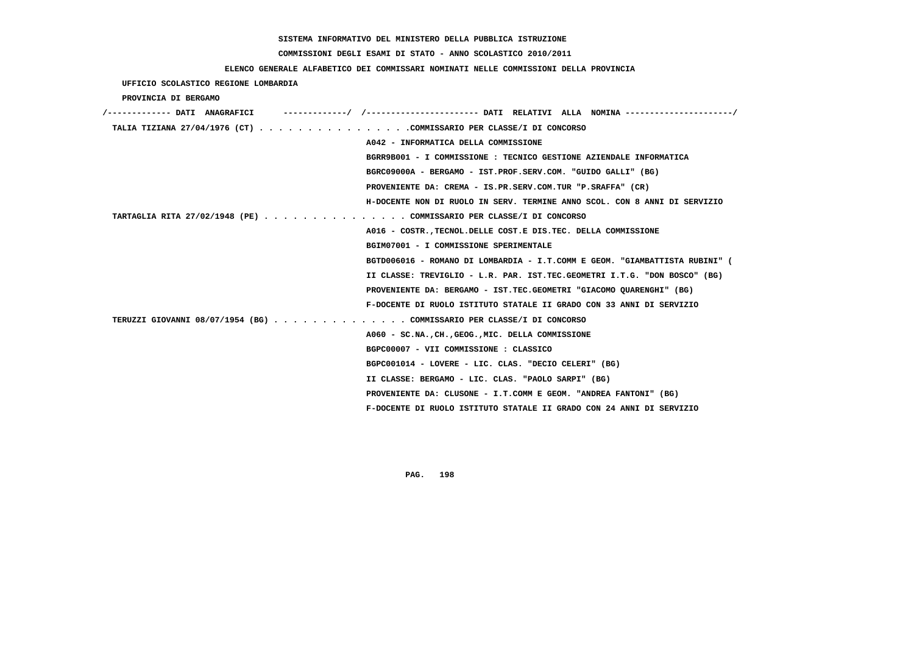#### **COMMISSIONI DEGLI ESAMI DI STATO - ANNO SCOLASTICO 2010/2011**

#### **ELENCO GENERALE ALFABETICO DEI COMMISSARI NOMINATI NELLE COMMISSIONI DELLA PROVINCIA**

 **UFFICIO SCOLASTICO REGIONE LOMBARDIA PROVINCIA DI BERGAMO /------------- DATI ANAGRAFICI -------------/ /----------------------- DATI RELATIVI ALLA NOMINA ----------------------/ TALIA TIZIANA 27/04/1976 (CT) . . . . . . . . . . . . . . . .COMMISSARIO PER CLASSE/I DI CONCORSO A042 - INFORMATICA DELLA COMMISSIONE BGRR9B001 - I COMMISSIONE : TECNICO GESTIONE AZIENDALE INFORMATICA BGRC09000A - BERGAMO - IST.PROF.SERV.COM. "GUIDO GALLI" (BG) PROVENIENTE DA: CREMA - IS.PR.SERV.COM.TUR "P.SRAFFA" (CR) H-DOCENTE NON DI RUOLO IN SERV. TERMINE ANNO SCOL. CON 8 ANNI DI SERVIZIO TARTAGLIA RITA 27/02/1948 (PE) . . . . . . . . . . . . . . . COMMISSARIO PER CLASSE/I DI CONCORSO A016 - COSTR.,TECNOL.DELLE COST.E DIS.TEC. DELLA COMMISSIONE BGIM07001 - I COMMISSIONE SPERIMENTALE BGTD006016 - ROMANO DI LOMBARDIA - I.T.COMM E GEOM. "GIAMBATTISTA RUBINI" ( II CLASSE: TREVIGLIO - L.R. PAR. IST.TEC.GEOMETRI I.T.G. "DON BOSCO" (BG) PROVENIENTE DA: BERGAMO - IST.TEC.GEOMETRI "GIACOMO QUARENGHI" (BG) F-DOCENTE DI RUOLO ISTITUTO STATALE II GRADO CON 33 ANNI DI SERVIZIO TERUZZI GIOVANNI 08/07/1954 (BG) . . . . . . . . . . . . . . COMMISSARIO PER CLASSE/I DI CONCORSO A060 - SC.NA.,CH.,GEOG.,MIC. DELLA COMMISSIONE BGPC00007 - VII COMMISSIONE : CLASSICO BGPC001014 - LOVERE - LIC. CLAS. "DECIO CELERI" (BG) II CLASSE: BERGAMO - LIC. CLAS. "PAOLO SARPI" (BG) PROVENIENTE DA: CLUSONE - I.T.COMM E GEOM. "ANDREA FANTONI" (BG) F-DOCENTE DI RUOLO ISTITUTO STATALE II GRADO CON 24 ANNI DI SERVIZIO**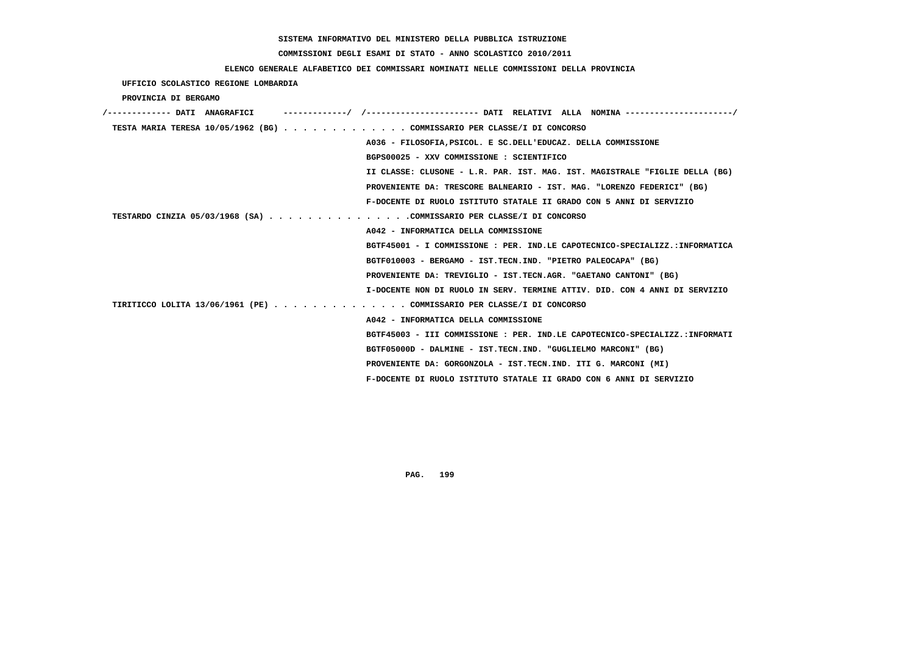# **COMMISSIONI DEGLI ESAMI DI STATO - ANNO SCOLASTICO 2010/2011**

### **ELENCO GENERALE ALFABETICO DEI COMMISSARI NOMINATI NELLE COMMISSIONI DELLA PROVINCIA**

 **UFFICIO SCOLASTICO REGIONE LOMBARDIA**

 **PROVINCIA DI BERGAMO**

| /------------- DATI ANAGRAFICI |                                                                             |
|--------------------------------|-----------------------------------------------------------------------------|
|                                | TESTA MARIA TERESA 10/05/1962 (BG) COMMISSARIO PER CLASSE/I DI CONCORSO     |
|                                | A036 - FILOSOFIA, PSICOL. E SC. DELL'EDUCAZ. DELLA COMMISSIONE              |
|                                | BGPS00025 - XXV COMMISSIONE : SCIENTIFICO                                   |
|                                | II CLASSE: CLUSONE - L.R. PAR. IST. MAG. IST. MAGISTRALE "FIGLIE DELLA (BG) |
|                                | PROVENIENTE DA: TRESCORE BALNEARIO - IST. MAG. "LORENZO FEDERICI" (BG)      |
|                                | F-DOCENTE DI RUOLO ISTITUTO STATALE II GRADO CON 5 ANNI DI SERVIZIO         |
|                                | TESTARDO CINZIA 05/03/1968 (SA) COMMISSARIO PER CLASSE/I DI CONCORSO        |
|                                | A042 - INFORMATICA DELLA COMMISSIONE                                        |
|                                | BGTF45001 - I COMMISSIONE : PER. IND.LE CAPOTECNICO-SPECIALIZZ.:INFORMATICA |
|                                | BGTF010003 - BERGAMO - IST.TECN.IND. "PIETRO PALEOCAPA" (BG)                |
|                                | PROVENIENTE DA: TREVIGLIO - IST.TECN.AGR. "GAETANO CANTONI" (BG)            |
|                                | I-DOCENTE NON DI RUOLO IN SERV. TERMINE ATTIV. DID. CON 4 ANNI DI SERVIZIO  |
|                                | TIRITICCO LOLITA 13/06/1961 (PE) COMMISSARIO PER CLASSE/I DI CONCORSO       |
|                                | A042 - INFORMATICA DELLA COMMISSIONE                                        |
|                                | BGTF45003 - III COMMISSIONE : PER. IND.LE CAPOTECNICO-SPECIALIZZ.:INFORMATI |
|                                | BGTF05000D - DALMINE - IST.TECN.IND. "GUGLIELMO MARCONI" (BG)               |
|                                | PROVENIENTE DA: GORGONZOLA - IST.TECN.IND. ITI G. MARCONI (MI)              |
|                                | F-DOCENTE DI RUOLO ISTITUTO STATALE II GRADO CON 6 ANNI DI SERVIZIO         |
|                                |                                                                             |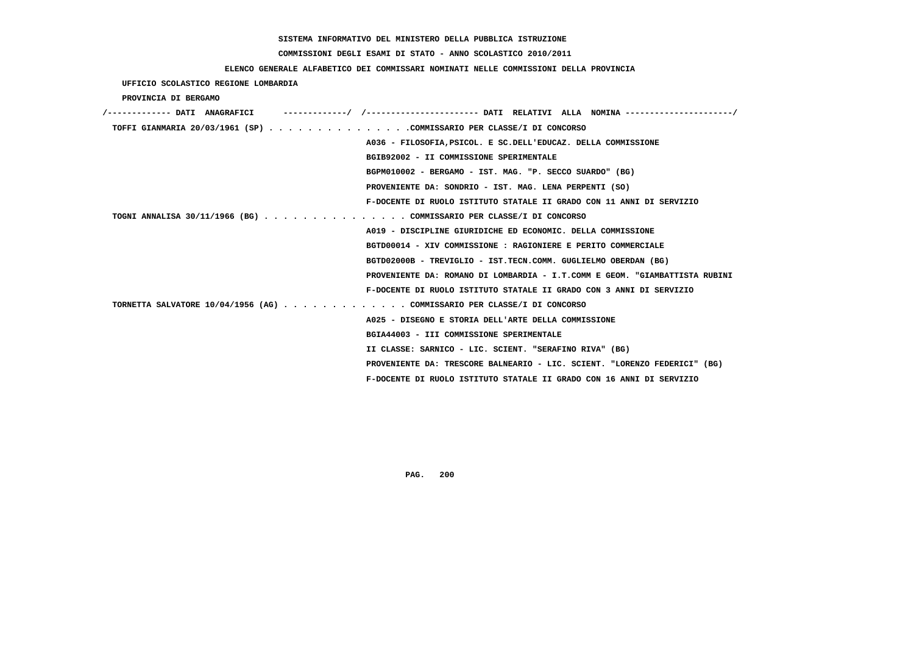# **COMMISSIONI DEGLI ESAMI DI STATO - ANNO SCOLASTICO 2010/2011**

## **ELENCO GENERALE ALFABETICO DEI COMMISSARI NOMINATI NELLE COMMISSIONI DELLA PROVINCIA**

 **UFFICIO SCOLASTICO REGIONE LOMBARDIA**

 **PROVINCIA DI BERGAMO**

| /------------- DATI ANAGRAFICI                                          |                                                                             |
|-------------------------------------------------------------------------|-----------------------------------------------------------------------------|
| TOFFI GIANMARIA 20/03/1961 (SP) COMMISSARIO PER CLASSE/I DI CONCORSO    |                                                                             |
|                                                                         | A036 - FILOSOFIA, PSICOL. E SC. DELL'EDUCAZ. DELLA COMMISSIONE              |
|                                                                         | BGIB92002 - II COMMISSIONE SPERIMENTALE                                     |
|                                                                         | BGPM010002 - BERGAMO - IST. MAG. "P. SECCO SUARDO" (BG)                     |
|                                                                         | PROVENIENTE DA: SONDRIO - IST. MAG. LENA PERPENTI (SO)                      |
|                                                                         | F-DOCENTE DI RUOLO ISTITUTO STATALE II GRADO CON 11 ANNI DI SERVIZIO        |
| TOGNI ANNALISA 30/11/1966 (BG) COMMISSARIO PER CLASSE/I DI CONCORSO     |                                                                             |
|                                                                         | A019 - DISCIPLINE GIURIDICHE ED ECONOMIC. DELLA COMMISSIONE                 |
|                                                                         | BGTD00014 - XIV COMMISSIONE : RAGIONIERE E PERITO COMMERCIALE               |
|                                                                         | BGTD02000B - TREVIGLIO - IST.TECN.COMM. GUGLIELMO OBERDAN (BG)              |
|                                                                         | PROVENIENTE DA: ROMANO DI LOMBARDIA - I.T.COMM E GEOM. "GIAMBATTISTA RUBINI |
|                                                                         | F-DOCENTE DI RUOLO ISTITUTO STATALE II GRADO CON 3 ANNI DI SERVIZIO         |
| TORNETTA SALVATORE 10/04/1956 (AG) COMMISSARIO PER CLASSE/I DI CONCORSO |                                                                             |
|                                                                         | A025 - DISEGNO E STORIA DELL'ARTE DELLA COMMISSIONE                         |
|                                                                         | BGIA44003 - III COMMISSIONE SPERIMENTALE                                    |
|                                                                         | II CLASSE: SARNICO - LIC. SCIENT. "SERAFINO RIVA" (BG)                      |
|                                                                         | PROVENIENTE DA: TRESCORE BALNEARIO - LIC. SCIENT. "LORENZO FEDERICI" (BG)   |
|                                                                         | F-DOCENTE DI RUOLO ISTITUTO STATALE II GRADO CON 16 ANNI DI SERVIZIO        |
|                                                                         |                                                                             |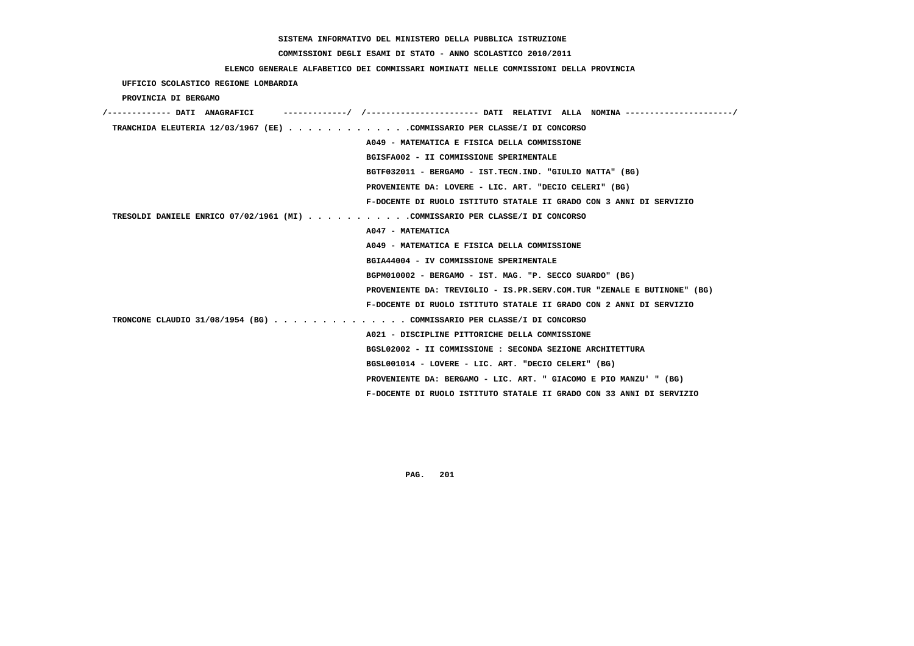# **COMMISSIONI DEGLI ESAMI DI STATO - ANNO SCOLASTICO 2010/2011**

## **ELENCO GENERALE ALFABETICO DEI COMMISSARI NOMINATI NELLE COMMISSIONI DELLA PROVINCIA**

 **UFFICIO SCOLASTICO REGIONE LOMBARDIA**

 **PROVINCIA DI BERGAMO**

| /------------- DATI ANAGRAFICI | ------------/ /---------------------- DATI RELATIVI ALLA NOMINA ---------------------/ |
|--------------------------------|----------------------------------------------------------------------------------------|
|                                | TRANCHIDA ELEUTERIA 12/03/1967 (EE) COMMISSARIO PER CLASSE/I DI CONCORSO               |
|                                | A049 - MATEMATICA E FISICA DELLA COMMISSIONE                                           |
|                                | BGISFA002 - II COMMISSIONE SPERIMENTALE                                                |
|                                | BGTF032011 - BERGAMO - IST.TECN.IND. "GIULIO NATTA" (BG)                               |
|                                | PROVENIENTE DA: LOVERE - LIC. ART. "DECIO CELERI" (BG)                                 |
|                                | F-DOCENTE DI RUOLO ISTITUTO STATALE II GRADO CON 3 ANNI DI SERVIZIO                    |
|                                | TRESOLDI DANIELE ENRICO 07/02/1961 (MI) COMMISSARIO PER CLASSE/I DI CONCORSO           |
|                                | A047 - MATEMATICA                                                                      |
|                                | A049 - MATEMATICA E FISICA DELLA COMMISSIONE                                           |
|                                | BGIA44004 - IV COMMISSIONE SPERIMENTALE                                                |
|                                | BGPM010002 - BERGAMO - IST. MAG. "P. SECCO SUARDO" (BG)                                |
|                                | PROVENIENTE DA: TREVIGLIO - IS.PR.SERV.COM.TUR "ZENALE E BUTINONE" (BG)                |
|                                | F-DOCENTE DI RUOLO ISTITUTO STATALE II GRADO CON 2 ANNI DI SERVIZIO                    |
|                                | TRONCONE CLAUDIO 31/08/1954 (BG) COMMISSARIO PER CLASSE/I DI CONCORSO                  |
|                                | A021 - DISCIPLINE PITTORICHE DELLA COMMISSIONE                                         |
|                                | BGSL02002 - II COMMISSIONE : SECONDA SEZIONE ARCHITETTURA                              |
|                                | BGSL001014 - LOVERE - LIC. ART. "DECIO CELERI" (BG)                                    |
|                                | PROVENIENTE DA: BERGAMO - LIC. ART. " GIACOMO E PIO MANZU' " (BG)                      |
|                                | F-DOCENTE DI RUOLO ISTITUTO STATALE II GRADO CON 33 ANNI DI SERVIZIO                   |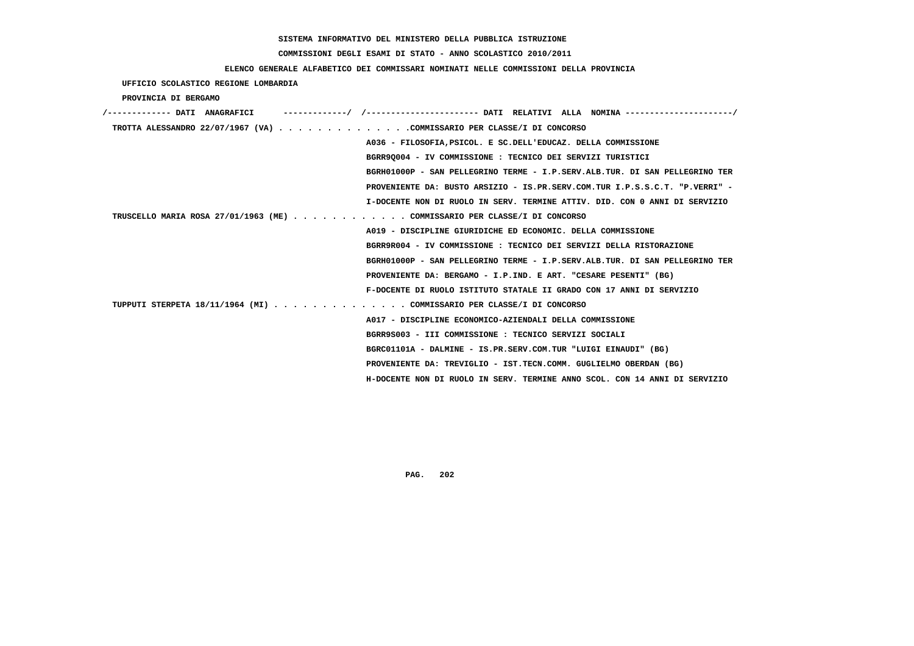# **COMMISSIONI DEGLI ESAMI DI STATO - ANNO SCOLASTICO 2010/2011**

### **ELENCO GENERALE ALFABETICO DEI COMMISSARI NOMINATI NELLE COMMISSIONI DELLA PROVINCIA**

 **UFFICIO SCOLASTICO REGIONE LOMBARDIA**

 **PROVINCIA DI BERGAMO**

| /------------- DATI ANAGRAFICI                                              |
|-----------------------------------------------------------------------------|
| TROTTA ALESSANDRO 22/07/1967 (VA) COMMISSARIO PER CLASSE/I DI CONCORSO      |
| A036 - FILOSOFIA, PSICOL. E SC. DELL'EDUCAZ. DELLA COMMISSIONE              |
| BGRR90004 - IV COMMISSIONE : TECNICO DEI SERVIZI TURISTICI                  |
| BGRH01000P - SAN PELLEGRINO TERME - I.P.SERV.ALB.TUR. DI SAN PELLEGRINO TER |
| PROVENIENTE DA: BUSTO ARSIZIO - IS.PR.SERV.COM.TUR I.P.S.S.C.T. "P.VERRI" - |
| I-DOCENTE NON DI RUOLO IN SERV. TERMINE ATTIV. DID. CON 0 ANNI DI SERVIZIO  |
| TRUSCELLO MARIA ROSA 27/01/1963 (ME) COMMISSARIO PER CLASSE/I DI CONCORSO   |
| A019 - DISCIPLINE GIURIDICHE ED ECONOMIC. DELLA COMMISSIONE                 |
| BGRR9R004 - IV COMMISSIONE : TECNICO DEI SERVIZI DELLA RISTORAZIONE         |
| BGRH01000P - SAN PELLEGRINO TERME - I.P.SERV.ALB.TUR. DI SAN PELLEGRINO TER |
| PROVENIENTE DA: BERGAMO - I.P.IND. E ART. "CESARE PESENTI" (BG)             |
| F-DOCENTE DI RUOLO ISTITUTO STATALE II GRADO CON 17 ANNI DI SERVIZIO        |
| TUPPUTI STERPETA 18/11/1964 (MI) COMMISSARIO PER CLASSE/I DI CONCORSO       |
| A017 - DISCIPLINE ECONOMICO-AZIENDALI DELLA COMMISSIONE                     |
| BGRR9S003 - III COMMISSIONE : TECNICO SERVIZI SOCIALI                       |
| BGRC01101A - DALMINE - IS.PR.SERV.COM.TUR "LUIGI EINAUDI" (BG)              |
| PROVENIENTE DA: TREVIGLIO - IST.TECN.COMM. GUGLIELMO OBERDAN (BG)           |
| H-DOCENTE NON DI RUOLO IN SERV. TERMINE ANNO SCOL. CON 14 ANNI DI SERVIZIO  |
|                                                                             |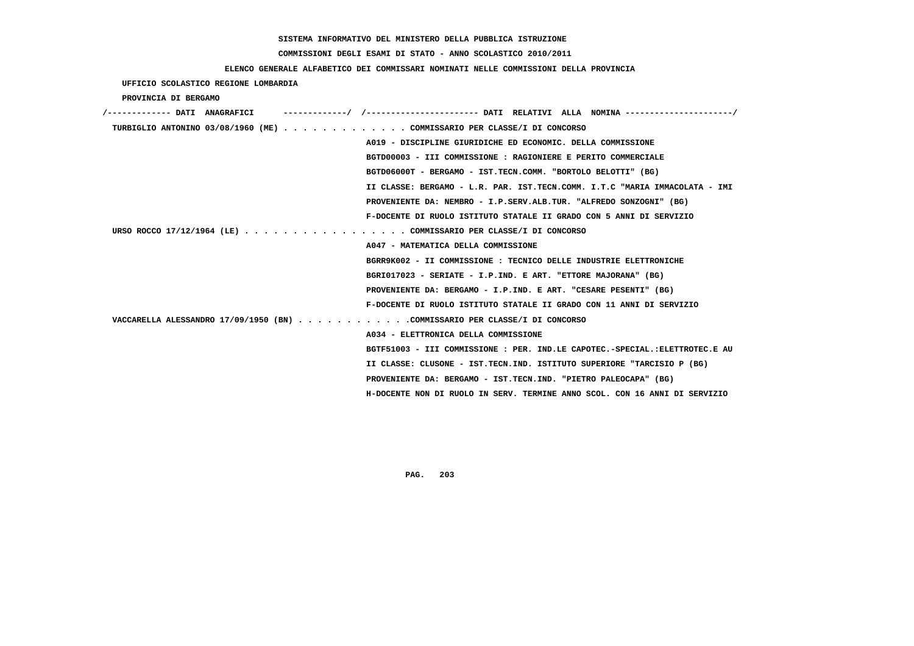# **COMMISSIONI DEGLI ESAMI DI STATO - ANNO SCOLASTICO 2010/2011**

### **ELENCO GENERALE ALFABETICO DEI COMMISSARI NOMINATI NELLE COMMISSIONI DELLA PROVINCIA**

 **UFFICIO SCOLASTICO REGIONE LOMBARDIA**

 **PROVINCIA DI BERGAMO**

| /------------- DATI ANAGRAFICI                                             | -----------/ /----------------------- DATI RELATIVI ALLA NOMINA ---------------------/ |
|----------------------------------------------------------------------------|----------------------------------------------------------------------------------------|
| TURBIGLIO ANTONINO 03/08/1960 (ME) COMMISSARIO PER CLASSE/I DI CONCORSO    |                                                                                        |
|                                                                            | A019 - DISCIPLINE GIURIDICHE ED ECONOMIC. DELLA COMMISSIONE                            |
|                                                                            | BGTD00003 - III COMMISSIONE : RAGIONIERE E PERITO COMMERCIALE                          |
|                                                                            | BGTD06000T - BERGAMO - IST.TECN.COMM. "BORTOLO BELOTTI" (BG)                           |
|                                                                            | II CLASSE: BERGAMO - L.R. PAR. IST.TECN.COMM. I.T.C "MARIA IMMACOLATA - IMI            |
|                                                                            | PROVENIENTE DA: NEMBRO - I.P.SERV.ALB.TUR. "ALFREDO SONZOGNI" (BG)                     |
|                                                                            | F-DOCENTE DI RUOLO ISTITUTO STATALE II GRADO CON 5 ANNI DI SERVIZIO                    |
| URSO ROCCO 17/12/1964 (LE) COMMISSARIO PER CLASSE/I DI CONCORSO            |                                                                                        |
|                                                                            | A047 - MATEMATICA DELLA COMMISSIONE                                                    |
|                                                                            | BGRR9K002 - II COMMISSIONE : TECNICO DELLE INDUSTRIE ELETTRONICHE                      |
|                                                                            | BGRI017023 - SERIATE - I.P.IND. E ART. "ETTORE MAJORANA" (BG)                          |
|                                                                            | PROVENIENTE DA: BERGAMO - I.P.IND. E ART. "CESARE PESENTI" (BG)                        |
|                                                                            | F-DOCENTE DI RUOLO ISTITUTO STATALE II GRADO CON 11 ANNI DI SERVIZIO                   |
| VACCARELLA ALESSANDRO 17/09/1950 (BN) COMMISSARIO PER CLASSE/I DI CONCORSO |                                                                                        |
|                                                                            | A034 - ELETTRONICA DELLA COMMISSIONE                                                   |
|                                                                            | BGTF51003 - III COMMISSIONE : PER. IND.LE CAPOTEC.-SPECIAL.:ELETTROTEC.E AU            |
|                                                                            | II CLASSE: CLUSONE - IST.TECN.IND. ISTITUTO SUPERIORE "TARCISIO P (BG)                 |
|                                                                            | PROVENIENTE DA: BERGAMO - IST.TECN.IND. "PIETRO PALEOCAPA" (BG)                        |
|                                                                            | H-DOCENTE NON DI RUOLO IN SERV. TERMINE ANNO SCOL. CON 16 ANNI DI SERVIZIO             |
|                                                                            |                                                                                        |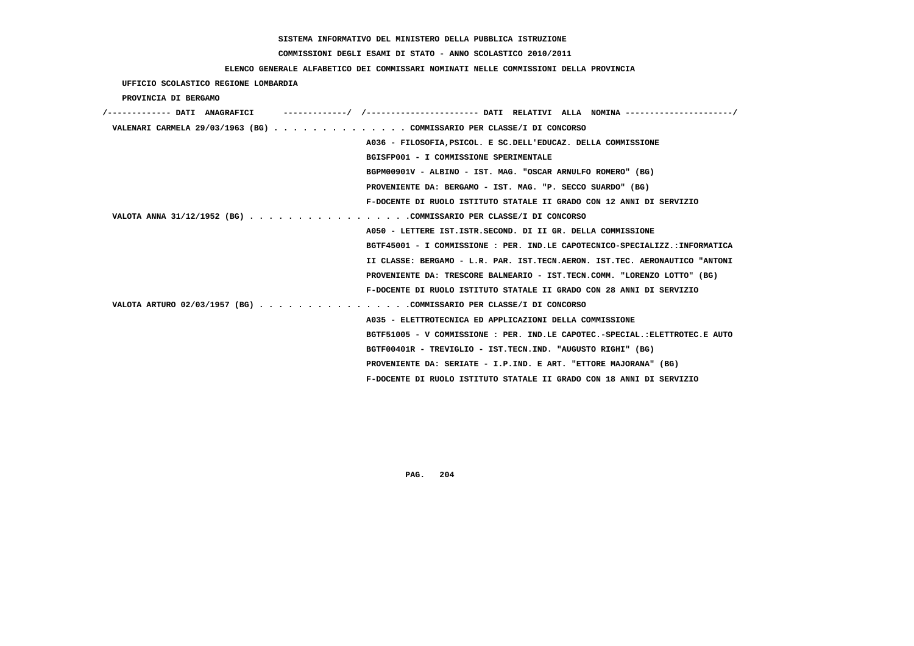# **COMMISSIONI DEGLI ESAMI DI STATO - ANNO SCOLASTICO 2010/2011**

## **ELENCO GENERALE ALFABETICO DEI COMMISSARI NOMINATI NELLE COMMISSIONI DELLA PROVINCIA**

 **UFFICIO SCOLASTICO REGIONE LOMBARDIA**

 **PROVINCIA DI BERGAMO**

| /------------- DATI ANAGRAFICI | ------------/ /---------------------- DATI RELATIVI ALLA NOMINA ---------------------/ |
|--------------------------------|----------------------------------------------------------------------------------------|
|                                | VALENARI CARMELA 29/03/1963 (BG) COMMISSARIO PER CLASSE/I DI CONCORSO                  |
|                                | A036 - FILOSOFIA, PSICOL. E SC. DELL'EDUCAZ. DELLA COMMISSIONE                         |
|                                | BGISFP001 - I COMMISSIONE SPERIMENTALE                                                 |
|                                | BGPM00901V - ALBINO - IST. MAG. "OSCAR ARNULFO ROMERO" (BG)                            |
|                                | PROVENIENTE DA: BERGAMO - IST. MAG. "P. SECCO SUARDO" (BG)                             |
|                                | F-DOCENTE DI RUOLO ISTITUTO STATALE II GRADO CON 12 ANNI DI SERVIZIO                   |
|                                | VALOTA ANNA 31/12/1952 (BG) COMMISSARIO PER CLASSE/I DI CONCORSO                       |
|                                | A050 - LETTERE IST. ISTR. SECOND. DI II GR. DELLA COMMISSIONE                          |
|                                | BGTF45001 - I COMMISSIONE : PER. IND.LE CAPOTECNICO-SPECIALIZZ.:INFORMATICA            |
|                                | II CLASSE: BERGAMO - L.R. PAR. IST.TECN.AERON. IST.TEC. AERONAUTICO "ANTONI            |
|                                | PROVENIENTE DA: TRESCORE BALNEARIO - IST.TECN.COMM. "LORENZO LOTTO" (BG)               |
|                                | F-DOCENTE DI RUOLO ISTITUTO STATALE II GRADO CON 28 ANNI DI SERVIZIO                   |
|                                | VALOTA ARTURO 02/03/1957 (BG) COMMISSARIO PER CLASSE/I DI CONCORSO                     |
|                                | A035 - ELETTROTECNICA ED APPLICAZIONI DELLA COMMISSIONE                                |
|                                | BGTF51005 - V COMMISSIONE : PER. IND.LE CAPOTEC.-SPECIAL.:ELETTROTEC.E AUTO            |
|                                | BGTF00401R - TREVIGLIO - IST.TECN.IND. "AUGUSTO RIGHI" (BG)                            |
|                                | PROVENIENTE DA: SERIATE - I.P.IND. E ART. "ETTORE MAJORANA" (BG)                       |
|                                | F-DOCENTE DI RUOLO ISTITUTO STATALE II GRADO CON 18 ANNI DI SERVIZIO                   |
|                                |                                                                                        |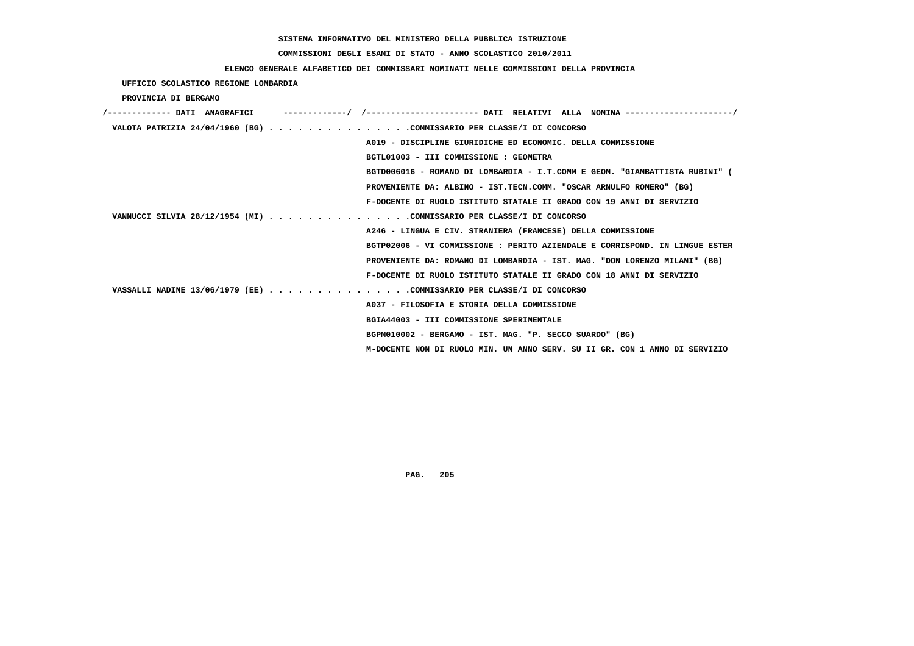# **COMMISSIONI DEGLI ESAMI DI STATO - ANNO SCOLASTICO 2010/2011**

## **ELENCO GENERALE ALFABETICO DEI COMMISSARI NOMINATI NELLE COMMISSIONI DELLA PROVINCIA**

 **UFFICIO SCOLASTICO REGIONE LOMBARDIA**

 **PROVINCIA DI BERGAMO**

| /------------- DATI ANAGRAFICI |                                                                             |  |
|--------------------------------|-----------------------------------------------------------------------------|--|
|                                | VALOTA PATRIZIA 24/04/1960 (BG) COMMISSARIO PER CLASSE/I DI CONCORSO        |  |
|                                | A019 - DISCIPLINE GIURIDICHE ED ECONOMIC. DELLA COMMISSIONE                 |  |
|                                | BGTL01003 - III COMMISSIONE : GEOMETRA                                      |  |
|                                | BGTD006016 - ROMANO DI LOMBARDIA - I.T.COMM E GEOM. "GIAMBATTISTA RUBINI" ( |  |
|                                | PROVENIENTE DA: ALBINO - IST.TECN.COMM. "OSCAR ARNULFO ROMERO" (BG)         |  |
|                                | F-DOCENTE DI RUOLO ISTITUTO STATALE II GRADO CON 19 ANNI DI SERVIZIO        |  |
|                                | VANNUCCI SILVIA 28/12/1954 (MI) COMMISSARIO PER CLASSE/I DI CONCORSO        |  |
|                                | A246 - LINGUA E CIV. STRANIERA (FRANCESE) DELLA COMMISSIONE                 |  |
|                                | BGTP02006 - VI COMMISSIONE : PERITO AZIENDALE E CORRISPOND. IN LINGUE ESTER |  |
|                                | PROVENIENTE DA: ROMANO DI LOMBARDIA - IST. MAG. "DON LORENZO MILANI" (BG)   |  |
|                                | F-DOCENTE DI RUOLO ISTITUTO STATALE II GRADO CON 18 ANNI DI SERVIZIO        |  |
|                                | VASSALLI NADINE 13/06/1979 (EE) COMMISSARIO PER CLASSE/I DI CONCORSO        |  |
|                                | A037 - FILOSOFIA E STORIA DELLA COMMISSIONE                                 |  |
|                                | BGIA44003 - III COMMISSIONE SPERIMENTALE                                    |  |
|                                | BGPM010002 - BERGAMO - IST. MAG. "P. SECCO SUARDO" (BG)                     |  |
|                                | M-DOCENTE NON DI RUOLO MIN. UN ANNO SERV. SU II GR. CON 1 ANNO DI SERVIZIO  |  |
|                                |                                                                             |  |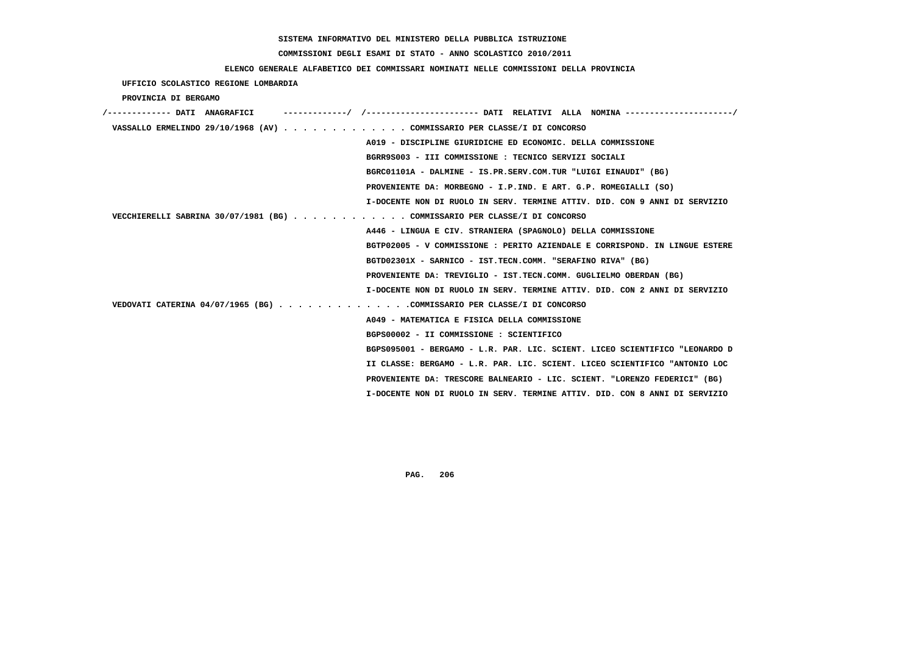# **COMMISSIONI DEGLI ESAMI DI STATO - ANNO SCOLASTICO 2010/2011**

### **ELENCO GENERALE ALFABETICO DEI COMMISSARI NOMINATI NELLE COMMISSIONI DELLA PROVINCIA**

 **UFFICIO SCOLASTICO REGIONE LOMBARDIA**

 **PROVINCIA DI BERGAMO**

| /------------- DATI ANAGRAFICI<br>-----------/ /---------------------- DATI RELATIVI ALLA NOMINA --------------------/ |
|------------------------------------------------------------------------------------------------------------------------|
| VASSALLO ERMELINDO 29/10/1968 (AV) COMMISSARIO PER CLASSE/I DI CONCORSO                                                |
| A019 - DISCIPLINE GIURIDICHE ED ECONOMIC. DELLA COMMISSIONE                                                            |
| BGRR9S003 - III COMMISSIONE : TECNICO SERVIZI SOCIALI                                                                  |
| BGRC01101A - DALMINE - IS.PR.SERV.COM.TUR "LUIGI EINAUDI" (BG)                                                         |
| PROVENIENTE DA: MORBEGNO - I.P.IND. E ART. G.P. ROMEGIALLI (SO)                                                        |
| I-DOCENTE NON DI RUOLO IN SERV. TERMINE ATTIV. DID. CON 9 ANNI DI SERVIZIO                                             |
| VECCHIERELLI SABRINA 30/07/1981 (BG) COMMISSARIO PER CLASSE/I DI CONCORSO                                              |
| A446 - LINGUA E CIV. STRANIERA (SPAGNOLO) DELLA COMMISSIONE                                                            |
| BGTP02005 - V COMMISSIONE : PERITO AZIENDALE E CORRISPOND. IN LINGUE ESTERE                                            |
| BGTD02301X - SARNICO - IST.TECN.COMM. "SERAFINO RIVA" (BG)                                                             |
| PROVENIENTE DA: TREVIGLIO - IST.TECN.COMM. GUGLIELMO OBERDAN (BG)                                                      |
| I-DOCENTE NON DI RUOLO IN SERV. TERMINE ATTIV. DID. CON 2 ANNI DI SERVIZIO                                             |
| VEDOVATI CATERINA 04/07/1965 (BG) COMMISSARIO PER CLASSE/I DI CONCORSO                                                 |
| A049 - MATEMATICA E FISICA DELLA COMMISSIONE                                                                           |
| BGPS00002 - II COMMISSIONE : SCIENTIFICO                                                                               |
| BGPS095001 - BERGAMO - L.R. PAR. LIC. SCIENT. LICEO SCIENTIFICO "LEONARDO D                                            |
| II CLASSE: BERGAMO - L.R. PAR. LIC. SCIENT. LICEO SCIENTIFICO "ANTONIO LOC                                             |
| PROVENIENTE DA: TRESCORE BALNEARIO - LIC. SCIENT. "LORENZO FEDERICI" (BG)                                              |
| I-DOCENTE NON DI RUOLO IN SERV. TERMINE ATTIV. DID. CON 8 ANNI DI SERVIZIO                                             |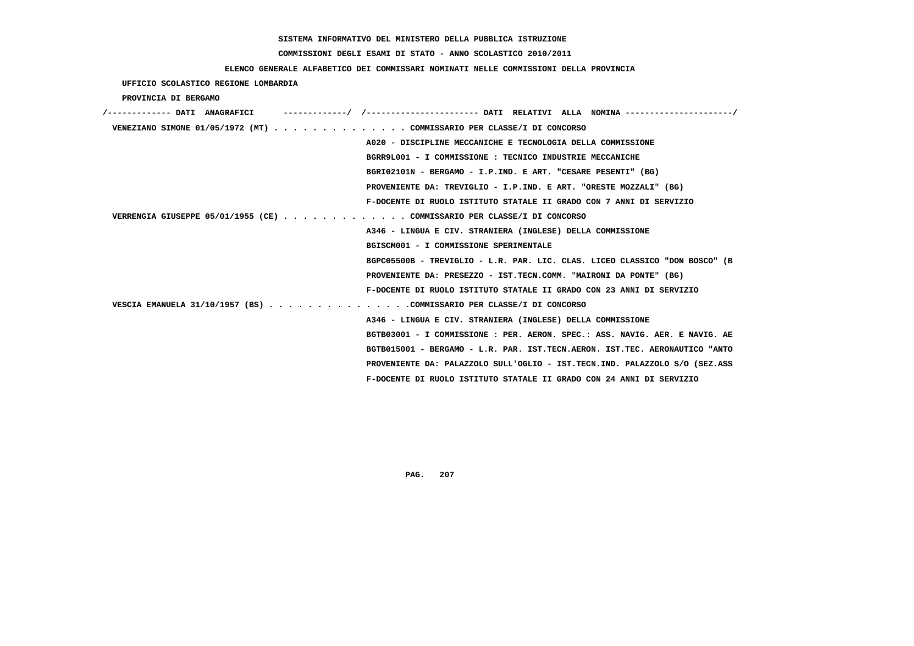# **COMMISSIONI DEGLI ESAMI DI STATO - ANNO SCOLASTICO 2010/2011**

# **ELENCO GENERALE ALFABETICO DEI COMMISSARI NOMINATI NELLE COMMISSIONI DELLA PROVINCIA**

 **UFFICIO SCOLASTICO REGIONE LOMBARDIA**

 **PROVINCIA DI BERGAMO**

| /------------- DATI ANAGRAFICI |                                                                             |
|--------------------------------|-----------------------------------------------------------------------------|
|                                | VENEZIANO SIMONE 01/05/1972 (MT) COMMISSARIO PER CLASSE/I DI CONCORSO       |
|                                | A020 - DISCIPLINE MECCANICHE E TECNOLOGIA DELLA COMMISSIONE                 |
|                                | BGRR9L001 - I COMMISSIONE : TECNICO INDUSTRIE MECCANICHE                    |
|                                | BGRI02101N - BERGAMO - I.P.IND. E ART. "CESARE PESENTI" (BG)                |
|                                | PROVENIENTE DA: TREVIGLIO - I.P.IND. E ART. "ORESTE MOZZALI" (BG)           |
|                                | F-DOCENTE DI RUOLO ISTITUTO STATALE II GRADO CON 7 ANNI DI SERVIZIO         |
|                                | VERRENGIA GIUSEPPE 05/01/1955 (CE) COMMISSARIO PER CLASSE/I DI CONCORSO     |
|                                | A346 - LINGUA E CIV. STRANIERA (INGLESE) DELLA COMMISSIONE                  |
|                                | BGISCM001 - I COMMISSIONE SPERIMENTALE                                      |
|                                | BGPC05500B - TREVIGLIO - L.R. PAR. LIC. CLAS. LICEO CLASSICO "DON BOSCO" (B |
|                                | PROVENIENTE DA: PRESEZZO - IST.TECN.COMM. "MAIRONI DA PONTE" (BG)           |
|                                | F-DOCENTE DI RUOLO ISTITUTO STATALE II GRADO CON 23 ANNI DI SERVIZIO        |
|                                | VESCIA EMANUELA 31/10/1957 (BS) COMMISSARIO PER CLASSE/I DI CONCORSO        |
|                                | A346 - LINGUA E CIV. STRANIERA (INGLESE) DELLA COMMISSIONE                  |
|                                | BGTB03001 - I COMMISSIONE : PER. AERON. SPEC.: ASS. NAVIG. AER. E NAVIG. AE |
|                                | BGTB015001 - BERGAMO - L.R. PAR. IST.TECN.AERON. IST.TEC. AERONAUTICO "ANTO |
|                                | PROVENIENTE DA: PALAZZOLO SULL'OGLIO - IST.TECN.IND. PALAZZOLO S/O (SEZ.ASS |
|                                | F-DOCENTE DI RUOLO ISTITUTO STATALE II GRADO CON 24 ANNI DI SERVIZIO        |
|                                |                                                                             |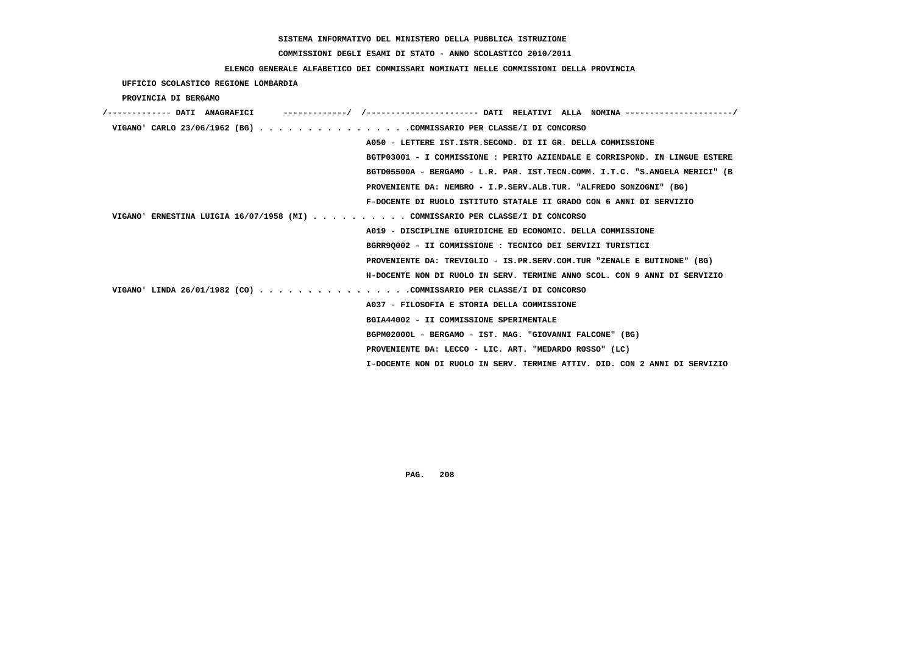# **COMMISSIONI DEGLI ESAMI DI STATO - ANNO SCOLASTICO 2010/2011**

### **ELENCO GENERALE ALFABETICO DEI COMMISSARI NOMINATI NELLE COMMISSIONI DELLA PROVINCIA**

 **UFFICIO SCOLASTICO REGIONE LOMBARDIA**

 **PROVINCIA DI BERGAMO**

| VIGANO' CARLO 23/06/1962 (BG) COMMISSARIO PER CLASSE/I DI CONCORSO            |  |
|-------------------------------------------------------------------------------|--|
| A050 - LETTERE IST.ISTR.SECOND. DI II GR. DELLA COMMISSIONE                   |  |
| BGTP03001 - I COMMISSIONE : PERITO AZIENDALE E CORRISPOND. IN LINGUE ESTERE   |  |
| BGTD05500A - BERGAMO - L.R. PAR. IST.TECN.COMM. I.T.C. "S.ANGELA MERICI" (B   |  |
| PROVENIENTE DA: NEMBRO - I.P.SERV.ALB.TUR. "ALFREDO SONZOGNI" (BG)            |  |
| F-DOCENTE DI RUOLO ISTITUTO STATALE II GRADO CON 6 ANNI DI SERVIZIO           |  |
| VIGANO' ERNESTINA LUIGIA 16/07/1958 (MI) COMMISSARIO PER CLASSE/I DI CONCORSO |  |
| A019 - DISCIPLINE GIURIDICHE ED ECONOMIC. DELLA COMMISSIONE                   |  |
| BGRR90002 - II COMMISSIONE : TECNICO DEI SERVIZI TURISTICI                    |  |
| PROVENIENTE DA: TREVIGLIO - IS.PR.SERV.COM.TUR "ZENALE E BUTINONE" (BG)       |  |
| H-DOCENTE NON DI RUOLO IN SERV. TERMINE ANNO SCOL. CON 9 ANNI DI SERVIZIO     |  |
| VIGANO' LINDA 26/01/1982 (CO) COMMISSARIO PER CLASSE/I DI CONCORSO            |  |
| A037 - FILOSOFIA E STORIA DELLA COMMISSIONE                                   |  |
| BGIA44002 - II COMMISSIONE SPERIMENTALE                                       |  |
| BGPM02000L - BERGAMO - IST. MAG. "GIOVANNI FALCONE" (BG)                      |  |
| PROVENIENTE DA: LECCO - LIC. ART. "MEDARDO ROSSO" (LC)                        |  |
| I-DOCENTE NON DI RUOLO IN SERV. TERMINE ATTIV. DID. CON 2 ANNI DI SERVIZIO    |  |
|                                                                               |  |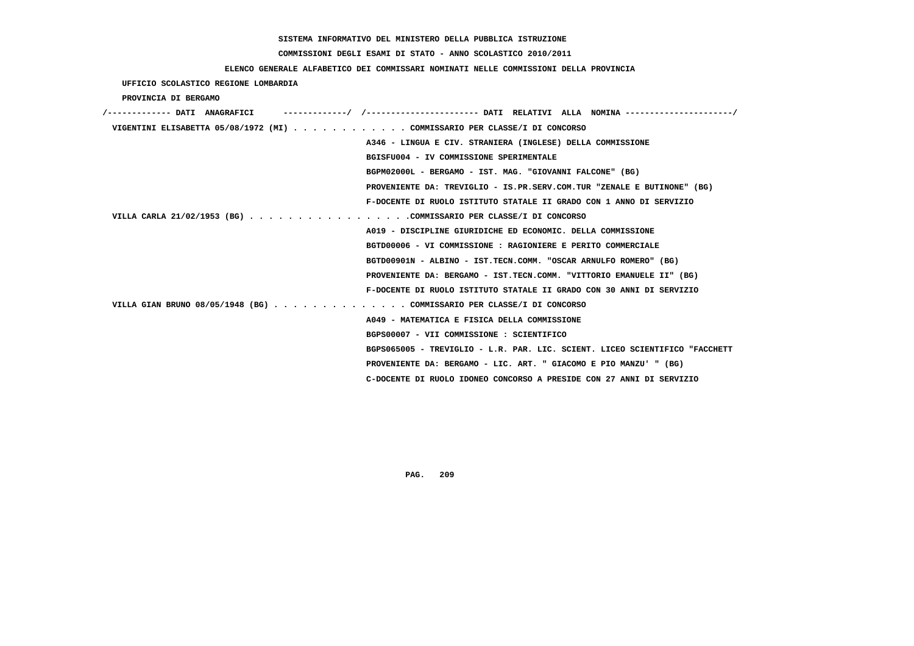# **COMMISSIONI DEGLI ESAMI DI STATO - ANNO SCOLASTICO 2010/2011**

### **ELENCO GENERALE ALFABETICO DEI COMMISSARI NOMINATI NELLE COMMISSIONI DELLA PROVINCIA**

 **UFFICIO SCOLASTICO REGIONE LOMBARDIA**

 **PROVINCIA DI BERGAMO**

| /------------- DATI ANAGRAFICI                                            |                                                                             |
|---------------------------------------------------------------------------|-----------------------------------------------------------------------------|
| VIGENTINI ELISABETTA 05/08/1972 (MI) COMMISSARIO PER CLASSE/I DI CONCORSO |                                                                             |
|                                                                           | A346 - LINGUA E CIV. STRANIERA (INGLESE) DELLA COMMISSIONE                  |
|                                                                           | BGISFU004 - IV COMMISSIONE SPERIMENTALE                                     |
|                                                                           | BGPM02000L - BERGAMO - IST. MAG. "GIOVANNI FALCONE" (BG)                    |
|                                                                           | PROVENIENTE DA: TREVIGLIO - IS.PR.SERV.COM.TUR "ZENALE E BUTINONE" (BG)     |
|                                                                           | F-DOCENTE DI RUOLO ISTITUTO STATALE II GRADO CON 1 ANNO DI SERVIZIO         |
| VILLA CARLA 21/02/1953 (BG) COMMISSARIO PER CLASSE/I DI CONCORSO          |                                                                             |
|                                                                           | A019 - DISCIPLINE GIURIDICHE ED ECONOMIC. DELLA COMMISSIONE                 |
|                                                                           | BGTD00006 - VI COMMISSIONE : RAGIONIERE E PERITO COMMERCIALE                |
|                                                                           | BGTD00901N - ALBINO - IST.TECN.COMM. "OSCAR ARNULFO ROMERO" (BG)            |
|                                                                           | PROVENIENTE DA: BERGAMO - IST.TECN.COMM. "VITTORIO EMANUELE II" (BG)        |
|                                                                           | F-DOCENTE DI RUOLO ISTITUTO STATALE II GRADO CON 30 ANNI DI SERVIZIO        |
| VILLA GIAN BRUNO 08/05/1948 (BG) COMMISSARIO PER CLASSE/I DI CONCORSO     |                                                                             |
|                                                                           | A049 - MATEMATICA E FISICA DELLA COMMISSIONE                                |
|                                                                           | BGPS00007 - VII COMMISSIONE : SCIENTIFICO                                   |
|                                                                           | BGPS065005 - TREVIGLIO - L.R. PAR. LIC. SCIENT. LICEO SCIENTIFICO "FACCHETT |
|                                                                           | PROVENIENTE DA: BERGAMO - LIC. ART. " GIACOMO E PIO MANZU' " (BG)           |
|                                                                           | C-DOCENTE DI RUOLO IDONEO CONCORSO A PRESIDE CON 27 ANNI DI SERVIZIO        |
|                                                                           |                                                                             |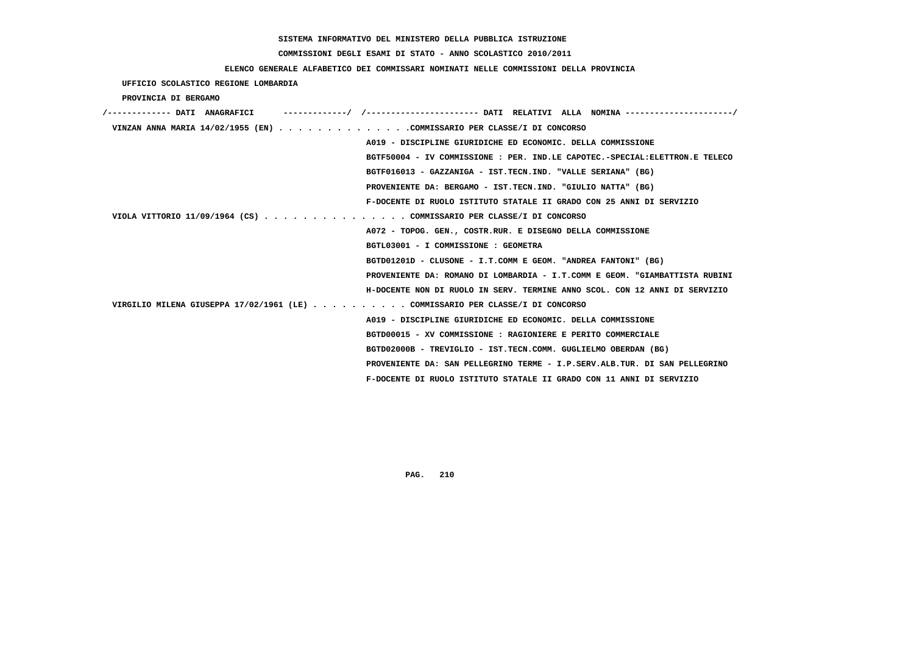# **COMMISSIONI DEGLI ESAMI DI STATO - ANNO SCOLASTICO 2010/2011**

# **ELENCO GENERALE ALFABETICO DEI COMMISSARI NOMINATI NELLE COMMISSIONI DELLA PROVINCIA**

 **UFFICIO SCOLASTICO REGIONE LOMBARDIA**

 **PROVINCIA DI BERGAMO**

| /------------- DATI ANAGRAFICI                                                | -----------/ /---------------------- DATI RELATIVI ALLA NOMINA --------------------/ |
|-------------------------------------------------------------------------------|--------------------------------------------------------------------------------------|
| VINZAN ANNA MARIA 14/02/1955 (EN) COMMISSARIO PER CLASSE/I DI CONCORSO        |                                                                                      |
|                                                                               | A019 - DISCIPLINE GIURIDICHE ED ECONOMIC. DELLA COMMISSIONE                          |
|                                                                               | BGTF50004 - IV COMMISSIONE : PER. IND.LE CAPOTEC.-SPECIAL:ELETTRON.E TELECO          |
|                                                                               | BGTF016013 - GAZZANIGA - IST.TECN.IND. "VALLE SERIANA" (BG)                          |
|                                                                               | PROVENIENTE DA: BERGAMO - IST.TECN.IND. "GIULIO NATTA" (BG)                          |
|                                                                               | F-DOCENTE DI RUOLO ISTITUTO STATALE II GRADO CON 25 ANNI DI SERVIZIO                 |
| VIOLA VITTORIO 11/09/1964 (CS) COMMISSARIO PER CLASSE/I DI CONCORSO           |                                                                                      |
|                                                                               | A072 - TOPOG. GEN., COSTR.RUR. E DISEGNO DELLA COMMISSIONE                           |
|                                                                               | BGTL03001 - I COMMISSIONE : GEOMETRA                                                 |
|                                                                               | BGTD01201D - CLUSONE - I.T.COMM E GEOM. "ANDREA FANTONI" (BG)                        |
|                                                                               | PROVENIENTE DA: ROMANO DI LOMBARDIA - I.T.COMM E GEOM. "GIAMBATTISTA RUBINI          |
|                                                                               | H-DOCENTE NON DI RUOLO IN SERV. TERMINE ANNO SCOL. CON 12 ANNI DI SERVIZIO           |
| VIRGILIO MILENA GIUSEPPA 17/02/1961 (LE) COMMISSARIO PER CLASSE/I DI CONCORSO |                                                                                      |
|                                                                               | A019 - DISCIPLINE GIURIDICHE ED ECONOMIC. DELLA COMMISSIONE                          |
|                                                                               | BGTD00015 - XV COMMISSIONE : RAGIONIERE E PERITO COMMERCIALE                         |
|                                                                               | BGTD02000B - TREVIGLIO - IST.TECN.COMM. GUGLIELMO OBERDAN (BG)                       |
|                                                                               | PROVENIENTE DA: SAN PELLEGRINO TERME - I.P.SERV.ALB.TUR. DI SAN PELLEGRINO           |
|                                                                               | F-DOCENTE DI RUOLO ISTITUTO STATALE II GRADO CON 11 ANNI DI SERVIZIO                 |
|                                                                               |                                                                                      |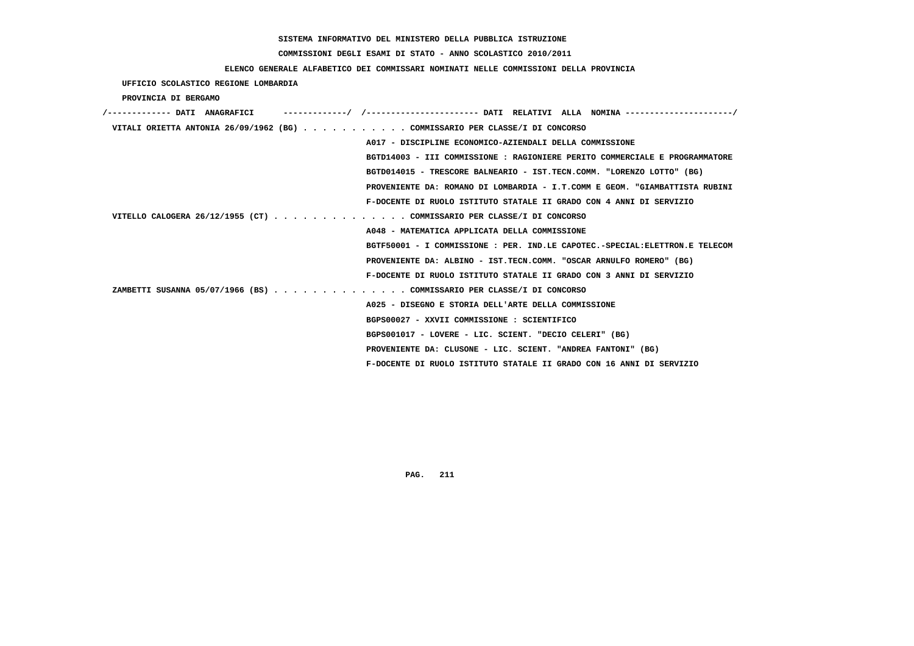# **COMMISSIONI DEGLI ESAMI DI STATO - ANNO SCOLASTICO 2010/2011**

# **ELENCO GENERALE ALFABETICO DEI COMMISSARI NOMINATI NELLE COMMISSIONI DELLA PROVINCIA**

 **UFFICIO SCOLASTICO REGIONE LOMBARDIA**

 **PROVINCIA DI BERGAMO**

| /------------- DATI ANAGRAFICI |                                                                             |
|--------------------------------|-----------------------------------------------------------------------------|
|                                | VITALI ORIETTA ANTONIA 26/09/1962 (BG) COMMISSARIO PER CLASSE/I DI CONCORSO |
|                                | A017 - DISCIPLINE ECONOMICO-AZIENDALI DELLA COMMISSIONE                     |
|                                | BGTD14003 - III COMMISSIONE : RAGIONIERE PERITO COMMERCIALE E PROGRAMMATORE |
|                                | BGTD014015 - TRESCORE BALNEARIO - IST.TECN.COMM. "LORENZO LOTTO" (BG)       |
|                                | PROVENIENTE DA: ROMANO DI LOMBARDIA - I.T.COMM E GEOM. "GIAMBATTISTA RUBINI |
|                                | F-DOCENTE DI RUOLO ISTITUTO STATALE II GRADO CON 4 ANNI DI SERVIZIO         |
|                                | VITELLO CALOGERA 26/12/1955 (CT) COMMISSARIO PER CLASSE/I DI CONCORSO       |
|                                | A048 - MATEMATICA APPLICATA DELLA COMMISSIONE                               |
|                                | BGTF50001 - I COMMISSIONE : PER. IND.LE CAPOTEC.-SPECIAL:ELETTRON.E TELECOM |
|                                | PROVENIENTE DA: ALBINO - IST.TECN.COMM. "OSCAR ARNULFO ROMERO" (BG)         |
|                                | F-DOCENTE DI RUOLO ISTITUTO STATALE II GRADO CON 3 ANNI DI SERVIZIO         |
|                                | ZAMBETTI SUSANNA 05/07/1966 (BS) COMMISSARIO PER CLASSE/I DI CONCORSO       |
|                                | A025 - DISEGNO E STORIA DELL'ARTE DELLA COMMISSIONE                         |
|                                | BGPS00027 - XXVII COMMISSIONE : SCIENTIFICO                                 |
|                                | BGPS001017 - LOVERE - LIC. SCIENT. "DECIO CELERI" (BG)                      |
|                                | PROVENIENTE DA: CLUSONE - LIC. SCIENT. "ANDREA FANTONI" (BG)                |
|                                | F-DOCENTE DI RUOLO ISTITUTO STATALE II GRADO CON 16 ANNI DI SERVIZIO        |
|                                |                                                                             |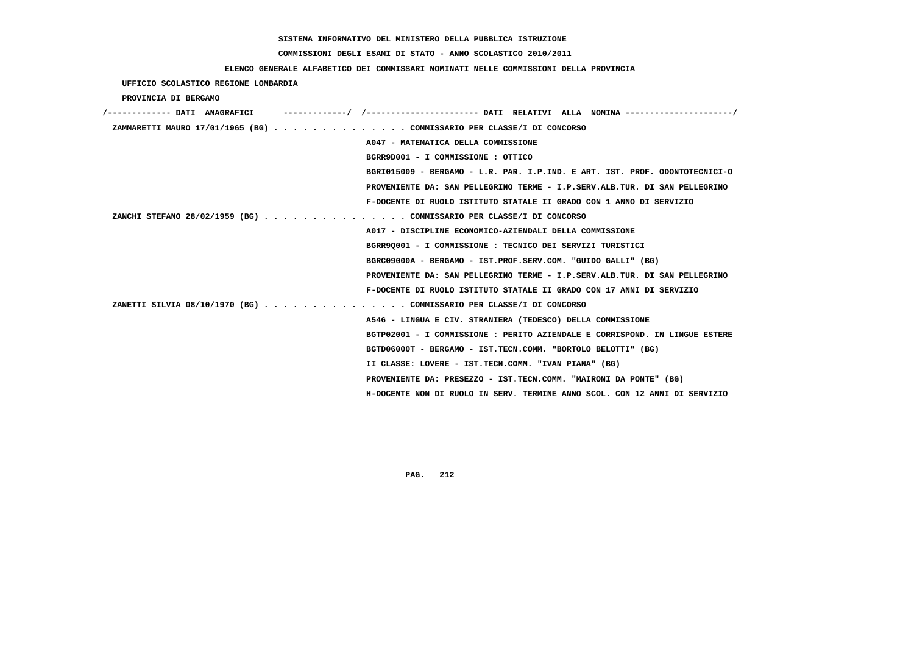# **COMMISSIONI DEGLI ESAMI DI STATO - ANNO SCOLASTICO 2010/2011**

### **ELENCO GENERALE ALFABETICO DEI COMMISSARI NOMINATI NELLE COMMISSIONI DELLA PROVINCIA**

 **UFFICIO SCOLASTICO REGIONE LOMBARDIA**

 **PROVINCIA DI BERGAMO**

| /------------- DATI ANAGRAFICI |                                                                             |
|--------------------------------|-----------------------------------------------------------------------------|
|                                | ZAMMARETTI MAURO 17/01/1965 (BG) COMMISSARIO PER CLASSE/I DI CONCORSO       |
|                                | A047 - MATEMATICA DELLA COMMISSIONE                                         |
|                                | BGRR9D001 - I COMMISSIONE : OTTICO                                          |
|                                | BGRI015009 - BERGAMO - L.R. PAR. I.P.IND. E ART. IST. PROF. ODONTOTECNICI-O |
|                                | PROVENIENTE DA: SAN PELLEGRINO TERME - I.P.SERV.ALB.TUR. DI SAN PELLEGRINO  |
|                                | F-DOCENTE DI RUOLO ISTITUTO STATALE II GRADO CON 1 ANNO DI SERVIZIO         |
|                                | ZANCHI STEFANO 28/02/1959 (BG) COMMISSARIO PER CLASSE/I DI CONCORSO         |
|                                | A017 - DISCIPLINE ECONOMICO-AZIENDALI DELLA COMMISSIONE                     |
|                                | BGRR90001 - I COMMISSIONE : TECNICO DEI SERVIZI TURISTICI                   |
|                                | BGRC09000A - BERGAMO - IST.PROF.SERV.COM. "GUIDO GALLI" (BG)                |
|                                | PROVENIENTE DA: SAN PELLEGRINO TERME - I.P.SERV.ALB.TUR. DI SAN PELLEGRINO  |
|                                | F-DOCENTE DI RUOLO ISTITUTO STATALE II GRADO CON 17 ANNI DI SERVIZIO        |
|                                | ZANETTI SILVIA 08/10/1970 (BG) COMMISSARIO PER CLASSE/I DI CONCORSO         |
|                                | A546 - LINGUA E CIV. STRANIERA (TEDESCO) DELLA COMMISSIONE                  |
|                                | BGTP02001 - I COMMISSIONE : PERITO AZIENDALE E CORRISPOND. IN LINGUE ESTERE |
|                                | BGTD06000T - BERGAMO - IST.TECN.COMM. "BORTOLO BELOTTI" (BG)                |
|                                | II CLASSE: LOVERE - IST.TECN.COMM. "IVAN PIANA" (BG)                        |
|                                | PROVENIENTE DA: PRESEZZO - IST.TECN.COMM. "MAIRONI DA PONTE" (BG)           |
|                                | H-DOCENTE NON DI RUOLO IN SERV. TERMINE ANNO SCOL. CON 12 ANNI DI SERVIZIO  |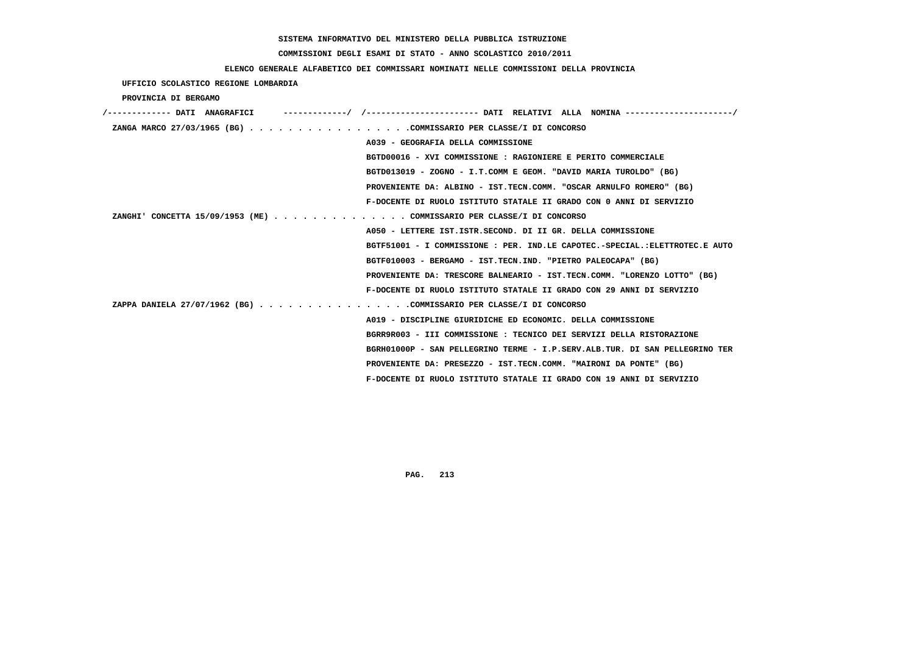# **COMMISSIONI DEGLI ESAMI DI STATO - ANNO SCOLASTICO 2010/2011**

# **ELENCO GENERALE ALFABETICO DEI COMMISSARI NOMINATI NELLE COMMISSIONI DELLA PROVINCIA**

 **UFFICIO SCOLASTICO REGIONE LOMBARDIA**

 **PROVINCIA DI BERGAMO**

| /------------- DATI ANAGRAFICI                                        |                                                                             |
|-----------------------------------------------------------------------|-----------------------------------------------------------------------------|
| ZANGA MARCO 27/03/1965 (BG) COMMISSARIO PER CLASSE/I DI CONCORSO      |                                                                             |
|                                                                       | A039 - GEOGRAFIA DELLA COMMISSIONE                                          |
|                                                                       | BGTD00016 - XVI COMMISSIONE : RAGIONIERE E PERITO COMMERCIALE               |
|                                                                       | BGTD013019 - ZOGNO - I.T.COMM E GEOM. "DAVID MARIA TUROLDO" (BG)            |
|                                                                       | PROVENIENTE DA: ALBINO - IST.TECN.COMM. "OSCAR ARNULFO ROMERO" (BG)         |
|                                                                       | F-DOCENTE DI RUOLO ISTITUTO STATALE II GRADO CON 0 ANNI DI SERVIZIO         |
| ZANGHI' CONCETTA 15/09/1953 (ME) COMMISSARIO PER CLASSE/I DI CONCORSO |                                                                             |
|                                                                       | A050 - LETTERE IST. ISTR. SECOND. DI II GR. DELLA COMMISSIONE               |
|                                                                       | BGTF51001 - I COMMISSIONE : PER. IND.LE CAPOTEC.-SPECIAL.:ELETTROTEC.E AUTO |
|                                                                       | BGTF010003 - BERGAMO - IST.TECN.IND. "PIETRO PALEOCAPA" (BG)                |
|                                                                       | PROVENIENTE DA: TRESCORE BALNEARIO - IST.TECN.COMM. "LORENZO LOTTO" (BG)    |
|                                                                       | F-DOCENTE DI RUOLO ISTITUTO STATALE II GRADO CON 29 ANNI DI SERVIZIO        |
| ZAPPA DANIELA 27/07/1962 (BG) COMMISSARIO PER CLASSE/I DI CONCORSO    |                                                                             |
|                                                                       | A019 - DISCIPLINE GIURIDICHE ED ECONOMIC. DELLA COMMISSIONE                 |
|                                                                       | BGRR9R003 - III COMMISSIONE: TECNICO DEI SERVIZI DELLA RISTORAZIONE         |
|                                                                       | BGRH01000P - SAN PELLEGRINO TERME - I.P.SERV.ALB.TUR. DI SAN PELLEGRINO TER |
|                                                                       | PROVENIENTE DA: PRESEZZO - IST.TECN.COMM. "MAIRONI DA PONTE" (BG)           |
|                                                                       | F-DOCENTE DI RUOLO ISTITUTO STATALE II GRADO CON 19 ANNI DI SERVIZIO        |
|                                                                       |                                                                             |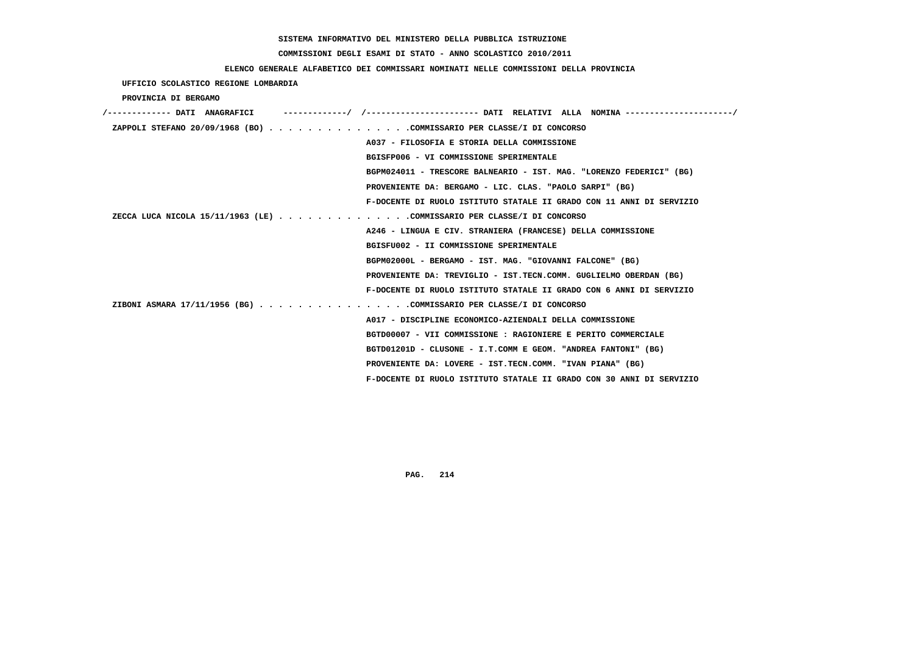# **COMMISSIONI DEGLI ESAMI DI STATO - ANNO SCOLASTICO 2010/2011**

## **ELENCO GENERALE ALFABETICO DEI COMMISSARI NOMINATI NELLE COMMISSIONI DELLA PROVINCIA**

 **UFFICIO SCOLASTICO REGIONE LOMBARDIA**

 **PROVINCIA DI BERGAMO**

| /------------- DATI ANAGRAFICI |                                                                        |
|--------------------------------|------------------------------------------------------------------------|
|                                | ZAPPOLI STEFANO 20/09/1968 (BO) COMMISSARIO PER CLASSE/I DI CONCORSO   |
|                                | A037 - FILOSOFIA E STORIA DELLA COMMISSIONE                            |
|                                | BGISFP006 - VI COMMISSIONE SPERIMENTALE                                |
|                                | BGPM024011 - TRESCORE BALNEARIO - IST. MAG. "LORENZO FEDERICI" (BG)    |
|                                | PROVENIENTE DA: BERGAMO - LIC. CLAS. "PAOLO SARPI" (BG)                |
|                                | F-DOCENTE DI RUOLO ISTITUTO STATALE II GRADO CON 11 ANNI DI SERVIZIO   |
|                                | ZECCA LUCA NICOLA 15/11/1963 (LE) COMMISSARIO PER CLASSE/I DI CONCORSO |
|                                | A246 - LINGUA E CIV. STRANIERA (FRANCESE) DELLA COMMISSIONE            |
|                                | BGISFU002 - II COMMISSIONE SPERIMENTALE                                |
|                                | BGPM02000L - BERGAMO - IST. MAG. "GIOVANNI FALCONE" (BG)               |
|                                | PROVENIENTE DA: TREVIGLIO - IST.TECN.COMM. GUGLIELMO OBERDAN (BG)      |
|                                | F-DOCENTE DI RUOLO ISTITUTO STATALE II GRADO CON 6 ANNI DI SERVIZIO    |
|                                | ZIBONI ASMARA 17/11/1956 (BG) COMMISSARIO PER CLASSE/I DI CONCORSO     |
|                                | A017 - DISCIPLINE ECONOMICO-AZIENDALI DELLA COMMISSIONE                |
|                                | BGTD00007 - VII COMMISSIONE : RAGIONIERE E PERITO COMMERCIALE          |
|                                | BGTD01201D - CLUSONE - I.T.COMM E GEOM. "ANDREA FANTONI" (BG)          |
|                                | PROVENIENTE DA: LOVERE - IST.TECN.COMM. "IVAN PIANA" (BG)              |
|                                | F-DOCENTE DI RUOLO ISTITUTO STATALE II GRADO CON 30 ANNI DI SERVIZIO   |
|                                |                                                                        |